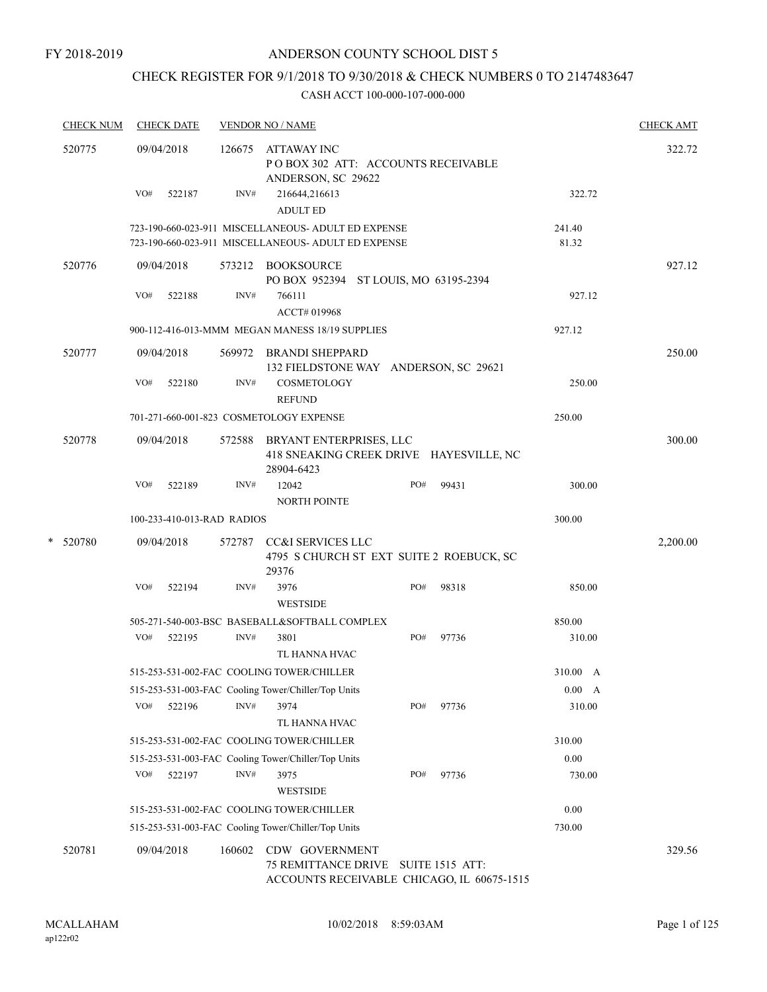# CHECK REGISTER FOR 9/1/2018 TO 9/30/2018 & CHECK NUMBERS 0 TO 2147483647

|        | <b>CHECK NUM</b> |                                               | <b>CHECK DATE</b>                       |        | <b>VENDOR NO / NAME</b>                                                                                    |     |       |                 | <b>CHECK AMT</b> |
|--------|------------------|-----------------------------------------------|-----------------------------------------|--------|------------------------------------------------------------------------------------------------------------|-----|-------|-----------------|------------------|
| 520775 |                  | 09/04/2018<br>126675<br>VO#<br>INV#<br>522187 |                                         |        | ATTAWAY INC<br>PO BOX 302 ATT: ACCOUNTS RECEIVABLE<br>ANDERSON, SC 29622<br>216644,216613                  |     |       | 322.72          | 322.72           |
|        |                  |                                               |                                         |        | <b>ADULT ED</b>                                                                                            |     |       |                 |                  |
|        |                  |                                               |                                         |        | 723-190-660-023-911 MISCELLANEOUS- ADULT ED EXPENSE<br>723-190-660-023-911 MISCELLANEOUS- ADULT ED EXPENSE |     |       | 241.40<br>81.32 |                  |
|        | 520776           |                                               | 09/04/2018                              |        | 573212 BOOKSOURCE<br>PO BOX 952394 ST LOUIS, MO 63195-2394                                                 |     |       |                 | 927.12           |
|        |                  | VO#                                           | 522188                                  | INV#   | 766111<br>ACCT# 019968                                                                                     |     |       | 927.12          |                  |
|        |                  |                                               |                                         |        | 900-112-416-013-MMM MEGAN MANESS 18/19 SUPPLIES                                                            |     |       | 927.12          |                  |
|        | 520777           |                                               | 09/04/2018                              | 569972 | <b>BRANDI SHEPPARD</b><br>132 FIELDSTONE WAY ANDERSON, SC 29621                                            |     |       |                 | 250.00           |
|        |                  | VO#                                           | 522180                                  | INV#   | <b>COSMETOLOGY</b><br><b>REFUND</b>                                                                        |     |       | 250.00          |                  |
|        |                  |                                               | 701-271-660-001-823 COSMETOLOGY EXPENSE |        | 250.00                                                                                                     |     |       |                 |                  |
|        | 520778           |                                               | 09/04/2018                              | 572588 | BRYANT ENTERPRISES, LLC<br>418 SNEAKING CREEK DRIVE HAYESVILLE, NC<br>28904-6423                           |     |       |                 | 300.00           |
|        |                  | VO#                                           | 522189                                  | INV#   | 12042<br>NORTH POINTE                                                                                      | PO# | 99431 | 300.00          |                  |
|        |                  |                                               | 100-233-410-013-RAD RADIOS              |        |                                                                                                            |     |       | 300.00          |                  |
| *      | 520780           | 09/04/2018<br>572787                          |                                         |        | <b>CC&amp;I SERVICES LLC</b><br>4795 S CHURCH ST EXT SUITE 2 ROEBUCK, SC<br>29376                          |     |       | 2,200.00        |                  |
|        |                  | VO#                                           | 522194                                  | INV#   | 3976<br><b>WESTSIDE</b>                                                                                    | PO# | 98318 | 850.00          |                  |
|        |                  |                                               |                                         |        | 505-271-540-003-BSC BASEBALL&SOFTBALL COMPLEX                                                              |     |       | 850.00          |                  |
|        |                  | VO#                                           | 522195                                  | INV#   | 3801<br>TL HANNA HVAC                                                                                      | PO# | 97736 | 310.00          |                  |
|        |                  |                                               |                                         |        | 515-253-531-002-FAC COOLING TOWER/CHILLER                                                                  |     |       | 310.00 A        |                  |
|        |                  |                                               |                                         |        | 515-253-531-003-FAC Cooling Tower/Chiller/Top Units                                                        |     |       | 0.00 A          |                  |
|        |                  | VO#                                           | 522196                                  | INV#   | 3974<br>TL HANNA HVAC                                                                                      | PO# | 97736 | 310.00          |                  |
|        |                  |                                               |                                         |        | 515-253-531-002-FAC COOLING TOWER/CHILLER                                                                  |     |       | 310.00          |                  |
|        |                  |                                               |                                         |        | 515-253-531-003-FAC Cooling Tower/Chiller/Top Units                                                        |     |       | 0.00            |                  |
|        |                  | VO#                                           | 522197                                  | INV#   | 3975<br><b>WESTSIDE</b>                                                                                    | PO# | 97736 | 730.00          |                  |
|        |                  |                                               |                                         |        | 515-253-531-002-FAC COOLING TOWER/CHILLER                                                                  |     |       | 0.00            |                  |
|        |                  |                                               |                                         |        | 515-253-531-003-FAC Cooling Tower/Chiller/Top Units                                                        |     |       | 730.00          |                  |
|        | 520781           |                                               | 09/04/2018                              | 160602 | CDW GOVERNMENT<br>75 REMITTANCE DRIVE SUITE 1515 ATT:<br>ACCOUNTS RECEIVABLE CHICAGO, IL 60675-1515        |     |       |                 | 329.56           |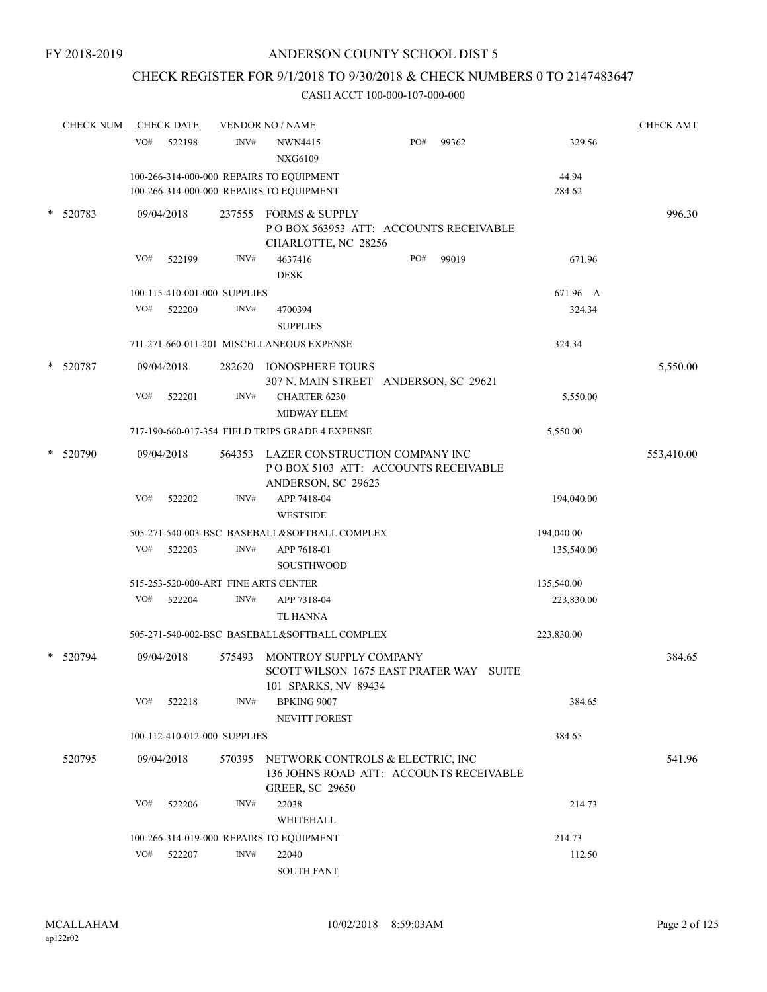# CHECK REGISTER FOR 9/1/2018 TO 9/30/2018 & CHECK NUMBERS 0 TO 2147483647

| <b>CHECK NUM</b> |     | <b>CHECK DATE</b>            |        | <b>VENDOR NO / NAME</b>                                                                               |     |       |            | <b>CHECK AMT</b> |
|------------------|-----|------------------------------|--------|-------------------------------------------------------------------------------------------------------|-----|-------|------------|------------------|
|                  | VO# | 522198                       | INV#   | NWN4415<br><b>NXG6109</b>                                                                             | PO# | 99362 | 329.56     |                  |
|                  |     |                              |        | 100-266-314-000-000 REPAIRS TO EQUIPMENT                                                              |     |       | 44.94      |                  |
|                  |     |                              |        | 100-266-314-000-000 REPAIRS TO EQUIPMENT                                                              |     |       | 284.62     |                  |
| 520783           |     | 09/04/2018                   | 237555 | <b>FORMS &amp; SUPPLY</b><br>PO BOX 563953 ATT: ACCOUNTS RECEIVABLE<br>CHARLOTTE, NC 28256            |     |       |            | 996.30           |
|                  | VO# | 522199                       | INV#   | 4637416<br><b>DESK</b>                                                                                | PO# | 99019 | 671.96     |                  |
|                  |     | 100-115-410-001-000 SUPPLIES |        |                                                                                                       |     |       | 671.96 A   |                  |
|                  | VO# | 522200                       | INV#   | 4700394<br><b>SUPPLIES</b>                                                                            |     |       | 324.34     |                  |
|                  |     |                              |        | 711-271-660-011-201 MISCELLANEOUS EXPENSE                                                             |     |       | 324.34     |                  |
|                  |     |                              |        |                                                                                                       |     |       |            |                  |
| 520787           |     | 09/04/2018                   | 282620 | <b>IONOSPHERE TOURS</b><br>307 N. MAIN STREET ANDERSON, SC 29621                                      |     |       |            | 5,550.00         |
|                  | VO# | 522201                       | INV#   | <b>CHARTER 6230</b><br><b>MIDWAY ELEM</b>                                                             |     |       | 5,550.00   |                  |
|                  |     |                              |        | 717-190-660-017-354 FIELD TRIPS GRADE 4 EXPENSE                                                       |     |       | 5,550.00   |                  |
| 520790           |     | 09/04/2018                   | 564353 | LAZER CONSTRUCTION COMPANY INC<br>POBOX 5103 ATT: ACCOUNTS RECEIVABLE<br>ANDERSON, SC 29623           |     |       |            | 553,410.00       |
|                  | VO# | 522202                       | INV#   | APP 7418-04<br><b>WESTSIDE</b>                                                                        |     |       | 194,040.00 |                  |
|                  |     |                              |        | 505-271-540-003-BSC BASEBALL&SOFTBALL COMPLEX                                                         |     |       | 194,040.00 |                  |
|                  | VO# | 522203                       | INV#   | APP 7618-01                                                                                           |     |       | 135,540.00 |                  |
|                  |     |                              |        | <b>SOUSTHWOOD</b>                                                                                     |     |       |            |                  |
|                  |     |                              |        | 515-253-520-000-ART FINE ARTS CENTER                                                                  |     |       | 135,540.00 |                  |
|                  | VO# | 522204                       | INV#   | APP 7318-04<br><b>TL HANNA</b>                                                                        |     |       | 223,830.00 |                  |
|                  |     |                              |        | 505-271-540-002-BSC BASEBALL&SOFTBALL COMPLEX                                                         |     |       | 223,830.00 |                  |
| 520794           |     | 09/04/2018                   | 575493 | MONTROY SUPPLY COMPANY<br>SCOTT WILSON 1675 EAST PRATER WAY SUITE<br>101 SPARKS, NV 89434             |     |       |            | 384.65           |
|                  | VO# | 522218                       | INV#   | <b>BPKING 9007</b>                                                                                    |     |       | 384.65     |                  |
|                  |     |                              |        | NEVITT FOREST                                                                                         |     |       |            |                  |
|                  |     | 100-112-410-012-000 SUPPLIES |        |                                                                                                       |     |       | 384.65     |                  |
| 520795           |     | 09/04/2018                   | 570395 | NETWORK CONTROLS & ELECTRIC, INC<br>136 JOHNS ROAD ATT: ACCOUNTS RECEIVABLE<br><b>GREER, SC 29650</b> |     |       |            | 541.96           |
|                  | VO# | 522206                       | INV#   | 22038                                                                                                 |     |       | 214.73     |                  |
|                  |     |                              |        | WHITEHALL                                                                                             |     |       |            |                  |
|                  |     |                              |        | 100-266-314-019-000 REPAIRS TO EQUIPMENT                                                              |     |       | 214.73     |                  |
|                  | VO# | 522207                       | INV#   | 22040<br><b>SOUTH FANT</b>                                                                            |     |       | 112.50     |                  |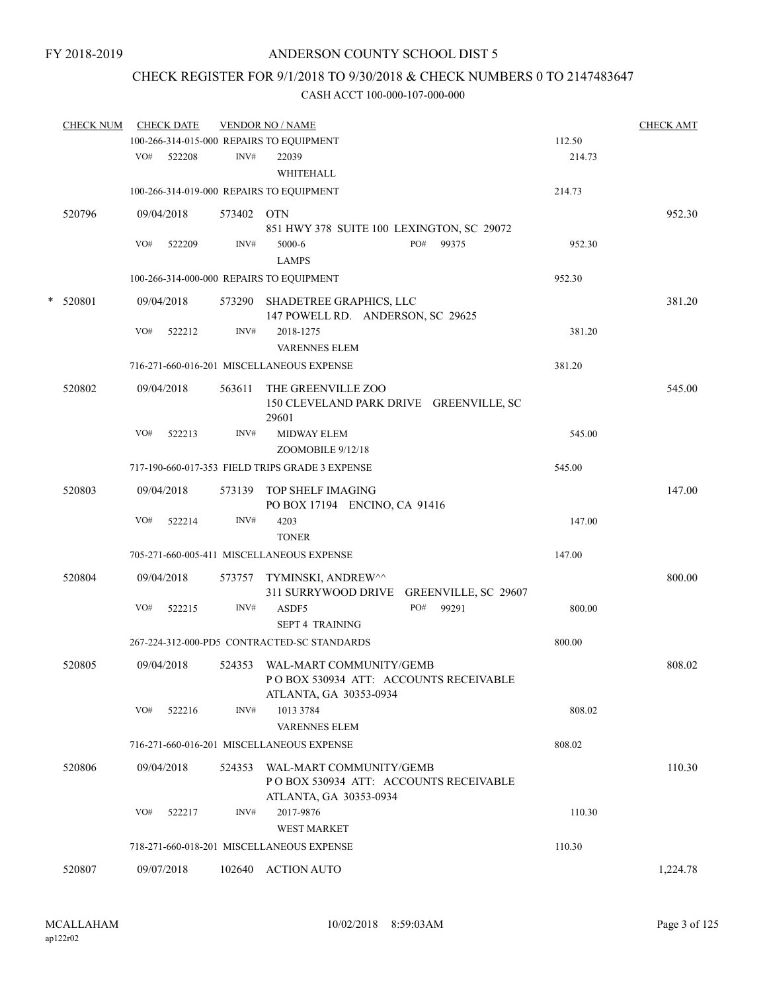# CHECK REGISTER FOR 9/1/2018 TO 9/30/2018 & CHECK NUMBERS 0 TO 2147483647

|   | <b>CHECK NUM</b> |     | <b>CHECK DATE</b> |        | <b>VENDOR NO / NAME</b>                                                                    |        | <b>CHECK AMT</b> |
|---|------------------|-----|-------------------|--------|--------------------------------------------------------------------------------------------|--------|------------------|
|   |                  |     |                   |        | 100-266-314-015-000 REPAIRS TO EQUIPMENT                                                   | 112.50 |                  |
|   |                  | VO# | 522208            | INV#   | 22039<br>WHITEHALL                                                                         | 214.73 |                  |
|   |                  |     |                   |        | 100-266-314-019-000 REPAIRS TO EQUIPMENT                                                   | 214.73 |                  |
|   | 520796           |     | 09/04/2018        | 573402 | <b>OTN</b><br>851 HWY 378 SUITE 100 LEXINGTON, SC 29072                                    |        | 952.30           |
|   |                  | VO# | 522209            | INV#   | PO#<br>99375<br>5000-6<br><b>LAMPS</b>                                                     | 952.30 |                  |
|   |                  |     |                   |        | 100-266-314-000-000 REPAIRS TO EQUIPMENT                                                   | 952.30 |                  |
| * | 520801           |     | 09/04/2018        |        | 573290 SHADETREE GRAPHICS, LLC<br>147 POWELL RD. ANDERSON, SC 29625                        |        | 381.20           |
|   |                  | VO# | 522212            | INV#   | 2018-1275<br><b>VARENNES ELEM</b>                                                          | 381.20 |                  |
|   |                  |     |                   |        | 716-271-660-016-201 MISCELLANEOUS EXPENSE                                                  | 381.20 |                  |
|   | 520802           |     | 09/04/2018        | 563611 | THE GREENVILLE ZOO<br>150 CLEVELAND PARK DRIVE GREENVILLE, SC<br>29601                     |        | 545.00           |
|   |                  | VO# | 522213            | INV#   | <b>MIDWAY ELEM</b><br>ZOOMOBILE 9/12/18                                                    | 545.00 |                  |
|   |                  |     |                   |        | 717-190-660-017-353 FIELD TRIPS GRADE 3 EXPENSE                                            | 545.00 |                  |
|   | 520803           |     | 09/04/2018        | 573139 | TOP SHELF IMAGING<br>PO BOX 17194 ENCINO, CA 91416                                         |        | 147.00           |
|   |                  | VO# | 522214            | INV#   | 4203<br><b>TONER</b>                                                                       | 147.00 |                  |
|   |                  |     |                   |        | 705-271-660-005-411 MISCELLANEOUS EXPENSE                                                  | 147.00 |                  |
|   | 520804           |     | 09/04/2018        | 573757 | TYMINSKI, ANDREW^^<br>311 SURRYWOOD DRIVE<br>GREENVILLE, SC 29607                          |        | 800.00           |
|   |                  | VO# | 522215            | INV#   | PO#<br>99291<br>ASDF5<br><b>SEPT 4 TRAINING</b>                                            | 800.00 |                  |
|   |                  |     |                   |        | 267-224-312-000-PD5 CONTRACTED-SC STANDARDS                                                | 800.00 |                  |
|   | 520805           |     | 09/04/2018        | 524353 | WAL-MART COMMUNITY/GEMB<br>POBOX 530934 ATT: ACCOUNTS RECEIVABLE<br>ATLANTA, GA 30353-0934 |        | 808.02           |
|   |                  | VO# | 522216            | INV#   | 1013 3784<br><b>VARENNES ELEM</b>                                                          | 808.02 |                  |
|   |                  |     |                   |        | 716-271-660-016-201 MISCELLANEOUS EXPENSE                                                  | 808.02 |                  |
|   | 520806           |     | 09/04/2018        | 524353 | WAL-MART COMMUNITY/GEMB<br>PO BOX 530934 ATT: ACCOUNTS RECEIVABLE                          |        | 110.30           |
|   |                  | VO# | 522217            | INV#   | ATLANTA, GA 30353-0934<br>2017-9876<br>WEST MARKET                                         | 110.30 |                  |
|   |                  |     |                   |        | 718-271-660-018-201 MISCELLANEOUS EXPENSE                                                  | 110.30 |                  |
|   | 520807           |     | 09/07/2018        |        | 102640 ACTION AUTO                                                                         |        | 1,224.78         |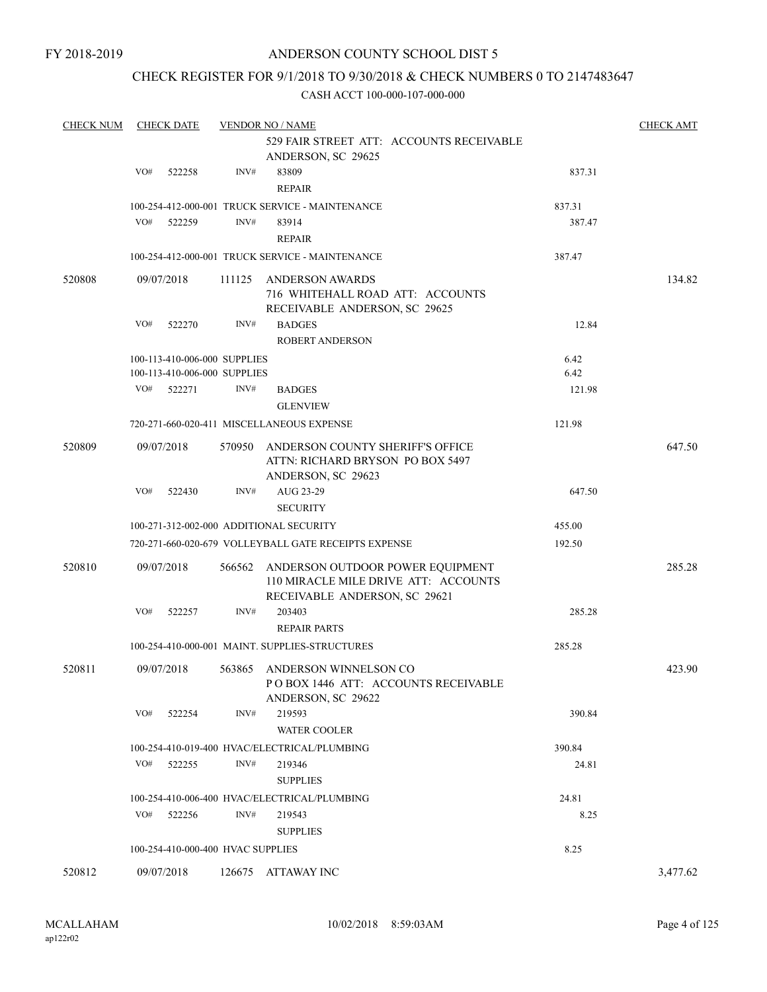### CHECK REGISTER FOR 9/1/2018 TO 9/30/2018 & CHECK NUMBERS 0 TO 2147483647

| <b>CHECK NUM</b> | <b>CHECK DATE</b> |                                   |        | <b>VENDOR NO / NAME</b>                                                                                          |        |          |  |  |
|------------------|-------------------|-----------------------------------|--------|------------------------------------------------------------------------------------------------------------------|--------|----------|--|--|
|                  |                   |                                   |        | 529 FAIR STREET ATT: ACCOUNTS RECEIVABLE<br>ANDERSON, SC 29625                                                   |        |          |  |  |
|                  | VO#               | 522258                            | INV#   | 83809<br><b>REPAIR</b>                                                                                           | 837.31 |          |  |  |
|                  |                   |                                   |        | 100-254-412-000-001 TRUCK SERVICE - MAINTENANCE                                                                  | 837.31 |          |  |  |
|                  | VO#               | 522259                            | INV#   | 83914<br><b>REPAIR</b>                                                                                           | 387.47 |          |  |  |
|                  |                   |                                   |        | 100-254-412-000-001 TRUCK SERVICE - MAINTENANCE                                                                  | 387.47 |          |  |  |
| 520808           |                   | 09/07/2018                        | 111125 | ANDERSON AWARDS<br>716 WHITEHALL ROAD ATT: ACCOUNTS<br>RECEIVABLE ANDERSON, SC 29625                             |        | 134.82   |  |  |
|                  | VO#               | 522270                            | INV#   | <b>BADGES</b><br><b>ROBERT ANDERSON</b>                                                                          | 12.84  |          |  |  |
|                  |                   | 100-113-410-006-000 SUPPLIES      |        |                                                                                                                  | 6.42   |          |  |  |
|                  |                   | 100-113-410-006-000 SUPPLIES      |        |                                                                                                                  | 6.42   |          |  |  |
|                  | VO#               | 522271                            | INV#   | <b>BADGES</b><br><b>GLENVIEW</b>                                                                                 | 121.98 |          |  |  |
|                  |                   |                                   |        | 720-271-660-020-411 MISCELLANEOUS EXPENSE                                                                        | 121.98 |          |  |  |
| 520809           |                   | 09/07/2018                        |        | 570950 ANDERSON COUNTY SHERIFF'S OFFICE<br>ATTN: RICHARD BRYSON PO BOX 5497<br>ANDERSON, SC 29623                |        | 647.50   |  |  |
|                  | VO#               | 522430                            | INV#   | AUG 23-29<br><b>SECURITY</b>                                                                                     | 647.50 |          |  |  |
|                  |                   |                                   |        | 100-271-312-002-000 ADDITIONAL SECURITY                                                                          | 455.00 |          |  |  |
|                  |                   |                                   |        | 720-271-660-020-679 VOLLEYBALL GATE RECEIPTS EXPENSE                                                             | 192.50 |          |  |  |
| 520810           |                   | 09/07/2018                        |        | 566562 ANDERSON OUTDOOR POWER EQUIPMENT<br>110 MIRACLE MILE DRIVE ATT: ACCOUNTS<br>RECEIVABLE ANDERSON, SC 29621 |        | 285.28   |  |  |
|                  | VO#               | 522257                            | INV#   | 203403                                                                                                           | 285.28 |          |  |  |
|                  |                   |                                   |        | <b>REPAIR PARTS</b>                                                                                              |        |          |  |  |
|                  |                   |                                   |        | 100-254-410-000-001 MAINT, SUPPLIES-STRUCTURES                                                                   | 285.28 |          |  |  |
| 520811           |                   | 09/07/2018                        |        | 563865 ANDERSON WINNELSON CO<br>POBOX 1446 ATT: ACCOUNTS RECEIVABLE<br>ANDERSON, SC 29622                        |        | 423.90   |  |  |
|                  | VO#               | 522254                            | INV#   | 219593<br><b>WATER COOLER</b>                                                                                    | 390.84 |          |  |  |
|                  |                   |                                   |        | 100-254-410-019-400 HVAC/ELECTRICAL/PLUMBING                                                                     | 390.84 |          |  |  |
|                  | VO#               | 522255                            | INV#   | 219346                                                                                                           | 24.81  |          |  |  |
|                  |                   |                                   |        | <b>SUPPLIES</b>                                                                                                  |        |          |  |  |
|                  |                   |                                   |        | 100-254-410-006-400 HVAC/ELECTRICAL/PLUMBING                                                                     | 24.81  |          |  |  |
|                  | VO#               | 522256                            | INV#   | 219543                                                                                                           | 8.25   |          |  |  |
|                  |                   |                                   |        | <b>SUPPLIES</b>                                                                                                  |        |          |  |  |
|                  |                   | 100-254-410-000-400 HVAC SUPPLIES |        |                                                                                                                  | 8.25   |          |  |  |
| 520812           |                   | 09/07/2018                        |        | 126675 ATTAWAY INC                                                                                               |        | 3,477.62 |  |  |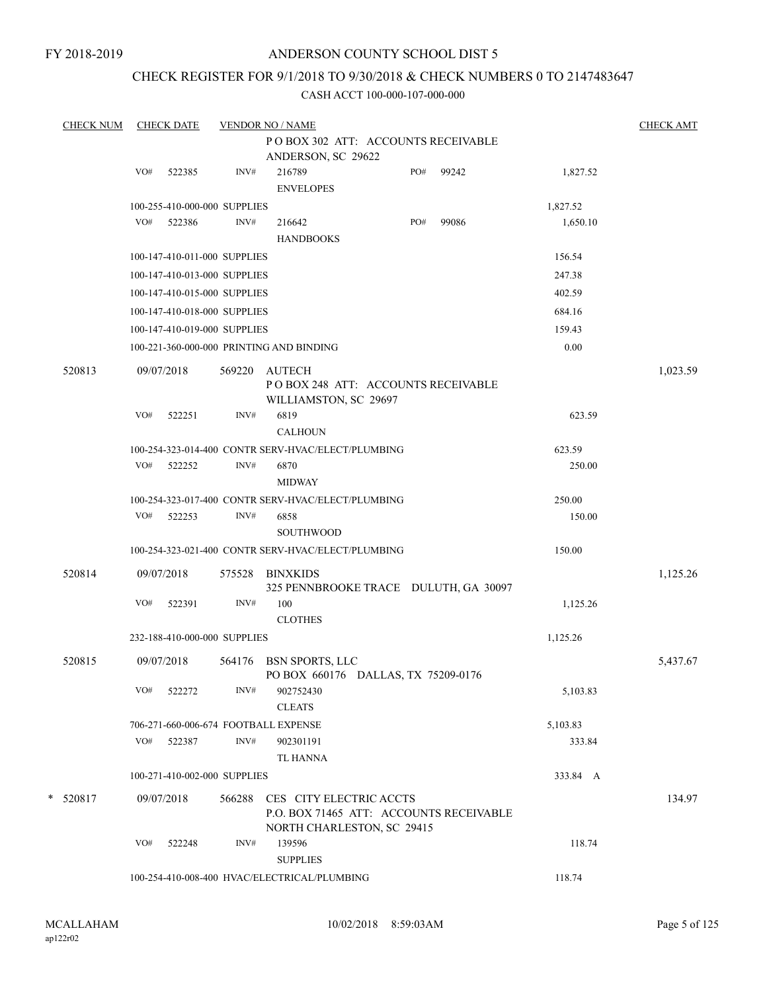FY 2018-2019

# ANDERSON COUNTY SCHOOL DIST 5

# CHECK REGISTER FOR 9/1/2018 TO 9/30/2018 & CHECK NUMBERS 0 TO 2147483647

| <b>CHECK NUM</b> |     | <b>CHECK DATE</b>                                  |        | <b>VENDOR NO / NAME</b>    |                       |                                                                       |       |          | <b>CHECK AMT</b> |
|------------------|-----|----------------------------------------------------|--------|----------------------------|-----------------------|-----------------------------------------------------------------------|-------|----------|------------------|
|                  |     |                                                    |        |                            |                       | PO BOX 302 ATT: ACCOUNTS RECEIVABLE                                   |       |          |                  |
|                  |     |                                                    |        |                            | ANDERSON, SC 29622    |                                                                       |       |          |                  |
|                  | VO# | 522385                                             | INV#   | 216789<br><b>ENVELOPES</b> |                       | PO#                                                                   | 99242 | 1,827.52 |                  |
|                  |     | 100-255-410-000-000 SUPPLIES                       |        |                            |                       |                                                                       |       | 1,827.52 |                  |
|                  | VO# | 522386                                             | INV#   | 216642                     |                       | PO#                                                                   | 99086 | 1,650.10 |                  |
|                  |     |                                                    |        | <b>HANDBOOKS</b>           |                       |                                                                       |       |          |                  |
|                  |     | 100-147-410-011-000 SUPPLIES                       |        |                            |                       |                                                                       |       | 156.54   |                  |
|                  |     | 100-147-410-013-000 SUPPLIES                       |        |                            |                       |                                                                       |       | 247.38   |                  |
|                  |     | 100-147-410-015-000 SUPPLIES                       |        |                            |                       |                                                                       |       | 402.59   |                  |
|                  |     | 100-147-410-018-000 SUPPLIES                       |        |                            |                       |                                                                       |       | 684.16   |                  |
|                  |     | 100-147-410-019-000 SUPPLIES                       |        |                            |                       |                                                                       |       | 159.43   |                  |
|                  |     | 100-221-360-000-000 PRINTING AND BINDING           |        |                            |                       |                                                                       |       | 0.00     |                  |
| 520813           |     | 09/07/2018                                         | 569220 | AUTECH                     |                       |                                                                       |       |          | 1,023.59         |
|                  |     |                                                    |        |                            | WILLIAMSTON, SC 29697 | PO BOX 248 ATT: ACCOUNTS RECEIVABLE                                   |       |          |                  |
|                  | VO# | 522251                                             | INV#   | 6819                       |                       |                                                                       |       | 623.59   |                  |
|                  |     |                                                    |        | <b>CALHOUN</b>             |                       |                                                                       |       |          |                  |
|                  |     | 100-254-323-014-400 CONTR SERV-HVAC/ELECT/PLUMBING |        |                            |                       |                                                                       |       | 623.59   |                  |
|                  | VO# | 522252                                             | INV#   | 6870                       |                       |                                                                       |       | 250.00   |                  |
|                  |     |                                                    |        | <b>MIDWAY</b>              |                       |                                                                       |       |          |                  |
|                  |     | 100-254-323-017-400 CONTR SERV-HVAC/ELECT/PLUMBING |        |                            |                       |                                                                       |       | 250.00   |                  |
|                  |     | VO# 522253                                         | INV#   | 6858                       |                       |                                                                       |       | 150.00   |                  |
|                  |     |                                                    |        | <b>SOUTHWOOD</b>           |                       |                                                                       |       |          |                  |
|                  |     | 100-254-323-021-400 CONTR SERV-HVAC/ELECT/PLUMBING |        |                            |                       |                                                                       |       | 150.00   |                  |
| 520814           |     | 09/07/2018                                         | 575528 | BINXKIDS                   |                       | 325 PENNBROOKE TRACE DULUTH, GA 30097                                 |       |          | 1,125.26         |
|                  | VO# | 522391                                             | INV#   | 100                        |                       |                                                                       |       | 1,125.26 |                  |
|                  |     |                                                    |        | <b>CLOTHES</b>             |                       |                                                                       |       |          |                  |
|                  |     | 232-188-410-000-000 SUPPLIES                       |        |                            |                       |                                                                       |       | 1,125.26 |                  |
| 520815           |     | 09/07/2018                                         | 564176 | <b>BSN SPORTS, LLC</b>     |                       | PO BOX 660176 DALLAS, TX 75209-0176                                   |       |          | 5,437.67         |
|                  | VO# | 522272                                             | INV#   | 902752430<br><b>CLEATS</b> |                       |                                                                       |       | 5,103.83 |                  |
|                  |     | 706-271-660-006-674 FOOTBALL EXPENSE               |        |                            |                       |                                                                       |       | 5,103.83 |                  |
|                  | VO# | 522387                                             | INV#   | 902301191                  |                       |                                                                       |       | 333.84   |                  |
|                  |     |                                                    |        | TL HANNA                   |                       |                                                                       |       |          |                  |
|                  |     | 100-271-410-002-000 SUPPLIES                       |        |                            |                       |                                                                       |       | 333.84 A |                  |
| $*$ 520817       |     | 09/07/2018                                         | 566288 | CES CITY ELECTRIC ACCTS    |                       | P.O. BOX 71465 ATT: ACCOUNTS RECEIVABLE<br>NORTH CHARLESTON, SC 29415 |       |          | 134.97           |
|                  | VO# | 522248                                             | INV#   | 139596                     |                       |                                                                       |       | 118.74   |                  |
|                  |     |                                                    |        | <b>SUPPLIES</b>            |                       |                                                                       |       |          |                  |
|                  |     | 100-254-410-008-400 HVAC/ELECTRICAL/PLUMBING       |        |                            |                       |                                                                       |       | 118.74   |                  |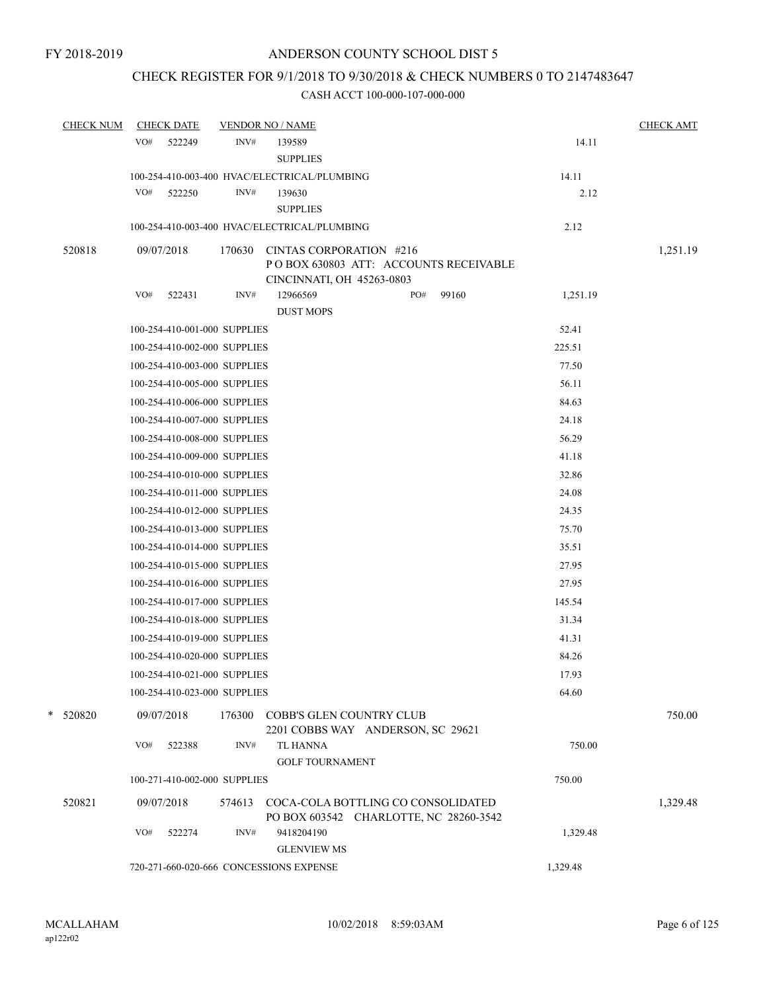# CHECK REGISTER FOR 9/1/2018 TO 9/30/2018 & CHECK NUMBERS 0 TO 2147483647

| <b>CHECK NUM</b> | <b>CHECK DATE</b>            | <b>VENDOR NO / NAME</b>                                                 | <b>CHECK AMT</b> |
|------------------|------------------------------|-------------------------------------------------------------------------|------------------|
|                  | VO#<br>522249                | INV#<br>139589                                                          | 14.11            |
|                  |                              | <b>SUPPLIES</b>                                                         |                  |
|                  |                              | 100-254-410-003-400 HVAC/ELECTRICAL/PLUMBING                            | 14.11            |
|                  | VO#<br>522250                | INV#<br>139630                                                          | 2.12             |
|                  |                              | <b>SUPPLIES</b>                                                         |                  |
|                  |                              | 100-254-410-003-400 HVAC/ELECTRICAL/PLUMBING                            | 2.12             |
| 520818           | 09/07/2018                   | 170630<br>CINTAS CORPORATION #216                                       | 1,251.19         |
|                  |                              | POBOX 630803 ATT: ACCOUNTS RECEIVABLE                                   |                  |
|                  | VO#<br>522431                | CINCINNATI, OH 45263-0803<br>INV#<br>12966569<br>PO#<br>99160           | 1,251.19         |
|                  |                              | <b>DUST MOPS</b>                                                        |                  |
|                  | 100-254-410-001-000 SUPPLIES |                                                                         | 52.41            |
|                  | 100-254-410-002-000 SUPPLIES |                                                                         | 225.51           |
|                  | 100-254-410-003-000 SUPPLIES |                                                                         | 77.50            |
|                  | 100-254-410-005-000 SUPPLIES |                                                                         | 56.11            |
|                  | 100-254-410-006-000 SUPPLIES |                                                                         | 84.63            |
|                  | 100-254-410-007-000 SUPPLIES |                                                                         | 24.18            |
|                  | 100-254-410-008-000 SUPPLIES |                                                                         | 56.29            |
|                  | 100-254-410-009-000 SUPPLIES |                                                                         | 41.18            |
|                  | 100-254-410-010-000 SUPPLIES |                                                                         | 32.86            |
|                  | 100-254-410-011-000 SUPPLIES |                                                                         | 24.08            |
|                  | 100-254-410-012-000 SUPPLIES |                                                                         | 24.35            |
|                  | 100-254-410-013-000 SUPPLIES |                                                                         | 75.70            |
|                  | 100-254-410-014-000 SUPPLIES |                                                                         | 35.51            |
|                  | 100-254-410-015-000 SUPPLIES |                                                                         | 27.95            |
|                  | 100-254-410-016-000 SUPPLIES |                                                                         | 27.95            |
|                  | 100-254-410-017-000 SUPPLIES |                                                                         | 145.54           |
|                  | 100-254-410-018-000 SUPPLIES |                                                                         | 31.34            |
|                  | 100-254-410-019-000 SUPPLIES |                                                                         | 41.31            |
|                  | 100-254-410-020-000 SUPPLIES |                                                                         | 84.26            |
|                  | 100-254-410-021-000 SUPPLIES |                                                                         | 17.93            |
|                  | 100-254-410-023-000 SUPPLIES |                                                                         | 64.60            |
|                  |                              |                                                                         |                  |
| * 520820         | 09/07/2018                   | 176300<br>COBB'S GLEN COUNTRY CLUB<br>2201 COBBS WAY ANDERSON, SC 29621 | 750.00           |
|                  | VO#<br>522388                | INV#<br>TL HANNA                                                        | 750.00           |
|                  |                              | <b>GOLF TOURNAMENT</b>                                                  |                  |
|                  | 100-271-410-002-000 SUPPLIES |                                                                         | 750.00           |
| 520821           | 09/07/2018                   | COCA-COLA BOTTLING CO CONSOLIDATED<br>574613                            | 1,329.48         |
|                  |                              | PO BOX 603542 CHARLOTTE, NC 28260-3542                                  |                  |
|                  | VO#<br>522274                | INV#<br>9418204190                                                      | 1,329.48         |
|                  |                              | <b>GLENVIEW MS</b>                                                      |                  |
|                  |                              | 720-271-660-020-666 CONCESSIONS EXPENSE                                 | 1,329.48         |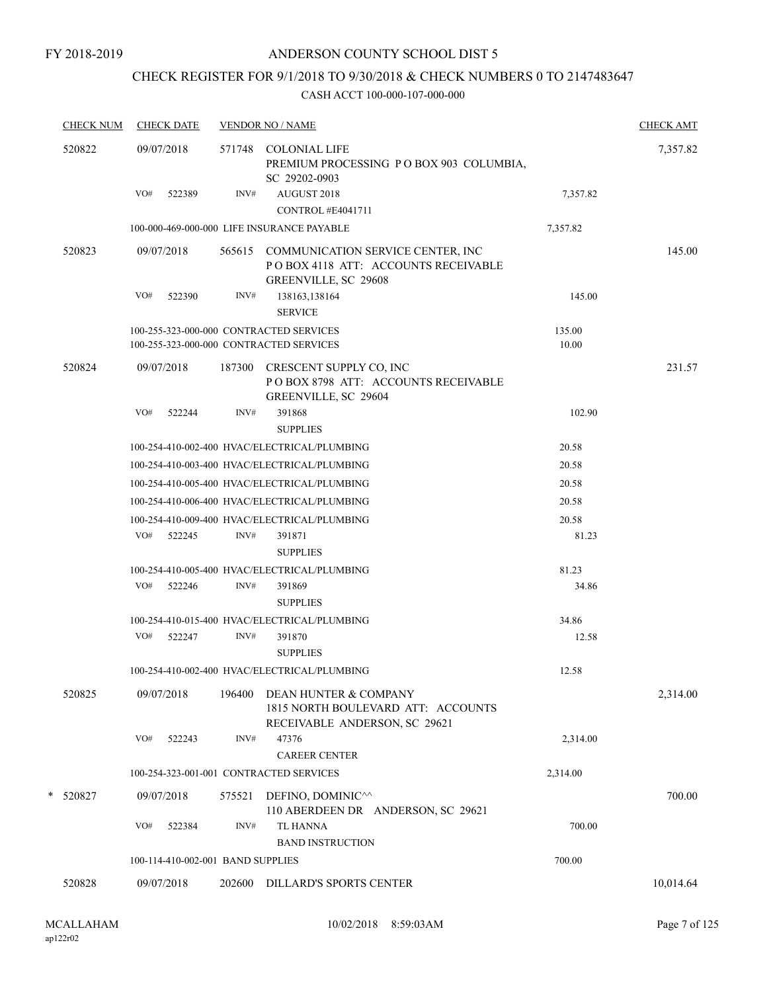# CHECK REGISTER FOR 9/1/2018 TO 9/30/2018 & CHECK NUMBERS 0 TO 2147483647

| <b>CHECK NUM</b> | <b>CHECK DATE</b>                       |        | <b>VENDOR NO / NAME</b>                                                                                 |          | <b>CHECK AMT</b> |
|------------------|-----------------------------------------|--------|---------------------------------------------------------------------------------------------------------|----------|------------------|
| 520822           | 09/07/2018                              |        | 571748 COLONIAL LIFE<br>PREMIUM PROCESSING PO BOX 903 COLUMBIA,<br>SC 29202-0903                        |          | 7,357.82         |
|                  | VO#<br>522389                           | INV#   | AUGUST 2018<br>CONTROL #E4041711                                                                        | 7,357.82 |                  |
|                  |                                         |        | 100-000-469-000-000 LIFE INSURANCE PAYABLE                                                              | 7,357.82 |                  |
| 520823           | 09/07/2018                              |        | 565615 COMMUNICATION SERVICE CENTER, INC<br>POBOX 4118 ATT: ACCOUNTS RECEIVABLE<br>GREENVILLE, SC 29608 |          | 145.00           |
|                  | VO#<br>522390                           | INV#   | 138163,138164<br><b>SERVICE</b>                                                                         | 145.00   |                  |
|                  | 100-255-323-000-000 CONTRACTED SERVICES |        |                                                                                                         | 135.00   |                  |
|                  | 100-255-323-000-000 CONTRACTED SERVICES |        |                                                                                                         | 10.00    |                  |
| 520824           | 09/07/2018                              | 187300 | CRESCENT SUPPLY CO. INC<br>POBOX 8798 ATT: ACCOUNTS RECEIVABLE<br>GREENVILLE, SC 29604                  |          | 231.57           |
|                  | VO#<br>522244                           | INV#   | 391868                                                                                                  | 102.90   |                  |
|                  |                                         |        | <b>SUPPLIES</b>                                                                                         |          |                  |
|                  |                                         |        | 100-254-410-002-400 HVAC/ELECTRICAL/PLUMBING                                                            | 20.58    |                  |
|                  |                                         |        | 100-254-410-003-400 HVAC/ELECTRICAL/PLUMBING                                                            | 20.58    |                  |
|                  |                                         |        | 100-254-410-005-400 HVAC/ELECTRICAL/PLUMBING                                                            | 20.58    |                  |
|                  |                                         |        | 100-254-410-006-400 HVAC/ELECTRICAL/PLUMBING                                                            | 20.58    |                  |
|                  |                                         |        | 100-254-410-009-400 HVAC/ELECTRICAL/PLUMBING                                                            | 20.58    |                  |
|                  | VO#<br>522245                           | INV#   | 391871<br><b>SUPPLIES</b>                                                                               | 81.23    |                  |
|                  |                                         |        | 100-254-410-005-400 HVAC/ELECTRICAL/PLUMBING                                                            | 81.23    |                  |
|                  | VO#<br>522246                           | INV#   | 391869<br><b>SUPPLIES</b>                                                                               | 34.86    |                  |
|                  |                                         |        | 100-254-410-015-400 HVAC/ELECTRICAL/PLUMBING                                                            | 34.86    |                  |
|                  | VO# 522247                              | INV#   | 391870<br><b>SUPPLIES</b>                                                                               | 12.58    |                  |
|                  |                                         |        | 100-254-410-002-400 HVAC/ELECTRICAL/PLUMBING                                                            | 12.58    |                  |
| 520825           | 09/07/2018                              | 196400 | DEAN HUNTER & COMPANY<br>1815 NORTH BOULEVARD ATT: ACCOUNTS<br>RECEIVABLE ANDERSON, SC 29621            |          | 2,314.00         |
|                  | VO#<br>522243                           | INV#   | 47376<br><b>CAREER CENTER</b>                                                                           | 2,314.00 |                  |
|                  | 100-254-323-001-001 CONTRACTED SERVICES |        |                                                                                                         | 2,314.00 |                  |
| * 520827         | 09/07/2018                              | 575521 | DEFINO, DOMINIC <sup><math>\wedge\wedge</math></sup>                                                    |          | 700.00           |
|                  |                                         |        | 110 ABERDEEN DR ANDERSON, SC 29621                                                                      |          |                  |
|                  | VO#<br>522384                           | INV#   | TL HANNA<br><b>BAND INSTRUCTION</b>                                                                     | 700.00   |                  |
|                  | 100-114-410-002-001 BAND SUPPLIES       |        |                                                                                                         | 700.00   |                  |
| 520828           | 09/07/2018                              | 202600 | DILLARD'S SPORTS CENTER                                                                                 |          | 10,014.64        |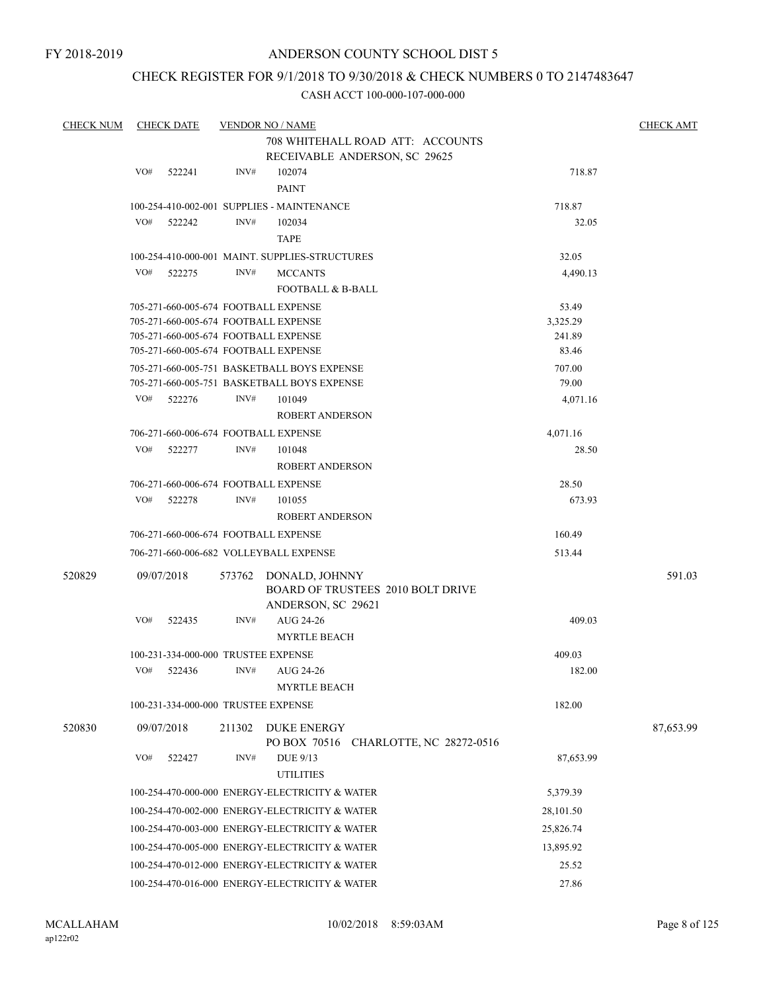# CHECK REGISTER FOR 9/1/2018 TO 9/30/2018 & CHECK NUMBERS 0 TO 2147483647

| <b>CHECK NUM</b> |     | <b>CHECK DATE</b>                   |        | <b>VENDOR NO / NAME</b>                        |           | <b>CHECK AMT</b> |
|------------------|-----|-------------------------------------|--------|------------------------------------------------|-----------|------------------|
|                  |     |                                     |        | 708 WHITEHALL ROAD ATT: ACCOUNTS               |           |                  |
|                  |     |                                     |        | RECEIVABLE ANDERSON, SC 29625                  |           |                  |
|                  | VO# | 522241                              | INV#   | 102074                                         | 718.87    |                  |
|                  |     |                                     |        | <b>PAINT</b>                                   |           |                  |
|                  |     |                                     |        | 100-254-410-002-001 SUPPLIES - MAINTENANCE     | 718.87    |                  |
|                  | VO# | 522242                              | INV#   | 102034                                         | 32.05     |                  |
|                  |     |                                     |        | TAPE                                           |           |                  |
|                  |     |                                     |        | 100-254-410-000-001 MAINT, SUPPLIES-STRUCTURES | 32.05     |                  |
|                  | VO# | 522275                              | INV#   | <b>MCCANTS</b>                                 | 4,490.13  |                  |
|                  |     |                                     |        | <b>FOOTBALL &amp; B-BALL</b>                   |           |                  |
|                  |     |                                     |        | 705-271-660-005-674 FOOTBALL EXPENSE           | 53.49     |                  |
|                  |     |                                     |        | 705-271-660-005-674 FOOTBALL EXPENSE           | 3,325.29  |                  |
|                  |     |                                     |        | 705-271-660-005-674 FOOTBALL EXPENSE           | 241.89    |                  |
|                  |     |                                     |        | 705-271-660-005-674 FOOTBALL EXPENSE           | 83.46     |                  |
|                  |     |                                     |        | 705-271-660-005-751 BASKETBALL BOYS EXPENSE    | 707.00    |                  |
|                  |     |                                     |        | 705-271-660-005-751 BASKETBALL BOYS EXPENSE    | 79.00     |                  |
|                  | VO# | 522276                              | INV#   | 101049                                         | 4,071.16  |                  |
|                  |     |                                     |        | <b>ROBERT ANDERSON</b>                         |           |                  |
|                  |     |                                     |        | 706-271-660-006-674 FOOTBALL EXPENSE           | 4,071.16  |                  |
|                  | VO# | 522277                              | INV#   | 101048                                         | 28.50     |                  |
|                  |     |                                     |        | <b>ROBERT ANDERSON</b>                         |           |                  |
|                  |     |                                     |        | 706-271-660-006-674 FOOTBALL EXPENSE           | 28.50     |                  |
|                  | VO# | 522278                              | INV#   | 101055                                         | 673.93    |                  |
|                  |     |                                     |        | <b>ROBERT ANDERSON</b>                         |           |                  |
|                  |     |                                     |        | 706-271-660-006-674 FOOTBALL EXPENSE           | 160.49    |                  |
|                  |     |                                     |        |                                                |           |                  |
|                  |     |                                     |        | 706-271-660-006-682 VOLLEYBALL EXPENSE         | 513.44    |                  |
| 520829           |     | 09/07/2018                          | 573762 | DONALD, JOHNNY                                 |           | 591.03           |
|                  |     |                                     |        | <b>BOARD OF TRUSTEES 2010 BOLT DRIVE</b>       |           |                  |
|                  |     |                                     |        | ANDERSON, SC 29621                             |           |                  |
|                  | VO# | 522435                              | INV#   | AUG 24-26                                      | 409.03    |                  |
|                  |     |                                     |        | <b>MYRTLE BEACH</b>                            |           |                  |
|                  |     | 100-231-334-000-000 TRUSTEE EXPENSE |        |                                                | 409.03    |                  |
|                  | VO# | 522436                              | INV#   | AUG 24-26                                      | 182.00    |                  |
|                  |     |                                     |        | <b>MYRTLE BEACH</b>                            |           |                  |
|                  |     | 100-231-334-000-000 TRUSTEE EXPENSE |        |                                                | 182.00    |                  |
| 520830           |     | 09/07/2018                          | 211302 | DUKE ENERGY                                    |           | 87,653.99        |
|                  |     |                                     |        | PO BOX 70516 CHARLOTTE, NC 28272-0516          |           |                  |
|                  | VO# | 522427                              | INV#   | DUE 9/13                                       | 87,653.99 |                  |
|                  |     |                                     |        | <b>UTILITIES</b>                               |           |                  |
|                  |     |                                     |        | 100-254-470-000-000 ENERGY-ELECTRICITY & WATER | 5,379.39  |                  |
|                  |     |                                     |        | 100-254-470-002-000 ENERGY-ELECTRICITY & WATER |           |                  |
|                  |     |                                     |        |                                                | 28,101.50 |                  |
|                  |     |                                     |        | 100-254-470-003-000 ENERGY-ELECTRICITY & WATER | 25,826.74 |                  |
|                  |     |                                     |        | 100-254-470-005-000 ENERGY-ELECTRICITY & WATER | 13,895.92 |                  |
|                  |     |                                     |        | 100-254-470-012-000 ENERGY-ELECTRICITY & WATER | 25.52     |                  |
|                  |     |                                     |        | 100-254-470-016-000 ENERGY-ELECTRICITY & WATER | 27.86     |                  |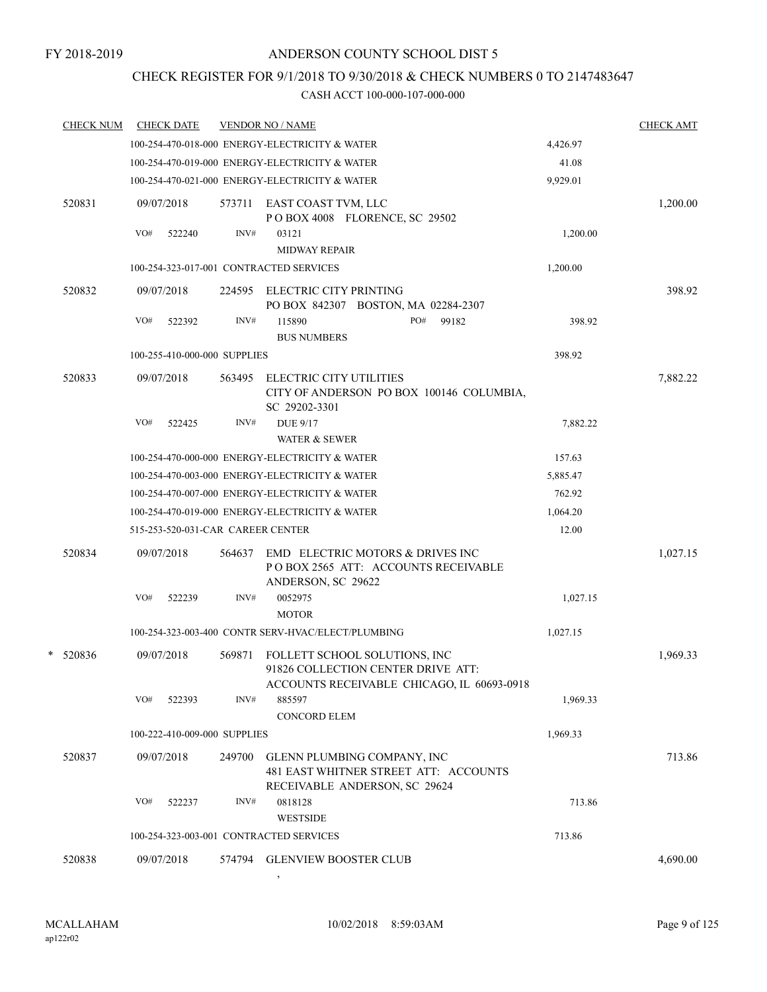# CHECK REGISTER FOR 9/1/2018 TO 9/30/2018 & CHECK NUMBERS 0 TO 2147483647

#### CASH ACCT 100-000-107-000-000

|  | <b>CHECK NUM</b> |     | <b>CHECK DATE</b>                 |        | <b>VENDOR NO / NAME</b>                                                                                           |          | <b>CHECK AMT</b> |
|--|------------------|-----|-----------------------------------|--------|-------------------------------------------------------------------------------------------------------------------|----------|------------------|
|  |                  |     |                                   |        | 100-254-470-018-000 ENERGY-ELECTRICITY & WATER                                                                    | 4,426.97 |                  |
|  |                  |     |                                   |        | 100-254-470-019-000 ENERGY-ELECTRICITY & WATER                                                                    | 41.08    |                  |
|  |                  |     |                                   |        | 100-254-470-021-000 ENERGY-ELECTRICITY & WATER                                                                    | 9,929.01 |                  |
|  | 520831           |     | 09/07/2018                        | 573711 | EAST COAST TVM, LLC<br>POBOX 4008 FLORENCE, SC 29502                                                              |          | 1,200.00         |
|  |                  | VO# | 522240                            | INV#   | 03121<br><b>MIDWAY REPAIR</b>                                                                                     | 1,200.00 |                  |
|  |                  |     |                                   |        | 100-254-323-017-001 CONTRACTED SERVICES                                                                           | 1,200.00 |                  |
|  | 520832           |     | 09/07/2018                        | 224595 | ELECTRIC CITY PRINTING<br>PO BOX 842307 BOSTON, MA 02284-2307                                                     |          | 398.92           |
|  |                  | VO# | 522392                            | INV#   | 99182<br>115890<br>PO#<br><b>BUS NUMBERS</b>                                                                      | 398.92   |                  |
|  |                  |     | 100-255-410-000-000 SUPPLIES      |        |                                                                                                                   | 398.92   |                  |
|  | 520833           |     | 09/07/2018                        | 563495 | ELECTRIC CITY UTILITIES<br>CITY OF ANDERSON PO BOX 100146 COLUMBIA,<br>SC 29202-3301                              |          | 7,882.22         |
|  |                  | VO# | 522425                            | INV#   | <b>DUE 9/17</b><br><b>WATER &amp; SEWER</b>                                                                       | 7,882.22 |                  |
|  |                  |     |                                   |        | 100-254-470-000-000 ENERGY-ELECTRICITY & WATER                                                                    | 157.63   |                  |
|  |                  |     |                                   |        | 100-254-470-003-000 ENERGY-ELECTRICITY & WATER                                                                    | 5,885.47 |                  |
|  |                  |     |                                   |        | 100-254-470-007-000 ENERGY-ELECTRICITY & WATER                                                                    | 762.92   |                  |
|  |                  |     |                                   |        | 100-254-470-019-000 ENERGY-ELECTRICITY & WATER                                                                    | 1,064.20 |                  |
|  |                  |     | 515-253-520-031-CAR CAREER CENTER |        |                                                                                                                   | 12.00    |                  |
|  | 520834           |     | 09/07/2018                        | 564637 | EMD ELECTRIC MOTORS & DRIVES INC<br>POBOX 2565 ATT: ACCOUNTS RECEIVABLE<br>ANDERSON, SC 29622                     |          | 1,027.15         |
|  |                  | VO# | 522239                            | INV#   | 0052975<br><b>MOTOR</b>                                                                                           | 1,027.15 |                  |
|  |                  |     |                                   |        | 100-254-323-003-400 CONTR SERV-HVAC/ELECT/PLUMBING                                                                | 1,027.15 |                  |
|  | $*$ 520836       |     | 09/07/2018                        | 569871 | FOLLETT SCHOOL SOLUTIONS, INC<br>91826 COLLECTION CENTER DRIVE ATT:<br>ACCOUNTS RECEIVABLE CHICAGO, IL 60693-0918 |          | 1,969.33         |
|  |                  | VO# | 522393                            | INV#   | 885597<br><b>CONCORD ELEM</b>                                                                                     | 1,969.33 |                  |
|  |                  |     | 100-222-410-009-000 SUPPLIES      |        |                                                                                                                   | 1,969.33 |                  |
|  | 520837           |     | 09/07/2018                        | 249700 | GLENN PLUMBING COMPANY, INC<br>481 EAST WHITNER STREET ATT: ACCOUNTS                                              |          | 713.86           |
|  |                  | VO# | 522237                            | INV#   | RECEIVABLE ANDERSON, SC 29624<br>0818128<br><b>WESTSIDE</b>                                                       | 713.86   |                  |
|  |                  |     |                                   |        | 100-254-323-003-001 CONTRACTED SERVICES                                                                           | 713.86   |                  |
|  | 520838           |     | 09/07/2018                        | 574794 | <b>GLENVIEW BOOSTER CLUB</b>                                                                                      |          | 4,690.00         |

,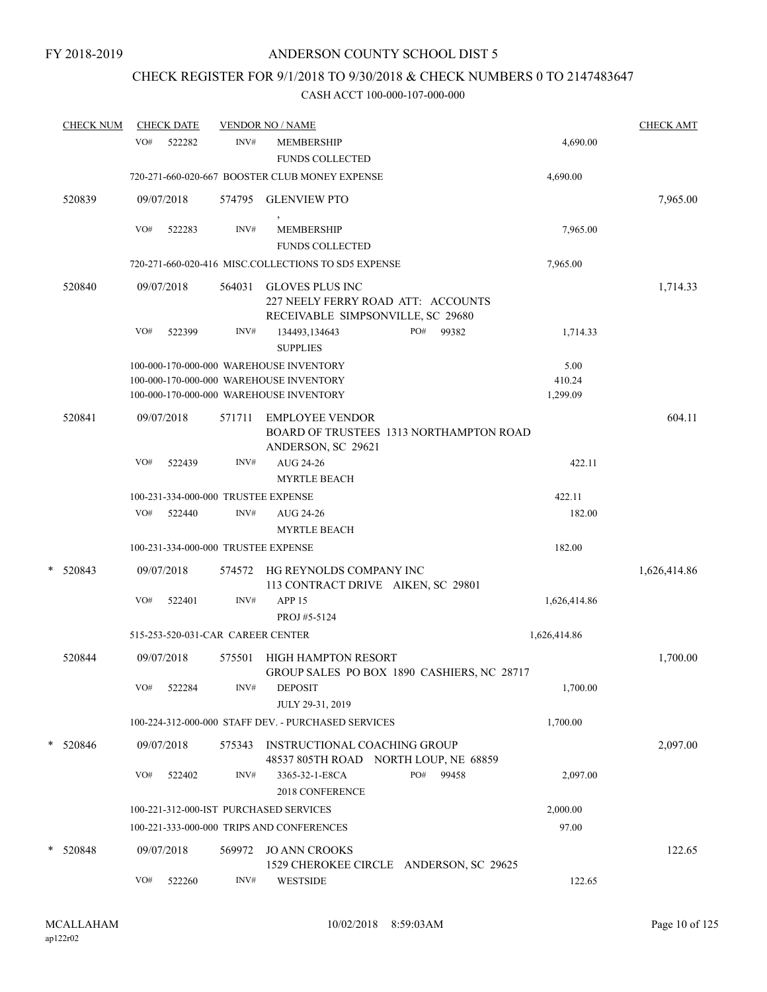# CHECK REGISTER FOR 9/1/2018 TO 9/30/2018 & CHECK NUMBERS 0 TO 2147483647

| <b>CHECK NUM</b> |     | <b>CHECK DATE</b> |        | <b>VENDOR NO / NAME</b>                                                                                                       |     |       |                            | <b>CHECK AMT</b> |
|------------------|-----|-------------------|--------|-------------------------------------------------------------------------------------------------------------------------------|-----|-------|----------------------------|------------------|
|                  | VO# | 522282            | INV#   | <b>MEMBERSHIP</b><br><b>FUNDS COLLECTED</b>                                                                                   |     |       | 4,690.00                   |                  |
|                  |     |                   |        | 720-271-660-020-667 BOOSTER CLUB MONEY EXPENSE                                                                                |     |       | 4,690.00                   |                  |
| 520839           |     | 09/07/2018        | 574795 | <b>GLENVIEW PTO</b>                                                                                                           |     |       |                            | 7,965.00         |
|                  | VO# | 522283            | INV#   | MEMBERSHIP<br><b>FUNDS COLLECTED</b>                                                                                          |     |       | 7,965.00                   |                  |
|                  |     |                   |        | 720-271-660-020-416 MISC.COLLECTIONS TO SD5 EXPENSE                                                                           |     |       | 7,965.00                   |                  |
| 520840           |     | 09/07/2018        | 564031 | <b>GLOVES PLUS INC</b><br>227 NEELY FERRY ROAD ATT: ACCOUNTS<br>RECEIVABLE SIMPSONVILLE, SC 29680                             |     |       |                            | 1,714.33         |
|                  | VO# | 522399            | INV#   | 134493,134643<br><b>SUPPLIES</b>                                                                                              | PO# | 99382 | 1,714.33                   |                  |
|                  |     |                   |        | 100-000-170-000-000 WAREHOUSE INVENTORY<br>100-000-170-000-000 WAREHOUSE INVENTORY<br>100-000-170-000-000 WAREHOUSE INVENTORY |     |       | 5.00<br>410.24<br>1,299.09 |                  |
| 520841           |     | 09/07/2018        | 571711 | <b>EMPLOYEE VENDOR</b><br>BOARD OF TRUSTEES 1313 NORTHAMPTON ROAD<br>ANDERSON, SC 29621                                       |     |       |                            | 604.11           |
|                  | VO# | 522439            | INV#   | AUG 24-26<br><b>MYRTLE BEACH</b>                                                                                              |     |       | 422.11                     |                  |
|                  |     |                   |        | 100-231-334-000-000 TRUSTEE EXPENSE                                                                                           |     |       | 422.11                     |                  |
|                  | VO# | 522440            | INV#   | AUG 24-26<br><b>MYRTLE BEACH</b>                                                                                              |     |       | 182.00                     |                  |
|                  |     |                   |        | 100-231-334-000-000 TRUSTEE EXPENSE                                                                                           |     |       | 182.00                     |                  |
| *<br>520843      |     | 09/07/2018        | 574572 | HG REYNOLDS COMPANY INC<br>113 CONTRACT DRIVE AIKEN, SC 29801                                                                 |     |       |                            | 1,626,414.86     |
|                  | VO# | 522401            | INV#   | APP <sub>15</sub><br>PROJ #5-5124                                                                                             |     |       | 1,626,414.86               |                  |
|                  |     |                   |        | 515-253-520-031-CAR CAREER CENTER                                                                                             |     |       | 1,626,414.86               |                  |
| 520844           |     | 09/07/2018        | 575501 | <b>HIGH HAMPTON RESORT</b><br>GROUP SALES PO BOX 1890 CASHIERS, NC 28717                                                      |     |       |                            | 1,700.00         |
|                  | VO# | 522284            | INV#   | <b>DEPOSIT</b><br>JULY 29-31, 2019                                                                                            |     |       | 1,700.00                   |                  |
|                  |     |                   |        | 100-224-312-000-000 STAFF DEV. - PURCHASED SERVICES                                                                           |     |       | 1,700.00                   |                  |
| * 520846         |     | 09/07/2018        | 575343 | INSTRUCTIONAL COACHING GROUP<br>48537 805TH ROAD NORTH LOUP, NE 68859                                                         |     |       |                            | 2,097.00         |
|                  | VO# | 522402            | INV#   | 3365-32-1-E8CA<br>2018 CONFERENCE                                                                                             | PO# | 99458 | 2,097.00                   |                  |
|                  |     |                   |        | 100-221-312-000-IST PURCHASED SERVICES                                                                                        |     |       | 2,000.00                   |                  |
|                  |     |                   |        | 100-221-333-000-000 TRIPS AND CONFERENCES                                                                                     |     |       | 97.00                      |                  |
| * 520848         |     | 09/07/2018        | 569972 | <b>JO ANN CROOKS</b><br>1529 CHEROKEE CIRCLE ANDERSON, SC 29625                                                               |     |       |                            | 122.65           |
|                  | VO# | 522260            | INV#   | <b>WESTSIDE</b>                                                                                                               |     |       | 122.65                     |                  |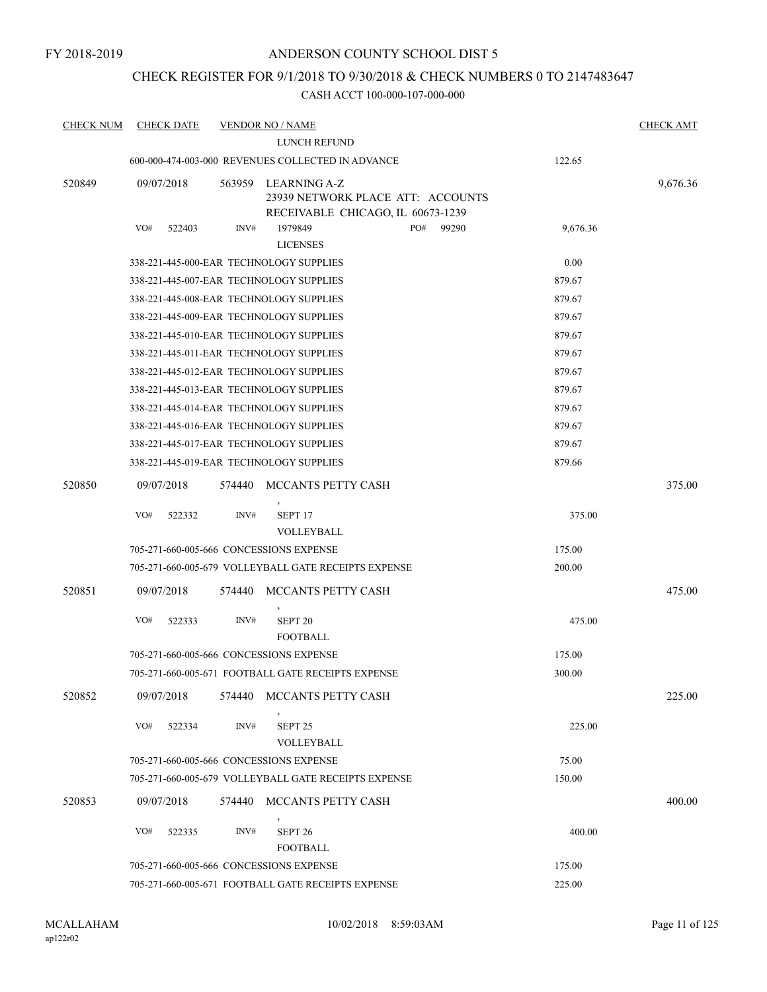# CHECK REGISTER FOR 9/1/2018 TO 9/30/2018 & CHECK NUMBERS 0 TO 2147483647

| <b>CHECK NUM</b> | <b>CHECK DATE</b> |        | <b>VENDOR NO / NAME</b>                              |                                                                        |          | <b>CHECK AMT</b> |
|------------------|-------------------|--------|------------------------------------------------------|------------------------------------------------------------------------|----------|------------------|
|                  |                   |        | <b>LUNCH REFUND</b>                                  |                                                                        |          |                  |
|                  |                   |        | 600-000-474-003-000 REVENUES COLLECTED IN ADVANCE    |                                                                        | 122.65   |                  |
| 520849           | 09/07/2018        | 563959 | LEARNING A-Z                                         | 23939 NETWORK PLACE ATT: ACCOUNTS<br>RECEIVABLE CHICAGO, IL 60673-1239 |          | 9,676.36         |
|                  | VO#<br>522403     | INV#   | 1979849<br><b>LICENSES</b>                           | PO#<br>99290                                                           | 9,676.36 |                  |
|                  |                   |        | 338-221-445-000-EAR TECHNOLOGY SUPPLIES              |                                                                        | 0.00     |                  |
|                  |                   |        | 338-221-445-007-EAR TECHNOLOGY SUPPLIES              |                                                                        | 879.67   |                  |
|                  |                   |        | 338-221-445-008-EAR TECHNOLOGY SUPPLIES              |                                                                        | 879.67   |                  |
|                  |                   |        | 338-221-445-009-EAR TECHNOLOGY SUPPLIES              |                                                                        | 879.67   |                  |
|                  |                   |        | 338-221-445-010-EAR TECHNOLOGY SUPPLIES              |                                                                        | 879.67   |                  |
|                  |                   |        | 338-221-445-011-EAR TECHNOLOGY SUPPLIES              |                                                                        | 879.67   |                  |
|                  |                   |        | 338-221-445-012-EAR TECHNOLOGY SUPPLIES              |                                                                        | 879.67   |                  |
|                  |                   |        | 338-221-445-013-EAR TECHNOLOGY SUPPLIES              |                                                                        | 879.67   |                  |
|                  |                   |        | 338-221-445-014-EAR TECHNOLOGY SUPPLIES              |                                                                        | 879.67   |                  |
|                  |                   |        | 338-221-445-016-EAR TECHNOLOGY SUPPLIES              |                                                                        | 879.67   |                  |
|                  |                   |        | 338-221-445-017-EAR TECHNOLOGY SUPPLIES              |                                                                        | 879.67   |                  |
|                  |                   |        | 338-221-445-019-EAR TECHNOLOGY SUPPLIES              |                                                                        | 879.66   |                  |
| 520850           | 09/07/2018        | 574440 | MCCANTS PETTY CASH                                   |                                                                        |          | 375.00           |
|                  | VO#<br>522332     | INV#   | SEPT <sub>17</sub><br>VOLLEYBALL                     |                                                                        | 375.00   |                  |
|                  |                   |        | 705-271-660-005-666 CONCESSIONS EXPENSE              |                                                                        | 175.00   |                  |
|                  |                   |        | 705-271-660-005-679 VOLLEYBALL GATE RECEIPTS EXPENSE |                                                                        | 200.00   |                  |
| 520851           | 09/07/2018        | 574440 | MCCANTS PETTY CASH                                   |                                                                        |          | 475.00           |
|                  | VO#<br>522333     | INV#   | SEPT <sub>20</sub><br><b>FOOTBALL</b>                |                                                                        | 475.00   |                  |
|                  |                   |        | 705-271-660-005-666 CONCESSIONS EXPENSE              |                                                                        | 175.00   |                  |
|                  |                   |        | 705-271-660-005-671 FOOTBALL GATE RECEIPTS EXPENSE   |                                                                        | 300.00   |                  |
| 520852           | 09/07/2018        | 574440 | MCCANTS PETTY CASH                                   |                                                                        |          | 225.00           |
|                  | VO#<br>522334     | INV#   | SEPT <sub>25</sub><br>VOLLEYBALL                     |                                                                        | 225.00   |                  |
|                  |                   |        | 705-271-660-005-666 CONCESSIONS EXPENSE              |                                                                        | 75.00    |                  |
|                  |                   |        | 705-271-660-005-679 VOLLEYBALL GATE RECEIPTS EXPENSE |                                                                        | 150.00   |                  |
| 520853           | 09/07/2018        | 574440 | MCCANTS PETTY CASH                                   |                                                                        |          | 400.00           |
|                  | VO#<br>522335     | INV#   | SEPT <sub>26</sub><br><b>FOOTBALL</b>                |                                                                        | 400.00   |                  |
|                  |                   |        | 705-271-660-005-666 CONCESSIONS EXPENSE              |                                                                        | 175.00   |                  |
|                  |                   |        | 705-271-660-005-671 FOOTBALL GATE RECEIPTS EXPENSE   |                                                                        | 225.00   |                  |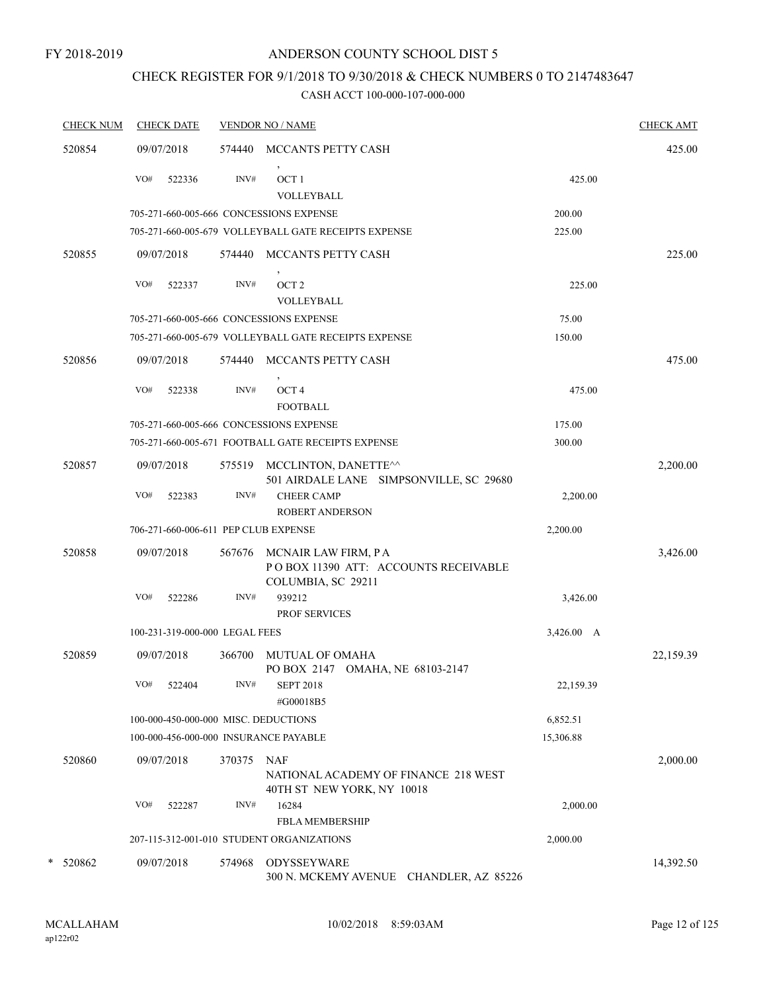#### FY 2018-2019

# ANDERSON COUNTY SCHOOL DIST 5

# CHECK REGISTER FOR 9/1/2018 TO 9/30/2018 & CHECK NUMBERS 0 TO 2147483647

| <b>CHECK NUM</b> | <b>CHECK DATE</b>                       |        | <b>VENDOR NO / NAME</b>                                                           |            | <b>CHECK AMT</b> |
|------------------|-----------------------------------------|--------|-----------------------------------------------------------------------------------|------------|------------------|
| 520854           | 09/07/2018                              | 574440 | MCCANTS PETTY CASH                                                                |            | 425.00           |
|                  | VO#<br>522336                           | INV#   | $\,$<br>OCT <sub>1</sub><br><b>VOLLEYBALL</b>                                     | 425.00     |                  |
|                  | 705-271-660-005-666 CONCESSIONS EXPENSE |        |                                                                                   | 200.00     |                  |
|                  |                                         |        | 705-271-660-005-679 VOLLEYBALL GATE RECEIPTS EXPENSE                              | 225.00     |                  |
| 520855           | 09/07/2018                              | 574440 | MCCANTS PETTY CASH                                                                |            | 225.00           |
|                  | VO#<br>522337                           | INV#   | $\,$<br>OCT <sub>2</sub><br>VOLLEYBALL                                            | 225.00     |                  |
|                  | 705-271-660-005-666 CONCESSIONS EXPENSE |        |                                                                                   | 75.00      |                  |
|                  |                                         |        | 705-271-660-005-679 VOLLEYBALL GATE RECEIPTS EXPENSE                              | 150.00     |                  |
| 520856           | 09/07/2018                              | 574440 | MCCANTS PETTY CASH<br>$\,$                                                        |            | 475.00           |
|                  | VO#<br>522338                           | INV#   | OCT <sub>4</sub><br><b>FOOTBALL</b>                                               | 475.00     |                  |
|                  | 705-271-660-005-666 CONCESSIONS EXPENSE |        |                                                                                   | 175.00     |                  |
|                  |                                         |        | 705-271-660-005-671 FOOTBALL GATE RECEIPTS EXPENSE                                | 300.00     |                  |
| 520857           | 09/07/2018                              | 575519 | MCCLINTON, DANETTE^^<br>501 AIRDALE LANE SIMPSONVILLE, SC 29680                   |            | 2,200.00         |
|                  | VO#<br>522383                           | INV#   | <b>CHEER CAMP</b><br><b>ROBERT ANDERSON</b>                                       | 2,200.00   |                  |
|                  | 706-271-660-006-611 PEP CLUB EXPENSE    |        |                                                                                   | 2,200.00   |                  |
| 520858           | 09/07/2018                              | 567676 | MCNAIR LAW FIRM, PA<br>POBOX 11390 ATT: ACCOUNTS RECEIVABLE<br>COLUMBIA, SC 29211 |            | 3,426.00         |
|                  | VO#<br>522286                           | INV#   | 939212                                                                            | 3,426.00   |                  |
|                  |                                         |        | <b>PROF SERVICES</b>                                                              |            |                  |
|                  | 100-231-319-000-000 LEGAL FEES          |        |                                                                                   | 3,426.00 A |                  |
| 520859           | 09/07/2018                              | 366700 | <b>MUTUAL OF OMAHA</b><br>PO BOX 2147 OMAHA, NE 68103-2147                        |            | 22,159.39        |
|                  | VO#<br>522404                           | INV#   | <b>SEPT 2018</b><br>#G00018B5                                                     | 22,159.39  |                  |
|                  | 100-000-450-000-000 MISC. DEDUCTIONS    |        |                                                                                   | 6,852.51   |                  |
|                  | 100-000-456-000-000 INSURANCE PAYABLE   |        |                                                                                   | 15,306.88  |                  |
| 520860           | 09/07/2018                              | 370375 | NAF<br>NATIONAL ACADEMY OF FINANCE 218 WEST<br>40TH ST NEW YORK, NY 10018         |            | 2,000.00         |
|                  | VO#<br>522287                           | INV#   | 16284<br><b>FBLA MEMBERSHIP</b>                                                   | 2,000.00   |                  |
|                  |                                         |        | 207-115-312-001-010 STUDENT ORGANIZATIONS                                         | 2,000.00   |                  |
| * 520862         | 09/07/2018                              | 574968 | <b>ODYSSEYWARE</b><br>300 N. MCKEMY AVENUE CHANDLER, AZ 85226                     |            | 14,392.50        |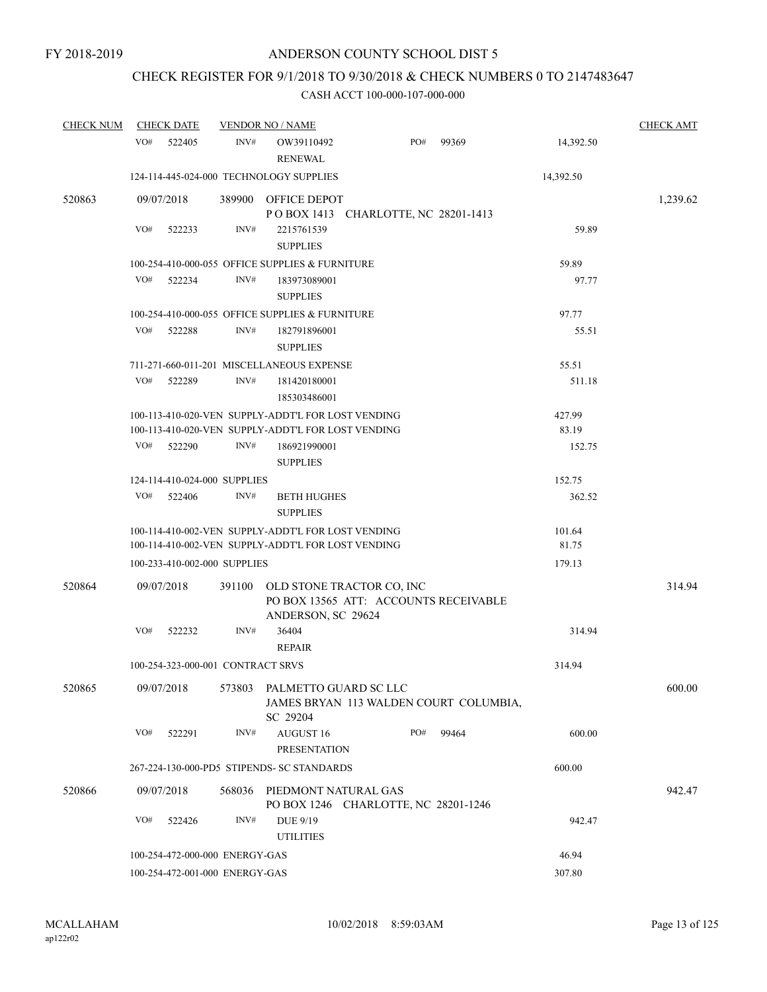# CHECK REGISTER FOR 9/1/2018 TO 9/30/2018 & CHECK NUMBERS 0 TO 2147483647

| <b>CHECK NUM</b> | <b>CHECK DATE</b>                       |        | <b>VENDOR NO / NAME</b>                                                                                  |        |       |                 | <b>CHECK AMT</b> |
|------------------|-----------------------------------------|--------|----------------------------------------------------------------------------------------------------------|--------|-------|-----------------|------------------|
|                  | VO#<br>522405                           | INV#   | OW39110492<br><b>RENEWAL</b>                                                                             | PO#    | 99369 | 14,392.50       |                  |
|                  | 124-114-445-024-000 TECHNOLOGY SUPPLIES |        |                                                                                                          |        |       | 14,392.50       |                  |
| 520863           | 09/07/2018                              |        | 389900 OFFICE DEPOT<br>POBOX 1413 CHARLOTTE, NC 28201-1413                                               |        |       |                 | 1,239.62         |
|                  | VO#<br>522233                           | INV#   | 2215761539<br><b>SUPPLIES</b>                                                                            |        |       | 59.89           |                  |
|                  |                                         |        | 100-254-410-000-055 OFFICE SUPPLIES & FURNITURE                                                          |        |       | 59.89           |                  |
|                  | VO#<br>522234                           | INV#   | 183973089001<br><b>SUPPLIES</b>                                                                          |        |       | 97.77           |                  |
|                  |                                         |        | 100-254-410-000-055 OFFICE SUPPLIES & FURNITURE                                                          |        |       | 97.77           |                  |
|                  | VO#<br>522288                           | INV#   | 182791896001<br><b>SUPPLIES</b>                                                                          |        |       | 55.51           |                  |
|                  |                                         |        | 711-271-660-011-201 MISCELLANEOUS EXPENSE                                                                |        |       | 55.51           |                  |
|                  | VO#<br>522289                           | INV#   | 181420180001<br>185303486001                                                                             |        |       | 511.18          |                  |
|                  |                                         |        | 100-113-410-020-VEN SUPPLY-ADDT'L FOR LOST VENDING                                                       |        |       | 427.99          |                  |
|                  |                                         |        | 100-113-410-020-VEN SUPPLY-ADDT'L FOR LOST VENDING                                                       |        |       | 83.19           |                  |
|                  | VO#<br>522290                           | INV#   | 186921990001<br><b>SUPPLIES</b>                                                                          |        |       | 152.75          |                  |
|                  | 124-114-410-024-000 SUPPLIES            |        |                                                                                                          |        |       | 152.75          |                  |
|                  | VO#<br>522406                           | INV#   | <b>BETH HUGHES</b><br><b>SUPPLIES</b>                                                                    |        |       | 362.52          |                  |
|                  |                                         |        | 100-114-410-002-VEN SUPPLY-ADDT'L FOR LOST VENDING<br>100-114-410-002-VEN SUPPLY-ADDT'L FOR LOST VENDING |        |       | 101.64<br>81.75 |                  |
|                  | 100-233-410-002-000 SUPPLIES            |        |                                                                                                          |        |       | 179.13          |                  |
| 520864           | 09/07/2018                              | 391100 | OLD STONE TRACTOR CO, INC<br>PO BOX 13565 ATT: ACCOUNTS RECEIVABLE<br>ANDERSON, SC 29624                 |        |       |                 | 314.94           |
|                  | VO#<br>522232                           | INV#   | 36404<br><b>REPAIR</b>                                                                                   |        |       | 314.94          |                  |
|                  | 100-254-323-000-001 CONTRACT SRVS       |        |                                                                                                          |        |       | 314.94          |                  |
| 520865           | 09/07/2018                              | 573803 | PALMETTO GUARD SC LLC<br>JAMES BRYAN 113 WALDEN COURT COLUMBIA,<br>SC 29204                              |        |       |                 | 600.00           |
|                  | VO#<br>522291                           | INV#   | AUGUST 16<br><b>PRESENTATION</b>                                                                         | PO#    | 99464 | 600.00          |                  |
|                  |                                         |        | 267-224-130-000-PD5 STIPENDS- SC STANDARDS                                                               |        |       | 600.00          |                  |
| 520866           | 09/07/2018                              | 568036 | PIEDMONT NATURAL GAS<br>PO BOX 1246 CHARLOTTE, NC 28201-1246                                             |        |       |                 | 942.47           |
|                  | VO#<br>522426                           | INV#   | DUE 9/19<br><b>UTILITIES</b>                                                                             |        |       | 942.47          |                  |
|                  | 100-254-472-000-000 ENERGY-GAS          |        |                                                                                                          |        |       | 46.94           |                  |
|                  | 100-254-472-001-000 ENERGY-GAS          |        |                                                                                                          | 307.80 |       |                 |                  |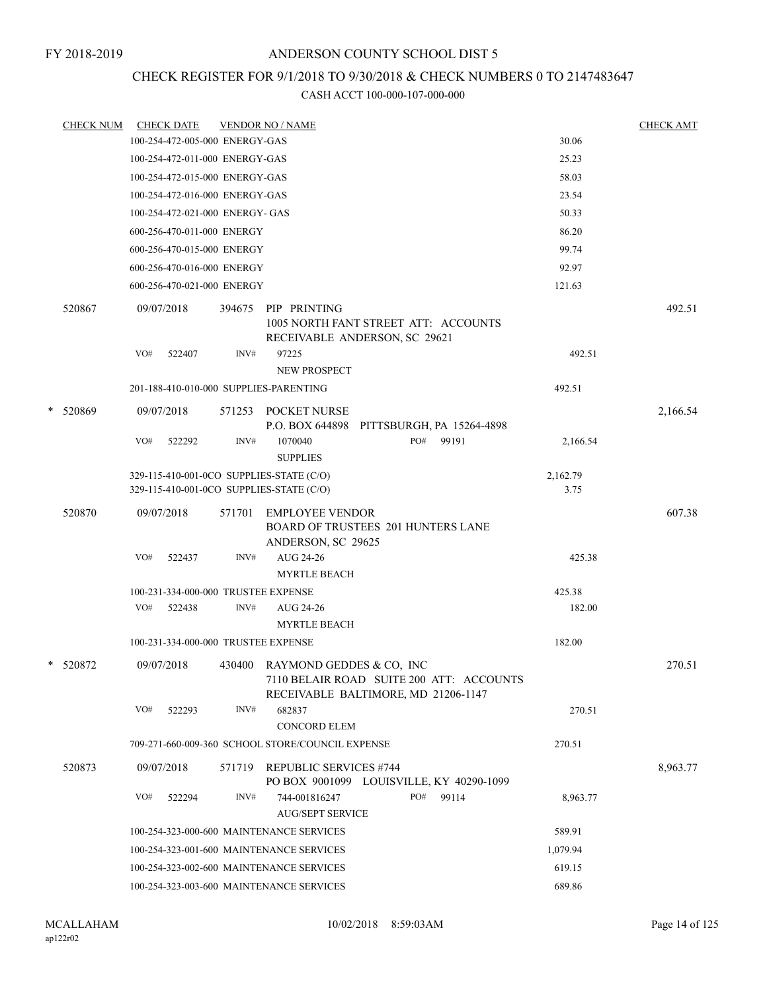# CHECK REGISTER FOR 9/1/2018 TO 9/30/2018 & CHECK NUMBERS 0 TO 2147483647

|   | <b>CHECK NUM</b> |     | <b>CHECK DATE</b>                   |        | <b>VENDOR NO / NAME</b>                                                                                     |                  | <b>CHECK AMT</b> |
|---|------------------|-----|-------------------------------------|--------|-------------------------------------------------------------------------------------------------------------|------------------|------------------|
|   |                  |     | 100-254-472-005-000 ENERGY-GAS      |        |                                                                                                             | 30.06            |                  |
|   |                  |     | 100-254-472-011-000 ENERGY-GAS      |        |                                                                                                             | 25.23            |                  |
|   |                  |     | 100-254-472-015-000 ENERGY-GAS      |        |                                                                                                             | 58.03            |                  |
|   |                  |     | 100-254-472-016-000 ENERGY-GAS      |        |                                                                                                             | 23.54            |                  |
|   |                  |     | 100-254-472-021-000 ENERGY- GAS     |        |                                                                                                             | 50.33            |                  |
|   |                  |     | 600-256-470-011-000 ENERGY          |        |                                                                                                             | 86.20            |                  |
|   |                  |     | 600-256-470-015-000 ENERGY          |        |                                                                                                             | 99.74            |                  |
|   |                  |     | 600-256-470-016-000 ENERGY          |        |                                                                                                             | 92.97            |                  |
|   |                  |     | 600-256-470-021-000 ENERGY          |        |                                                                                                             | 121.63           |                  |
|   | 520867           |     | 09/07/2018                          | 394675 | PIP PRINTING<br>1005 NORTH FANT STREET ATT: ACCOUNTS<br>RECEIVABLE ANDERSON, SC 29621                       |                  | 492.51           |
|   |                  | VO# | 522407                              | INV#   | 97225<br><b>NEW PROSPECT</b>                                                                                | 492.51           |                  |
|   |                  |     |                                     |        | 201-188-410-010-000 SUPPLIES-PARENTING                                                                      | 492.51           |                  |
| * | 520869           |     | 09/07/2018                          |        | 571253 POCKET NURSE<br>P.O. BOX 644898 PITTSBURGH, PA 15264-4898                                            |                  | 2,166.54         |
|   |                  | VO# | 522292                              | INV#   | PO#<br>99191<br>1070040<br><b>SUPPLIES</b>                                                                  | 2,166.54         |                  |
|   |                  |     |                                     |        | 329-115-410-001-0CO SUPPLIES-STATE (C/O)<br>329-115-410-001-0CO SUPPLIES-STATE (C/O)                        | 2,162.79<br>3.75 |                  |
|   | 520870           |     | 09/07/2018                          | 571701 | <b>EMPLOYEE VENDOR</b><br><b>BOARD OF TRUSTEES 201 HUNTERS LANE</b><br>ANDERSON, SC 29625                   |                  | 607.38           |
|   |                  | VO# | 522437                              | INV#   | AUG 24-26<br><b>MYRTLE BEACH</b>                                                                            | 425.38           |                  |
|   |                  |     | 100-231-334-000-000 TRUSTEE EXPENSE |        |                                                                                                             | 425.38           |                  |
|   |                  | VO# | 522438                              | INV#   | AUG 24-26<br><b>MYRTLE BEACH</b>                                                                            | 182.00           |                  |
|   |                  |     | 100-231-334-000-000 TRUSTEE EXPENSE |        |                                                                                                             | 182.00           |                  |
|   | * 520872         |     | 09/07/2018                          | 430400 | RAYMOND GEDDES & CO, INC<br>7110 BELAIR ROAD SUITE 200 ATT: ACCOUNTS<br>RECEIVABLE BALTIMORE, MD 21206-1147 |                  | 270.51           |
|   |                  | VO# | 522293                              | INV#   | 682837<br><b>CONCORD ELEM</b>                                                                               | 270.51           |                  |
|   |                  |     |                                     |        | 709-271-660-009-360 SCHOOL STORE/COUNCIL EXPENSE                                                            | 270.51           |                  |
|   | 520873           |     | 09/07/2018                          | 571719 | <b>REPUBLIC SERVICES #744</b><br>PO BOX 9001099 LOUISVILLE, KY 40290-1099                                   |                  | 8,963.77         |
|   |                  | VO# | 522294                              | INV#   | PO#<br>99114<br>744-001816247<br><b>AUG/SEPT SERVICE</b>                                                    | 8,963.77         |                  |
|   |                  |     |                                     |        | 100-254-323-000-600 MAINTENANCE SERVICES                                                                    | 589.91           |                  |
|   |                  |     |                                     |        | 100-254-323-001-600 MAINTENANCE SERVICES                                                                    | 1,079.94         |                  |
|   |                  |     |                                     |        | 100-254-323-002-600 MAINTENANCE SERVICES                                                                    | 619.15           |                  |
|   |                  |     |                                     |        | 100-254-323-003-600 MAINTENANCE SERVICES                                                                    | 689.86           |                  |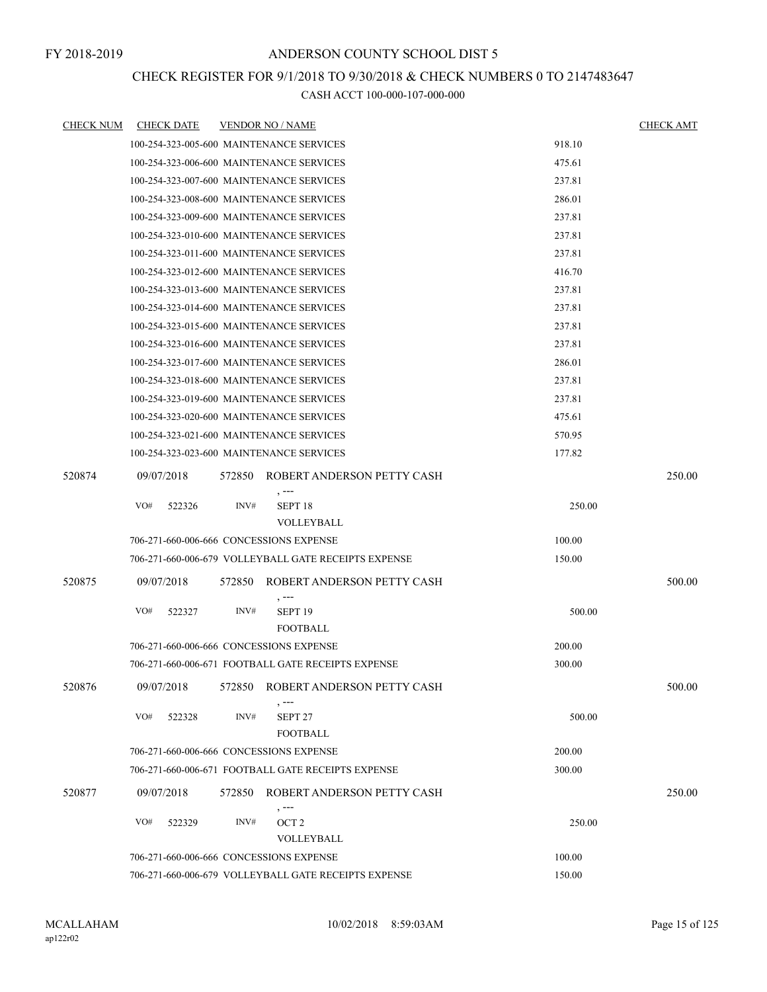### CHECK REGISTER FOR 9/1/2018 TO 9/30/2018 & CHECK NUMBERS 0 TO 2147483647

| <b>CHECK NUM</b> | <b>CHECK DATE</b> | <b>VENDOR NO / NAME</b>                              | <b>CHECK AMT</b> |
|------------------|-------------------|------------------------------------------------------|------------------|
|                  |                   | 100-254-323-005-600 MAINTENANCE SERVICES             | 918.10           |
|                  |                   | 100-254-323-006-600 MAINTENANCE SERVICES             | 475.61           |
|                  |                   | 100-254-323-007-600 MAINTENANCE SERVICES             | 237.81           |
|                  |                   | 100-254-323-008-600 MAINTENANCE SERVICES             | 286.01           |
|                  |                   | 100-254-323-009-600 MAINTENANCE SERVICES             | 237.81           |
|                  |                   | 100-254-323-010-600 MAINTENANCE SERVICES             | 237.81           |
|                  |                   | 100-254-323-011-600 MAINTENANCE SERVICES             | 237.81           |
|                  |                   | 100-254-323-012-600 MAINTENANCE SERVICES             | 416.70           |
|                  |                   | 100-254-323-013-600 MAINTENANCE SERVICES             | 237.81           |
|                  |                   | 100-254-323-014-600 MAINTENANCE SERVICES             | 237.81           |
|                  |                   | 100-254-323-015-600 MAINTENANCE SERVICES             | 237.81           |
|                  |                   | 100-254-323-016-600 MAINTENANCE SERVICES             | 237.81           |
|                  |                   | 100-254-323-017-600 MAINTENANCE SERVICES             | 286.01           |
|                  |                   | 100-254-323-018-600 MAINTENANCE SERVICES             | 237.81           |
|                  |                   | 100-254-323-019-600 MAINTENANCE SERVICES             | 237.81           |
|                  |                   | 100-254-323-020-600 MAINTENANCE SERVICES             | 475.61           |
|                  |                   | 100-254-323-021-600 MAINTENANCE SERVICES             | 570.95           |
|                  |                   | 100-254-323-023-600 MAINTENANCE SERVICES             | 177.82           |
| 520874           | 09/07/2018        | 572850 ROBERT ANDERSON PETTY CASH                    | 250.00           |
|                  | VO#<br>522326     | $, --$<br>INV#<br>SEPT <sub>18</sub>                 | 250.00           |
|                  |                   | VOLLEYBALL                                           |                  |
|                  |                   | 706-271-660-006-666 CONCESSIONS EXPENSE              | 100.00           |
|                  |                   | 706-271-660-006-679 VOLLEYBALL GATE RECEIPTS EXPENSE | 150.00           |
| 520875           | 09/07/2018        | ROBERT ANDERSON PETTY CASH<br>572850<br>$, -- -$     | 500.00           |
|                  | VO#<br>522327     | INV#<br>SEPT <sub>19</sub>                           | 500.00           |
|                  |                   | <b>FOOTBALL</b>                                      |                  |
|                  |                   | 706-271-660-006-666 CONCESSIONS EXPENSE              | 200.00           |
|                  |                   | 706-271-660-006-671 FOOTBALL GATE RECEIPTS EXPENSE   | 300.00           |
| 520876           | 09/07/2018        | 572850 ROBERT ANDERSON PETTY CASH                    | 500.00           |
|                  | VO#<br>522328     | INV#<br>SEPT <sub>27</sub><br><b>FOOTBALL</b>        | 500.00           |
|                  |                   | 706-271-660-006-666 CONCESSIONS EXPENSE              | 200.00           |
|                  |                   | 706-271-660-006-671 FOOTBALL GATE RECEIPTS EXPENSE   | 300.00           |
| 520877           | 09/07/2018        | 572850<br>ROBERT ANDERSON PETTY CASH                 | 250.00           |
|                  | VO#<br>522329     | $, --$<br>INV#<br>OCT <sub>2</sub>                   | 250.00           |
|                  |                   | VOLLEYBALL                                           |                  |
|                  |                   | 706-271-660-006-666 CONCESSIONS EXPENSE              | 100.00           |
|                  |                   | 706-271-660-006-679 VOLLEYBALL GATE RECEIPTS EXPENSE | 150.00           |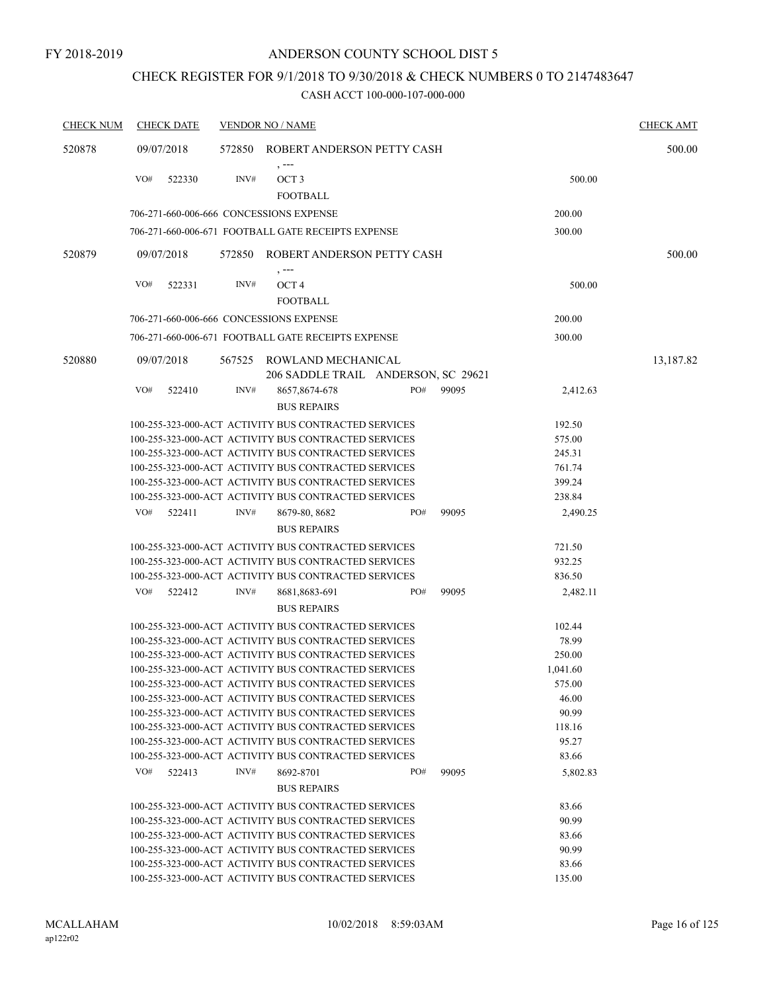# CHECK REGISTER FOR 9/1/2018 TO 9/30/2018 & CHECK NUMBERS 0 TO 2147483647

| <b>CHECK NUM</b> | <b>CHECK DATE</b>                       |        | <b>VENDOR NO / NAME</b>                                   |     |       |          | <b>CHECK AMT</b> |
|------------------|-----------------------------------------|--------|-----------------------------------------------------------|-----|-------|----------|------------------|
| 520878           | 09/07/2018                              |        | 572850 ROBERT ANDERSON PETTY CASH                         |     |       |          | 500.00           |
|                  | VO#<br>522330                           | INV#   | $, -- -$<br>OCT <sub>3</sub><br><b>FOOTBALL</b>           |     |       | 500.00   |                  |
|                  | 706-271-660-006-666 CONCESSIONS EXPENSE |        |                                                           |     |       | 200.00   |                  |
|                  |                                         |        | 706-271-660-006-671 FOOTBALL GATE RECEIPTS EXPENSE        |     |       | 300.00   |                  |
|                  |                                         |        |                                                           |     |       |          |                  |
| 520879           | 09/07/2018                              |        | 572850 ROBERT ANDERSON PETTY CASH                         |     |       |          | 500.00           |
|                  | VO#<br>522331                           | INV#   | , ---<br>OCT <sub>4</sub><br><b>FOOTBALL</b>              |     |       | 500.00   |                  |
|                  | 706-271-660-006-666 CONCESSIONS EXPENSE |        |                                                           |     |       | 200.00   |                  |
|                  |                                         |        |                                                           |     |       |          |                  |
|                  |                                         |        | 706-271-660-006-671 FOOTBALL GATE RECEIPTS EXPENSE        |     |       | 300.00   |                  |
| 520880           | 09/07/2018                              | 567525 | ROWLAND MECHANICAL<br>206 SADDLE TRAIL ANDERSON, SC 29621 |     |       |          | 13,187.82        |
|                  | VO#<br>522410                           | INV#   | 8657,8674-678<br><b>BUS REPAIRS</b>                       | PO# | 99095 | 2,412.63 |                  |
|                  |                                         |        | 100-255-323-000-ACT ACTIVITY BUS CONTRACTED SERVICES      |     |       | 192.50   |                  |
|                  |                                         |        | 100-255-323-000-ACT ACTIVITY BUS CONTRACTED SERVICES      |     |       | 575.00   |                  |
|                  |                                         |        | 100-255-323-000-ACT ACTIVITY BUS CONTRACTED SERVICES      |     |       | 245.31   |                  |
|                  |                                         |        | 100-255-323-000-ACT ACTIVITY BUS CONTRACTED SERVICES      |     |       | 761.74   |                  |
|                  |                                         |        | 100-255-323-000-ACT ACTIVITY BUS CONTRACTED SERVICES      |     |       | 399.24   |                  |
|                  |                                         |        | 100-255-323-000-ACT ACTIVITY BUS CONTRACTED SERVICES      |     |       | 238.84   |                  |
|                  | VO#<br>522411                           | INV#   | 8679-80, 8682                                             | PO# | 99095 | 2,490.25 |                  |
|                  |                                         |        | <b>BUS REPAIRS</b>                                        |     |       |          |                  |
|                  |                                         |        | 100-255-323-000-ACT ACTIVITY BUS CONTRACTED SERVICES      |     |       | 721.50   |                  |
|                  |                                         |        | 100-255-323-000-ACT ACTIVITY BUS CONTRACTED SERVICES      |     |       | 932.25   |                  |
|                  |                                         |        | 100-255-323-000-ACT ACTIVITY BUS CONTRACTED SERVICES      |     |       | 836.50   |                  |
|                  | VO#<br>522412                           | INV#   | 8681,8683-691                                             | PO# | 99095 | 2,482.11 |                  |
|                  |                                         |        | <b>BUS REPAIRS</b>                                        |     |       |          |                  |
|                  |                                         |        | 100-255-323-000-ACT ACTIVITY BUS CONTRACTED SERVICES      |     |       | 102.44   |                  |
|                  |                                         |        | 100-255-323-000-ACT ACTIVITY BUS CONTRACTED SERVICES      |     |       | 78.99    |                  |
|                  |                                         |        | 100-255-323-000-ACT ACTIVITY BUS CONTRACTED SERVICES      |     |       | 250.00   |                  |
|                  |                                         |        | 100-255-323-000-ACT ACTIVITY BUS CONTRACTED SERVICES      |     |       | 1,041.60 |                  |
|                  |                                         |        | 100-255-323-000-ACT ACTIVITY BUS CONTRACTED SERVICES      |     |       | 575.00   |                  |
|                  |                                         |        | 100-255-323-000-ACT ACTIVITY BUS CONTRACTED SERVICES      |     |       | 46.00    |                  |
|                  |                                         |        | 100-255-323-000-ACT ACTIVITY BUS CONTRACTED SERVICES      |     |       | 90.99    |                  |
|                  |                                         |        | 100-255-323-000-ACT ACTIVITY BUS CONTRACTED SERVICES      |     |       | 118.16   |                  |
|                  |                                         |        | 100-255-323-000-ACT ACTIVITY BUS CONTRACTED SERVICES      |     |       | 95.27    |                  |
|                  |                                         |        | 100-255-323-000-ACT ACTIVITY BUS CONTRACTED SERVICES      |     |       | 83.66    |                  |
|                  | VO#<br>522413                           | INV#   | 8692-8701<br><b>BUS REPAIRS</b>                           | PO# | 99095 | 5,802.83 |                  |
|                  |                                         |        | 100-255-323-000-ACT ACTIVITY BUS CONTRACTED SERVICES      |     |       | 83.66    |                  |
|                  |                                         |        | 100-255-323-000-ACT ACTIVITY BUS CONTRACTED SERVICES      |     |       | 90.99    |                  |
|                  |                                         |        | 100-255-323-000-ACT ACTIVITY BUS CONTRACTED SERVICES      |     |       | 83.66    |                  |
|                  |                                         |        | 100-255-323-000-ACT ACTIVITY BUS CONTRACTED SERVICES      |     |       | 90.99    |                  |
|                  |                                         |        | 100-255-323-000-ACT ACTIVITY BUS CONTRACTED SERVICES      |     |       | 83.66    |                  |
|                  |                                         |        | 100-255-323-000-ACT ACTIVITY BUS CONTRACTED SERVICES      |     |       | 135.00   |                  |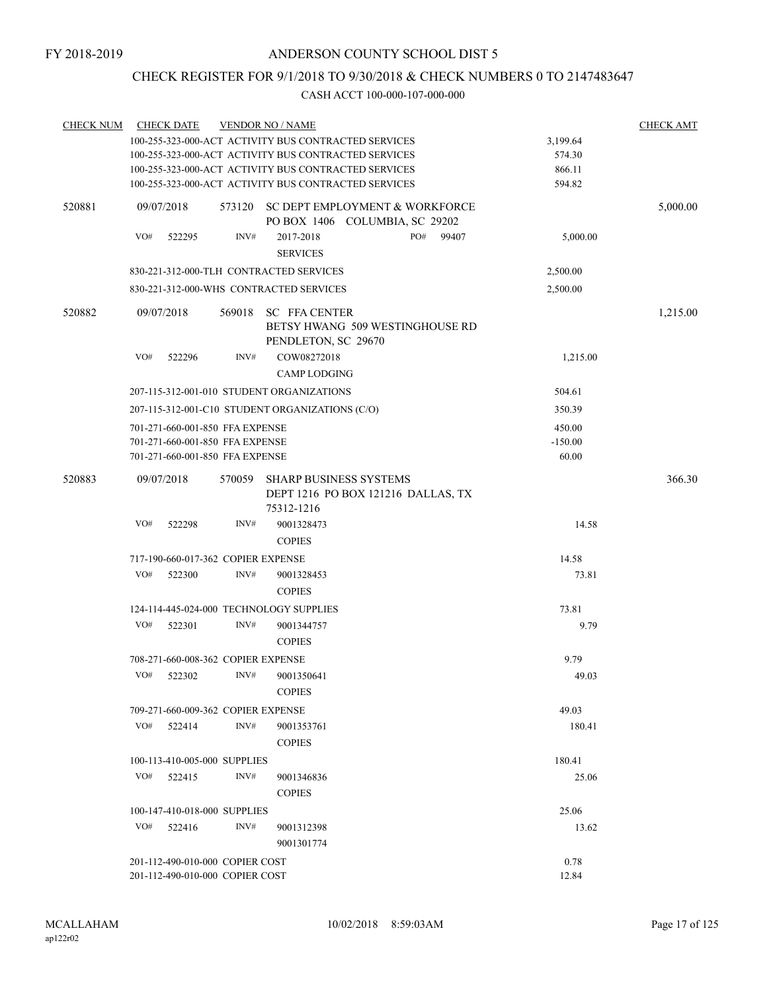# CHECK REGISTER FOR 9/1/2018 TO 9/30/2018 & CHECK NUMBERS 0 TO 2147483647

| <b>CHECK NUM</b> |     | <b>CHECK DATE</b> |                                    | <b>VENDOR NO / NAME</b>                                                           |  |     |          |           | <b>CHECK AMT</b> |
|------------------|-----|-------------------|------------------------------------|-----------------------------------------------------------------------------------|--|-----|----------|-----------|------------------|
|                  |     |                   |                                    | 100-255-323-000-ACT ACTIVITY BUS CONTRACTED SERVICES                              |  |     |          | 3,199.64  |                  |
|                  |     |                   |                                    | 100-255-323-000-ACT ACTIVITY BUS CONTRACTED SERVICES                              |  |     |          | 574.30    |                  |
|                  |     |                   |                                    | 100-255-323-000-ACT ACTIVITY BUS CONTRACTED SERVICES                              |  |     |          | 866.11    |                  |
|                  |     |                   |                                    | 100-255-323-000-ACT ACTIVITY BUS CONTRACTED SERVICES                              |  |     |          | 594.82    |                  |
| 520881           |     | 09/07/2018        | 573120                             | SC DEPT EMPLOYMENT & WORKFORCE<br>PO BOX 1406 COLUMBIA, SC 29202                  |  |     | 5,000.00 |           |                  |
|                  | VO# | 522295            | INV#                               | 2017-2018<br><b>SERVICES</b>                                                      |  | PO# | 99407    | 5,000.00  |                  |
|                  |     |                   |                                    | 830-221-312-000-TLH CONTRACTED SERVICES                                           |  |     |          | 2,500.00  |                  |
|                  |     |                   |                                    | 830-221-312-000-WHS CONTRACTED SERVICES                                           |  |     |          | 2,500.00  |                  |
| 520882           |     | 09/07/2018        | 569018                             | <b>SC FFA CENTER</b><br>BETSY HWANG 509 WESTINGHOUSE RD<br>PENDLETON, SC 29670    |  |     |          |           | 1,215.00         |
|                  | VO# | 522296            | INV#                               | COW08272018                                                                       |  |     |          | 1,215.00  |                  |
|                  |     |                   |                                    | <b>CAMP LODGING</b>                                                               |  |     |          |           |                  |
|                  |     |                   |                                    | 207-115-312-001-010 STUDENT ORGANIZATIONS                                         |  |     |          | 504.61    |                  |
|                  |     |                   |                                    | 207-115-312-001-C10 STUDENT ORGANIZATIONS (C/O)                                   |  |     |          | 350.39    |                  |
|                  |     |                   | 701-271-660-001-850 FFA EXPENSE    |                                                                                   |  |     |          | 450.00    |                  |
|                  |     |                   | 701-271-660-001-850 FFA EXPENSE    |                                                                                   |  |     |          | $-150.00$ |                  |
|                  |     |                   | 701-271-660-001-850 FFA EXPENSE    |                                                                                   |  |     |          | 60.00     |                  |
| 520883           |     | 09/07/2018        | 570059                             | <b>SHARP BUSINESS SYSTEMS</b><br>DEPT 1216 PO BOX 121216 DALLAS, TX<br>75312-1216 |  |     |          |           | 366.30           |
|                  | VO# | 522298            | INV#                               | 9001328473<br><b>COPIES</b>                                                       |  |     |          | 14.58     |                  |
|                  |     |                   | 717-190-660-017-362 COPIER EXPENSE |                                                                                   |  |     |          | 14.58     |                  |
|                  | VO# | 522300            | INV#                               | 9001328453                                                                        |  |     |          | 73.81     |                  |
|                  |     |                   |                                    | <b>COPIES</b>                                                                     |  |     |          |           |                  |
|                  |     |                   |                                    | 124-114-445-024-000 TECHNOLOGY SUPPLIES                                           |  |     |          | 73.81     |                  |
|                  | VO# | 522301            | INV#                               | 9001344757                                                                        |  |     |          | 9.79      |                  |
|                  |     |                   |                                    | <b>COPIES</b>                                                                     |  |     |          |           |                  |
|                  |     |                   | 708-271-660-008-362 COPIER EXPENSE |                                                                                   |  |     |          | 9.79      |                  |
|                  | VO# | 522302            | INV#                               | 9001350641                                                                        |  |     |          | 49.03     |                  |
|                  |     |                   |                                    | <b>COPIES</b>                                                                     |  |     |          |           |                  |
|                  |     |                   | 709-271-660-009-362 COPIER EXPENSE |                                                                                   |  |     |          | 49.03     |                  |
|                  | VO# | 522414            | INV#                               | 9001353761<br><b>COPIES</b>                                                       |  |     |          | 180.41    |                  |
|                  |     |                   | 100-113-410-005-000 SUPPLIES       |                                                                                   |  |     |          | 180.41    |                  |
|                  | VO# | 522415            | INV#                               | 9001346836<br><b>COPIES</b>                                                       |  |     |          | 25.06     |                  |
|                  |     |                   | 100-147-410-018-000 SUPPLIES       |                                                                                   |  |     |          | 25.06     |                  |
|                  | VO# | 522416            | INV#                               | 9001312398                                                                        |  |     |          | 13.62     |                  |
|                  |     |                   |                                    | 9001301774                                                                        |  |     |          |           |                  |
|                  |     |                   | 201-112-490-010-000 COPIER COST    |                                                                                   |  |     |          | 0.78      |                  |
|                  |     |                   | 201-112-490-010-000 COPIER COST    | 12.84                                                                             |  |     |          |           |                  |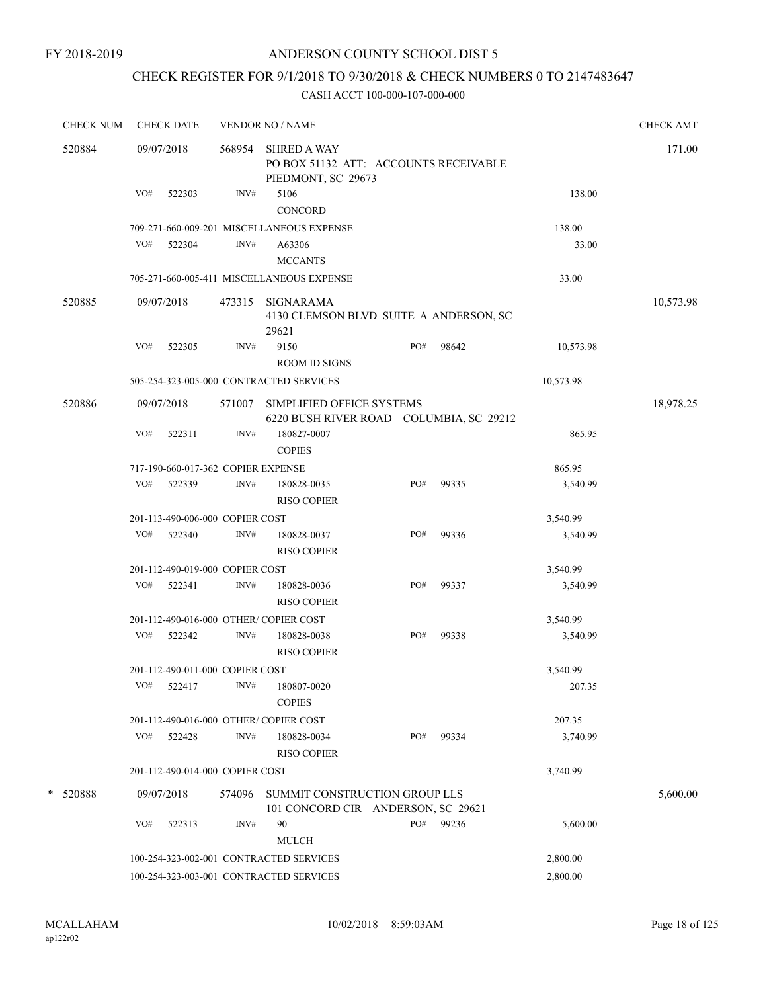#### FY 2018-2019

# ANDERSON COUNTY SCHOOL DIST 5

# CHECK REGISTER FOR 9/1/2018 TO 9/30/2018 & CHECK NUMBERS 0 TO 2147483647

| <b>CHECK NUM</b> |     | <b>CHECK DATE</b>                  |        | <b>VENDOR NO / NAME</b>                                                           |     |       |           | <b>CHECK AMT</b> |
|------------------|-----|------------------------------------|--------|-----------------------------------------------------------------------------------|-----|-------|-----------|------------------|
| 520884           |     | 09/07/2018                         | 568954 | <b>SHRED A WAY</b><br>PO BOX 51132 ATT: ACCOUNTS RECEIVABLE<br>PIEDMONT, SC 29673 |     |       |           | 171.00           |
|                  | VO# | 522303                             | INV#   | 5106<br><b>CONCORD</b>                                                            |     |       | 138.00    |                  |
|                  |     |                                    |        | 709-271-660-009-201 MISCELLANEOUS EXPENSE                                         |     |       | 138.00    |                  |
|                  | VO# | 522304                             | INV#   | A63306<br><b>MCCANTS</b>                                                          |     |       | 33.00     |                  |
|                  |     |                                    |        | 705-271-660-005-411 MISCELLANEOUS EXPENSE                                         |     |       | 33.00     |                  |
| 520885           |     | 09/07/2018                         | 473315 | SIGNARAMA                                                                         |     |       |           | 10,573.98        |
|                  |     |                                    |        | 4130 CLEMSON BLVD SUITE A ANDERSON, SC<br>29621                                   |     |       |           |                  |
|                  | VO# | 522305                             | INV#   | 9150<br><b>ROOM ID SIGNS</b>                                                      | PO# | 98642 | 10,573.98 |                  |
|                  |     |                                    |        | 505-254-323-005-000 CONTRACTED SERVICES                                           |     |       | 10,573.98 |                  |
| 520886           |     | 09/07/2018                         | 571007 | SIMPLIFIED OFFICE SYSTEMS<br>6220 BUSH RIVER ROAD COLUMBIA, SC 29212              |     |       |           | 18,978.25        |
|                  | VO# | 522311                             | INV#   | 180827-0007<br><b>COPIES</b>                                                      |     |       | 865.95    |                  |
|                  |     | 717-190-660-017-362 COPIER EXPENSE |        |                                                                                   |     |       | 865.95    |                  |
|                  | VO# | 522339                             | INV#   | 180828-0035<br><b>RISO COPIER</b>                                                 | PO# | 99335 | 3,540.99  |                  |
|                  |     | 201-113-490-006-000 COPIER COST    |        |                                                                                   |     |       | 3,540.99  |                  |
|                  | VO# | 522340                             | INV#   | 180828-0037<br><b>RISO COPIER</b>                                                 | PO# | 99336 | 3,540.99  |                  |
|                  |     | 201-112-490-019-000 COPIER COST    |        |                                                                                   |     |       | 3,540.99  |                  |
|                  | VO# | 522341                             | INV#   | 180828-0036<br><b>RISO COPIER</b>                                                 | PO# | 99337 | 3,540.99  |                  |
|                  |     |                                    |        | 201-112-490-016-000 OTHER/COPIER COST                                             |     |       | 3,540.99  |                  |
|                  | VO# | 522342                             | INV#   | 180828-0038<br><b>RISO COPIER</b>                                                 | PO# | 99338 | 3,540.99  |                  |
|                  |     | 201-112-490-011-000 COPIER COST    |        |                                                                                   |     |       | 3,540.99  |                  |
|                  | VO# | 522417                             | INV#   | 180807-0020<br><b>COPIES</b>                                                      |     |       | 207.35    |                  |
|                  |     |                                    |        | 201-112-490-016-000 OTHER/COPIER COST                                             |     |       | 207.35    |                  |
|                  | VO# | 522428                             | INV#   | 180828-0034<br><b>RISO COPIER</b>                                                 | PO# | 99334 | 3,740.99  |                  |
|                  |     | 201-112-490-014-000 COPIER COST    |        |                                                                                   |     |       | 3,740.99  |                  |
| *<br>520888      |     | 09/07/2018                         | 574096 | SUMMIT CONSTRUCTION GROUP LLS<br>101 CONCORD CIR ANDERSON, SC 29621               |     |       |           | 5,600.00         |
|                  | VO# | 522313                             | INV#   | 90<br><b>MULCH</b>                                                                | PO# | 99236 | 5,600.00  |                  |
|                  |     |                                    |        | 100-254-323-002-001 CONTRACTED SERVICES                                           |     |       | 2,800.00  |                  |
|                  |     |                                    |        | 100-254-323-003-001 CONTRACTED SERVICES                                           |     |       | 2,800.00  |                  |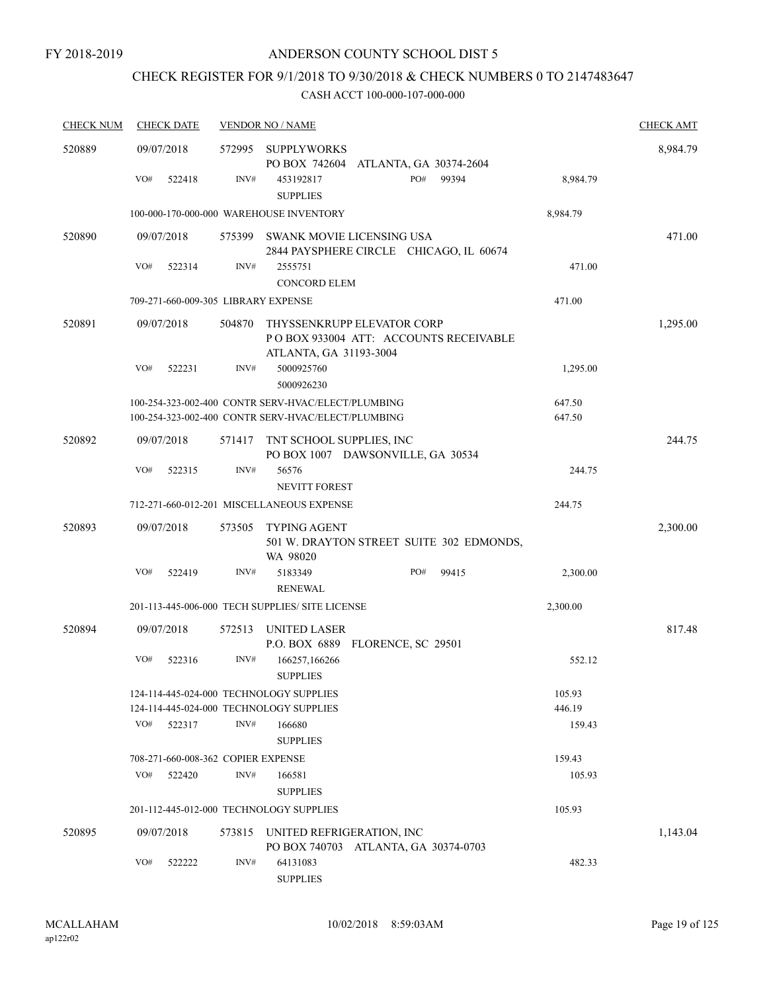# CHECK REGISTER FOR 9/1/2018 TO 9/30/2018 & CHECK NUMBERS 0 TO 2147483647

| <b>CHECK NUM</b> | <b>CHECK DATE</b>                                                                  |        | <b>VENDOR NO / NAME</b>                                                                                  |                  | <b>CHECK AMT</b> |
|------------------|------------------------------------------------------------------------------------|--------|----------------------------------------------------------------------------------------------------------|------------------|------------------|
| 520889           | 09/07/2018                                                                         | 572995 | SUPPLYWORKS<br>PO BOX 742604 ATLANTA, GA 30374-2604                                                      |                  | 8,984.79         |
|                  | VO#<br>522418                                                                      | INV#   | PO#<br>99394<br>453192817<br><b>SUPPLIES</b>                                                             | 8,984.79         |                  |
|                  |                                                                                    |        | 100-000-170-000-000 WAREHOUSE INVENTORY                                                                  | 8,984.79         |                  |
| 520890           | 09/07/2018                                                                         |        | 575399 SWANK MOVIE LICENSING USA<br>2844 PAYSPHERE CIRCLE CHICAGO, IL 60674                              |                  | 471.00           |
|                  | VO#<br>522314                                                                      | INV#   | 2555751<br><b>CONCORD ELEM</b>                                                                           | 471.00           |                  |
|                  | 709-271-660-009-305 LIBRARY EXPENSE                                                |        |                                                                                                          | 471.00           |                  |
| 520891           | 09/07/2018                                                                         | 504870 | THYSSENKRUPP ELEVATOR CORP<br>PO BOX 933004 ATT: ACCOUNTS RECEIVABLE<br>ATLANTA, GA 31193-3004           |                  | 1,295.00         |
|                  | VO#<br>522231                                                                      | INV#   | 5000925760<br>5000926230                                                                                 | 1,295.00         |                  |
|                  |                                                                                    |        | 100-254-323-002-400 CONTR SERV-HVAC/ELECT/PLUMBING<br>100-254-323-002-400 CONTR SERV-HVAC/ELECT/PLUMBING | 647.50<br>647.50 |                  |
|                  |                                                                                    |        |                                                                                                          |                  |                  |
| 520892           | 09/07/2018                                                                         | 571417 | TNT SCHOOL SUPPLIES, INC<br>PO BOX 1007 DAWSONVILLE, GA 30534                                            |                  | 244.75           |
|                  | VO#<br>522315                                                                      | INV#   | 56576                                                                                                    | 244.75           |                  |
|                  |                                                                                    |        | <b>NEVITT FOREST</b>                                                                                     |                  |                  |
|                  |                                                                                    |        | 712-271-660-012-201 MISCELLANEOUS EXPENSE                                                                | 244.75           |                  |
| 520893           | 09/07/2018                                                                         | 573505 | <b>TYPING AGENT</b><br>501 W. DRAYTON STREET SUITE 302 EDMONDS,<br>WA 98020                              |                  | 2,300.00         |
|                  | VO#<br>522419                                                                      | INV#   | 5183349<br>PO#<br>99415<br><b>RENEWAL</b>                                                                | 2,300.00         |                  |
|                  |                                                                                    |        | 201-113-445-006-000 TECH SUPPLIES/ SITE LICENSE                                                          | 2,300.00         |                  |
| 520894           | 09/07/2018                                                                         | 572513 | <b>UNITED LASER</b><br>P.O. BOX 6889 FLORENCE, SC 29501                                                  |                  | 817.48           |
|                  | VO#<br>522316                                                                      | INV#   | 166257,166266<br><b>SUPPLIES</b>                                                                         | 552.12           |                  |
|                  | 124-114-445-024-000 TECHNOLOGY SUPPLIES<br>124-114-445-024-000 TECHNOLOGY SUPPLIES |        |                                                                                                          | 105.93<br>446.19 |                  |
|                  | VO#<br>522317                                                                      | INV#   | 166680<br><b>SUPPLIES</b>                                                                                | 159.43           |                  |
|                  | 708-271-660-008-362 COPIER EXPENSE                                                 |        |                                                                                                          | 159.43           |                  |
|                  | VO#<br>522420                                                                      | INV#   | 166581<br><b>SUPPLIES</b>                                                                                | 105.93           |                  |
|                  | 201-112-445-012-000 TECHNOLOGY SUPPLIES                                            |        |                                                                                                          | 105.93           |                  |
| 520895           | 09/07/2018                                                                         | 573815 | UNITED REFRIGERATION, INC                                                                                |                  | 1,143.04         |
|                  | VO#<br>522222                                                                      | INV#   | PO BOX 740703 ATLANTA, GA 30374-0703<br>64131083<br><b>SUPPLIES</b>                                      | 482.33           |                  |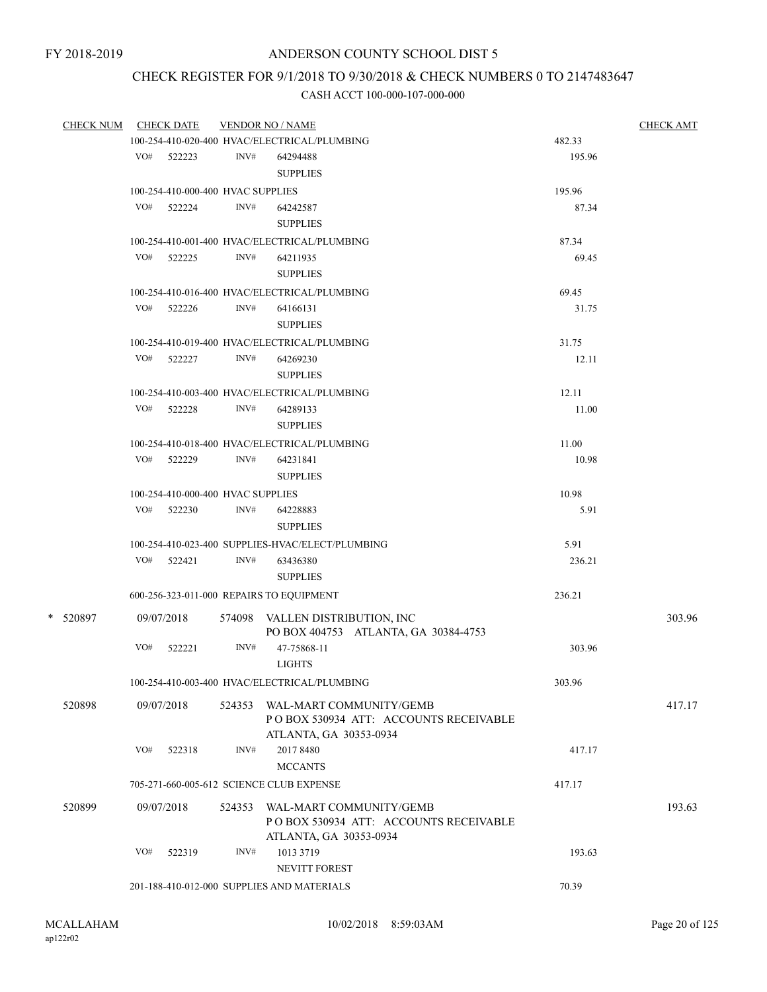# CHECK REGISTER FOR 9/1/2018 TO 9/30/2018 & CHECK NUMBERS 0 TO 2147483647

| CHECK NUM CHECK DATE |     |                                   |        | <b>VENDOR NO / NAME</b>                                                 |        | <b>CHECK AMT</b> |
|----------------------|-----|-----------------------------------|--------|-------------------------------------------------------------------------|--------|------------------|
|                      |     |                                   |        | 100-254-410-020-400 HVAC/ELECTRICAL/PLUMBING                            | 482.33 |                  |
|                      |     | VO# 522223                        | INV#   | 64294488                                                                | 195.96 |                  |
|                      |     |                                   |        | <b>SUPPLIES</b>                                                         |        |                  |
|                      |     | 100-254-410-000-400 HVAC SUPPLIES |        |                                                                         | 195.96 |                  |
|                      |     | VO# 522224                        | INV#   | 64242587                                                                | 87.34  |                  |
|                      |     |                                   |        | <b>SUPPLIES</b>                                                         |        |                  |
|                      |     |                                   |        | 100-254-410-001-400 HVAC/ELECTRICAL/PLUMBING                            | 87.34  |                  |
|                      |     | VO# 522225                        | INV#   | 64211935                                                                | 69.45  |                  |
|                      |     |                                   |        | <b>SUPPLIES</b>                                                         |        |                  |
|                      |     |                                   |        | 100-254-410-016-400 HVAC/ELECTRICAL/PLUMBING                            | 69.45  |                  |
|                      |     | VO# 522226                        | INV#   | 64166131                                                                | 31.75  |                  |
|                      |     |                                   |        | <b>SUPPLIES</b>                                                         |        |                  |
|                      |     |                                   |        |                                                                         |        |                  |
|                      |     |                                   |        | 100-254-410-019-400 HVAC/ELECTRICAL/PLUMBING                            | 31.75  |                  |
|                      |     | VO# 522227                        | INV#   | 64269230                                                                | 12.11  |                  |
|                      |     |                                   |        | <b>SUPPLIES</b>                                                         |        |                  |
|                      |     |                                   |        | 100-254-410-003-400 HVAC/ELECTRICAL/PLUMBING                            | 12.11  |                  |
|                      |     | VO# 522228                        | INV#   | 64289133                                                                | 11.00  |                  |
|                      |     |                                   |        | <b>SUPPLIES</b>                                                         |        |                  |
|                      |     |                                   |        | 100-254-410-018-400 HVAC/ELECTRICAL/PLUMBING                            | 11.00  |                  |
|                      |     | VO# 522229                        | INV#   | 64231841                                                                | 10.98  |                  |
|                      |     |                                   |        | <b>SUPPLIES</b>                                                         |        |                  |
|                      |     | 100-254-410-000-400 HVAC SUPPLIES |        |                                                                         | 10.98  |                  |
|                      |     | $VO#$ 522230                      | INV#   | 64228883                                                                | 5.91   |                  |
|                      |     |                                   |        | <b>SUPPLIES</b>                                                         |        |                  |
|                      |     |                                   |        | 100-254-410-023-400 SUPPLIES-HVAC/ELECT/PLUMBING                        | 5.91   |                  |
|                      |     | VO# 522421                        | INV#   | 63436380                                                                | 236.21 |                  |
|                      |     |                                   |        | <b>SUPPLIES</b>                                                         |        |                  |
|                      |     |                                   |        | 600-256-323-011-000 REPAIRS TO EQUIPMENT                                | 236.21 |                  |
|                      |     |                                   |        |                                                                         |        |                  |
| * 520897             |     | 09/07/2018                        |        | 574098 VALLEN DISTRIBUTION, INC<br>PO BOX 404753 ATLANTA, GA 30384-4753 |        | 303.96           |
|                      | VO# | 522221                            | INV#   | 47-75868-11                                                             | 303.96 |                  |
|                      |     |                                   |        | <b>LIGHTS</b>                                                           |        |                  |
|                      |     |                                   |        |                                                                         |        |                  |
|                      |     |                                   |        | 100-254-410-003-400 HVAC/ELECTRICAL/PLUMBING                            | 303.96 |                  |
| 520898               |     | 09/07/2018                        | 524353 | WAL-MART COMMUNITY/GEMB                                                 |        | 417.17           |
|                      |     |                                   |        | POBOX 530934 ATT: ACCOUNTS RECEIVABLE                                   |        |                  |
|                      |     |                                   |        | ATLANTA, GA 30353-0934                                                  |        |                  |
|                      | VO# | 522318                            | INV#   | 2017 8480                                                               | 417.17 |                  |
|                      |     |                                   |        | <b>MCCANTS</b>                                                          |        |                  |
|                      |     |                                   |        | 705-271-660-005-612 SCIENCE CLUB EXPENSE                                | 417.17 |                  |
| 520899               |     | 09/07/2018                        | 524353 | WAL-MART COMMUNITY/GEMB                                                 |        | 193.63           |
|                      |     |                                   |        | POBOX 530934 ATT: ACCOUNTS RECEIVABLE                                   |        |                  |
|                      |     |                                   |        | ATLANTA, GA 30353-0934                                                  |        |                  |
|                      | VO# | 522319                            | INV#   | 1013 3719                                                               | 193.63 |                  |
|                      |     |                                   |        | <b>NEVITT FOREST</b>                                                    |        |                  |
|                      |     |                                   |        | 201-188-410-012-000 SUPPLIES AND MATERIALS                              | 70.39  |                  |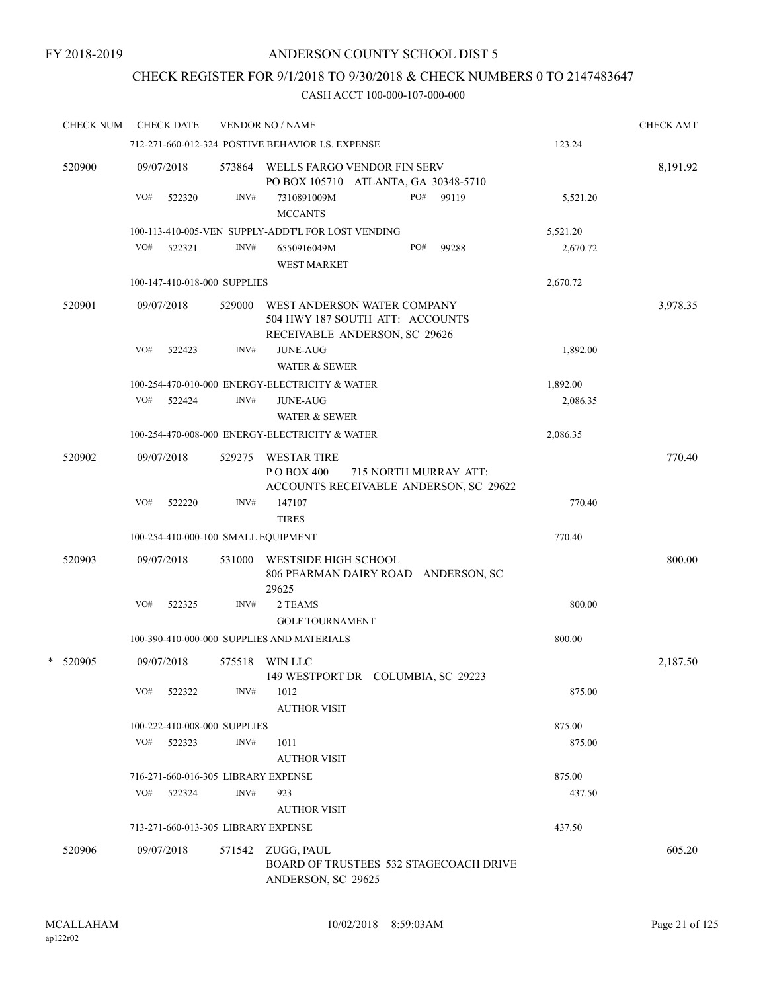# CHECK REGISTER FOR 9/1/2018 TO 9/30/2018 & CHECK NUMBERS 0 TO 2147483647

| <b>CHECK NUM</b> |     | <b>CHECK DATE</b> |                              | <b>VENDOR NO / NAME</b>                                                                              |          | <b>CHECK AMT</b> |
|------------------|-----|-------------------|------------------------------|------------------------------------------------------------------------------------------------------|----------|------------------|
|                  |     |                   |                              | 712-271-660-012-324 POSTIVE BEHAVIOR I.S. EXPENSE                                                    | 123.24   |                  |
| 520900           |     | 09/07/2018        |                              | 573864 WELLS FARGO VENDOR FIN SERV<br>PO BOX 105710 ATLANTA, GA 30348-5710                           |          | 8,191.92         |
|                  | VO# | 522320            | INV#                         | 7310891009M<br>PO#<br>99119<br><b>MCCANTS</b>                                                        | 5,521.20 |                  |
|                  |     |                   |                              | 100-113-410-005-VEN SUPPLY-ADDT'L FOR LOST VENDING                                                   | 5,521.20 |                  |
|                  | VO# | 522321            | INV#                         | PO#<br>99288<br>6550916049M<br><b>WEST MARKET</b>                                                    | 2,670.72 |                  |
|                  |     |                   | 100-147-410-018-000 SUPPLIES |                                                                                                      | 2,670.72 |                  |
| 520901           |     | 09/07/2018        | 529000                       | WEST ANDERSON WATER COMPANY<br>504 HWY 187 SOUTH ATT: ACCOUNTS<br>RECEIVABLE ANDERSON, SC 29626      |          | 3,978.35         |
|                  | VO# | 522423            | INV#                         | <b>JUNE-AUG</b><br><b>WATER &amp; SEWER</b>                                                          | 1,892.00 |                  |
|                  |     |                   |                              | 100-254-470-010-000 ENERGY-ELECTRICITY & WATER                                                       | 1,892.00 |                  |
|                  | VO# | 522424            | INV#                         | <b>JUNE-AUG</b><br><b>WATER &amp; SEWER</b>                                                          | 2,086.35 |                  |
|                  |     |                   |                              | 100-254-470-008-000 ENERGY-ELECTRICITY & WATER                                                       | 2,086.35 |                  |
| 520902           |     | 09/07/2018        | 529275                       | <b>WESTAR TIRE</b><br>P O BOX 400<br>715 NORTH MURRAY ATT:<br>ACCOUNTS RECEIVABLE ANDERSON, SC 29622 |          | 770.40           |
|                  | VO# | 522220            | INV#                         | 147107<br><b>TIRES</b>                                                                               | 770.40   |                  |
|                  |     |                   |                              | 100-254-410-000-100 SMALL EQUIPMENT                                                                  | 770.40   |                  |
| 520903           |     | 09/07/2018        | 531000                       | WESTSIDE HIGH SCHOOL<br>806 PEARMAN DAIRY ROAD ANDERSON, SC<br>29625                                 |          | 800.00           |
|                  | VO# | 522325            | INV#                         | 2 TEAMS<br><b>GOLF TOURNAMENT</b>                                                                    | 800.00   |                  |
|                  |     |                   |                              | 100-390-410-000-000 SUPPLIES AND MATERIALS                                                           | 800.00   |                  |
| *<br>520905      |     | 09/07/2018        | 575518                       | WIN LLC<br>149 WESTPORT DR COLUMBIA, SC 29223                                                        |          | 2,187.50         |
|                  | VO# | 522322            | INV#                         | 1012<br><b>AUTHOR VISIT</b>                                                                          | 875.00   |                  |
|                  |     |                   | 100-222-410-008-000 SUPPLIES |                                                                                                      | 875.00   |                  |
|                  | VO# | 522323            | INV#                         | 1011<br><b>AUTHOR VISIT</b>                                                                          | 875.00   |                  |
|                  |     |                   |                              | 716-271-660-016-305 LIBRARY EXPENSE                                                                  | 875.00   |                  |
|                  | VO# | 522324            | INV#                         | 923                                                                                                  | 437.50   |                  |
|                  |     |                   |                              | <b>AUTHOR VISIT</b>                                                                                  |          |                  |
|                  |     |                   |                              | 713-271-660-013-305 LIBRARY EXPENSE                                                                  | 437.50   |                  |
| 520906           |     | 09/07/2018        | 571542                       | ZUGG, PAUL<br><b>BOARD OF TRUSTEES 532 STAGECOACH DRIVE</b><br>ANDERSON, SC 29625                    |          | 605.20           |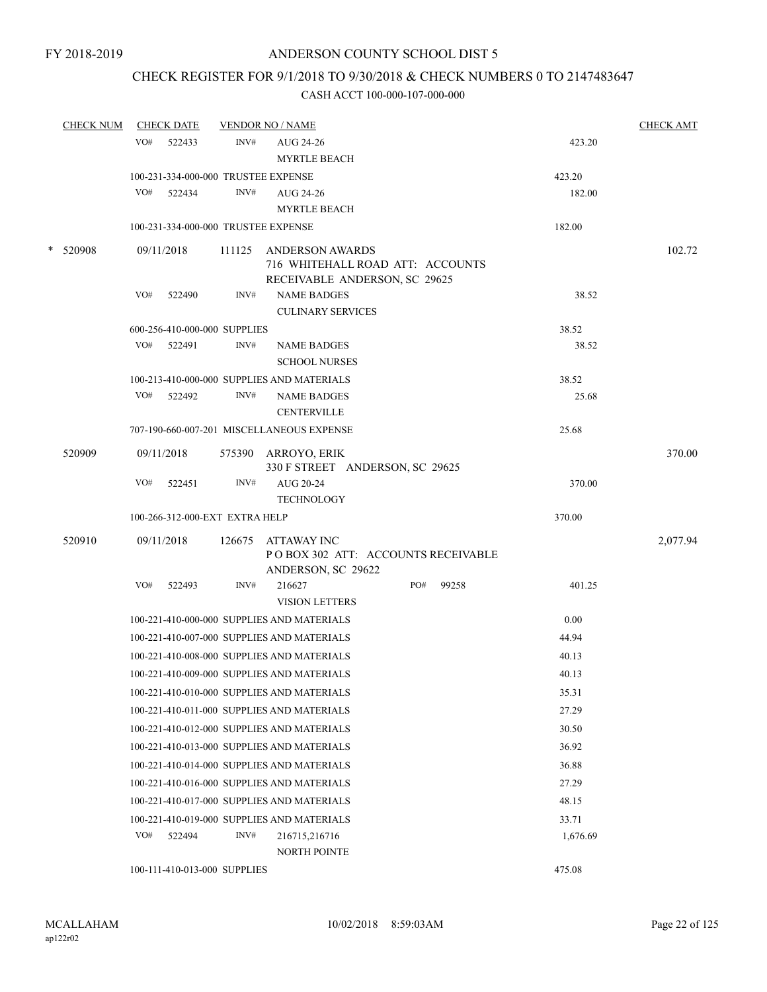# CHECK REGISTER FOR 9/1/2018 TO 9/30/2018 & CHECK NUMBERS 0 TO 2147483647

| <b>CHECK NUM</b> |     | <b>CHECK DATE</b>                   |        | <b>VENDOR NO / NAME</b>                        |     |       |          | <b>CHECK AMT</b> |
|------------------|-----|-------------------------------------|--------|------------------------------------------------|-----|-------|----------|------------------|
|                  | VO# | 522433                              | INV#   | AUG 24-26                                      |     |       | 423.20   |                  |
|                  |     |                                     |        | <b>MYRTLE BEACH</b>                            |     |       |          |                  |
|                  |     | 100-231-334-000-000 TRUSTEE EXPENSE |        |                                                |     |       | 423.20   |                  |
|                  | VO# | 522434                              | INV#   | AUG 24-26                                      |     |       | 182.00   |                  |
|                  |     |                                     |        | <b>MYRTLE BEACH</b>                            |     |       |          |                  |
|                  |     | 100-231-334-000-000 TRUSTEE EXPENSE |        |                                                |     |       | 182.00   |                  |
| * 520908         |     | 09/11/2018                          | 111125 | <b>ANDERSON AWARDS</b>                         |     |       |          | 102.72           |
|                  |     |                                     |        | 716 WHITEHALL ROAD ATT: ACCOUNTS               |     |       |          |                  |
|                  |     |                                     |        | RECEIVABLE ANDERSON, SC 29625                  |     |       |          |                  |
|                  | VO# | 522490                              | INV#   | <b>NAME BADGES</b><br><b>CULINARY SERVICES</b> |     |       | 38.52    |                  |
|                  |     | 600-256-410-000-000 SUPPLIES        |        |                                                |     |       | 38.52    |                  |
|                  | VO# | 522491                              | INV#   | <b>NAME BADGES</b>                             |     |       | 38.52    |                  |
|                  |     |                                     |        | <b>SCHOOL NURSES</b>                           |     |       |          |                  |
|                  |     |                                     |        | 100-213-410-000-000 SUPPLIES AND MATERIALS     |     |       | 38.52    |                  |
|                  |     | VO# 522492                          | INV#   | <b>NAME BADGES</b>                             |     |       | 25.68    |                  |
|                  |     |                                     |        | <b>CENTERVILLE</b>                             |     |       |          |                  |
|                  |     |                                     |        | 707-190-660-007-201 MISCELLANEOUS EXPENSE      |     |       | 25.68    |                  |
| 520909           |     | 09/11/2018                          |        | 575390 ARROYO, ERIK                            |     |       |          | 370.00           |
|                  |     |                                     |        | 330 F STREET ANDERSON, SC 29625                |     |       |          |                  |
|                  | VO# | 522451                              | INV#   | AUG 20-24                                      |     |       | 370.00   |                  |
|                  |     |                                     |        | <b>TECHNOLOGY</b>                              |     |       |          |                  |
|                  |     | 100-266-312-000-EXT EXTRA HELP      |        |                                                |     |       | 370.00   |                  |
| 520910           |     | 09/11/2018                          | 126675 | ATTAWAY INC                                    |     |       |          | 2,077.94         |
|                  |     |                                     |        | PO BOX 302 ATT: ACCOUNTS RECEIVABLE            |     |       |          |                  |
|                  |     |                                     |        | ANDERSON, SC 29622                             |     |       |          |                  |
|                  | VO# | 522493                              | INV#   | 216627<br><b>VISION LETTERS</b>                | PO# | 99258 | 401.25   |                  |
|                  |     |                                     |        | 100-221-410-000-000 SUPPLIES AND MATERIALS     |     |       | 0.00     |                  |
|                  |     |                                     |        | 100-221-410-007-000 SUPPLIES AND MATERIALS     |     |       | 44.94    |                  |
|                  |     |                                     |        | 100-221-410-008-000 SUPPLIES AND MATERIALS     |     |       | 40.13    |                  |
|                  |     |                                     |        | 100-221-410-009-000 SUPPLIES AND MATERIALS     |     |       | 40.13    |                  |
|                  |     |                                     |        | 100-221-410-010-000 SUPPLIES AND MATERIALS     |     |       | 35.31    |                  |
|                  |     |                                     |        | 100-221-410-011-000 SUPPLIES AND MATERIALS     |     |       | 27.29    |                  |
|                  |     |                                     |        |                                                |     |       |          |                  |
|                  |     |                                     |        | 100-221-410-012-000 SUPPLIES AND MATERIALS     |     |       | 30.50    |                  |
|                  |     |                                     |        | 100-221-410-013-000 SUPPLIES AND MATERIALS     |     |       | 36.92    |                  |
|                  |     |                                     |        | 100-221-410-014-000 SUPPLIES AND MATERIALS     |     |       | 36.88    |                  |
|                  |     |                                     |        | 100-221-410-016-000 SUPPLIES AND MATERIALS     |     |       | 27.29    |                  |
|                  |     |                                     |        | 100-221-410-017-000 SUPPLIES AND MATERIALS     |     |       | 48.15    |                  |
|                  |     |                                     |        | 100-221-410-019-000 SUPPLIES AND MATERIALS     |     |       | 33.71    |                  |
|                  | VO# | 522494                              | INV#   | 216715,216716                                  |     |       | 1,676.69 |                  |
|                  |     |                                     |        | NORTH POINTE                                   |     |       |          |                  |
|                  |     | 100-111-410-013-000 SUPPLIES        |        |                                                |     |       | 475.08   |                  |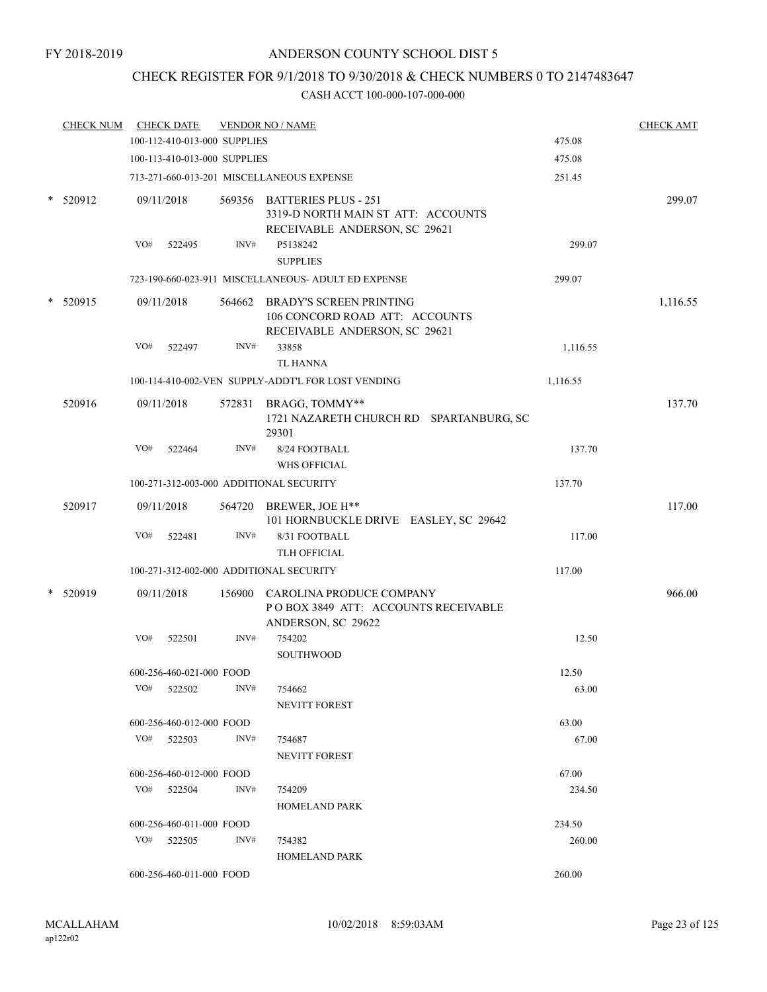# CHECK REGISTER FOR 9/1/2018 TO 9/30/2018 & CHECK NUMBERS 0 TO 2147483647

| <b>CHECK NUM</b> |     | <b>CHECK DATE</b>            |        | <b>VENDOR NO / NAME</b>                                                                            |          | <b>CHECK AMT</b> |
|------------------|-----|------------------------------|--------|----------------------------------------------------------------------------------------------------|----------|------------------|
|                  |     | 100-112-410-013-000 SUPPLIES |        |                                                                                                    | 475.08   |                  |
|                  |     | 100-113-410-013-000 SUPPLIES |        |                                                                                                    | 475.08   |                  |
|                  |     |                              |        | 713-271-660-013-201 MISCELLANEOUS EXPENSE                                                          | 251.45   |                  |
| * 520912         |     | 09/11/2018                   |        | 569356 BATTERIES PLUS - 251<br>3319-D NORTH MAIN ST ATT: ACCOUNTS<br>RECEIVABLE ANDERSON, SC 29621 |          | 299.07           |
|                  | VO# | 522495                       | INV#   | P5138242<br><b>SUPPLIES</b>                                                                        | 299.07   |                  |
|                  |     |                              |        | 723-190-660-023-911 MISCELLANEOUS- ADULT ED EXPENSE                                                | 299.07   |                  |
| $*$ 520915       |     | 09/11/2018                   |        | 564662 BRADY'S SCREEN PRINTING<br>106 CONCORD ROAD ATT: ACCOUNTS<br>RECEIVABLE ANDERSON, SC 29621  |          | 1,116.55         |
|                  | VO# | 522497                       | INV#   | 33858<br>TL HANNA                                                                                  | 1,116.55 |                  |
|                  |     |                              |        | 100-114-410-002-VEN SUPPLY-ADDT'L FOR LOST VENDING                                                 | 1,116.55 |                  |
| 520916           |     | 09/11/2018                   |        | 572831 BRAGG, TOMMY**<br>1721 NAZARETH CHURCH RD SPARTANBURG, SC<br>29301                          |          | 137.70           |
|                  | VO# | 522464                       | INV#   | 8/24 FOOTBALL                                                                                      | 137.70   |                  |
|                  |     |                              |        | <b>WHS OFFICIAL</b>                                                                                |          |                  |
|                  |     |                              |        | 100-271-312-003-000 ADDITIONAL SECURITY                                                            | 137.70   |                  |
| 520917           |     | 09/11/2018                   | 564720 | BREWER, JOE H**<br>101 HORNBUCKLE DRIVE EASLEY, SC 29642                                           |          | 117.00           |
|                  | VO# | 522481                       | INV#   | 8/31 FOOTBALL<br>TLH OFFICIAL                                                                      | 117.00   |                  |
|                  |     |                              |        | 100-271-312-002-000 ADDITIONAL SECURITY                                                            | 117.00   |                  |
| 520919           |     | 09/11/2018                   | 156900 | CAROLINA PRODUCE COMPANY<br>POBOX 3849 ATT: ACCOUNTS RECEIVABLE<br>ANDERSON, SC 29622              |          | 966.00           |
|                  | VO# | 522501                       | INV#   | 754202<br>SOUTHWOOD                                                                                | 12.50    |                  |
|                  |     | 600-256-460-021-000 FOOD     |        |                                                                                                    | 12.50    |                  |
|                  | VO# | 522502                       | INV#   | 754662<br><b>NEVITT FOREST</b>                                                                     | 63.00    |                  |
|                  |     | 600-256-460-012-000 FOOD     |        |                                                                                                    | 63.00    |                  |
|                  |     | $VO#$ 522503                 | INV#   | 754687<br>NEVITT FOREST                                                                            | 67.00    |                  |
|                  |     | 600-256-460-012-000 FOOD     |        |                                                                                                    | 67.00    |                  |
|                  |     | $VO#$ 522504                 | INV#   | 754209                                                                                             | 234.50   |                  |
|                  |     |                              |        | <b>HOMELAND PARK</b>                                                                               |          |                  |
|                  |     | 600-256-460-011-000 FOOD     |        |                                                                                                    | 234.50   |                  |
|                  |     | VO# 522505                   | INV#   | 754382<br><b>HOMELAND PARK</b>                                                                     | 260.00   |                  |
|                  |     | 600-256-460-011-000 FOOD     |        |                                                                                                    | 260.00   |                  |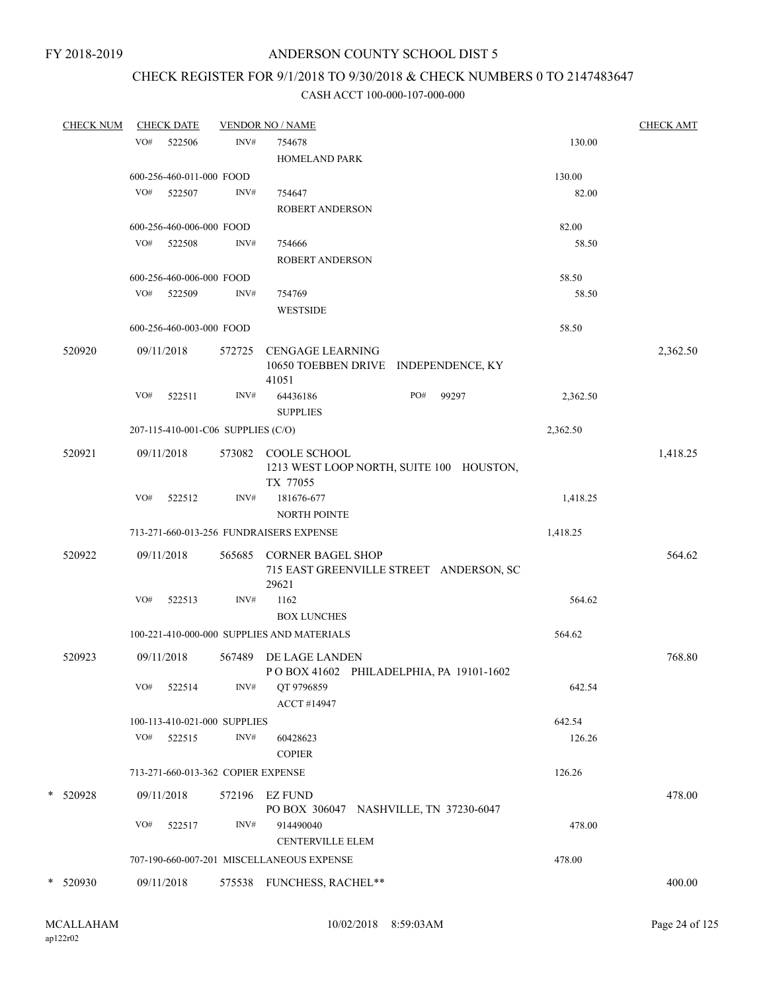# CHECK REGISTER FOR 9/1/2018 TO 9/30/2018 & CHECK NUMBERS 0 TO 2147483647

| <b>CHECK NUM</b> |     | <b>CHECK DATE</b>                  |        | <b>VENDOR NO / NAME</b>                    |                                          |          | <b>CHECK AMT</b> |
|------------------|-----|------------------------------------|--------|--------------------------------------------|------------------------------------------|----------|------------------|
|                  | VO# | 522506                             | INV#   | 754678                                     |                                          | 130.00   |                  |
|                  |     |                                    |        | HOMELAND PARK                              |                                          |          |                  |
|                  |     | 600-256-460-011-000 FOOD           |        |                                            |                                          | 130.00   |                  |
|                  | VO# | 522507                             | INV#   | 754647                                     |                                          | 82.00    |                  |
|                  |     |                                    |        | <b>ROBERT ANDERSON</b>                     |                                          |          |                  |
|                  |     | 600-256-460-006-000 FOOD           |        |                                            |                                          | 82.00    |                  |
|                  |     | VO# 522508                         | INV#   | 754666                                     |                                          | 58.50    |                  |
|                  |     |                                    |        | <b>ROBERT ANDERSON</b>                     |                                          |          |                  |
|                  |     | 600-256-460-006-000 FOOD           |        |                                            |                                          | 58.50    |                  |
|                  |     | VO# 522509                         | INV#   | 754769                                     |                                          | 58.50    |                  |
|                  |     |                                    |        | <b>WESTSIDE</b>                            |                                          |          |                  |
|                  |     | 600-256-460-003-000 FOOD           |        |                                            |                                          | 58.50    |                  |
| 520920           |     |                                    |        |                                            |                                          |          |                  |
|                  |     | 09/11/2018                         | 572725 | <b>CENGAGE LEARNING</b>                    | 10650 TOEBBEN DRIVE INDEPENDENCE, KY     |          | 2,362.50         |
|                  |     |                                    |        | 41051                                      |                                          |          |                  |
|                  | VO# | 522511                             | INV#   | 64436186                                   | PO#<br>99297                             | 2,362.50 |                  |
|                  |     |                                    |        | <b>SUPPLIES</b>                            |                                          |          |                  |
|                  |     | 207-115-410-001-C06 SUPPLIES (C/O) |        |                                            |                                          | 2,362.50 |                  |
| 520921           |     | 09/11/2018                         |        | 573082 COOLE SCHOOL                        |                                          |          | 1,418.25         |
|                  |     |                                    |        |                                            | 1213 WEST LOOP NORTH, SUITE 100 HOUSTON, |          |                  |
|                  |     |                                    |        | TX 77055                                   |                                          |          |                  |
|                  | VO# | 522512                             | INV#   | 181676-677                                 |                                          | 1,418.25 |                  |
|                  |     |                                    |        | <b>NORTH POINTE</b>                        |                                          |          |                  |
|                  |     |                                    |        | 713-271-660-013-256 FUNDRAISERS EXPENSE    |                                          | 1,418.25 |                  |
| 520922           |     | 09/11/2018                         |        | 565685 CORNER BAGEL SHOP                   |                                          |          | 564.62           |
|                  |     |                                    |        |                                            | 715 EAST GREENVILLE STREET ANDERSON, SC  |          |                  |
|                  |     |                                    |        | 29621                                      |                                          |          |                  |
|                  | VO# | 522513                             | INV#   | 1162                                       |                                          | 564.62   |                  |
|                  |     |                                    |        | <b>BOX LUNCHES</b>                         |                                          |          |                  |
|                  |     |                                    |        | 100-221-410-000-000 SUPPLIES AND MATERIALS |                                          | 564.62   |                  |
| 520923           |     | 09/11/2018                         | 567489 | DE LAGE LANDEN                             |                                          |          | 768.80           |
|                  |     |                                    |        |                                            | POBOX 41602 PHILADELPHIA, PA 19101-1602  |          |                  |
|                  | VO# | 522514                             | INV#   | QT 9796859                                 |                                          | 642.54   |                  |
|                  |     |                                    |        | ACCT #14947                                |                                          |          |                  |
|                  |     | 100-113-410-021-000 SUPPLIES       |        |                                            |                                          | 642.54   |                  |
|                  | VO# | 522515                             | INV#   | 60428623                                   |                                          | 126.26   |                  |
|                  |     |                                    |        | <b>COPIER</b>                              |                                          |          |                  |
|                  |     | 713-271-660-013-362 COPIER EXPENSE |        |                                            |                                          | 126.26   |                  |
| * 520928         |     | 09/11/2018                         |        | 572196 EZ FUND                             |                                          |          | 478.00           |
|                  |     |                                    |        | PO BOX 306047 NASHVILLE, TN 37230-6047     |                                          |          |                  |
|                  | VO# | 522517                             | INV#   | 914490040                                  |                                          | 478.00   |                  |
|                  |     |                                    |        | <b>CENTERVILLE ELEM</b>                    |                                          |          |                  |
|                  |     |                                    |        | 707-190-660-007-201 MISCELLANEOUS EXPENSE  |                                          | 478.00   |                  |
| * 520930         |     | 09/11/2018                         |        | 575538 FUNCHESS, RACHEL**                  |                                          |          | 400.00           |
|                  |     |                                    |        |                                            |                                          |          |                  |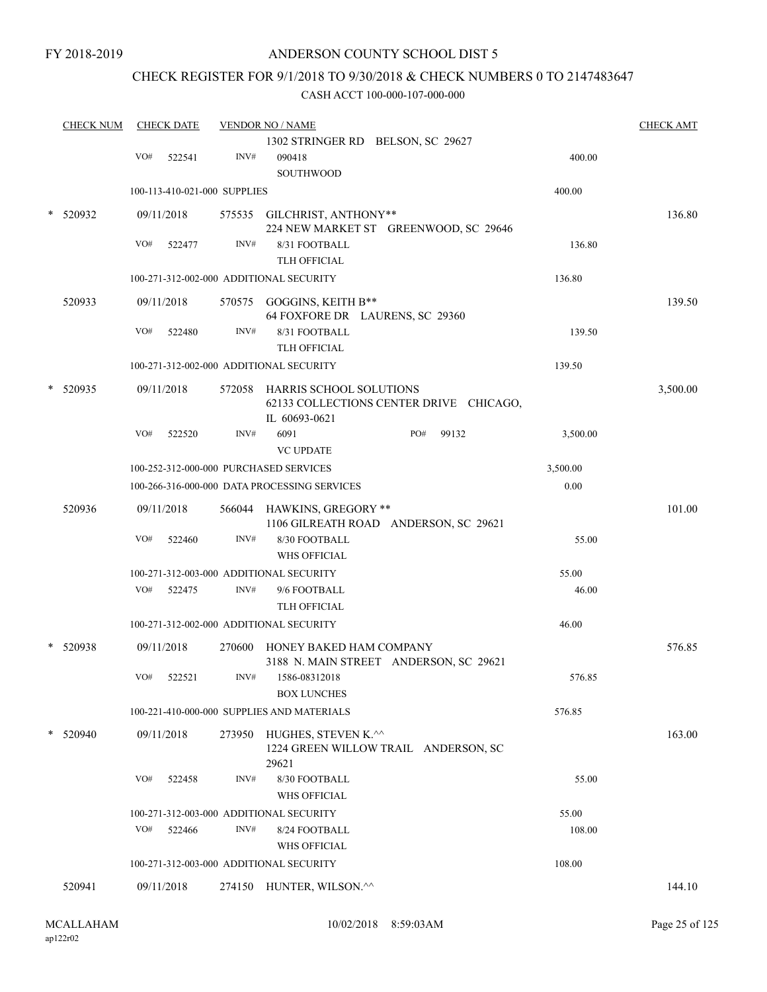FY 2018-2019

# ANDERSON COUNTY SCHOOL DIST 5

# CHECK REGISTER FOR 9/1/2018 TO 9/30/2018 & CHECK NUMBERS 0 TO 2147483647

| <b>CHECK NUM</b> |     | <b>CHECK DATE</b>            |        | <b>VENDOR NO / NAME</b>                                      |     |                                         |          | <b>CHECK AMT</b> |
|------------------|-----|------------------------------|--------|--------------------------------------------------------------|-----|-----------------------------------------|----------|------------------|
|                  |     |                              |        | 1302 STRINGER RD BELSON, SC 29627                            |     |                                         |          |                  |
|                  | VO# | 522541                       | INV#   | 090418                                                       |     |                                         | 400.00   |                  |
|                  |     |                              |        | <b>SOUTHWOOD</b>                                             |     |                                         | 400.00   |                  |
|                  |     | 100-113-410-021-000 SUPPLIES |        |                                                              |     |                                         |          |                  |
| 520932           |     | 09/11/2018                   |        | 575535 GILCHRIST, ANTHONY**                                  |     | 224 NEW MARKET ST GREENWOOD, SC 29646   |          | 136.80           |
|                  | VO# | 522477                       | INV#   | 8/31 FOOTBALL                                                |     |                                         | 136.80   |                  |
|                  |     |                              |        | TLH OFFICIAL                                                 |     |                                         |          |                  |
|                  |     |                              |        | 100-271-312-002-000 ADDITIONAL SECURITY                      |     |                                         | 136.80   |                  |
| 520933           |     | 09/11/2018                   |        | 570575 GOGGINS, KEITH B**                                    |     |                                         |          | 139.50           |
|                  |     |                              |        | 64 FOXFORE DR LAURENS, SC 29360                              |     |                                         |          |                  |
|                  | VO# | 522480                       | INV#   | 8/31 FOOTBALL                                                |     |                                         | 139.50   |                  |
|                  |     |                              |        | TLH OFFICIAL                                                 |     |                                         |          |                  |
|                  |     |                              |        | 100-271-312-002-000 ADDITIONAL SECURITY                      |     |                                         | 139.50   |                  |
| 520935           |     | 09/11/2018                   |        | 572058 HARRIS SCHOOL SOLUTIONS<br>IL 60693-0621              |     | 62133 COLLECTIONS CENTER DRIVE CHICAGO, |          | 3,500.00         |
|                  | VO# | 522520                       | INV#   | 6091                                                         | PO# | 99132                                   | 3,500.00 |                  |
|                  |     |                              |        | <b>VC UPDATE</b>                                             |     |                                         |          |                  |
|                  |     |                              |        | 100-252-312-000-000 PURCHASED SERVICES                       |     |                                         | 3,500.00 |                  |
|                  |     |                              |        | 100-266-316-000-000 DATA PROCESSING SERVICES                 |     |                                         | 0.00     |                  |
| 520936           |     | 09/11/2018                   | 566044 | HAWKINS, GREGORY **<br>1106 GILREATH ROAD ANDERSON, SC 29621 |     |                                         |          | 101.00           |
|                  | VO# | 522460                       | INV#   | 8/30 FOOTBALL                                                |     |                                         | 55.00    |                  |
|                  |     |                              |        | WHS OFFICIAL                                                 |     |                                         |          |                  |
|                  |     |                              |        | 100-271-312-003-000 ADDITIONAL SECURITY                      |     |                                         | 55.00    |                  |
|                  | VO# | 522475                       | INV#   | 9/6 FOOTBALL                                                 |     |                                         | 46.00    |                  |
|                  |     |                              |        | <b>TLH OFFICIAL</b>                                          |     |                                         |          |                  |
|                  |     |                              |        | 100-271-312-002-000 ADDITIONAL SECURITY                      |     |                                         | 46.00    |                  |
| 520938           |     | 09/11/2018                   | 270600 | HONEY BAKED HAM COMPANY                                      |     |                                         |          | 576.85           |
|                  | VO# | 522521                       | INV#   | 3188 N. MAIN STREET ANDERSON, SC 29621<br>1586-08312018      |     |                                         | 576.85   |                  |
|                  |     |                              |        | <b>BOX LUNCHES</b>                                           |     |                                         |          |                  |
|                  |     |                              |        | 100-221-410-000-000 SUPPLIES AND MATERIALS                   |     |                                         | 576.85   |                  |
| 520940           |     | 09/11/2018                   |        | 273950 HUGHES, STEVEN K.^^                                   |     |                                         |          | 163.00           |
|                  |     |                              |        | 1224 GREEN WILLOW TRAIL ANDERSON, SC<br>29621                |     |                                         |          |                  |
|                  | VO# | 522458                       | INV#   | 8/30 FOOTBALL<br>WHS OFFICIAL                                |     |                                         | 55.00    |                  |
|                  |     |                              |        | 100-271-312-003-000 ADDITIONAL SECURITY                      |     |                                         | 55.00    |                  |
|                  | VO# | 522466                       | INV#   | 8/24 FOOTBALL                                                |     |                                         | 108.00   |                  |
|                  |     |                              |        | <b>WHS OFFICIAL</b>                                          |     |                                         |          |                  |
|                  |     |                              |        | 100-271-312-003-000 ADDITIONAL SECURITY                      |     |                                         | 108.00   |                  |
| 520941           |     | 09/11/2018                   |        | 274150 HUNTER, WILSON.^^                                     |     |                                         |          | 144.10           |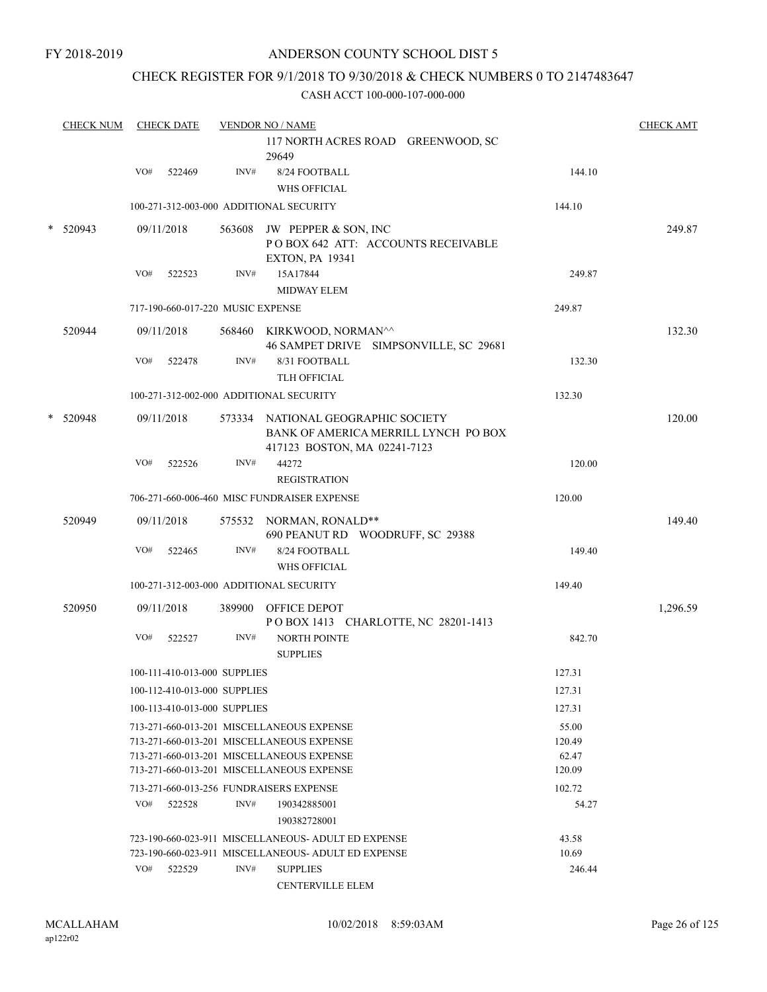# CHECK REGISTER FOR 9/1/2018 TO 9/30/2018 & CHECK NUMBERS 0 TO 2147483647

|        | <b>CHECK NUM</b> |     | <b>CHECK DATE</b>                 |        | <b>VENDOR NO / NAME</b>                                                                                    |                 | <b>CHECK AMT</b> |
|--------|------------------|-----|-----------------------------------|--------|------------------------------------------------------------------------------------------------------------|-----------------|------------------|
|        |                  |     |                                   |        | 117 NORTH ACRES ROAD GREENWOOD, SC<br>29649                                                                |                 |                  |
|        |                  | VO# | 522469                            | INV#   | 8/24 FOOTBALL<br><b>WHS OFFICIAL</b>                                                                       | 144.10          |                  |
|        |                  |     |                                   |        | 100-271-312-003-000 ADDITIONAL SECURITY                                                                    | 144.10          |                  |
|        | 520943           |     | 09/11/2018                        |        | 563608 JW PEPPER & SON, INC<br>POBOX 642 ATT: ACCOUNTS RECEIVABLE<br><b>EXTON, PA 19341</b>                |                 | 249.87           |
|        |                  | VO# | 522523                            | INV#   | 15A17844<br><b>MIDWAY ELEM</b>                                                                             | 249.87          |                  |
|        |                  |     | 717-190-660-017-220 MUSIC EXPENSE |        |                                                                                                            | 249.87          |                  |
|        | 520944           |     | 09/11/2018                        |        | 568460 KIRKWOOD, NORMAN^^<br>46 SAMPET DRIVE SIMPSONVILLE, SC 29681                                        |                 | 132.30           |
|        |                  | VO# | 522478                            | INV#   | 8/31 FOOTBALL<br><b>TLH OFFICIAL</b>                                                                       | 132.30          |                  |
|        |                  |     |                                   |        | 100-271-312-002-000 ADDITIONAL SECURITY                                                                    | 132.30          |                  |
| $\ast$ | 520948           |     | 09/11/2018                        |        | 573334 NATIONAL GEOGRAPHIC SOCIETY<br>BANK OF AMERICA MERRILL LYNCH PO BOX<br>417123 BOSTON, MA 02241-7123 |                 | 120.00           |
|        |                  | VO# | 522526                            | INV#   | 44272<br><b>REGISTRATION</b>                                                                               | 120.00          |                  |
|        |                  |     |                                   |        | 706-271-660-006-460 MISC FUNDRAISER EXPENSE                                                                | 120.00          |                  |
|        | 520949           |     | 09/11/2018                        |        | 575532 NORMAN, RONALD**<br>690 PEANUT RD WOODRUFF, SC 29388                                                |                 | 149.40           |
|        |                  | VO# | 522465                            | INV#   | 8/24 FOOTBALL                                                                                              | 149.40          |                  |
|        |                  |     |                                   |        | <b>WHS OFFICIAL</b>                                                                                        |                 |                  |
|        |                  |     |                                   |        | 100-271-312-003-000 ADDITIONAL SECURITY                                                                    | 149.40          |                  |
|        | 520950           |     | 09/11/2018                        | 389900 | OFFICE DEPOT<br>POBOX 1413 CHARLOTTE, NC 28201-1413                                                        |                 | 1,296.59         |
|        |                  | VO# | 522527                            | INV#   | <b>NORTH POINTE</b><br><b>SUPPLIES</b>                                                                     | 842.70          |                  |
|        |                  |     | 100-111-410-013-000 SUPPLIES      |        |                                                                                                            | 127.31          |                  |
|        |                  |     | 100-112-410-013-000 SUPPLIES      |        |                                                                                                            | 127.31          |                  |
|        |                  |     | 100-113-410-013-000 SUPPLIES      |        |                                                                                                            | 127.31          |                  |
|        |                  |     |                                   |        | 713-271-660-013-201 MISCELLANEOUS EXPENSE                                                                  | 55.00           |                  |
|        |                  |     |                                   |        | 713-271-660-013-201 MISCELLANEOUS EXPENSE<br>713-271-660-013-201 MISCELLANEOUS EXPENSE                     | 120.49<br>62.47 |                  |
|        |                  |     |                                   |        | 713-271-660-013-201 MISCELLANEOUS EXPENSE                                                                  | 120.09          |                  |
|        |                  |     |                                   |        | 713-271-660-013-256 FUNDRAISERS EXPENSE                                                                    | 102.72          |                  |
|        |                  | VO# | 522528                            | INV#   | 190342885001<br>190382728001                                                                               | 54.27           |                  |
|        |                  |     |                                   |        | 723-190-660-023-911 MISCELLANEOUS- ADULT ED EXPENSE                                                        | 43.58           |                  |
|        |                  |     |                                   |        | 723-190-660-023-911 MISCELLANEOUS- ADULT ED EXPENSE                                                        | 10.69           |                  |
|        |                  | VO# | 522529                            | INV#   | <b>SUPPLIES</b>                                                                                            | 246.44          |                  |
|        |                  |     |                                   |        | <b>CENTERVILLE ELEM</b>                                                                                    |                 |                  |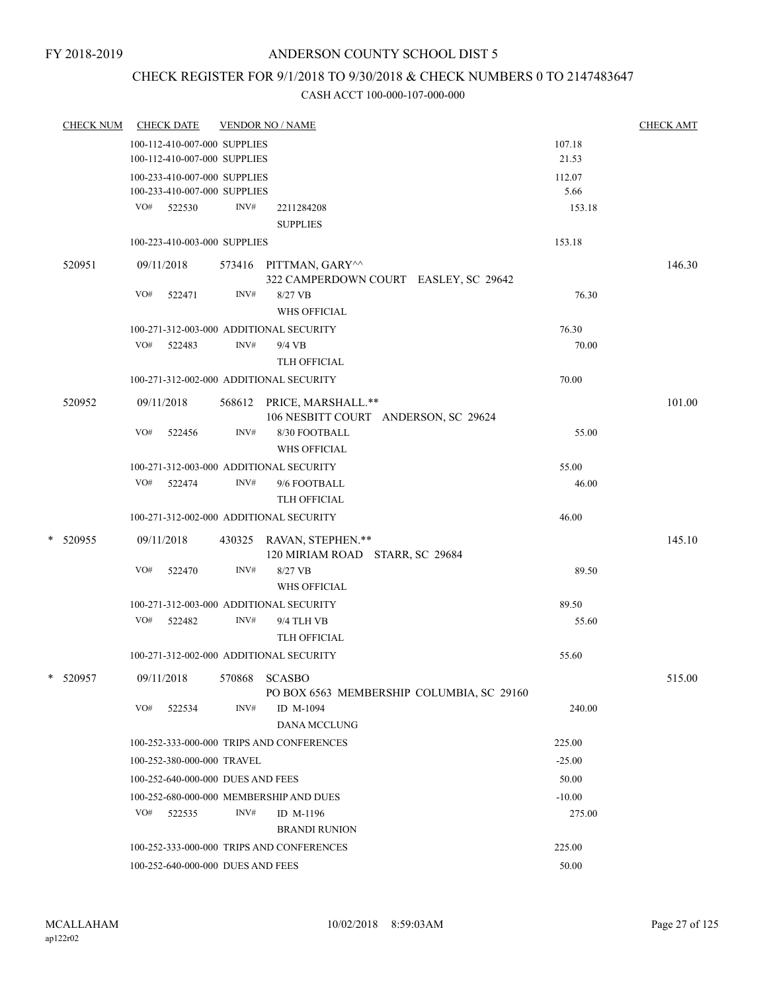# CHECK REGISTER FOR 9/1/2018 TO 9/30/2018 & CHECK NUMBERS 0 TO 2147483647

| <b>CHECK NUM</b> | <b>CHECK DATE</b>                       |      | <b>VENDOR NO / NAME</b>                                     |                                           |          | <b>CHECK AMT</b> |
|------------------|-----------------------------------------|------|-------------------------------------------------------------|-------------------------------------------|----------|------------------|
|                  | 100-112-410-007-000 SUPPLIES            |      |                                                             |                                           | 107.18   |                  |
|                  | 100-112-410-007-000 SUPPLIES            |      |                                                             |                                           | 21.53    |                  |
|                  | 100-233-410-007-000 SUPPLIES            |      |                                                             |                                           | 112.07   |                  |
|                  | 100-233-410-007-000 SUPPLIES            |      |                                                             |                                           | 5.66     |                  |
|                  | VO# 522530                              | INV# | 2211284208                                                  |                                           | 153.18   |                  |
|                  |                                         |      | <b>SUPPLIES</b>                                             |                                           |          |                  |
|                  | 100-223-410-003-000 SUPPLIES            |      |                                                             |                                           | 153.18   |                  |
| 520951           | 09/11/2018                              |      | 573416 PITTMAN, GARY^^                                      | 322 CAMPERDOWN COURT EASLEY, SC 29642     |          | 146.30           |
|                  | VO#<br>522471                           | INV# | 8/27 VB<br><b>WHS OFFICIAL</b>                              |                                           | 76.30    |                  |
|                  | 100-271-312-003-000 ADDITIONAL SECURITY |      |                                                             |                                           | 76.30    |                  |
|                  | VO#<br>522483                           | INV# | $9/4$ VB                                                    |                                           | 70.00    |                  |
|                  |                                         |      | <b>TLH OFFICIAL</b>                                         |                                           |          |                  |
|                  | 100-271-312-002-000 ADDITIONAL SECURITY |      |                                                             |                                           | 70.00    |                  |
| 520952           | 09/11/2018                              |      | 568612 PRICE, MARSHALL.**                                   | 106 NESBITT COURT ANDERSON, SC 29624      |          | 101.00           |
|                  | VO#<br>522456                           | INV# | 8/30 FOOTBALL<br>WHS OFFICIAL                               |                                           | 55.00    |                  |
|                  | 100-271-312-003-000 ADDITIONAL SECURITY |      |                                                             |                                           | 55.00    |                  |
|                  | VO# 522474                              | INV# | 9/6 FOOTBALL                                                |                                           | 46.00    |                  |
|                  |                                         |      | TLH OFFICIAL                                                |                                           |          |                  |
|                  | 100-271-312-002-000 ADDITIONAL SECURITY |      |                                                             |                                           | 46.00    |                  |
| *<br>520955      | 09/11/2018                              |      | 430325 RAVAN, STEPHEN.**<br>120 MIRIAM ROAD STARR, SC 29684 |                                           |          | 145.10           |
|                  | VO#<br>522470                           | INV# | 8/27 VB<br><b>WHS OFFICIAL</b>                              |                                           | 89.50    |                  |
|                  | 100-271-312-003-000 ADDITIONAL SECURITY |      |                                                             |                                           | 89.50    |                  |
|                  | VO#<br>522482                           | INV# | 9/4 TLH VB                                                  |                                           | 55.60    |                  |
|                  |                                         |      | TLH OFFICIAL                                                |                                           |          |                  |
|                  | 100-271-312-002-000 ADDITIONAL SECURITY |      |                                                             |                                           | 55.60    |                  |
| *<br>520957      | 09/11/2018                              |      | 570868 SCASBO                                               | PO BOX 6563 MEMBERSHIP COLUMBIA, SC 29160 |          | 515.00           |
|                  | VO#<br>522534                           | INV# | ID M-1094<br>DANA MCCLUNG                                   |                                           | 240.00   |                  |
|                  |                                         |      | 100-252-333-000-000 TRIPS AND CONFERENCES                   |                                           | 225.00   |                  |
|                  | 100-252-380-000-000 TRAVEL              |      |                                                             |                                           | $-25.00$ |                  |
|                  | 100-252-640-000-000 DUES AND FEES       |      |                                                             |                                           | 50.00    |                  |
|                  | 100-252-680-000-000 MEMBERSHIP AND DUES |      |                                                             |                                           | $-10.00$ |                  |
|                  | VO# 522535                              | INV# | ID M-1196                                                   |                                           | 275.00   |                  |
|                  |                                         |      | <b>BRANDI RUNION</b>                                        |                                           |          |                  |
|                  |                                         |      | 100-252-333-000-000 TRIPS AND CONFERENCES                   |                                           | 225.00   |                  |
|                  | 100-252-640-000-000 DUES AND FEES       |      |                                                             |                                           | 50.00    |                  |
|                  |                                         |      |                                                             |                                           |          |                  |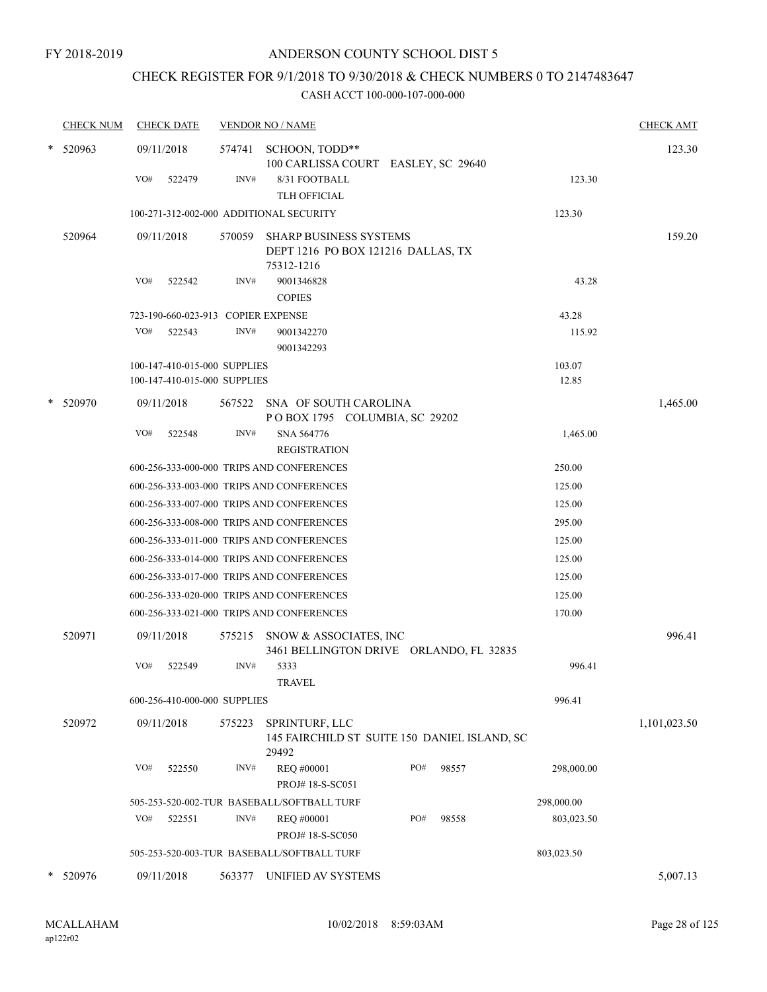# CHECK REGISTER FOR 9/1/2018 TO 9/30/2018 & CHECK NUMBERS 0 TO 2147483647

|   | <b>CHECK NUM</b> | <b>CHECK DATE</b>                         |        | <b>VENDOR NO / NAME</b>                                                                       |                                              |            | <b>CHECK AMT</b> |
|---|------------------|-------------------------------------------|--------|-----------------------------------------------------------------------------------------------|----------------------------------------------|------------|------------------|
|   | $*$ 520963       | 09/11/2018<br>VO#<br>522479               | INV#   | 574741 SCHOON, TODD**<br>100 CARLISSA COURT EASLEY, SC 29640<br>8/31 FOOTBALL<br>TLH OFFICIAL |                                              | 123.30     | 123.30           |
|   |                  | 100-271-312-002-000 ADDITIONAL SECURITY   |        |                                                                                               |                                              | 123.30     |                  |
|   | 520964           | 09/11/2018                                | 570059 | <b>SHARP BUSINESS SYSTEMS</b><br>DEPT 1216 PO BOX 121216 DALLAS, TX<br>75312-1216             |                                              |            | 159.20           |
|   |                  | VO#<br>522542                             | INV#   | 9001346828<br><b>COPIES</b>                                                                   |                                              | 43.28      |                  |
|   |                  | 723-190-660-023-913 COPIER EXPENSE        |        |                                                                                               |                                              | 43.28      |                  |
|   |                  | VO#<br>522543                             | INV#   | 9001342270<br>9001342293                                                                      |                                              | 115.92     |                  |
|   |                  | 100-147-410-015-000 SUPPLIES              |        |                                                                                               |                                              | 103.07     |                  |
|   |                  | 100-147-410-015-000 SUPPLIES              |        |                                                                                               |                                              | 12.85      |                  |
| * | 520970           | 09/11/2018                                |        | 567522 SNA OF SOUTH CAROLINA<br>POBOX 1795 COLUMBIA, SC 29202                                 |                                              |            | 1,465.00         |
|   |                  | VO#<br>522548                             | INV#   | SNA 564776<br><b>REGISTRATION</b>                                                             |                                              | 1,465.00   |                  |
|   |                  | 600-256-333-000-000 TRIPS AND CONFERENCES |        |                                                                                               |                                              | 250.00     |                  |
|   |                  |                                           |        | 600-256-333-003-000 TRIPS AND CONFERENCES                                                     |                                              | 125.00     |                  |
|   |                  |                                           |        | 600-256-333-007-000 TRIPS AND CONFERENCES                                                     |                                              | 125.00     |                  |
|   |                  |                                           |        | 600-256-333-008-000 TRIPS AND CONFERENCES                                                     |                                              | 295.00     |                  |
|   |                  | 600-256-333-011-000 TRIPS AND CONFERENCES |        |                                                                                               |                                              | 125.00     |                  |
|   |                  |                                           |        | 600-256-333-014-000 TRIPS AND CONFERENCES                                                     |                                              | 125.00     |                  |
|   |                  |                                           |        | 600-256-333-017-000 TRIPS AND CONFERENCES                                                     |                                              | 125.00     |                  |
|   |                  |                                           |        | 600-256-333-020-000 TRIPS AND CONFERENCES                                                     |                                              | 125.00     |                  |
|   |                  |                                           |        | 600-256-333-021-000 TRIPS AND CONFERENCES                                                     |                                              | 170.00     |                  |
|   | 520971           | 09/11/2018                                |        | 575215 SNOW & ASSOCIATES, INC                                                                 | 3461 BELLINGTON DRIVE ORLANDO, FL 32835      |            | 996.41           |
|   |                  | VO#<br>522549                             | INV#   | 5333<br><b>TRAVEL</b>                                                                         |                                              | 996.41     |                  |
|   |                  | 600-256-410-000-000 SUPPLIES              |        |                                                                                               |                                              | 996.41     |                  |
|   | 520972           | 09/11/2018                                | 575223 | SPRINTURF, LLC<br>29492                                                                       | 145 FAIRCHILD ST SUITE 150 DANIEL ISLAND, SC |            | 1,101,023.50     |
|   |                  | VO#<br>522550                             | INV#   | REQ #00001<br>PROJ#18-S-SC051                                                                 | PO#<br>98557                                 | 298,000.00 |                  |
|   |                  |                                           |        | 505-253-520-002-TUR BASEBALL/SOFTBALL TURF                                                    |                                              | 298,000.00 |                  |
|   |                  | VO#<br>522551                             | INV#   | REQ #00001<br>PROJ# 18-S-SC050                                                                | PO#<br>98558                                 | 803,023.50 |                  |
|   |                  |                                           |        | 505-253-520-003-TUR BASEBALL/SOFTBALL TURF                                                    |                                              | 803,023.50 |                  |
|   |                  |                                           |        |                                                                                               |                                              |            |                  |
|   | * 520976         | 09/11/2018                                | 563377 | UNIFIED AV SYSTEMS                                                                            |                                              |            | 5,007.13         |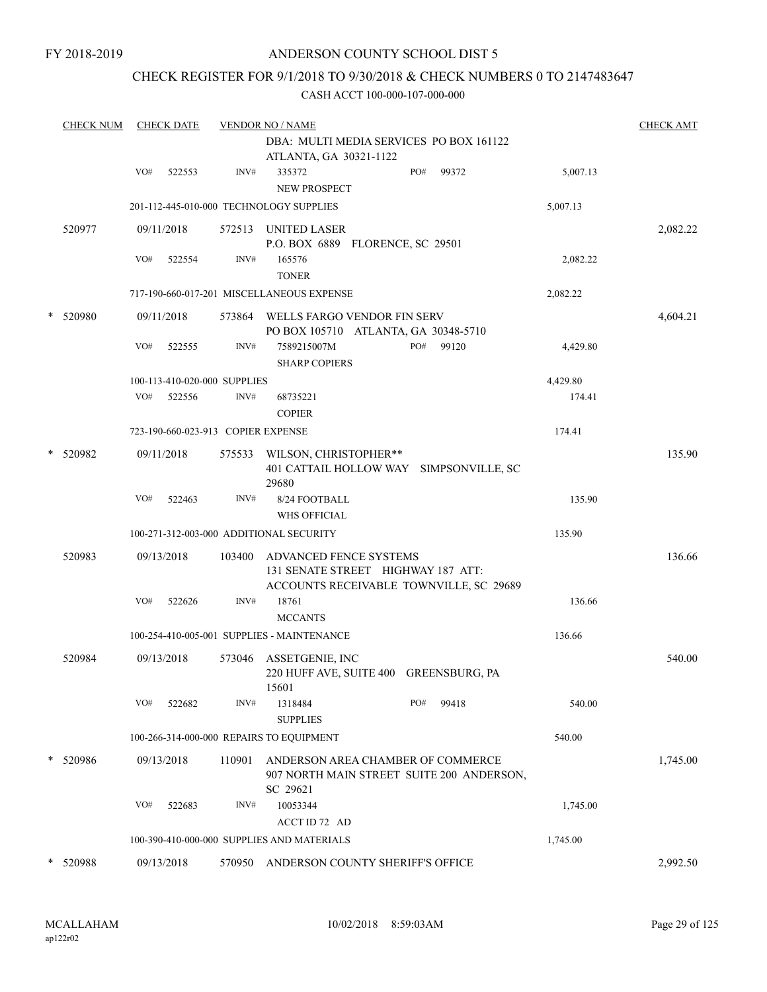FY 2018-2019

# ANDERSON COUNTY SCHOOL DIST 5

# CHECK REGISTER FOR 9/1/2018 TO 9/30/2018 & CHECK NUMBERS 0 TO 2147483647

| <b>CHECK NUM</b> |     |        |                                                                                                                     |                                                                                            | <b>CHECK AMT</b>                                                                                                                                                                                                                                                                                                                                                                                                                                                                                                                 |
|------------------|-----|--------|---------------------------------------------------------------------------------------------------------------------|--------------------------------------------------------------------------------------------|----------------------------------------------------------------------------------------------------------------------------------------------------------------------------------------------------------------------------------------------------------------------------------------------------------------------------------------------------------------------------------------------------------------------------------------------------------------------------------------------------------------------------------|
|                  |     |        |                                                                                                                     | DBA: MULTI MEDIA SERVICES PO BOX 161122                                                    |                                                                                                                                                                                                                                                                                                                                                                                                                                                                                                                                  |
|                  |     |        |                                                                                                                     | ATLANTA, GA 30321-1122                                                                     |                                                                                                                                                                                                                                                                                                                                                                                                                                                                                                                                  |
|                  | VO# | 522553 | INV#                                                                                                                | PO#<br>335372<br>99372<br>5,007.13<br><b>NEW PROSPECT</b>                                  |                                                                                                                                                                                                                                                                                                                                                                                                                                                                                                                                  |
|                  |     |        |                                                                                                                     | 5,007.13                                                                                   |                                                                                                                                                                                                                                                                                                                                                                                                                                                                                                                                  |
| 520977           |     |        | 572513                                                                                                              | UNITED LASER                                                                               | 2,082.22                                                                                                                                                                                                                                                                                                                                                                                                                                                                                                                         |
|                  | VO# | 522554 | INV#                                                                                                                | 165576<br>2,082.22<br><b>TONER</b>                                                         |                                                                                                                                                                                                                                                                                                                                                                                                                                                                                                                                  |
|                  |     |        |                                                                                                                     | 2,082.22                                                                                   |                                                                                                                                                                                                                                                                                                                                                                                                                                                                                                                                  |
| 520980           |     |        |                                                                                                                     | PO BOX 105710 ATLANTA, GA 30348-5710                                                       | 4,604.21                                                                                                                                                                                                                                                                                                                                                                                                                                                                                                                         |
|                  | VO# | 522555 | INV#                                                                                                                | 7589215007M<br>PO#<br>99120<br>4,429.80<br><b>SHARP COPIERS</b>                            |                                                                                                                                                                                                                                                                                                                                                                                                                                                                                                                                  |
|                  |     |        |                                                                                                                     | 4,429.80                                                                                   |                                                                                                                                                                                                                                                                                                                                                                                                                                                                                                                                  |
|                  | VO# | 522556 | INV#                                                                                                                | 174.41<br>68735221<br><b>COPIER</b>                                                        |                                                                                                                                                                                                                                                                                                                                                                                                                                                                                                                                  |
|                  |     |        |                                                                                                                     | 174.41                                                                                     |                                                                                                                                                                                                                                                                                                                                                                                                                                                                                                                                  |
| * 520982         |     |        | 575533                                                                                                              | WILSON, CHRISTOPHER**<br>401 CATTAIL HOLLOW WAY SIMPSONVILLE, SC                           | 135.90                                                                                                                                                                                                                                                                                                                                                                                                                                                                                                                           |
|                  | VO# | 522463 | INV#                                                                                                                | 8/24 FOOTBALL<br>135.90<br><b>WHS OFFICIAL</b>                                             |                                                                                                                                                                                                                                                                                                                                                                                                                                                                                                                                  |
|                  |     |        |                                                                                                                     | 135.90                                                                                     |                                                                                                                                                                                                                                                                                                                                                                                                                                                                                                                                  |
| 520983           |     |        | 103400                                                                                                              | ADVANCED FENCE SYSTEMS<br>131 SENATE STREET HIGHWAY 187 ATT:                               | 136.66                                                                                                                                                                                                                                                                                                                                                                                                                                                                                                                           |
|                  | VO# | 522626 | INV#                                                                                                                | 18761<br>136.66<br><b>MCCANTS</b>                                                          |                                                                                                                                                                                                                                                                                                                                                                                                                                                                                                                                  |
|                  |     |        |                                                                                                                     | 136.66                                                                                     |                                                                                                                                                                                                                                                                                                                                                                                                                                                                                                                                  |
| 520984           |     |        | 573046                                                                                                              | ASSETGENIE, INC<br>220 HUFF AVE, SUITE 400 GREENSBURG, PA                                  | 540.00                                                                                                                                                                                                                                                                                                                                                                                                                                                                                                                           |
|                  | VO# | 522682 | INV#                                                                                                                | 1318484<br>PO#<br>99418<br>540.00<br><b>SUPPLIES</b>                                       |                                                                                                                                                                                                                                                                                                                                                                                                                                                                                                                                  |
|                  |     |        |                                                                                                                     | 540.00                                                                                     |                                                                                                                                                                                                                                                                                                                                                                                                                                                                                                                                  |
| 520986           |     |        | 110901                                                                                                              | ANDERSON AREA CHAMBER OF COMMERCE<br>907 NORTH MAIN STREET SUITE 200 ANDERSON,<br>SC 29621 | 1,745.00                                                                                                                                                                                                                                                                                                                                                                                                                                                                                                                         |
|                  | VO# | 522683 | INV#                                                                                                                | 10053344<br>1,745.00                                                                       |                                                                                                                                                                                                                                                                                                                                                                                                                                                                                                                                  |
|                  |     |        |                                                                                                                     | 1,745.00                                                                                   |                                                                                                                                                                                                                                                                                                                                                                                                                                                                                                                                  |
| 520988           |     |        | 570950                                                                                                              | ANDERSON COUNTY SHERIFF'S OFFICE                                                           | 2,992.50                                                                                                                                                                                                                                                                                                                                                                                                                                                                                                                         |
|                  |     |        | <b>CHECK DATE</b><br>09/11/2018<br>09/11/2018<br>09/11/2018<br>09/13/2018<br>09/13/2018<br>09/13/2018<br>09/13/2018 |                                                                                            | <b>VENDOR NO / NAME</b><br>201-112-445-010-000 TECHNOLOGY SUPPLIES<br>P.O. BOX 6889 FLORENCE, SC 29501<br>717-190-660-017-201 MISCELLANEOUS EXPENSE<br>573864 WELLS FARGO VENDOR FIN SERV<br>100-113-410-020-000 SUPPLIES<br>723-190-660-023-913 COPIER EXPENSE<br>29680<br>100-271-312-003-000 ADDITIONAL SECURITY<br>ACCOUNTS RECEIVABLE TOWNVILLE, SC 29689<br>100-254-410-005-001 SUPPLIES - MAINTENANCE<br>15601<br>100-266-314-000-000 REPAIRS TO EQUIPMENT<br>ACCT ID 72 AD<br>100-390-410-000-000 SUPPLIES AND MATERIALS |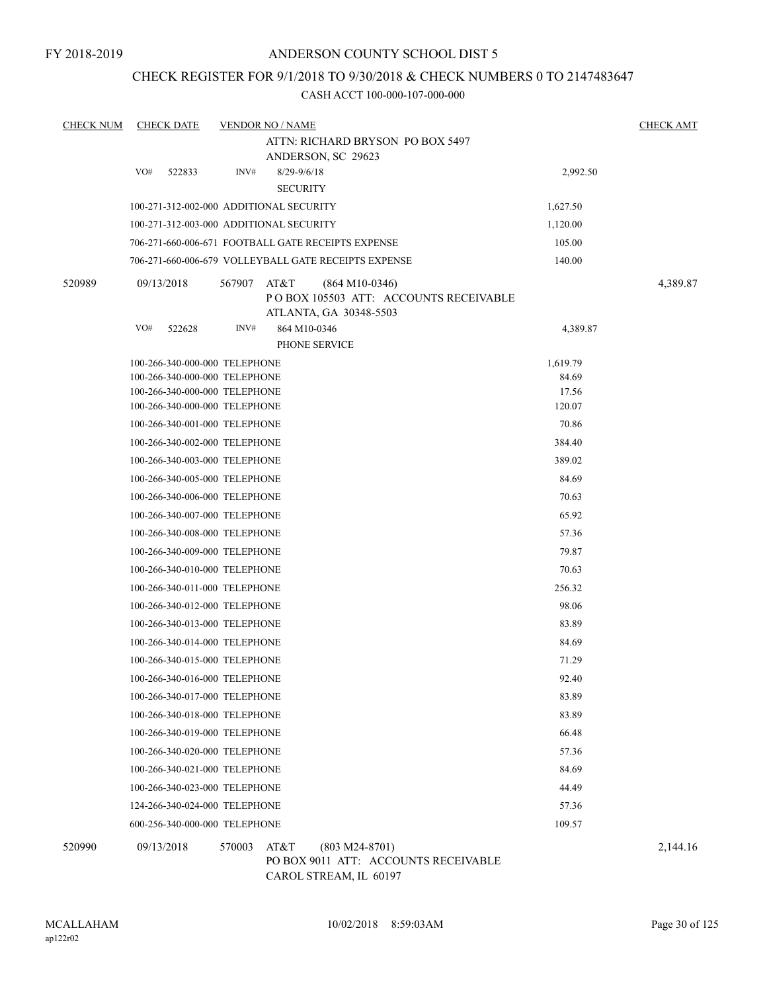# CHECK REGISTER FOR 9/1/2018 TO 9/30/2018 & CHECK NUMBERS 0 TO 2147483647

CASH ACCT 100-000-107-000-000

| <b>CHECK NUM</b> | <b>CHECK DATE</b>                                              | <b>VENDOR NO / NAME</b>                 |                                                                                      |                 | <b>CHECK AMT</b> |
|------------------|----------------------------------------------------------------|-----------------------------------------|--------------------------------------------------------------------------------------|-----------------|------------------|
|                  |                                                                |                                         | ATTN: RICHARD BRYSON PO BOX 5497                                                     |                 |                  |
|                  |                                                                |                                         | ANDERSON, SC 29623                                                                   |                 |                  |
|                  | VO#<br>522833                                                  | INV#                                    | $8/29 - 9/6/18$<br><b>SECURITY</b>                                                   | 2,992.50        |                  |
|                  |                                                                | 100-271-312-002-000 ADDITIONAL SECURITY |                                                                                      | 1,627.50        |                  |
|                  |                                                                | 100-271-312-003-000 ADDITIONAL SECURITY |                                                                                      | 1,120.00        |                  |
|                  |                                                                |                                         | 706-271-660-006-671 FOOTBALL GATE RECEIPTS EXPENSE                                   | 105.00          |                  |
|                  |                                                                |                                         | 706-271-660-006-679 VOLLEYBALL GATE RECEIPTS EXPENSE                                 | 140.00          |                  |
| 520989           | 09/13/2018                                                     | 567907<br>AT&T                          | $(864 M10-0346)$<br>PO BOX 105503 ATT: ACCOUNTS RECEIVABLE<br>ATLANTA, GA 30348-5503 |                 | 4,389.87         |
|                  | VO#<br>522628                                                  | INV#                                    | 864 M10-0346                                                                         | 4,389.87        |                  |
|                  |                                                                |                                         | PHONE SERVICE                                                                        |                 |                  |
|                  | 100-266-340-000-000 TELEPHONE                                  |                                         |                                                                                      | 1,619.79        |                  |
|                  | 100-266-340-000-000 TELEPHONE                                  |                                         |                                                                                      | 84.69           |                  |
|                  | 100-266-340-000-000 TELEPHONE                                  |                                         |                                                                                      | 17.56           |                  |
|                  | 100-266-340-000-000 TELEPHONE<br>100-266-340-001-000 TELEPHONE |                                         |                                                                                      | 120.07<br>70.86 |                  |
|                  | 100-266-340-002-000 TELEPHONE                                  |                                         |                                                                                      | 384.40          |                  |
|                  | 100-266-340-003-000 TELEPHONE                                  |                                         |                                                                                      | 389.02          |                  |
|                  | 100-266-340-005-000 TELEPHONE                                  |                                         |                                                                                      | 84.69           |                  |
|                  | 100-266-340-006-000 TELEPHONE                                  |                                         |                                                                                      | 70.63           |                  |
|                  | 100-266-340-007-000 TELEPHONE                                  |                                         |                                                                                      | 65.92           |                  |
|                  | 100-266-340-008-000 TELEPHONE                                  |                                         |                                                                                      | 57.36           |                  |
|                  | 100-266-340-009-000 TELEPHONE                                  |                                         |                                                                                      | 79.87           |                  |
|                  | 100-266-340-010-000 TELEPHONE                                  |                                         |                                                                                      | 70.63           |                  |
|                  | 100-266-340-011-000 TELEPHONE                                  |                                         |                                                                                      | 256.32          |                  |
|                  | 100-266-340-012-000 TELEPHONE                                  |                                         |                                                                                      | 98.06           |                  |
|                  | 100-266-340-013-000 TELEPHONE                                  |                                         |                                                                                      | 83.89           |                  |
|                  | 100-266-340-014-000 TELEPHONE                                  |                                         |                                                                                      | 84.69           |                  |
|                  | 100-266-340-015-000 TELEPHONE                                  |                                         |                                                                                      | 71.29           |                  |
|                  | 100-266-340-016-000 TELEPHONE                                  |                                         |                                                                                      | 92.40           |                  |
|                  | 100-266-340-017-000 TELEPHONE                                  |                                         |                                                                                      | 83.89           |                  |
|                  | 100-266-340-018-000 TELEPHONE                                  |                                         |                                                                                      | 83.89           |                  |
|                  | 100-266-340-019-000 TELEPHONE                                  |                                         |                                                                                      | 66.48           |                  |
|                  | 100-266-340-020-000 TELEPHONE                                  |                                         |                                                                                      | 57.36           |                  |
|                  | 100-266-340-021-000 TELEPHONE                                  |                                         |                                                                                      | 84.69           |                  |
|                  | 100-266-340-023-000 TELEPHONE                                  |                                         |                                                                                      | 44.49           |                  |
|                  | 124-266-340-024-000 TELEPHONE                                  |                                         |                                                                                      | 57.36           |                  |
|                  | 600-256-340-000-000 TELEPHONE                                  |                                         |                                                                                      | 109.57          |                  |
| 520990           | 09/13/2018                                                     | AT&T<br>570003                          | $(803 M24-8701)$<br>PO BOX 9011 ATT: ACCOUNTS RECEIVABLE<br>CAROL STREAM, IL 60197   |                 | 2,144.16         |

ap122r02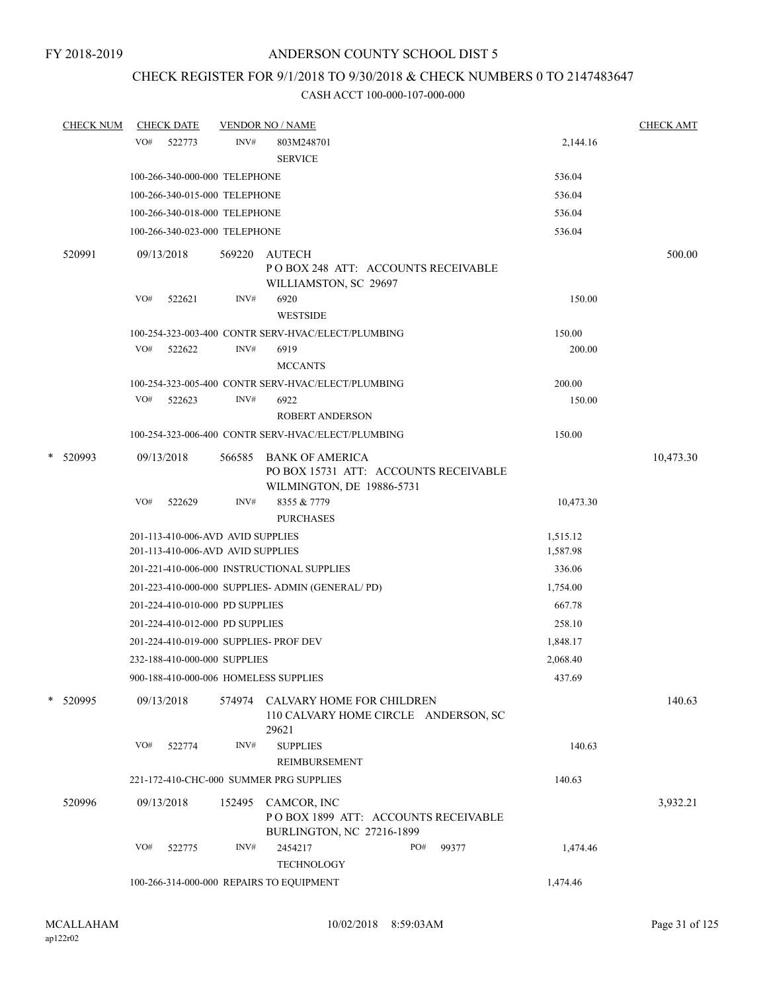# CHECK REGISTER FOR 9/1/2018 TO 9/30/2018 & CHECK NUMBERS 0 TO 2147483647

| <b>CHECK NUM</b> | <b>CHECK DATE</b>                      |        | <b>VENDOR NO / NAME</b>                                                                      |     |       |           | <b>CHECK AMT</b> |
|------------------|----------------------------------------|--------|----------------------------------------------------------------------------------------------|-----|-------|-----------|------------------|
|                  | VO#<br>522773                          | INV#   | 803M248701                                                                                   |     |       | 2,144.16  |                  |
|                  |                                        |        | <b>SERVICE</b>                                                                               |     |       |           |                  |
|                  | 100-266-340-000-000 TELEPHONE          |        |                                                                                              |     |       | 536.04    |                  |
|                  | 100-266-340-015-000 TELEPHONE          |        |                                                                                              |     |       | 536.04    |                  |
|                  | 100-266-340-018-000 TELEPHONE          |        |                                                                                              |     |       | 536.04    |                  |
|                  | 100-266-340-023-000 TELEPHONE          |        |                                                                                              |     |       | 536.04    |                  |
| 520991           | 09/13/2018                             |        | 569220 AUTECH                                                                                |     |       |           | 500.00           |
|                  |                                        |        | POBOX 248 ATT: ACCOUNTS RECEIVABLE<br>WILLIAMSTON, SC 29697                                  |     |       |           |                  |
|                  | VO#<br>522621                          | INV#   | 6920<br><b>WESTSIDE</b>                                                                      |     |       | 150.00    |                  |
|                  |                                        |        | 100-254-323-003-400 CONTR SERV-HVAC/ELECT/PLUMBING                                           |     |       | 150.00    |                  |
|                  | VO# 522622                             | INV#   | 6919                                                                                         |     |       | 200.00    |                  |
|                  |                                        |        | <b>MCCANTS</b>                                                                               |     |       |           |                  |
|                  |                                        |        | 100-254-323-005-400 CONTR SERV-HVAC/ELECT/PLUMBING                                           |     |       | 200.00    |                  |
|                  | VO#<br>522623                          | INV#   | 6922<br><b>ROBERT ANDERSON</b>                                                               |     |       | 150.00    |                  |
|                  |                                        |        | 100-254-323-006-400 CONTR SERV-HVAC/ELECT/PLUMBING                                           |     |       | 150.00    |                  |
| $*$ 520993       | 09/13/2018                             | 566585 | <b>BANK OF AMERICA</b><br>PO BOX 15731 ATT: ACCOUNTS RECEIVABLE<br>WILMINGTON, DE 19886-5731 |     |       |           | 10,473.30        |
|                  | VO#<br>522629                          | INV#   | 8355 & 7779<br><b>PURCHASES</b>                                                              |     |       | 10,473.30 |                  |
|                  | 201-113-410-006-AVD AVID SUPPLIES      |        |                                                                                              |     |       | 1,515.12  |                  |
|                  | 201-113-410-006-AVD AVID SUPPLIES      |        |                                                                                              |     |       | 1,587.98  |                  |
|                  |                                        |        | 201-221-410-006-000 INSTRUCTIONAL SUPPLIES                                                   |     |       | 336.06    |                  |
|                  |                                        |        | 201-223-410-000-000 SUPPLIES- ADMIN (GENERAL/PD)                                             |     |       | 1,754.00  |                  |
|                  | 201-224-410-010-000 PD SUPPLIES        |        |                                                                                              |     |       | 667.78    |                  |
|                  | 201-224-410-012-000 PD SUPPLIES        |        |                                                                                              |     |       | 258.10    |                  |
|                  | 201-224-410-019-000 SUPPLIES- PROF DEV |        |                                                                                              |     |       | 1,848.17  |                  |
|                  | 232-188-410-000-000 SUPPLIES           |        |                                                                                              |     |       | 2,068.40  |                  |
|                  | 900-188-410-000-006 HOMELESS SUPPLIES  |        |                                                                                              |     |       | 437.69    |                  |
| * 520995         | 09/13/2018                             | 574974 | CALVARY HOME FOR CHILDREN<br>110 CALVARY HOME CIRCLE ANDERSON, SC<br>29621                   |     |       |           | 140.63           |
|                  | VO#<br>522774                          | INV#   | <b>SUPPLIES</b>                                                                              |     |       | 140.63    |                  |
|                  |                                        |        | REIMBURSEMENT                                                                                |     |       |           |                  |
|                  |                                        |        | 221-172-410-CHC-000 SUMMER PRG SUPPLIES                                                      |     |       | 140.63    |                  |
| 520996           | 09/13/2018                             | 152495 | CAMCOR, INC<br>POBOX 1899 ATT: ACCOUNTS RECEIVABLE<br>BURLINGTON, NC 27216-1899              |     |       |           | 3,932.21         |
|                  | VO#<br>522775                          | INV#   | 2454217<br><b>TECHNOLOGY</b>                                                                 | PO# | 99377 | 1,474.46  |                  |
|                  |                                        |        | 100-266-314-000-000 REPAIRS TO EQUIPMENT                                                     |     |       | 1,474.46  |                  |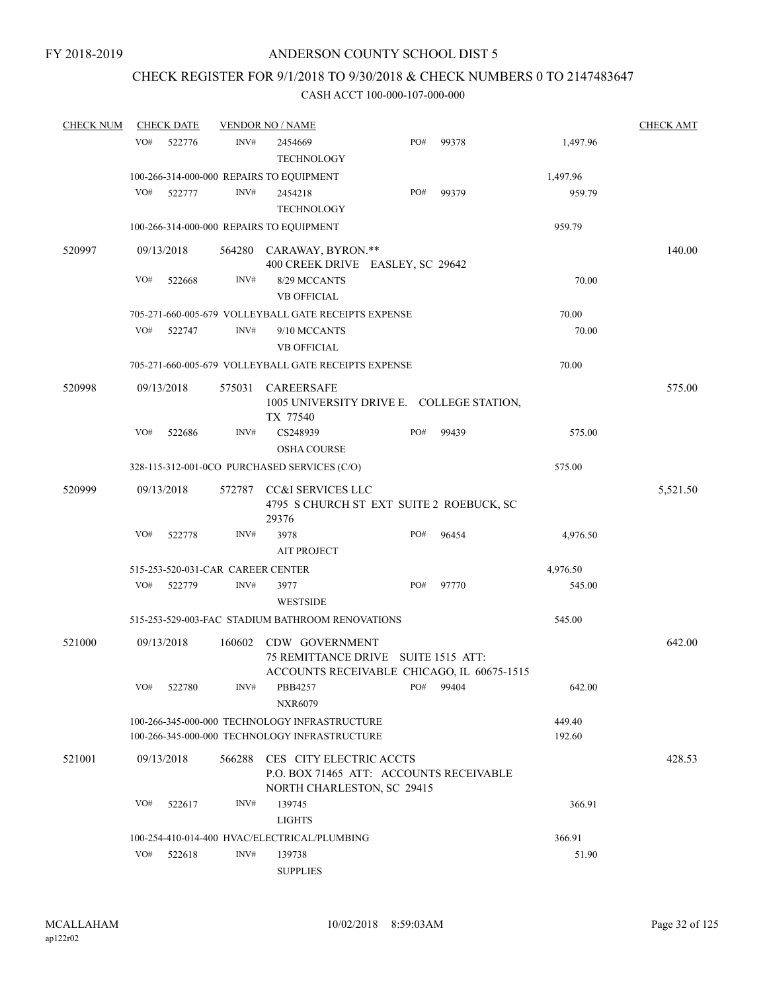# CHECK REGISTER FOR 9/1/2018 TO 9/30/2018 & CHECK NUMBERS 0 TO 2147483647

| <b>CHECK NUM</b> |     | <b>CHECK DATE</b> |                                   | <b>VENDOR NO / NAME</b>                                                                             |     |       |                  | <b>CHECK AMT</b> |
|------------------|-----|-------------------|-----------------------------------|-----------------------------------------------------------------------------------------------------|-----|-------|------------------|------------------|
|                  | VO# | 522776            | INV#                              | 2454669<br><b>TECHNOLOGY</b>                                                                        | PO# | 99378 | 1,497.96         |                  |
|                  |     |                   |                                   | 100-266-314-000-000 REPAIRS TO EQUIPMENT                                                            |     |       | 1,497.96         |                  |
|                  | VO# | 522777            | INV#                              | 2454218<br><b>TECHNOLOGY</b>                                                                        | PO# | 99379 | 959.79           |                  |
|                  |     |                   |                                   | 100-266-314-000-000 REPAIRS TO EQUIPMENT                                                            |     |       | 959.79           |                  |
| 520997           |     | 09/13/2018        |                                   | 564280 CARAWAY, BYRON.**<br>400 CREEK DRIVE EASLEY, SC 29642                                        |     |       |                  | 140.00           |
|                  | VO# | 522668            | INV#                              | 8/29 MCCANTS<br><b>VB OFFICIAL</b>                                                                  |     |       | 70.00            |                  |
|                  |     |                   |                                   | 705-271-660-005-679 VOLLEYBALL GATE RECEIPTS EXPENSE                                                |     |       | 70.00            |                  |
|                  | VO# | 522747            | INV#                              | 9/10 MCCANTS<br><b>VB OFFICIAL</b>                                                                  |     |       | 70.00            |                  |
|                  |     |                   |                                   | 705-271-660-005-679 VOLLEYBALL GATE RECEIPTS EXPENSE                                                |     |       | 70.00            |                  |
| 520998           |     | 09/13/2018        | 575031                            | <b>CAREERSAFE</b><br>1005 UNIVERSITY DRIVE E. COLLEGE STATION,<br>TX 77540                          |     |       |                  | 575.00           |
|                  | VO# | 522686            | INV#                              | CS248939<br><b>OSHA COURSE</b>                                                                      | PO# | 99439 | 575.00           |                  |
|                  |     |                   |                                   | 328-115-312-001-0CO PURCHASED SERVICES (C/O)                                                        |     |       | 575.00           |                  |
| 520999           |     | 09/13/2018        | 572787                            | CC&I SERVICES LLC<br>4795 S CHURCH ST EXT SUITE 2 ROEBUCK, SC<br>29376                              |     |       |                  | 5,521.50         |
|                  | VO# | 522778            | INV#                              | 3978<br><b>AIT PROJECT</b>                                                                          | PO# | 96454 | 4,976.50         |                  |
|                  |     |                   | 515-253-520-031-CAR CAREER CENTER |                                                                                                     |     |       | 4,976.50         |                  |
|                  | VO# | 522779            | INV#                              | 3977<br><b>WESTSIDE</b>                                                                             | PO# | 97770 | 545.00           |                  |
|                  |     |                   |                                   | 515-253-529-003-FAC STADIUM BATHROOM RENOVATIONS                                                    |     |       | 545.00           |                  |
| 521000           |     | 09/13/2018        | 160602                            | CDW GOVERNMENT<br>75 REMITTANCE DRIVE SUITE 1515 ATT:<br>ACCOUNTS RECEIVABLE CHICAGO, IL 60675-1515 |     |       |                  | 642.00           |
|                  | VO# | 522780            | INV#                              | PBB4257<br><b>NXR6079</b>                                                                           | PO# | 99404 | 642.00           |                  |
|                  |     |                   |                                   | 100-266-345-000-000 TECHNOLOGY INFRASTRUCTURE<br>100-266-345-000-000 TECHNOLOGY INFRASTRUCTURE      |     |       | 449.40<br>192.60 |                  |
| 521001           |     | 09/13/2018        | 566288                            | CES CITY ELECTRIC ACCTS<br>P.O. BOX 71465 ATT: ACCOUNTS RECEIVABLE<br>NORTH CHARLESTON, SC 29415    |     |       |                  | 428.53           |
|                  | VO# | 522617            | INV#                              | 139745<br><b>LIGHTS</b>                                                                             |     |       | 366.91           |                  |
|                  |     |                   |                                   | 100-254-410-014-400 HVAC/ELECTRICAL/PLUMBING                                                        |     |       | 366.91           |                  |
|                  | VO# | 522618            | INV#                              | 139738<br><b>SUPPLIES</b>                                                                           |     |       | 51.90            |                  |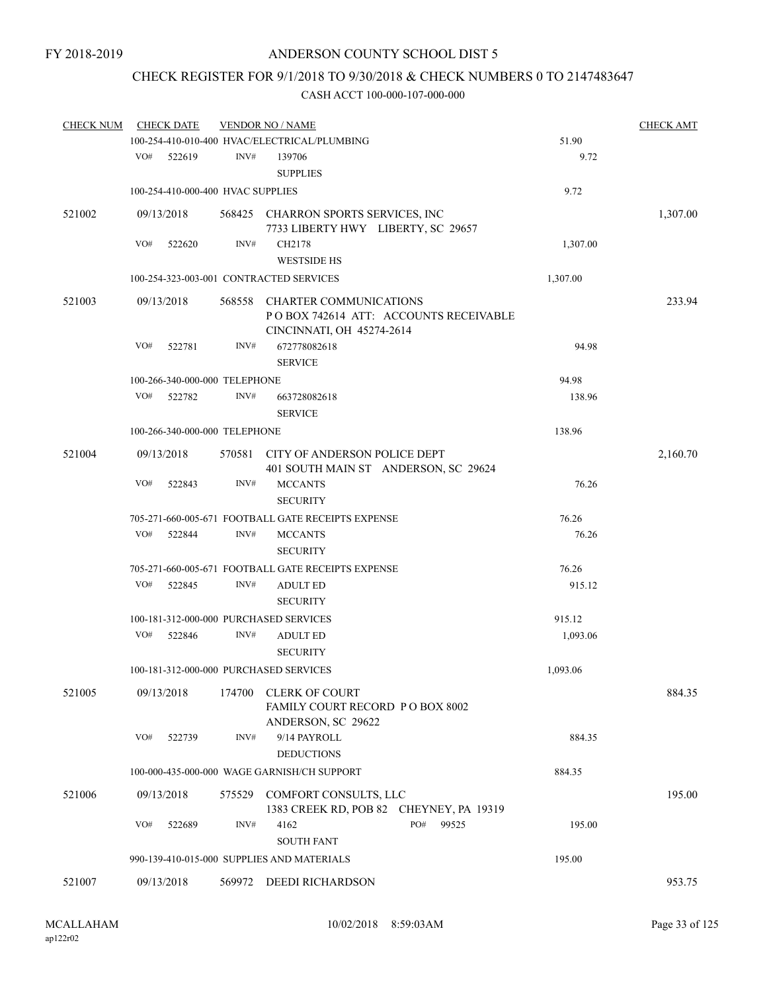# CHECK REGISTER FOR 9/1/2018 TO 9/30/2018 & CHECK NUMBERS 0 TO 2147483647

| <b>CHECK NUM</b> |     | <b>CHECK DATE</b>                 |        | <b>VENDOR NO / NAME</b>                                                                              |          | <b>CHECK AMT</b> |
|------------------|-----|-----------------------------------|--------|------------------------------------------------------------------------------------------------------|----------|------------------|
|                  |     |                                   |        | 100-254-410-010-400 HVAC/ELECTRICAL/PLUMBING                                                         | 51.90    |                  |
|                  | VO# | 522619                            | INV#   | 139706                                                                                               | 9.72     |                  |
|                  |     |                                   |        | <b>SUPPLIES</b>                                                                                      |          |                  |
|                  |     | 100-254-410-000-400 HVAC SUPPLIES |        |                                                                                                      | 9.72     |                  |
| 521002           |     | 09/13/2018                        |        | 568425 CHARRON SPORTS SERVICES, INC<br>7733 LIBERTY HWY LIBERTY, SC 29657                            |          | 1,307.00         |
|                  | VO# | 522620                            | INV#   | CH2178<br><b>WESTSIDE HS</b>                                                                         | 1,307.00 |                  |
|                  |     |                                   |        | 100-254-323-003-001 CONTRACTED SERVICES                                                              | 1,307.00 |                  |
| 521003           |     | 09/13/2018                        | 568558 | <b>CHARTER COMMUNICATIONS</b><br>PO BOX 742614 ATT: ACCOUNTS RECEIVABLE<br>CINCINNATI, OH 45274-2614 |          | 233.94           |
|                  | VO# | 522781                            | INV#   | 672778082618<br><b>SERVICE</b>                                                                       | 94.98    |                  |
|                  |     | 100-266-340-000-000 TELEPHONE     |        |                                                                                                      | 94.98    |                  |
|                  | VO# | 522782                            | INV#   | 663728082618                                                                                         | 138.96   |                  |
|                  |     |                                   |        | <b>SERVICE</b>                                                                                       |          |                  |
|                  |     | 100-266-340-000-000 TELEPHONE     |        |                                                                                                      | 138.96   |                  |
|                  |     |                                   |        |                                                                                                      |          |                  |
| 521004           |     | 09/13/2018                        | 570581 | CITY OF ANDERSON POLICE DEPT<br>401 SOUTH MAIN ST ANDERSON, SC 29624                                 |          | 2,160.70         |
|                  | VO# | 522843                            | INV#   | <b>MCCANTS</b>                                                                                       | 76.26    |                  |
|                  |     |                                   |        | <b>SECURITY</b>                                                                                      |          |                  |
|                  |     |                                   |        | 705-271-660-005-671 FOOTBALL GATE RECEIPTS EXPENSE                                                   | 76.26    |                  |
|                  | VO# | 522844                            | INV#   | <b>MCCANTS</b><br><b>SECURITY</b>                                                                    | 76.26    |                  |
|                  |     |                                   |        | 705-271-660-005-671 FOOTBALL GATE RECEIPTS EXPENSE                                                   | 76.26    |                  |
|                  | VO# | 522845                            | INV#   | <b>ADULT ED</b><br><b>SECURITY</b>                                                                   | 915.12   |                  |
|                  |     |                                   |        | 100-181-312-000-000 PURCHASED SERVICES                                                               | 915.12   |                  |
|                  | VO# | 522846                            | INV#   | <b>ADULT ED</b><br><b>SECURITY</b>                                                                   | 1,093.06 |                  |
|                  |     |                                   |        | 100-181-312-000-000 PURCHASED SERVICES                                                               | 1,093.06 |                  |
| 521005           |     | 09/13/2018                        | 174700 | <b>CLERK OF COURT</b><br>FAMILY COURT RECORD P O BOX 8002<br>ANDERSON, SC 29622                      |          | 884.35           |
|                  | VO# | 522739                            | INV#   | 9/14 PAYROLL<br><b>DEDUCTIONS</b>                                                                    | 884.35   |                  |
|                  |     |                                   |        | 100-000-435-000-000 WAGE GARNISH/CH SUPPORT                                                          | 884.35   |                  |
| 521006           |     | 09/13/2018                        |        | 575529 COMFORT CONSULTS, LLC<br>1383 CREEK RD, POB 82 CHEYNEY, PA 19319                              |          | 195.00           |
|                  | VO# | 522689                            | INV#   | PO#<br>4162<br>99525<br><b>SOUTH FANT</b>                                                            | 195.00   |                  |
|                  |     |                                   |        | 990-139-410-015-000 SUPPLIES AND MATERIALS                                                           | 195.00   |                  |
|                  |     |                                   |        |                                                                                                      |          | 953.75           |
| 521007           |     | 09/13/2018                        |        | 569972 DEEDI RICHARDSON                                                                              |          |                  |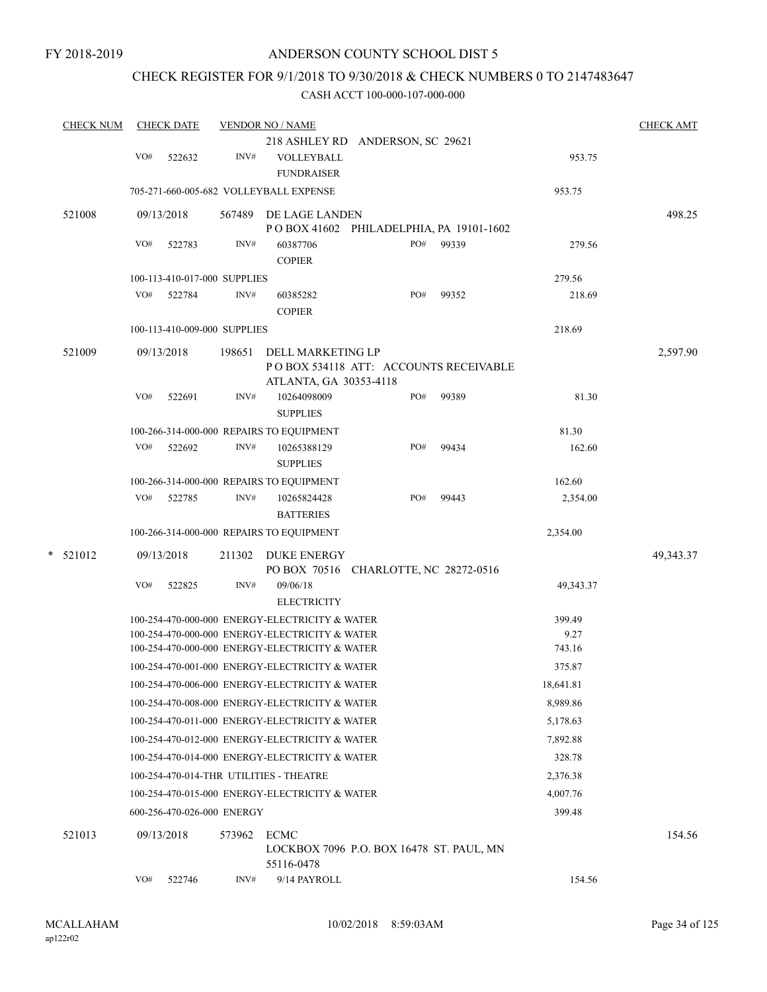# CHECK REGISTER FOR 9/1/2018 TO 9/30/2018 & CHECK NUMBERS 0 TO 2147483647

| <b>CHECK NUM</b> |     | <b>CHECK DATE</b>            |        | <b>VENDOR NO / NAME</b>                                         |                             |       |           | <b>CHECK AMT</b> |
|------------------|-----|------------------------------|--------|-----------------------------------------------------------------|-----------------------------|-------|-----------|------------------|
|                  |     |                              |        | 218 ASHLEY RD ANDERSON, SC 29621                                |                             |       |           |                  |
|                  | VO# | 522632                       | INV#   | VOLLEYBALL<br><b>FUNDRAISER</b>                                 |                             |       | 953.75    |                  |
|                  |     |                              |        | 705-271-660-005-682 VOLLEYBALL EXPENSE                          |                             |       | 953.75    |                  |
| 521008           |     | 09/13/2018                   | 567489 | DE LAGE LANDEN                                                  |                             |       |           | 498.25           |
|                  |     |                              |        | PO BOX 41602                                                    | PHILADELPHIA, PA 19101-1602 |       |           |                  |
|                  | VO# | 522783                       | INV#   | 60387706<br><b>COPIER</b>                                       | PO#                         | 99339 | 279.56    |                  |
|                  |     | 100-113-410-017-000 SUPPLIES |        |                                                                 |                             |       | 279.56    |                  |
|                  | VO# | 522784                       | INV#   | 60385282                                                        | PO#                         | 99352 | 218.69    |                  |
|                  |     |                              |        | <b>COPIER</b>                                                   |                             |       |           |                  |
|                  |     | 100-113-410-009-000 SUPPLIES |        |                                                                 |                             |       | 218.69    |                  |
| 521009           |     | 09/13/2018                   | 198651 | DELL MARKETING LP                                               |                             |       |           | 2,597.90         |
|                  |     |                              |        | POBOX 534118 ATT: ACCOUNTS RECEIVABLE<br>ATLANTA, GA 30353-4118 |                             |       |           |                  |
|                  | VO# | 522691                       | INV#   | 10264098009                                                     | PO#                         | 99389 | 81.30     |                  |
|                  |     |                              |        | <b>SUPPLIES</b>                                                 |                             |       |           |                  |
|                  |     |                              |        | 100-266-314-000-000 REPAIRS TO EQUIPMENT                        |                             |       | 81.30     |                  |
|                  | VO# | 522692                       | INV#   | 10265388129                                                     | PO#                         | 99434 | 162.60    |                  |
|                  |     |                              |        | <b>SUPPLIES</b>                                                 |                             |       |           |                  |
|                  |     |                              |        | 100-266-314-000-000 REPAIRS TO EQUIPMENT                        |                             |       | 162.60    |                  |
|                  | VO# | 522785                       | INV#   | 10265824428                                                     | PO#                         | 99443 | 2,354.00  |                  |
|                  |     |                              |        | <b>BATTERIES</b>                                                |                             |       |           |                  |
|                  |     |                              |        | 100-266-314-000-000 REPAIRS TO EQUIPMENT                        |                             |       | 2,354.00  |                  |
| *<br>521012      |     | 09/13/2018                   | 211302 | DUKE ENERGY                                                     |                             |       |           | 49,343.37        |
|                  |     |                              |        | PO BOX 70516 CHARLOTTE, NC 28272-0516                           |                             |       |           |                  |
|                  | VO# | 522825                       | INV#   | 09/06/18<br><b>ELECTRICITY</b>                                  |                             |       | 49,343.37 |                  |
|                  |     |                              |        | 100-254-470-000-000 ENERGY-ELECTRICITY & WATER                  |                             |       | 399.49    |                  |
|                  |     |                              |        | 100-254-470-000-000 ENERGY-ELECTRICITY & WATER                  |                             |       | 9.27      |                  |
|                  |     |                              |        | 100-254-470-000-000 ENERGY-ELECTRICITY & WATER                  |                             |       | 743.16    |                  |
|                  |     |                              |        | 100-254-470-001-000 ENERGY-ELECTRICITY & WATER                  |                             |       | 375.87    |                  |
|                  |     |                              |        | 100-254-470-006-000 ENERGY-ELECTRICITY & WATER                  |                             |       | 18,641.81 |                  |
|                  |     |                              |        | 100-254-470-008-000 ENERGY-ELECTRICITY & WATER                  |                             |       | 8,989.86  |                  |
|                  |     |                              |        | 100-254-470-011-000 ENERGY-ELECTRICITY & WATER                  |                             |       | 5,178.63  |                  |
|                  |     |                              |        | 100-254-470-012-000 ENERGY-ELECTRICITY & WATER                  |                             |       | 7,892.88  |                  |
|                  |     |                              |        | 100-254-470-014-000 ENERGY-ELECTRICITY & WATER                  |                             |       | 328.78    |                  |
|                  |     |                              |        | 100-254-470-014-THR UTILITIES - THEATRE                         |                             |       | 2,376.38  |                  |
|                  |     |                              |        | 100-254-470-015-000 ENERGY-ELECTRICITY & WATER                  |                             |       | 4,007.76  |                  |
|                  |     | 600-256-470-026-000 ENERGY   |        |                                                                 |                             |       | 399.48    |                  |
| 521013           |     | 09/13/2018                   | 573962 | <b>ECMC</b><br>LOCKBOX 7096 P.O. BOX 16478 ST. PAUL, MN         |                             |       |           | 154.56           |
|                  |     |                              |        | 55116-0478                                                      |                             |       |           |                  |
|                  | VO# | 522746                       | INV#   | 9/14 PAYROLL                                                    |                             |       | 154.56    |                  |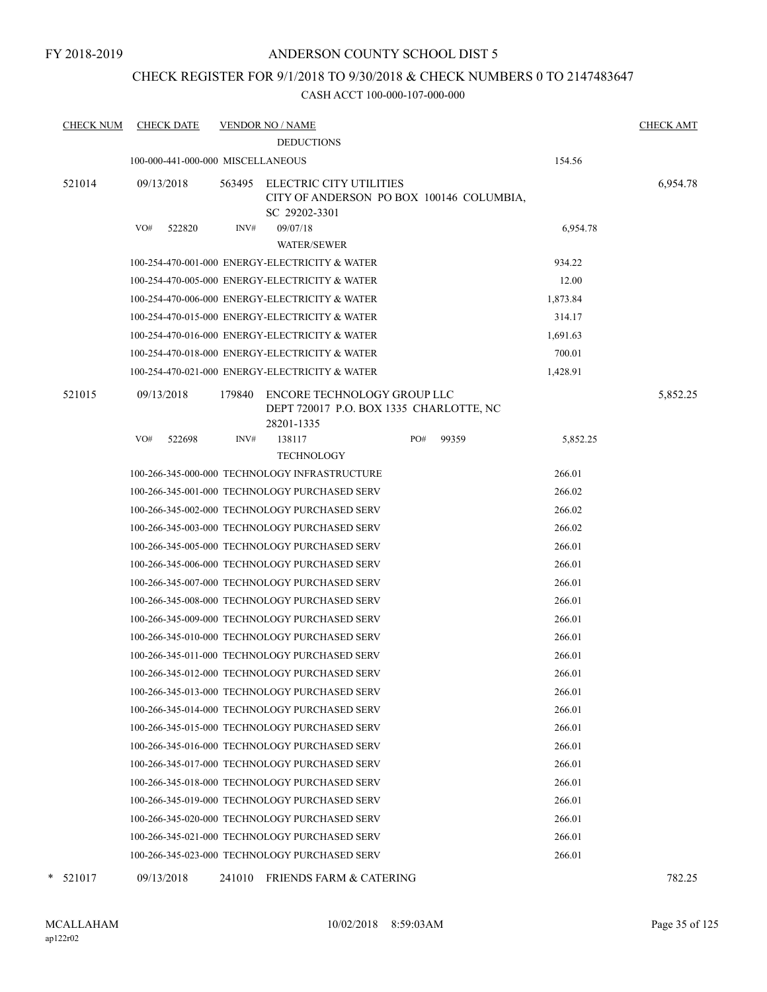# CHECK REGISTER FOR 9/1/2018 TO 9/30/2018 & CHECK NUMBERS 0 TO 2147483647

| <b>CHECK NUM</b> | <b>CHECK DATE</b>                 |        | <b>VENDOR NO / NAME</b>                                                                     |     |       |          | <b>CHECK AMT</b> |
|------------------|-----------------------------------|--------|---------------------------------------------------------------------------------------------|-----|-------|----------|------------------|
|                  |                                   |        | <b>DEDUCTIONS</b>                                                                           |     |       |          |                  |
|                  | 100-000-441-000-000 MISCELLANEOUS |        |                                                                                             |     |       | 154.56   |                  |
| 521014           | 09/13/2018                        | 563495 | <b>ELECTRIC CITY UTILITIES</b><br>CITY OF ANDERSON PO BOX 100146 COLUMBIA,<br>SC 29202-3301 |     |       |          | 6,954.78         |
|                  | VO#<br>522820                     | INV#   | 09/07/18<br><b>WATER/SEWER</b>                                                              |     |       | 6,954.78 |                  |
|                  |                                   |        | 100-254-470-001-000 ENERGY-ELECTRICITY & WATER                                              |     |       | 934.22   |                  |
|                  |                                   |        | 100-254-470-005-000 ENERGY-ELECTRICITY & WATER                                              |     |       | 12.00    |                  |
|                  |                                   |        | 100-254-470-006-000 ENERGY-ELECTRICITY & WATER                                              |     |       | 1,873.84 |                  |
|                  |                                   |        | 100-254-470-015-000 ENERGY-ELECTRICITY & WATER                                              |     |       | 314.17   |                  |
|                  |                                   |        | 100-254-470-016-000 ENERGY-ELECTRICITY & WATER                                              |     |       | 1,691.63 |                  |
|                  |                                   |        | 100-254-470-018-000 ENERGY-ELECTRICITY & WATER                                              |     |       | 700.01   |                  |
|                  |                                   |        | 100-254-470-021-000 ENERGY-ELECTRICITY & WATER                                              |     |       | 1,428.91 |                  |
| 521015           | 09/13/2018                        | 179840 | ENCORE TECHNOLOGY GROUP LLC<br>DEPT 720017 P.O. BOX 1335 CHARLOTTE, NC<br>28201-1335        |     |       |          | 5,852.25         |
|                  | VO#<br>522698                     | INV#   | 138117                                                                                      | PO# | 99359 | 5,852.25 |                  |
|                  |                                   |        | <b>TECHNOLOGY</b>                                                                           |     |       |          |                  |
|                  |                                   |        | 100-266-345-000-000 TECHNOLOGY INFRASTRUCTURE                                               |     |       | 266.01   |                  |
|                  |                                   |        | 100-266-345-001-000 TECHNOLOGY PURCHASED SERV                                               |     |       | 266.02   |                  |
|                  |                                   |        | 100-266-345-002-000 TECHNOLOGY PURCHASED SERV                                               |     |       | 266.02   |                  |
|                  |                                   |        | 100-266-345-003-000 TECHNOLOGY PURCHASED SERV                                               |     |       | 266.02   |                  |
|                  |                                   |        | 100-266-345-005-000 TECHNOLOGY PURCHASED SERV                                               |     |       | 266.01   |                  |
|                  |                                   |        | 100-266-345-006-000 TECHNOLOGY PURCHASED SERV                                               |     |       | 266.01   |                  |
|                  |                                   |        | 100-266-345-007-000 TECHNOLOGY PURCHASED SERV                                               |     |       | 266.01   |                  |
|                  |                                   |        | 100-266-345-008-000 TECHNOLOGY PURCHASED SERV                                               |     |       | 266.01   |                  |
|                  |                                   |        | 100-266-345-009-000 TECHNOLOGY PURCHASED SERV                                               |     |       | 266.01   |                  |
|                  |                                   |        | 100-266-345-010-000 TECHNOLOGY PURCHASED SERV                                               |     |       | 266.01   |                  |
|                  |                                   |        | 100-266-345-011-000 TECHNOLOGY PURCHASED SERV                                               |     |       | 266.01   |                  |
|                  |                                   |        | 100-266-345-012-000 TECHNOLOGY PURCHASED SERV                                               |     |       | 266.01   |                  |
|                  |                                   |        | 100-266-345-013-000 TECHNOLOGY PURCHASED SERV                                               |     |       | 266.01   |                  |
|                  |                                   |        | 100-266-345-014-000 TECHNOLOGY PURCHASED SERV                                               |     |       | 266.01   |                  |
|                  |                                   |        | 100-266-345-015-000 TECHNOLOGY PURCHASED SERV                                               |     |       | 266.01   |                  |
|                  |                                   |        | 100-266-345-016-000 TECHNOLOGY PURCHASED SERV                                               |     |       | 266.01   |                  |
|                  |                                   |        | 100-266-345-017-000 TECHNOLOGY PURCHASED SERV                                               |     |       | 266.01   |                  |
|                  |                                   |        | 100-266-345-018-000 TECHNOLOGY PURCHASED SERV                                               |     |       | 266.01   |                  |
|                  |                                   |        | 100-266-345-019-000 TECHNOLOGY PURCHASED SERV                                               |     |       | 266.01   |                  |
|                  |                                   |        | 100-266-345-020-000 TECHNOLOGY PURCHASED SERV                                               |     |       | 266.01   |                  |
|                  |                                   |        | 100-266-345-021-000 TECHNOLOGY PURCHASED SERV                                               |     |       | 266.01   |                  |
|                  |                                   |        | 100-266-345-023-000 TECHNOLOGY PURCHASED SERV                                               |     |       | 266.01   |                  |
| 521017           | 09/13/2018                        |        | 241010 FRIENDS FARM & CATERING                                                              |     |       |          | 782.25           |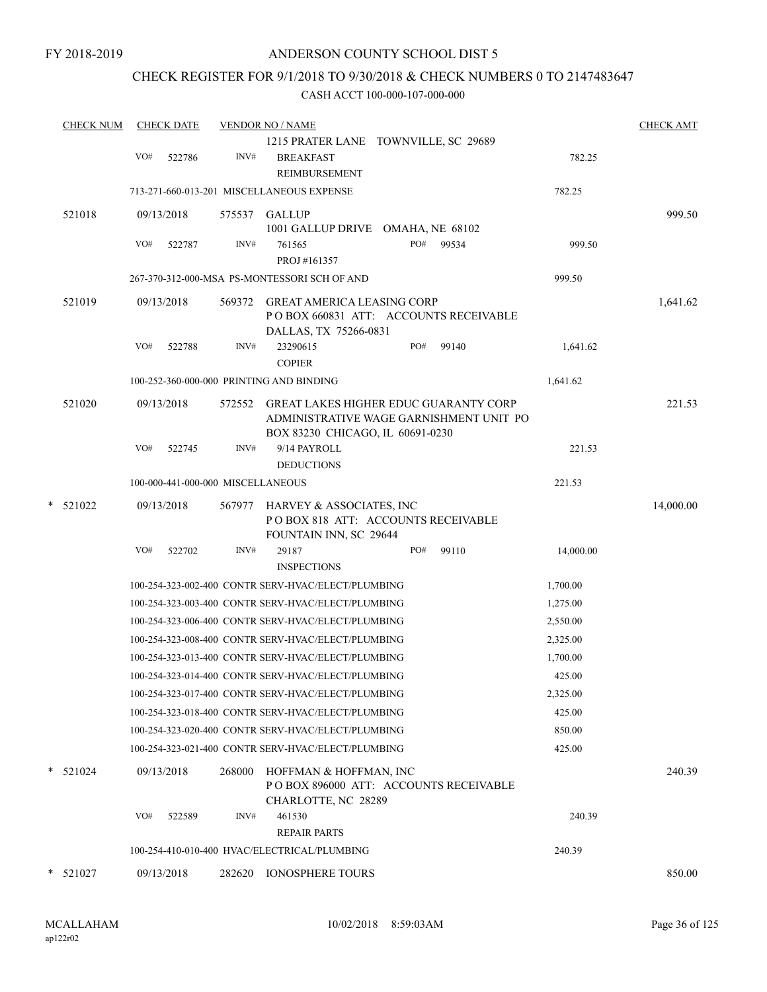# CHECK REGISTER FOR 9/1/2018 TO 9/30/2018 & CHECK NUMBERS 0 TO 2147483647

| <b>CHECK NUM</b> |     | <b>CHECK DATE</b>                 |        | <b>VENDOR NO / NAME</b>                                                                                                     |     |       |           | <b>CHECK AMT</b> |
|------------------|-----|-----------------------------------|--------|-----------------------------------------------------------------------------------------------------------------------------|-----|-------|-----------|------------------|
|                  | VO# | 522786                            | INV#   | 1215 PRATER LANE TOWNVILLE, SC 29689<br><b>BREAKFAST</b><br>REIMBURSEMENT                                                   |     |       | 782.25    |                  |
|                  |     |                                   |        | 713-271-660-013-201 MISCELLANEOUS EXPENSE                                                                                   |     |       | 782.25    |                  |
| 521018           |     | 09/13/2018                        | 575537 | <b>GALLUP</b>                                                                                                               |     |       |           | 999.50           |
|                  | VO# | 522787                            | INV#   | 1001 GALLUP DRIVE OMAHA, NE 68102<br>761565<br>PROJ #161357                                                                 | PO# | 99534 | 999.50    |                  |
|                  |     |                                   |        | 267-370-312-000-MSA PS-MONTESSORI SCH OF AND                                                                                |     |       | 999.50    |                  |
| 521019           |     | 09/13/2018                        | 569372 | <b>GREAT AMERICA LEASING CORP</b><br>PO BOX 660831 ATT: ACCOUNTS RECEIVABLE                                                 |     |       |           | 1,641.62         |
|                  | VO# | 522788                            | INV#   | DALLAS, TX 75266-0831<br>23290615<br><b>COPIER</b>                                                                          | PO# | 99140 | 1,641.62  |                  |
|                  |     |                                   |        | 100-252-360-000-000 PRINTING AND BINDING                                                                                    |     |       | 1,641.62  |                  |
| 521020           |     | 09/13/2018                        | 572552 | <b>GREAT LAKES HIGHER EDUC GUARANTY CORP</b><br>ADMINISTRATIVE WAGE GARNISHMENT UNIT PO<br>BOX 83230 CHICAGO, IL 60691-0230 |     |       |           | 221.53           |
|                  | VO# | 522745                            | INV#   | 9/14 PAYROLL<br><b>DEDUCTIONS</b>                                                                                           |     |       | 221.53    |                  |
|                  |     | 100-000-441-000-000 MISCELLANEOUS |        |                                                                                                                             |     |       | 221.53    |                  |
| $*$ 521022       |     | 09/13/2018                        | 567977 | HARVEY & ASSOCIATES, INC<br>POBOX 818 ATT: ACCOUNTS RECEIVABLE<br>FOUNTAIN INN, SC 29644                                    |     |       |           | 14,000.00        |
|                  | VO# | 522702                            | INV#   | 29187<br><b>INSPECTIONS</b>                                                                                                 | PO# | 99110 | 14,000.00 |                  |
|                  |     |                                   |        | 100-254-323-002-400 CONTR SERV-HVAC/ELECT/PLUMBING                                                                          |     |       | 1,700.00  |                  |
|                  |     |                                   |        | 100-254-323-003-400 CONTR SERV-HVAC/ELECT/PLUMBING                                                                          |     |       | 1,275.00  |                  |
|                  |     |                                   |        | 100-254-323-006-400 CONTR SERV-HVAC/ELECT/PLUMBING                                                                          |     |       | 2,550.00  |                  |
|                  |     |                                   |        | 100-254-323-008-400 CONTR SERV-HVAC/ELECT/PLUMBING                                                                          |     |       | 2,325.00  |                  |
|                  |     |                                   |        | 100-254-323-013-400 CONTR SERV-HVAC/ELECT/PLUMBING                                                                          |     |       | 1,700.00  |                  |
|                  |     |                                   |        | 100-254-323-014-400 CONTR SERV-HVAC/ELECT/PLUMBING                                                                          |     |       | 425.00    |                  |
|                  |     |                                   |        | 100-254-323-017-400 CONTR SERV-HVAC/ELECT/PLUMBING                                                                          |     |       | 2,325.00  |                  |
|                  |     |                                   |        | 100-254-323-018-400 CONTR SERV-HVAC/ELECT/PLUMBING                                                                          |     |       | 425.00    |                  |
|                  |     |                                   |        | 100-254-323-020-400 CONTR SERV-HVAC/ELECT/PLUMBING                                                                          |     |       | 850.00    |                  |
|                  |     |                                   |        | 100-254-323-021-400 CONTR SERV-HVAC/ELECT/PLUMBING                                                                          |     |       | 425.00    |                  |
| $*$ 521024       |     | 09/13/2018                        | 268000 | HOFFMAN & HOFFMAN, INC<br>PO BOX 896000 ATT: ACCOUNTS RECEIVABLE<br>CHARLOTTE, NC 28289                                     |     |       |           | 240.39           |
|                  | VO# | 522589                            | INV#   | 461530<br><b>REPAIR PARTS</b>                                                                                               |     |       | 240.39    |                  |
|                  |     |                                   |        | 100-254-410-010-400 HVAC/ELECTRICAL/PLUMBING                                                                                |     |       | 240.39    |                  |
| $*$ 521027       |     | 09/13/2018                        | 282620 | <b>IONOSPHERE TOURS</b>                                                                                                     |     |       |           | 850.00           |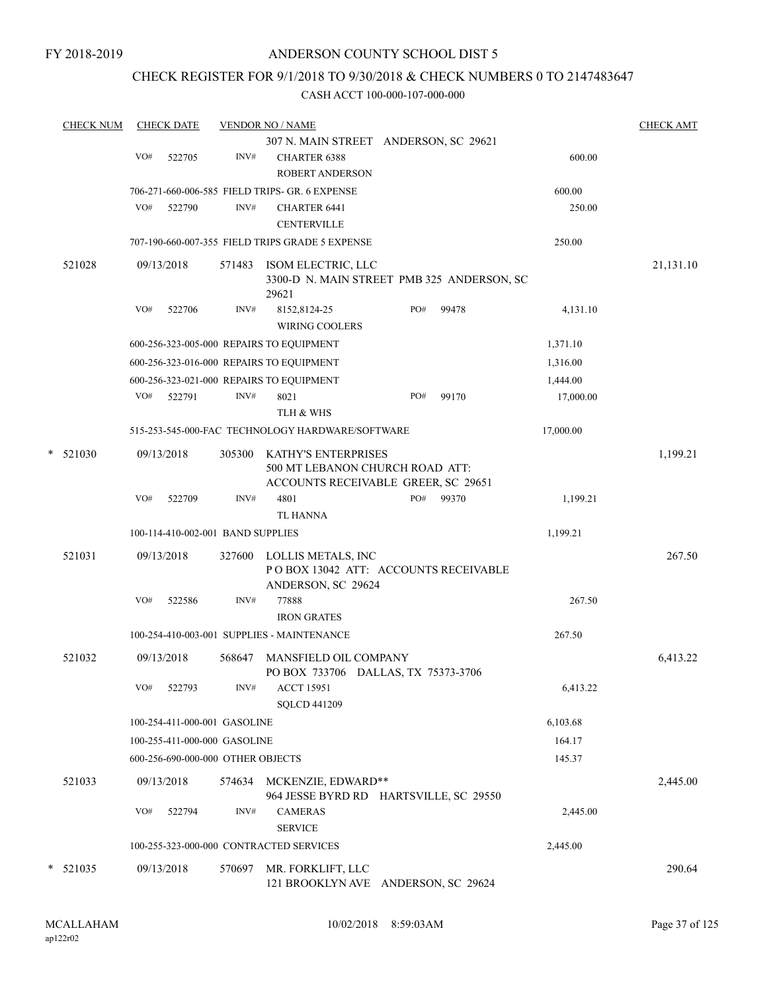## CHECK REGISTER FOR 9/1/2018 TO 9/30/2018 & CHECK NUMBERS 0 TO 2147483647

|   | <b>CHECK NUM</b> |     | <b>CHECK DATE</b> |                                   | <b>VENDOR NO / NAME</b>                                                                       |     |       |           | <b>CHECK AMT</b> |
|---|------------------|-----|-------------------|-----------------------------------|-----------------------------------------------------------------------------------------------|-----|-------|-----------|------------------|
|   |                  |     |                   |                                   | 307 N. MAIN STREET ANDERSON, SC 29621                                                         |     |       |           |                  |
|   |                  | VO# | 522705            | INV#                              | <b>CHARTER 6388</b>                                                                           |     |       | 600.00    |                  |
|   |                  |     |                   |                                   | <b>ROBERT ANDERSON</b>                                                                        |     |       |           |                  |
|   |                  |     |                   |                                   | 706-271-660-006-585 FIELD TRIPS- GR. 6 EXPENSE                                                |     |       | 600.00    |                  |
|   |                  | VO# | 522790            | INV#                              | <b>CHARTER 6441</b>                                                                           |     |       | 250.00    |                  |
|   |                  |     |                   |                                   | <b>CENTERVILLE</b>                                                                            |     |       |           |                  |
|   |                  |     |                   |                                   | 707-190-660-007-355 FIELD TRIPS GRADE 5 EXPENSE                                               |     |       | 250.00    |                  |
|   | 521028           |     | 09/13/2018        | 571483                            | ISOM ELECTRIC, LLC<br>3300-D N. MAIN STREET PMB 325 ANDERSON, SC<br>29621                     |     |       |           | 21,131.10        |
|   |                  | VO# | 522706            | INV#                              | 8152,8124-25                                                                                  | PO# | 99478 | 4,131.10  |                  |
|   |                  |     |                   |                                   | <b>WIRING COOLERS</b>                                                                         |     |       |           |                  |
|   |                  |     |                   |                                   | 600-256-323-005-000 REPAIRS TO EQUIPMENT                                                      |     |       | 1,371.10  |                  |
|   |                  |     |                   |                                   | 600-256-323-016-000 REPAIRS TO EQUIPMENT                                                      |     |       | 1,316.00  |                  |
|   |                  |     |                   |                                   | 600-256-323-021-000 REPAIRS TO EQUIPMENT                                                      |     |       | 1,444.00  |                  |
|   |                  |     | VO# 522791        | INV#                              | 8021                                                                                          | PO# | 99170 | 17,000.00 |                  |
|   |                  |     |                   |                                   | TLH & WHS                                                                                     |     |       |           |                  |
|   |                  |     |                   |                                   | 515-253-545-000-FAC TECHNOLOGY HARDWARE/SOFTWARE                                              |     |       | 17,000.00 |                  |
| * | 521030           |     | 09/13/2018        | 305300                            | KATHY'S ENTERPRISES<br>500 MT LEBANON CHURCH ROAD ATT:<br>ACCOUNTS RECEIVABLE GREER, SC 29651 |     |       |           | 1,199.21         |
|   |                  | VO# | 522709            | INV#                              | 4801                                                                                          | PO# | 99370 | 1,199.21  |                  |
|   |                  |     |                   |                                   | <b>TL HANNA</b>                                                                               |     |       |           |                  |
|   |                  |     |                   | 100-114-410-002-001 BAND SUPPLIES |                                                                                               |     |       | 1,199.21  |                  |
|   | 521031           |     | 09/13/2018        |                                   | 327600 LOLLIS METALS, INC                                                                     |     |       |           | 267.50           |
|   |                  |     |                   |                                   | PO BOX 13042 ATT: ACCOUNTS RECEIVABLE<br>ANDERSON, SC 29624                                   |     |       |           |                  |
|   |                  | VO# | 522586            | INV#                              | 77888                                                                                         |     |       | 267.50    |                  |
|   |                  |     |                   |                                   | <b>IRON GRATES</b>                                                                            |     |       |           |                  |
|   |                  |     |                   |                                   | 100-254-410-003-001 SUPPLIES - MAINTENANCE                                                    |     |       | 267.50    |                  |
|   | 521032           |     | 09/13/2018        | 568647                            | MANSFIELD OIL COMPANY<br>PO BOX 733706 DALLAS, TX 75373-3706                                  |     |       |           | 6,413.22         |
|   |                  | VO# | 522793            | INV#                              | <b>ACCT 15951</b><br><b>SQLCD 441209</b>                                                      |     |       | 6,413.22  |                  |
|   |                  |     |                   | 100-254-411-000-001 GASOLINE      |                                                                                               |     |       | 6,103.68  |                  |
|   |                  |     |                   | 100-255-411-000-000 GASOLINE      |                                                                                               |     |       | 164.17    |                  |
|   |                  |     |                   | 600-256-690-000-000 OTHER OBJECTS |                                                                                               |     |       | 145.37    |                  |
|   | 521033           |     | 09/13/2018        | 574634                            | MCKENZIE, EDWARD**<br>964 JESSE BYRD RD HARTSVILLE, SC 29550                                  |     |       |           | 2,445.00         |
|   |                  | VO# | 522794            | INV#                              | <b>CAMERAS</b>                                                                                |     |       | 2,445.00  |                  |
|   |                  |     |                   |                                   | <b>SERVICE</b>                                                                                |     |       |           |                  |
|   |                  |     |                   |                                   | 100-255-323-000-000 CONTRACTED SERVICES                                                       |     |       | 2,445.00  |                  |
| * | 521035           |     | 09/13/2018        | 570697                            | MR. FORKLIFT, LLC<br>121 BROOKLYN AVE ANDERSON, SC 29624                                      |     |       |           | 290.64           |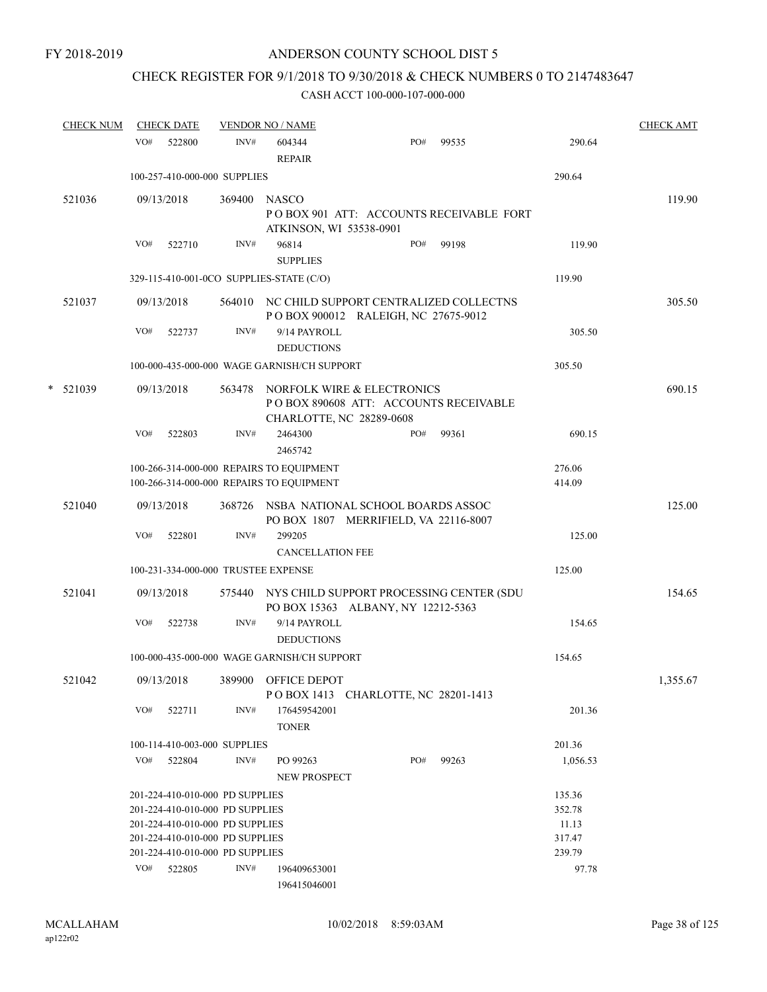## CHECK REGISTER FOR 9/1/2018 TO 9/30/2018 & CHECK NUMBERS 0 TO 2147483647

|        | <b>CHECK NUM</b> |     | <b>CHECK DATE</b>                   |        | <b>VENDOR NO / NAME</b>                                                              |                                                                                      |       |                  | <b>CHECK AMT</b> |
|--------|------------------|-----|-------------------------------------|--------|--------------------------------------------------------------------------------------|--------------------------------------------------------------------------------------|-------|------------------|------------------|
|        |                  | VO# | 522800                              | INV#   | 604344<br><b>REPAIR</b>                                                              | PO#                                                                                  | 99535 | 290.64           |                  |
|        |                  |     | 100-257-410-000-000 SUPPLIES        |        |                                                                                      |                                                                                      |       | 290.64           |                  |
|        | 521036           |     | 09/13/2018                          | 369400 | <b>NASCO</b><br>ATKINSON, WI 53538-0901                                              | POBOX 901 ATT: ACCOUNTS RECEIVABLE FORT                                              |       |                  | 119.90           |
|        |                  | VO# | 522710                              | INV#   | 96814<br><b>SUPPLIES</b>                                                             | PO#                                                                                  | 99198 | 119.90           |                  |
|        |                  |     |                                     |        | 329-115-410-001-0CO SUPPLIES-STATE (C/O)                                             |                                                                                      |       | 119.90           |                  |
|        | 521037           |     | 09/13/2018                          |        |                                                                                      | 564010 NC CHILD SUPPORT CENTRALIZED COLLECTNS<br>POBOX 900012 RALEIGH, NC 27675-9012 |       |                  | 305.50           |
|        |                  | VO# | 522737                              | INV#   | 9/14 PAYROLL<br><b>DEDUCTIONS</b>                                                    |                                                                                      |       | 305.50           |                  |
|        |                  |     |                                     |        | 100-000-435-000-000 WAGE GARNISH/CH SUPPORT                                          |                                                                                      |       | 305.50           |                  |
| $\ast$ | 521039           |     | 09/13/2018                          |        | CHARLOTTE, NC 28289-0608                                                             | 563478 NORFOLK WIRE & ELECTRONICS<br>PO BOX 890608 ATT: ACCOUNTS RECEIVABLE          |       |                  | 690.15           |
|        |                  | VO# | 522803                              | INV#   | 2464300<br>2465742                                                                   | PO#                                                                                  | 99361 | 690.15           |                  |
|        |                  |     |                                     |        | 100-266-314-000-000 REPAIRS TO EQUIPMENT<br>100-266-314-000-000 REPAIRS TO EQUIPMENT |                                                                                      |       | 276.06<br>414.09 |                  |
|        | 521040           |     | 09/13/2018                          |        |                                                                                      | 368726 NSBA NATIONAL SCHOOL BOARDS ASSOC<br>PO BOX 1807 MERRIFIELD, VA 22116-8007    |       |                  | 125.00           |
|        |                  | VO# | 522801                              | INV#   | 299205                                                                               |                                                                                      |       | 125.00           |                  |
|        |                  |     |                                     |        | <b>CANCELLATION FEE</b>                                                              |                                                                                      |       |                  |                  |
|        |                  |     | 100-231-334-000-000 TRUSTEE EXPENSE |        |                                                                                      |                                                                                      |       | 125.00           |                  |
|        | 521041           |     | 09/13/2018                          | 575440 |                                                                                      | NYS CHILD SUPPORT PROCESSING CENTER (SDU<br>PO BOX 15363 ALBANY, NY 12212-5363       |       |                  | 154.65           |
|        |                  | VO# | 522738                              | INV#   | 9/14 PAYROLL<br><b>DEDUCTIONS</b>                                                    |                                                                                      |       | 154.65           |                  |
|        |                  |     |                                     |        | 100-000-435-000-000 WAGE GARNISH/CH SUPPORT                                          |                                                                                      |       | 154.65           |                  |
|        | 521042           |     | 09/13/2018                          |        | 389900 OFFICE DEPOT                                                                  | POBOX 1413 CHARLOTTE, NC 28201-1413                                                  |       |                  | 1,355.67         |
|        |                  | VO# | 522711                              | INV#   | 176459542001<br><b>TONER</b>                                                         |                                                                                      |       | 201.36           |                  |
|        |                  |     | 100-114-410-003-000 SUPPLIES        |        |                                                                                      |                                                                                      |       | 201.36           |                  |
|        |                  | VO# | 522804                              | INV#   | PO 99263<br>NEW PROSPECT                                                             | PO#                                                                                  | 99263 | 1,056.53         |                  |
|        |                  |     | 201-224-410-010-000 PD SUPPLIES     |        |                                                                                      |                                                                                      |       | 135.36           |                  |
|        |                  |     | 201-224-410-010-000 PD SUPPLIES     |        |                                                                                      |                                                                                      |       | 352.78           |                  |
|        |                  |     | 201-224-410-010-000 PD SUPPLIES     |        |                                                                                      |                                                                                      |       | 11.13            |                  |
|        |                  |     | 201-224-410-010-000 PD SUPPLIES     |        |                                                                                      |                                                                                      |       | 317.47           |                  |
|        |                  |     | 201-224-410-010-000 PD SUPPLIES     |        |                                                                                      |                                                                                      |       | 239.79           |                  |
|        |                  |     | VO# 522805                          | INV#   | 196409653001<br>196415046001                                                         |                                                                                      |       | 97.78            |                  |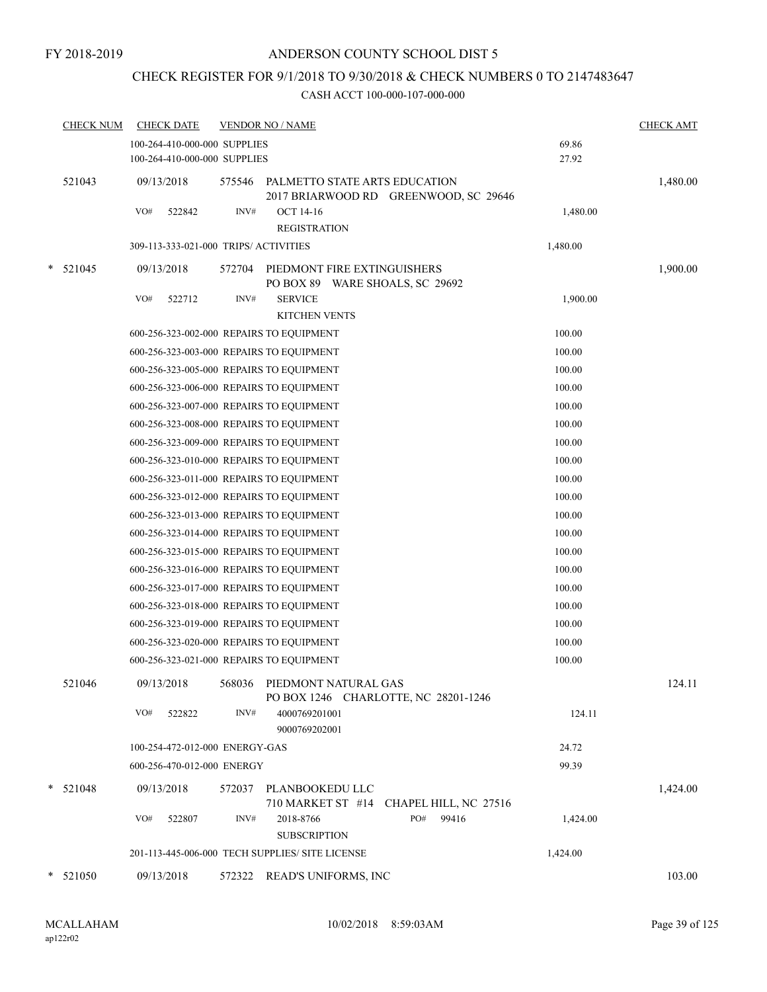## CHECK REGISTER FOR 9/1/2018 TO 9/30/2018 & CHECK NUMBERS 0 TO 2147483647

|   | <b>CHECK NUM</b> | <b>CHECK DATE</b>                                            |        | <b>VENDOR NO / NAME</b>                                                |                | <b>CHECK AMT</b> |
|---|------------------|--------------------------------------------------------------|--------|------------------------------------------------------------------------|----------------|------------------|
|   |                  | 100-264-410-000-000 SUPPLIES<br>100-264-410-000-000 SUPPLIES |        |                                                                        | 69.86<br>27.92 |                  |
|   | 521043           | 09/13/2018                                                   | 575546 | PALMETTO STATE ARTS EDUCATION<br>2017 BRIARWOOD RD GREENWOOD, SC 29646 |                | 1,480.00         |
|   |                  | VO#<br>522842                                                | INV#   | <b>OCT 14-16</b>                                                       | 1,480.00       |                  |
|   |                  |                                                              |        | <b>REGISTRATION</b>                                                    |                |                  |
|   |                  | 309-113-333-021-000 TRIPS/ ACTIVITIES                        |        |                                                                        | 1,480.00       |                  |
| * | 521045           | 09/13/2018                                                   | 572704 | PIEDMONT FIRE EXTINGUISHERS<br>PO BOX 89 WARE SHOALS, SC 29692         |                | 1,900.00         |
|   |                  | VO#<br>522712                                                | INV#   | <b>SERVICE</b><br><b>KITCHEN VENTS</b>                                 | 1,900.00       |                  |
|   |                  | 600-256-323-002-000 REPAIRS TO EQUIPMENT                     |        |                                                                        | 100.00         |                  |
|   |                  | 600-256-323-003-000 REPAIRS TO EQUIPMENT                     |        |                                                                        | 100.00         |                  |
|   |                  | 600-256-323-005-000 REPAIRS TO EQUIPMENT                     |        |                                                                        | 100.00         |                  |
|   |                  | 600-256-323-006-000 REPAIRS TO EQUIPMENT                     |        |                                                                        | 100.00         |                  |
|   |                  | 600-256-323-007-000 REPAIRS TO EQUIPMENT                     |        |                                                                        | 100.00         |                  |
|   |                  | 600-256-323-008-000 REPAIRS TO EQUIPMENT                     |        |                                                                        | 100.00         |                  |
|   |                  | 600-256-323-009-000 REPAIRS TO EQUIPMENT                     |        |                                                                        | 100.00         |                  |
|   |                  | 600-256-323-010-000 REPAIRS TO EQUIPMENT                     |        |                                                                        | 100.00         |                  |
|   |                  | 600-256-323-011-000 REPAIRS TO EQUIPMENT                     |        |                                                                        | 100.00         |                  |
|   |                  | 600-256-323-012-000 REPAIRS TO EQUIPMENT                     |        |                                                                        | 100.00         |                  |
|   |                  | 600-256-323-013-000 REPAIRS TO EQUIPMENT                     |        |                                                                        | 100.00         |                  |
|   |                  | 600-256-323-014-000 REPAIRS TO EQUIPMENT                     |        |                                                                        | 100.00         |                  |
|   |                  | 600-256-323-015-000 REPAIRS TO EQUIPMENT                     |        |                                                                        | 100.00         |                  |
|   |                  | 600-256-323-016-000 REPAIRS TO EQUIPMENT                     |        |                                                                        | 100.00         |                  |
|   |                  | 600-256-323-017-000 REPAIRS TO EQUIPMENT                     |        |                                                                        | 100.00         |                  |
|   |                  | 600-256-323-018-000 REPAIRS TO EQUIPMENT                     |        |                                                                        | 100.00         |                  |
|   |                  | 600-256-323-019-000 REPAIRS TO EQUIPMENT                     |        |                                                                        | 100.00         |                  |
|   |                  | 600-256-323-020-000 REPAIRS TO EQUIPMENT                     |        |                                                                        | 100.00         |                  |
|   |                  | 600-256-323-021-000 REPAIRS TO EQUIPMENT                     |        |                                                                        | 100.00         |                  |
|   | 521046           | 09/13/2018                                                   |        | 568036 PIEDMONT NATURAL GAS<br>PO BOX 1246 CHARLOTTE, NC 28201-1246    |                | 124.11           |
|   |                  | VO#<br>522822                                                | INV#   | 4000769201001<br>9000769202001                                         | 124.11         |                  |
|   |                  | 100-254-472-012-000 ENERGY-GAS                               |        |                                                                        | 24.72          |                  |
|   |                  | 600-256-470-012-000 ENERGY                                   |        |                                                                        | 99.39          |                  |
|   | $* 521048$       | 09/13/2018                                                   | 572037 | PLANBOOKEDU LLC<br>710 MARKET ST #14 CHAPEL HILL, NC 27516             |                | 1,424.00         |
|   |                  | VO#<br>522807                                                | INV#   | 2018-8766<br>PO#<br>99416<br><b>SUBSCRIPTION</b>                       | 1,424.00       |                  |
|   |                  |                                                              |        | 201-113-445-006-000 TECH SUPPLIES/ SITE LICENSE                        | 1,424.00       |                  |
|   | $*$ 521050       | 09/13/2018                                                   | 572322 | READ'S UNIFORMS, INC                                                   |                | 103.00           |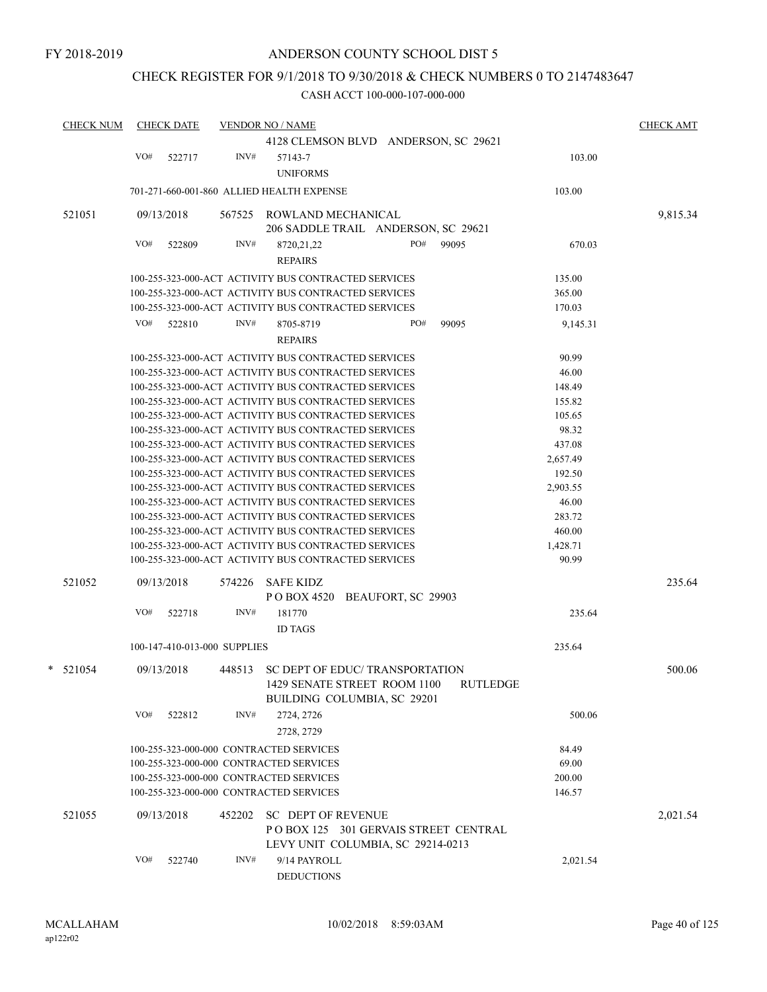## CHECK REGISTER FOR 9/1/2018 TO 9/30/2018 & CHECK NUMBERS 0 TO 2147483647

| <b>CHECK NUM</b> |     | <b>CHECK DATE</b>            |        | <b>VENDOR NO / NAME</b>                              |                                       |       |          | <b>CHECK AMT</b> |
|------------------|-----|------------------------------|--------|------------------------------------------------------|---------------------------------------|-------|----------|------------------|
|                  |     |                              |        |                                                      | 4128 CLEMSON BLVD ANDERSON, SC 29621  |       |          |                  |
|                  | VO# | 522717                       | INV#   | 57143-7                                              |                                       |       | 103.00   |                  |
|                  |     |                              |        | <b>UNIFORMS</b>                                      |                                       |       |          |                  |
|                  |     |                              |        | 701-271-660-001-860 ALLIED HEALTH EXPENSE            |                                       |       | 103.00   |                  |
|                  |     |                              |        |                                                      |                                       |       |          |                  |
| 521051           |     | 09/13/2018                   | 567525 | ROWLAND MECHANICAL                                   | 206 SADDLE TRAIL ANDERSON, SC 29621   |       |          | 9,815.34         |
|                  | VO# | 522809                       | INV#   | 8720, 21, 22                                         | PO#                                   | 99095 | 670.03   |                  |
|                  |     |                              |        | <b>REPAIRS</b>                                       |                                       |       |          |                  |
|                  |     |                              |        | 100-255-323-000-ACT ACTIVITY BUS CONTRACTED SERVICES |                                       |       | 135.00   |                  |
|                  |     |                              |        | 100-255-323-000-ACT ACTIVITY BUS CONTRACTED SERVICES |                                       |       | 365.00   |                  |
|                  |     |                              |        | 100-255-323-000-ACT ACTIVITY BUS CONTRACTED SERVICES |                                       |       | 170.03   |                  |
|                  |     |                              |        |                                                      |                                       |       |          |                  |
|                  | VO# | 522810                       | INV#   | 8705-8719<br><b>REPAIRS</b>                          | PO#                                   | 99095 | 9,145.31 |                  |
|                  |     |                              |        |                                                      |                                       |       |          |                  |
|                  |     |                              |        | 100-255-323-000-ACT ACTIVITY BUS CONTRACTED SERVICES |                                       |       | 90.99    |                  |
|                  |     |                              |        | 100-255-323-000-ACT ACTIVITY BUS CONTRACTED SERVICES |                                       |       | 46.00    |                  |
|                  |     |                              |        | 100-255-323-000-ACT ACTIVITY BUS CONTRACTED SERVICES |                                       |       | 148.49   |                  |
|                  |     |                              |        | 100-255-323-000-ACT ACTIVITY BUS CONTRACTED SERVICES |                                       |       | 155.82   |                  |
|                  |     |                              |        | 100-255-323-000-ACT ACTIVITY BUS CONTRACTED SERVICES |                                       |       | 105.65   |                  |
|                  |     |                              |        | 100-255-323-000-ACT ACTIVITY BUS CONTRACTED SERVICES |                                       |       | 98.32    |                  |
|                  |     |                              |        | 100-255-323-000-ACT ACTIVITY BUS CONTRACTED SERVICES |                                       |       | 437.08   |                  |
|                  |     |                              |        | 100-255-323-000-ACT ACTIVITY BUS CONTRACTED SERVICES |                                       |       | 2,657.49 |                  |
|                  |     |                              |        | 100-255-323-000-ACT ACTIVITY BUS CONTRACTED SERVICES |                                       |       | 192.50   |                  |
|                  |     |                              |        | 100-255-323-000-ACT ACTIVITY BUS CONTRACTED SERVICES |                                       |       | 2,903.55 |                  |
|                  |     |                              |        | 100-255-323-000-ACT ACTIVITY BUS CONTRACTED SERVICES |                                       |       | 46.00    |                  |
|                  |     |                              |        | 100-255-323-000-ACT ACTIVITY BUS CONTRACTED SERVICES |                                       |       | 283.72   |                  |
|                  |     |                              |        | 100-255-323-000-ACT ACTIVITY BUS CONTRACTED SERVICES |                                       |       | 460.00   |                  |
|                  |     |                              |        | 100-255-323-000-ACT ACTIVITY BUS CONTRACTED SERVICES |                                       |       | 1,428.71 |                  |
|                  |     |                              |        | 100-255-323-000-ACT ACTIVITY BUS CONTRACTED SERVICES |                                       |       | 90.99    |                  |
| 521052           |     | 09/13/2018                   | 574226 | SAFE KIDZ                                            |                                       |       |          | 235.64           |
|                  |     |                              |        |                                                      | POBOX 4520 BEAUFORT, SC 29903         |       |          |                  |
|                  | VO# | 522718                       | INV#   | 181770                                               |                                       |       | 235.64   |                  |
|                  |     |                              |        | <b>ID TAGS</b>                                       |                                       |       |          |                  |
|                  |     | 100-147-410-013-000 SUPPLIES |        |                                                      |                                       |       | 235.64   |                  |
| $*$ 521054       |     | 09/13/2018                   | 448513 |                                                      | SC DEPT OF EDUC/TRANSPORTATION        |       |          | 500.06           |
|                  |     |                              |        |                                                      | 1429 SENATE STREET ROOM 1100 RUTLEDGE |       |          |                  |
|                  |     |                              |        |                                                      | BUILDING COLUMBIA, SC 29201           |       |          |                  |
|                  |     |                              |        |                                                      |                                       |       |          |                  |
|                  | VO# | 522812                       | INV#   | 2724, 2726<br>2728, 2729                             |                                       |       | 500.06   |                  |
|                  |     |                              |        |                                                      |                                       |       |          |                  |
|                  |     |                              |        | 100-255-323-000-000 CONTRACTED SERVICES              |                                       |       | 84.49    |                  |
|                  |     |                              |        | 100-255-323-000-000 CONTRACTED SERVICES              |                                       |       | 69.00    |                  |
|                  |     |                              |        | 100-255-323-000-000 CONTRACTED SERVICES              |                                       |       | 200.00   |                  |
|                  |     |                              |        | 100-255-323-000-000 CONTRACTED SERVICES              |                                       |       | 146.57   |                  |
| 521055           |     | 09/13/2018                   | 452202 | <b>SC DEPT OF REVENUE</b>                            |                                       |       |          | 2,021.54         |
|                  |     |                              |        |                                                      | POBOX 125 301 GERVAIS STREET CENTRAL  |       |          |                  |
|                  |     |                              |        |                                                      | LEVY UNIT COLUMBIA, SC 29214-0213     |       |          |                  |
|                  | VO# | 522740                       | INV#   | 9/14 PAYROLL                                         |                                       |       | 2,021.54 |                  |
|                  |     |                              |        | <b>DEDUCTIONS</b>                                    |                                       |       |          |                  |
|                  |     |                              |        |                                                      |                                       |       |          |                  |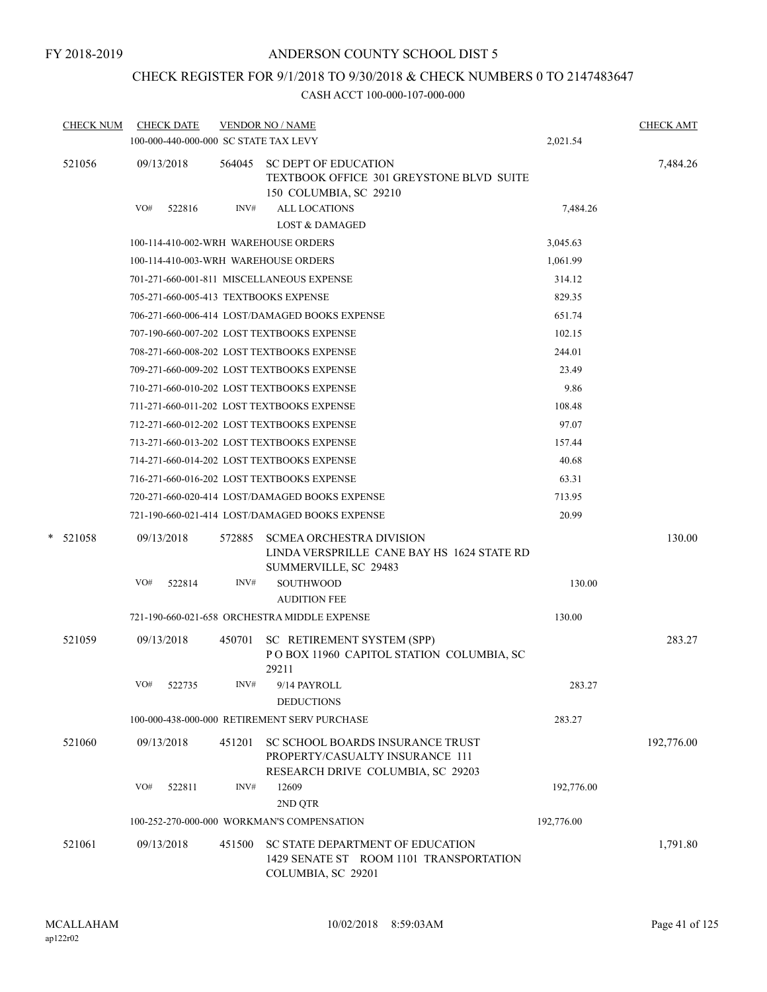## CHECK REGISTER FOR 9/1/2018 TO 9/30/2018 & CHECK NUMBERS 0 TO 2147483647

|        | <b>CHECK NUM</b> |     | <b>CHECK DATE</b> |        | <b>VENDOR NO / NAME</b>                                                                                  |            | <b>CHECK AMT</b> |
|--------|------------------|-----|-------------------|--------|----------------------------------------------------------------------------------------------------------|------------|------------------|
|        |                  |     |                   |        | 100-000-440-000-000 SC STATE TAX LEVY                                                                    | 2,021.54   |                  |
| 521056 |                  |     | 09/13/2018        | 564045 | <b>SC DEPT OF EDUCATION</b><br>TEXTBOOK OFFICE 301 GREYSTONE BLVD SUITE<br>150 COLUMBIA, SC 29210        |            | 7,484.26         |
|        |                  | VO# | 522816            | INV#   | <b>ALL LOCATIONS</b><br><b>LOST &amp; DAMAGED</b>                                                        | 7,484.26   |                  |
|        |                  |     |                   |        | 100-114-410-002-WRH WAREHOUSE ORDERS                                                                     | 3,045.63   |                  |
|        |                  |     |                   |        | 100-114-410-003-WRH WAREHOUSE ORDERS                                                                     | 1,061.99   |                  |
|        |                  |     |                   |        | 701-271-660-001-811 MISCELLANEOUS EXPENSE                                                                | 314.12     |                  |
|        |                  |     |                   |        | 705-271-660-005-413 TEXTBOOKS EXPENSE                                                                    | 829.35     |                  |
|        |                  |     |                   |        | 706-271-660-006-414 LOST/DAMAGED BOOKS EXPENSE                                                           | 651.74     |                  |
|        |                  |     |                   |        | 707-190-660-007-202 LOST TEXTBOOKS EXPENSE                                                               | 102.15     |                  |
|        |                  |     |                   |        | 708-271-660-008-202 LOST TEXTBOOKS EXPENSE                                                               | 244.01     |                  |
|        |                  |     |                   |        | 709-271-660-009-202 LOST TEXTBOOKS EXPENSE                                                               | 23.49      |                  |
|        |                  |     |                   |        | 710-271-660-010-202 LOST TEXTBOOKS EXPENSE                                                               | 9.86       |                  |
|        |                  |     |                   |        | 711-271-660-011-202 LOST TEXTBOOKS EXPENSE                                                               | 108.48     |                  |
|        |                  |     |                   |        | 712-271-660-012-202 LOST TEXTBOOKS EXPENSE                                                               | 97.07      |                  |
|        |                  |     |                   |        | 713-271-660-013-202 LOST TEXTBOOKS EXPENSE                                                               | 157.44     |                  |
|        |                  |     |                   |        | 714-271-660-014-202 LOST TEXTBOOKS EXPENSE                                                               | 40.68      |                  |
|        |                  |     |                   |        | 716-271-660-016-202 LOST TEXTBOOKS EXPENSE                                                               | 63.31      |                  |
|        |                  |     |                   |        | 720-271-660-020-414 LOST/DAMAGED BOOKS EXPENSE                                                           | 713.95     |                  |
|        |                  |     |                   |        | 721-190-660-021-414 LOST/DAMAGED BOOKS EXPENSE                                                           | 20.99      |                  |
| *      | 521058           |     | 09/13/2018        | 572885 | <b>SCMEA ORCHESTRA DIVISION</b><br>LINDA VERSPRILLE CANE BAY HS 1624 STATE RD<br>SUMMERVILLE, SC 29483   |            | 130.00           |
|        |                  | VO# | 522814            | INV#   | <b>SOUTHWOOD</b>                                                                                         | 130.00     |                  |
|        |                  |     |                   |        | <b>AUDITION FEE</b>                                                                                      |            |                  |
|        |                  |     |                   |        | 721-190-660-021-658 ORCHESTRA MIDDLE EXPENSE                                                             | 130.00     |                  |
|        | 521059           |     | 09/13/2018        | 450701 | SC RETIREMENT SYSTEM (SPP)<br>POBOX 11960 CAPITOL STATION COLUMBIA, SC<br>29211                          |            | 283.27           |
|        |                  | VO# | 522735            | INV#   | 9/14 PAYROLL<br><b>DEDUCTIONS</b>                                                                        | 283.27     |                  |
|        |                  |     |                   |        | 100-000-438-000-000 RETIREMENT SERV PURCHASE                                                             | 283.27     |                  |
|        | 521060           |     | 09/13/2018        | 451201 | SC SCHOOL BOARDS INSURANCE TRUST<br>PROPERTY/CASUALTY INSURANCE 111<br>RESEARCH DRIVE COLUMBIA, SC 29203 |            | 192,776.00       |
|        |                  | VO# | 522811            | INV#   | 12609<br>2ND QTR                                                                                         | 192,776.00 |                  |
|        |                  |     |                   |        | 100-252-270-000-000 WORKMAN'S COMPENSATION                                                               | 192,776.00 |                  |
|        | 521061           |     | 09/13/2018        | 451500 | SC STATE DEPARTMENT OF EDUCATION<br>1429 SENATE ST ROOM 1101 TRANSPORTATION<br>COLUMBIA, SC 29201        |            | 1,791.80         |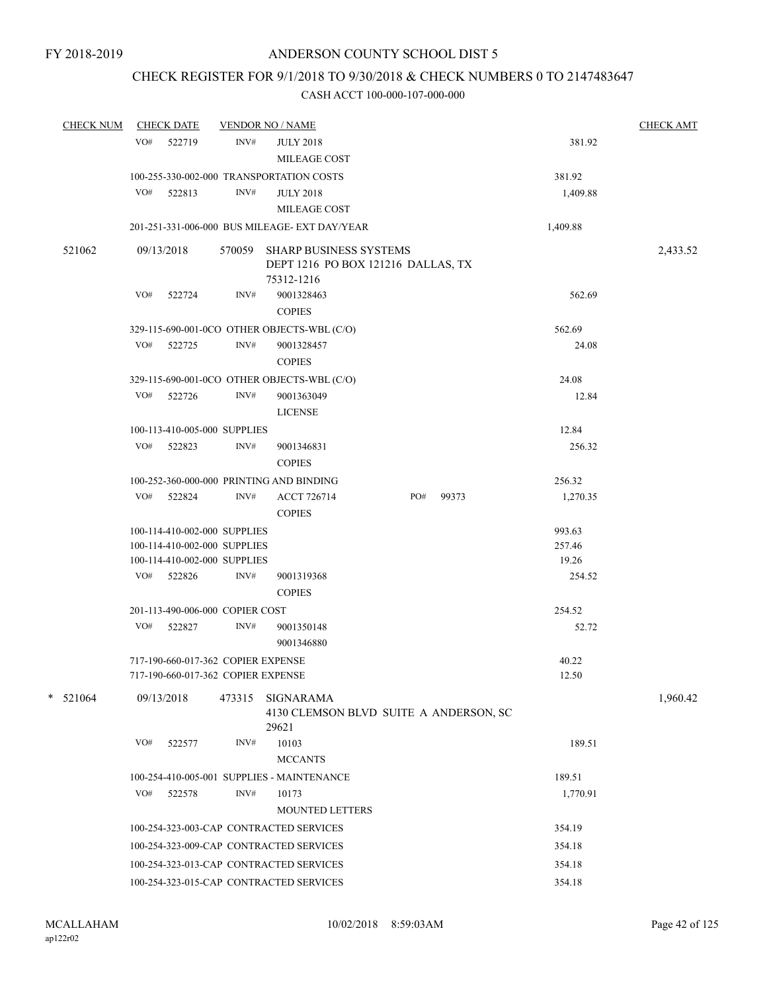## CHECK REGISTER FOR 9/1/2018 TO 9/30/2018 & CHECK NUMBERS 0 TO 2147483647

| <b>CHECK NUM</b> |     | <b>CHECK DATE</b>                  |        | <b>VENDOR NO / NAME</b>                                      |     | <b>CHECK AMT</b> |          |          |
|------------------|-----|------------------------------------|--------|--------------------------------------------------------------|-----|------------------|----------|----------|
|                  | VO# | 522719                             | INV#   | <b>JULY 2018</b>                                             |     |                  | 381.92   |          |
|                  |     |                                    |        | MILEAGE COST                                                 |     |                  |          |          |
|                  |     |                                    |        | 100-255-330-002-000 TRANSPORTATION COSTS                     |     |                  | 381.92   |          |
|                  | VO# | 522813                             | INV#   | <b>JULY 2018</b>                                             |     |                  | 1,409.88 |          |
|                  |     |                                    |        | MILEAGE COST                                                 |     |                  |          |          |
|                  |     |                                    |        | 201-251-331-006-000 BUS MILEAGE- EXT DAY/YEAR                |     |                  | 1,409.88 |          |
| 521062           |     | 09/13/2018                         | 570059 | <b>SHARP BUSINESS SYSTEMS</b>                                |     |                  |          | 2,433.52 |
|                  |     |                                    |        | DEPT 1216 PO BOX 121216 DALLAS, TX                           |     |                  |          |          |
|                  |     |                                    |        | 75312-1216                                                   |     |                  |          |          |
|                  | VO# | 522724                             | INV#   | 9001328463                                                   |     |                  | 562.69   |          |
|                  |     |                                    |        | <b>COPIES</b>                                                |     |                  |          |          |
|                  |     |                                    |        | 329-115-690-001-0CO OTHER OBJECTS-WBL (C/O)                  |     |                  | 562.69   |          |
|                  | VO# | 522725                             | INV#   | 9001328457                                                   |     |                  | 24.08    |          |
|                  |     |                                    |        | <b>COPIES</b>                                                |     |                  |          |          |
|                  |     |                                    |        | 329-115-690-001-0CO OTHER OBJECTS-WBL (C/O)                  |     |                  | 24.08    |          |
|                  |     | VO# 522726                         | INV#   | 9001363049                                                   |     |                  | 12.84    |          |
|                  |     |                                    |        | <b>LICENSE</b>                                               |     |                  |          |          |
|                  |     | 100-113-410-005-000 SUPPLIES       |        |                                                              |     |                  | 12.84    |          |
|                  | VO# | 522823                             | INV#   | 9001346831                                                   |     |                  | 256.32   |          |
|                  |     |                                    |        | <b>COPIES</b>                                                |     |                  |          |          |
|                  |     |                                    |        | 100-252-360-000-000 PRINTING AND BINDING                     |     |                  | 256.32   |          |
|                  | VO# | 522824                             | INV#   | <b>ACCT 726714</b>                                           | PO# | 99373            | 1,270.35 |          |
|                  |     |                                    |        | <b>COPIES</b>                                                |     |                  |          |          |
|                  |     | 100-114-410-002-000 SUPPLIES       |        |                                                              |     |                  | 993.63   |          |
|                  |     | 100-114-410-002-000 SUPPLIES       |        |                                                              |     |                  | 257.46   |          |
|                  |     | 100-114-410-002-000 SUPPLIES       |        |                                                              |     |                  | 19.26    |          |
|                  |     | VO# 522826                         | INV#   | 9001319368                                                   |     |                  | 254.52   |          |
|                  |     |                                    |        | <b>COPIES</b>                                                |     |                  |          |          |
|                  |     | 201-113-490-006-000 COPIER COST    |        |                                                              |     |                  | 254.52   |          |
|                  | VO# | 522827                             | INV#   | 9001350148<br>9001346880                                     |     |                  | 52.72    |          |
|                  |     | 717-190-660-017-362 COPIER EXPENSE |        |                                                              |     |                  | 40.22    |          |
|                  |     | 717-190-660-017-362 COPIER EXPENSE |        |                                                              |     |                  | 12.50    |          |
|                  |     |                                    |        |                                                              |     |                  |          |          |
| $*$ 521064       |     | 09/13/2018                         | 473315 | SIGNARAMA<br>4130 CLEMSON BLVD SUITE A ANDERSON, SC<br>29621 |     |                  |          | 1,960.42 |
|                  | VO# | 522577                             | INV#   | 10103                                                        |     |                  | 189.51   |          |
|                  |     |                                    |        | <b>MCCANTS</b>                                               |     |                  |          |          |
|                  |     |                                    |        | 100-254-410-005-001 SUPPLIES - MAINTENANCE                   |     |                  | 189.51   |          |
|                  | VO# | 522578                             | INV#   | 10173                                                        |     |                  | 1,770.91 |          |
|                  |     |                                    |        | MOUNTED LETTERS                                              |     |                  |          |          |
|                  |     |                                    |        |                                                              |     |                  |          |          |
|                  |     |                                    |        | 100-254-323-003-CAP CONTRACTED SERVICES                      |     |                  | 354.19   |          |
|                  |     |                                    |        | 100-254-323-009-CAP CONTRACTED SERVICES                      |     |                  | 354.18   |          |
|                  |     |                                    |        | 100-254-323-013-CAP CONTRACTED SERVICES                      |     |                  | 354.18   |          |
|                  |     |                                    |        | 100-254-323-015-CAP CONTRACTED SERVICES                      |     |                  | 354.18   |          |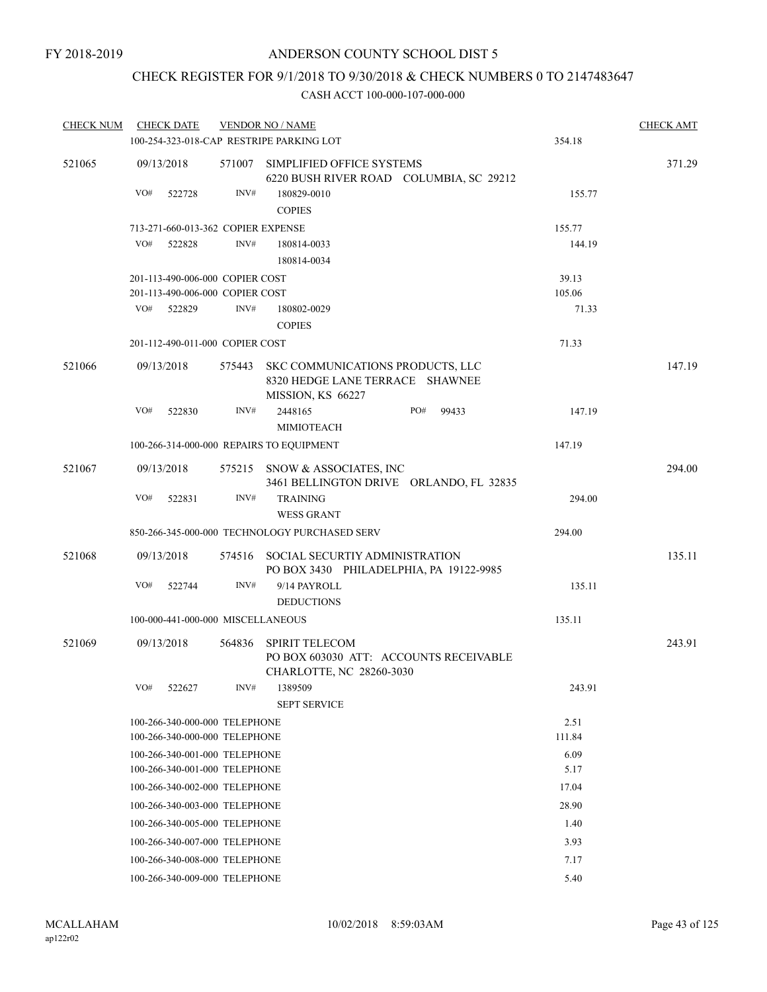## CHECK REGISTER FOR 9/1/2018 TO 9/30/2018 & CHECK NUMBERS 0 TO 2147483647

| <b>CHECK NUM</b> |     | <b>CHECK DATE</b>                                                  |                               | <b>VENDOR NO / NAME</b>                                                                         |  | <b>CHECK AMT</b> |                 |        |
|------------------|-----|--------------------------------------------------------------------|-------------------------------|-------------------------------------------------------------------------------------------------|--|------------------|-----------------|--------|
|                  |     |                                                                    |                               | 100-254-323-018-CAP RESTRIPE PARKING LOT                                                        |  |                  | 354.18          |        |
| 521065           |     | 09/13/2018                                                         |                               | 571007 SIMPLIFIED OFFICE SYSTEMS<br>6220 BUSH RIVER ROAD COLUMBIA, SC 29212                     |  |                  |                 | 371.29 |
|                  | VO# | 522728                                                             | INV#                          | 180829-0010<br><b>COPIES</b>                                                                    |  |                  | 155.77          |        |
|                  |     | 713-271-660-013-362 COPIER EXPENSE                                 |                               |                                                                                                 |  |                  | 155.77          |        |
|                  | VO# | 522828                                                             | INV#                          | 180814-0033<br>180814-0034                                                                      |  |                  | 144.19          |        |
|                  |     | 201-113-490-006-000 COPIER COST<br>201-113-490-006-000 COPIER COST |                               |                                                                                                 |  |                  | 39.13<br>105.06 |        |
|                  | VO# | 522829                                                             | INV#                          | 180802-0029<br><b>COPIES</b>                                                                    |  |                  | 71.33           |        |
|                  |     | 201-112-490-011-000 COPIER COST                                    |                               |                                                                                                 |  |                  | 71.33           |        |
| 521066           |     | 09/13/2018                                                         |                               | 575443 SKC COMMUNICATIONS PRODUCTS, LLC<br>8320 HEDGE LANE TERRACE SHAWNEE<br>MISSION, KS 66227 |  |                  |                 | 147.19 |
|                  | VO# | 522830                                                             | INV#                          | 2448165<br><b>MIMIOTEACH</b>                                                                    |  | PO#<br>99433     | 147.19          |        |
|                  |     |                                                                    |                               | 100-266-314-000-000 REPAIRS TO EQUIPMENT                                                        |  |                  | 147.19          |        |
| 521067           |     | 09/13/2018                                                         |                               | 575215 SNOW & ASSOCIATES, INC<br>3461 BELLINGTON DRIVE ORLANDO, FL 32835                        |  |                  |                 | 294.00 |
|                  | VO# | 522831                                                             | INV#                          | <b>TRAINING</b><br><b>WESS GRANT</b>                                                            |  |                  | 294.00          |        |
|                  |     |                                                                    |                               | 850-266-345-000-000 TECHNOLOGY PURCHASED SERV                                                   |  |                  | 294.00          |        |
| 521068           |     | 09/13/2018                                                         |                               | 574516 SOCIAL SECURTIY ADMINISTRATION<br>PO BOX 3430 PHILADELPHIA, PA 19122-9985                |  |                  |                 | 135.11 |
|                  | VO# | 522744                                                             | INV#                          | 9/14 PAYROLL<br><b>DEDUCTIONS</b>                                                               |  |                  | 135.11          |        |
|                  |     | 100-000-441-000-000 MISCELLANEOUS                                  |                               |                                                                                                 |  |                  | 135.11          |        |
| 521069           |     | 09/13/2018                                                         | 564836                        | <b>SPIRIT TELECOM</b><br>PO BOX 603030 ATT: ACCOUNTS RECEIVABLE<br>CHARLOTTE, NC 28260-3030     |  |                  |                 | 243.91 |
|                  | VO# | 522627                                                             | INV#                          | 1389509<br><b>SEPT SERVICE</b>                                                                  |  |                  | 243.91          |        |
|                  |     | 100-266-340-000-000 TELEPHONE                                      |                               |                                                                                                 |  |                  | 2.51            |        |
|                  |     | 100-266-340-000-000 TELEPHONE                                      |                               |                                                                                                 |  |                  | 111.84          |        |
|                  |     | 100-266-340-001-000 TELEPHONE                                      |                               |                                                                                                 |  |                  | 6.09            |        |
|                  |     | 100-266-340-001-000 TELEPHONE                                      |                               |                                                                                                 |  |                  | 5.17            |        |
|                  |     |                                                                    | 100-266-340-002-000 TELEPHONE |                                                                                                 |  | 17.04            |                 |        |
|                  |     |                                                                    | 100-266-340-003-000 TELEPHONE |                                                                                                 |  | 28.90            |                 |        |
|                  |     | 100-266-340-005-000 TELEPHONE                                      |                               |                                                                                                 |  |                  | 1.40            |        |
|                  |     | 100-266-340-007-000 TELEPHONE                                      |                               |                                                                                                 |  |                  | 3.93            |        |
|                  |     | 100-266-340-008-000 TELEPHONE                                      |                               |                                                                                                 |  |                  | 7.17            |        |
|                  |     | 100-266-340-009-000 TELEPHONE                                      |                               |                                                                                                 |  |                  | 5.40            |        |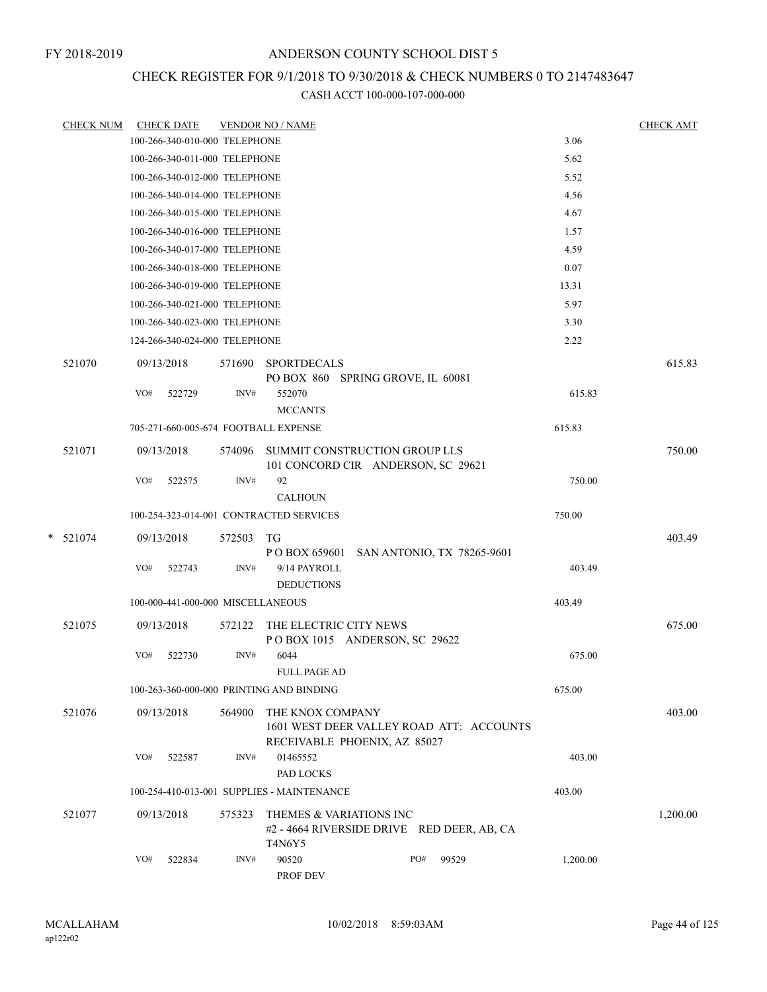## CHECK REGISTER FOR 9/1/2018 TO 9/30/2018 & CHECK NUMBERS 0 TO 2147483647

| <b>CHECK NUM</b> |     | <b>CHECK DATE</b>                 |           | <b>VENDOR NO / NAME</b>                                                                |     |       |          | <b>CHECK AMT</b> |
|------------------|-----|-----------------------------------|-----------|----------------------------------------------------------------------------------------|-----|-------|----------|------------------|
|                  |     | 100-266-340-010-000 TELEPHONE     |           |                                                                                        |     |       | 3.06     |                  |
|                  |     | 100-266-340-011-000 TELEPHONE     |           |                                                                                        |     |       | 5.62     |                  |
|                  |     | 100-266-340-012-000 TELEPHONE     |           |                                                                                        |     |       | 5.52     |                  |
|                  |     | 100-266-340-014-000 TELEPHONE     |           |                                                                                        |     |       | 4.56     |                  |
|                  |     | 100-266-340-015-000 TELEPHONE     |           |                                                                                        |     |       | 4.67     |                  |
|                  |     | 100-266-340-016-000 TELEPHONE     |           |                                                                                        |     |       | 1.57     |                  |
|                  |     | 100-266-340-017-000 TELEPHONE     |           |                                                                                        |     |       | 4.59     |                  |
|                  |     | 100-266-340-018-000 TELEPHONE     |           |                                                                                        |     |       | 0.07     |                  |
|                  |     | 100-266-340-019-000 TELEPHONE     |           |                                                                                        |     |       | 13.31    |                  |
|                  |     | 100-266-340-021-000 TELEPHONE     |           |                                                                                        |     |       | 5.97     |                  |
|                  |     | 100-266-340-023-000 TELEPHONE     |           |                                                                                        |     |       | 3.30     |                  |
|                  |     | 124-266-340-024-000 TELEPHONE     |           |                                                                                        |     |       | 2.22     |                  |
| 521070           |     | 09/13/2018                        | 571690    | <b>SPORTDECALS</b><br>PO BOX 860 SPRING GROVE, IL 60081                                |     |       |          | 615.83           |
|                  | VO# | 522729                            | INV#      | 552070<br><b>MCCANTS</b>                                                               |     |       | 615.83   |                  |
|                  |     |                                   |           | 705-271-660-005-674 FOOTBALL EXPENSE                                                   |     |       | 615.83   |                  |
| 521071           |     | 09/13/2018                        | 574096    | SUMMIT CONSTRUCTION GROUP LLS<br>101 CONCORD CIR ANDERSON, SC 29621                    |     |       |          | 750.00           |
|                  | VO# | 522575                            | INV#      | 92<br><b>CALHOUN</b>                                                                   |     |       | 750.00   |                  |
|                  |     |                                   |           | 100-254-323-014-001 CONTRACTED SERVICES                                                |     |       | 750.00   |                  |
|                  |     |                                   |           |                                                                                        |     |       |          |                  |
| $*$ 521074       |     | 09/13/2018                        | 572503 TG | P O BOX 659601 SAN ANTONIO, TX 78265-9601                                              |     |       |          | 403.49           |
|                  | VO# | 522743                            | INV#      | 9/14 PAYROLL<br><b>DEDUCTIONS</b>                                                      |     |       | 403.49   |                  |
|                  |     | 100-000-441-000-000 MISCELLANEOUS |           |                                                                                        |     |       | 403.49   |                  |
| 521075           |     | 09/13/2018                        | 572122    | THE ELECTRIC CITY NEWS<br>POBOX 1015 ANDERSON, SC 29622                                |     |       |          | 675.00           |
|                  | VO# | 522730                            | INV#      | 6044<br><b>FULL PAGE AD</b>                                                            |     |       | 675.00   |                  |
|                  |     |                                   |           | 100-263-360-000-000 PRINTING AND BINDING                                               |     |       | 675.00   |                  |
| 521076           |     | 09/13/2018                        | 564900    | THE KNOX COMPANY                                                                       |     |       |          | 403.00           |
|                  |     |                                   |           | 1601 WEST DEER VALLEY ROAD ATT: ACCOUNTS<br>RECEIVABLE PHOENIX, AZ 85027               |     |       |          |                  |
|                  | VO# | 522587                            | INV#      | 01465552<br>PAD LOCKS                                                                  |     |       | 403.00   |                  |
|                  |     |                                   |           | 100-254-410-013-001 SUPPLIES - MAINTENANCE                                             |     |       | 403.00   |                  |
| 521077           |     | 09/13/2018                        | 575323    | THEMES & VARIATIONS INC<br>#2 - 4664 RIVERSIDE DRIVE RED DEER, AB, CA<br><b>T4N6Y5</b> |     |       |          | 1,200.00         |
|                  | VO# | 522834                            | INV#      | 90520<br>PROF DEV                                                                      | PO# | 99529 | 1,200.00 |                  |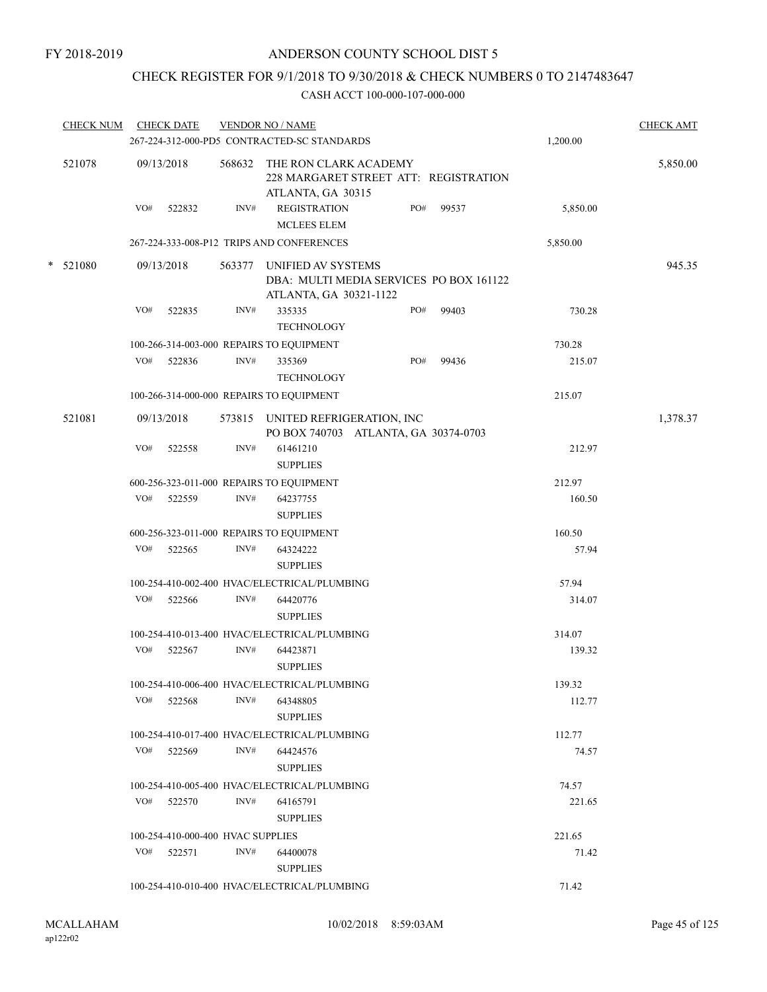## CHECK REGISTER FOR 9/1/2018 TO 9/30/2018 & CHECK NUMBERS 0 TO 2147483647

| <b>CHECK NUM</b> |     | <b>CHECK DATE</b><br>267-224-312-000-PD5 CONTRACTED-SC STANDARDS | <b>VENDOR NO / NAME</b> |                                                                                                | <b>CHECK AMT</b><br>1,200.00 |       |          |          |
|------------------|-----|------------------------------------------------------------------|-------------------------|------------------------------------------------------------------------------------------------|------------------------------|-------|----------|----------|
| 521078           |     | 09/13/2018                                                       |                         | 568632 THE RON CLARK ACADEMY<br>228 MARGARET STREET ATT: REGISTRATION<br>ATLANTA, GA 30315     |                              |       |          | 5,850.00 |
|                  | VO# | 522832                                                           | INV#                    | <b>REGISTRATION</b><br><b>MCLEES ELEM</b>                                                      | PO#                          | 99537 | 5,850.00 |          |
|                  |     |                                                                  |                         | 267-224-333-008-P12 TRIPS AND CONFERENCES                                                      |                              |       | 5,850.00 |          |
| $*$ 521080       |     | 09/13/2018                                                       |                         | 563377 UNIFIED AV SYSTEMS<br>DBA: MULTI MEDIA SERVICES PO BOX 161122<br>ATLANTA, GA 30321-1122 |                              |       |          | 945.35   |
|                  | VO# | 522835                                                           | INV#                    | 335335<br><b>TECHNOLOGY</b>                                                                    | PO#                          | 99403 | 730.28   |          |
|                  |     |                                                                  |                         | 100-266-314-003-000 REPAIRS TO EQUIPMENT                                                       |                              |       | 730.28   |          |
|                  | VO# | 522836                                                           | INV#                    | 335369<br><b>TECHNOLOGY</b>                                                                    | PO#                          | 99436 | 215.07   |          |
|                  |     |                                                                  |                         | 100-266-314-000-000 REPAIRS TO EQUIPMENT                                                       |                              |       | 215.07   |          |
| 521081           |     | 09/13/2018                                                       |                         | 573815 UNITED REFRIGERATION, INC<br>PO BOX 740703 ATLANTA, GA 30374-0703                       |                              |       |          | 1,378.37 |
|                  | VO# | 522558                                                           | INV#                    | 61461210<br><b>SUPPLIES</b>                                                                    |                              |       | 212.97   |          |
|                  |     |                                                                  |                         | 600-256-323-011-000 REPAIRS TO EQUIPMENT                                                       |                              |       | 212.97   |          |
|                  | VO# | 522559                                                           | INV#                    | 64237755<br><b>SUPPLIES</b>                                                                    |                              |       | 160.50   |          |
|                  |     |                                                                  |                         | 600-256-323-011-000 REPAIRS TO EQUIPMENT                                                       |                              |       | 160.50   |          |
|                  | VO# | 522565                                                           | INV#                    | 64324222<br><b>SUPPLIES</b>                                                                    |                              |       | 57.94    |          |
|                  |     |                                                                  |                         | 100-254-410-002-400 HVAC/ELECTRICAL/PLUMBING                                                   |                              |       | 57.94    |          |
|                  | VO# | 522566                                                           | INV#                    | 64420776<br><b>SUPPLIES</b>                                                                    |                              |       | 314.07   |          |
|                  |     |                                                                  |                         | 100-254-410-013-400 HVAC/ELECTRICAL/PLUMBING                                                   |                              |       | 314.07   |          |
|                  | VO# | 522567                                                           | INV#                    | 64423871<br><b>SUPPLIES</b>                                                                    |                              |       | 139.32   |          |
|                  |     |                                                                  |                         | 100-254-410-006-400 HVAC/ELECTRICAL/PLUMBING                                                   |                              |       | 139.32   |          |
|                  | VO# | 522568                                                           | INV#                    | 64348805<br><b>SUPPLIES</b>                                                                    |                              |       | 112.77   |          |
|                  |     |                                                                  |                         | 100-254-410-017-400 HVAC/ELECTRICAL/PLUMBING                                                   |                              |       | 112.77   |          |
|                  |     | $VO#$ 522569                                                     | INV#                    | 64424576<br><b>SUPPLIES</b>                                                                    |                              |       | 74.57    |          |
|                  |     |                                                                  |                         | 100-254-410-005-400 HVAC/ELECTRICAL/PLUMBING                                                   |                              |       | 74.57    |          |
|                  | VO# | 522570                                                           | INV#                    | 64165791<br><b>SUPPLIES</b>                                                                    |                              |       | 221.65   |          |
|                  |     | 100-254-410-000-400 HVAC SUPPLIES                                |                         |                                                                                                |                              |       | 221.65   |          |
|                  | VO# | 522571                                                           | INV#                    | 64400078<br><b>SUPPLIES</b>                                                                    |                              |       | 71.42    |          |
|                  |     |                                                                  |                         | 100-254-410-010-400 HVAC/ELECTRICAL/PLUMBING                                                   |                              |       | 71.42    |          |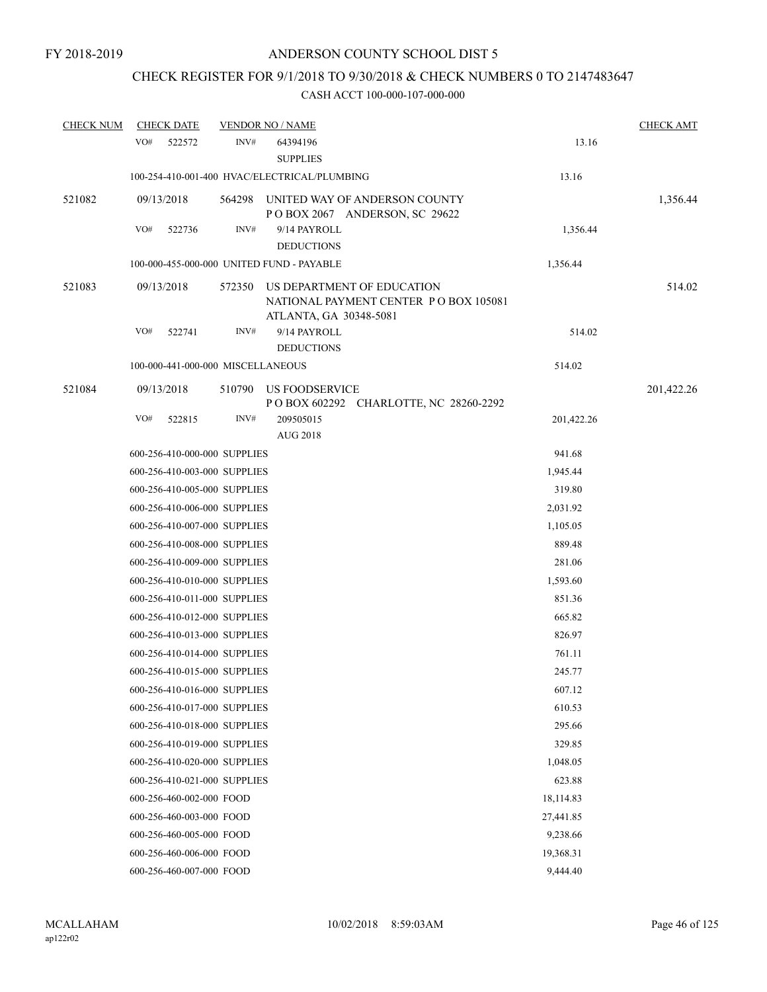## CHECK REGISTER FOR 9/1/2018 TO 9/30/2018 & CHECK NUMBERS 0 TO 2147483647

| <b>CHECK NUM</b> |     | <b>CHECK DATE</b>        |                                   | <b>VENDOR NO / NAME</b>                                                                       |            | <b>CHECK AMT</b> |
|------------------|-----|--------------------------|-----------------------------------|-----------------------------------------------------------------------------------------------|------------|------------------|
|                  | VO# | 522572                   | INV#                              | 64394196<br><b>SUPPLIES</b>                                                                   | 13.16      |                  |
|                  |     |                          |                                   | 100-254-410-001-400 HVAC/ELECTRICAL/PLUMBING                                                  | 13.16      |                  |
| 521082           |     | 09/13/2018               | 564298                            | UNITED WAY OF ANDERSON COUNTY<br>POBOX 2067 ANDERSON, SC 29622                                |            | 1,356.44         |
|                  | VO# | 522736                   | INV#                              | 9/14 PAYROLL<br><b>DEDUCTIONS</b>                                                             | 1,356.44   |                  |
|                  |     |                          |                                   | 100-000-455-000-000 UNITED FUND - PAYABLE                                                     | 1,356.44   |                  |
| 521083           |     | 09/13/2018               | 572350                            | US DEPARTMENT OF EDUCATION<br>NATIONAL PAYMENT CENTER PO BOX 105081<br>ATLANTA, GA 30348-5081 |            | 514.02           |
|                  | VO# | 522741                   | INV#                              | 9/14 PAYROLL<br><b>DEDUCTIONS</b>                                                             | 514.02     |                  |
|                  |     |                          | 100-000-441-000-000 MISCELLANEOUS |                                                                                               | 514.02     |                  |
| 521084           |     | 09/13/2018               | 510790                            | US FOODSERVICE<br>P O BOX 602292 CHARLOTTE, NC 28260-2292                                     |            | 201,422.26       |
|                  | VO# | 522815                   | INV#                              | 209505015<br><b>AUG 2018</b>                                                                  | 201,422.26 |                  |
|                  |     |                          | 600-256-410-000-000 SUPPLIES      |                                                                                               | 941.68     |                  |
|                  |     |                          | 600-256-410-003-000 SUPPLIES      |                                                                                               | 1,945.44   |                  |
|                  |     |                          | 600-256-410-005-000 SUPPLIES      |                                                                                               | 319.80     |                  |
|                  |     |                          | 600-256-410-006-000 SUPPLIES      |                                                                                               | 2,031.92   |                  |
|                  |     |                          | 600-256-410-007-000 SUPPLIES      |                                                                                               | 1,105.05   |                  |
|                  |     |                          | 600-256-410-008-000 SUPPLIES      |                                                                                               | 889.48     |                  |
|                  |     |                          | 600-256-410-009-000 SUPPLIES      |                                                                                               | 281.06     |                  |
|                  |     |                          | 600-256-410-010-000 SUPPLIES      |                                                                                               | 1,593.60   |                  |
|                  |     |                          | 600-256-410-011-000 SUPPLIES      |                                                                                               | 851.36     |                  |
|                  |     |                          | 600-256-410-012-000 SUPPLIES      |                                                                                               | 665.82     |                  |
|                  |     |                          | 600-256-410-013-000 SUPPLIES      |                                                                                               | 826.97     |                  |
|                  |     |                          | 600-256-410-014-000 SUPPLIES      |                                                                                               | 761.11     |                  |
|                  |     |                          | 600-256-410-015-000 SUPPLIES      |                                                                                               | 245.77     |                  |
|                  |     |                          | 600-256-410-016-000 SUPPLIES      |                                                                                               | 607.12     |                  |
|                  |     |                          | 600-256-410-017-000 SUPPLIES      |                                                                                               | 610.53     |                  |
|                  |     |                          | 600-256-410-018-000 SUPPLIES      |                                                                                               | 295.66     |                  |
|                  |     |                          | 600-256-410-019-000 SUPPLIES      |                                                                                               | 329.85     |                  |
|                  |     |                          | 600-256-410-020-000 SUPPLIES      |                                                                                               | 1,048.05   |                  |
|                  |     |                          | 600-256-410-021-000 SUPPLIES      |                                                                                               | 623.88     |                  |
|                  |     | 600-256-460-002-000 FOOD |                                   |                                                                                               | 18,114.83  |                  |
|                  |     | 600-256-460-003-000 FOOD |                                   |                                                                                               | 27,441.85  |                  |
|                  |     | 600-256-460-005-000 FOOD |                                   |                                                                                               | 9,238.66   |                  |
|                  |     | 600-256-460-006-000 FOOD |                                   |                                                                                               | 19,368.31  |                  |
|                  |     | 600-256-460-007-000 FOOD |                                   |                                                                                               | 9,444.40   |                  |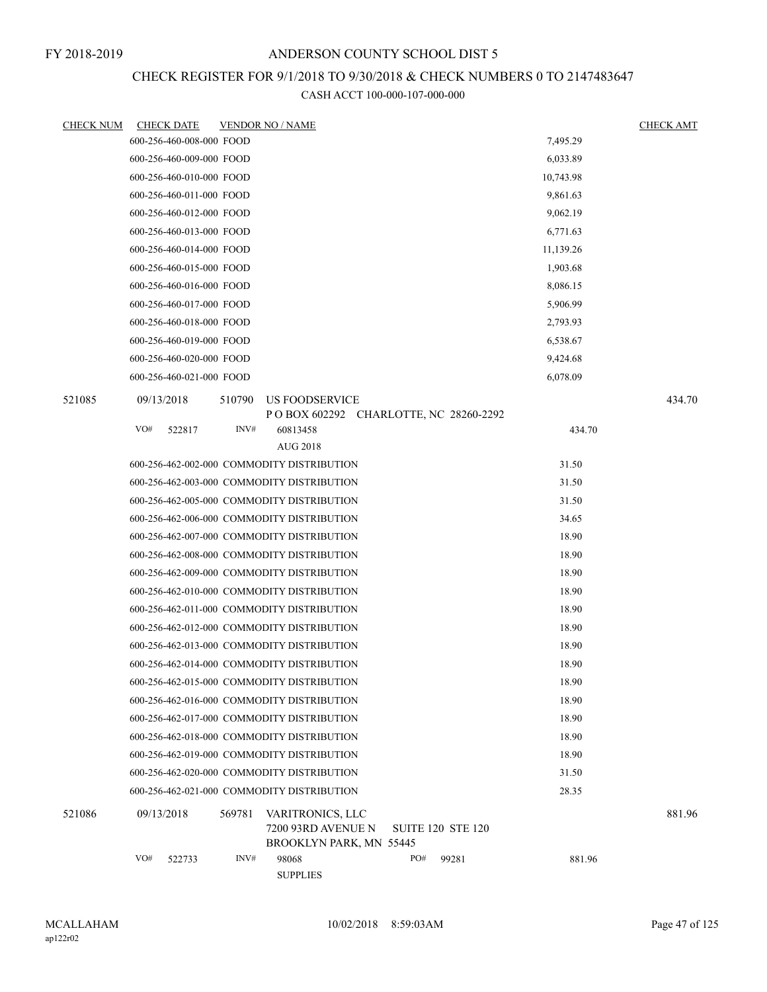## CHECK REGISTER FOR 9/1/2018 TO 9/30/2018 & CHECK NUMBERS 0 TO 2147483647

| <b>CHECK NUM</b> | <b>CHECK DATE</b> |                          |        | <b>VENDOR NO / NAME</b>                                           |     |                          |           | <b>CHECK AMT</b> |
|------------------|-------------------|--------------------------|--------|-------------------------------------------------------------------|-----|--------------------------|-----------|------------------|
|                  |                   | 600-256-460-008-000 FOOD |        |                                                                   |     |                          | 7,495.29  |                  |
|                  |                   | 600-256-460-009-000 FOOD |        |                                                                   |     |                          | 6,033.89  |                  |
|                  |                   | 600-256-460-010-000 FOOD |        |                                                                   |     |                          | 10,743.98 |                  |
|                  |                   | 600-256-460-011-000 FOOD |        |                                                                   |     |                          | 9,861.63  |                  |
|                  |                   | 600-256-460-012-000 FOOD |        |                                                                   |     |                          | 9,062.19  |                  |
|                  |                   | 600-256-460-013-000 FOOD |        |                                                                   |     |                          | 6,771.63  |                  |
|                  |                   | 600-256-460-014-000 FOOD |        |                                                                   |     |                          | 11,139.26 |                  |
|                  |                   | 600-256-460-015-000 FOOD |        |                                                                   |     |                          | 1,903.68  |                  |
|                  |                   | 600-256-460-016-000 FOOD |        |                                                                   |     |                          | 8,086.15  |                  |
|                  |                   | 600-256-460-017-000 FOOD |        |                                                                   |     |                          | 5,906.99  |                  |
|                  |                   | 600-256-460-018-000 FOOD |        |                                                                   |     |                          | 2,793.93  |                  |
|                  |                   | 600-256-460-019-000 FOOD |        |                                                                   |     |                          | 6,538.67  |                  |
|                  |                   | 600-256-460-020-000 FOOD |        |                                                                   |     |                          | 9,424.68  |                  |
|                  |                   | 600-256-460-021-000 FOOD |        |                                                                   |     |                          | 6,078.09  |                  |
| 521085           | 09/13/2018        |                          | 510790 | <b>US FOODSERVICE</b><br>POBOX 602292 CHARLOTTE, NC 28260-2292    |     |                          |           | 434.70           |
|                  | VO#               | 522817                   | INV#   | 60813458                                                          |     |                          | 434.70    |                  |
|                  |                   |                          |        | <b>AUG 2018</b>                                                   |     |                          |           |                  |
|                  |                   |                          |        | 600-256-462-002-000 COMMODITY DISTRIBUTION                        |     |                          | 31.50     |                  |
|                  |                   |                          |        | 600-256-462-003-000 COMMODITY DISTRIBUTION                        |     |                          | 31.50     |                  |
|                  |                   |                          |        | 600-256-462-005-000 COMMODITY DISTRIBUTION                        |     |                          | 31.50     |                  |
|                  |                   |                          |        | 600-256-462-006-000 COMMODITY DISTRIBUTION                        |     |                          | 34.65     |                  |
|                  |                   |                          |        | 600-256-462-007-000 COMMODITY DISTRIBUTION                        |     |                          | 18.90     |                  |
|                  |                   |                          |        | 600-256-462-008-000 COMMODITY DISTRIBUTION                        |     |                          | 18.90     |                  |
|                  |                   |                          |        | 600-256-462-009-000 COMMODITY DISTRIBUTION                        |     |                          | 18.90     |                  |
|                  |                   |                          |        | 600-256-462-010-000 COMMODITY DISTRIBUTION                        |     |                          | 18.90     |                  |
|                  |                   |                          |        | 600-256-462-011-000 COMMODITY DISTRIBUTION                        |     |                          | 18.90     |                  |
|                  |                   |                          |        | 600-256-462-012-000 COMMODITY DISTRIBUTION                        |     |                          | 18.90     |                  |
|                  |                   |                          |        | 600-256-462-013-000 COMMODITY DISTRIBUTION                        |     |                          | 18.90     |                  |
|                  |                   |                          |        | 600-256-462-014-000 COMMODITY DISTRIBUTION                        |     |                          | 18.90     |                  |
|                  |                   |                          |        | 600-256-462-015-000 COMMODITY DISTRIBUTION                        |     |                          | 18.90     |                  |
|                  |                   |                          |        | 600-256-462-016-000 COMMODITY DISTRIBUTION                        |     |                          | 18.90     |                  |
|                  |                   |                          |        | 600-256-462-017-000 COMMODITY DISTRIBUTION                        |     |                          | 18.90     |                  |
|                  |                   |                          |        | 600-256-462-018-000 COMMODITY DISTRIBUTION                        |     |                          | 18.90     |                  |
|                  |                   |                          |        | 600-256-462-019-000 COMMODITY DISTRIBUTION                        |     |                          | 18.90     |                  |
|                  |                   |                          |        | 600-256-462-020-000 COMMODITY DISTRIBUTION                        |     |                          | 31.50     |                  |
|                  |                   |                          |        | 600-256-462-021-000 COMMODITY DISTRIBUTION                        |     |                          | 28.35     |                  |
| 521086           | 09/13/2018        |                          | 569781 | VARITRONICS, LLC<br>7200 93RD AVENUE N<br>BROOKLYN PARK, MN 55445 |     | <b>SUITE 120 STE 120</b> |           | 881.96           |
|                  | VO#               | 522733                   | INV#   | 98068<br><b>SUPPLIES</b>                                          | PO# | 99281                    | 881.96    |                  |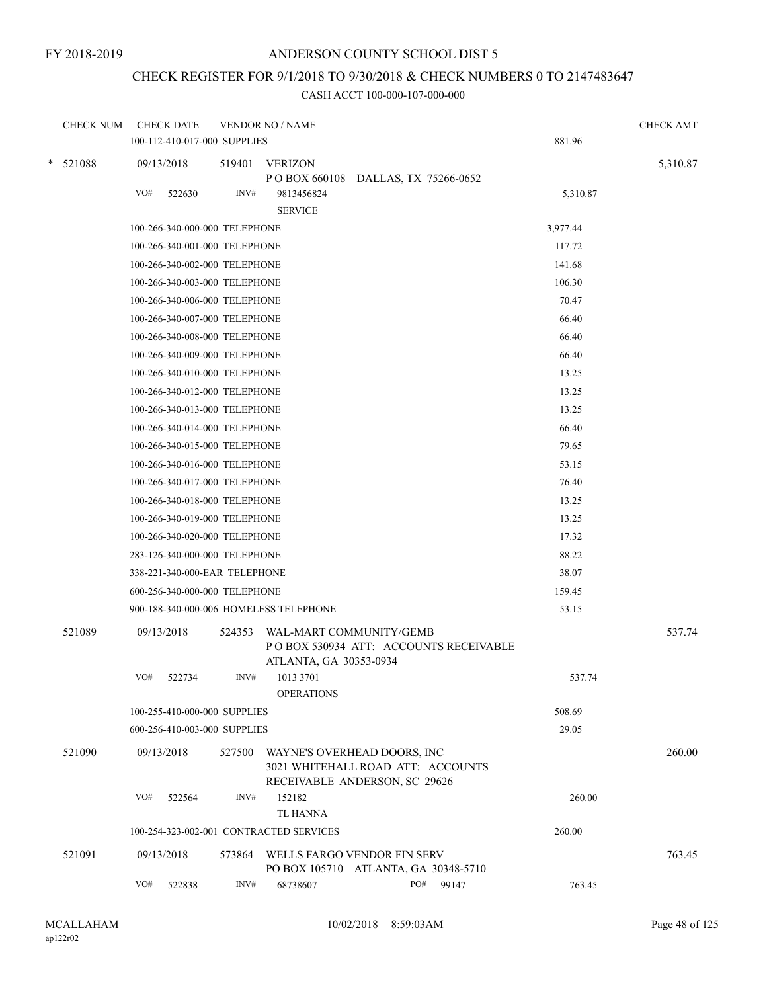## CHECK REGISTER FOR 9/1/2018 TO 9/30/2018 & CHECK NUMBERS 0 TO 2147483647

| <b>CHECK NUM</b> | <b>CHECK DATE</b>                       |        | <b>VENDOR NO / NAME</b>        |                                                                                                   |          | <b>CHECK AMT</b> |
|------------------|-----------------------------------------|--------|--------------------------------|---------------------------------------------------------------------------------------------------|----------|------------------|
|                  | 100-112-410-017-000 SUPPLIES            |        |                                |                                                                                                   | 881.96   |                  |
| * 521088         | 09/13/2018                              | 519401 | <b>VERIZON</b>                 |                                                                                                   |          | 5,310.87         |
|                  | VO#<br>522630                           | INV#   | 9813456824                     | P O BOX 660108 DALLAS, TX 75266-0652                                                              | 5,310.87 |                  |
|                  |                                         |        | <b>SERVICE</b>                 |                                                                                                   |          |                  |
|                  | 100-266-340-000-000 TELEPHONE           |        |                                |                                                                                                   | 3,977.44 |                  |
|                  | 100-266-340-001-000 TELEPHONE           |        |                                |                                                                                                   | 117.72   |                  |
|                  | 100-266-340-002-000 TELEPHONE           |        |                                |                                                                                                   | 141.68   |                  |
|                  | 100-266-340-003-000 TELEPHONE           |        |                                |                                                                                                   | 106.30   |                  |
|                  | 100-266-340-006-000 TELEPHONE           |        |                                |                                                                                                   | 70.47    |                  |
|                  | 100-266-340-007-000 TELEPHONE           |        |                                |                                                                                                   | 66.40    |                  |
|                  | 100-266-340-008-000 TELEPHONE           |        |                                |                                                                                                   | 66.40    |                  |
|                  | 100-266-340-009-000 TELEPHONE           |        |                                |                                                                                                   | 66.40    |                  |
|                  | 100-266-340-010-000 TELEPHONE           |        |                                |                                                                                                   | 13.25    |                  |
|                  | 100-266-340-012-000 TELEPHONE           |        |                                |                                                                                                   | 13.25    |                  |
|                  | 100-266-340-013-000 TELEPHONE           |        |                                |                                                                                                   | 13.25    |                  |
|                  | 100-266-340-014-000 TELEPHONE           |        |                                |                                                                                                   | 66.40    |                  |
|                  | 100-266-340-015-000 TELEPHONE           |        |                                |                                                                                                   | 79.65    |                  |
|                  | 100-266-340-016-000 TELEPHONE           |        |                                |                                                                                                   | 53.15    |                  |
|                  | 100-266-340-017-000 TELEPHONE           |        |                                |                                                                                                   | 76.40    |                  |
|                  | 100-266-340-018-000 TELEPHONE           |        |                                |                                                                                                   | 13.25    |                  |
|                  | 100-266-340-019-000 TELEPHONE           |        |                                |                                                                                                   | 13.25    |                  |
|                  | 100-266-340-020-000 TELEPHONE           |        |                                |                                                                                                   | 17.32    |                  |
|                  | 283-126-340-000-000 TELEPHONE           |        |                                |                                                                                                   | 88.22    |                  |
|                  | 338-221-340-000-EAR TELEPHONE           |        |                                |                                                                                                   | 38.07    |                  |
|                  | 600-256-340-000-000 TELEPHONE           |        |                                |                                                                                                   | 159.45   |                  |
|                  | 900-188-340-000-006 HOMELESS TELEPHONE  |        |                                |                                                                                                   | 53.15    |                  |
| 521089           | 09/13/2018                              | 524353 | ATLANTA, GA 30353-0934         | WAL-MART COMMUNITY/GEMB<br>PO BOX 530934 ATT: ACCOUNTS RECEIVABLE                                 |          | 537.74           |
|                  | VO#<br>522734                           | INV#   | 1013 3701<br><b>OPERATIONS</b> |                                                                                                   | 537.74   |                  |
|                  | 100-255-410-000-000 SUPPLIES            |        |                                |                                                                                                   | 508.69   |                  |
|                  | 600-256-410-003-000 SUPPLIES            |        |                                |                                                                                                   | 29.05    |                  |
| 521090           | 09/13/2018                              | 527500 |                                | WAYNE'S OVERHEAD DOORS, INC<br>3021 WHITEHALL ROAD ATT: ACCOUNTS<br>RECEIVABLE ANDERSON, SC 29626 |          | 260.00           |
|                  | VO#<br>522564                           | INV#   | 152182<br><b>TL HANNA</b>      |                                                                                                   | 260.00   |                  |
|                  | 100-254-323-002-001 CONTRACTED SERVICES |        |                                |                                                                                                   | 260.00   |                  |
| 521091           | 09/13/2018                              |        |                                | 573864 WELLS FARGO VENDOR FIN SERV<br>PO BOX 105710 ATLANTA, GA 30348-5710                        |          | 763.45           |
|                  | VO#<br>522838                           | INV#   | 68738607                       | PO#<br>99147                                                                                      | 763.45   |                  |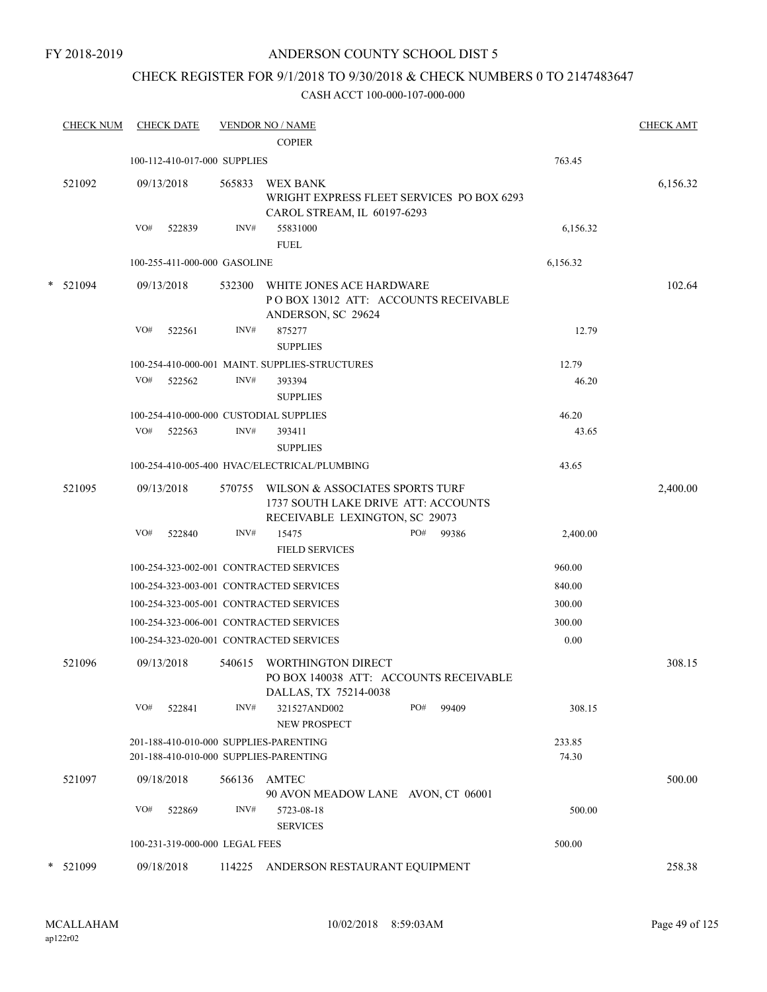FY 2018-2019

## ANDERSON COUNTY SCHOOL DIST 5

## CHECK REGISTER FOR 9/1/2018 TO 9/30/2018 & CHECK NUMBERS 0 TO 2147483647

| <b>CHECK NUM</b> |     | <b>CHECK DATE</b>              |        | <b>VENDOR NO / NAME</b><br><b>COPIER</b>                                                                 |     |       |                 | <b>CHECK AMT</b> |
|------------------|-----|--------------------------------|--------|----------------------------------------------------------------------------------------------------------|-----|-------|-----------------|------------------|
|                  |     | 100-112-410-017-000 SUPPLIES   |        |                                                                                                          |     |       | 763.45          |                  |
| 521092           |     | 09/13/2018                     | 565833 | WEX BANK<br>WRIGHT EXPRESS FLEET SERVICES PO BOX 6293<br>CAROL STREAM, IL 60197-6293                     |     |       |                 | 6,156.32         |
|                  | VO# | 522839                         | INV#   | 55831000<br><b>FUEL</b>                                                                                  |     |       | 6,156.32        |                  |
|                  |     | 100-255-411-000-000 GASOLINE   |        |                                                                                                          |     |       | 6,156.32        |                  |
| $*$ 521094       |     | 09/13/2018                     | 532300 | WHITE JONES ACE HARDWARE<br>PO BOX 13012 ATT: ACCOUNTS RECEIVABLE                                        |     |       |                 | 102.64           |
|                  | VO# | 522561                         | INV#   | ANDERSON, SC 29624<br>875277<br><b>SUPPLIES</b>                                                          |     |       | 12.79           |                  |
|                  |     |                                |        | 100-254-410-000-001 MAINT. SUPPLIES-STRUCTURES                                                           |     |       | 12.79           |                  |
|                  | VO# | 522562                         | INV#   | 393394<br><b>SUPPLIES</b>                                                                                |     |       | 46.20           |                  |
|                  |     |                                |        | 100-254-410-000-000 CUSTODIAL SUPPLIES                                                                   |     |       | 46.20           |                  |
|                  | VO# | 522563                         | INV#   | 393411<br><b>SUPPLIES</b>                                                                                |     |       | 43.65           |                  |
|                  |     |                                |        | 100-254-410-005-400 HVAC/ELECTRICAL/PLUMBING                                                             |     |       | 43.65           |                  |
| 521095           |     | 09/13/2018                     | 570755 | WILSON & ASSOCIATES SPORTS TURF<br>1737 SOUTH LAKE DRIVE ATT: ACCOUNTS<br>RECEIVABLE LEXINGTON, SC 29073 |     |       |                 | 2,400.00         |
|                  | VO# | 522840                         | INV#   | 15475<br><b>FIELD SERVICES</b>                                                                           | PO# | 99386 | 2,400.00        |                  |
|                  |     |                                |        | 100-254-323-002-001 CONTRACTED SERVICES                                                                  |     |       | 960.00          |                  |
|                  |     |                                |        | 100-254-323-003-001 CONTRACTED SERVICES                                                                  |     |       | 840.00          |                  |
|                  |     |                                |        | 100-254-323-005-001 CONTRACTED SERVICES                                                                  |     |       | 300.00          |                  |
|                  |     |                                |        | 100-254-323-006-001 CONTRACTED SERVICES                                                                  |     |       | 300.00          |                  |
|                  |     |                                |        | 100-254-323-020-001 CONTRACTED SERVICES                                                                  |     |       | $0.00\,$        |                  |
| 521096           |     | 09/13/2018                     | 540615 | WORTHINGTON DIRECT<br>PO BOX 140038 ATT: ACCOUNTS RECEIVABLE<br>DALLAS, TX 75214-0038                    |     |       |                 | 308.15           |
|                  | VO# | 522841                         | INV#   | 321527AND002<br>NEW PROSPECT                                                                             | PO# | 99409 | 308.15          |                  |
|                  |     |                                |        | 201-188-410-010-000 SUPPLIES-PARENTING<br>201-188-410-010-000 SUPPLIES-PARENTING                         |     |       | 233.85<br>74.30 |                  |
| 521097           |     | 09/18/2018                     |        | 566136 AMTEC<br>90 AVON MEADOW LANE AVON, CT 06001                                                       |     |       |                 | 500.00           |
|                  | VO# | 522869                         | INV#   | 5723-08-18<br><b>SERVICES</b>                                                                            |     |       | 500.00          |                  |
|                  |     | 100-231-319-000-000 LEGAL FEES |        |                                                                                                          |     |       | 500.00          |                  |
| * 521099         |     | 09/18/2018                     |        | 114225 ANDERSON RESTAURANT EQUIPMENT                                                                     |     |       |                 | 258.38           |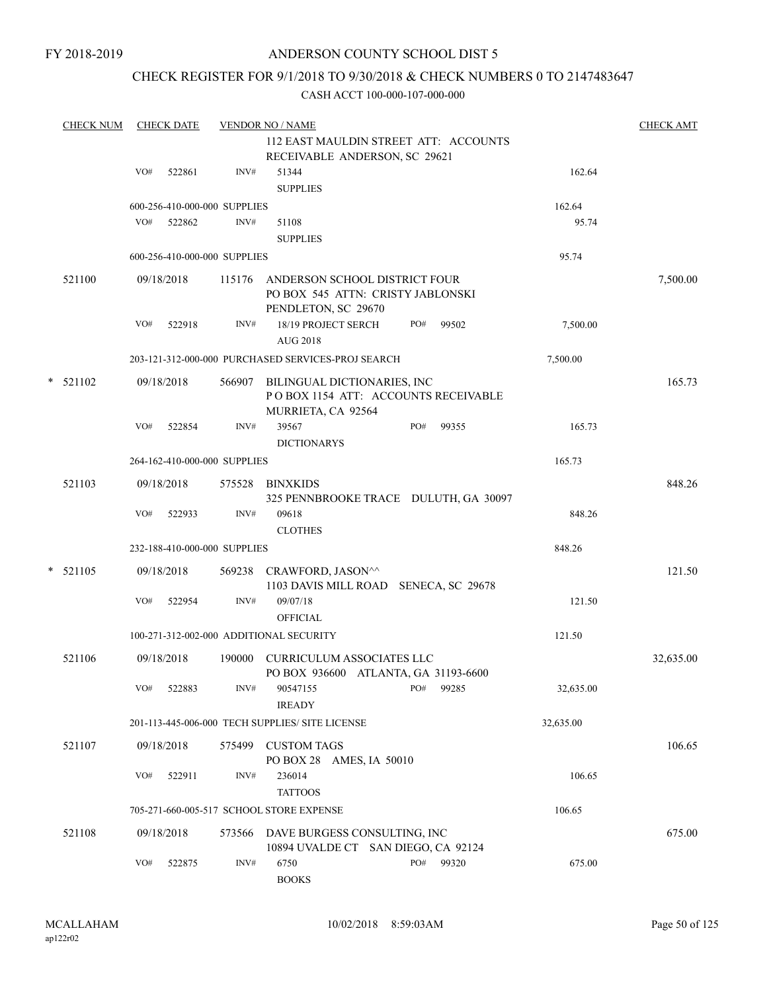# CHECK REGISTER FOR 9/1/2018 TO 9/30/2018 & CHECK NUMBERS 0 TO 2147483647

|   | <b>CHECK NUM</b> |     | <b>CHECK DATE</b> |                              | <b>VENDOR NO / NAME</b>                                                                   |     |       |           | <b>CHECK AMT</b> |
|---|------------------|-----|-------------------|------------------------------|-------------------------------------------------------------------------------------------|-----|-------|-----------|------------------|
|   |                  |     |                   |                              | 112 EAST MAULDIN STREET ATT: ACCOUNTS                                                     |     |       |           |                  |
|   |                  |     |                   |                              | RECEIVABLE ANDERSON, SC 29621                                                             |     |       |           |                  |
|   |                  | VO# | 522861            | INV#                         | 51344<br><b>SUPPLIES</b>                                                                  |     |       | 162.64    |                  |
|   |                  |     |                   | 600-256-410-000-000 SUPPLIES |                                                                                           |     |       | 162.64    |                  |
|   |                  | VO# | 522862            | INV#                         | 51108                                                                                     |     |       | 95.74     |                  |
|   |                  |     |                   |                              | <b>SUPPLIES</b>                                                                           |     |       |           |                  |
|   |                  |     |                   | 600-256-410-000-000 SUPPLIES |                                                                                           |     |       | 95.74     |                  |
|   | 521100           |     | 09/18/2018        | 115176                       | ANDERSON SCHOOL DISTRICT FOUR<br>PO BOX 545 ATTN: CRISTY JABLONSKI<br>PENDLETON, SC 29670 |     |       |           | 7,500.00         |
|   |                  | VO# | 522918            | INV#                         | 18/19 PROJECT SERCH<br><b>AUG 2018</b>                                                    | PO# | 99502 | 7,500.00  |                  |
|   |                  |     |                   |                              | 203-121-312-000-000 PURCHASED SERVICES-PROJ SEARCH                                        |     |       | 7,500.00  |                  |
|   | $*$ 521102       |     | 09/18/2018        | 566907                       | BILINGUAL DICTIONARIES, INC<br>POBOX 1154 ATT: ACCOUNTS RECEIVABLE<br>MURRIETA, CA 92564  |     |       |           | 165.73           |
|   |                  | VO# | 522854            | INV#                         | 39567<br><b>DICTIONARYS</b>                                                               | PO# | 99355 | 165.73    |                  |
|   |                  |     |                   | 264-162-410-000-000 SUPPLIES |                                                                                           |     |       | 165.73    |                  |
|   | 521103           |     | 09/18/2018        |                              | 575528 BINXKIDS<br>325 PENNBROOKE TRACE DULUTH, GA 30097                                  |     |       |           | 848.26           |
|   |                  | VO# | 522933            | INV#                         | 09618<br><b>CLOTHES</b>                                                                   |     |       | 848.26    |                  |
|   |                  |     |                   | 232-188-410-000-000 SUPPLIES |                                                                                           |     |       | 848.26    |                  |
| * |                  |     |                   |                              |                                                                                           |     |       |           |                  |
|   | 521105           |     | 09/18/2018        | 569238                       | CRAWFORD, JASON^^<br>1103 DAVIS MILL ROAD SENECA, SC 29678                                |     |       |           | 121.50           |
|   |                  | VO# | 522954            | INV#                         | 09/07/18<br><b>OFFICIAL</b>                                                               |     |       | 121.50    |                  |
|   |                  |     |                   |                              | 100-271-312-002-000 ADDITIONAL SECURITY                                                   |     |       | 121.50    |                  |
|   | 521106           |     | 09/18/2018        | 190000                       | <b>CURRICULUM ASSOCIATES LLC</b><br>PO BOX 936600 ATLANTA, GA 31193-6600                  |     |       |           | 32,635.00        |
|   |                  | VO# | 522883            | INV#                         | 90547155<br><b>IREADY</b>                                                                 | PO# | 99285 | 32,635.00 |                  |
|   |                  |     |                   |                              | 201-113-445-006-000 TECH SUPPLIES/ SITE LICENSE                                           |     |       | 32,635.00 |                  |
|   | 521107           |     | 09/18/2018        | 575499                       | <b>CUSTOM TAGS</b>                                                                        |     |       |           | 106.65           |
|   |                  |     |                   |                              | PO BOX 28 AMES, IA 50010                                                                  |     |       |           |                  |
|   |                  | VO# | 522911            | INV#                         | 236014<br><b>TATTOOS</b>                                                                  |     |       | 106.65    |                  |
|   |                  |     |                   |                              | 705-271-660-005-517 SCHOOL STORE EXPENSE                                                  |     |       | 106.65    |                  |
|   | 521108           |     | 09/18/2018        | 573566                       | DAVE BURGESS CONSULTING, INC<br>10894 UVALDE CT SAN DIEGO, CA 92124                       |     |       |           | 675.00           |
|   |                  | VO# | 522875            | $\text{INV}\#$               | 6750<br><b>BOOKS</b>                                                                      | PO# | 99320 | 675.00    |                  |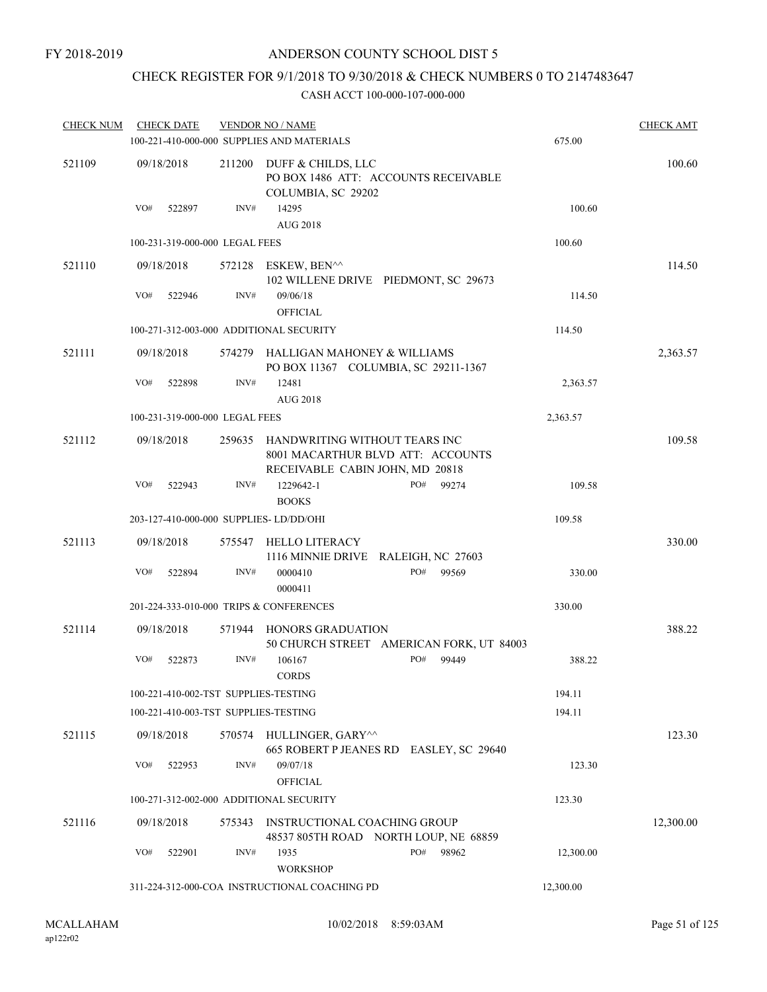## CHECK REGISTER FOR 9/1/2018 TO 9/30/2018 & CHECK NUMBERS 0 TO 2147483647

| <b>CHECK NUM</b> | <b>CHECK DATE</b>                       |                | <b>VENDOR NO / NAME</b><br>100-221-410-000-000 SUPPLIES AND MATERIALS                                 |                                          | 675.00    | <b>CHECK AMT</b> |
|------------------|-----------------------------------------|----------------|-------------------------------------------------------------------------------------------------------|------------------------------------------|-----------|------------------|
| 521109           | 09/18/2018                              | 211200         | DUFF & CHILDS, LLC<br>PO BOX 1486 ATT: ACCOUNTS RECEIVABLE<br>COLUMBIA, SC 29202                      |                                          |           | 100.60           |
|                  | VO#<br>522897                           | INV#           | 14295<br><b>AUG 2018</b>                                                                              |                                          | 100.60    |                  |
|                  | 100-231-319-000-000 LEGAL FEES          |                |                                                                                                       |                                          | 100.60    |                  |
| 521110           | 09/18/2018                              | 572128         | ESKEW, BEN^^<br>102 WILLENE DRIVE PIEDMONT, SC 29673                                                  |                                          |           | 114.50           |
|                  | VO#<br>522946                           | $\text{INV}\#$ | 09/06/18                                                                                              |                                          | 114.50    |                  |
|                  | 100-271-312-003-000 ADDITIONAL SECURITY |                | <b>OFFICIAL</b>                                                                                       |                                          | 114.50    |                  |
| 521111           | 09/18/2018                              | 574279         | HALLIGAN MAHONEY & WILLIAMS                                                                           |                                          |           | 2,363.57         |
|                  |                                         |                | PO BOX 11367 COLUMBIA, SC 29211-1367                                                                  |                                          |           |                  |
|                  | VO#<br>522898                           | INV#           | 12481<br><b>AUG 2018</b>                                                                              |                                          | 2,363.57  |                  |
|                  | 100-231-319-000-000 LEGAL FEES          |                |                                                                                                       |                                          | 2,363.57  |                  |
| 521112           | 09/18/2018                              | 259635         | HANDWRITING WITHOUT TEARS INC<br>8001 MACARTHUR BLVD ATT: ACCOUNTS<br>RECEIVABLE CABIN JOHN, MD 20818 |                                          |           | 109.58           |
|                  | VO#<br>522943                           | INV#           | 1229642-1<br><b>BOOKS</b>                                                                             | PO#<br>99274                             | 109.58    |                  |
|                  | 203-127-410-000-000 SUPPLIES- LD/DD/OHI |                |                                                                                                       |                                          | 109.58    |                  |
| 521113           | 09/18/2018                              | 575547         | HELLO LITERACY<br>1116 MINNIE DRIVE RALEIGH, NC 27603                                                 |                                          |           | 330.00           |
|                  | VO#<br>522894                           | INV#           | 0000410<br>0000411                                                                                    | PO#<br>99569                             | 330.00    |                  |
|                  | 201-224-333-010-000 TRIPS & CONFERENCES |                |                                                                                                       |                                          | 330.00    |                  |
| 521114           | 09/18/2018                              |                | 571944 HONORS GRADUATION                                                                              | 50 CHURCH STREET AMERICAN FORK, UT 84003 |           | 388.22           |
|                  | VO#<br>522873                           | INV#           | 106167<br><b>CORDS</b>                                                                                | PO#<br>99449                             | 388.22    |                  |
|                  | 100-221-410-002-TST SUPPLIES-TESTING    |                |                                                                                                       |                                          | 194.11    |                  |
|                  | 100-221-410-003-TST SUPPLIES-TESTING    |                |                                                                                                       |                                          | 194.11    |                  |
| 521115           | 09/18/2018                              |                | 570574 HULLINGER, GARY^^                                                                              | 665 ROBERT P JEANES RD EASLEY, SC 29640  |           | 123.30           |
|                  | VO#<br>522953                           | INV#           | 09/07/18<br><b>OFFICIAL</b>                                                                           |                                          | 123.30    |                  |
|                  | 100-271-312-002-000 ADDITIONAL SECURITY |                |                                                                                                       |                                          | 123.30    |                  |
| 521116           | 09/18/2018                              | 575343         | INSTRUCTIONAL COACHING GROUP<br>48537 805TH ROAD NORTH LOUP, NE 68859                                 |                                          |           | 12,300.00        |
|                  | VO#<br>522901                           | INV#           | 1935<br><b>WORKSHOP</b>                                                                               | PO#<br>98962                             | 12,300.00 |                  |
|                  |                                         |                | 311-224-312-000-COA INSTRUCTIONAL COACHING PD                                                         |                                          | 12,300.00 |                  |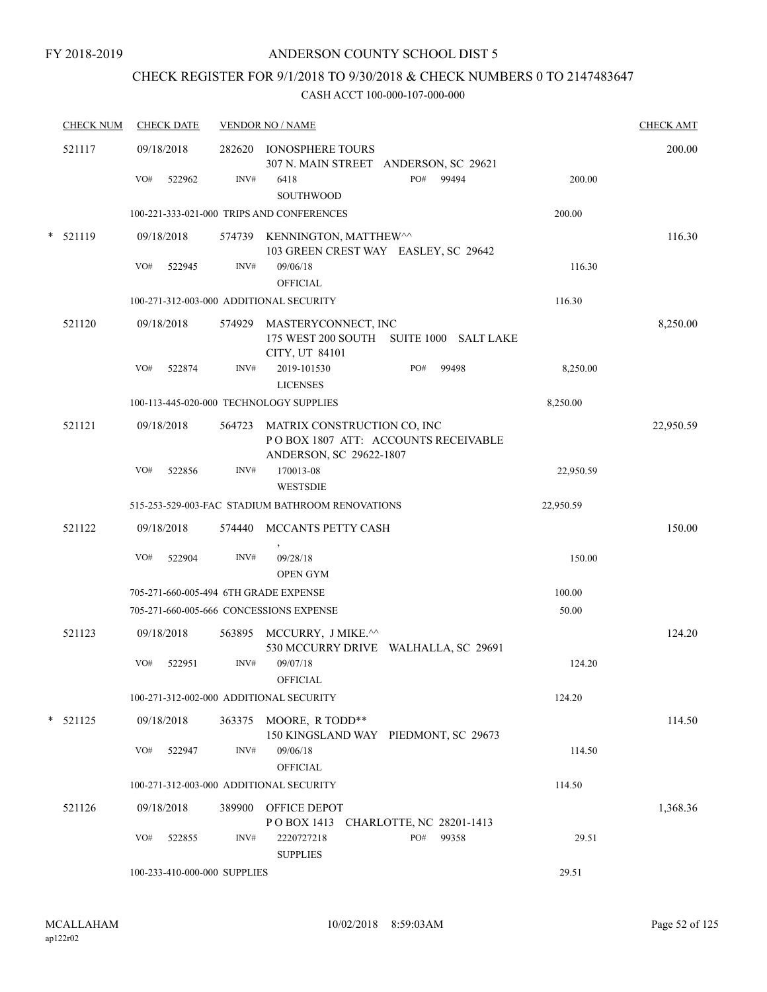## CHECK REGISTER FOR 9/1/2018 TO 9/30/2018 & CHECK NUMBERS 0 TO 2147483647

| <b>CHECK NUM</b> | <b>CHECK DATE</b>                       |        | <b>VENDOR NO / NAME</b>                                                                       |                   | <b>CHECK AMT</b> |
|------------------|-----------------------------------------|--------|-----------------------------------------------------------------------------------------------|-------------------|------------------|
| 521117           | 09/18/2018                              |        | 282620 IONOSPHERE TOURS<br>307 N. MAIN STREET ANDERSON, SC 29621                              |                   | 200.00           |
|                  | VO#<br>522962                           | INV#   | PO#<br>6418<br>SOUTHWOOD                                                                      | 99494<br>200.00   |                  |
|                  |                                         |        | 100-221-333-021-000 TRIPS AND CONFERENCES                                                     | 200.00            |                  |
| $*$ 521119       | 09/18/2018                              |        | 574739 KENNINGTON, MATTHEW^^<br>103 GREEN CREST WAY EASLEY, SC 29642                          |                   | 116.30           |
|                  | VO#<br>522945                           | INV#   | 09/06/18<br><b>OFFICIAL</b>                                                                   | 116.30            |                  |
|                  | 100-271-312-003-000 ADDITIONAL SECURITY |        |                                                                                               | 116.30            |                  |
| 521120           | 09/18/2018                              |        | 574929 MASTERYCONNECT, INC<br>175 WEST 200 SOUTH SUITE 1000 SALT LAKE<br>CITY, UT 84101       |                   | 8,250.00         |
|                  | VO#<br>522874                           | INV#   | 2019-101530<br>PO#<br><b>LICENSES</b>                                                         | 99498<br>8,250.00 |                  |
|                  | 100-113-445-020-000 TECHNOLOGY SUPPLIES |        |                                                                                               | 8,250.00          |                  |
| 521121           | 09/18/2018                              | 564723 | MATRIX CONSTRUCTION CO, INC<br>POBOX 1807 ATT: ACCOUNTS RECEIVABLE<br>ANDERSON, SC 29622-1807 |                   | 22,950.59        |
|                  | VO#<br>522856                           | INV#   | 170013-08<br><b>WESTSDIE</b>                                                                  | 22,950.59         |                  |
|                  |                                         |        | 515-253-529-003-FAC STADIUM BATHROOM RENOVATIONS                                              | 22,950.59         |                  |
| 521122           | 09/18/2018                              | 574440 | MCCANTS PETTY CASH                                                                            |                   | 150.00           |
|                  | VO#<br>522904                           | INV#   | 09/28/18<br><b>OPEN GYM</b>                                                                   | 150.00            |                  |
|                  | 705-271-660-005-494 6TH GRADE EXPENSE   |        |                                                                                               | 100.00            |                  |
|                  | 705-271-660-005-666 CONCESSIONS EXPENSE |        |                                                                                               | 50.00             |                  |
| 521123           | 09/18/2018                              |        | 563895 MCCURRY, J MIKE.^^<br>530 MCCURRY DRIVE WALHALLA, SC 29691                             |                   | 124.20           |
|                  | VO#<br>522951                           | INV#   | 09/07/18<br><b>OFFICIAL</b>                                                                   | 124.20            |                  |
|                  | 100-271-312-002-000 ADDITIONAL SECURITY |        |                                                                                               | 124.20            |                  |
| $* 521125$       | 09/18/2018                              |        | 363375 MOORE, R TODD**<br>150 KINGSLAND WAY PIEDMONT, SC 29673                                |                   | 114.50           |
|                  | VO#<br>522947                           | INV#   | 09/06/18<br><b>OFFICIAL</b>                                                                   | 114.50            |                  |
|                  | 100-271-312-003-000 ADDITIONAL SECURITY |        |                                                                                               | 114.50            |                  |
| 521126           | 09/18/2018                              | 389900 | OFFICE DEPOT<br>POBOX 1413 CHARLOTTE, NC 28201-1413                                           |                   | 1,368.36         |
|                  | VO#<br>522855                           | INV#   | 2220727218<br>PO#<br><b>SUPPLIES</b>                                                          | 99358<br>29.51    |                  |
|                  | 100-233-410-000-000 SUPPLIES            |        |                                                                                               | 29.51             |                  |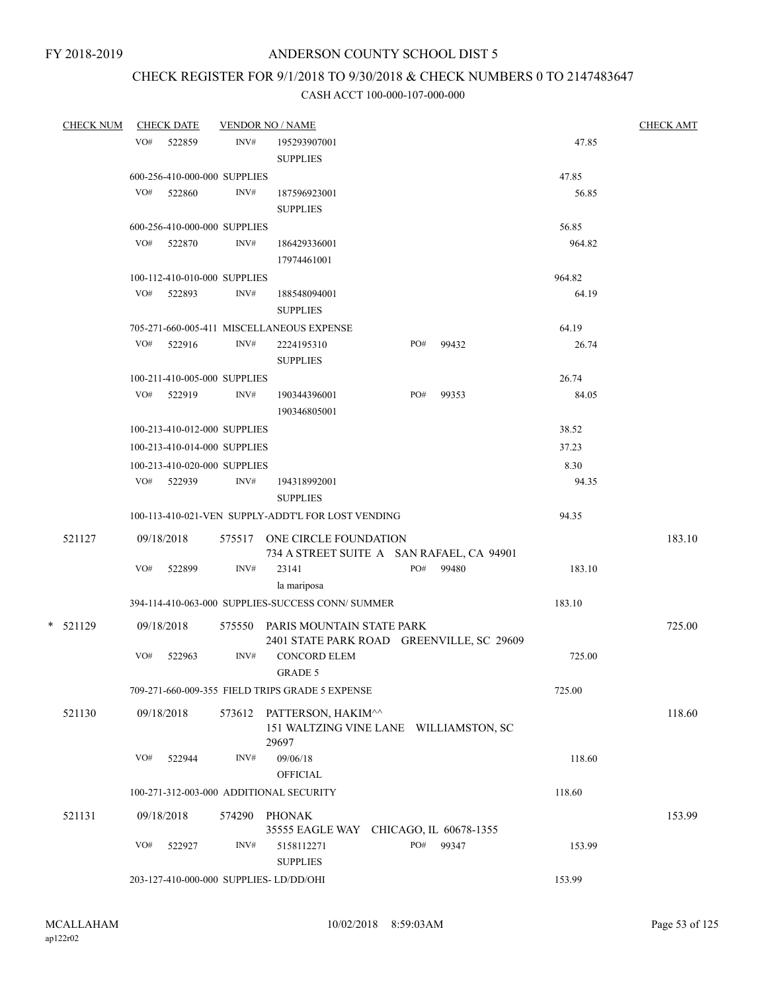## CHECK REGISTER FOR 9/1/2018 TO 9/30/2018 & CHECK NUMBERS 0 TO 2147483647

| <b>CHECK NUM</b> |     | <b>CHECK DATE</b>            | <b>VENDOR NO / NAME</b> |                                                                               |     |       |        | <b>CHECK AMT</b> |
|------------------|-----|------------------------------|-------------------------|-------------------------------------------------------------------------------|-----|-------|--------|------------------|
|                  | VO# | 522859                       | INV#                    | 195293907001<br><b>SUPPLIES</b>                                               |     |       | 47.85  |                  |
|                  |     | 600-256-410-000-000 SUPPLIES |                         |                                                                               |     |       | 47.85  |                  |
|                  | VO# | 522860                       | INV#                    | 187596923001<br><b>SUPPLIES</b>                                               |     |       | 56.85  |                  |
|                  |     | 600-256-410-000-000 SUPPLIES |                         |                                                                               |     |       | 56.85  |                  |
|                  |     | VO# 522870                   | INV#                    | 186429336001<br>17974461001                                                   |     |       | 964.82 |                  |
|                  |     | 100-112-410-010-000 SUPPLIES |                         |                                                                               |     |       | 964.82 |                  |
|                  |     | VO# 522893                   | INV#                    | 188548094001<br><b>SUPPLIES</b>                                               |     |       | 64.19  |                  |
|                  |     |                              |                         | 705-271-660-005-411 MISCELLANEOUS EXPENSE                                     |     |       | 64.19  |                  |
|                  | VO# | 522916                       | INV#                    | 2224195310<br><b>SUPPLIES</b>                                                 | PO# | 99432 | 26.74  |                  |
|                  |     | 100-211-410-005-000 SUPPLIES |                         |                                                                               |     |       | 26.74  |                  |
|                  |     | VO# 522919                   | INV#                    | 190344396001<br>190346805001                                                  | PO# | 99353 | 84.05  |                  |
|                  |     | 100-213-410-012-000 SUPPLIES |                         |                                                                               |     |       | 38.52  |                  |
|                  |     | 100-213-410-014-000 SUPPLIES |                         |                                                                               |     |       | 37.23  |                  |
|                  |     | 100-213-410-020-000 SUPPLIES |                         |                                                                               |     |       | 8.30   |                  |
|                  |     | VO# 522939                   | INV#                    | 194318992001<br><b>SUPPLIES</b>                                               |     |       | 94.35  |                  |
|                  |     |                              |                         | 100-113-410-021-VEN SUPPLY-ADDT'L FOR LOST VENDING                            |     |       | 94.35  |                  |
| 521127           |     | 09/18/2018                   |                         | 575517 ONE CIRCLE FOUNDATION<br>734 A STREET SUITE A SAN RAFAEL, CA 94901     |     |       |        | 183.10           |
|                  | VO# | 522899                       | INV#                    | 23141<br>la mariposa                                                          | PO# | 99480 | 183.10 |                  |
|                  |     |                              |                         | 394-114-410-063-000 SUPPLIES-SUCCESS CONN/ SUMMER                             |     |       | 183.10 |                  |
| $*$ 521129       |     | 09/18/2018                   |                         | 575550 PARIS MOUNTAIN STATE PARK<br>2401 STATE PARK ROAD GREENVILLE, SC 29609 |     |       |        | 725.00           |
|                  | VO# | 522963                       | INV#                    | <b>CONCORD ELEM</b><br><b>GRADE 5</b>                                         |     |       | 725.00 |                  |
|                  |     |                              |                         | 709-271-660-009-355 FIELD TRIPS GRADE 5 EXPENSE                               |     |       | 725.00 |                  |
| 521130           |     | 09/18/2018                   | 573612                  | PATTERSON, HAKIM^^<br>151 WALTZING VINE LANE WILLIAMSTON, SC<br>29697         |     |       |        | 118.60           |
|                  | VO# | 522944                       | INV#                    | 09/06/18<br><b>OFFICIAL</b>                                                   |     |       | 118.60 |                  |
|                  |     |                              |                         | 100-271-312-003-000 ADDITIONAL SECURITY                                       |     |       | 118.60 |                  |
| 521131           |     | 09/18/2018                   | 574290                  | <b>PHONAK</b><br>35555 EAGLE WAY CHICAGO, IL 60678-1355                       |     |       |        | 153.99           |
|                  | VO# | 522927                       | INV#                    | 5158112271<br><b>SUPPLIES</b>                                                 | PO# | 99347 | 153.99 |                  |
|                  |     |                              |                         | 203-127-410-000-000 SUPPLIES- LD/DD/OHI                                       |     |       | 153.99 |                  |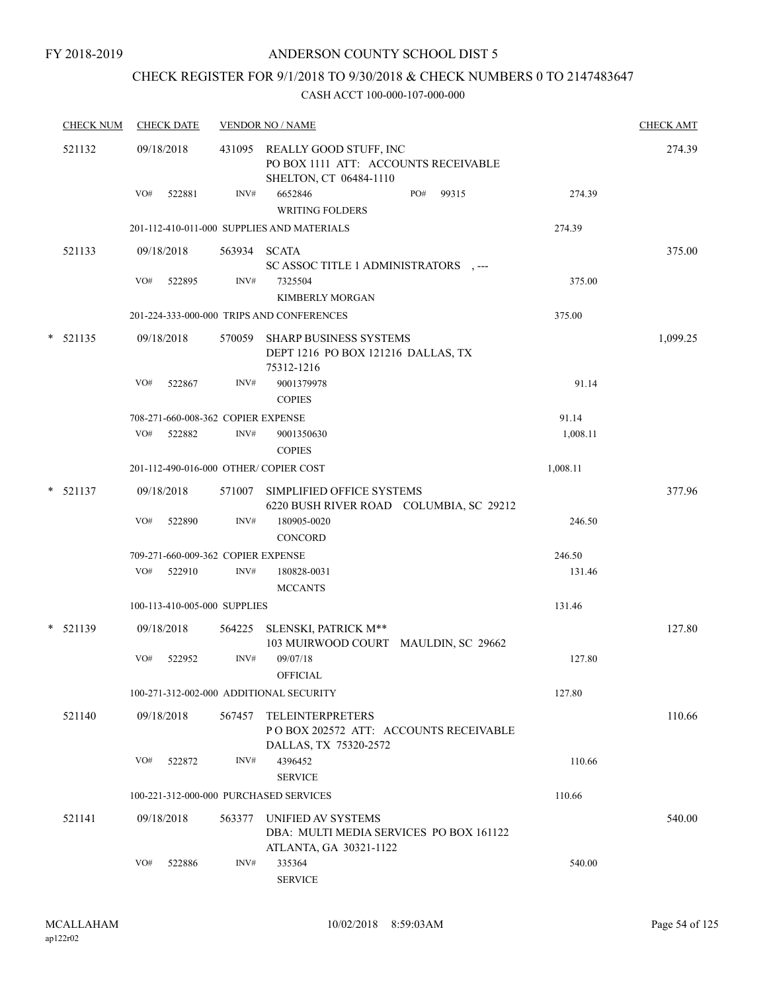## CHECK REGISTER FOR 9/1/2018 TO 9/30/2018 & CHECK NUMBERS 0 TO 2147483647

| <b>CHECK NUM</b> |     | <b>CHECK DATE</b> |                                    | <b>VENDOR NO / NAME</b>                                                                         |          | <b>CHECK AMT</b> |
|------------------|-----|-------------------|------------------------------------|-------------------------------------------------------------------------------------------------|----------|------------------|
| 521132           |     | 09/18/2018        |                                    | 431095 REALLY GOOD STUFF, INC<br>PO BOX 1111 ATT: ACCOUNTS RECEIVABLE<br>SHELTON, CT 06484-1110 |          | 274.39           |
|                  | VO# | 522881            | INV#                               | 6652846<br>PO#<br>99315<br><b>WRITING FOLDERS</b>                                               | 274.39   |                  |
|                  |     |                   |                                    | 201-112-410-011-000 SUPPLIES AND MATERIALS                                                      | 274.39   |                  |
| 521133           |     | 09/18/2018        |                                    | 563934 SCATA<br>SC ASSOC TITLE 1 ADMINISTRATORS .---                                            |          | 375.00           |
|                  | VO# | 522895            | INV#                               | 7325504<br><b>KIMBERLY MORGAN</b>                                                               | 375.00   |                  |
|                  |     |                   |                                    | 201-224-333-000-000 TRIPS AND CONFERENCES                                                       | 375.00   |                  |
| $* 521135$       |     | 09/18/2018        | 570059                             | <b>SHARP BUSINESS SYSTEMS</b><br>DEPT 1216 PO BOX 121216 DALLAS, TX<br>75312-1216               |          | 1,099.25         |
|                  | VO# | 522867            | INV#                               | 9001379978<br><b>COPIES</b>                                                                     | 91.14    |                  |
|                  |     |                   | 708-271-660-008-362 COPIER EXPENSE |                                                                                                 | 91.14    |                  |
|                  | VO# | 522882            | INV#                               | 9001350630<br><b>COPIES</b>                                                                     | 1,008.11 |                  |
|                  |     |                   |                                    | 201-112-490-016-000 OTHER/ COPIER COST                                                          | 1,008.11 |                  |
| $*$ 521137       |     | 09/18/2018        |                                    | 571007 SIMPLIFIED OFFICE SYSTEMS<br>6220 BUSH RIVER ROAD COLUMBIA, SC 29212                     |          | 377.96           |
|                  | VO# | 522890            | INV#                               | 180905-0020<br><b>CONCORD</b>                                                                   | 246.50   |                  |
|                  |     |                   | 709-271-660-009-362 COPIER EXPENSE |                                                                                                 | 246.50   |                  |
|                  | VO# | 522910            | INV#                               | 180828-0031<br><b>MCCANTS</b>                                                                   | 131.46   |                  |
|                  |     |                   | 100-113-410-005-000 SUPPLIES       |                                                                                                 | 131.46   |                  |
| $* 521139$       |     | 09/18/2018        |                                    | 564225 SLENSKI, PATRICK M**<br>103 MUIRWOOD COURT MAULDIN, SC 29662                             |          | 127.80           |
|                  | VO# | 522952            | INV#                               | 09/07/18<br><b>OFFICIAL</b>                                                                     | 127.80   |                  |
|                  |     |                   |                                    | 100-271-312-002-000 ADDITIONAL SECURITY                                                         | 127.80   |                  |
| 521140           |     | 09/18/2018        | 567457                             | <b>TELEINTERPRETERS</b><br>PO BOX 202572 ATT: ACCOUNTS RECEIVABLE<br>DALLAS, TX 75320-2572      |          | 110.66           |
|                  | VO# | 522872            | INV#                               | 4396452<br><b>SERVICE</b>                                                                       | 110.66   |                  |
|                  |     |                   |                                    | 100-221-312-000-000 PURCHASED SERVICES                                                          | 110.66   |                  |
| 521141           |     | 09/18/2018        | 563377                             | UNIFIED AV SYSTEMS<br>DBA: MULTI MEDIA SERVICES PO BOX 161122<br>ATLANTA, GA 30321-1122         |          | 540.00           |
|                  | VO# | 522886            | INV#                               | 335364<br><b>SERVICE</b>                                                                        | 540.00   |                  |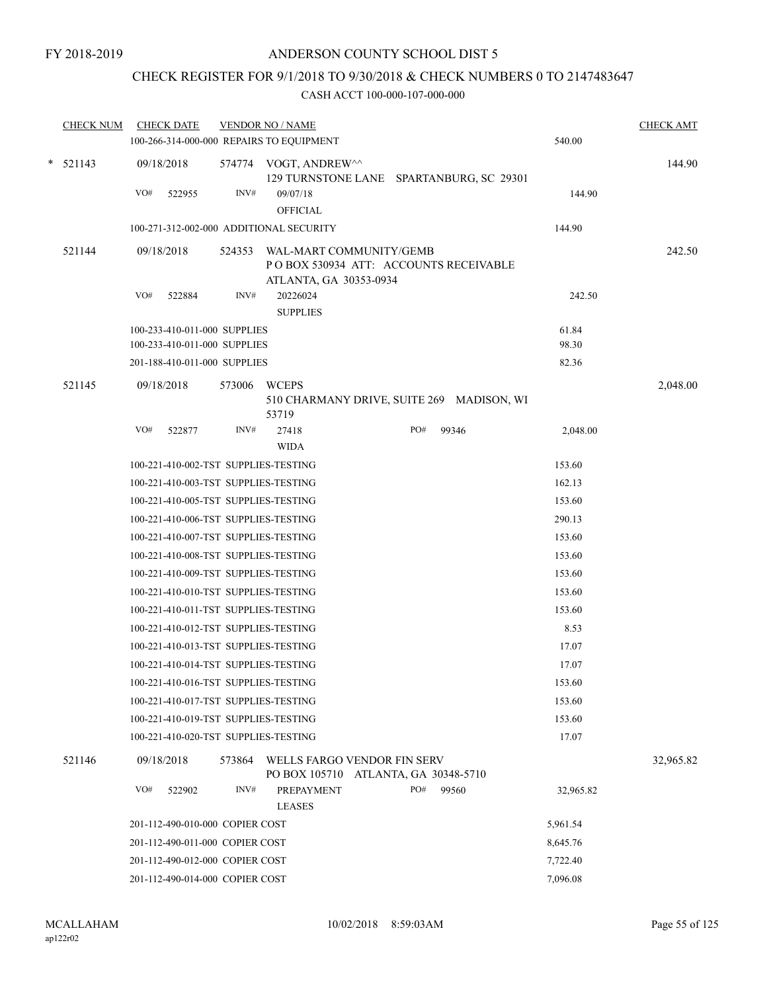## CHECK REGISTER FOR 9/1/2018 TO 9/30/2018 & CHECK NUMBERS 0 TO 2147483647

| <b>CHECK NUM</b> | <b>CHECK DATE</b><br>100-266-314-000-000 REPAIRS TO EQUIPMENT |        | <b>VENDOR NO / NAME</b>                                                                           |                        |       | 540.00         | <b>CHECK AMT</b> |
|------------------|---------------------------------------------------------------|--------|---------------------------------------------------------------------------------------------------|------------------------|-------|----------------|------------------|
| $*$ 521143       | 09/18/2018                                                    |        | 574774 VOGT, ANDREW^^<br>129 TURNSTONE LANE SPARTANBURG, SC 29301                                 |                        |       |                | 144.90           |
|                  | VO#<br>522955                                                 | INV#   | 09/07/18<br><b>OFFICIAL</b>                                                                       |                        |       | 144.90         |                  |
|                  | 100-271-312-002-000 ADDITIONAL SECURITY                       |        |                                                                                                   |                        |       | 144.90         |                  |
| 521144           | 09/18/2018                                                    |        | 524353 WAL-MART COMMUNITY/GEMB<br>POBOX 530934 ATT: ACCOUNTS RECEIVABLE<br>ATLANTA, GA 30353-0934 |                        |       |                | 242.50           |
|                  | VO#<br>522884                                                 | INV#   | 20226024<br><b>SUPPLIES</b>                                                                       |                        |       | 242.50         |                  |
|                  | 100-233-410-011-000 SUPPLIES<br>100-233-410-011-000 SUPPLIES  |        |                                                                                                   |                        |       | 61.84<br>98.30 |                  |
|                  | 201-188-410-011-000 SUPPLIES                                  |        |                                                                                                   |                        |       | 82.36          |                  |
| 521145           | 09/18/2018                                                    | 573006 | <b>WCEPS</b><br>510 CHARMANY DRIVE, SUITE 269 MADISON, WI                                         |                        |       |                | 2,048.00         |
|                  | VO#<br>522877                                                 | INV#   | 53719<br>27418                                                                                    | PO#                    | 99346 | 2,048.00       |                  |
|                  |                                                               |        | <b>WIDA</b>                                                                                       |                        |       |                |                  |
|                  | 100-221-410-002-TST SUPPLIES-TESTING                          |        |                                                                                                   |                        |       | 153.60         |                  |
|                  | 100-221-410-003-TST SUPPLIES-TESTING                          |        |                                                                                                   |                        |       | 162.13         |                  |
|                  | 100-221-410-005-TST SUPPLIES-TESTING                          |        |                                                                                                   |                        |       | 153.60         |                  |
|                  | 100-221-410-006-TST SUPPLIES-TESTING                          |        |                                                                                                   |                        |       | 290.13         |                  |
|                  | 100-221-410-007-TST SUPPLIES-TESTING                          |        |                                                                                                   |                        |       | 153.60         |                  |
|                  | 100-221-410-008-TST SUPPLIES-TESTING                          |        |                                                                                                   |                        |       | 153.60         |                  |
|                  | 100-221-410-009-TST SUPPLIES-TESTING                          |        |                                                                                                   |                        |       | 153.60         |                  |
|                  | 100-221-410-010-TST SUPPLIES-TESTING                          |        |                                                                                                   |                        |       | 153.60         |                  |
|                  | 100-221-410-011-TST SUPPLIES-TESTING                          |        |                                                                                                   |                        |       | 153.60         |                  |
|                  | 100-221-410-012-TST SUPPLIES-TESTING                          |        |                                                                                                   |                        |       | 8.53           |                  |
|                  | 100-221-410-013-TST SUPPLIES-TESTING                          |        |                                                                                                   |                        |       | 17.07          |                  |
|                  | 100-221-410-014-TST SUPPLIES-TESTING                          |        |                                                                                                   |                        |       | 17.07          |                  |
|                  | 100-221-410-016-TST SUPPLIES-TESTING                          |        |                                                                                                   |                        |       | 153.60         |                  |
|                  | 100-221-410-017-TST SUPPLIES-TESTING                          |        |                                                                                                   |                        |       | 153.60         |                  |
|                  | 100-221-410-019-TST SUPPLIES-TESTING                          |        |                                                                                                   |                        |       | 153.60         |                  |
|                  | 100-221-410-020-TST SUPPLIES-TESTING                          |        |                                                                                                   |                        |       | 17.07          |                  |
| 521146           | 09/18/2018                                                    | 573864 | WELLS FARGO VENDOR FIN SERV<br>PO BOX 105710                                                      | ATLANTA, GA 30348-5710 |       |                | 32,965.82        |
|                  | VO#<br>522902                                                 | INV#   | PREPAYMENT                                                                                        | PO#                    | 99560 | 32,965.82      |                  |
|                  |                                                               |        | <b>LEASES</b>                                                                                     |                        |       |                |                  |
|                  | 201-112-490-010-000 COPIER COST                               |        |                                                                                                   |                        |       | 5,961.54       |                  |
|                  | 201-112-490-011-000 COPIER COST                               |        |                                                                                                   |                        |       | 8,645.76       |                  |
|                  | 201-112-490-012-000 COPIER COST                               |        |                                                                                                   |                        |       | 7,722.40       |                  |
|                  | 201-112-490-014-000 COPIER COST                               |        |                                                                                                   |                        |       | 7,096.08       |                  |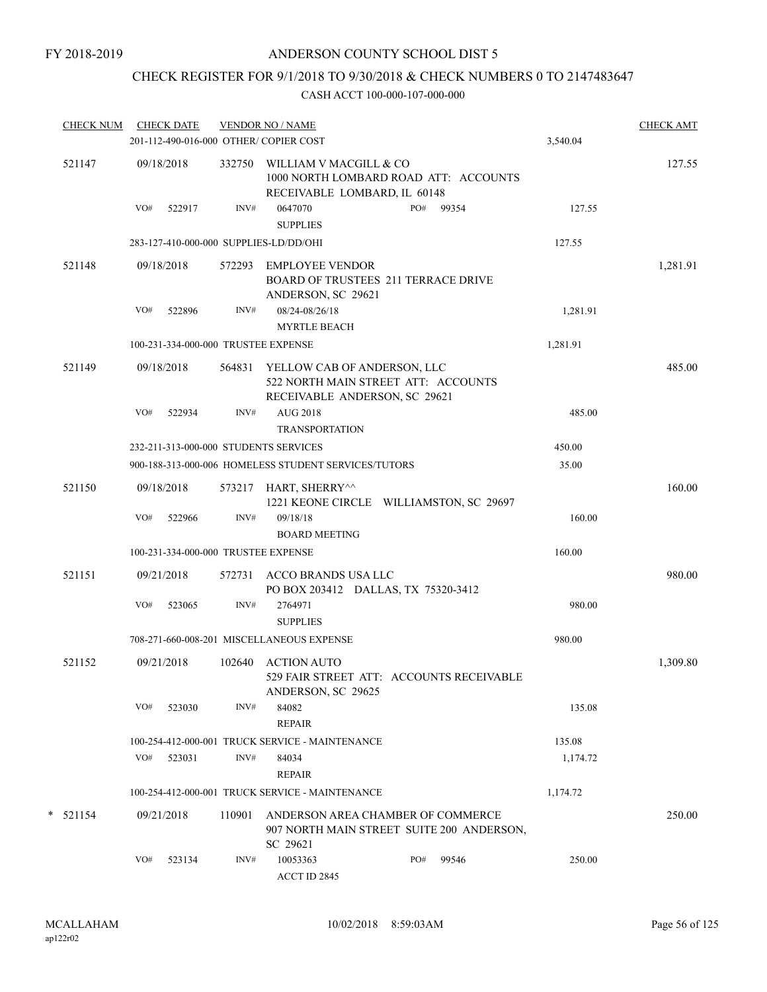## CHECK REGISTER FOR 9/1/2018 TO 9/30/2018 & CHECK NUMBERS 0 TO 2147483647

| <b>CHECK NUM</b> |     | <b>CHECK DATE</b> |        | <b>VENDOR NO / NAME</b><br>201-112-490-016-000 OTHER/ COPIER COST                                   |     |       | 3,540.04 | <b>CHECK AMT</b> |
|------------------|-----|-------------------|--------|-----------------------------------------------------------------------------------------------------|-----|-------|----------|------------------|
| 521147           |     | 09/18/2018        | 332750 | WILLIAM V MACGILL & CO<br>1000 NORTH LOMBARD ROAD ATT: ACCOUNTS                                     |     |       |          | 127.55           |
|                  | VO# | 522917            | INV#   | RECEIVABLE LOMBARD, IL 60148<br>0647070                                                             | PO# | 99354 | 127.55   |                  |
|                  |     |                   |        | <b>SUPPLIES</b>                                                                                     |     |       |          |                  |
|                  |     |                   |        | 283-127-410-000-000 SUPPLIES-LD/DD/OHI                                                              |     |       | 127.55   |                  |
| 521148           |     | 09/18/2018        | 572293 | <b>EMPLOYEE VENDOR</b><br>BOARD OF TRUSTEES 211 TERRACE DRIVE<br>ANDERSON, SC 29621                 |     |       |          | 1,281.91         |
|                  | VO# | 522896            | INV#   | 08/24-08/26/18<br><b>MYRTLE BEACH</b>                                                               |     |       | 1,281.91 |                  |
|                  |     |                   |        | 100-231-334-000-000 TRUSTEE EXPENSE                                                                 |     |       | 1,281.91 |                  |
| 521149           |     | 09/18/2018        | 564831 | YELLOW CAB OF ANDERSON, LLC<br>522 NORTH MAIN STREET ATT: ACCOUNTS<br>RECEIVABLE ANDERSON, SC 29621 |     |       |          | 485.00           |
|                  | VO# | 522934            | INV#   | <b>AUG 2018</b><br><b>TRANSPORTATION</b>                                                            |     |       | 485.00   |                  |
|                  |     |                   |        | 232-211-313-000-000 STUDENTS SERVICES                                                               |     |       | 450.00   |                  |
|                  |     |                   |        | 900-188-313-000-006 HOMELESS STUDENT SERVICES/TUTORS                                                |     |       | 35.00    |                  |
| 521150           |     | 09/18/2018        |        | 573217 HART, SHERRY^^<br>1221 KEONE CIRCLE WILLIAMSTON, SC 29697                                    |     |       |          | 160.00           |
|                  | VO# | 522966            | INV#   | 09/18/18<br><b>BOARD MEETING</b>                                                                    |     |       | 160.00   |                  |
|                  |     |                   |        | 100-231-334-000-000 TRUSTEE EXPENSE                                                                 |     |       | 160.00   |                  |
| 521151           |     | 09/21/2018        |        | 572731 ACCO BRANDS USA LLC<br>PO BOX 203412 DALLAS, TX 75320-3412                                   |     |       |          | 980.00           |
|                  | VO# | 523065            | INV#   | 2764971<br><b>SUPPLIES</b>                                                                          |     |       | 980.00   |                  |
|                  |     |                   |        | 708-271-660-008-201 MISCELLANEOUS EXPENSE                                                           |     |       | 980.00   |                  |
| 521152           |     | 09/21/2018        | 102640 | <b>ACTION AUTO</b><br>529 FAIR STREET ATT: ACCOUNTS RECEIVABLE<br>ANDERSON, SC 29625                |     |       |          | 1,309.80         |
|                  | VO# | 523030            | INV#   | 84082<br><b>REPAIR</b>                                                                              |     |       | 135.08   |                  |
|                  |     |                   |        | 100-254-412-000-001 TRUCK SERVICE - MAINTENANCE                                                     |     |       | 135.08   |                  |
|                  | VO# | 523031            | INV#   | 84034<br><b>REPAIR</b>                                                                              |     |       | 1,174.72 |                  |
|                  |     |                   |        | 100-254-412-000-001 TRUCK SERVICE - MAINTENANCE                                                     |     |       | 1,174.72 |                  |
| $*$ 521154       |     | 09/21/2018        | 110901 | ANDERSON AREA CHAMBER OF COMMERCE<br>907 NORTH MAIN STREET SUITE 200 ANDERSON,<br>SC 29621          |     |       |          | 250.00           |
|                  | VO# | 523134            | INV#   | 10053363<br>ACCT ID 2845                                                                            | PO# | 99546 | 250.00   |                  |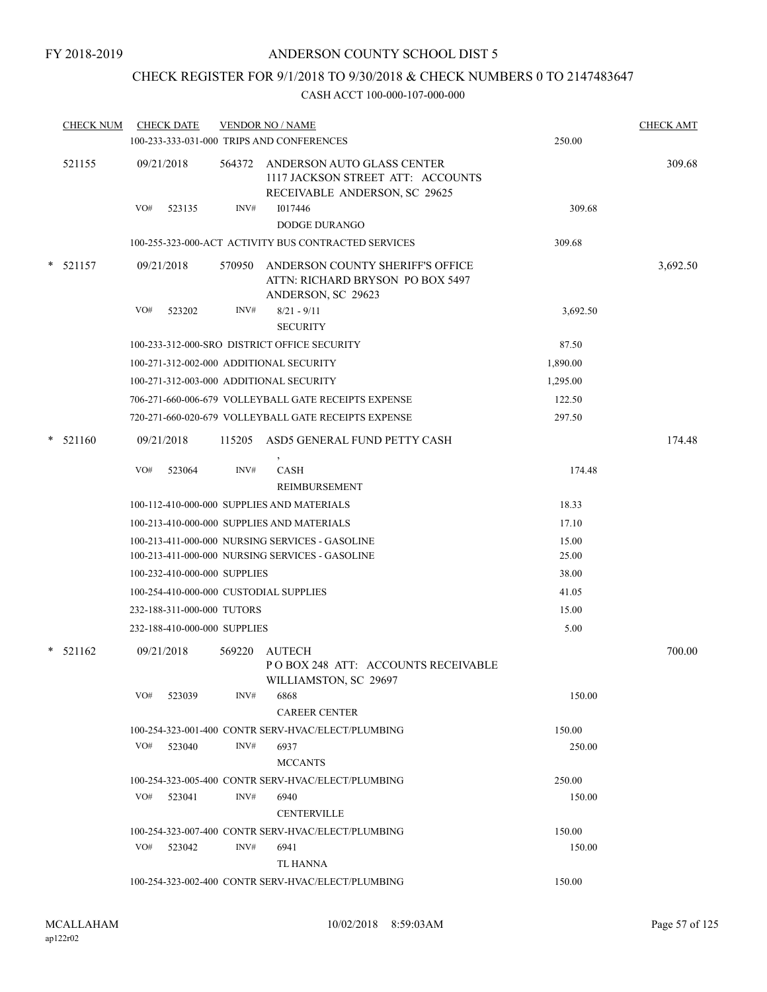## CHECK REGISTER FOR 9/1/2018 TO 9/30/2018 & CHECK NUMBERS 0 TO 2147483647

|   | <b>CHECK NUM</b> |     | <b>CHECK DATE</b>            |        | <b>VENDOR NO / NAME</b>                                                                                 |          | <b>CHECK AMT</b> |
|---|------------------|-----|------------------------------|--------|---------------------------------------------------------------------------------------------------------|----------|------------------|
|   |                  |     |                              |        | 100-233-333-031-000 TRIPS AND CONFERENCES                                                               | 250.00   |                  |
|   | 521155           |     | 09/21/2018                   |        | 564372 ANDERSON AUTO GLASS CENTER<br>1117 JACKSON STREET ATT: ACCOUNTS<br>RECEIVABLE ANDERSON, SC 29625 |          | 309.68           |
|   |                  | VO# | 523135                       | INV#   | 1017446<br><b>DODGE DURANGO</b>                                                                         | 309.68   |                  |
|   |                  |     |                              |        | 100-255-323-000-ACT ACTIVITY BUS CONTRACTED SERVICES                                                    | 309.68   |                  |
|   | $*$ 521157       |     | 09/21/2018                   | 570950 | ANDERSON COUNTY SHERIFF'S OFFICE<br>ATTN: RICHARD BRYSON PO BOX 5497<br>ANDERSON, SC 29623              |          | 3,692.50         |
|   |                  | VO# | 523202                       | INV#   | $8/21 - 9/11$<br><b>SECURITY</b>                                                                        | 3,692.50 |                  |
|   |                  |     |                              |        | 100-233-312-000-SRO DISTRICT OFFICE SECURITY                                                            | 87.50    |                  |
|   |                  |     |                              |        | 100-271-312-002-000 ADDITIONAL SECURITY                                                                 | 1,890.00 |                  |
|   |                  |     |                              |        | 100-271-312-003-000 ADDITIONAL SECURITY                                                                 | 1,295.00 |                  |
|   |                  |     |                              |        | 706-271-660-006-679 VOLLEYBALL GATE RECEIPTS EXPENSE                                                    | 122.50   |                  |
|   |                  |     |                              |        | 720-271-660-020-679 VOLLEYBALL GATE RECEIPTS EXPENSE                                                    | 297.50   |                  |
| * | 521160           |     | 09/21/2018                   | 115205 | ASD5 GENERAL FUND PETTY CASH                                                                            |          | 174.48           |
|   |                  | VO# | 523064                       | INV#   | CASH<br>REIMBURSEMENT                                                                                   | 174.48   |                  |
|   |                  |     |                              |        | 100-112-410-000-000 SUPPLIES AND MATERIALS                                                              | 18.33    |                  |
|   |                  |     |                              |        | 100-213-410-000-000 SUPPLIES AND MATERIALS                                                              | 17.10    |                  |
|   |                  |     |                              |        | 100-213-411-000-000 NURSING SERVICES - GASOLINE                                                         | 15.00    |                  |
|   |                  |     |                              |        | 100-213-411-000-000 NURSING SERVICES - GASOLINE                                                         | 25.00    |                  |
|   |                  |     | 100-232-410-000-000 SUPPLIES |        |                                                                                                         | 38.00    |                  |
|   |                  |     |                              |        | 100-254-410-000-000 CUSTODIAL SUPPLIES                                                                  | 41.05    |                  |
|   |                  |     | 232-188-311-000-000 TUTORS   |        |                                                                                                         | 15.00    |                  |
|   |                  |     | 232-188-410-000-000 SUPPLIES |        |                                                                                                         | 5.00     |                  |
|   | $* 521162$       |     | 09/21/2018                   | 569220 | AUTECH<br>POBOX 248 ATT: ACCOUNTS RECEIVABLE<br>WILLIAMSTON, SC 29697                                   |          | 700.00           |
|   |                  | VO# | 523039                       | INV#   | 6868<br><b>CAREER CENTER</b>                                                                            | 150.00   |                  |
|   |                  |     |                              |        | 100-254-323-001-400 CONTR SERV-HVAC/ELECT/PLUMBING                                                      | 150.00   |                  |
|   |                  | VO# | 523040                       | INV#   | 6937<br><b>MCCANTS</b>                                                                                  | 250.00   |                  |
|   |                  |     |                              |        | 100-254-323-005-400 CONTR SERV-HVAC/ELECT/PLUMBING                                                      | 250.00   |                  |
|   |                  |     | VO# 523041                   | INV#   | 6940<br><b>CENTERVILLE</b>                                                                              | 150.00   |                  |
|   |                  |     |                              |        | 100-254-323-007-400 CONTR SERV-HVAC/ELECT/PLUMBING                                                      | 150.00   |                  |
|   |                  |     | $VO#$ 523042                 | INV#   | 6941<br>TL HANNA                                                                                        | 150.00   |                  |
|   |                  |     |                              |        | 100-254-323-002-400 CONTR SERV-HVAC/ELECT/PLUMBING                                                      | 150.00   |                  |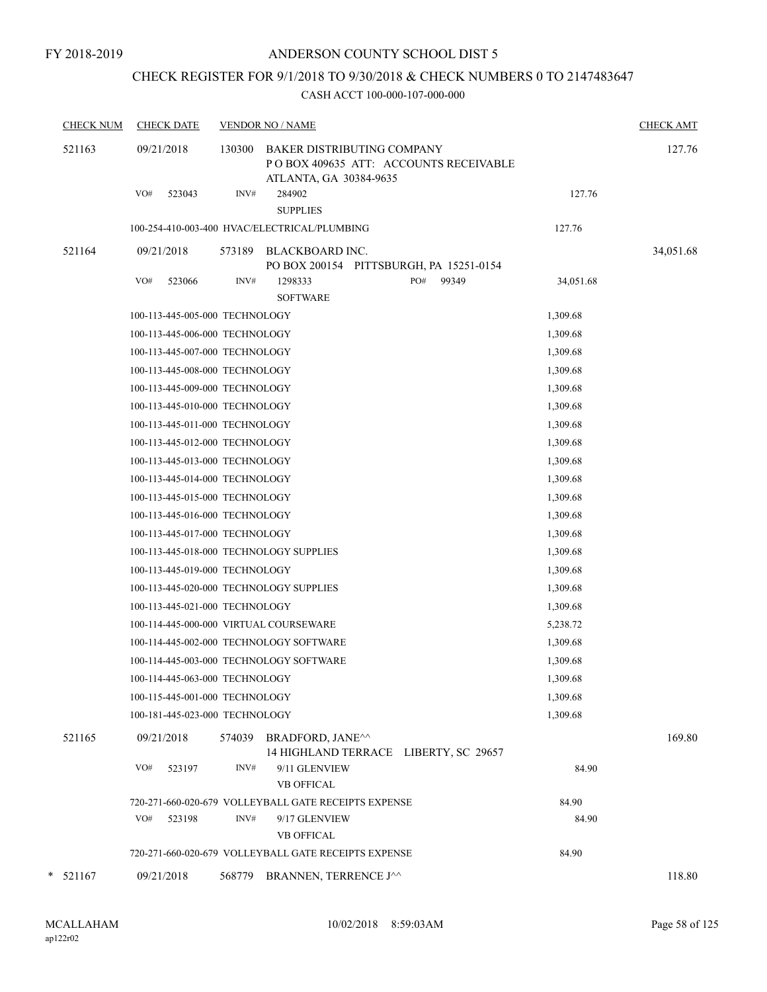## CHECK REGISTER FOR 9/1/2018 TO 9/30/2018 & CHECK NUMBERS 0 TO 2147483647

| <b>CHECK NUM</b> | <b>CHECK DATE</b>                       |        | <b>VENDOR NO / NAME</b>                                                                        |           | <b>CHECK AMT</b> |
|------------------|-----------------------------------------|--------|------------------------------------------------------------------------------------------------|-----------|------------------|
| 521163           | 09/21/2018                              | 130300 | BAKER DISTRIBUTING COMPANY<br>PO BOX 409635 ATT: ACCOUNTS RECEIVABLE<br>ATLANTA, GA 30384-9635 |           | 127.76           |
|                  | VO#<br>523043                           | INV#   | 284902<br><b>SUPPLIES</b>                                                                      | 127.76    |                  |
|                  |                                         |        | 100-254-410-003-400 HVAC/ELECTRICAL/PLUMBING                                                   | 127.76    |                  |
| 521164           | 09/21/2018                              | 573189 | BLACKBOARD INC.                                                                                |           | 34,051.68        |
|                  |                                         |        | PO BOX 200154 PITTSBURGH, PA 15251-0154                                                        |           |                  |
|                  | VO#<br>523066                           | INV#   | PO#<br>1298333<br>99349<br><b>SOFTWARE</b>                                                     | 34,051.68 |                  |
|                  | 100-113-445-005-000 TECHNOLOGY          |        |                                                                                                | 1,309.68  |                  |
|                  | 100-113-445-006-000 TECHNOLOGY          |        |                                                                                                | 1,309.68  |                  |
|                  | 100-113-445-007-000 TECHNOLOGY          |        |                                                                                                | 1,309.68  |                  |
|                  | 100-113-445-008-000 TECHNOLOGY          |        |                                                                                                | 1,309.68  |                  |
|                  | 100-113-445-009-000 TECHNOLOGY          |        |                                                                                                | 1,309.68  |                  |
|                  | 100-113-445-010-000 TECHNOLOGY          |        |                                                                                                | 1,309.68  |                  |
|                  | 100-113-445-011-000 TECHNOLOGY          |        |                                                                                                | 1,309.68  |                  |
|                  | 100-113-445-012-000 TECHNOLOGY          |        |                                                                                                | 1,309.68  |                  |
|                  | 100-113-445-013-000 TECHNOLOGY          |        |                                                                                                | 1,309.68  |                  |
|                  | 100-113-445-014-000 TECHNOLOGY          |        |                                                                                                | 1,309.68  |                  |
|                  | 100-113-445-015-000 TECHNOLOGY          |        |                                                                                                | 1,309.68  |                  |
|                  | 100-113-445-016-000 TECHNOLOGY          |        |                                                                                                | 1,309.68  |                  |
|                  | 100-113-445-017-000 TECHNOLOGY          |        |                                                                                                | 1,309.68  |                  |
|                  | 100-113-445-018-000 TECHNOLOGY SUPPLIES |        |                                                                                                | 1,309.68  |                  |
|                  | 100-113-445-019-000 TECHNOLOGY          |        |                                                                                                | 1,309.68  |                  |
|                  |                                         |        | 100-113-445-020-000 TECHNOLOGY SUPPLIES                                                        | 1,309.68  |                  |
|                  | 100-113-445-021-000 TECHNOLOGY          |        |                                                                                                | 1,309.68  |                  |
|                  | 100-114-445-000-000 VIRTUAL COURSEWARE  |        |                                                                                                | 5,238.72  |                  |
|                  |                                         |        | 100-114-445-002-000 TECHNOLOGY SOFTWARE                                                        | 1,309.68  |                  |
|                  |                                         |        | 100-114-445-003-000 TECHNOLOGY SOFTWARE                                                        | 1,309.68  |                  |
|                  | 100-114-445-063-000 TECHNOLOGY          |        |                                                                                                | 1,309.68  |                  |
|                  | 100-115-445-001-000 TECHNOLOGY          |        |                                                                                                | 1,309.68  |                  |
|                  | 100-181-445-023-000 TECHNOLOGY          |        |                                                                                                | 1,309.68  |                  |
| 521165           | 09/21/2018                              |        | 574039 BRADFORD, JANE^^<br>14 HIGHLAND TERRACE LIBERTY, SC 29657                               |           | 169.80           |
|                  | VO#<br>523197                           | INV#   | 9/11 GLENVIEW<br><b>VB OFFICAL</b>                                                             | 84.90     |                  |
|                  |                                         |        | 720-271-660-020-679 VOLLEYBALL GATE RECEIPTS EXPENSE                                           | 84.90     |                  |
|                  | VO#<br>523198                           | INV#   | 9/17 GLENVIEW<br><b>VB OFFICAL</b>                                                             | 84.90     |                  |
|                  |                                         |        | 720-271-660-020-679 VOLLEYBALL GATE RECEIPTS EXPENSE                                           | 84.90     |                  |
| $*$ 521167       | 09/21/2018                              |        | 568779 BRANNEN, TERRENCE J^^                                                                   |           | 118.80           |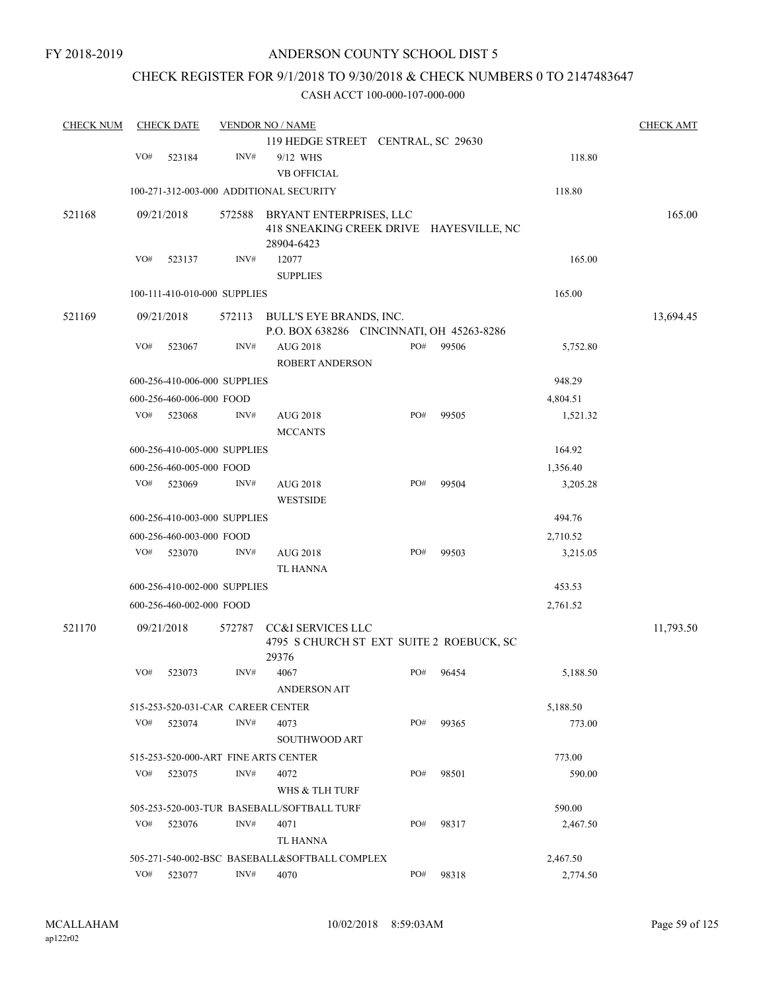## CHECK REGISTER FOR 9/1/2018 TO 9/30/2018 & CHECK NUMBERS 0 TO 2147483647

| <b>CHECK NUM</b> |     | <b>CHECK DATE</b>                 |        | <b>VENDOR NO / NAME</b>                               |     |       |          | <b>CHECK AMT</b> |
|------------------|-----|-----------------------------------|--------|-------------------------------------------------------|-----|-------|----------|------------------|
|                  |     |                                   |        | 119 HEDGE STREET CENTRAL, SC 29630                    |     |       |          |                  |
|                  | VO# | 523184                            | INV#   | 9/12 WHS                                              |     |       | 118.80   |                  |
|                  |     |                                   |        | <b>VB OFFICIAL</b>                                    |     |       |          |                  |
|                  |     |                                   |        | 100-271-312-003-000 ADDITIONAL SECURITY               |     |       | 118.80   |                  |
| 521168           |     | 09/21/2018                        | 572588 | BRYANT ENTERPRISES, LLC                               |     |       |          | 165.00           |
|                  |     |                                   |        | 418 SNEAKING CREEK DRIVE HAYESVILLE, NC               |     |       |          |                  |
|                  |     |                                   |        | 28904-6423                                            |     |       |          |                  |
|                  | VO# | 523137                            | INV#   | 12077                                                 |     |       | 165.00   |                  |
|                  |     |                                   |        | <b>SUPPLIES</b>                                       |     |       |          |                  |
|                  |     | 100-111-410-010-000 SUPPLIES      |        |                                                       |     |       | 165.00   |                  |
| 521169           |     | 09/21/2018                        | 572113 | BULL'S EYE BRANDS, INC.                               |     |       |          | 13,694.45        |
|                  |     |                                   |        | P.O. BOX 638286 CINCINNATI, OH 45263-8286             |     |       |          |                  |
|                  | VO# | 523067                            | INV#   | AUG 2018<br><b>ROBERT ANDERSON</b>                    | PO# | 99506 | 5,752.80 |                  |
|                  |     | 600-256-410-006-000 SUPPLIES      |        |                                                       |     |       | 948.29   |                  |
|                  |     | 600-256-460-006-000 FOOD          |        |                                                       |     |       | 4,804.51 |                  |
|                  | VO# | 523068                            | INV#   | AUG 2018                                              | PO# | 99505 | 1,521.32 |                  |
|                  |     |                                   |        | <b>MCCANTS</b>                                        |     |       |          |                  |
|                  |     | 600-256-410-005-000 SUPPLIES      |        |                                                       |     |       | 164.92   |                  |
|                  |     | 600-256-460-005-000 FOOD          |        |                                                       |     |       | 1,356.40 |                  |
|                  | VO# | 523069                            | INV#   | AUG 2018                                              | PO# | 99504 | 3,205.28 |                  |
|                  |     |                                   |        | <b>WESTSIDE</b>                                       |     |       |          |                  |
|                  |     | 600-256-410-003-000 SUPPLIES      |        |                                                       |     |       | 494.76   |                  |
|                  |     | 600-256-460-003-000 FOOD          |        |                                                       |     |       | 2,710.52 |                  |
|                  | VO# | 523070                            | INV#   | AUG 2018                                              | PO# | 99503 | 3,215.05 |                  |
|                  |     |                                   |        | TL HANNA                                              |     |       |          |                  |
|                  |     | 600-256-410-002-000 SUPPLIES      |        |                                                       |     |       | 453.53   |                  |
|                  |     | 600-256-460-002-000 FOOD          |        |                                                       |     |       | 2,761.52 |                  |
| 521170           |     | 09/21/2018                        | 572787 | CC&I SERVICES LLC                                     |     |       |          | 11,793.50        |
|                  |     |                                   |        | 4795 S CHURCH ST EXT SUITE 2 ROEBUCK, SC              |     |       |          |                  |
|                  |     |                                   |        | 29376                                                 |     |       |          |                  |
|                  | VO# | 523073                            | INV#   | 4067                                                  | PO# | 96454 | 5,188.50 |                  |
|                  |     |                                   |        | <b>ANDERSON AIT</b>                                   |     |       |          |                  |
|                  |     | 515-253-520-031-CAR CAREER CENTER |        |                                                       |     |       | 5,188.50 |                  |
|                  | VO# | 523074                            | INV#   | 4073                                                  | PO# | 99365 | 773.00   |                  |
|                  |     |                                   |        | <b>SOUTHWOOD ART</b>                                  |     |       |          |                  |
|                  |     |                                   |        | 515-253-520-000-ART FINE ARTS CENTER                  |     |       | 773.00   |                  |
|                  | VO# | 523075                            | INV#   | 4072                                                  | PO# | 98501 | 590.00   |                  |
|                  |     |                                   |        | WHS & TLH TURF                                        |     |       |          |                  |
|                  |     |                                   |        | 505-253-520-003-TUR BASEBALL/SOFTBALL TURF            |     |       | 590.00   |                  |
|                  | VO# | 523076                            | INV#   | 4071                                                  | PO# | 98317 | 2,467.50 |                  |
|                  |     |                                   |        | TL HANNA                                              |     |       |          |                  |
|                  | VO# |                                   | INV#   | 505-271-540-002-BSC BASEBALL&SOFTBALL COMPLEX<br>4070 | PO# |       | 2,467.50 |                  |
|                  |     | 523077                            |        |                                                       |     | 98318 | 2,774.50 |                  |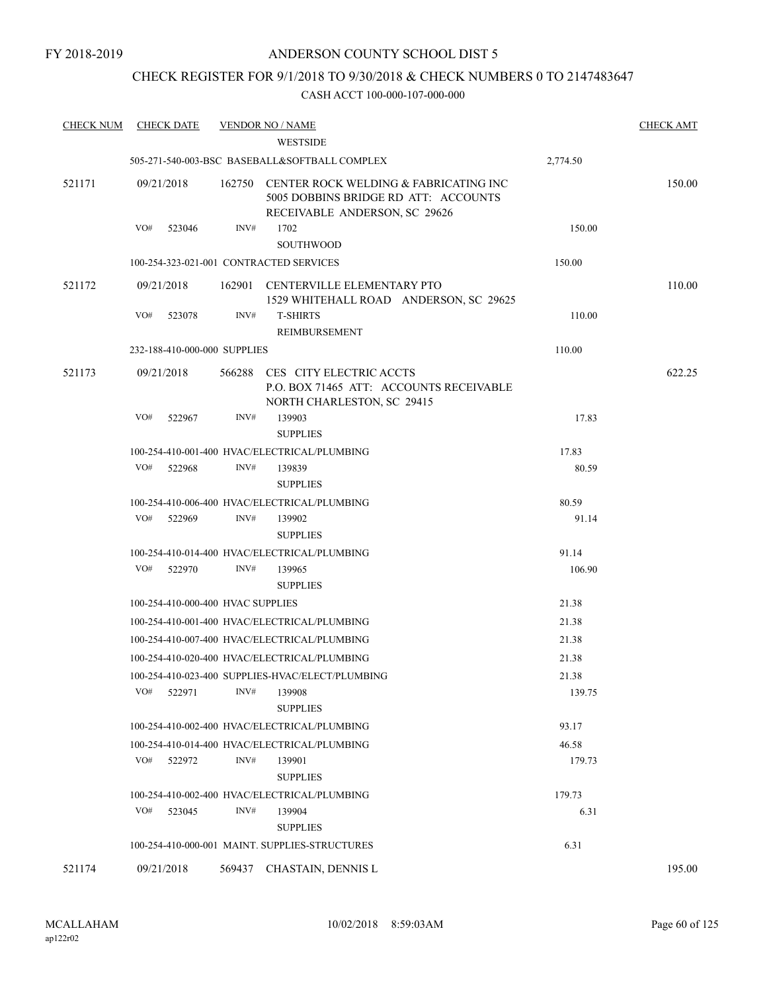## CHECK REGISTER FOR 9/1/2018 TO 9/30/2018 & CHECK NUMBERS 0 TO 2147483647

| <b>CHECK NUM</b> | <b>CHECK DATE</b>                 |        | <b>VENDOR NO / NAME</b>                                                                                               |                 | <b>CHECK AMT</b> |
|------------------|-----------------------------------|--------|-----------------------------------------------------------------------------------------------------------------------|-----------------|------------------|
|                  |                                   |        | <b>WESTSIDE</b>                                                                                                       |                 |                  |
|                  |                                   |        | 505-271-540-003-BSC BASEBALL&SOFTBALL COMPLEX                                                                         | 2,774.50        |                  |
| 521171           | 09/21/2018                        |        | 162750 CENTER ROCK WELDING & FABRICATING INC<br>5005 DOBBINS BRIDGE RD ATT: ACCOUNTS<br>RECEIVABLE ANDERSON, SC 29626 |                 | 150.00           |
|                  | VO#<br>523046                     | INV#   | 1702<br><b>SOUTHWOOD</b>                                                                                              | 150.00          |                  |
|                  |                                   |        | 100-254-323-021-001 CONTRACTED SERVICES                                                                               | 150.00          |                  |
| 521172           | 09/21/2018                        | 162901 | CENTERVILLE ELEMENTARY PTO<br>1529 WHITEHALL ROAD ANDERSON, SC 29625                                                  |                 | 110.00           |
|                  | VO#<br>523078                     | INV#   | <b>T-SHIRTS</b><br>REIMBURSEMENT                                                                                      | 110.00          |                  |
|                  | 232-188-410-000-000 SUPPLIES      |        |                                                                                                                       | 110.00          |                  |
| 521173           | 09/21/2018                        | 566288 | CES CITY ELECTRIC ACCTS<br>P.O. BOX 71465 ATT: ACCOUNTS RECEIVABLE<br>NORTH CHARLESTON, SC 29415                      |                 | 622.25           |
|                  | VO#<br>522967                     | INV#   | 139903<br><b>SUPPLIES</b>                                                                                             | 17.83           |                  |
|                  |                                   |        | 100-254-410-001-400 HVAC/ELECTRICAL/PLUMBING                                                                          | 17.83           |                  |
|                  | VO#<br>522968                     | INV#   | 139839<br><b>SUPPLIES</b>                                                                                             | 80.59           |                  |
|                  |                                   |        | 100-254-410-006-400 HVAC/ELECTRICAL/PLUMBING                                                                          | 80.59           |                  |
|                  | VO#<br>522969                     | INV#   | 139902                                                                                                                | 91.14           |                  |
|                  |                                   |        | <b>SUPPLIES</b>                                                                                                       |                 |                  |
|                  | VO#<br>522970                     | INV#   | 100-254-410-014-400 HVAC/ELECTRICAL/PLUMBING<br>139965                                                                | 91.14<br>106.90 |                  |
|                  |                                   |        | <b>SUPPLIES</b>                                                                                                       |                 |                  |
|                  | 100-254-410-000-400 HVAC SUPPLIES |        |                                                                                                                       | 21.38           |                  |
|                  |                                   |        | 100-254-410-001-400 HVAC/ELECTRICAL/PLUMBING                                                                          | 21.38           |                  |
|                  |                                   |        | 100-254-410-007-400 HVAC/ELECTRICAL/PLUMBING                                                                          | 21.38           |                  |
|                  |                                   |        | 100-254-410-020-400 HVAC/ELECTRICAL/PLUMBING                                                                          | 21.38           |                  |
|                  |                                   |        | 100-254-410-023-400 SUPPLIES-HVAC/ELECT/PLUMBING                                                                      | 21.38           |                  |
|                  | VO#<br>522971                     | INV#   | 139908<br><b>SUPPLIES</b>                                                                                             | 139.75          |                  |
|                  |                                   |        | 100-254-410-002-400 HVAC/ELECTRICAL/PLUMBING                                                                          | 93.17           |                  |
|                  |                                   |        | 100-254-410-014-400 HVAC/ELECTRICAL/PLUMBING                                                                          | 46.58           |                  |
|                  | VO#<br>522972                     | INV#   | 139901<br><b>SUPPLIES</b>                                                                                             | 179.73          |                  |
|                  |                                   |        | 100-254-410-002-400 HVAC/ELECTRICAL/PLUMBING                                                                          | 179.73          |                  |
|                  | VO#<br>523045                     | INV#   | 139904<br><b>SUPPLIES</b>                                                                                             | 6.31            |                  |
|                  |                                   |        | 100-254-410-000-001 MAINT. SUPPLIES-STRUCTURES                                                                        | 6.31            |                  |
| 521174           | 09/21/2018                        | 569437 | CHASTAIN, DENNIS L                                                                                                    |                 | 195.00           |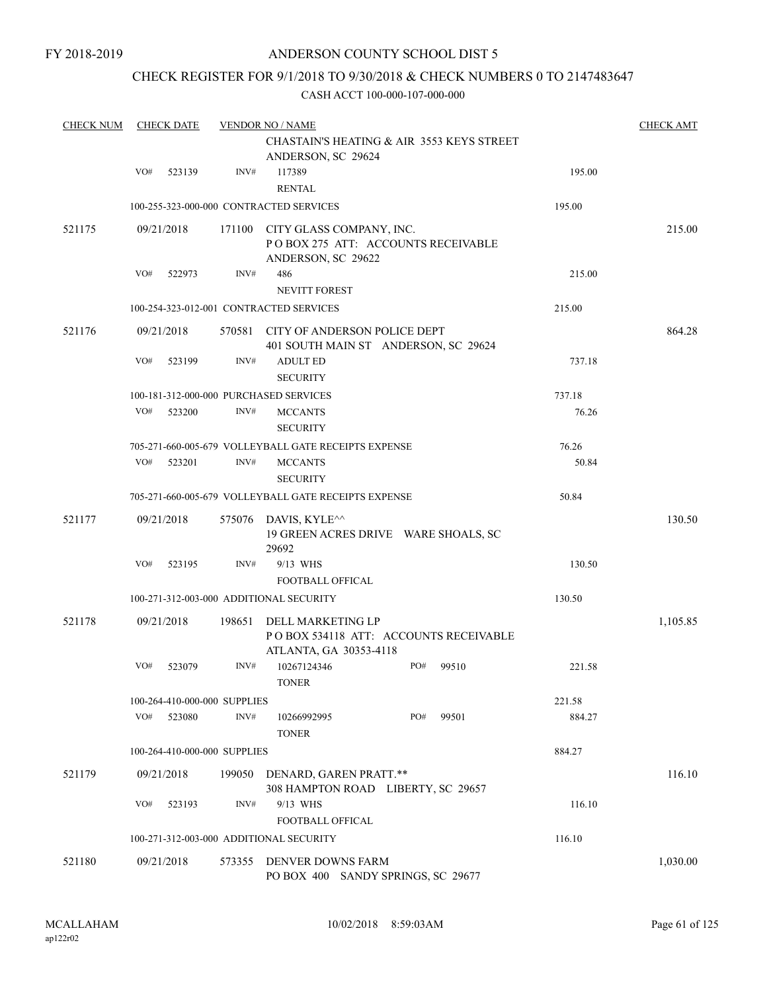# CHECK REGISTER FOR 9/1/2018 TO 9/30/2018 & CHECK NUMBERS 0 TO 2147483647

| <b>CHECK NUM</b> |     | <b>CHECK DATE</b>            |        | <b>VENDOR NO / NAME</b>                                                               | <b>CHECK AMT</b> |
|------------------|-----|------------------------------|--------|---------------------------------------------------------------------------------------|------------------|
|                  |     |                              |        | CHASTAIN'S HEATING & AIR 3553 KEYS STREET<br>ANDERSON, SC 29624                       |                  |
|                  | VO# | 523139                       | INV#   | 117389<br>195.00<br><b>RENTAL</b>                                                     |                  |
|                  |     |                              |        | 100-255-323-000-000 CONTRACTED SERVICES<br>195.00                                     |                  |
| 521175           |     | 09/21/2018                   | 171100 | CITY GLASS COMPANY, INC.<br>PO BOX 275 ATT: ACCOUNTS RECEIVABLE<br>ANDERSON, SC 29622 | 215.00           |
|                  | VO# | 522973                       | INV#   | 486<br>215.00<br><b>NEVITT FOREST</b>                                                 |                  |
|                  |     |                              |        | 100-254-323-012-001 CONTRACTED SERVICES<br>215.00                                     |                  |
| 521176           |     | 09/21/2018                   |        | 570581 CITY OF ANDERSON POLICE DEPT<br>401 SOUTH MAIN ST ANDERSON, SC 29624           | 864.28           |
|                  | VO# | 523199                       | INV#   | <b>ADULT ED</b><br>737.18<br><b>SECURITY</b>                                          |                  |
|                  |     |                              |        | 100-181-312-000-000 PURCHASED SERVICES<br>737.18                                      |                  |
|                  | VO# | 523200                       | INV#   | 76.26<br><b>MCCANTS</b><br><b>SECURITY</b>                                            |                  |
|                  |     |                              |        | 705-271-660-005-679 VOLLEYBALL GATE RECEIPTS EXPENSE<br>76.26                         |                  |
|                  | VO# | 523201                       | INV#   | 50.84<br><b>MCCANTS</b><br><b>SECURITY</b>                                            |                  |
|                  |     |                              |        | 705-271-660-005-679 VOLLEYBALL GATE RECEIPTS EXPENSE<br>50.84                         |                  |
| 521177           |     | 09/21/2018                   | 575076 | DAVIS, KYLE^^<br>19 GREEN ACRES DRIVE WARE SHOALS, SC<br>29692                        | 130.50           |
|                  | VO# | 523195                       | INV#   | 9/13 WHS<br>130.50<br><b>FOOTBALL OFFICAL</b>                                         |                  |
|                  |     |                              |        | 100-271-312-003-000 ADDITIONAL SECURITY<br>130.50                                     |                  |
| 521178           |     | 09/21/2018                   | 198651 | DELL MARKETING LP<br>POBOX 534118 ATT: ACCOUNTS RECEIVABLE<br>ATLANTA, GA 30353-4118  | 1,105.85         |
|                  | VO# | 523079                       | INV#   | PO#<br>10267124346<br>99510<br>221.58<br><b>TONER</b>                                 |                  |
|                  |     | 100-264-410-000-000 SUPPLIES |        | 221.58                                                                                |                  |
|                  | VO# | 523080                       | INV#   | PO#<br>10266992995<br>99501<br>884.27<br><b>TONER</b>                                 |                  |
|                  |     | 100-264-410-000-000 SUPPLIES |        | 884.27                                                                                |                  |
| 521179           |     | 09/21/2018                   | 199050 | DENARD, GAREN PRATT.**<br>308 HAMPTON ROAD LIBERTY, SC 29657                          | 116.10           |
|                  | VO# | 523193                       | INV#   | 9/13 WHS<br>116.10<br>FOOTBALL OFFICAL                                                |                  |
|                  |     |                              |        | 116.10<br>100-271-312-003-000 ADDITIONAL SECURITY                                     |                  |
| 521180           |     | 09/21/2018                   | 573355 | DENVER DOWNS FARM<br>PO BOX 400 SANDY SPRINGS, SC 29677                               | 1,030.00         |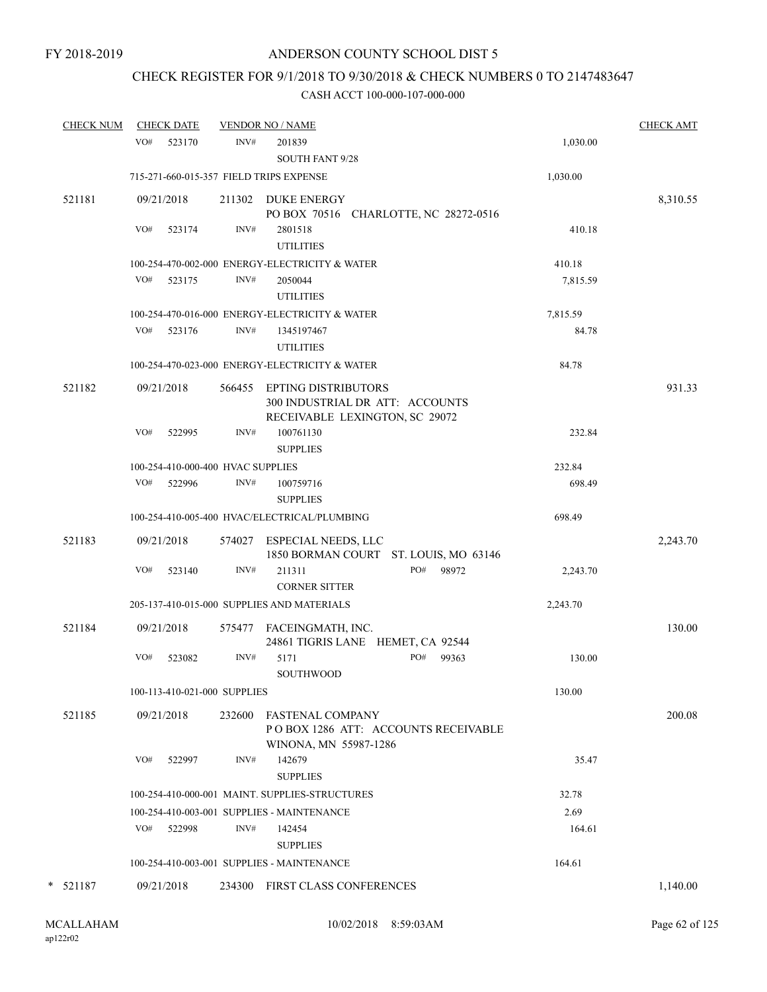## CHECK REGISTER FOR 9/1/2018 TO 9/30/2018 & CHECK NUMBERS 0 TO 2147483647

#### CASH ACCT 100-000-107-000-000

| <b>CHECK NUM</b> |     | <b>CHECK DATE</b>                 |        | <b>VENDOR NO / NAME</b>                                                                         |                                       |                    | <b>CHECK AMT</b> |
|------------------|-----|-----------------------------------|--------|-------------------------------------------------------------------------------------------------|---------------------------------------|--------------------|------------------|
|                  | VO# | 523170                            | INV#   | 201839<br><b>SOUTH FANT 9/28</b>                                                                |                                       | 1,030.00           |                  |
|                  |     |                                   |        | 715-271-660-015-357 FIELD TRIPS EXPENSE                                                         |                                       | 1,030.00           |                  |
| 521181           |     | 09/21/2018                        |        | 211302 DUKE ENERGY                                                                              | PO BOX 70516 CHARLOTTE, NC 28272-0516 |                    | 8,310.55         |
|                  | VO# | 523174                            | INV#   | 2801518<br><b>UTILITIES</b>                                                                     |                                       | 410.18             |                  |
|                  | VO# | 523175                            | INV#   | 100-254-470-002-000 ENERGY-ELECTRICITY & WATER<br>2050044<br><b>UTILITIES</b>                   |                                       | 410.18<br>7,815.59 |                  |
|                  |     |                                   |        | 100-254-470-016-000 ENERGY-ELECTRICITY & WATER                                                  |                                       | 7,815.59           |                  |
|                  | VO# | 523176                            | INV#   | 1345197467<br><b>UTILITIES</b>                                                                  |                                       | 84.78              |                  |
|                  |     |                                   |        | 100-254-470-023-000 ENERGY-ELECTRICITY & WATER                                                  |                                       | 84.78              |                  |
| 521182           |     | 09/21/2018                        |        | 566455 EPTING DISTRIBUTORS<br>300 INDUSTRIAL DR ATT: ACCOUNTS<br>RECEIVABLE LEXINGTON, SC 29072 |                                       |                    | 931.33           |
|                  | VO# | 522995                            | INV#   | 100761130<br><b>SUPPLIES</b>                                                                    |                                       | 232.84             |                  |
|                  |     | 100-254-410-000-400 HVAC SUPPLIES |        |                                                                                                 |                                       | 232.84             |                  |
|                  |     | VO# 522996                        | INV#   | 100759716<br><b>SUPPLIES</b>                                                                    |                                       | 698.49             |                  |
|                  |     |                                   |        | 100-254-410-005-400 HVAC/ELECTRICAL/PLUMBING                                                    |                                       | 698.49             |                  |
| 521183           |     | 09/21/2018                        |        | 574027 ESPECIAL NEEDS, LLC                                                                      | 1850 BORMAN COURT ST. LOUIS, MO 63146 |                    | 2,243.70         |
|                  | VO# | 523140                            | INV#   | 211311<br><b>CORNER SITTER</b>                                                                  | PO#<br>98972                          | 2,243.70           |                  |
|                  |     |                                   |        | 205-137-410-015-000 SUPPLIES AND MATERIALS                                                      |                                       | 2,243.70           |                  |
| 521184           |     | 09/21/2018                        |        | 575477 FACEINGMATH, INC.<br>24861 TIGRIS LANE HEMET, CA 92544                                   |                                       |                    | 130.00           |
|                  | VO# | 523082                            | INV#   | 5171<br><b>SOUTHWOOD</b>                                                                        | PO#<br>99363                          | 130.00             |                  |
|                  |     | 100-113-410-021-000 SUPPLIES      |        |                                                                                                 |                                       | 130.00             |                  |
| 521185           |     | 09/21/2018                        | 232600 | <b>FASTENAL COMPANY</b><br>WINONA, MN 55987-1286                                                | POBOX 1286 ATT: ACCOUNTS RECEIVABLE   |                    | 200.08           |
|                  | VO# | 522997                            | INV#   | 142679<br><b>SUPPLIES</b>                                                                       |                                       | 35.47              |                  |
|                  |     |                                   |        | 100-254-410-000-001 MAINT. SUPPLIES-STRUCTURES                                                  |                                       | 32.78              |                  |
|                  |     |                                   |        | 100-254-410-003-001 SUPPLIES - MAINTENANCE                                                      |                                       | 2.69               |                  |
|                  | VO# | 522998                            | INV#   | 142454<br><b>SUPPLIES</b>                                                                       |                                       | 164.61             |                  |
|                  |     |                                   |        | 100-254-410-003-001 SUPPLIES - MAINTENANCE                                                      |                                       | 164.61             |                  |
| $*$ 521187       |     | 09/21/2018                        | 234300 | <b>FIRST CLASS CONFERENCES</b>                                                                  |                                       |                    | 1,140.00         |

ap122r02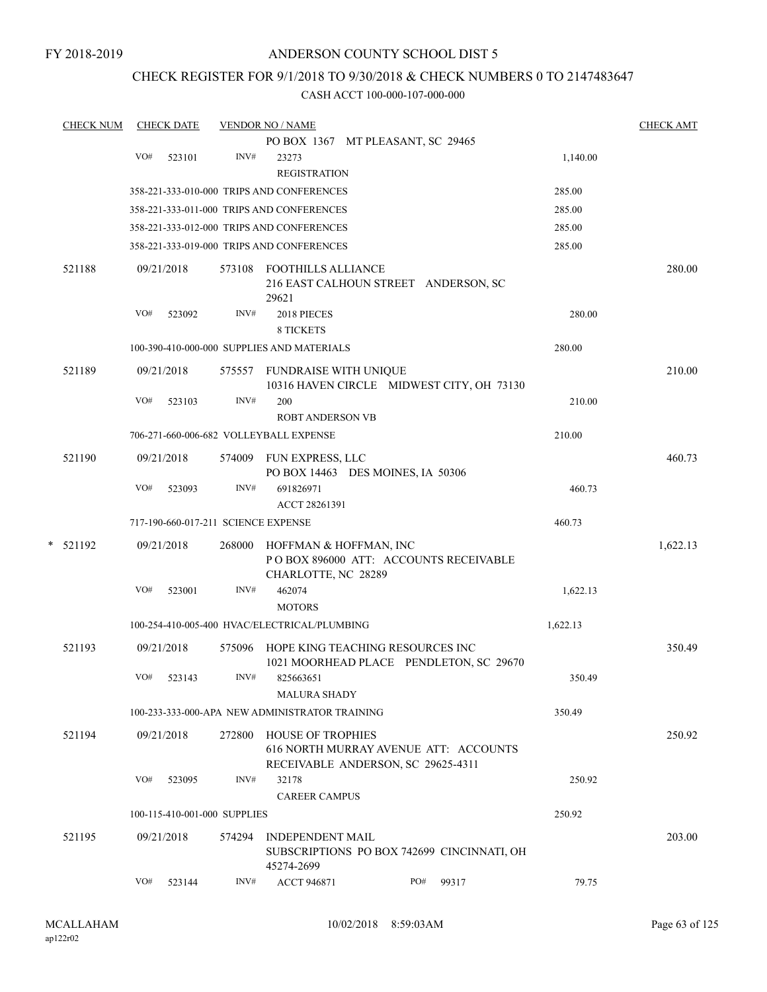FY 2018-2019

## ANDERSON COUNTY SCHOOL DIST 5

# CHECK REGISTER FOR 9/1/2018 TO 9/30/2018 & CHECK NUMBERS 0 TO 2147483647

| <b>CHECK NUM</b> |     | <b>CHECK DATE</b>                   |        | <b>VENDOR NO / NAME</b>                               |                                            |          | <b>CHECK AMT</b> |
|------------------|-----|-------------------------------------|--------|-------------------------------------------------------|--------------------------------------------|----------|------------------|
|                  |     |                                     |        |                                                       | PO BOX 1367 MT PLEASANT, SC 29465          |          |                  |
|                  | VO# | 523101                              | INV#   | 23273                                                 |                                            | 1,140.00 |                  |
|                  |     |                                     |        | <b>REGISTRATION</b>                                   |                                            |          |                  |
|                  |     |                                     |        | 358-221-333-010-000 TRIPS AND CONFERENCES             |                                            | 285.00   |                  |
|                  |     |                                     |        | 358-221-333-011-000 TRIPS AND CONFERENCES             |                                            | 285.00   |                  |
|                  |     |                                     |        | 358-221-333-012-000 TRIPS AND CONFERENCES             |                                            | 285.00   |                  |
|                  |     |                                     |        | 358-221-333-019-000 TRIPS AND CONFERENCES             |                                            | 285.00   |                  |
| 521188           |     | 09/21/2018                          |        | 573108 FOOTHILLS ALLIANCE                             |                                            |          | 280.00           |
|                  |     |                                     |        |                                                       | 216 EAST CALHOUN STREET ANDERSON, SC       |          |                  |
|                  |     |                                     |        | 29621                                                 |                                            |          |                  |
|                  | VO# | 523092                              | INV#   | 2018 PIECES                                           |                                            | 280.00   |                  |
|                  |     |                                     |        | <b>8 TICKETS</b>                                      |                                            |          |                  |
|                  |     |                                     |        | 100-390-410-000-000 SUPPLIES AND MATERIALS            |                                            | 280.00   |                  |
| 521189           |     | 09/21/2018                          | 575557 | FUNDRAISE WITH UNIQUE                                 |                                            |          | 210.00           |
|                  | VO# | 523103                              | INV#   | 200                                                   | 10316 HAVEN CIRCLE MIDWEST CITY, OH 73130  | 210.00   |                  |
|                  |     |                                     |        | <b>ROBT ANDERSON VB</b>                               |                                            |          |                  |
|                  |     |                                     |        | 706-271-660-006-682 VOLLEYBALL EXPENSE                |                                            | 210.00   |                  |
|                  |     |                                     |        |                                                       |                                            |          |                  |
| 521190           |     | 09/21/2018                          | 574009 | FUN EXPRESS, LLC<br>PO BOX 14463 DES MOINES, IA 50306 |                                            |          | 460.73           |
|                  | VO# | 523093                              | INV#   | 691826971                                             |                                            | 460.73   |                  |
|                  |     |                                     |        | ACCT 28261391                                         |                                            |          |                  |
|                  |     | 717-190-660-017-211 SCIENCE EXPENSE |        |                                                       |                                            | 460.73   |                  |
| * 521192         |     | 09/21/2018                          | 268000 | HOFFMAN & HOFFMAN, INC                                |                                            |          | 1,622.13         |
|                  |     |                                     |        |                                                       | POBOX 896000 ATT: ACCOUNTS RECEIVABLE      |          |                  |
|                  |     |                                     |        | CHARLOTTE, NC 28289                                   |                                            |          |                  |
|                  | VO# | 523001                              | INV#   | 462074                                                |                                            | 1,622.13 |                  |
|                  |     |                                     |        | <b>MOTORS</b>                                         |                                            |          |                  |
|                  |     |                                     |        | 100-254-410-005-400 HVAC/ELECTRICAL/PLUMBING          |                                            | 1,622.13 |                  |
| 521193           |     | 09/21/2018                          |        |                                                       | 575096 HOPE KING TEACHING RESOURCES INC    |          | 350.49           |
|                  |     |                                     |        |                                                       | 1021 MOORHEAD PLACE PENDLETON, SC 29670    |          |                  |
|                  |     | VO# 523143                          | INV#   | 825663651                                             |                                            | 350.49   |                  |
|                  |     |                                     |        | <b>MALURA SHADY</b>                                   |                                            |          |                  |
|                  |     |                                     |        | 100-233-333-000-APA NEW ADMINISTRATOR TRAINING        |                                            | 350.49   |                  |
| 521194           |     | 09/21/2018                          |        | 272800 HOUSE OF TROPHIES                              |                                            |          | 250.92           |
|                  |     |                                     |        |                                                       | 616 NORTH MURRAY AVENUE ATT: ACCOUNTS      |          |                  |
|                  | VO# | 523095                              | INV#   | 32178                                                 | RECEIVABLE ANDERSON, SC 29625-4311         | 250.92   |                  |
|                  |     |                                     |        | <b>CAREER CAMPUS</b>                                  |                                            |          |                  |
|                  |     | 100-115-410-001-000 SUPPLIES        |        |                                                       |                                            | 250.92   |                  |
|                  |     |                                     |        |                                                       |                                            |          |                  |
| 521195           |     | 09/21/2018                          | 574294 | <b>INDEPENDENT MAIL</b>                               | SUBSCRIPTIONS PO BOX 742699 CINCINNATI, OH |          | 203.00           |
|                  |     |                                     |        | 45274-2699                                            |                                            |          |                  |
|                  | VO# | 523144                              | INV#   | <b>ACCT 946871</b>                                    | PO#<br>99317                               | 79.75    |                  |
|                  |     |                                     |        |                                                       |                                            |          |                  |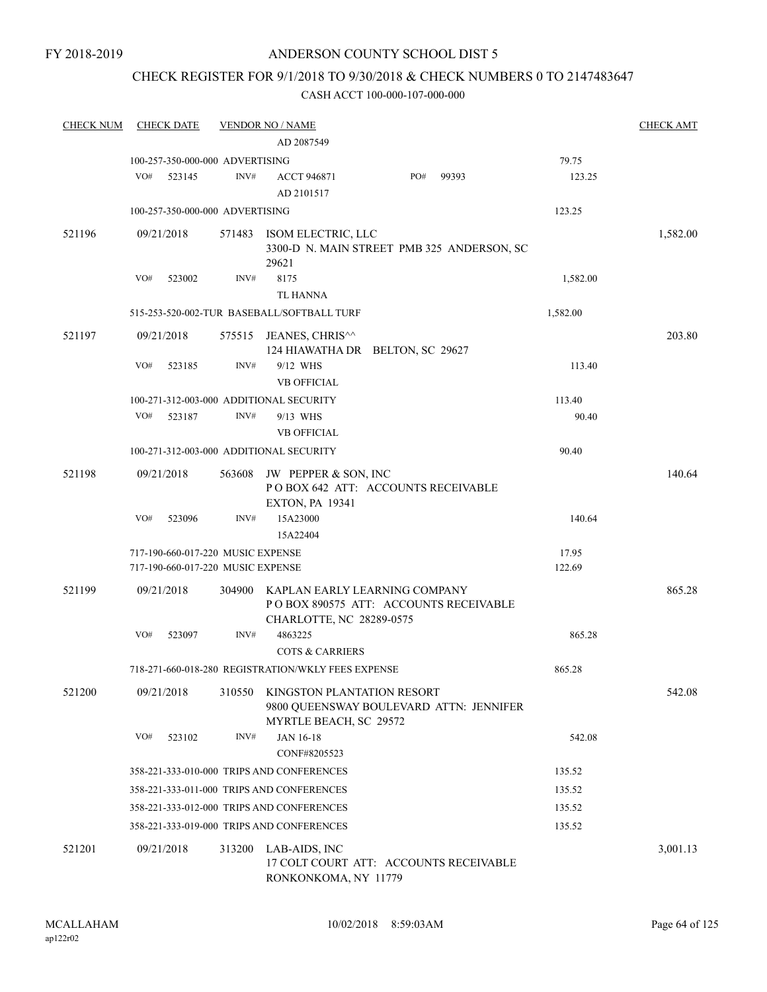## CHECK REGISTER FOR 9/1/2018 TO 9/30/2018 & CHECK NUMBERS 0 TO 2147483647

| <b>CHECK NUM</b> | <b>CHECK DATE</b>                                                      |        | <b>VENDOR NO / NAME</b>                              |                                                                        |          | <b>CHECK AMT</b> |
|------------------|------------------------------------------------------------------------|--------|------------------------------------------------------|------------------------------------------------------------------------|----------|------------------|
|                  |                                                                        |        | AD 2087549                                           |                                                                        |          |                  |
|                  | 100-257-350-000-000 ADVERTISING                                        |        |                                                      |                                                                        | 79.75    |                  |
|                  | VO#<br>523145                                                          | INV#   | <b>ACCT 946871</b><br>AD 2101517                     | PO#<br>99393                                                           | 123.25   |                  |
|                  | 100-257-350-000-000 ADVERTISING                                        |        |                                                      |                                                                        | 123.25   |                  |
| 521196           | 09/21/2018                                                             |        | 571483 ISOM ELECTRIC, LLC<br>29621                   | 3300-D N. MAIN STREET PMB 325 ANDERSON, SC                             |          | 1,582.00         |
|                  | VO#<br>523002                                                          | INV#   | 8175<br><b>TL HANNA</b>                              |                                                                        | 1,582.00 |                  |
|                  |                                                                        |        | 515-253-520-002-TUR BASEBALL/SOFTBALL TURF           |                                                                        | 1,582.00 |                  |
| 521197           | 09/21/2018                                                             |        | 575515 JEANES, CHRIS <sup>^^</sup>                   | 124 HIAWATHA DR BELTON, SC 29627                                       |          | 203.80           |
|                  | VO#<br>523185                                                          | INV#   | 9/12 WHS<br><b>VB OFFICIAL</b>                       |                                                                        | 113.40   |                  |
|                  | 100-271-312-003-000 ADDITIONAL SECURITY                                |        |                                                      |                                                                        | 113.40   |                  |
|                  | VO#<br>523187                                                          | INV#   | 9/13 WHS<br><b>VB OFFICIAL</b>                       |                                                                        | 90.40    |                  |
|                  | 100-271-312-003-000 ADDITIONAL SECURITY                                |        |                                                      |                                                                        | 90.40    |                  |
| 521198           | 09/21/2018                                                             | 563608 | JW PEPPER & SON, INC                                 | POBOX 642 ATT: ACCOUNTS RECEIVABLE                                     |          | 140.64           |
|                  | VO#<br>523096                                                          | INV#   | <b>EXTON, PA 19341</b><br>15A23000                   |                                                                        | 140.64   |                  |
|                  |                                                                        |        | 15A22404                                             |                                                                        | 17.95    |                  |
|                  | 717-190-660-017-220 MUSIC EXPENSE<br>717-190-660-017-220 MUSIC EXPENSE |        |                                                      |                                                                        | 122.69   |                  |
| 521199           | 09/21/2018                                                             | 304900 | CHARLOTTE, NC 28289-0575                             | KAPLAN EARLY LEARNING COMPANY<br>POBOX 890575 ATT: ACCOUNTS RECEIVABLE |          | 865.28           |
|                  | VO#<br>523097                                                          | INV#   | 4863225<br><b>COTS &amp; CARRIERS</b>                |                                                                        | 865.28   |                  |
|                  |                                                                        |        | 718-271-660-018-280 REGISTRATION/WKLY FEES EXPENSE   |                                                                        | 865.28   |                  |
| 521200           | 09/21/2018                                                             | 310550 | KINGSTON PLANTATION RESORT<br>MYRTLE BEACH, SC 29572 | 9800 QUEENSWAY BOULEVARD ATTN: JENNIFER                                |          | 542.08           |
|                  | VO#<br>523102                                                          | INV#   | JAN 16-18<br>CONF#8205523                            |                                                                        | 542.08   |                  |
|                  |                                                                        |        | 358-221-333-010-000 TRIPS AND CONFERENCES            |                                                                        | 135.52   |                  |
|                  |                                                                        |        | 358-221-333-011-000 TRIPS AND CONFERENCES            |                                                                        |          |                  |
|                  |                                                                        |        |                                                      |                                                                        | 135.52   |                  |
|                  |                                                                        |        | 358-221-333-012-000 TRIPS AND CONFERENCES            |                                                                        | 135.52   |                  |
|                  |                                                                        |        | 358-221-333-019-000 TRIPS AND CONFERENCES            |                                                                        | 135.52   |                  |
| 521201           | 09/21/2018                                                             | 313200 | LAB-AIDS, INC<br>RONKONKOMA, NY 11779                | 17 COLT COURT ATT: ACCOUNTS RECEIVABLE                                 |          | 3,001.13         |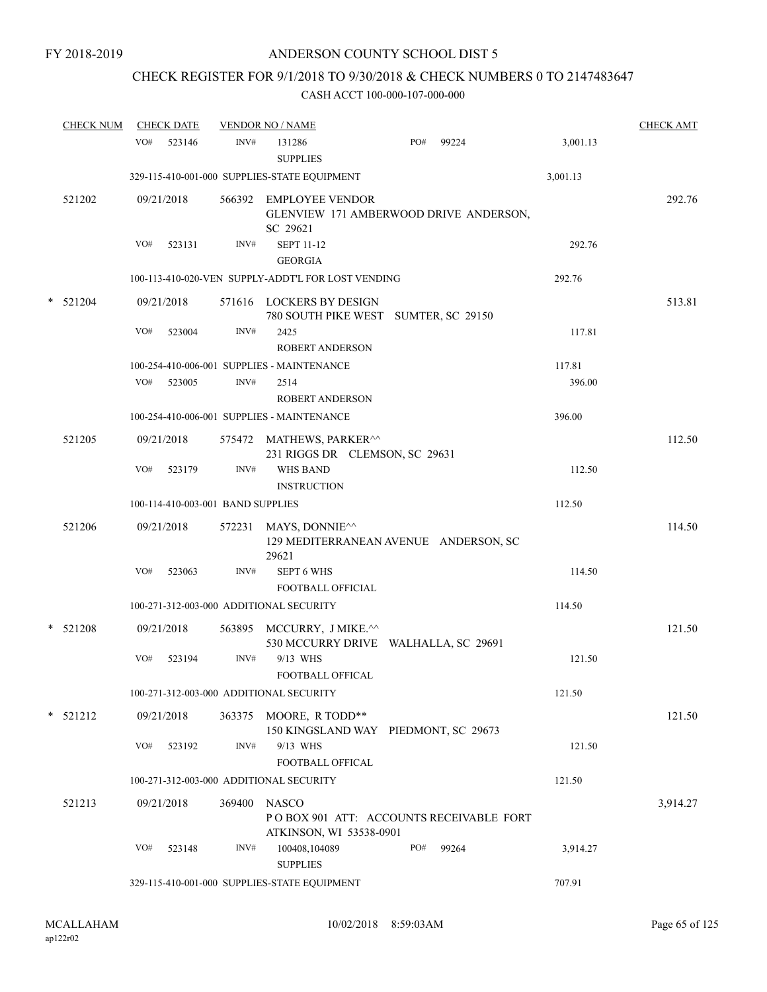## CHECK REGISTER FOR 9/1/2018 TO 9/30/2018 & CHECK NUMBERS 0 TO 2147483647

| <b>CHECK NUM</b> | <b>CHECK DATE</b> |                                   | <b>VENDOR NO / NAME</b>                                                                       |     |       |          | <b>CHECK AMT</b> |
|------------------|-------------------|-----------------------------------|-----------------------------------------------------------------------------------------------|-----|-------|----------|------------------|
|                  | VO#               | INV#<br>523146                    | 131286<br><b>SUPPLIES</b>                                                                     | PO# | 99224 | 3,001.13 |                  |
|                  |                   |                                   | 329-115-410-001-000 SUPPLIES-STATE EQUIPMENT                                                  |     |       | 3,001.13 |                  |
| 521202           | 09/21/2018        |                                   | 566392 EMPLOYEE VENDOR<br>GLENVIEW 171 AMBERWOOD DRIVE ANDERSON,<br>SC 29621                  |     |       |          | 292.76           |
|                  | VO#               | INV#<br>523131                    | <b>SEPT 11-12</b><br><b>GEORGIA</b>                                                           |     |       | 292.76   |                  |
|                  |                   |                                   | 100-113-410-020-VEN SUPPLY-ADDT'L FOR LOST VENDING                                            |     |       | 292.76   |                  |
| $*$ 521204       | 09/21/2018        |                                   | 571616 LOCKERS BY DESIGN<br>780 SOUTH PIKE WEST SUMTER, SC 29150                              |     |       |          | 513.81           |
|                  | VO#               | 523004<br>INV#                    | 2425<br><b>ROBERT ANDERSON</b>                                                                |     |       | 117.81   |                  |
|                  |                   |                                   | 100-254-410-006-001 SUPPLIES - MAINTENANCE                                                    |     |       | 117.81   |                  |
|                  | VO# 523005        | INV#                              | 2514<br><b>ROBERT ANDERSON</b>                                                                |     |       | 396.00   |                  |
|                  |                   |                                   | 100-254-410-006-001 SUPPLIES - MAINTENANCE                                                    |     |       | 396.00   |                  |
| 521205           | 09/21/2018        |                                   | 575472 MATHEWS, PARKER <sup>^^</sup><br>231 RIGGS DR CLEMSON, SC 29631                        |     |       |          | 112.50           |
|                  | VO#               | INV#<br>523179                    | <b>WHS BAND</b><br><b>INSTRUCTION</b>                                                         |     |       | 112.50   |                  |
|                  |                   | 100-114-410-003-001 BAND SUPPLIES |                                                                                               |     |       | 112.50   |                  |
| 521206           | 09/21/2018        | 572231                            | MAYS, DONNIE <sup><math>\wedge</math></sup><br>129 MEDITERRANEAN AVENUE ANDERSON, SC<br>29621 |     |       |          | 114.50           |
|                  | VO#               | 523063<br>INV#                    | <b>SEPT 6 WHS</b><br>FOOTBALL OFFICIAL                                                        |     |       | 114.50   |                  |
|                  |                   |                                   | 100-271-312-003-000 ADDITIONAL SECURITY                                                       |     |       | 114.50   |                  |
| $*$ 521208       | 09/21/2018        |                                   | 563895 MCCURRY, J MIKE.^^<br>530 MCCURRY DRIVE WALHALLA, SC 29691                             |     |       |          | 121.50           |
|                  | VO#               | INV#<br>523194                    | 9/13 WHS<br><b>FOOTBALL OFFICAL</b>                                                           |     |       | 121.50   |                  |
|                  |                   |                                   | 100-271-312-003-000 ADDITIONAL SECURITY                                                       |     |       | 121.50   |                  |
| * 521212         | 09/21/2018        |                                   | 363375 MOORE, R TODD**<br>150 KINGSLAND WAY PIEDMONT, SC 29673                                |     |       |          | 121.50           |
|                  | VO#               | INV#<br>523192                    | 9/13 WHS<br>FOOTBALL OFFICAL                                                                  |     |       | 121.50   |                  |
|                  |                   |                                   | 100-271-312-003-000 ADDITIONAL SECURITY                                                       |     |       | 121.50   |                  |
| 521213           | 09/21/2018        | 369400                            | <b>NASCO</b><br>POBOX 901 ATT: ACCOUNTS RECEIVABLE FORT                                       |     |       |          | 3,914.27         |
|                  | VO#               | INV#<br>523148                    | ATKINSON, WI 53538-0901<br>100408,104089<br><b>SUPPLIES</b>                                   | PO# | 99264 | 3,914.27 |                  |
|                  |                   |                                   | 329-115-410-001-000 SUPPLIES-STATE EQUIPMENT                                                  |     |       | 707.91   |                  |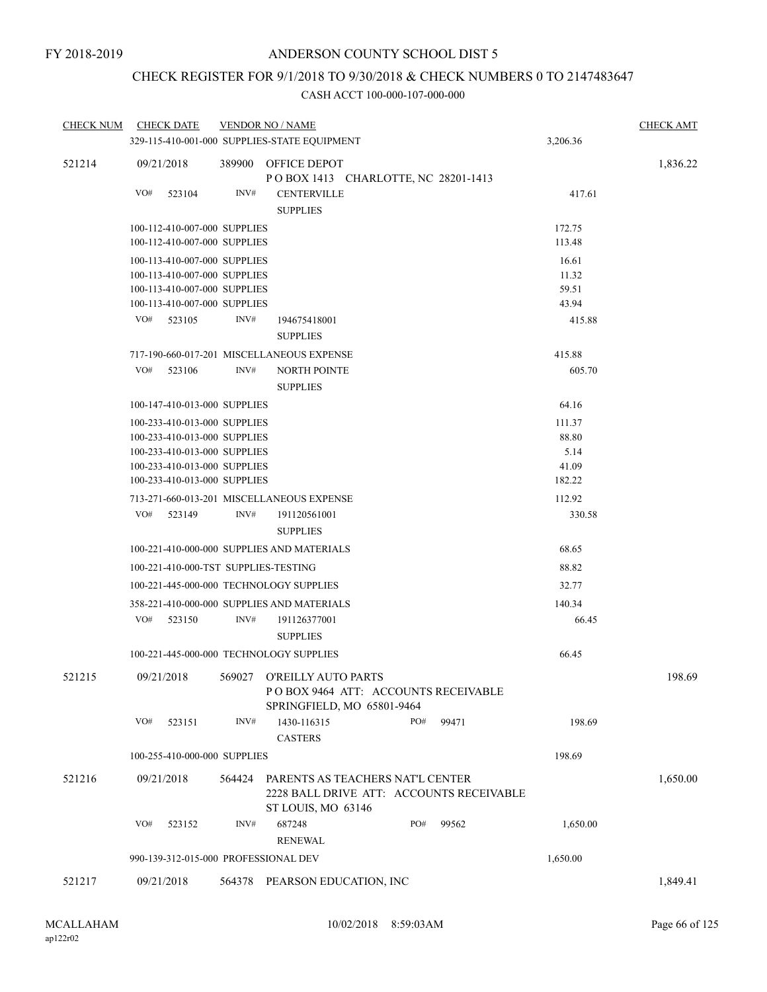# CHECK REGISTER FOR 9/1/2018 TO 9/30/2018 & CHECK NUMBERS 0 TO 2147483647

| <b>CHECK NUM</b> |                                                                                                | <b>CHECK DATE</b>                                            |        | <b>VENDOR NO / NAME</b>                                                                            |       | <b>CHECK AMT</b> |       |  |                 |          |
|------------------|------------------------------------------------------------------------------------------------|--------------------------------------------------------------|--------|----------------------------------------------------------------------------------------------------|-------|------------------|-------|--|-----------------|----------|
|                  |                                                                                                |                                                              |        | 329-115-410-001-000 SUPPLIES-STATE EQUIPMENT                                                       |       |                  |       |  | 3,206.36        |          |
| 521214           | 09/21/2018                                                                                     |                                                              |        | 389900 OFFICE DEPOT<br>POBOX 1413 CHARLOTTE, NC 28201-1413                                         |       |                  |       |  |                 | 1,836.22 |
|                  | VO#                                                                                            | 523104                                                       | INV#   | <b>CENTERVILLE</b><br><b>SUPPLIES</b>                                                              |       |                  |       |  | 417.61          |          |
|                  |                                                                                                | 100-112-410-007-000 SUPPLIES                                 |        |                                                                                                    |       |                  |       |  | 172.75          |          |
|                  |                                                                                                | 100-112-410-007-000 SUPPLIES                                 |        |                                                                                                    |       |                  |       |  | 113.48          |          |
|                  |                                                                                                | 100-113-410-007-000 SUPPLIES                                 |        |                                                                                                    |       |                  |       |  | 16.61           |          |
|                  |                                                                                                | 100-113-410-007-000 SUPPLIES                                 |        |                                                                                                    |       |                  |       |  | 11.32           |          |
|                  |                                                                                                | 100-113-410-007-000 SUPPLIES                                 |        |                                                                                                    |       |                  |       |  | 59.51           |          |
|                  | VO#                                                                                            | 100-113-410-007-000 SUPPLIES                                 | INV#   |                                                                                                    |       |                  |       |  | 43.94           |          |
|                  |                                                                                                | 523105                                                       |        | 194675418001<br><b>SUPPLIES</b>                                                                    |       |                  |       |  | 415.88          |          |
|                  |                                                                                                |                                                              |        | 415.88                                                                                             |       |                  |       |  |                 |          |
|                  | VO#                                                                                            | 523106                                                       | INV#   | 717-190-660-017-201 MISCELLANEOUS EXPENSE<br><b>NORTH POINTE</b>                                   |       |                  |       |  |                 |          |
|                  |                                                                                                |                                                              |        | <b>SUPPLIES</b>                                                                                    |       |                  |       |  | 605.70          |          |
|                  |                                                                                                | 100-147-410-013-000 SUPPLIES                                 |        |                                                                                                    |       |                  |       |  | 64.16           |          |
|                  |                                                                                                | 100-233-410-013-000 SUPPLIES                                 |        |                                                                                                    |       |                  |       |  | 111.37          |          |
|                  |                                                                                                | 100-233-410-013-000 SUPPLIES                                 |        |                                                                                                    | 88.80 |                  |       |  |                 |          |
|                  |                                                                                                | 100-233-410-013-000 SUPPLIES<br>100-233-410-013-000 SUPPLIES |        |                                                                                                    |       |                  |       |  | 5.14<br>41.09   |          |
|                  |                                                                                                | 100-233-410-013-000 SUPPLIES                                 |        |                                                                                                    |       |                  |       |  | 182.22          |          |
|                  |                                                                                                |                                                              |        | 713-271-660-013-201 MISCELLANEOUS EXPENSE                                                          |       |                  |       |  | 112.92          |          |
|                  | VO#                                                                                            | 523149                                                       | INV#   | 191120561001                                                                                       |       |                  |       |  | 330.58          |          |
|                  |                                                                                                |                                                              |        | <b>SUPPLIES</b>                                                                                    |       |                  |       |  |                 |          |
|                  |                                                                                                |                                                              |        | 100-221-410-000-000 SUPPLIES AND MATERIALS                                                         |       |                  |       |  | 68.65           |          |
|                  |                                                                                                |                                                              |        | 100-221-410-000-TST SUPPLIES-TESTING                                                               |       |                  |       |  | 88.82           |          |
|                  |                                                                                                |                                                              |        |                                                                                                    |       |                  |       |  |                 |          |
|                  | 100-221-445-000-000 TECHNOLOGY SUPPLIES<br>32.77<br>358-221-410-000-000 SUPPLIES AND MATERIALS |                                                              |        |                                                                                                    |       |                  |       |  |                 |          |
|                  | VO#                                                                                            | 523150                                                       | INV#   | 191126377001                                                                                       |       |                  |       |  | 140.34<br>66.45 |          |
|                  |                                                                                                |                                                              |        | <b>SUPPLIES</b>                                                                                    |       |                  |       |  |                 |          |
|                  |                                                                                                |                                                              |        | 100-221-445-000-000 TECHNOLOGY SUPPLIES                                                            |       |                  |       |  | 66.45           |          |
| 521215           | 09/21/2018                                                                                     |                                                              |        | 569027 O'REILLY AUTO PARTS<br>PO BOX 9464 ATT: ACCOUNTS RECEIVABLE<br>SPRINGFIELD, MO 65801-9464   |       |                  |       |  |                 | 198.69   |
|                  | VO#                                                                                            | 523151                                                       | INV#   | 1430-116315<br><b>CASTERS</b>                                                                      |       | PO#              | 99471 |  | 198.69          |          |
|                  |                                                                                                | 100-255-410-000-000 SUPPLIES                                 |        |                                                                                                    |       |                  |       |  | 198.69          |          |
| 521216           | 09/21/2018                                                                                     |                                                              | 564424 | PARENTS AS TEACHERS NAT'L CENTER<br>2228 BALL DRIVE ATT: ACCOUNTS RECEIVABLE<br>ST LOUIS, MO 63146 |       |                  |       |  |                 | 1,650.00 |
|                  | VO#                                                                                            | 523152                                                       | INV#   | 687248<br><b>RENEWAL</b>                                                                           |       | PO#              | 99562 |  | 1,650.00        |          |
|                  |                                                                                                |                                                              |        | 990-139-312-015-000 PROFESSIONAL DEV                                                               |       |                  |       |  | 1,650.00        |          |
| 521217           | 09/21/2018                                                                                     |                                                              |        | 564378 PEARSON EDUCATION, INC                                                                      |       |                  |       |  |                 | 1,849.41 |
|                  |                                                                                                |                                                              |        |                                                                                                    |       |                  |       |  |                 |          |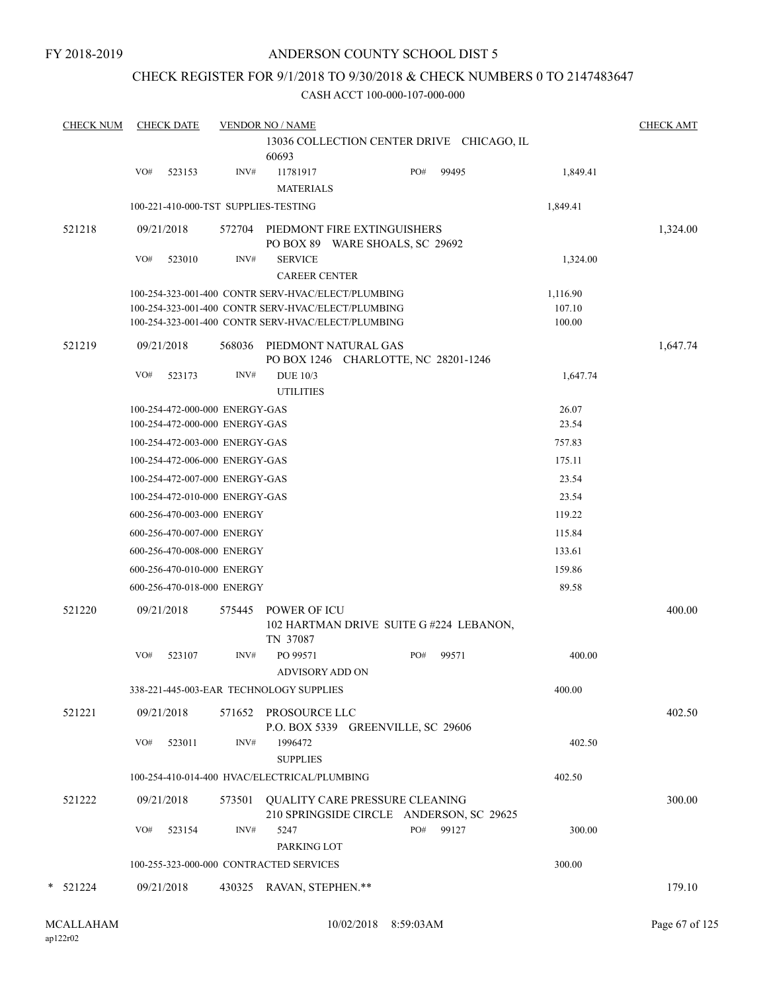#### CHECK REGISTER FOR 9/1/2018 TO 9/30/2018 & CHECK NUMBERS 0 TO 2147483647

| <b>CHECK NUM</b> | <b>CHECK DATE</b>                    |        | <b>VENDOR NO / NAME</b>                                                                                  |     |                                           |                  | <b>CHECK AMT</b> |
|------------------|--------------------------------------|--------|----------------------------------------------------------------------------------------------------------|-----|-------------------------------------------|------------------|------------------|
|                  |                                      |        | 60693                                                                                                    |     | 13036 COLLECTION CENTER DRIVE CHICAGO, IL |                  |                  |
|                  | VO#<br>523153                        | INV#   | 11781917<br><b>MATERIALS</b>                                                                             | PO# | 99495                                     | 1,849.41         |                  |
|                  | 100-221-410-000-TST SUPPLIES-TESTING |        |                                                                                                          |     |                                           | 1,849.41         |                  |
| 521218           | 09/21/2018                           | 572704 | PIEDMONT FIRE EXTINGUISHERS<br>PO BOX 89 WARE SHOALS, SC 29692                                           |     |                                           |                  | 1,324.00         |
|                  | VO#<br>523010                        | INV#   | <b>SERVICE</b><br><b>CAREER CENTER</b>                                                                   |     |                                           | 1,324.00         |                  |
|                  |                                      |        | 100-254-323-001-400 CONTR SERV-HVAC/ELECT/PLUMBING                                                       |     |                                           | 1,116.90         |                  |
|                  |                                      |        | 100-254-323-001-400 CONTR SERV-HVAC/ELECT/PLUMBING<br>100-254-323-001-400 CONTR SERV-HVAC/ELECT/PLUMBING |     |                                           | 107.10<br>100.00 |                  |
| 521219           | 09/21/2018                           | 568036 | PIEDMONT NATURAL GAS<br>PO BOX 1246 CHARLOTTE, NC 28201-1246                                             |     |                                           |                  | 1,647.74         |
|                  | VO#<br>523173                        | INV#   | <b>DUE 10/3</b><br><b>UTILITIES</b>                                                                      |     |                                           | 1,647.74         |                  |
|                  | 100-254-472-000-000 ENERGY-GAS       |        |                                                                                                          |     |                                           | 26.07            |                  |
|                  | 100-254-472-000-000 ENERGY-GAS       |        |                                                                                                          |     |                                           | 23.54            |                  |
|                  | 100-254-472-003-000 ENERGY-GAS       |        |                                                                                                          |     |                                           | 757.83           |                  |
|                  | 100-254-472-006-000 ENERGY-GAS       |        |                                                                                                          |     |                                           | 175.11           |                  |
|                  | 100-254-472-007-000 ENERGY-GAS       |        |                                                                                                          |     |                                           | 23.54            |                  |
|                  | 100-254-472-010-000 ENERGY-GAS       |        |                                                                                                          |     |                                           | 23.54            |                  |
|                  | 600-256-470-003-000 ENERGY           |        |                                                                                                          |     |                                           | 119.22           |                  |
|                  | 600-256-470-007-000 ENERGY           |        |                                                                                                          |     |                                           | 115.84           |                  |
|                  | 600-256-470-008-000 ENERGY           |        |                                                                                                          |     |                                           | 133.61           |                  |
|                  | 600-256-470-010-000 ENERGY           |        |                                                                                                          |     |                                           | 159.86           |                  |
|                  | 600-256-470-018-000 ENERGY           |        |                                                                                                          |     |                                           | 89.58            |                  |
| 521220           | 09/21/2018                           | 575445 | <b>POWER OF ICU</b><br>TN 37087                                                                          |     | 102 HARTMAN DRIVE SUITE G#224 LEBANON,    |                  | 400.00           |
|                  | VO#<br>523107                        | INV#   | PO 99571<br><b>ADVISORY ADD ON</b>                                                                       | PO# | 99571                                     | 400.00           |                  |
|                  |                                      |        | 338-221-445-003-EAR TECHNOLOGY SUPPLIES                                                                  |     |                                           | 400.00           |                  |
| 521221           | 09/21/2018                           |        | 571652 PROSOURCE LLC<br>P.O. BOX 5339 GREENVILLE, SC 29606                                               |     |                                           |                  | 402.50           |
|                  | VO#<br>523011                        | INV#   | 1996472<br><b>SUPPLIES</b>                                                                               |     |                                           | 402.50           |                  |
|                  |                                      |        | 100-254-410-014-400 HVAC/ELECTRICAL/PLUMBING                                                             |     |                                           | 402.50           |                  |
| 521222           | 09/21/2018                           |        | 573501 QUALITY CARE PRESSURE CLEANING                                                                    |     | 210 SPRINGSIDE CIRCLE ANDERSON, SC 29625  |                  | 300.00           |
|                  | VO#<br>523154                        | INV#   | 5247<br>PARKING LOT                                                                                      | PO# | 99127                                     | 300.00           |                  |
|                  |                                      |        | 100-255-323-000-000 CONTRACTED SERVICES                                                                  |     |                                           | 300.00           |                  |
| $*$ 521224       | 09/21/2018                           |        | 430325 RAVAN, STEPHEN.**                                                                                 |     |                                           |                  | 179.10           |
|                  |                                      |        |                                                                                                          |     |                                           |                  |                  |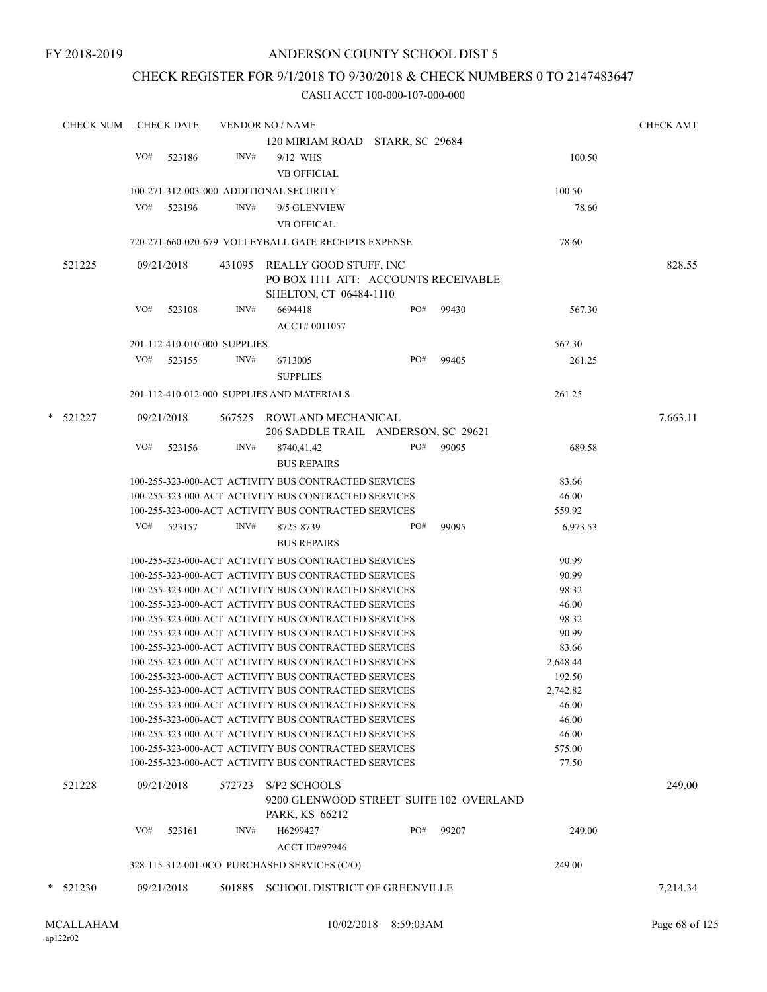## CHECK REGISTER FOR 9/1/2018 TO 9/30/2018 & CHECK NUMBERS 0 TO 2147483647

| <b>CHECK NUM</b> |     | <b>CHECK DATE</b>            |        | <b>VENDOR NO / NAME</b>                                                                                      |     |       |                 | <b>CHECK AMT</b> |
|------------------|-----|------------------------------|--------|--------------------------------------------------------------------------------------------------------------|-----|-------|-----------------|------------------|
|                  |     |                              |        | 120 MIRIAM ROAD STARR, SC 29684                                                                              |     |       |                 |                  |
|                  | VO# | 523186                       | INV#   | 9/12 WHS                                                                                                     |     |       | 100.50          |                  |
|                  |     |                              |        | <b>VB OFFICIAL</b>                                                                                           |     |       |                 |                  |
|                  |     |                              |        | 100-271-312-003-000 ADDITIONAL SECURITY                                                                      |     |       | 100.50          |                  |
|                  | VO# | 523196                       | INV#   | 9/5 GLENVIEW                                                                                                 |     |       | 78.60           |                  |
|                  |     |                              |        | <b>VB OFFICAL</b>                                                                                            |     |       |                 |                  |
|                  |     |                              |        | 720-271-660-020-679 VOLLEYBALL GATE RECEIPTS EXPENSE                                                         |     |       | 78.60           |                  |
|                  |     |                              |        |                                                                                                              |     |       |                 |                  |
| 521225           |     | 09/21/2018                   | 431095 | <b>REALLY GOOD STUFF, INC</b><br>PO BOX 1111 ATT: ACCOUNTS RECEIVABLE                                        |     |       |                 | 828.55           |
|                  |     |                              |        | SHELTON, CT 06484-1110                                                                                       |     |       |                 |                  |
|                  | VO# | 523108                       | INV#   | 6694418<br>ACCT# 0011057                                                                                     | PO# | 99430 | 567.30          |                  |
|                  |     | 201-112-410-010-000 SUPPLIES |        |                                                                                                              |     |       | 567.30          |                  |
|                  | VO# | 523155                       | INV#   | 6713005                                                                                                      | PO# | 99405 | 261.25          |                  |
|                  |     |                              |        | <b>SUPPLIES</b>                                                                                              |     |       |                 |                  |
|                  |     |                              |        | 201-112-410-012-000 SUPPLIES AND MATERIALS                                                                   |     |       | 261.25          |                  |
| * 521227         |     | 09/21/2018                   |        | 567525 ROWLAND MECHANICAL                                                                                    |     |       |                 | 7,663.11         |
|                  |     |                              |        | 206 SADDLE TRAIL ANDERSON, SC 29621                                                                          |     |       |                 |                  |
|                  | VO# | 523156                       | INV#   | 8740,41,42<br><b>BUS REPAIRS</b>                                                                             | PO# | 99095 | 689.58          |                  |
|                  |     |                              |        | 100-255-323-000-ACT ACTIVITY BUS CONTRACTED SERVICES                                                         |     |       | 83.66           |                  |
|                  |     |                              |        | 100-255-323-000-ACT ACTIVITY BUS CONTRACTED SERVICES                                                         |     |       | 46.00           |                  |
|                  |     |                              |        | 100-255-323-000-ACT ACTIVITY BUS CONTRACTED SERVICES                                                         |     |       | 559.92          |                  |
|                  | VO# | 523157                       | INV#   | 8725-8739                                                                                                    | PO# | 99095 | 6,973.53        |                  |
|                  |     |                              |        | <b>BUS REPAIRS</b>                                                                                           |     |       |                 |                  |
|                  |     |                              |        | 100-255-323-000-ACT ACTIVITY BUS CONTRACTED SERVICES                                                         |     |       | 90.99           |                  |
|                  |     |                              |        | 100-255-323-000-ACT ACTIVITY BUS CONTRACTED SERVICES                                                         |     |       | 90.99           |                  |
|                  |     |                              |        | 100-255-323-000-ACT ACTIVITY BUS CONTRACTED SERVICES                                                         |     |       | 98.32           |                  |
|                  |     |                              |        | 100-255-323-000-ACT ACTIVITY BUS CONTRACTED SERVICES                                                         |     |       | 46.00           |                  |
|                  |     |                              |        | 100-255-323-000-ACT ACTIVITY BUS CONTRACTED SERVICES                                                         |     |       | 98.32           |                  |
|                  |     |                              |        | 100-255-323-000-ACT ACTIVITY BUS CONTRACTED SERVICES                                                         |     |       | 90.99           |                  |
|                  |     |                              |        | 100-255-323-000-ACT ACTIVITY BUS CONTRACTED SERVICES                                                         |     |       | 83.66           |                  |
|                  |     |                              |        | 100-255-323-000-ACT ACTIVITY BUS CONTRACTED SERVICES                                                         |     |       | 2,648.44        |                  |
|                  |     |                              |        | 100-255-323-000-ACT ACTIVITY BUS CONTRACTED SERVICES                                                         |     |       | 192.50          |                  |
|                  |     |                              |        | 100-255-323-000-ACT ACTIVITY BUS CONTRACTED SERVICES                                                         |     |       | 2,742.82        |                  |
|                  |     |                              |        | 100-255-323-000-ACT ACTIVITY BUS CONTRACTED SERVICES                                                         |     |       | 46.00           |                  |
|                  |     |                              |        | 100-255-323-000-ACT ACTIVITY BUS CONTRACTED SERVICES                                                         |     |       | 46.00           |                  |
|                  |     |                              |        | 100-255-323-000-ACT ACTIVITY BUS CONTRACTED SERVICES                                                         |     |       | 46.00           |                  |
|                  |     |                              |        | 100-255-323-000-ACT ACTIVITY BUS CONTRACTED SERVICES<br>100-255-323-000-ACT ACTIVITY BUS CONTRACTED SERVICES |     |       | 575.00<br>77.50 |                  |
|                  |     |                              |        |                                                                                                              |     |       |                 |                  |
| 521228           |     | 09/21/2018                   | 572723 | S/P2 SCHOOLS<br>9200 GLENWOOD STREET SUITE 102 OVERLAND                                                      |     |       |                 | 249.00           |
|                  |     |                              |        | PARK, KS 66212                                                                                               |     |       |                 |                  |
|                  | VO# | 523161                       | INV#   | H6299427                                                                                                     | PO# | 99207 | 249.00          |                  |
|                  |     |                              |        | <b>ACCT ID#97946</b>                                                                                         |     |       |                 |                  |
|                  |     |                              |        | 328-115-312-001-0CO PURCHASED SERVICES (C/O)                                                                 |     |       | 249.00          |                  |
| $*$ 521230       |     | 09/21/2018                   | 501885 | <b>SCHOOL DISTRICT OF GREENVILLE</b>                                                                         |     |       |                 |                  |
|                  |     |                              |        |                                                                                                              |     |       |                 | 7,214.34         |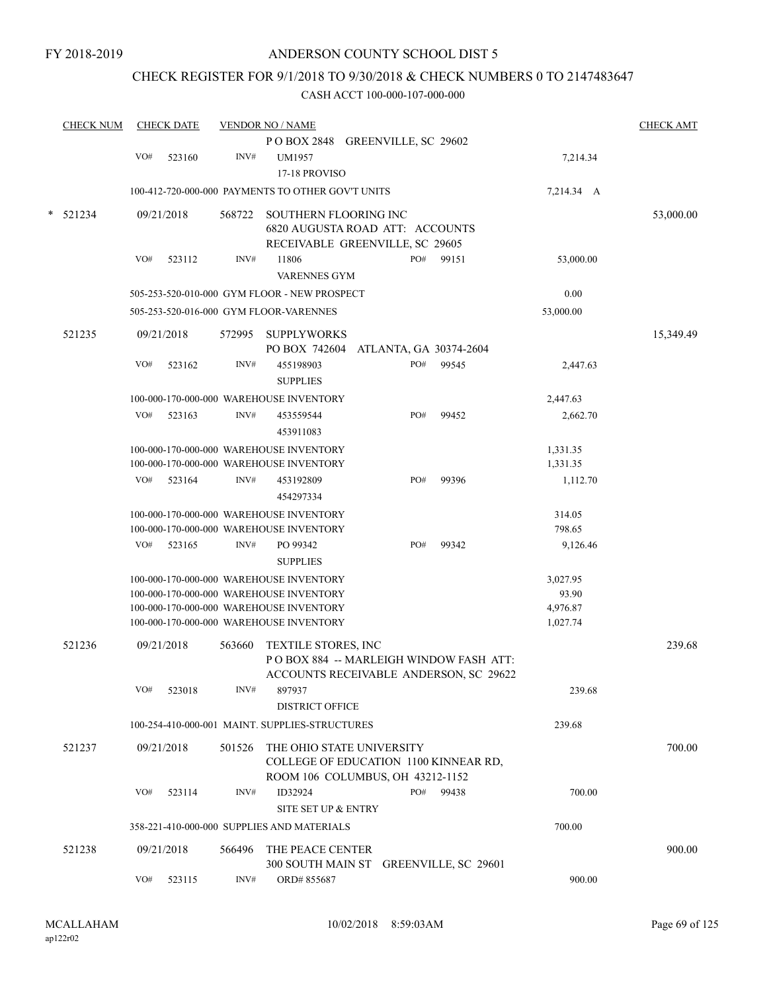## CHECK REGISTER FOR 9/1/2018 TO 9/30/2018 & CHECK NUMBERS 0 TO 2147483647

| <b>CHECK NUM</b> |     | <b>CHECK DATE</b> |        | <b>VENDOR NO / NAME</b>                           |                        |       |            | <b>CHECK AMT</b> |
|------------------|-----|-------------------|--------|---------------------------------------------------|------------------------|-------|------------|------------------|
|                  |     |                   |        | POBOX 2848 GREENVILLE, SC 29602                   |                        |       |            |                  |
|                  | VO# | 523160            | INV#   | <b>UM1957</b>                                     |                        |       | 7,214.34   |                  |
|                  |     |                   |        | 17-18 PROVISO                                     |                        |       |            |                  |
|                  |     |                   |        | 100-412-720-000-000 PAYMENTS TO OTHER GOV'T UNITS |                        |       | 7,214.34 A |                  |
| 521234           |     | 09/21/2018        | 568722 | SOUTHERN FLOORING INC                             |                        |       |            | 53,000.00        |
|                  |     |                   |        | 6820 AUGUSTA ROAD ATT: ACCOUNTS                   |                        |       |            |                  |
|                  |     |                   |        | RECEIVABLE GREENVILLE, SC 29605                   |                        |       |            |                  |
|                  | VO# | 523112            | INV#   | 11806                                             | PO#                    | 99151 | 53,000.00  |                  |
|                  |     |                   |        | <b>VARENNES GYM</b>                               |                        |       |            |                  |
|                  |     |                   |        | 505-253-520-010-000 GYM FLOOR - NEW PROSPECT      |                        |       | 0.00       |                  |
|                  |     |                   |        | 505-253-520-016-000 GYM FLOOR-VARENNES            |                        |       | 53,000.00  |                  |
| 521235           |     | 09/21/2018        | 572995 | <b>SUPPLYWORKS</b>                                |                        |       |            | 15,349.49        |
|                  |     |                   |        | PO BOX 742604                                     | ATLANTA, GA 30374-2604 |       |            |                  |
|                  | VO# | 523162            | INV#   | 455198903                                         | PO#                    | 99545 | 2,447.63   |                  |
|                  |     |                   |        | <b>SUPPLIES</b>                                   |                        |       |            |                  |
|                  |     |                   |        | 100-000-170-000-000 WAREHOUSE INVENTORY           |                        |       | 2,447.63   |                  |
|                  | VO# | 523163            | INV#   | 453559544                                         | PO#                    | 99452 | 2,662.70   |                  |
|                  |     |                   |        | 453911083                                         |                        |       |            |                  |
|                  |     |                   |        | 100-000-170-000-000 WAREHOUSE INVENTORY           |                        |       | 1,331.35   |                  |
|                  |     |                   |        | 100-000-170-000-000 WAREHOUSE INVENTORY           |                        |       | 1,331.35   |                  |
|                  | VO# | 523164            | INV#   | 453192809                                         | PO#                    | 99396 | 1,112.70   |                  |
|                  |     |                   |        | 454297334                                         |                        |       |            |                  |
|                  |     |                   |        | 100-000-170-000-000 WAREHOUSE INVENTORY           |                        |       | 314.05     |                  |
|                  |     |                   |        | 100-000-170-000-000 WAREHOUSE INVENTORY           |                        |       | 798.65     |                  |
|                  | VO# | 523165            | INV#   | PO 99342                                          | PO#                    | 99342 | 9,126.46   |                  |
|                  |     |                   |        | <b>SUPPLIES</b>                                   |                        |       |            |                  |
|                  |     |                   |        | 100-000-170-000-000 WAREHOUSE INVENTORY           |                        |       | 3,027.95   |                  |
|                  |     |                   |        | 100-000-170-000-000 WAREHOUSE INVENTORY           |                        |       | 93.90      |                  |
|                  |     |                   |        | 100-000-170-000-000 WAREHOUSE INVENTORY           |                        |       | 4,976.87   |                  |
|                  |     |                   |        | 100-000-170-000-000 WAREHOUSE INVENTORY           |                        |       | 1,027.74   |                  |
| 521236           |     | 09/21/2018        | 563660 | <b>TEXTILE STORES, INC</b>                        |                        |       |            | 239.68           |
|                  |     |                   |        | POBOX 884 -- MARLEIGH WINDOW FASH ATT:            |                        |       |            |                  |
|                  |     |                   |        | ACCOUNTS RECEIVABLE ANDERSON, SC 29622            |                        |       |            |                  |
|                  | VO# | 523018            | INV#   | 897937                                            |                        |       | 239.68     |                  |
|                  |     |                   |        | <b>DISTRICT OFFICE</b>                            |                        |       |            |                  |
|                  |     |                   |        | 100-254-410-000-001 MAINT. SUPPLIES-STRUCTURES    |                        |       | 239.68     |                  |
| 521237           |     | 09/21/2018        | 501526 | THE OHIO STATE UNIVERSITY                         |                        |       |            | 700.00           |
|                  |     |                   |        | COLLEGE OF EDUCATION 1100 KINNEAR RD,             |                        |       |            |                  |
|                  |     |                   |        | ROOM 106 COLUMBUS, OH 43212-1152                  |                        |       |            |                  |
|                  | VO# | 523114            | INV#   | ID32924                                           | PO#                    | 99438 | 700.00     |                  |
|                  |     |                   |        | SITE SET UP & ENTRY                               |                        |       |            |                  |
|                  |     |                   |        | 358-221-410-000-000 SUPPLIES AND MATERIALS        |                        |       | 700.00     |                  |
| 521238           |     | 09/21/2018        | 566496 | THE PEACE CENTER                                  |                        |       |            | 900.00           |
|                  |     |                   |        | 300 SOUTH MAIN ST GREENVILLE, SC 29601            |                        |       |            |                  |
|                  | VO# | 523115            | INV#   | ORD#855687                                        |                        |       | 900.00     |                  |
|                  |     |                   |        |                                                   |                        |       |            |                  |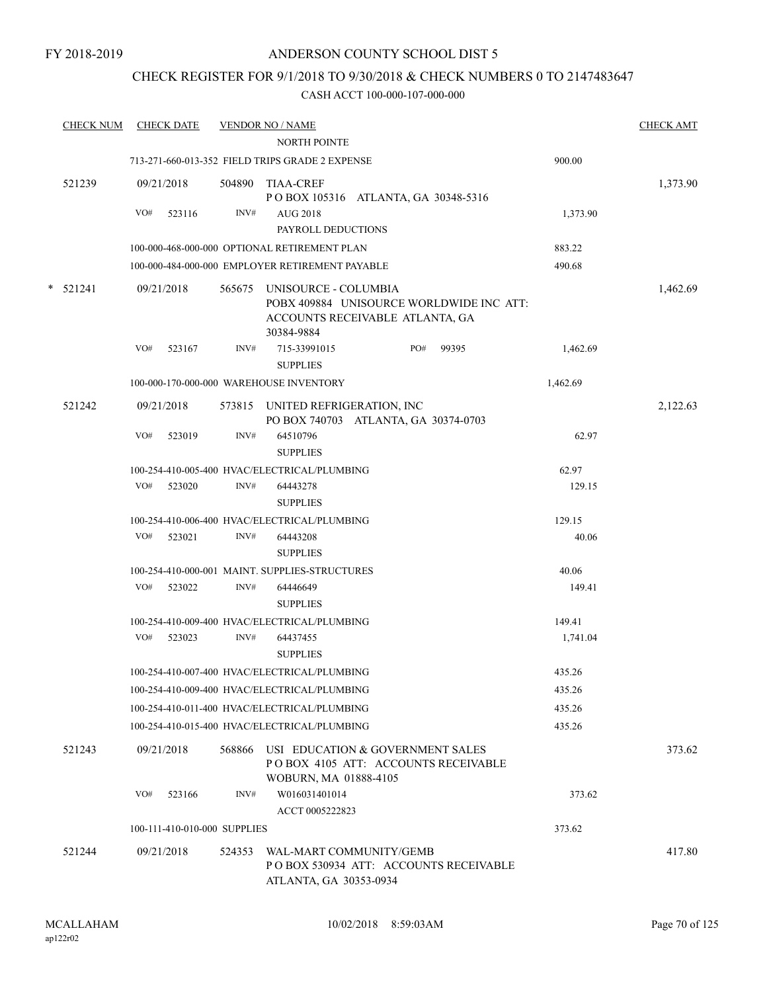## CHECK REGISTER FOR 9/1/2018 TO 9/30/2018 & CHECK NUMBERS 0 TO 2147483647

| <b>CHECK NUM</b> |            | <b>CHECK DATE</b>            |        | <b>VENDOR NO / NAME</b>                                                                                           |     |       |          | <b>CHECK AMT</b> |
|------------------|------------|------------------------------|--------|-------------------------------------------------------------------------------------------------------------------|-----|-------|----------|------------------|
|                  |            |                              |        | <b>NORTH POINTE</b>                                                                                               |     |       |          |                  |
|                  |            |                              |        | 713-271-660-013-352 FIELD TRIPS GRADE 2 EXPENSE                                                                   |     |       | 900.00   |                  |
| 521239           | 09/21/2018 |                              |        | 504890 TIAA-CREF<br>POBOX 105316 ATLANTA, GA 30348-5316                                                           |     |       |          | 1,373.90         |
|                  | VO#        | 523116                       | INV#   | <b>AUG 2018</b>                                                                                                   |     |       | 1,373.90 |                  |
|                  |            |                              |        | PAYROLL DEDUCTIONS                                                                                                |     |       |          |                  |
|                  |            |                              |        | 100-000-468-000-000 OPTIONAL RETIREMENT PLAN                                                                      |     |       | 883.22   |                  |
|                  |            |                              |        | 100-000-484-000-000 EMPLOYER RETIREMENT PAYABLE                                                                   |     |       | 490.68   |                  |
| $*$ 521241       | 09/21/2018 |                              | 565675 | UNISOURCE - COLUMBIA<br>POBX 409884 UNISOURCE WORLDWIDE INC ATT:<br>ACCOUNTS RECEIVABLE ATLANTA, GA<br>30384-9884 |     |       |          | 1,462.69         |
|                  | VO#        | 523167                       | INV#   | 715-33991015<br><b>SUPPLIES</b>                                                                                   | PO# | 99395 | 1,462.69 |                  |
|                  |            |                              |        | 100-000-170-000-000 WAREHOUSE INVENTORY                                                                           |     |       | 1,462.69 |                  |
| 521242           | 09/21/2018 |                              |        | 573815 UNITED REFRIGERATION, INC<br>PO BOX 740703 ATLANTA, GA 30374-0703                                          |     |       |          | 2,122.63         |
|                  | VO#        | 523019                       | INV#   | 64510796<br><b>SUPPLIES</b>                                                                                       |     |       | 62.97    |                  |
|                  |            |                              |        | 100-254-410-005-400 HVAC/ELECTRICAL/PLUMBING                                                                      |     |       | 62.97    |                  |
|                  | VO#        | 523020                       | INV#   | 64443278<br><b>SUPPLIES</b>                                                                                       |     |       | 129.15   |                  |
|                  |            |                              |        | 100-254-410-006-400 HVAC/ELECTRICAL/PLUMBING                                                                      |     |       | 129.15   |                  |
|                  | VO#        | 523021                       | INV#   | 64443208<br><b>SUPPLIES</b>                                                                                       |     |       | 40.06    |                  |
|                  |            |                              |        | 100-254-410-000-001 MAINT. SUPPLIES-STRUCTURES                                                                    |     |       | 40.06    |                  |
|                  | VO#        | 523022                       | INV#   | 64446649                                                                                                          |     |       | 149.41   |                  |
|                  |            |                              |        | <b>SUPPLIES</b>                                                                                                   |     |       |          |                  |
|                  |            |                              |        | 100-254-410-009-400 HVAC/ELECTRICAL/PLUMBING                                                                      |     |       | 149.41   |                  |
|                  | VO#        | 523023                       | INV#   | 64437455                                                                                                          |     |       | 1,741.04 |                  |
|                  |            |                              |        | <b>SUPPLIES</b>                                                                                                   |     |       |          |                  |
|                  |            |                              |        | 100-254-410-007-400 HVAC/ELECTRICAL/PLUMBING                                                                      |     |       | 435.26   |                  |
|                  |            |                              |        | 100-254-410-009-400 HVAC/ELECTRICAL/PLUMBING                                                                      |     |       | 435.26   |                  |
|                  |            |                              |        | 100-254-410-011-400 HVAC/ELECTRICAL/PLUMBING                                                                      |     |       | 435.26   |                  |
|                  |            |                              |        | 100-254-410-015-400 HVAC/ELECTRICAL/PLUMBING                                                                      |     |       | 435.26   |                  |
| 521243           | 09/21/2018 |                              | 568866 | USI EDUCATION & GOVERNMENT SALES<br>POBOX 4105 ATT: ACCOUNTS RECEIVABLE<br>WOBURN, MA 01888-4105                  |     |       |          | 373.62           |
|                  | VO#        | 523166                       | INV#   | W016031401014<br>ACCT 0005222823                                                                                  |     |       | 373.62   |                  |
|                  |            | 100-111-410-010-000 SUPPLIES |        |                                                                                                                   |     |       | 373.62   |                  |
| 521244           | 09/21/2018 |                              | 524353 | WAL-MART COMMUNITY/GEMB<br>PO BOX 530934 ATT: ACCOUNTS RECEIVABLE<br>ATLANTA, GA 30353-0934                       |     |       |          | 417.80           |
|                  |            |                              |        |                                                                                                                   |     |       |          |                  |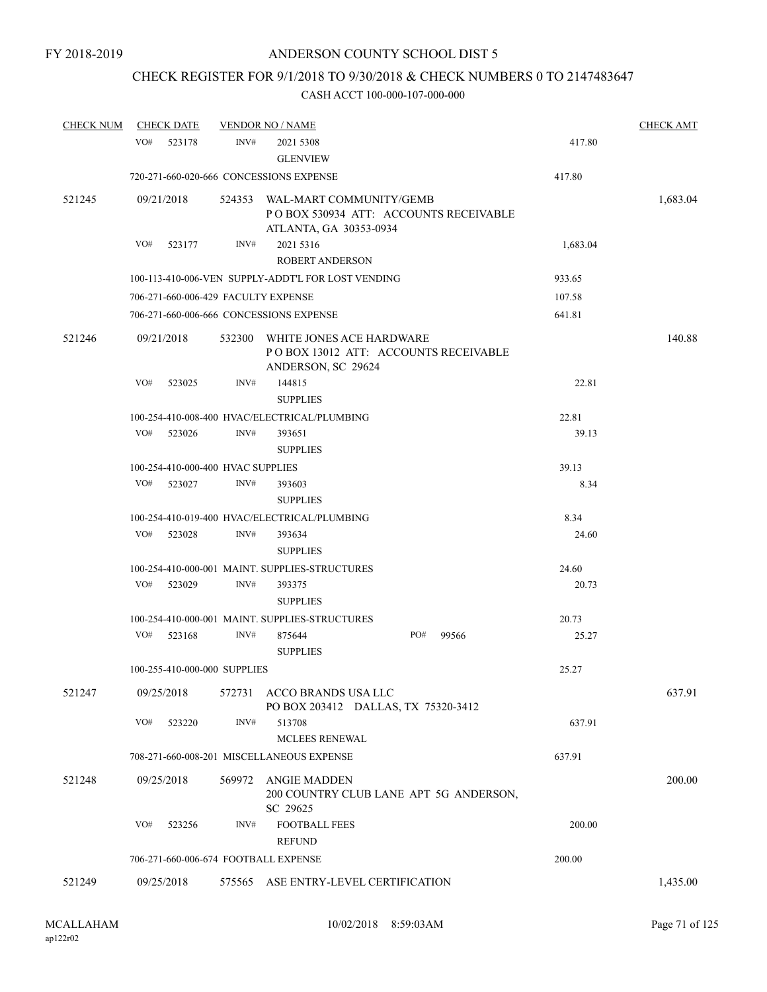## CHECK REGISTER FOR 9/1/2018 TO 9/30/2018 & CHECK NUMBERS 0 TO 2147483647

| <b>CHECK NUM</b> |            | <b>CHECK DATE</b> |                                   | <b>VENDOR NO / NAME</b>                                                                           |              |          | <b>CHECK AMT</b> |
|------------------|------------|-------------------|-----------------------------------|---------------------------------------------------------------------------------------------------|--------------|----------|------------------|
|                  | VO#        | 523178            | INV#                              | 2021 5308<br><b>GLENVIEW</b>                                                                      |              | 417.80   |                  |
|                  |            |                   |                                   | 720-271-660-020-666 CONCESSIONS EXPENSE                                                           |              | 417.80   |                  |
| 521245           | 09/21/2018 |                   |                                   | 524353 WAL-MART COMMUNITY/GEMB<br>POBOX 530934 ATT: ACCOUNTS RECEIVABLE<br>ATLANTA, GA 30353-0934 |              |          | 1,683.04         |
|                  | VO#        | 523177            | INV#                              | 2021 5316                                                                                         |              | 1,683.04 |                  |
|                  |            |                   |                                   | <b>ROBERT ANDERSON</b>                                                                            |              |          |                  |
|                  |            |                   |                                   | 100-113-410-006-VEN SUPPLY-ADDT'L FOR LOST VENDING                                                |              | 933.65   |                  |
|                  |            |                   |                                   | 706-271-660-006-429 FACULTY EXPENSE                                                               |              | 107.58   |                  |
|                  |            |                   |                                   | 706-271-660-006-666 CONCESSIONS EXPENSE                                                           |              | 641.81   |                  |
| 521246           | 09/21/2018 |                   |                                   | 532300 WHITE JONES ACE HARDWARE<br>POBOX 13012 ATT: ACCOUNTS RECEIVABLE<br>ANDERSON, SC 29624     |              |          | 140.88           |
|                  | VO#        | 523025            | INV#                              | 144815<br><b>SUPPLIES</b>                                                                         |              | 22.81    |                  |
|                  |            |                   |                                   | 100-254-410-008-400 HVAC/ELECTRICAL/PLUMBING                                                      |              | 22.81    |                  |
|                  | VO#        | 523026            | INV#                              | 393651                                                                                            |              | 39.13    |                  |
|                  |            |                   |                                   | <b>SUPPLIES</b>                                                                                   |              |          |                  |
|                  |            |                   | 100-254-410-000-400 HVAC SUPPLIES |                                                                                                   |              | 39.13    |                  |
|                  | VO#        | 523027            | INV#                              | 393603<br><b>SUPPLIES</b>                                                                         |              | 8.34     |                  |
|                  |            |                   |                                   | 100-254-410-019-400 HVAC/ELECTRICAL/PLUMBING                                                      |              | 8.34     |                  |
|                  | VO#        | 523028            | INV#                              | 393634<br><b>SUPPLIES</b>                                                                         |              | 24.60    |                  |
|                  |            |                   |                                   | 100-254-410-000-001 MAINT. SUPPLIES-STRUCTURES                                                    |              | 24.60    |                  |
|                  | VO#        | 523029            | INV#                              | 393375<br><b>SUPPLIES</b>                                                                         |              | 20.73    |                  |
|                  |            |                   |                                   | 100-254-410-000-001 MAINT. SUPPLIES-STRUCTURES                                                    |              | 20.73    |                  |
|                  |            | $VO#$ 523168      | INV#                              | 875644<br><b>SUPPLIES</b>                                                                         | PO#<br>99566 | 25.27    |                  |
|                  |            |                   | 100-255-410-000-000 SUPPLIES      |                                                                                                   |              | 25.27    |                  |
| 521247           | 09/25/2018 |                   | 572731                            | ACCO BRANDS USA LLC<br>PO BOX 203412 DALLAS, TX 75320-3412                                        |              |          | 637.91           |
|                  | VO#        | 523220            | INV#                              | 513708<br>MCLEES RENEWAL                                                                          |              | 637.91   |                  |
|                  |            |                   |                                   | 708-271-660-008-201 MISCELLANEOUS EXPENSE                                                         |              | 637.91   |                  |
|                  |            |                   |                                   |                                                                                                   |              |          |                  |
| 521248           | 09/25/2018 |                   | 569972                            | ANGIE MADDEN<br>200 COUNTRY CLUB LANE APT 5G ANDERSON,<br>SC 29625                                |              |          | 200.00           |
|                  | VO#        | 523256            | INV#                              | <b>FOOTBALL FEES</b><br><b>REFUND</b>                                                             |              | 200.00   |                  |
|                  |            |                   |                                   | 706-271-660-006-674 FOOTBALL EXPENSE                                                              |              | 200.00   |                  |
| 521249           | 09/25/2018 |                   |                                   | 575565 ASE ENTRY-LEVEL CERTIFICATION                                                              |              |          | 1,435.00         |
|                  |            |                   |                                   |                                                                                                   |              |          |                  |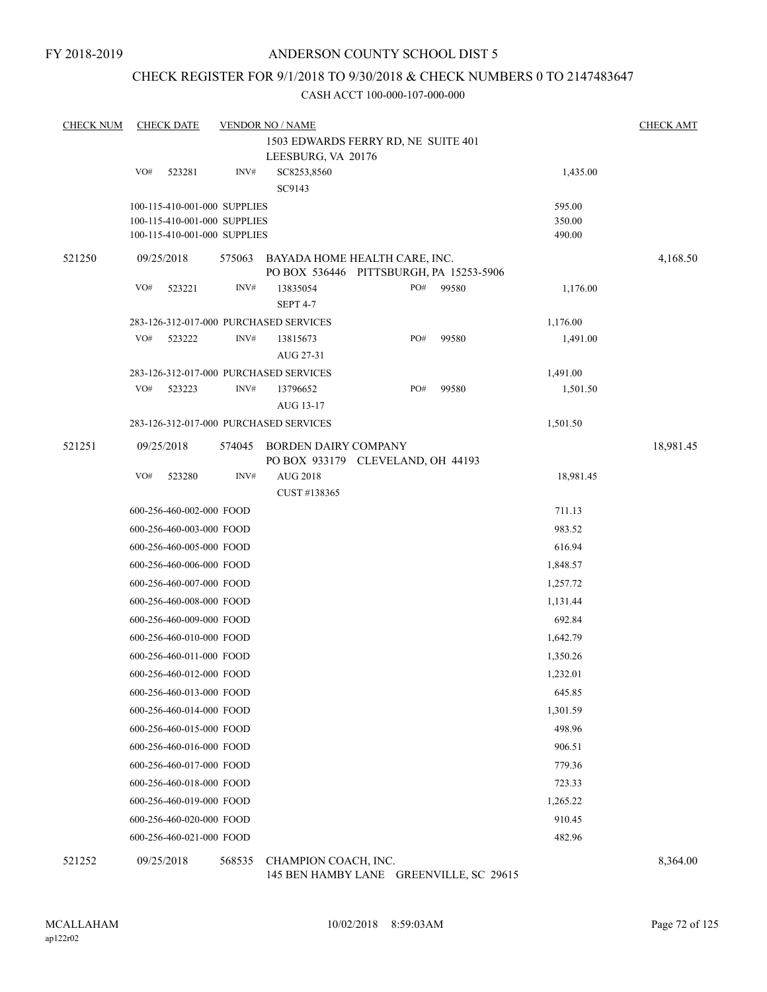## CHECK REGISTER FOR 9/1/2018 TO 9/30/2018 & CHECK NUMBERS 0 TO 2147483647

#### CASH ACCT 100-000-107-000-000

| <b>CHECK NUM</b> |     | <b>CHECK DATE</b>            |        | <b>VENDOR NO / NAME</b>                                                  |     |       |           | <b>CHECK AMT</b> |
|------------------|-----|------------------------------|--------|--------------------------------------------------------------------------|-----|-------|-----------|------------------|
|                  |     |                              |        | 1503 EDWARDS FERRY RD, NE SUITE 401                                      |     |       |           |                  |
|                  |     |                              |        | LEESBURG, VA 20176                                                       |     |       |           |                  |
|                  | VO# | 523281                       | INV#   | SC8253,8560                                                              |     |       | 1,435.00  |                  |
|                  |     |                              |        | SC9143                                                                   |     |       |           |                  |
|                  |     | 100-115-410-001-000 SUPPLIES |        |                                                                          |     |       | 595.00    |                  |
|                  |     | 100-115-410-001-000 SUPPLIES |        |                                                                          |     |       | 350.00    |                  |
|                  |     | 100-115-410-001-000 SUPPLIES |        |                                                                          |     |       | 490.00    |                  |
| 521250           |     | 09/25/2018                   | 575063 | BAYADA HOME HEALTH CARE, INC.<br>PO BOX 536446 PITTSBURGH, PA 15253-5906 |     |       |           | 4,168.50         |
|                  | VO# | 523221                       | INV#   | 13835054                                                                 | PO# | 99580 | 1,176.00  |                  |
|                  |     |                              |        | <b>SEPT 4-7</b>                                                          |     |       |           |                  |
|                  |     |                              |        | 283-126-312-017-000 PURCHASED SERVICES                                   |     |       | 1,176.00  |                  |
|                  | VO# | 523222                       | INV#   | 13815673                                                                 | PO# | 99580 | 1,491.00  |                  |
|                  |     |                              |        | AUG 27-31                                                                |     |       |           |                  |
|                  |     |                              |        | 283-126-312-017-000 PURCHASED SERVICES                                   |     |       | 1,491.00  |                  |
|                  | VO# | 523223                       | INV#   | 13796652                                                                 | PO# | 99580 | 1,501.50  |                  |
|                  |     |                              |        | AUG 13-17                                                                |     |       |           |                  |
|                  |     |                              |        | 283-126-312-017-000 PURCHASED SERVICES                                   |     |       | 1,501.50  |                  |
| 521251           |     | 09/25/2018                   | 574045 | <b>BORDEN DAIRY COMPANY</b><br>PO BOX 933179 CLEVELAND, OH 44193         |     |       |           | 18,981.45        |
|                  | VO# | 523280                       | INV#   | AUG 2018                                                                 |     |       | 18,981.45 |                  |
|                  |     |                              |        | CUST #138365                                                             |     |       |           |                  |
|                  |     | 600-256-460-002-000 FOOD     |        |                                                                          |     |       | 711.13    |                  |
|                  |     | 600-256-460-003-000 FOOD     |        |                                                                          |     |       | 983.52    |                  |
|                  |     | 600-256-460-005-000 FOOD     |        |                                                                          |     |       | 616.94    |                  |
|                  |     | 600-256-460-006-000 FOOD     |        |                                                                          |     |       | 1,848.57  |                  |
|                  |     | 600-256-460-007-000 FOOD     |        |                                                                          |     |       | 1,257.72  |                  |
|                  |     | 600-256-460-008-000 FOOD     |        |                                                                          |     |       | 1,131.44  |                  |
|                  |     | 600-256-460-009-000 FOOD     |        |                                                                          |     |       | 692.84    |                  |
|                  |     | 600-256-460-010-000 FOOD     |        |                                                                          |     |       | 1,642.79  |                  |
|                  |     | 600-256-460-011-000 FOOD     |        |                                                                          |     |       | 1,350.26  |                  |
|                  |     | 600-256-460-012-000 FOOD     |        |                                                                          |     |       | 1,232.01  |                  |
|                  |     | 600-256-460-013-000 FOOD     |        |                                                                          |     |       | 645.85    |                  |
|                  |     | 600-256-460-014-000 FOOD     |        |                                                                          |     |       | 1,301.59  |                  |
|                  |     | 600-256-460-015-000 FOOD     |        |                                                                          |     |       | 498.96    |                  |
|                  |     | 600-256-460-016-000 FOOD     |        |                                                                          |     |       | 906.51    |                  |
|                  |     | 600-256-460-017-000 FOOD     |        |                                                                          |     |       | 779.36    |                  |
|                  |     | 600-256-460-018-000 FOOD     |        |                                                                          |     |       | 723.33    |                  |
|                  |     | 600-256-460-019-000 FOOD     |        |                                                                          |     |       | 1,265.22  |                  |
|                  |     |                              |        |                                                                          |     |       |           |                  |
|                  |     | 600-256-460-020-000 FOOD     |        |                                                                          |     |       | 910.45    |                  |
|                  |     | 600-256-460-021-000 FOOD     |        |                                                                          |     |       | 482.96    |                  |
| 521252           |     | 09/25/2018                   | 568535 | CHAMPION COACH, INC.                                                     |     |       |           | 8,364.00         |

145 BEN HAMBY LANE GREENVILLE, SC 29615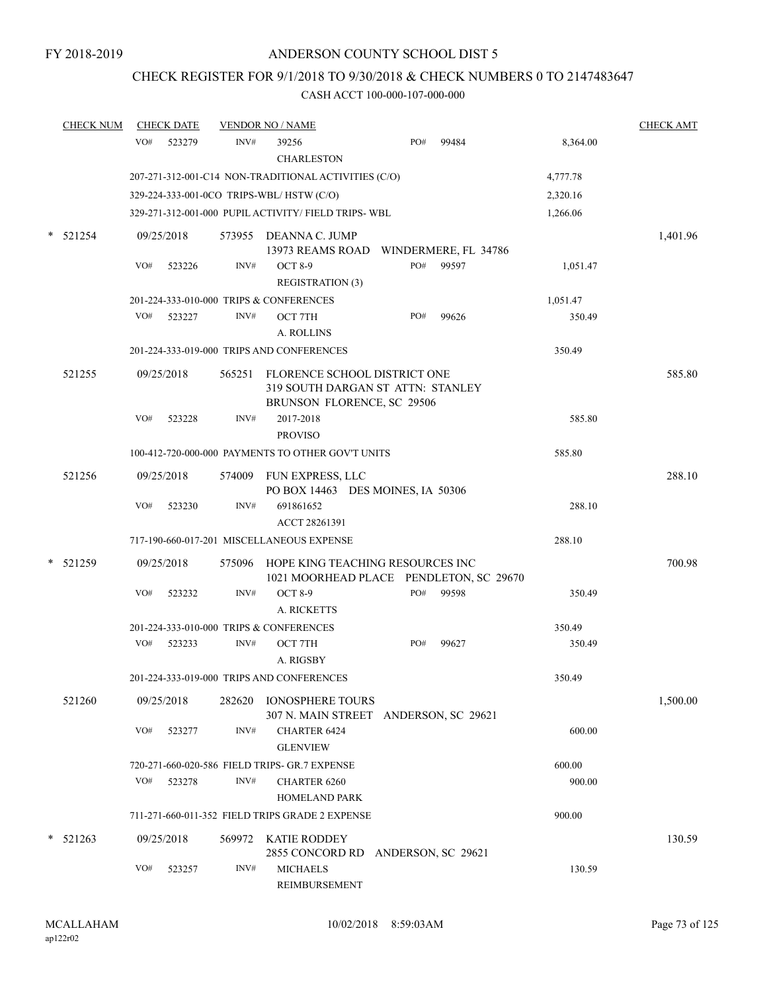# CHECK REGISTER FOR 9/1/2018 TO 9/30/2018 & CHECK NUMBERS 0 TO 2147483647

|   | <b>CHECK NUM</b> | <b>CHECK DATE</b> |        | <b>VENDOR NO / NAME</b>                                                                                |                    |       |          | <b>CHECK AMT</b> |
|---|------------------|-------------------|--------|--------------------------------------------------------------------------------------------------------|--------------------|-------|----------|------------------|
|   |                  | VO#<br>523279     | INV#   | 39256<br><b>CHARLESTON</b>                                                                             | PO#                | 99484 | 8,364.00 |                  |
|   |                  |                   |        | 207-271-312-001-C14 NON-TRADITIONAL ACTIVITIES (C/O)                                                   |                    |       | 4,777.78 |                  |
|   |                  |                   |        | 329-224-333-001-0CO TRIPS-WBL/HSTW (C/O)                                                               |                    |       | 2,320.16 |                  |
|   |                  |                   |        | 329-271-312-001-000 PUPIL ACTIVITY/ FIELD TRIPS-WBL                                                    |                    |       | 1,266.06 |                  |
|   | $*$ 521254       | 09/25/2018        |        | 573955 DEANNA C. JUMP<br>13973 REAMS ROAD WINDERMERE, FL 34786                                         |                    |       |          | 1,401.96         |
|   |                  | VO#<br>523226     | INV#   | <b>OCT 8-9</b><br><b>REGISTRATION (3)</b>                                                              | PO#                | 99597 | 1,051.47 |                  |
|   |                  |                   |        | 201-224-333-010-000 TRIPS & CONFERENCES                                                                |                    |       | 1,051.47 |                  |
|   |                  | VO#<br>523227     | INV#   | OCT 7TH<br>A. ROLLINS                                                                                  | PO#                | 99626 | 350.49   |                  |
|   |                  |                   |        | 201-224-333-019-000 TRIPS AND CONFERENCES                                                              |                    |       | 350.49   |                  |
|   | 521255           | 09/25/2018        |        | 565251 FLORENCE SCHOOL DISTRICT ONE<br>319 SOUTH DARGAN ST ATTN: STANLEY<br>BRUNSON FLORENCE, SC 29506 |                    |       |          | 585.80           |
|   |                  | VO#<br>523228     | INV#   | 2017-2018<br><b>PROVISO</b>                                                                            |                    |       | 585.80   |                  |
|   |                  |                   |        | 100-412-720-000-000 PAYMENTS TO OTHER GOV'T UNITS                                                      |                    |       | 585.80   |                  |
|   | 521256           | 09/25/2018        |        | 574009 FUN EXPRESS, LLC<br>PO BOX 14463 DES MOINES, IA 50306                                           |                    |       |          | 288.10           |
|   |                  | VO#<br>523230     | INV#   | 691861652<br>ACCT 28261391                                                                             |                    |       | 288.10   |                  |
|   |                  |                   |        | 717-190-660-017-201 MISCELLANEOUS EXPENSE                                                              |                    |       | 288.10   |                  |
|   | * 521259         | 09/25/2018        |        | 575096 HOPE KING TEACHING RESOURCES INC<br>1021 MOORHEAD PLACE PENDLETON, SC 29670                     |                    |       |          | 700.98           |
|   |                  | VO#<br>523232     | INV#   | <b>OCT 8-9</b><br>A. RICKETTS                                                                          | PO#                | 99598 | 350.49   |                  |
|   |                  |                   |        | 201-224-333-010-000 TRIPS & CONFERENCES                                                                |                    |       | 350.49   |                  |
|   |                  | VO#<br>523233     | INV#   | OCT 7TH<br>A. RIGSBY                                                                                   | PO#                | 99627 | 350.49   |                  |
|   |                  |                   |        | 201-224-333-019-000 TRIPS AND CONFERENCES                                                              |                    |       | 350.49   |                  |
|   | 521260           | 09/25/2018        | 282620 | IONOSPHERE TOURS<br>307 N. MAIN STREET ANDERSON, SC 29621                                              |                    |       |          | 1,500.00         |
|   |                  | VO#<br>523277     | INV#   | CHARTER 6424<br><b>GLENVIEW</b>                                                                        |                    |       | 600.00   |                  |
|   |                  |                   |        | 720-271-660-020-586 FIELD TRIPS- GR.7 EXPENSE                                                          |                    |       | 600.00   |                  |
|   |                  | VO#<br>523278     | INV#   | <b>CHARTER 6260</b><br><b>HOMELAND PARK</b>                                                            |                    |       | 900.00   |                  |
|   |                  |                   |        | 711-271-660-011-352 FIELD TRIPS GRADE 2 EXPENSE                                                        |                    |       | 900.00   |                  |
| * | 521263           | 09/25/2018        | 569972 | KATIE RODDEY<br>2855 CONCORD RD                                                                        | ANDERSON, SC 29621 |       |          | 130.59           |
|   |                  | VO#<br>523257     | INV#   | <b>MICHAELS</b><br>REIMBURSEMENT                                                                       |                    |       | 130.59   |                  |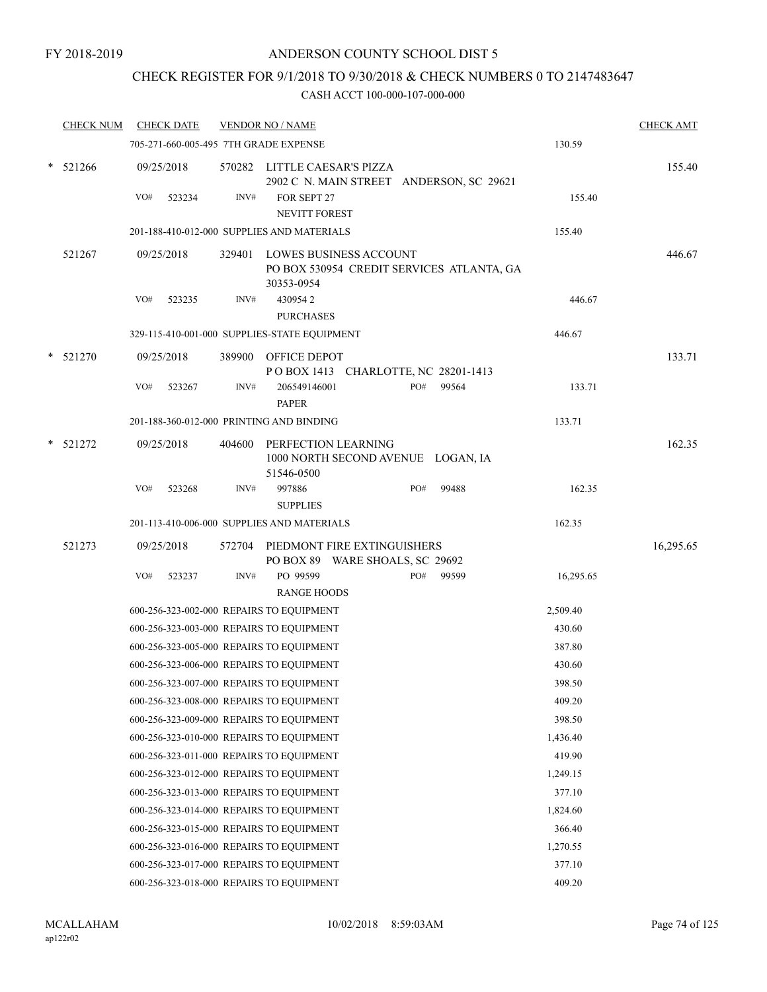# CHECK REGISTER FOR 9/1/2018 TO 9/30/2018 & CHECK NUMBERS 0 TO 2147483647

|        | <b>CHECK NUM</b> |     | <b>CHECK DATE</b> |      | <b>VENDOR NO / NAME</b>                                                                  |     |       |           | <b>CHECK AMT</b> |
|--------|------------------|-----|-------------------|------|------------------------------------------------------------------------------------------|-----|-------|-----------|------------------|
|        |                  |     |                   |      | 705-271-660-005-495 7TH GRADE EXPENSE                                                    |     |       | 130.59    |                  |
|        | $*$ 521266       |     | 09/25/2018        |      | 570282 LITTLE CAESAR'S PIZZA<br>2902 C N. MAIN STREET ANDERSON, SC 29621                 |     |       |           | 155.40           |
|        |                  | VO# | 523234            | INV# | FOR SEPT 27<br><b>NEVITT FOREST</b>                                                      |     |       | 155.40    |                  |
|        |                  |     |                   |      | 201-188-410-012-000 SUPPLIES AND MATERIALS                                               |     |       | 155.40    |                  |
|        | 521267           |     | 09/25/2018        |      | 329401 LOWES BUSINESS ACCOUNT<br>PO BOX 530954 CREDIT SERVICES ATLANTA, GA<br>30353-0954 |     |       |           | 446.67           |
|        |                  | VO# | 523235            | INV# | 4309542<br><b>PURCHASES</b>                                                              |     |       | 446.67    |                  |
|        |                  |     |                   |      | 329-115-410-001-000 SUPPLIES-STATE EQUIPMENT                                             |     |       | 446.67    |                  |
|        | $*$ 521270       |     | 09/25/2018        |      | 389900 OFFICE DEPOT<br>POBOX 1413 CHARLOTTE, NC 28201-1413                               |     |       |           | 133.71           |
|        |                  | VO# | 523267            | INV# | 206549146001<br><b>PAPER</b>                                                             | PO# | 99564 | 133.71    |                  |
|        |                  |     |                   |      | 201-188-360-012-000 PRINTING AND BINDING                                                 |     |       | 133.71    |                  |
| $\ast$ | 521272           |     | 09/25/2018        |      | 404600 PERFECTION LEARNING<br>1000 NORTH SECOND AVENUE LOGAN, IA<br>51546-0500           |     |       |           | 162.35           |
|        |                  | VO# | 523268            | INV# | 997886<br><b>SUPPLIES</b>                                                                | PO# | 99488 | 162.35    |                  |
|        |                  |     |                   |      | 201-113-410-006-000 SUPPLIES AND MATERIALS                                               |     |       | 162.35    |                  |
|        | 521273           |     | 09/25/2018        |      | 572704 PIEDMONT FIRE EXTINGUISHERS<br>PO BOX 89 WARE SHOALS, SC 29692                    |     |       |           | 16,295.65        |
|        |                  | VO# | 523237            | INV# | PO 99599<br><b>RANGE HOODS</b>                                                           | PO# | 99599 | 16,295.65 |                  |
|        |                  |     |                   |      | 600-256-323-002-000 REPAIRS TO EQUIPMENT                                                 |     |       | 2,509.40  |                  |
|        |                  |     |                   |      | 600-256-323-003-000 REPAIRS TO EQUIPMENT                                                 |     |       | 430.60    |                  |
|        |                  |     |                   |      | 600-256-323-005-000 REPAIRS TO EQUIPMENT                                                 |     |       | 387.80    |                  |
|        |                  |     |                   |      | 600-256-323-006-000 REPAIRS TO EQUIPMENT                                                 |     |       | 430.60    |                  |
|        |                  |     |                   |      | 600-256-323-007-000 REPAIRS TO EQUIPMENT                                                 |     |       | 398.50    |                  |
|        |                  |     |                   |      | 600-256-323-008-000 REPAIRS TO EQUIPMENT                                                 |     |       | 409.20    |                  |
|        |                  |     |                   |      | 600-256-323-009-000 REPAIRS TO EQUIPMENT                                                 |     |       | 398.50    |                  |
|        |                  |     |                   |      | 600-256-323-010-000 REPAIRS TO EQUIPMENT                                                 |     |       | 1,436.40  |                  |
|        |                  |     |                   |      | 600-256-323-011-000 REPAIRS TO EQUIPMENT                                                 |     |       | 419.90    |                  |
|        |                  |     |                   |      | 600-256-323-012-000 REPAIRS TO EQUIPMENT                                                 |     |       | 1,249.15  |                  |
|        |                  |     |                   |      | 600-256-323-013-000 REPAIRS TO EQUIPMENT                                                 |     |       | 377.10    |                  |
|        |                  |     |                   |      | 600-256-323-014-000 REPAIRS TO EQUIPMENT                                                 |     |       | 1,824.60  |                  |
|        |                  |     |                   |      | 600-256-323-015-000 REPAIRS TO EQUIPMENT                                                 |     |       | 366.40    |                  |
|        |                  |     |                   |      | 600-256-323-016-000 REPAIRS TO EQUIPMENT                                                 |     |       | 1,270.55  |                  |
|        |                  |     |                   |      | 600-256-323-017-000 REPAIRS TO EQUIPMENT                                                 |     |       | 377.10    |                  |
|        |                  |     |                   |      | 600-256-323-018-000 REPAIRS TO EQUIPMENT                                                 |     |       | 409.20    |                  |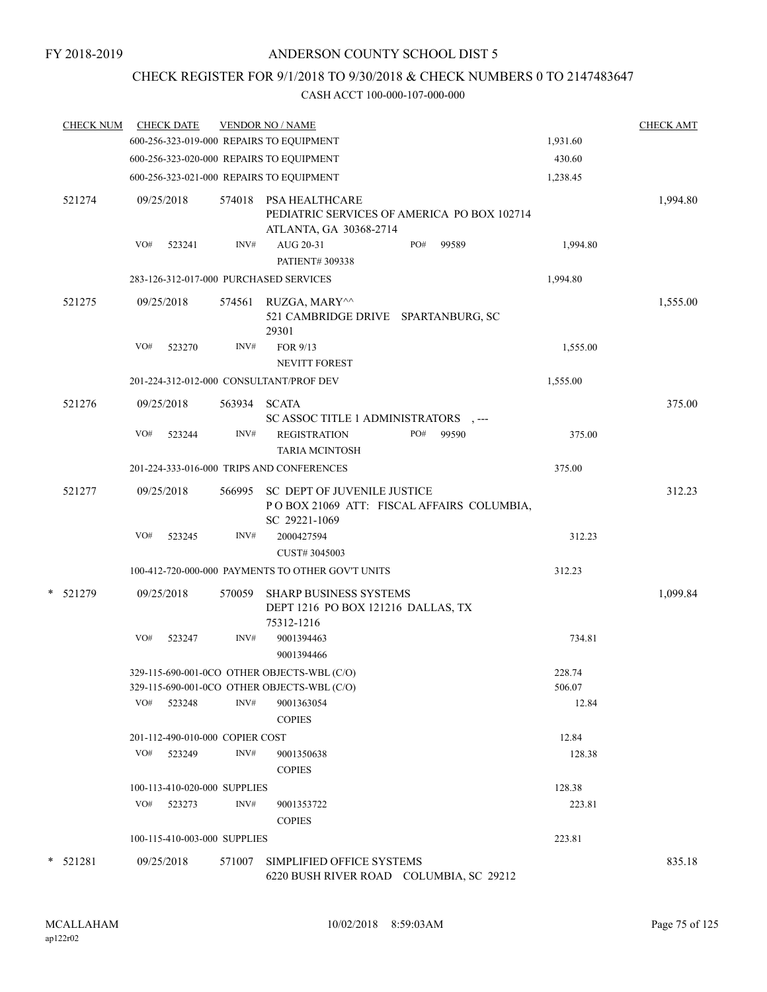# CHECK REGISTER FOR 9/1/2018 TO 9/30/2018 & CHECK NUMBERS 0 TO 2147483647

| <b>CHECK NUM</b> | <b>CHECK DATE</b>                        |        | <b>VENDOR NO / NAME</b>                                                                          |          | <b>CHECK AMT</b> |
|------------------|------------------------------------------|--------|--------------------------------------------------------------------------------------------------|----------|------------------|
|                  |                                          |        | 600-256-323-019-000 REPAIRS TO EQUIPMENT                                                         | 1,931.60 |                  |
|                  | 600-256-323-020-000 REPAIRS TO EQUIPMENT |        |                                                                                                  | 430.60   |                  |
|                  | 600-256-323-021-000 REPAIRS TO EQUIPMENT |        |                                                                                                  | 1,238.45 |                  |
| 521274           | 09/25/2018                               | 574018 | <b>PSA HEALTHCARE</b><br>PEDIATRIC SERVICES OF AMERICA PO BOX 102714<br>ATLANTA, GA 30368-2714   |          | 1,994.80         |
|                  | VO#<br>523241                            | INV#   | PO#<br>AUG 20-31<br>99589<br>PATIENT# 309338                                                     | 1,994.80 |                  |
|                  | 283-126-312-017-000 PURCHASED SERVICES   |        |                                                                                                  | 1,994.80 |                  |
| 521275           | 09/25/2018                               | 574561 | RUZGA, MARY^^<br>521 CAMBRIDGE DRIVE SPARTANBURG, SC<br>29301                                    |          | 1,555.00         |
|                  | VO#<br>523270                            | INV#   | FOR 9/13<br><b>NEVITT FOREST</b>                                                                 | 1,555.00 |                  |
|                  | 201-224-312-012-000 CONSULTANT/PROF DEV  |        |                                                                                                  | 1,555.00 |                  |
| 521276           | 09/25/2018                               | 563934 | <b>SCATA</b><br>SC ASSOC TITLE 1 ADMINISTRATORS , ---                                            |          | 375.00           |
|                  | VO#<br>523244                            | INV#   | <b>REGISTRATION</b><br>PO#<br>99590<br><b>TARIA MCINTOSH</b>                                     | 375.00   |                  |
|                  |                                          |        | 201-224-333-016-000 TRIPS AND CONFERENCES                                                        | 375.00   |                  |
| 521277           | 09/25/2018                               | 566995 | <b>SC DEPT OF JUVENILE JUSTICE</b><br>POBOX 21069 ATT: FISCAL AFFAIRS COLUMBIA,<br>SC 29221-1069 |          | 312.23           |
|                  | VO#<br>523245                            | INV#   | 2000427594<br>CUST# 3045003                                                                      | 312.23   |                  |
|                  |                                          |        | 100-412-720-000-000 PAYMENTS TO OTHER GOV'T UNITS                                                | 312.23   |                  |
| * 521279         | 09/25/2018                               | 570059 | <b>SHARP BUSINESS SYSTEMS</b><br>DEPT 1216 PO BOX 121216 DALLAS, TX<br>75312-1216                |          | 1,099.84         |
|                  | VO#<br>523247                            | INV#   | 9001394463<br>9001394466                                                                         | 734.81   |                  |
|                  |                                          |        | 329-115-690-001-0CO OTHER OBJECTS-WBL (C/O)                                                      | 228.74   |                  |
|                  |                                          |        | 329-115-690-001-0CO OTHER OBJECTS-WBL (C/O)                                                      | 506.07   |                  |
|                  | VO#<br>523248                            | INV#   | 9001363054<br><b>COPIES</b>                                                                      | 12.84    |                  |
|                  | 201-112-490-010-000 COPIER COST          |        |                                                                                                  | 12.84    |                  |
|                  | VO#<br>523249                            | INV#   | 9001350638<br><b>COPIES</b>                                                                      | 128.38   |                  |
|                  | 100-113-410-020-000 SUPPLIES             |        |                                                                                                  | 128.38   |                  |
|                  | VO#<br>523273                            | INV#   | 9001353722<br><b>COPIES</b>                                                                      | 223.81   |                  |
|                  | 100-115-410-003-000 SUPPLIES             |        |                                                                                                  | 223.81   |                  |
| * 521281         | 09/25/2018                               | 571007 | SIMPLIFIED OFFICE SYSTEMS<br>6220 BUSH RIVER ROAD COLUMBIA, SC 29212                             |          | 835.18           |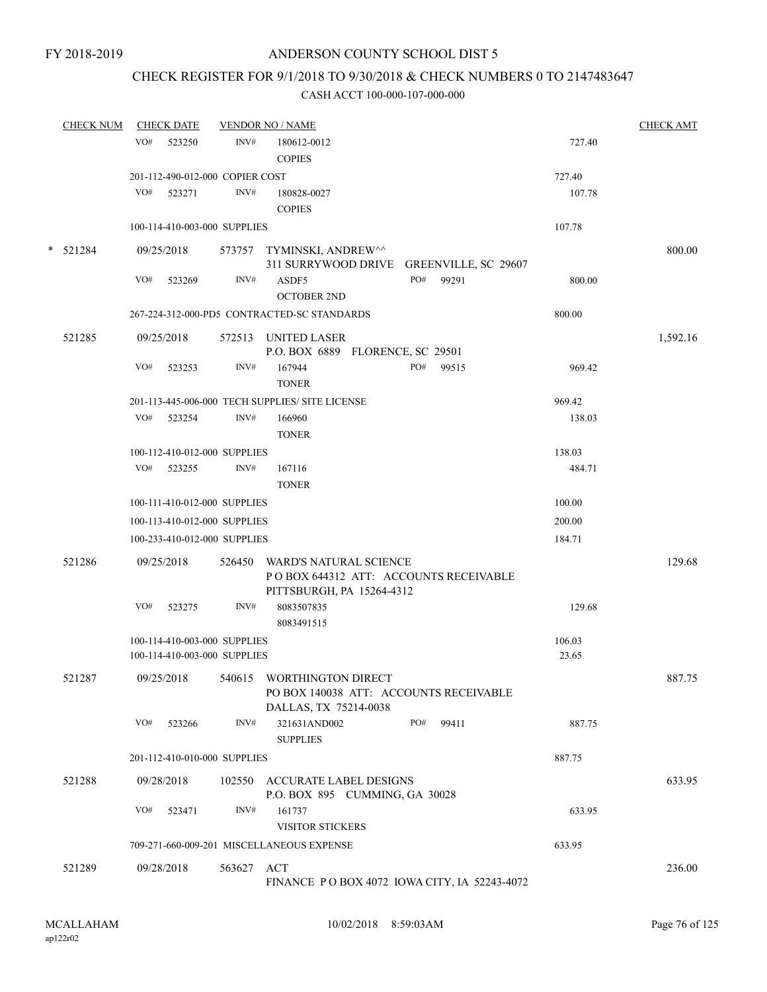## CHECK REGISTER FOR 9/1/2018 TO 9/30/2018 & CHECK NUMBERS 0 TO 2147483647

| <b>CHECK NUM</b> |     | <b>CHECK DATE</b>               |            | <b>VENDOR NO / NAME</b>                                                 |        | <b>CHECK AMT</b> |
|------------------|-----|---------------------------------|------------|-------------------------------------------------------------------------|--------|------------------|
|                  | VO# | 523250                          | INV#       | 180612-0012                                                             | 727.40 |                  |
|                  |     |                                 |            | <b>COPIES</b>                                                           |        |                  |
|                  |     | 201-112-490-012-000 COPIER COST |            |                                                                         | 727.40 |                  |
|                  | VO# | 523271                          | INV#       | 180828-0027<br><b>COPIES</b>                                            | 107.78 |                  |
|                  |     | 100-114-410-003-000 SUPPLIES    |            |                                                                         | 107.78 |                  |
|                  |     |                                 |            |                                                                         |        |                  |
| $*$ 521284       |     | 09/25/2018                      |            | 573757 TYMINSKI, ANDREW^^<br>311 SURRYWOOD DRIVE                        |        | 800.00           |
|                  | VO# | 523269                          | INV#       | GREENVILLE, SC 29607<br>PO#<br>99291<br>ASDF5                           | 800.00 |                  |
|                  |     |                                 |            | <b>OCTOBER 2ND</b>                                                      |        |                  |
|                  |     |                                 |            | 267-224-312-000-PD5 CONTRACTED-SC STANDARDS                             | 800.00 |                  |
|                  |     |                                 |            |                                                                         |        |                  |
| 521285           |     | 09/25/2018                      |            | 572513 UNITED LASER                                                     |        | 1,592.16         |
|                  | VO# | 523253                          | INV#       | P.O. BOX 6889 FLORENCE, SC 29501<br>PO# 99515<br>167944                 | 969.42 |                  |
|                  |     |                                 |            | <b>TONER</b>                                                            |        |                  |
|                  |     |                                 |            | 201-113-445-006-000 TECH SUPPLIES/ SITE LICENSE                         | 969.42 |                  |
|                  | VO# | 523254                          | INV#       | 166960                                                                  | 138.03 |                  |
|                  |     |                                 |            | <b>TONER</b>                                                            |        |                  |
|                  |     | 100-112-410-012-000 SUPPLIES    |            |                                                                         | 138.03 |                  |
|                  |     | VO# 523255                      | INV#       | 167116                                                                  | 484.71 |                  |
|                  |     |                                 |            | <b>TONER</b>                                                            |        |                  |
|                  |     | 100-111-410-012-000 SUPPLIES    |            |                                                                         | 100.00 |                  |
|                  |     | 100-113-410-012-000 SUPPLIES    |            |                                                                         | 200.00 |                  |
|                  |     | 100-233-410-012-000 SUPPLIES    |            |                                                                         | 184.71 |                  |
|                  |     |                                 |            |                                                                         |        |                  |
| 521286           |     | 09/25/2018                      |            | 526450 WARD'S NATURAL SCIENCE<br>PO BOX 644312 ATT: ACCOUNTS RECEIVABLE |        | 129.68           |
|                  |     |                                 |            | PITTSBURGH, PA 15264-4312                                               |        |                  |
|                  | VO# | 523275                          | INV#       | 8083507835                                                              | 129.68 |                  |
|                  |     |                                 |            | 8083491515                                                              |        |                  |
|                  |     | 100-114-410-003-000 SUPPLIES    |            |                                                                         | 106.03 |                  |
|                  |     | 100-114-410-003-000 SUPPLIES    |            |                                                                         | 23.65  |                  |
| 521287           |     | 09/25/2018                      |            | 540615 WORTHINGTON DIRECT                                               |        | 887.75           |
|                  |     |                                 |            | PO BOX 140038 ATT: ACCOUNTS RECEIVABLE                                  |        |                  |
|                  |     |                                 |            | DALLAS, TX 75214-0038                                                   |        |                  |
|                  |     | VO# 523266                      | INV#       | 321631AND002<br>PO#<br>99411                                            | 887.75 |                  |
|                  |     |                                 |            | <b>SUPPLIES</b>                                                         |        |                  |
|                  |     | 201-112-410-010-000 SUPPLIES    |            |                                                                         | 887.75 |                  |
| 521288           |     | 09/28/2018                      |            | 102550 ACCURATE LABEL DESIGNS                                           |        | 633.95           |
|                  |     |                                 |            | P.O. BOX 895 CUMMING, GA 30028                                          |        |                  |
|                  | VO# | 523471                          | INV#       | 161737                                                                  | 633.95 |                  |
|                  |     |                                 |            | <b>VISITOR STICKERS</b>                                                 |        |                  |
|                  |     |                                 |            | 709-271-660-009-201 MISCELLANEOUS EXPENSE                               | 633.95 |                  |
| 521289           |     | 09/28/2018                      | 563627 ACT |                                                                         |        | 236.00           |
|                  |     |                                 |            | FINANCE PO BOX 4072 IOWA CITY, IA 52243-4072                            |        |                  |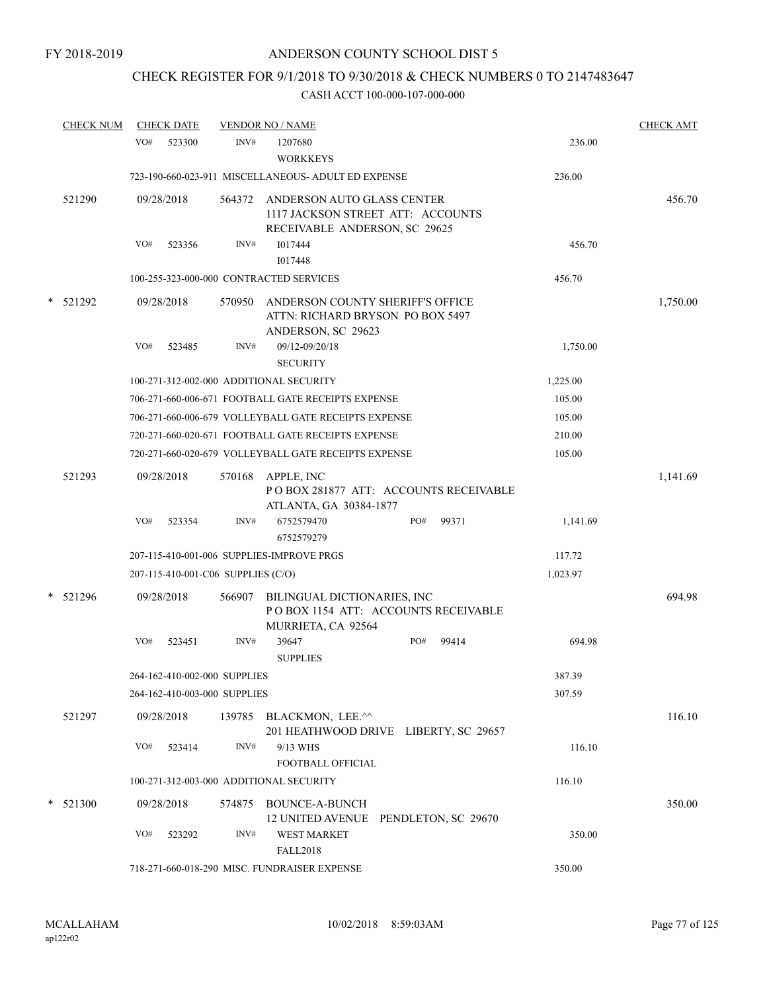# CHECK REGISTER FOR 9/1/2018 TO 9/30/2018 & CHECK NUMBERS 0 TO 2147483647

| <b>CHECK NUM</b> | <b>CHECK DATE</b>                       |        | <b>VENDOR NO / NAME</b>                                                                          |       |          | <b>CHECK AMT</b> |
|------------------|-----------------------------------------|--------|--------------------------------------------------------------------------------------------------|-------|----------|------------------|
|                  | VO#<br>523300                           | INV#   | 1207680<br><b>WORKKEYS</b>                                                                       |       | 236.00   |                  |
|                  |                                         |        | 723-190-660-023-911 MISCELLANEOUS- ADULT ED EXPENSE                                              |       | 236.00   |                  |
| 521290           | 09/28/2018                              | 564372 | ANDERSON AUTO GLASS CENTER<br>1117 JACKSON STREET ATT: ACCOUNTS<br>RECEIVABLE ANDERSON, SC 29625 |       |          | 456.70           |
|                  | VO#<br>523356                           | INV#   | 1017444                                                                                          |       | 456.70   |                  |
|                  |                                         |        | 1017448                                                                                          |       |          |                  |
|                  | 100-255-323-000-000 CONTRACTED SERVICES |        |                                                                                                  |       | 456.70   |                  |
| * 521292         | 09/28/2018                              | 570950 | ANDERSON COUNTY SHERIFF'S OFFICE<br>ATTN: RICHARD BRYSON PO BOX 5497<br>ANDERSON, SC 29623       |       |          | 1,750.00         |
|                  | VO#<br>523485                           | INV#   | 09/12-09/20/18<br><b>SECURITY</b>                                                                |       | 1,750.00 |                  |
|                  | 100-271-312-002-000 ADDITIONAL SECURITY |        |                                                                                                  |       | 1,225.00 |                  |
|                  |                                         |        | 706-271-660-006-671 FOOTBALL GATE RECEIPTS EXPENSE                                               |       | 105.00   |                  |
|                  |                                         |        | 706-271-660-006-679 VOLLEYBALL GATE RECEIPTS EXPENSE                                             |       | 105.00   |                  |
|                  |                                         |        | 720-271-660-020-671 FOOTBALL GATE RECEIPTS EXPENSE                                               |       | 210.00   |                  |
|                  |                                         |        | 720-271-660-020-679 VOLLEYBALL GATE RECEIPTS EXPENSE                                             |       | 105.00   |                  |
| 521293           | 09/28/2018                              | 570168 | APPLE, INC<br>POBOX 281877 ATT: ACCOUNTS RECEIVABLE<br>ATLANTA, GA 30384-1877                    |       |          | 1,141.69         |
|                  | VO#<br>523354                           | INV#   | PO#<br>6752579470<br>6752579279                                                                  | 99371 | 1,141.69 |                  |
|                  |                                         |        | 207-115-410-001-006 SUPPLIES-IMPROVE PRGS                                                        |       | 117.72   |                  |
|                  | 207-115-410-001-C06 SUPPLIES (C/O)      |        |                                                                                                  |       | 1,023.97 |                  |
| * 521296         | 09/28/2018                              | 566907 | BILINGUAL DICTIONARIES, INC<br>PO BOX 1154 ATT: ACCOUNTS RECEIVABLE                              |       |          | 694.98           |
|                  | VO#<br>523451                           | INV#   | MURRIETA, CA 92564<br>39647<br>PO#<br><b>SUPPLIES</b>                                            | 99414 | 694.98   |                  |
|                  | 264-162-410-002-000 SUPPLIES            |        |                                                                                                  |       | 387.39   |                  |
|                  | 264-162-410-003-000 SUPPLIES            |        |                                                                                                  |       | 307.59   |                  |
| 521297           | 09/28/2018                              |        | 139785 BLACKMON, LEE.^^<br>201 HEATHWOOD DRIVE LIBERTY, SC 29657                                 |       |          | 116.10           |
|                  | VO#<br>523414                           | INV#   | 9/13 WHS<br><b>FOOTBALL OFFICIAL</b>                                                             |       | 116.10   |                  |
|                  | 100-271-312-003-000 ADDITIONAL SECURITY |        |                                                                                                  |       | 116.10   |                  |
| * 521300         | 09/28/2018                              | 574875 | <b>BOUNCE-A-BUNCH</b><br>12 UNITED AVENUE PENDLETON, SC 29670                                    |       |          | 350.00           |
|                  | VO#<br>523292                           | INV#   | <b>WEST MARKET</b><br><b>FALL2018</b>                                                            |       | 350.00   |                  |
|                  |                                         |        | 718-271-660-018-290 MISC. FUNDRAISER EXPENSE                                                     |       | 350.00   |                  |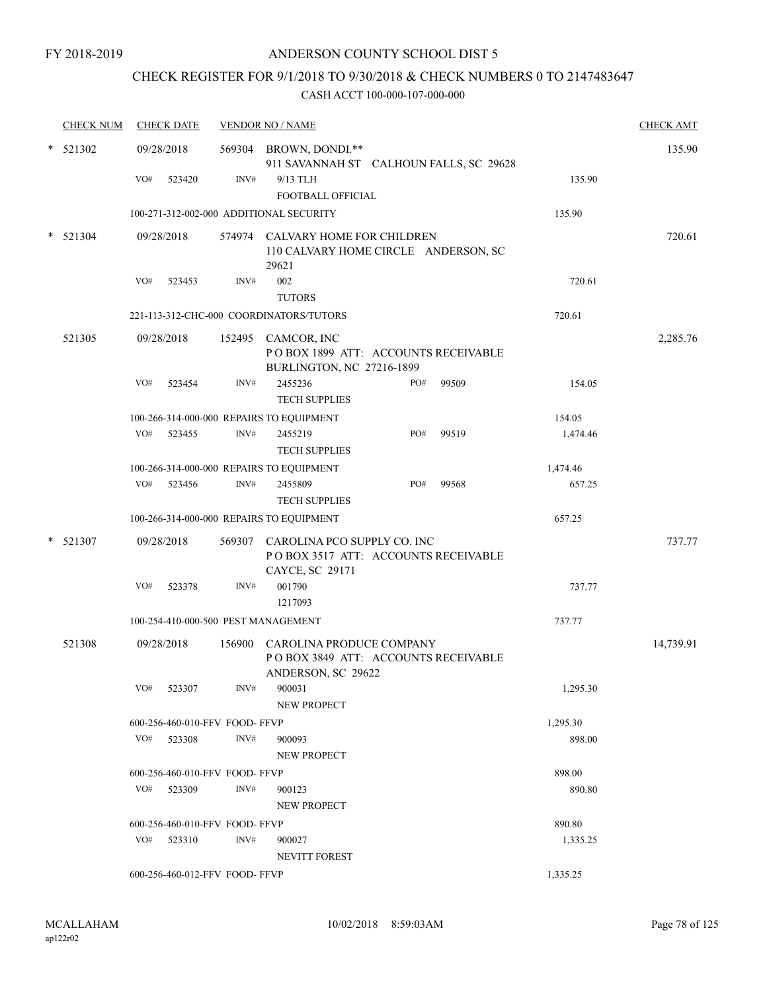## CHECK REGISTER FOR 9/1/2018 TO 9/30/2018 & CHECK NUMBERS 0 TO 2147483647

|        | <b>CHECK NUM</b> | <b>CHECK DATE</b> |        |                               | <b>VENDOR NO / NAME</b>                                                                      |     |       |          | <b>CHECK AMT</b> |
|--------|------------------|-------------------|--------|-------------------------------|----------------------------------------------------------------------------------------------|-----|-------|----------|------------------|
|        | $*$ 521302       | 09/28/2018        |        |                               | 569304 BROWN, DONDI.**<br>911 SAVANNAH ST CALHOUN FALLS, SC 29628                            |     |       |          | 135.90           |
|        |                  | VO#               | 523420 | INV#                          | 9/13 TLH<br>FOOTBALL OFFICIAL                                                                |     |       | 135.90   |                  |
|        |                  |                   |        |                               | 100-271-312-002-000 ADDITIONAL SECURITY                                                      |     |       | 135.90   |                  |
|        | $*$ 521304       | 09/28/2018        |        |                               | 574974 CALVARY HOME FOR CHILDREN<br>110 CALVARY HOME CIRCLE ANDERSON, SC<br>29621            |     |       |          | 720.61           |
|        |                  | VO#               | 523453 | INV#                          | 002<br><b>TUTORS</b>                                                                         |     |       | 720.61   |                  |
|        |                  |                   |        |                               | 221-113-312-CHC-000 COORDINATORS/TUTORS                                                      |     |       | 720.61   |                  |
|        | 521305           | 09/28/2018        |        |                               | 152495 CAMCOR, INC<br>POBOX 1899 ATT: ACCOUNTS RECEIVABLE<br>BURLINGTON, NC 27216-1899       |     |       |          | 2,285.76         |
|        |                  | VO#               | 523454 | INV#                          | 2455236<br><b>TECH SUPPLIES</b>                                                              | PO# | 99509 | 154.05   |                  |
|        |                  |                   |        |                               | 100-266-314-000-000 REPAIRS TO EQUIPMENT                                                     |     |       | 154.05   |                  |
|        |                  | VO#               | 523455 | INV#                          | 2455219<br><b>TECH SUPPLIES</b>                                                              | PO# | 99519 | 1,474.46 |                  |
|        |                  |                   |        |                               | 100-266-314-000-000 REPAIRS TO EQUIPMENT                                                     |     |       | 1,474.46 |                  |
|        |                  | VO# 523456        |        | INV#                          | 2455809<br><b>TECH SUPPLIES</b>                                                              | PO# | 99568 | 657.25   |                  |
|        |                  |                   |        |                               | 100-266-314-000-000 REPAIRS TO EQUIPMENT                                                     |     |       | 657.25   |                  |
| $\ast$ | 521307           | 09/28/2018        |        |                               | 569307 CAROLINA PCO SUPPLY CO. INC<br>POBOX 3517 ATT: ACCOUNTS RECEIVABLE<br>CAYCE, SC 29171 |     |       |          | 737.77           |
|        |                  | VO#               | 523378 | INV#                          | 001790<br>1217093                                                                            |     |       | 737.77   |                  |
|        |                  |                   |        |                               | 100-254-410-000-500 PEST MANAGEMENT                                                          |     |       | 737.77   |                  |
|        | 521308           | 09/28/2018        |        |                               | 156900 CAROLINA PRODUCE COMPANY<br>POBOX 3849 ATT: ACCOUNTS RECEIVABLE<br>ANDERSON, SC 29622 |     |       |          | 14,739.91        |
|        |                  | $VO#$ 523307      |        | INV#                          | 900031<br><b>NEW PROPECT</b>                                                                 |     |       | 1,295.30 |                  |
|        |                  |                   |        | 600-256-460-010-FFV FOOD-FFVP |                                                                                              |     |       | 1,295.30 |                  |
|        |                  | VO# 523308        |        | INV#                          | 900093<br>NEW PROPECT                                                                        |     |       | 898.00   |                  |
|        |                  |                   |        | 600-256-460-010-FFV FOOD-FFVP |                                                                                              |     |       | 898.00   |                  |
|        |                  | VO# 523309        |        | INV#                          | 900123<br><b>NEW PROPECT</b>                                                                 |     |       | 890.80   |                  |
|        |                  |                   |        | 600-256-460-010-FFV FOOD-FFVP |                                                                                              |     |       | 890.80   |                  |
|        |                  | $VO#$ 523310      |        | INV#                          | 900027<br>NEVITT FOREST                                                                      |     |       | 1,335.25 |                  |
|        |                  |                   |        | 600-256-460-012-FFV FOOD-FFVP |                                                                                              |     |       | 1,335.25 |                  |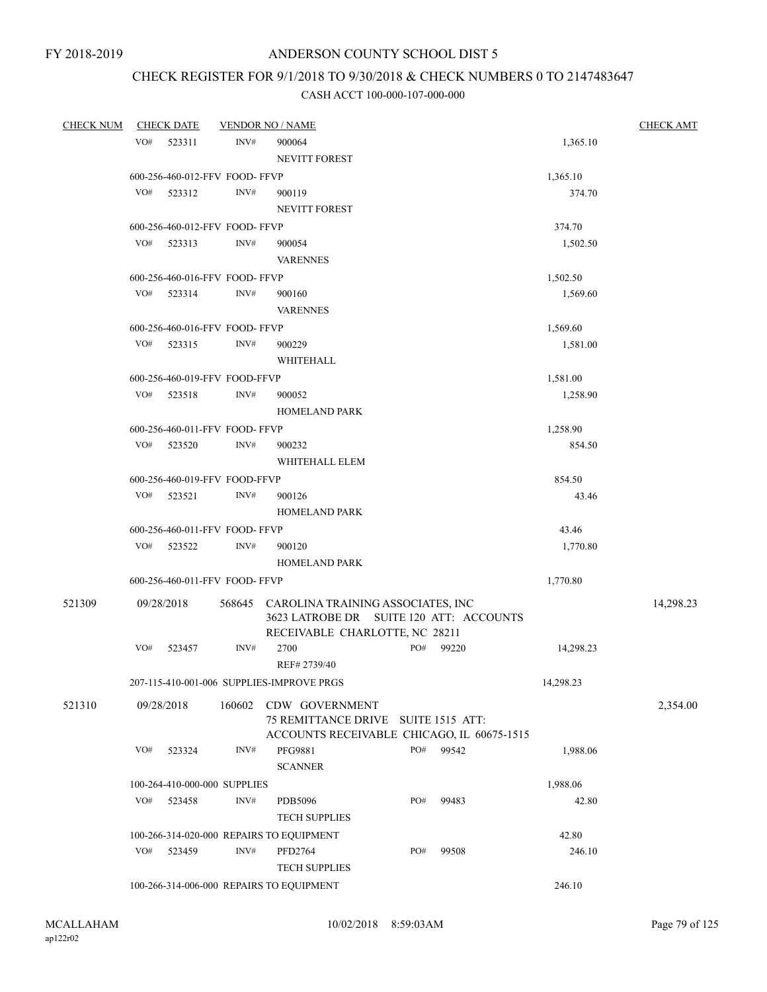# CHECK REGISTER FOR 9/1/2018 TO 9/30/2018 & CHECK NUMBERS 0 TO 2147483647

| <b>CHECK NUM</b> |     | <b>CHECK DATE</b>              |        | <b>VENDOR NO / NAME</b>                                                             |     |           |                 | <b>CHECK AMT</b> |
|------------------|-----|--------------------------------|--------|-------------------------------------------------------------------------------------|-----|-----------|-----------------|------------------|
|                  | VO# | 523311                         | INV#   | 900064                                                                              |     |           | 1,365.10        |                  |
|                  |     |                                |        | NEVITT FOREST                                                                       |     |           |                 |                  |
|                  |     | 600-256-460-012-FFV FOOD-FFVP  |        |                                                                                     |     |           | 1,365.10        |                  |
|                  | VO# | 523312                         | INV#   | 900119                                                                              |     |           | 374.70          |                  |
|                  |     |                                |        | <b>NEVITT FOREST</b>                                                                |     |           |                 |                  |
|                  |     | 600-256-460-012-FFV FOOD-FFVP  |        |                                                                                     |     |           | 374.70          |                  |
|                  | VO# | 523313                         | INV#   | 900054                                                                              |     |           | 1,502.50        |                  |
|                  |     |                                |        | <b>VARENNES</b>                                                                     |     |           |                 |                  |
|                  |     | 600-256-460-016-FFV FOOD-FFVP  |        |                                                                                     |     |           | 1,502.50        |                  |
|                  | VO# | 523314                         | INV#   | 900160                                                                              |     |           | 1,569.60        |                  |
|                  |     |                                |        | <b>VARENNES</b>                                                                     |     |           |                 |                  |
|                  |     | 600-256-460-016-FFV FOOD-FFVP  |        |                                                                                     |     |           | 1,569.60        |                  |
|                  | VO# | 523315                         | INV#   | 900229                                                                              |     |           | 1,581.00        |                  |
|                  |     |                                |        | WHITEHALL                                                                           |     |           |                 |                  |
|                  |     | 600-256-460-019-FFV FOOD-FFVP  |        |                                                                                     |     |           | 1,581.00        |                  |
|                  | VO# | 523518                         | INV#   | 900052                                                                              |     |           | 1,258.90        |                  |
|                  |     |                                |        | <b>HOMELAND PARK</b>                                                                |     |           |                 |                  |
|                  |     | 600-256-460-011-FFV FOOD-FFVP  |        |                                                                                     |     |           | 1,258.90        |                  |
|                  | VO# | 523520                         | INV#   | 900232                                                                              |     |           | 854.50          |                  |
|                  |     |                                |        | WHITEHALL ELEM                                                                      |     |           |                 |                  |
|                  |     | 600-256-460-019-FFV FOOD-FFVP  |        |                                                                                     |     |           | 854.50          |                  |
|                  | VO# | 523521                         | INV#   | 900126                                                                              |     |           | 43.46           |                  |
|                  |     |                                |        | <b>HOMELAND PARK</b>                                                                |     |           |                 |                  |
|                  |     | 600-256-460-011-FFV FOOD- FFVP |        |                                                                                     |     |           | 43.46           |                  |
|                  | VO# | 523522                         | INV#   | 900120                                                                              |     |           | 1,770.80        |                  |
|                  |     |                                |        | <b>HOMELAND PARK</b>                                                                |     |           |                 |                  |
|                  |     | 600-256-460-011-FFV FOOD-FFVP  |        |                                                                                     |     |           | 1,770.80        |                  |
|                  |     |                                |        |                                                                                     |     |           |                 |                  |
| 521309           |     | 09/28/2018                     |        | 568645 CAROLINA TRAINING ASSOCIATES, INC<br>3623 LATROBE DR SUITE 120 ATT: ACCOUNTS |     |           |                 | 14,298.23        |
|                  |     |                                |        | RECEIVABLE CHARLOTTE, NC 28211                                                      |     |           |                 |                  |
|                  | VO# | 523457                         | INV#   | 2700                                                                                |     | PO# 99220 | 14,298.23       |                  |
|                  |     |                                |        | REF# 2739/40                                                                        |     |           |                 |                  |
|                  |     |                                |        | 207-115-410-001-006 SUPPLIES-IMPROVE PRGS                                           |     |           | 14,298.23       |                  |
|                  |     |                                |        |                                                                                     |     |           |                 |                  |
| 521310           |     | 09/28/2018                     | 160602 | CDW GOVERNMENT                                                                      |     |           |                 | 2,354.00         |
|                  |     |                                |        | 75 REMITTANCE DRIVE SUITE 1515 ATT:<br>ACCOUNTS RECEIVABLE CHICAGO, IL 60675-1515   |     |           |                 |                  |
|                  | VO# | 523324                         | INV#   | PFG9881                                                                             | PO# | 99542     | 1,988.06        |                  |
|                  |     |                                |        | <b>SCANNER</b>                                                                      |     |           |                 |                  |
|                  |     | 100-264-410-000-000 SUPPLIES   |        |                                                                                     |     |           | 1,988.06        |                  |
|                  | VO# | 523458                         | INV#   | PDB5096                                                                             | PO# | 99483     | 42.80           |                  |
|                  |     |                                |        |                                                                                     |     |           |                 |                  |
|                  |     |                                |        | <b>TECH SUPPLIES</b>                                                                |     |           |                 |                  |
|                  | VO# | 523459                         | INV#   | 100-266-314-020-000 REPAIRS TO EQUIPMENT                                            | PO# | 99508     | 42.80<br>246.10 |                  |
|                  |     |                                |        | PFD2764<br><b>TECH SUPPLIES</b>                                                     |     |           |                 |                  |
|                  |     |                                |        |                                                                                     |     |           |                 |                  |
|                  |     |                                |        | 100-266-314-006-000 REPAIRS TO EQUIPMENT                                            |     |           | 246.10          |                  |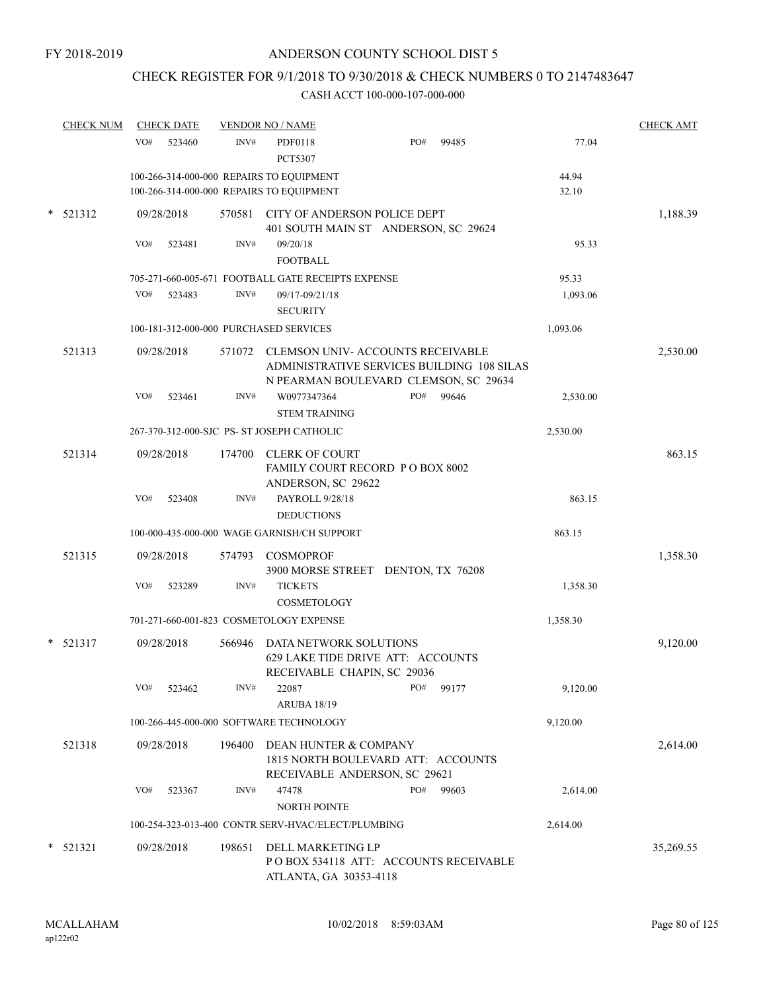# CHECK REGISTER FOR 9/1/2018 TO 9/30/2018 & CHECK NUMBERS 0 TO 2147483647

| <b>CHECK NUM</b> | <b>CHECK DATE</b>                                                                    |        | <b>VENDOR NO / NAME</b>                                                                                                        |     |       |                | <b>CHECK AMT</b> |
|------------------|--------------------------------------------------------------------------------------|--------|--------------------------------------------------------------------------------------------------------------------------------|-----|-------|----------------|------------------|
|                  | VO#<br>523460                                                                        | INV#   | <b>PDF0118</b><br><b>PCT5307</b>                                                                                               | PO# | 99485 | 77.04          |                  |
|                  | 100-266-314-000-000 REPAIRS TO EQUIPMENT<br>100-266-314-000-000 REPAIRS TO EQUIPMENT |        |                                                                                                                                |     |       | 44.94<br>32.10 |                  |
| $*$ 521312       | 09/28/2018                                                                           |        | 570581 CITY OF ANDERSON POLICE DEPT<br>401 SOUTH MAIN ST ANDERSON, SC 29624                                                    |     |       |                | 1,188.39         |
|                  | VO#<br>523481                                                                        | INV#   | 09/20/18<br><b>FOOTBALL</b>                                                                                                    |     |       | 95.33          |                  |
|                  |                                                                                      |        | 705-271-660-005-671 FOOTBALL GATE RECEIPTS EXPENSE                                                                             |     |       | 95.33          |                  |
|                  | VO#<br>523483                                                                        | INV#   | 09/17-09/21/18                                                                                                                 |     |       | 1,093.06       |                  |
|                  |                                                                                      |        | <b>SECURITY</b>                                                                                                                |     |       |                |                  |
|                  | 100-181-312-000-000 PURCHASED SERVICES                                               |        |                                                                                                                                |     |       | 1,093.06       |                  |
| 521313           | 09/28/2018                                                                           |        | 571072 CLEMSON UNIV-ACCOUNTS RECEIVABLE<br>ADMINISTRATIVE SERVICES BUILDING 108 SILAS<br>N PEARMAN BOULEVARD CLEMSON, SC 29634 |     |       |                | 2,530.00         |
|                  | VO#<br>523461                                                                        | INV#   | W0977347364<br><b>STEM TRAINING</b>                                                                                            | PO# | 99646 | 2,530.00       |                  |
|                  |                                                                                      |        | 267-370-312-000-SJC PS- ST JOSEPH CATHOLIC                                                                                     |     |       | 2,530.00       |                  |
| 521314           | 09/28/2018                                                                           | 174700 | <b>CLERK OF COURT</b><br>FAMILY COURT RECORD PO BOX 8002                                                                       |     |       |                | 863.15           |
|                  | VO#<br>523408                                                                        | INV#   | ANDERSON, SC 29622<br>PAYROLL 9/28/18<br><b>DEDUCTIONS</b>                                                                     |     |       | 863.15         |                  |
|                  |                                                                                      |        | 100-000-435-000-000 WAGE GARNISH/CH SUPPORT                                                                                    |     |       | 863.15         |                  |
| 521315           | 09/28/2018                                                                           | 574793 | <b>COSMOPROF</b><br>3900 MORSE STREET DENTON, TX 76208                                                                         |     |       |                | 1,358.30         |
|                  | VO#<br>523289                                                                        | INV#   | <b>TICKETS</b><br>COSMETOLOGY                                                                                                  |     |       | 1,358.30       |                  |
|                  |                                                                                      |        | 701-271-660-001-823 COSMETOLOGY EXPENSE                                                                                        |     |       | 1,358.30       |                  |
| 521317           | 09/28/2018                                                                           | 566946 | DATA NETWORK SOLUTIONS<br>629 LAKE TIDE DRIVE ATT: ACCOUNTS<br>RECEIVABLE CHAPIN, SC 29036                                     |     |       |                | 9,120.00         |
|                  | VO#<br>523462                                                                        | INV#   | 22087<br><b>ARUBA 18/19</b>                                                                                                    | PO# | 99177 | 9,120.00       |                  |
|                  |                                                                                      |        | 100-266-445-000-000 SOFTWARE TECHNOLOGY                                                                                        |     |       | 9,120.00       |                  |
| 521318           | 09/28/2018                                                                           | 196400 | DEAN HUNTER & COMPANY<br>1815 NORTH BOULEVARD ATT: ACCOUNTS<br>RECEIVABLE ANDERSON, SC 29621                                   |     |       |                | 2,614.00         |
|                  | VO#<br>523367                                                                        | INV#   | 47478                                                                                                                          | PO# | 99603 | 2,614.00       |                  |
|                  |                                                                                      |        | NORTH POINTE<br>100-254-323-013-400 CONTR SERV-HVAC/ELECT/PLUMBING                                                             |     |       | 2,614.00       |                  |
| 521321           | 09/28/2018                                                                           | 198651 | DELL MARKETING LP<br>POBOX 534118 ATT: ACCOUNTS RECEIVABLE<br>ATLANTA, GA 30353-4118                                           |     |       |                | 35,269.55        |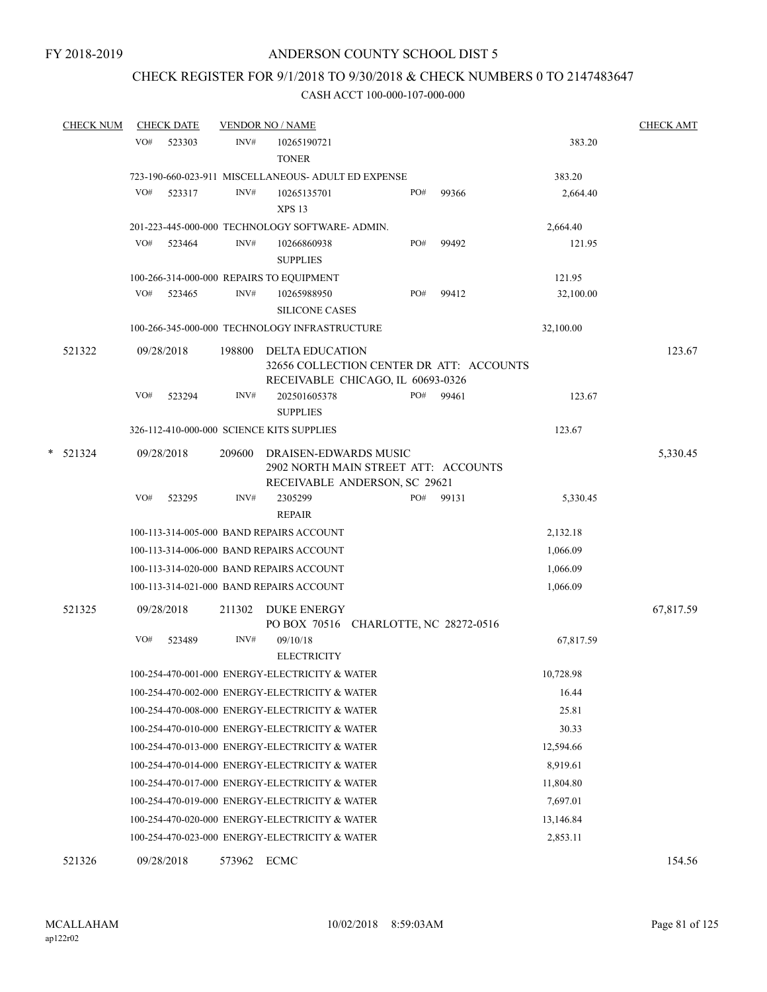# CHECK REGISTER FOR 9/1/2018 TO 9/30/2018 & CHECK NUMBERS 0 TO 2147483647

|   | <b>CHECK NUM</b> |     | <b>CHECK DATE</b> |        | <b>VENDOR NO / NAME</b>                                                                                 |     |       |           | <b>CHECK AMT</b> |
|---|------------------|-----|-------------------|--------|---------------------------------------------------------------------------------------------------------|-----|-------|-----------|------------------|
|   |                  | VO# | 523303            | INV#   | 10265190721<br><b>TONER</b>                                                                             |     |       | 383.20    |                  |
|   |                  |     |                   |        | 723-190-660-023-911 MISCELLANEOUS- ADULT ED EXPENSE                                                     |     |       | 383.20    |                  |
|   |                  | VO# | 523317            | INV#   | 10265135701<br><b>XPS 13</b>                                                                            | PO# | 99366 | 2,664.40  |                  |
|   |                  |     |                   |        | 201-223-445-000-000 TECHNOLOGY SOFTWARE- ADMIN.                                                         |     |       | 2,664.40  |                  |
|   |                  | VO# | 523464            | INV#   | 10266860938<br><b>SUPPLIES</b>                                                                          | PO# | 99492 | 121.95    |                  |
|   |                  |     |                   |        | 100-266-314-000-000 REPAIRS TO EQUIPMENT                                                                |     |       | 121.95    |                  |
|   |                  | VO# | 523465            | INV#   | 10265988950<br><b>SILICONE CASES</b>                                                                    | PO# | 99412 | 32,100.00 |                  |
|   |                  |     |                   |        | 100-266-345-000-000 TECHNOLOGY INFRASTRUCTURE                                                           |     |       | 32,100.00 |                  |
|   | 521322           |     | 09/28/2018        | 198800 | <b>DELTA EDUCATION</b><br>32656 COLLECTION CENTER DR ATT: ACCOUNTS<br>RECEIVABLE CHICAGO, IL 60693-0326 |     |       |           | 123.67           |
|   |                  | VO# | 523294            | INV#   | 202501605378<br><b>SUPPLIES</b>                                                                         | PO# | 99461 | 123.67    |                  |
|   |                  |     |                   |        | 326-112-410-000-000 SCIENCE KITS SUPPLIES                                                               |     |       | 123.67    |                  |
| * | 521324           |     | 09/28/2018        | 209600 | DRAISEN-EDWARDS MUSIC<br>2902 NORTH MAIN STREET ATT: ACCOUNTS<br>RECEIVABLE ANDERSON, SC 29621          |     |       |           | 5,330.45         |
|   |                  | VO# | 523295            | INV#   | 2305299<br><b>REPAIR</b>                                                                                | PO# | 99131 | 5,330.45  |                  |
|   |                  |     |                   |        | 100-113-314-005-000 BAND REPAIRS ACCOUNT                                                                |     |       | 2,132.18  |                  |
|   |                  |     |                   |        | 100-113-314-006-000 BAND REPAIRS ACCOUNT                                                                |     |       | 1,066.09  |                  |
|   |                  |     |                   |        | 100-113-314-020-000 BAND REPAIRS ACCOUNT                                                                |     |       | 1,066.09  |                  |
|   |                  |     |                   |        | 100-113-314-021-000 BAND REPAIRS ACCOUNT                                                                |     |       | 1,066.09  |                  |
|   | 521325           |     | 09/28/2018        | 211302 | <b>DUKE ENERGY</b>                                                                                      |     |       |           | 67,817.59        |
|   |                  | VO# | 523489            | INV#   | PO BOX 70516 CHARLOTTE, NC 28272-0516<br>09/10/18<br><b>ELECTRICITY</b>                                 |     |       | 67,817.59 |                  |
|   |                  |     |                   |        | 100-254-470-001-000 ENERGY-ELECTRICITY & WATER                                                          |     |       | 10,728.98 |                  |
|   |                  |     |                   |        | 100-254-470-002-000 ENERGY-ELECTRICITY & WATER                                                          |     |       | 16.44     |                  |
|   |                  |     |                   |        | 100-254-470-008-000 ENERGY-ELECTRICITY & WATER                                                          |     |       | 25.81     |                  |
|   |                  |     |                   |        | 100-254-470-010-000 ENERGY-ELECTRICITY & WATER                                                          |     |       | 30.33     |                  |
|   |                  |     |                   |        | 100-254-470-013-000 ENERGY-ELECTRICITY & WATER                                                          |     |       | 12,594.66 |                  |
|   |                  |     |                   |        | 100-254-470-014-000 ENERGY-ELECTRICITY & WATER                                                          |     |       | 8,919.61  |                  |
|   |                  |     |                   |        | 100-254-470-017-000 ENERGY-ELECTRICITY & WATER                                                          |     |       | 11,804.80 |                  |
|   |                  |     |                   |        | 100-254-470-019-000 ENERGY-ELECTRICITY & WATER                                                          |     |       | 7,697.01  |                  |
|   |                  |     |                   |        | 100-254-470-020-000 ENERGY-ELECTRICITY & WATER                                                          |     |       | 13,146.84 |                  |
|   |                  |     |                   |        | 100-254-470-023-000 ENERGY-ELECTRICITY & WATER                                                          |     |       | 2,853.11  |                  |
|   | 521326           |     | 09/28/2018        | 573962 | ECMC                                                                                                    |     |       |           | 154.56           |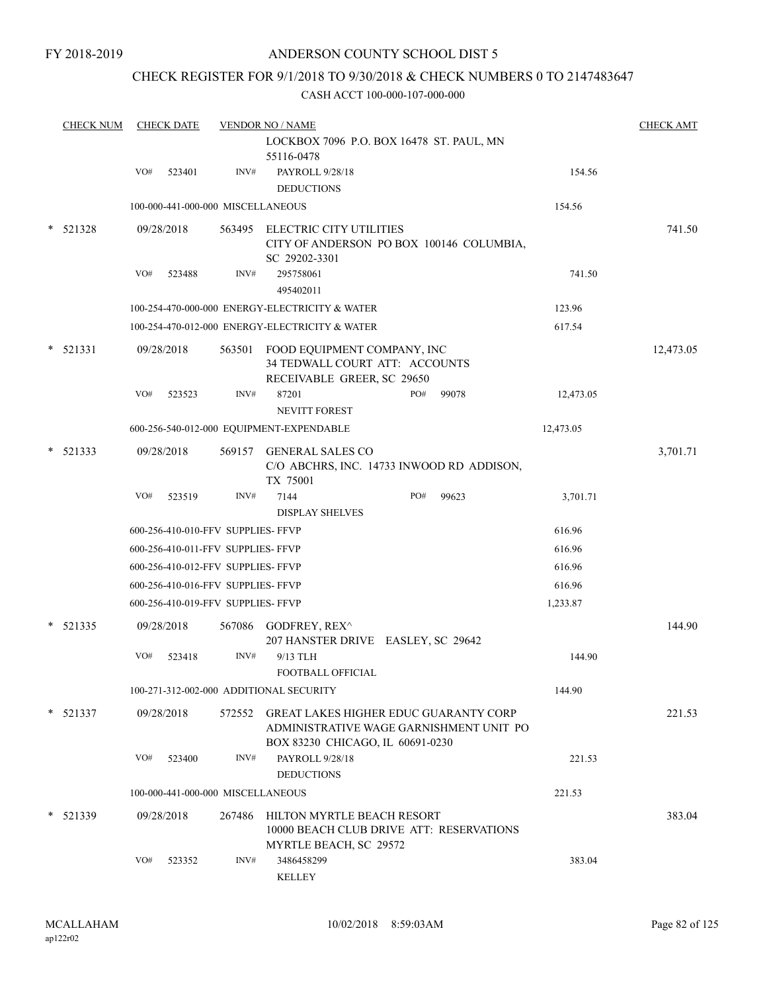## CHECK REGISTER FOR 9/1/2018 TO 9/30/2018 & CHECK NUMBERS 0 TO 2147483647

|   | <b>CHECK NUM</b> |     | <b>CHECK DATE</b> |                                    | <b>VENDOR NO / NAME</b>                                                                                                     |     |       |           | <b>CHECK AMT</b> |
|---|------------------|-----|-------------------|------------------------------------|-----------------------------------------------------------------------------------------------------------------------------|-----|-------|-----------|------------------|
|   |                  |     |                   |                                    | LOCKBOX 7096 P.O. BOX 16478 ST. PAUL, MN<br>55116-0478                                                                      |     |       |           |                  |
|   |                  | VO# | 523401            | INV#                               | PAYROLL 9/28/18                                                                                                             |     |       | 154.56    |                  |
|   |                  |     |                   |                                    | <b>DEDUCTIONS</b>                                                                                                           |     |       |           |                  |
|   |                  |     |                   | 100-000-441-000-000 MISCELLANEOUS  |                                                                                                                             |     |       | 154.56    |                  |
|   | $*$ 521328       |     | 09/28/2018        |                                    | 563495 ELECTRIC CITY UTILITIES<br>CITY OF ANDERSON PO BOX 100146 COLUMBIA,<br>SC 29202-3301                                 |     |       |           | 741.50           |
|   |                  | VO# | 523488            | INV#                               | 295758061<br>495402011                                                                                                      |     |       | 741.50    |                  |
|   |                  |     |                   |                                    | 100-254-470-000-000 ENERGY-ELECTRICITY & WATER                                                                              |     |       | 123.96    |                  |
|   |                  |     |                   |                                    |                                                                                                                             |     |       |           |                  |
|   |                  |     |                   |                                    | 100-254-470-012-000 ENERGY-ELECTRICITY & WATER                                                                              |     |       | 617.54    |                  |
|   | $*$ 521331       |     | 09/28/2018        | 563501                             | FOOD EQUIPMENT COMPANY, INC<br>34 TEDWALL COURT ATT: ACCOUNTS<br>RECEIVABLE GREER, SC 29650                                 |     |       |           | 12,473.05        |
|   |                  | VO# | 523523            | INV#                               | 87201<br><b>NEVITT FOREST</b>                                                                                               | PO# | 99078 | 12,473.05 |                  |
|   |                  |     |                   |                                    | 600-256-540-012-000 EQUIPMENT-EXPENDABLE                                                                                    |     |       | 12,473.05 |                  |
| * | 521333           |     | 09/28/2018        | 569157                             | <b>GENERAL SALES CO</b><br>C/O ABCHRS, INC. 14733 INWOOD RD ADDISON,                                                        |     |       |           | 3,701.71         |
|   |                  | VO# | 523519            | INV#                               | TX 75001<br>7144                                                                                                            | PO# | 99623 | 3,701.71  |                  |
|   |                  |     |                   |                                    | <b>DISPLAY SHELVES</b>                                                                                                      |     |       |           |                  |
|   |                  |     |                   | 600-256-410-010-FFV SUPPLIES- FFVP |                                                                                                                             |     |       | 616.96    |                  |
|   |                  |     |                   | 600-256-410-011-FFV SUPPLIES- FFVP |                                                                                                                             |     |       | 616.96    |                  |
|   |                  |     |                   | 600-256-410-012-FFV SUPPLIES- FFVP |                                                                                                                             |     |       | 616.96    |                  |
|   |                  |     |                   | 600-256-410-016-FFV SUPPLIES- FFVP |                                                                                                                             |     |       | 616.96    |                  |
|   |                  |     |                   | 600-256-410-019-FFV SUPPLIES- FFVP |                                                                                                                             |     |       | 1,233.87  |                  |
|   | $*$ 521335       |     | 09/28/2018        | 567086                             | GODFREY, REX^<br>207 HANSTER DRIVE EASLEY, SC 29642                                                                         |     |       |           | 144.90           |
|   |                  | VO# | 523418            | INV#                               | 9/13 TLH<br>FOOTBALL OFFICIAL                                                                                               |     |       | 144.90    |                  |
|   |                  |     |                   |                                    | 100-271-312-002-000 ADDITIONAL SECURITY                                                                                     |     |       | 144.90    |                  |
|   | $*$ 521337       |     | 09/28/2018        |                                    | 572552 GREAT LAKES HIGHER EDUC GUARANTY CORP<br>ADMINISTRATIVE WAGE GARNISHMENT UNIT PO<br>BOX 83230 CHICAGO, IL 60691-0230 |     |       |           | 221.53           |
|   |                  | VO# | 523400            | INV#                               | PAYROLL 9/28/18<br><b>DEDUCTIONS</b>                                                                                        |     |       | 221.53    |                  |
|   |                  |     |                   | 100-000-441-000-000 MISCELLANEOUS  |                                                                                                                             |     |       | 221.53    |                  |
|   | $*$ 521339       |     | 09/28/2018        | 267486                             | HILTON MYRTLE BEACH RESORT<br>10000 BEACH CLUB DRIVE ATT: RESERVATIONS<br>MYRTLE BEACH, SC 29572                            |     |       |           | 383.04           |
|   |                  | VO# | 523352            | INV#                               | 3486458299<br><b>KELLEY</b>                                                                                                 |     |       | 383.04    |                  |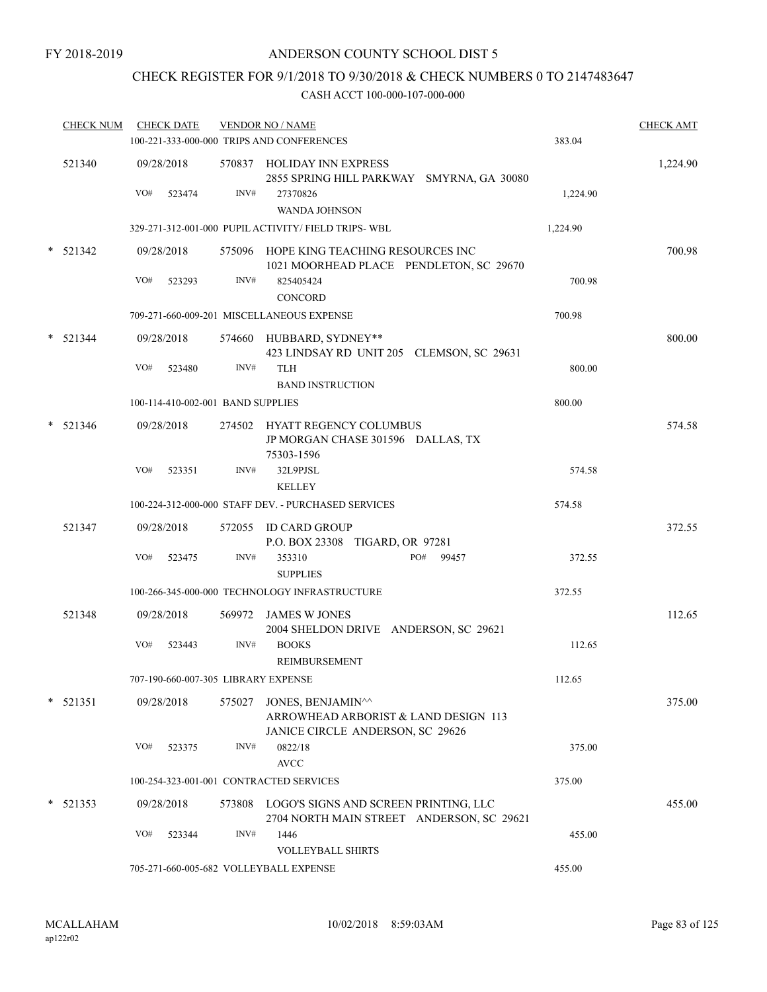# CHECK REGISTER FOR 9/1/2018 TO 9/30/2018 & CHECK NUMBERS 0 TO 2147483647

| <b>CHECK NUM</b> |     | <b>CHECK DATE</b>                   |        | <b>VENDOR NO / NAME</b><br>100-221-333-000-000 TRIPS AND CONFERENCES                                        | 383.04   | <b>CHECK AMT</b> |
|------------------|-----|-------------------------------------|--------|-------------------------------------------------------------------------------------------------------------|----------|------------------|
| 521340           | VO# | 09/28/2018<br>523474                | INV#   | 570837 HOLIDAY INN EXPRESS<br>2855 SPRING HILL PARKWAY SMYRNA, GA 30080<br>27370826<br><b>WANDA JOHNSON</b> | 1,224.90 | 1,224.90         |
|                  |     |                                     |        | 329-271-312-001-000 PUPIL ACTIVITY/ FIELD TRIPS-WBL                                                         | 1,224.90 |                  |
| $*$ 521342       | VO# | 09/28/2018<br>523293                | INV#   | 575096 HOPE KING TEACHING RESOURCES INC<br>1021 MOORHEAD PLACE PENDLETON, SC 29670<br>825405424             | 700.98   | 700.98           |
|                  |     |                                     |        | <b>CONCORD</b>                                                                                              |          |                  |
|                  |     |                                     |        | 709-271-660-009-201 MISCELLANEOUS EXPENSE                                                                   | 700.98   |                  |
| $*$ 521344       |     | 09/28/2018                          |        | 574660 HUBBARD, SYDNEY**<br>423 LINDSAY RD UNIT 205 CLEMSON, SC 29631                                       |          | 800.00           |
|                  | VO# | 523480                              | INV#   | <b>TLH</b>                                                                                                  | 800.00   |                  |
|                  |     |                                     |        | <b>BAND INSTRUCTION</b>                                                                                     |          |                  |
|                  |     | 100-114-410-002-001 BAND SUPPLIES   |        |                                                                                                             | 800.00   |                  |
| $*$ 521346       |     | 09/28/2018                          |        | 274502 HYATT REGENCY COLUMBUS<br>JP MORGAN CHASE 301596 DALLAS, TX<br>75303-1596                            |          | 574.58           |
|                  | VO# | 523351                              | INV#   | 32L9PJSL<br><b>KELLEY</b>                                                                                   | 574.58   |                  |
|                  |     |                                     |        | 100-224-312-000-000 STAFF DEV. - PURCHASED SERVICES                                                         | 574.58   |                  |
| 521347           |     | 09/28/2018                          |        | 572055 ID CARD GROUP<br>P.O. BOX 23308 TIGARD, OR 97281                                                     |          | 372.55           |
|                  | VO# | 523475                              | INV#   | PO#<br>353310<br>99457<br><b>SUPPLIES</b>                                                                   | 372.55   |                  |
|                  |     |                                     |        | 100-266-345-000-000 TECHNOLOGY INFRASTRUCTURE                                                               | 372.55   |                  |
| 521348           |     | 09/28/2018                          |        | 569972 JAMES W JONES<br>2004 SHELDON DRIVE ANDERSON, SC 29621                                               |          | 112.65           |
|                  | VO# | 523443                              | INV#   | <b>BOOKS</b><br>REIMBURSEMENT                                                                               | 112.65   |                  |
|                  |     | 707-190-660-007-305 LIBRARY EXPENSE |        |                                                                                                             | 112.65   |                  |
| $* 521351$       |     | 09/28/2018                          | 575027 | JONES, BENJAMIN^^<br>ARROWHEAD ARBORIST & LAND DESIGN 113<br>JANICE CIRCLE ANDERSON, SC 29626               |          | 375.00           |
|                  | VO# | 523375                              | INV#   | 0822/18<br>$\operatorname{AVCC}$                                                                            | 375.00   |                  |
|                  |     |                                     |        | 100-254-323-001-001 CONTRACTED SERVICES                                                                     | 375.00   |                  |
| $* 521353$       |     | 09/28/2018                          |        | 573808 LOGO'S SIGNS AND SCREEN PRINTING, LLC<br>2704 NORTH MAIN STREET ANDERSON, SC 29621                   |          | 455.00           |
|                  | VO# | 523344                              | INV#   | 1446<br><b>VOLLEYBALL SHIRTS</b>                                                                            | 455.00   |                  |
|                  |     |                                     |        | 705-271-660-005-682 VOLLEYBALL EXPENSE                                                                      | 455.00   |                  |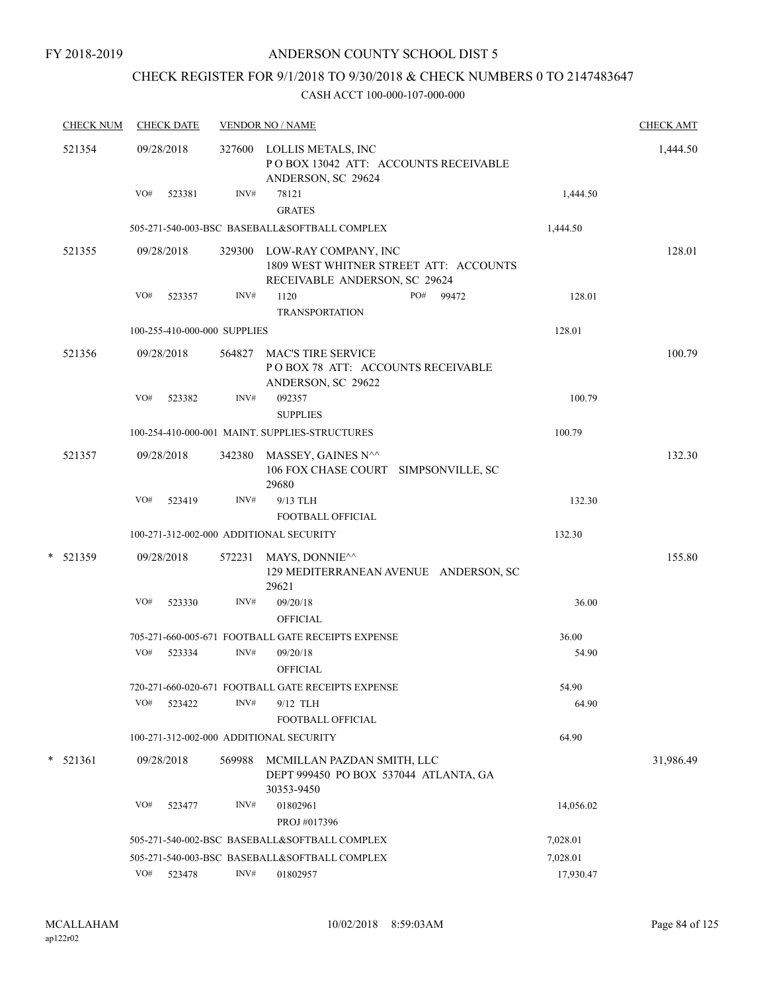#### FY 2018-2019

## ANDERSON COUNTY SCHOOL DIST 5

# CHECK REGISTER FOR 9/1/2018 TO 9/30/2018 & CHECK NUMBERS 0 TO 2147483647

| <b>CHECK NUM</b> | <b>CHECK DATE</b>            |        | <b>VENDOR NO / NAME</b>                                                                                |           | <b>CHECK AMT</b> |
|------------------|------------------------------|--------|--------------------------------------------------------------------------------------------------------|-----------|------------------|
| 521354           | 09/28/2018                   |        | 327600 LOLLIS METALS, INC<br>POBOX 13042 ATT: ACCOUNTS RECEIVABLE<br>ANDERSON, SC 29624                |           | 1,444.50         |
|                  | VO#<br>523381                | INV#   | 78121<br><b>GRATES</b>                                                                                 | 1,444.50  |                  |
|                  |                              |        | 505-271-540-003-BSC BASEBALL&SOFTBALL COMPLEX                                                          | 1,444.50  |                  |
| 521355           | 09/28/2018                   |        | 329300 LOW-RAY COMPANY, INC<br>1809 WEST WHITNER STREET ATT: ACCOUNTS<br>RECEIVABLE ANDERSON, SC 29624 |           | 128.01           |
|                  | VO#<br>523357                | INV#   | 1120<br>PO# 99472                                                                                      | 128.01    |                  |
|                  |                              |        | <b>TRANSPORTATION</b>                                                                                  |           |                  |
|                  | 100-255-410-000-000 SUPPLIES |        |                                                                                                        | 128.01    |                  |
| 521356           | 09/28/2018                   | 564827 | <b>MAC'S TIRE SERVICE</b><br>POBOX 78 ATT: ACCOUNTS RECEIVABLE<br>ANDERSON, SC 29622                   |           | 100.79           |
|                  | VO#<br>523382                | INV#   | 092357<br><b>SUPPLIES</b>                                                                              | 100.79    |                  |
|                  |                              |        | 100-254-410-000-001 MAINT. SUPPLIES-STRUCTURES                                                         | 100.79    |                  |
| 521357           | 09/28/2018                   | 342380 | MASSEY, GAINES N^^<br>106 FOX CHASE COURT SIMPSONVILLE, SC<br>29680                                    |           | 132.30           |
|                  | VO#<br>523419                | INV#   | 9/13 TLH                                                                                               | 132.30    |                  |
|                  |                              |        | <b>FOOTBALL OFFICIAL</b>                                                                               |           |                  |
|                  |                              |        | 100-271-312-002-000 ADDITIONAL SECURITY                                                                | 132.30    |                  |
| *<br>521359      | 09/28/2018                   |        | 572231 MAYS, DONNIE <sup>^^</sup><br>129 MEDITERRANEAN AVENUE ANDERSON, SC<br>29621                    |           | 155.80           |
|                  | VO#<br>523330                | INV#   | 09/20/18<br><b>OFFICIAL</b>                                                                            | 36.00     |                  |
|                  |                              |        | 705-271-660-005-671 FOOTBALL GATE RECEIPTS EXPENSE                                                     | 36.00     |                  |
|                  | VO#<br>523334                | INV#   | 09/20/18<br><b>OFFICIAL</b>                                                                            | 54.90     |                  |
|                  |                              |        | 720-271-660-020-671 FOOTBALL GATE RECEIPTS EXPENSE                                                     | 54.90     |                  |
|                  | VO#<br>523422                | INV#   | 9/12 TLH                                                                                               | 64.90     |                  |
|                  |                              |        | FOOTBALL OFFICIAL                                                                                      |           |                  |
|                  |                              |        | 100-271-312-002-000 ADDITIONAL SECURITY                                                                | 64.90     |                  |
| *<br>521361      | 09/28/2018                   | 569988 | MCMILLAN PAZDAN SMITH, LLC<br>DEPT 999450 PO BOX 537044 ATLANTA, GA<br>30353-9450                      |           | 31,986.49        |
|                  | VO#<br>523477                | INV#   | 01802961<br>PROJ #017396                                                                               | 14,056.02 |                  |
|                  |                              |        | 505-271-540-002-BSC BASEBALL&SOFTBALL COMPLEX                                                          |           |                  |
|                  |                              |        | 505-271-540-003-BSC BASEBALL&SOFTBALL COMPLEX                                                          | 7,028.01  |                  |
|                  | VO#<br>523478                | INV#   | 01802957                                                                                               | 17,930.47 |                  |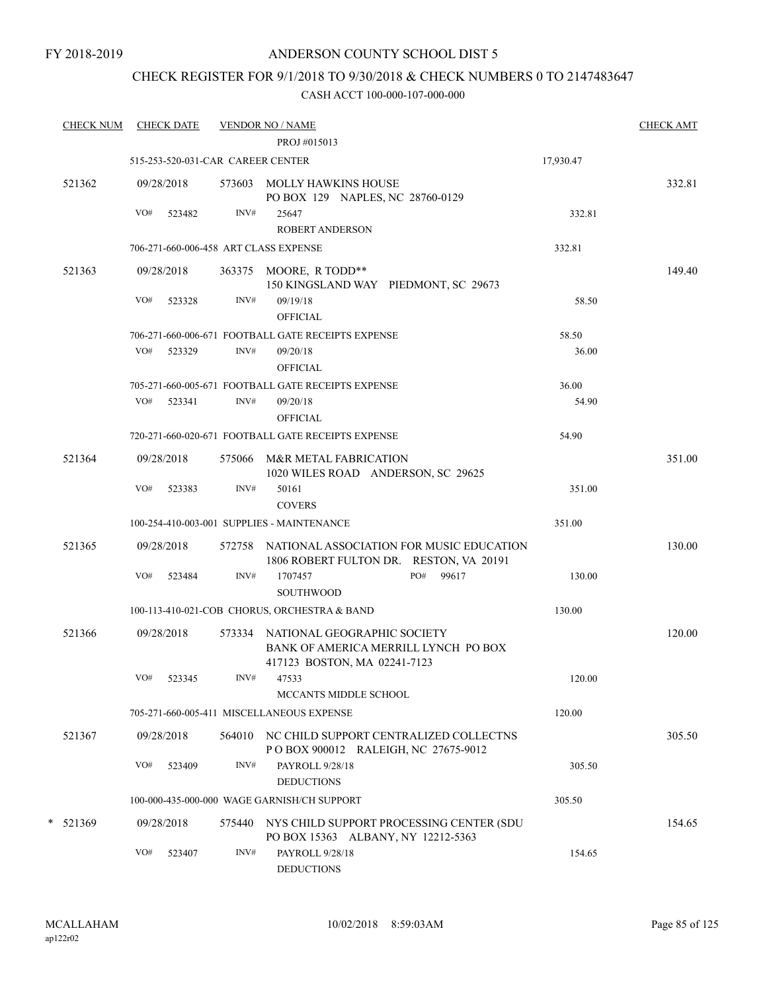## CHECK REGISTER FOR 9/1/2018 TO 9/30/2018 & CHECK NUMBERS 0 TO 2147483647

| <b>CHECK NUM</b> |     | <b>CHECK DATE</b>                 |      | <b>VENDOR NO / NAME</b><br>PROJ #015013                                                                    |           | <b>CHECK AMT</b> |
|------------------|-----|-----------------------------------|------|------------------------------------------------------------------------------------------------------------|-----------|------------------|
|                  |     | 515-253-520-031-CAR CAREER CENTER |      |                                                                                                            |           |                  |
|                  |     |                                   |      |                                                                                                            | 17,930.47 |                  |
| 521362           |     | 09/28/2018                        |      | 573603 MOLLY HAWKINS HOUSE<br>PO BOX 129 NAPLES, NC 28760-0129                                             |           | 332.81           |
|                  | VO# | 523482                            | INV# | 25647<br><b>ROBERT ANDERSON</b>                                                                            | 332.81    |                  |
|                  |     |                                   |      | 706-271-660-006-458 ART CLASS EXPENSE                                                                      | 332.81    |                  |
| 521363           |     | 09/28/2018                        |      | 363375 MOORE, R TODD**                                                                                     |           | 149.40           |
|                  |     |                                   |      | 150 KINGSLAND WAY PIEDMONT, SC 29673                                                                       |           |                  |
|                  | VO# | 523328                            | INV# | 09/19/18<br><b>OFFICIAL</b>                                                                                | 58.50     |                  |
|                  |     |                                   |      | 706-271-660-006-671 FOOTBALL GATE RECEIPTS EXPENSE                                                         | 58.50     |                  |
|                  | VO# | 523329                            | INV# | 09/20/18<br><b>OFFICIAL</b>                                                                                | 36.00     |                  |
|                  |     |                                   |      | 705-271-660-005-671 FOOTBALL GATE RECEIPTS EXPENSE                                                         | 36.00     |                  |
|                  | VO# | 523341                            | INV# | 09/20/18<br><b>OFFICIAL</b>                                                                                | 54.90     |                  |
|                  |     |                                   |      | 720-271-660-020-671 FOOTBALL GATE RECEIPTS EXPENSE                                                         | 54.90     |                  |
| 521364           |     | 09/28/2018                        |      | 575066 M&R METAL FABRICATION<br>1020 WILES ROAD ANDERSON, SC 29625                                         |           | 351.00           |
|                  | VO# | 523383                            | INV# | 50161<br><b>COVERS</b>                                                                                     | 351.00    |                  |
|                  |     |                                   |      | 100-254-410-003-001 SUPPLIES - MAINTENANCE                                                                 | 351.00    |                  |
| 521365           |     | 09/28/2018                        |      | 572758 NATIONAL ASSOCIATION FOR MUSIC EDUCATION<br>1806 ROBERT FULTON DR. RESTON, VA 20191                 |           | 130.00           |
|                  | VO# | 523484                            | INV# | PO#<br>99617<br>1707457<br>SOUTHWOOD                                                                       | 130.00    |                  |
|                  |     |                                   |      | 100-113-410-021-COB CHORUS, ORCHESTRA & BAND                                                               | 130.00    |                  |
| 521366           |     | 09/28/2018                        |      | 573334 NATIONAL GEOGRAPHIC SOCIETY<br>BANK OF AMERICA MERRILL LYNCH PO BOX<br>417123 BOSTON, MA 02241-7123 |           | 120.00           |
|                  | VO# | 523345                            | INV# | 47533<br>MCCANTS MIDDLE SCHOOL                                                                             | 120.00    |                  |
|                  |     |                                   |      | 705-271-660-005-411 MISCELLANEOUS EXPENSE                                                                  | 120.00    |                  |
| 521367           |     | 09/28/2018                        |      | 564010 NC CHILD SUPPORT CENTRALIZED COLLECTNS<br>POBOX 900012 RALEIGH, NC 27675-9012                       |           | 305.50           |
|                  | VO# | 523409                            | INV# | PAYROLL 9/28/18<br><b>DEDUCTIONS</b>                                                                       | 305.50    |                  |
|                  |     |                                   |      | 100-000-435-000-000 WAGE GARNISH/CH SUPPORT                                                                | 305.50    |                  |
| $*$ 521369       |     | 09/28/2018                        |      | 575440 NYS CHILD SUPPORT PROCESSING CENTER (SDU<br>PO BOX 15363 ALBANY, NY 12212-5363                      |           | 154.65           |
|                  | VO# | 523407                            | INV# | PAYROLL 9/28/18<br><b>DEDUCTIONS</b>                                                                       | 154.65    |                  |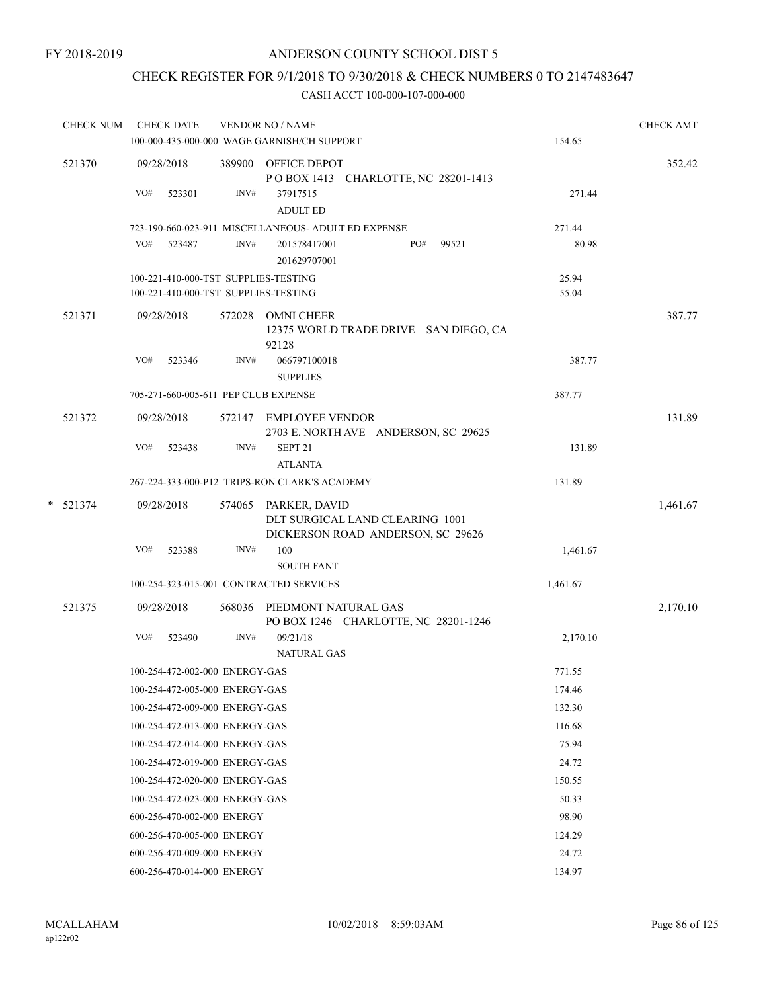## CHECK REGISTER FOR 9/1/2018 TO 9/30/2018 & CHECK NUMBERS 0 TO 2147483647

| <b>CHECK NUM</b> | <b>CHECK DATE</b>                    |      | <b>VENDOR NO / NAME</b>                                                                      |          | <b>CHECK AMT</b> |
|------------------|--------------------------------------|------|----------------------------------------------------------------------------------------------|----------|------------------|
|                  |                                      |      | 100-000-435-000-000 WAGE GARNISH/CH SUPPORT                                                  | 154.65   |                  |
| 521370           | 09/28/2018                           |      | 389900 OFFICE DEPOT<br>POBOX 1413 CHARLOTTE, NC 28201-1413                                   |          | 352.42           |
|                  | VO#<br>523301                        | INV# | 37917515<br><b>ADULT ED</b>                                                                  | 271.44   |                  |
|                  |                                      |      | 723-190-660-023-911 MISCELLANEOUS- ADULT ED EXPENSE                                          | 271.44   |                  |
|                  | VO# 523487                           | INV# | PO#<br>99521<br>201578417001<br>201629707001                                                 | 80.98    |                  |
|                  | 100-221-410-000-TST SUPPLIES-TESTING |      |                                                                                              | 25.94    |                  |
|                  | 100-221-410-000-TST SUPPLIES-TESTING |      |                                                                                              | 55.04    |                  |
| 521371           | 09/28/2018                           |      | 572028 OMNI CHEER<br>12375 WORLD TRADE DRIVE SAN DIEGO, CA<br>92128                          |          | 387.77           |
|                  | VO#<br>523346                        | INV# | 066797100018<br><b>SUPPLIES</b>                                                              | 387.77   |                  |
|                  | 705-271-660-005-611 PEP CLUB EXPENSE |      |                                                                                              | 387.77   |                  |
| 521372           | 09/28/2018                           |      | 572147 EMPLOYEE VENDOR<br>2703 E. NORTH AVE ANDERSON, SC 29625                               |          | 131.89           |
|                  | VO#<br>523438                        | INV# | SEPT <sub>21</sub><br><b>ATLANTA</b>                                                         | 131.89   |                  |
|                  |                                      |      | 267-224-333-000-P12 TRIPS-RON CLARK'S ACADEMY                                                | 131.89   |                  |
| $*$ 521374       | 09/28/2018                           |      | 574065 PARKER, DAVID<br>DLT SURGICAL LAND CLEARING 1001<br>DICKERSON ROAD ANDERSON, SC 29626 |          | 1,461.67         |
|                  | VO#<br>523388                        | INV# | 100<br><b>SOUTH FANT</b>                                                                     | 1,461.67 |                  |
|                  |                                      |      | 100-254-323-015-001 CONTRACTED SERVICES                                                      | 1,461.67 |                  |
| 521375           | 09/28/2018                           |      | 568036 PIEDMONT NATURAL GAS<br>PO BOX 1246 CHARLOTTE, NC 28201-1246                          |          | 2,170.10         |
|                  | VO#<br>523490                        | INV# | 09/21/18<br><b>NATURAL GAS</b>                                                               | 2,170.10 |                  |
|                  | 100-254-472-002-000 ENERGY-GAS       |      |                                                                                              | 771.55   |                  |
|                  | 100-254-472-005-000 ENERGY-GAS       |      |                                                                                              | 174.46   |                  |
|                  | 100-254-472-009-000 ENERGY-GAS       |      |                                                                                              | 132.30   |                  |
|                  | 100-254-472-013-000 ENERGY-GAS       |      |                                                                                              | 116.68   |                  |
|                  | 100-254-472-014-000 ENERGY-GAS       |      |                                                                                              | 75.94    |                  |
|                  | 100-254-472-019-000 ENERGY-GAS       |      |                                                                                              | 24.72    |                  |
|                  | 100-254-472-020-000 ENERGY-GAS       |      |                                                                                              | 150.55   |                  |
|                  | 100-254-472-023-000 ENERGY-GAS       |      |                                                                                              | 50.33    |                  |
|                  | 600-256-470-002-000 ENERGY           |      |                                                                                              | 98.90    |                  |
|                  | 600-256-470-005-000 ENERGY           |      |                                                                                              | 124.29   |                  |
|                  | 600-256-470-009-000 ENERGY           |      |                                                                                              | 24.72    |                  |
|                  | 600-256-470-014-000 ENERGY           |      |                                                                                              | 134.97   |                  |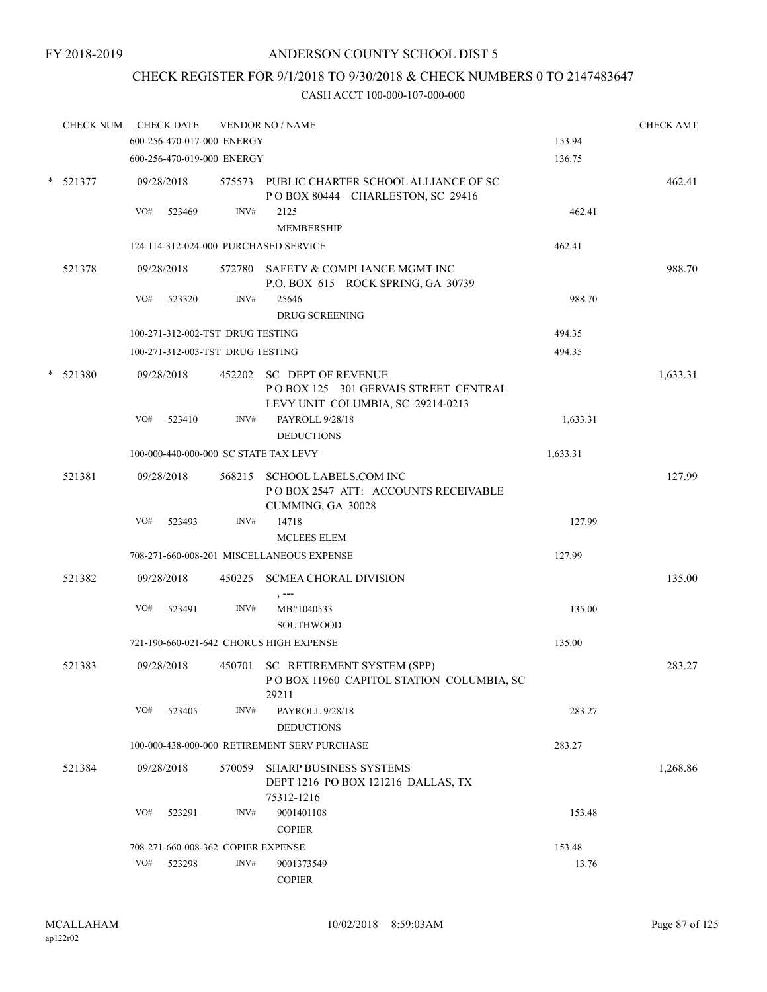# CHECK REGISTER FOR 9/1/2018 TO 9/30/2018 & CHECK NUMBERS 0 TO 2147483647

|        | <b>CHECK NUM</b> |     | <b>CHECK DATE</b>                  |        | <b>VENDOR NO / NAME</b>                                                                                |          | <b>CHECK AMT</b> |
|--------|------------------|-----|------------------------------------|--------|--------------------------------------------------------------------------------------------------------|----------|------------------|
|        |                  |     | 600-256-470-017-000 ENERGY         |        |                                                                                                        | 153.94   |                  |
|        |                  |     | 600-256-470-019-000 ENERGY         |        |                                                                                                        | 136.75   |                  |
|        | $*$ 521377       |     | 09/28/2018                         |        | 575573 PUBLIC CHARTER SCHOOL ALLIANCE OF SC<br>POBOX 80444 CHARLESTON, SC 29416                        |          | 462.41           |
|        |                  | VO# | 523469                             | INV#   | 2125<br><b>MEMBERSHIP</b>                                                                              | 462.41   |                  |
|        |                  |     |                                    |        | 124-114-312-024-000 PURCHASED SERVICE                                                                  | 462.41   |                  |
|        | 521378           |     | 09/28/2018                         |        | 572780 SAFETY & COMPLIANCE MGMT INC<br>P.O. BOX 615 ROCK SPRING, GA 30739                              |          | 988.70           |
|        |                  | VO# | 523320                             | INV#   | 25646<br><b>DRUG SCREENING</b>                                                                         | 988.70   |                  |
|        |                  |     | 100-271-312-002-TST DRUG TESTING   |        |                                                                                                        | 494.35   |                  |
|        |                  |     | 100-271-312-003-TST DRUG TESTING   |        |                                                                                                        | 494.35   |                  |
| $\ast$ | 521380           |     | 09/28/2018                         |        | 452202 SC DEPT OF REVENUE<br>POBOX 125 301 GERVAIS STREET CENTRAL<br>LEVY UNIT COLUMBIA, SC 29214-0213 |          | 1,633.31         |
|        |                  | VO# | 523410                             | INV#   | PAYROLL 9/28/18<br><b>DEDUCTIONS</b>                                                                   | 1,633.31 |                  |
|        |                  |     |                                    |        | 100-000-440-000-000 SC STATE TAX LEVY                                                                  | 1,633.31 |                  |
|        | 521381           |     | 09/28/2018                         |        | 568215 SCHOOL LABELS.COM INC<br>POBOX 2547 ATT: ACCOUNTS RECEIVABLE<br>CUMMING, GA 30028               |          | 127.99           |
|        |                  | VO# | 523493                             | INV#   | 14718<br>MCLEES ELEM                                                                                   | 127.99   |                  |
|        |                  |     |                                    |        | 708-271-660-008-201 MISCELLANEOUS EXPENSE                                                              | 127.99   |                  |
|        | 521382           |     | 09/28/2018                         | 450225 | <b>SCMEA CHORAL DIVISION</b>                                                                           |          | 135.00           |
|        |                  | VO# | 523491                             | INV#   | , ---<br>MB#1040533<br><b>SOUTHWOOD</b>                                                                | 135.00   |                  |
|        |                  |     |                                    |        | 721-190-660-021-642 CHORUS HIGH EXPENSE                                                                | 135.00   |                  |
|        | 521383           |     | 09/28/2018                         |        | 450701 SC RETIREMENT SYSTEM (SPP)<br>POBOX 11960 CAPITOL STATION COLUMBIA, SC<br>29211                 |          | 283.27           |
|        |                  | VO# | 523405                             | INV#   | PAYROLL 9/28/18<br><b>DEDUCTIONS</b>                                                                   | 283.27   |                  |
|        |                  |     |                                    |        | 100-000-438-000-000 RETIREMENT SERV PURCHASE                                                           | 283.27   |                  |
|        | 521384           |     | 09/28/2018                         | 570059 | <b>SHARP BUSINESS SYSTEMS</b><br>DEPT 1216 PO BOX 121216 DALLAS, TX<br>75312-1216                      |          | 1,268.86         |
|        |                  | VO# | 523291                             | INV#   | 9001401108<br>$\sf{COPIER}$                                                                            | 153.48   |                  |
|        |                  |     | 708-271-660-008-362 COPIER EXPENSE |        |                                                                                                        | 153.48   |                  |
|        |                  | VO# | 523298                             | INV#   | 9001373549                                                                                             | 13.76    |                  |
|        |                  |     |                                    |        | <b>COPIER</b>                                                                                          |          |                  |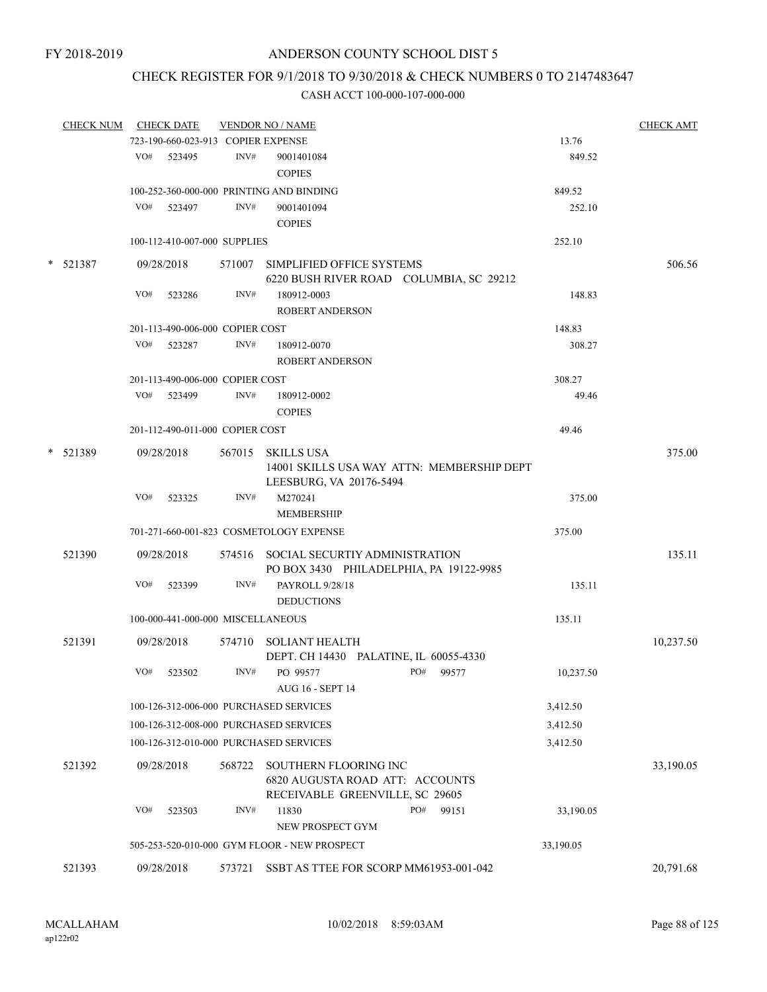## CHECK REGISTER FOR 9/1/2018 TO 9/30/2018 & CHECK NUMBERS 0 TO 2147483647

| CHECK NUM CHECK DATE |     |                                    |        | <b>VENDOR NO / NAME</b>                                         |           | <b>CHECK AMT</b> |
|----------------------|-----|------------------------------------|--------|-----------------------------------------------------------------|-----------|------------------|
|                      |     | 723-190-660-023-913 COPIER EXPENSE |        |                                                                 | 13.76     |                  |
|                      |     | VO# 523495                         | INV#   | 9001401084                                                      | 849.52    |                  |
|                      |     |                                    |        | <b>COPIES</b>                                                   |           |                  |
|                      |     |                                    |        | 100-252-360-000-000 PRINTING AND BINDING                        | 849.52    |                  |
|                      | VO# | 523497                             | INV#   | 9001401094                                                      | 252.10    |                  |
|                      |     |                                    |        | <b>COPIES</b>                                                   |           |                  |
|                      |     | 100-112-410-007-000 SUPPLIES       |        |                                                                 | 252.10    |                  |
| $*$ 521387           |     | 09/28/2018                         |        | 571007 SIMPLIFIED OFFICE SYSTEMS                                |           | 506.56           |
|                      |     |                                    |        | 6220 BUSH RIVER ROAD COLUMBIA, SC 29212                         |           |                  |
|                      | VO# | 523286                             | INV#   | 180912-0003                                                     | 148.83    |                  |
|                      |     |                                    |        | <b>ROBERT ANDERSON</b>                                          |           |                  |
|                      |     | 201-113-490-006-000 COPIER COST    |        |                                                                 | 148.83    |                  |
|                      | VO# | 523287                             | INV#   | 180912-0070                                                     | 308.27    |                  |
|                      |     |                                    |        | <b>ROBERT ANDERSON</b>                                          |           |                  |
|                      |     | 201-113-490-006-000 COPIER COST    |        |                                                                 | 308.27    |                  |
|                      |     | VO# 523499                         | INV#   | 180912-0002                                                     | 49.46     |                  |
|                      |     |                                    |        | <b>COPIES</b>                                                   |           |                  |
|                      |     | 201-112-490-011-000 COPIER COST    |        |                                                                 | 49.46     |                  |
|                      |     |                                    |        |                                                                 |           |                  |
| * 521389             |     | 09/28/2018                         |        | 567015 SKILLS USA<br>14001 SKILLS USA WAY ATTN: MEMBERSHIP DEPT |           | 375.00           |
|                      |     |                                    |        | LEESBURG, VA 20176-5494                                         |           |                  |
|                      | VO# | 523325                             | INV#   | M270241                                                         | 375.00    |                  |
|                      |     |                                    |        | <b>MEMBERSHIP</b>                                               |           |                  |
|                      |     |                                    |        | 701-271-660-001-823 COSMETOLOGY EXPENSE                         | 375.00    |                  |
|                      |     |                                    |        |                                                                 |           |                  |
| 521390               |     | 09/28/2018                         |        | 574516 SOCIAL SECURTIY ADMINISTRATION                           |           | 135.11           |
|                      | VO# | 523399                             | INV#   | PO BOX 3430 PHILADELPHIA, PA 19122-9985<br>PAYROLL 9/28/18      | 135.11    |                  |
|                      |     |                                    |        | <b>DEDUCTIONS</b>                                               |           |                  |
|                      |     |                                    |        |                                                                 |           |                  |
|                      |     | 100-000-441-000-000 MISCELLANEOUS  |        |                                                                 | 135.11    |                  |
| 521391               |     | 09/28/2018                         |        | 574710 SOLIANT HEALTH                                           |           | 10,237.50        |
|                      |     |                                    |        | DEPT. CH 14430 PALATINE, IL 60055-4330                          |           |                  |
|                      | VO# | 523502                             | INV#   | PO# 99577<br>PO 99577                                           | 10,237.50 |                  |
|                      |     |                                    |        | <b>AUG 16 - SEPT 14</b>                                         |           |                  |
|                      |     |                                    |        | 100-126-312-006-000 PURCHASED SERVICES                          | 3,412.50  |                  |
|                      |     |                                    |        | 100-126-312-008-000 PURCHASED SERVICES                          | 3,412.50  |                  |
|                      |     |                                    |        | 100-126-312-010-000 PURCHASED SERVICES                          | 3,412.50  |                  |
| 521392               |     | 09/28/2018                         | 568722 | SOUTHERN FLOORING INC                                           |           | 33,190.05        |
|                      |     |                                    |        | 6820 AUGUSTA ROAD ATT: ACCOUNTS                                 |           |                  |
|                      |     |                                    |        | RECEIVABLE GREENVILLE, SC 29605                                 |           |                  |
|                      | VO# | 523503                             | INV#   | 11830<br>PO#<br>99151                                           | 33,190.05 |                  |
|                      |     |                                    |        | NEW PROSPECT GYM                                                |           |                  |
|                      |     |                                    |        | 505-253-520-010-000 GYM FLOOR - NEW PROSPECT                    | 33,190.05 |                  |
| 521393               |     | 09/28/2018                         | 573721 | SSBT AS TTEE FOR SCORP MM61953-001-042                          |           | 20,791.68        |
|                      |     |                                    |        |                                                                 |           |                  |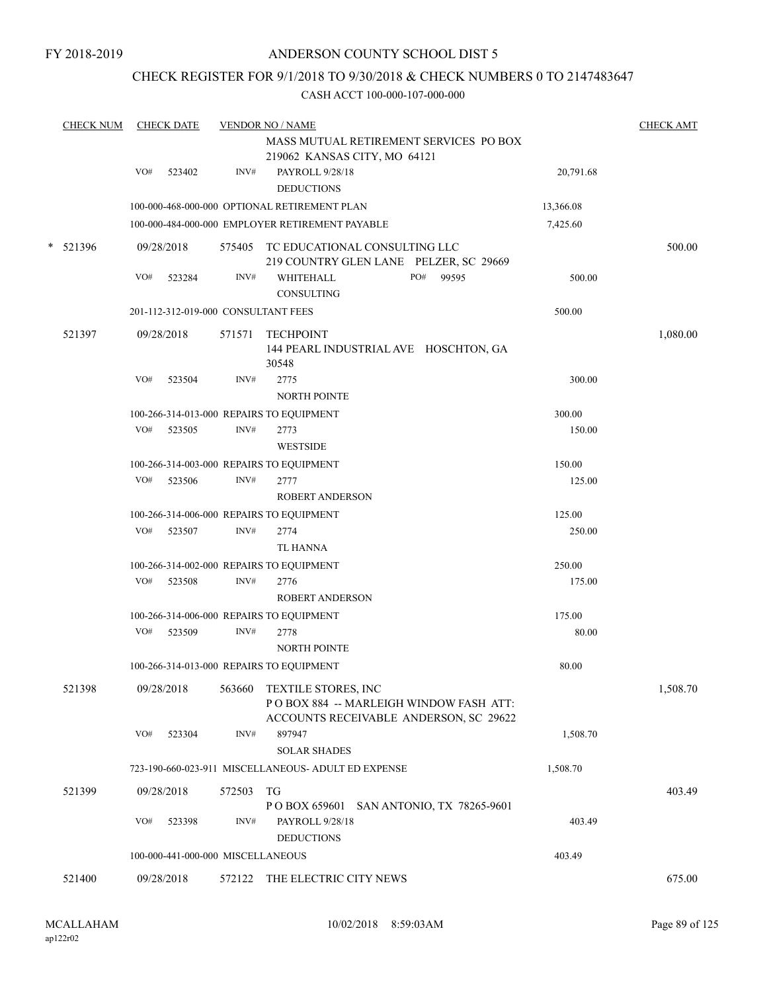## CHECK REGISTER FOR 9/1/2018 TO 9/30/2018 & CHECK NUMBERS 0 TO 2147483647

|        | <b>CHECK NUM</b> |     | <b>CHECK DATE</b>                   |        | <b>VENDOR NO / NAME</b>                                                                                 |           | <b>CHECK AMT</b> |
|--------|------------------|-----|-------------------------------------|--------|---------------------------------------------------------------------------------------------------------|-----------|------------------|
|        |                  |     |                                     |        | MASS MUTUAL RETIREMENT SERVICES PO BOX<br>219062 KANSAS CITY, MO 64121                                  |           |                  |
|        |                  | VO# | 523402                              | INV#   | PAYROLL 9/28/18<br><b>DEDUCTIONS</b>                                                                    | 20,791.68 |                  |
|        |                  |     |                                     |        | 100-000-468-000-000 OPTIONAL RETIREMENT PLAN                                                            | 13,366.08 |                  |
|        |                  |     |                                     |        | 100-000-484-000-000 EMPLOYER RETIREMENT PAYABLE                                                         | 7,425.60  |                  |
| $\ast$ | 521396           |     | 09/28/2018                          |        | 575405 TC EDUCATIONAL CONSULTING LLC<br>219 COUNTRY GLEN LANE PELZER, SC 29669                          |           | 500.00           |
|        |                  | VO# | 523284                              | INV#   | PO# 99595<br>WHITEHALL<br><b>CONSULTING</b>                                                             | 500.00    |                  |
|        |                  |     | 201-112-312-019-000 CONSULTANT FEES |        |                                                                                                         | 500.00    |                  |
|        | 521397           |     | 09/28/2018                          | 571571 | TECHPOINT<br>144 PEARL INDUSTRIAL AVE HOSCHTON, GA<br>30548                                             |           | 1,080.00         |
|        |                  | VO# | 523504                              | INV#   | 2775<br><b>NORTH POINTE</b>                                                                             | 300.00    |                  |
|        |                  |     |                                     |        | 100-266-314-013-000 REPAIRS TO EQUIPMENT                                                                | 300.00    |                  |
|        |                  | VO# | 523505                              | INV#   | 2773<br><b>WESTSIDE</b>                                                                                 | 150.00    |                  |
|        |                  |     |                                     |        | 100-266-314-003-000 REPAIRS TO EQUIPMENT                                                                | 150.00    |                  |
|        |                  | VO# | 523506                              | INV#   | 2777<br><b>ROBERT ANDERSON</b>                                                                          | 125.00    |                  |
|        |                  |     |                                     |        | 100-266-314-006-000 REPAIRS TO EQUIPMENT                                                                | 125.00    |                  |
|        |                  |     | VO# 523507                          | INV#   | 2774                                                                                                    | 250.00    |                  |
|        |                  |     |                                     |        | TL HANNA                                                                                                |           |                  |
|        |                  |     |                                     |        | 100-266-314-002-000 REPAIRS TO EQUIPMENT                                                                | 250.00    |                  |
|        |                  | VO# | 523508                              | INV#   | 2776<br><b>ROBERT ANDERSON</b>                                                                          | 175.00    |                  |
|        |                  |     |                                     |        | 100-266-314-006-000 REPAIRS TO EQUIPMENT                                                                | 175.00    |                  |
|        |                  | VO# | 523509                              | INV#   | 2778<br><b>NORTH POINTE</b>                                                                             | 80.00     |                  |
|        |                  |     |                                     |        | 100-266-314-013-000 REPAIRS TO EQUIPMENT                                                                | 80.00     |                  |
|        | 521398           |     | 09/28/2018                          | 563660 | TEXTILE STORES, INC<br>POBOX 884 -- MARLEIGH WINDOW FASH ATT:<br>ACCOUNTS RECEIVABLE ANDERSON, SC 29622 |           | 1,508.70         |
|        |                  | VO# | 523304                              | INV#   | 897947<br><b>SOLAR SHADES</b>                                                                           | 1,508.70  |                  |
|        |                  |     |                                     |        | 723-190-660-023-911 MISCELLANEOUS- ADULT ED EXPENSE                                                     | 1,508.70  |                  |
|        | 521399           |     | 09/28/2018                          | 572503 | TG<br>P O BOX 659601 SAN ANTONIO, TX 78265-9601                                                         |           | 403.49           |
|        |                  | VO# | 523398                              | INV#   | PAYROLL 9/28/18<br><b>DEDUCTIONS</b>                                                                    | 403.49    |                  |
|        |                  |     | 100-000-441-000-000 MISCELLANEOUS   |        |                                                                                                         | 403.49    |                  |
|        | 521400           |     | 09/28/2018                          | 572122 | THE ELECTRIC CITY NEWS                                                                                  |           | 675.00           |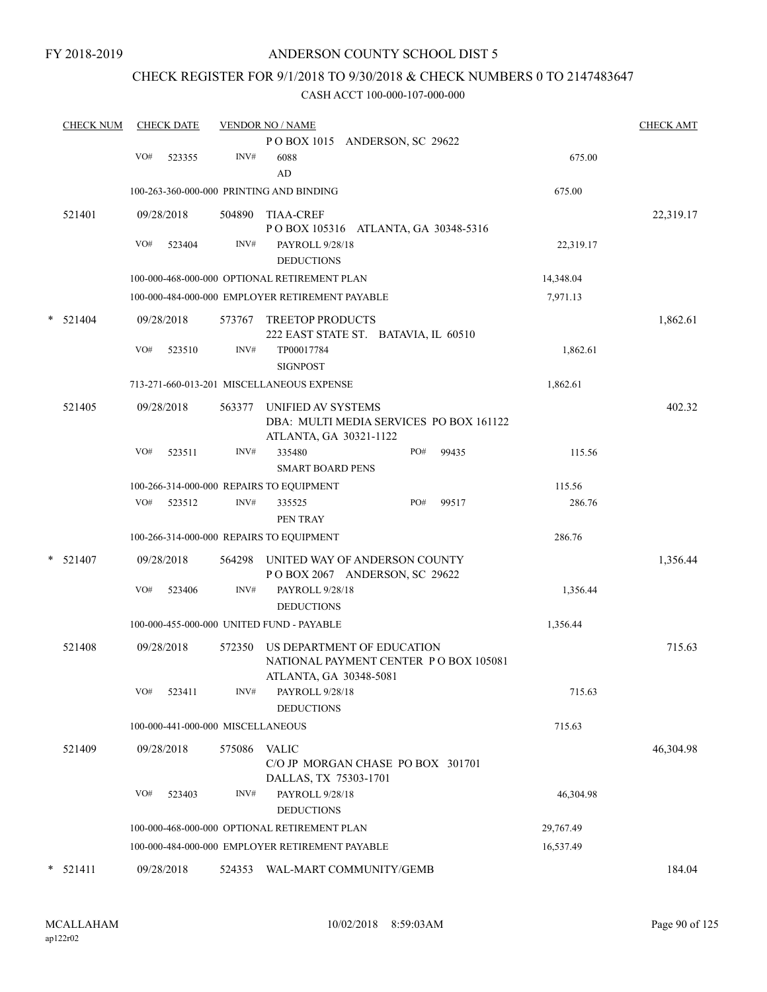## CHECK REGISTER FOR 9/1/2018 TO 9/30/2018 & CHECK NUMBERS 0 TO 2147483647

| <b>CHECK NUM</b> | <b>CHECK DATE</b>                                  |        |                                                                                                | <b>VENDOR NO / NAME</b>       |                                   |                                                                                                                                                                                                                                                                                                                                                                                                                                                                                                                                                                                                                                                           |                                                  |                                                                                                                                                                                                                                                    |                                                                                  |  |
|------------------|----------------------------------------------------|--------|------------------------------------------------------------------------------------------------|-------------------------------|-----------------------------------|-----------------------------------------------------------------------------------------------------------------------------------------------------------------------------------------------------------------------------------------------------------------------------------------------------------------------------------------------------------------------------------------------------------------------------------------------------------------------------------------------------------------------------------------------------------------------------------------------------------------------------------------------------------|--------------------------------------------------|----------------------------------------------------------------------------------------------------------------------------------------------------------------------------------------------------------------------------------------------------|----------------------------------------------------------------------------------|--|
|                  |                                                    |        | POBOX 1015 ANDERSON, SC 29622                                                                  |                               |                                   |                                                                                                                                                                                                                                                                                                                                                                                                                                                                                                                                                                                                                                                           |                                                  |                                                                                                                                                                                                                                                    |                                                                                  |  |
|                  | VO#                                                | 523355 | INV#                                                                                           | 6088<br>AD                    |                                   |                                                                                                                                                                                                                                                                                                                                                                                                                                                                                                                                                                                                                                                           |                                                  | 675.00                                                                                                                                                                                                                                             |                                                                                  |  |
|                  | 100-263-360-000-000 PRINTING AND BINDING<br>675.00 |        |                                                                                                |                               |                                   |                                                                                                                                                                                                                                                                                                                                                                                                                                                                                                                                                                                                                                                           |                                                  |                                                                                                                                                                                                                                                    |                                                                                  |  |
| 521401           |                                                    |        | 504890                                                                                         | TIAA-CREF                     |                                   |                                                                                                                                                                                                                                                                                                                                                                                                                                                                                                                                                                                                                                                           |                                                  |                                                                                                                                                                                                                                                    | 22,319.17                                                                        |  |
|                  | VO#                                                | 523404 | INV#                                                                                           |                               |                                   |                                                                                                                                                                                                                                                                                                                                                                                                                                                                                                                                                                                                                                                           |                                                  | 22,319.17                                                                                                                                                                                                                                          |                                                                                  |  |
|                  |                                                    |        |                                                                                                |                               |                                   |                                                                                                                                                                                                                                                                                                                                                                                                                                                                                                                                                                                                                                                           |                                                  | 14,348.04                                                                                                                                                                                                                                          |                                                                                  |  |
|                  |                                                    |        |                                                                                                |                               |                                   |                                                                                                                                                                                                                                                                                                                                                                                                                                                                                                                                                                                                                                                           |                                                  | 7,971.13                                                                                                                                                                                                                                           |                                                                                  |  |
| 521404           |                                                    |        | 573767                                                                                         |                               |                                   |                                                                                                                                                                                                                                                                                                                                                                                                                                                                                                                                                                                                                                                           |                                                  |                                                                                                                                                                                                                                                    | 1,862.61                                                                         |  |
|                  | VO#                                                | 523510 | INV#                                                                                           | TP00017784<br><b>SIGNPOST</b> |                                   |                                                                                                                                                                                                                                                                                                                                                                                                                                                                                                                                                                                                                                                           |                                                  | 1,862.61                                                                                                                                                                                                                                           |                                                                                  |  |
|                  |                                                    |        |                                                                                                |                               |                                   |                                                                                                                                                                                                                                                                                                                                                                                                                                                                                                                                                                                                                                                           |                                                  | 1,862.61                                                                                                                                                                                                                                           |                                                                                  |  |
| 521405           |                                                    |        | 563377                                                                                         |                               |                                   |                                                                                                                                                                                                                                                                                                                                                                                                                                                                                                                                                                                                                                                           |                                                  |                                                                                                                                                                                                                                                    | 402.32                                                                           |  |
|                  | VO#                                                | 523511 | INV#                                                                                           | 335480                        |                                   | PO#                                                                                                                                                                                                                                                                                                                                                                                                                                                                                                                                                                                                                                                       | 99435                                            | 115.56                                                                                                                                                                                                                                             |                                                                                  |  |
|                  |                                                    |        |                                                                                                |                               |                                   |                                                                                                                                                                                                                                                                                                                                                                                                                                                                                                                                                                                                                                                           |                                                  | 115.56                                                                                                                                                                                                                                             |                                                                                  |  |
|                  | VO#                                                | 523512 | INV#                                                                                           | 335525<br>PEN TRAY            |                                   | PO#                                                                                                                                                                                                                                                                                                                                                                                                                                                                                                                                                                                                                                                       | 99517                                            | 286.76                                                                                                                                                                                                                                             |                                                                                  |  |
|                  |                                                    |        |                                                                                                |                               |                                   |                                                                                                                                                                                                                                                                                                                                                                                                                                                                                                                                                                                                                                                           |                                                  | 286.76                                                                                                                                                                                                                                             |                                                                                  |  |
| $*$ 521407       |                                                    |        | 564298                                                                                         |                               |                                   |                                                                                                                                                                                                                                                                                                                                                                                                                                                                                                                                                                                                                                                           |                                                  |                                                                                                                                                                                                                                                    | 1,356.44                                                                         |  |
|                  | VO#                                                | 523406 | INV#                                                                                           |                               |                                   |                                                                                                                                                                                                                                                                                                                                                                                                                                                                                                                                                                                                                                                           |                                                  | 1,356.44                                                                                                                                                                                                                                           |                                                                                  |  |
|                  |                                                    |        |                                                                                                |                               |                                   |                                                                                                                                                                                                                                                                                                                                                                                                                                                                                                                                                                                                                                                           |                                                  | 1,356.44                                                                                                                                                                                                                                           |                                                                                  |  |
| 521408           |                                                    |        | 572350                                                                                         |                               |                                   |                                                                                                                                                                                                                                                                                                                                                                                                                                                                                                                                                                                                                                                           |                                                  |                                                                                                                                                                                                                                                    | 715.63                                                                           |  |
|                  | VO#                                                | 523411 | INV#                                                                                           |                               |                                   |                                                                                                                                                                                                                                                                                                                                                                                                                                                                                                                                                                                                                                                           |                                                  | 715.63                                                                                                                                                                                                                                             |                                                                                  |  |
|                  |                                                    |        |                                                                                                |                               |                                   |                                                                                                                                                                                                                                                                                                                                                                                                                                                                                                                                                                                                                                                           |                                                  | 715.63                                                                                                                                                                                                                                             |                                                                                  |  |
| 521409           |                                                    |        | 575086                                                                                         | <b>VALIC</b>                  |                                   |                                                                                                                                                                                                                                                                                                                                                                                                                                                                                                                                                                                                                                                           |                                                  |                                                                                                                                                                                                                                                    | 46,304.98                                                                        |  |
|                  | VO#                                                | 523403 | INV#                                                                                           |                               |                                   |                                                                                                                                                                                                                                                                                                                                                                                                                                                                                                                                                                                                                                                           |                                                  | 46,304.98                                                                                                                                                                                                                                          |                                                                                  |  |
|                  |                                                    |        |                                                                                                |                               |                                   |                                                                                                                                                                                                                                                                                                                                                                                                                                                                                                                                                                                                                                                           |                                                  | 29,767.49                                                                                                                                                                                                                                          |                                                                                  |  |
|                  |                                                    |        |                                                                                                |                               |                                   |                                                                                                                                                                                                                                                                                                                                                                                                                                                                                                                                                                                                                                                           |                                                  | 16,537.49                                                                                                                                                                                                                                          |                                                                                  |  |
| 521411           |                                                    |        |                                                                                                |                               |                                   |                                                                                                                                                                                                                                                                                                                                                                                                                                                                                                                                                                                                                                                           |                                                  |                                                                                                                                                                                                                                                    | 184.04                                                                           |  |
|                  |                                                    |        | 09/28/2018<br>09/28/2018<br>09/28/2018<br>09/28/2018<br>09/28/2018<br>09/28/2018<br>09/28/2018 |                               | 100-000-441-000-000 MISCELLANEOUS | PAYROLL 9/28/18<br><b>DEDUCTIONS</b><br>100-000-468-000-000 OPTIONAL RETIREMENT PLAN<br>100-000-484-000-000 EMPLOYER RETIREMENT PAYABLE<br><b>TREETOP PRODUCTS</b><br>713-271-660-013-201 MISCELLANEOUS EXPENSE<br>UNIFIED AV SYSTEMS<br><b>SMART BOARD PENS</b><br>100-266-314-000-000 REPAIRS TO EQUIPMENT<br>100-266-314-000-000 REPAIRS TO EQUIPMENT<br>PAYROLL 9/28/18<br><b>DEDUCTIONS</b><br>100-000-455-000-000 UNITED FUND - PAYABLE<br>PAYROLL 9/28/18<br><b>DEDUCTIONS</b><br>DALLAS, TX 75303-1701<br>PAYROLL 9/28/18<br><b>DEDUCTIONS</b><br>100-000-468-000-000 OPTIONAL RETIREMENT PLAN<br>100-000-484-000-000 EMPLOYER RETIREMENT PAYABLE | ATLANTA, GA 30321-1122<br>ATLANTA, GA 30348-5081 | POBOX 105316 ATLANTA, GA 30348-5316<br>222 EAST STATE ST. BATAVIA, IL 60510<br>UNITED WAY OF ANDERSON COUNTY<br>POBOX 2067 ANDERSON, SC 29622<br>US DEPARTMENT OF EDUCATION<br>C/O JP MORGAN CHASE PO BOX 301701<br>524353 WAL-MART COMMUNITY/GEMB | DBA: MULTI MEDIA SERVICES PO BOX 161122<br>NATIONAL PAYMENT CENTER PO BOX 105081 |  |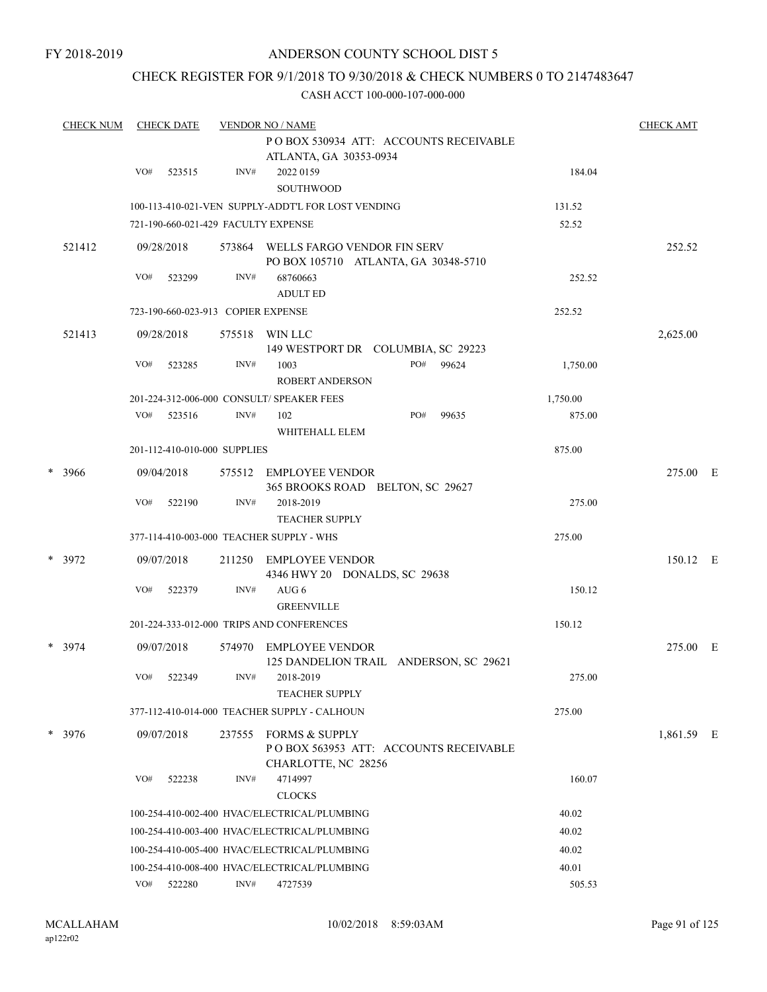FY 2018-2019

## ANDERSON COUNTY SCHOOL DIST 5

# CHECK REGISTER FOR 9/1/2018 TO 9/30/2018 & CHECK NUMBERS 0 TO 2147483647

| <b>CHECK NUM</b> | <b>CHECK DATE</b>                     |                                    |        | <b>VENDOR NO / NAME</b>                                                      | <b>CHECK AMT</b> |       |          |            |  |
|------------------|---------------------------------------|------------------------------------|--------|------------------------------------------------------------------------------|------------------|-------|----------|------------|--|
|                  | POBOX 530934 ATT: ACCOUNTS RECEIVABLE |                                    |        |                                                                              |                  |       |          |            |  |
|                  |                                       |                                    |        | ATLANTA, GA 30353-0934                                                       |                  |       |          |            |  |
|                  | VO#                                   | 523515                             | INV#   | 2022 0159<br><b>SOUTHWOOD</b>                                                |                  |       | 184.04   |            |  |
|                  |                                       |                                    |        | 100-113-410-021-VEN SUPPLY-ADDT'L FOR LOST VENDING                           |                  |       | 131.52   |            |  |
|                  |                                       |                                    |        | 721-190-660-021-429 FACULTY EXPENSE                                          |                  |       | 52.52    |            |  |
|                  |                                       |                                    |        |                                                                              |                  |       |          |            |  |
| 521412           |                                       | 09/28/2018                         | 573864 | WELLS FARGO VENDOR FIN SERV<br>PO BOX 105710 ATLANTA, GA 30348-5710          |                  |       |          | 252.52     |  |
|                  | VO#                                   | 523299                             | INV#   | 68760663<br><b>ADULT ED</b>                                                  |                  |       | 252.52   |            |  |
|                  |                                       | 723-190-660-023-913 COPIER EXPENSE |        |                                                                              |                  |       | 252.52   |            |  |
| 521413           |                                       | 09/28/2018                         | 575518 | WIN LLC<br>149 WESTPORT DR COLUMBIA, SC 29223                                |                  |       |          | 2,625.00   |  |
|                  | VO#                                   | 523285                             | INV#   | 1003                                                                         | PO#              | 99624 | 1,750.00 |            |  |
|                  |                                       |                                    |        | <b>ROBERT ANDERSON</b>                                                       |                  |       |          |            |  |
|                  |                                       |                                    |        | 201-224-312-006-000 CONSULT/ SPEAKER FEES                                    |                  |       | 1,750.00 |            |  |
|                  | VO#                                   | 523516                             | INV#   | 102                                                                          | PO#              | 99635 | 875.00   |            |  |
|                  |                                       |                                    |        | WHITEHALL ELEM                                                               |                  |       |          |            |  |
|                  |                                       | 201-112-410-010-000 SUPPLIES       |        |                                                                              |                  |       | 875.00   |            |  |
| $*3966$          |                                       | 09/04/2018                         | 575512 | EMPLOYEE VENDOR<br>365 BROOKS ROAD BELTON, SC 29627                          |                  |       |          | 275.00 E   |  |
|                  | VO#                                   | 522190                             | INV#   | 2018-2019<br><b>TEACHER SUPPLY</b>                                           |                  |       | 275.00   |            |  |
|                  |                                       |                                    |        | 377-114-410-003-000 TEACHER SUPPLY - WHS                                     |                  |       | 275.00   |            |  |
| $* 3972$         |                                       | 09/07/2018                         | 211250 | EMPLOYEE VENDOR<br>4346 HWY 20 DONALDS, SC 29638                             |                  |       |          | 150.12 E   |  |
|                  | VO#                                   | 522379                             | INV#   | AUG 6<br><b>GREENVILLE</b>                                                   |                  |       | 150.12   |            |  |
|                  |                                       |                                    |        | 201-224-333-012-000 TRIPS AND CONFERENCES                                    |                  |       | 150.12   |            |  |
| * 3974           |                                       | 09/07/2018                         | 574970 | EMPLOYEE VENDOR                                                              |                  |       |          | 275.00 E   |  |
|                  | VO#                                   | 522349                             | INV#   | 125 DANDELION TRAIL ANDERSON, SC 29621<br>2018-2019<br><b>TEACHER SUPPLY</b> |                  |       | 275.00   |            |  |
|                  |                                       |                                    |        | 377-112-410-014-000 TEACHER SUPPLY - CALHOUN                                 |                  |       | 275.00   |            |  |
| $* 3976$         |                                       | 09/07/2018                         | 237555 | FORMS & SUPPLY<br>PO BOX 563953 ATT: ACCOUNTS RECEIVABLE                     |                  |       |          | 1,861.59 E |  |
|                  | VO#                                   | 522238                             | INV#   | CHARLOTTE, NC 28256<br>4714997<br><b>CLOCKS</b>                              |                  |       | 160.07   |            |  |
|                  |                                       |                                    |        | 100-254-410-002-400 HVAC/ELECTRICAL/PLUMBING                                 |                  |       | 40.02    |            |  |
|                  |                                       |                                    |        | 100-254-410-003-400 HVAC/ELECTRICAL/PLUMBING                                 |                  |       | 40.02    |            |  |
|                  |                                       |                                    |        | 100-254-410-005-400 HVAC/ELECTRICAL/PLUMBING                                 |                  |       | 40.02    |            |  |
|                  |                                       |                                    |        | 100-254-410-008-400 HVAC/ELECTRICAL/PLUMBING                                 |                  |       | 40.01    |            |  |
|                  |                                       | VO# 522280                         | INV#   | 4727539                                                                      |                  |       | 505.53   |            |  |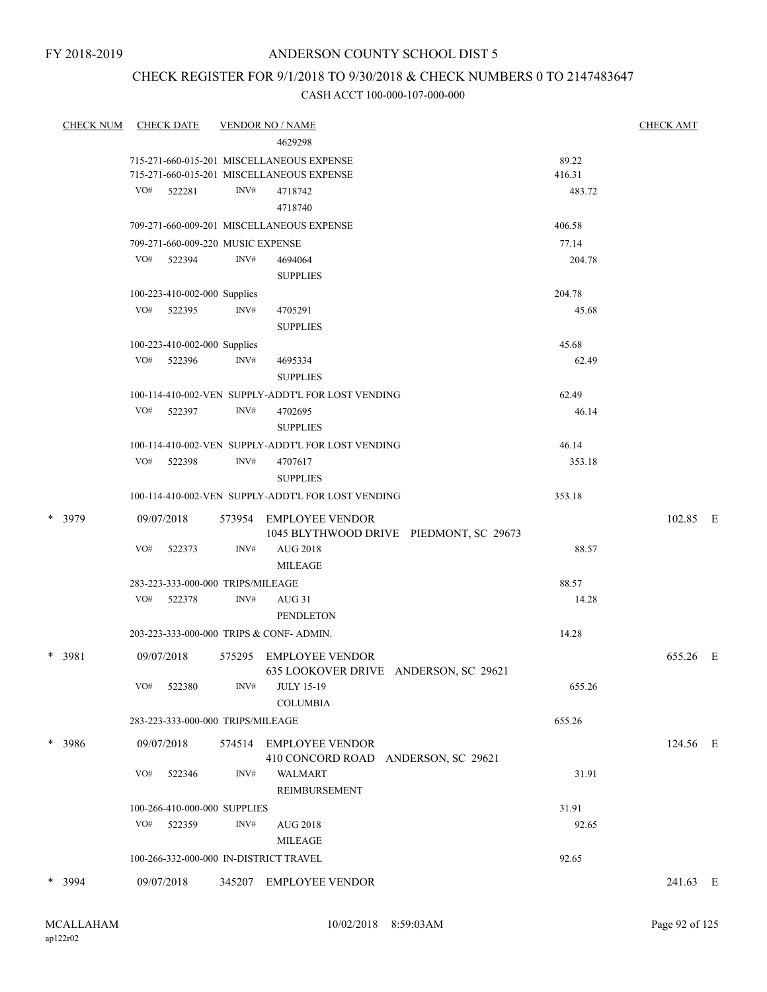## CHECK REGISTER FOR 9/1/2018 TO 9/30/2018 & CHECK NUMBERS 0 TO 2147483647

| <b>CHECK NUM</b> |     | <b>CHECK DATE</b>                 |      | <b>VENDOR NO / NAME</b>                                           |        | <u>CHECK AMT</u> |
|------------------|-----|-----------------------------------|------|-------------------------------------------------------------------|--------|------------------|
|                  |     |                                   |      | 4629298                                                           |        |                  |
|                  |     |                                   |      | 715-271-660-015-201 MISCELLANEOUS EXPENSE                         | 89.22  |                  |
|                  |     |                                   |      | 715-271-660-015-201 MISCELLANEOUS EXPENSE                         | 416.31 |                  |
|                  | VO# | 522281                            | INV# | 4718742<br>4718740                                                | 483.72 |                  |
|                  |     |                                   |      | 709-271-660-009-201 MISCELLANEOUS EXPENSE                         | 406.58 |                  |
|                  |     | 709-271-660-009-220 MUSIC EXPENSE |      |                                                                   | 77.14  |                  |
|                  |     | VO# 522394                        | INV# | 4694064                                                           | 204.78 |                  |
|                  |     |                                   |      | <b>SUPPLIES</b>                                                   |        |                  |
|                  |     | 100-223-410-002-000 Supplies      |      |                                                                   | 204.78 |                  |
|                  | VO# | 522395                            | INV# | 4705291                                                           | 45.68  |                  |
|                  |     |                                   |      | <b>SUPPLIES</b>                                                   |        |                  |
|                  |     | 100-223-410-002-000 Supplies      |      |                                                                   | 45.68  |                  |
|                  |     | VO# 522396                        | INV# | 4695334                                                           | 62.49  |                  |
|                  |     |                                   |      | <b>SUPPLIES</b>                                                   |        |                  |
|                  |     |                                   |      | 100-114-410-002-VEN SUPPLY-ADDT'L FOR LOST VENDING                | 62.49  |                  |
|                  | VO# | 522397                            | INV# | 4702695                                                           | 46.14  |                  |
|                  |     |                                   |      | <b>SUPPLIES</b>                                                   |        |                  |
|                  |     |                                   |      | 100-114-410-002-VEN SUPPLY-ADDT'L FOR LOST VENDING                | 46.14  |                  |
|                  | VO# | 522398                            | INV# | 4707617                                                           | 353.18 |                  |
|                  |     |                                   |      | <b>SUPPLIES</b>                                                   |        |                  |
|                  |     |                                   |      | 100-114-410-002-VEN SUPPLY-ADDT'L FOR LOST VENDING                | 353.18 |                  |
| * 3979           |     | 09/07/2018                        |      | 573954 EMPLOYEE VENDOR<br>1045 BLYTHWOOD DRIVE PIEDMONT, SC 29673 |        | 102.85 E         |
|                  | VO# | 522373                            | INV# | <b>AUG 2018</b>                                                   | 88.57  |                  |
|                  |     |                                   |      | MILEAGE                                                           |        |                  |
|                  |     | 283-223-333-000-000 TRIPS/MILEAGE |      |                                                                   | 88.57  |                  |
|                  | VO# | 522378                            | INV# | AUG 31                                                            | 14.28  |                  |
|                  |     |                                   |      | PENDLETON                                                         |        |                  |
|                  |     |                                   |      | 203-223-333-000-000 TRIPS & CONF-ADMIN.                           | 14.28  |                  |
| * 3981           |     | 09/07/2018                        |      | 575295 EMPLOYEE VENDOR                                            |        | 655.26 E         |
|                  |     |                                   |      | 635 LOOKOVER DRIVE ANDERSON, SC 29621                             |        |                  |
|                  | VO# | 522380                            | INV# | <b>JULY 15-19</b>                                                 | 655.26 |                  |
|                  |     |                                   |      | <b>COLUMBIA</b>                                                   |        |                  |
|                  |     | 283-223-333-000-000 TRIPS/MILEAGE |      |                                                                   | 655.26 |                  |
| * 3986           |     | 09/07/2018                        |      | 574514 EMPLOYEE VENDOR<br>410 CONCORD ROAD ANDERSON, SC 29621     |        | 124.56 E         |
|                  | VO# | 522346                            | INV# | WALMART                                                           | 31.91  |                  |
|                  |     |                                   |      | <b>REIMBURSEMENT</b>                                              |        |                  |
|                  |     | 100-266-410-000-000 SUPPLIES      |      |                                                                   | 31.91  |                  |
|                  | VO# | 522359                            | INV# | <b>AUG 2018</b>                                                   | 92.65  |                  |
|                  |     |                                   |      | <b>MILEAGE</b>                                                    |        |                  |
|                  |     |                                   |      | 100-266-332-000-000 IN-DISTRICT TRAVEL                            |        |                  |
|                  |     |                                   |      |                                                                   | 92.65  |                  |
| * 3994           |     | 09/07/2018                        |      | 345207 EMPLOYEE VENDOR                                            |        | 241.63 E         |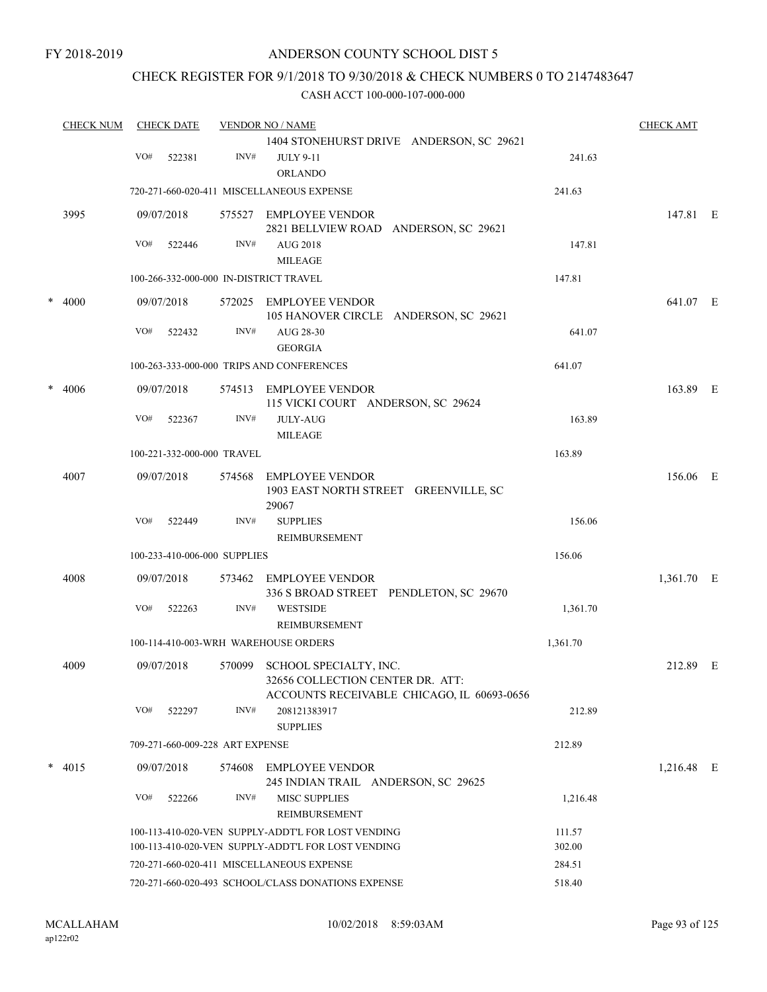## CHECK REGISTER FOR 9/1/2018 TO 9/30/2018 & CHECK NUMBERS 0 TO 2147483647

| <b>CHECK NUM</b> |     | <b>CHECK DATE</b> |                                 | <b>VENDOR NO / NAME</b>                                                                                  |                  | <b>CHECK AMT</b> |  |
|------------------|-----|-------------------|---------------------------------|----------------------------------------------------------------------------------------------------------|------------------|------------------|--|
|                  | VO# | 522381            | INV#                            | 1404 STONEHURST DRIVE ANDERSON, SC 29621<br><b>JULY 9-11</b>                                             | 241.63           |                  |  |
|                  |     |                   |                                 | <b>ORLANDO</b>                                                                                           |                  |                  |  |
|                  |     |                   |                                 | 720-271-660-020-411 MISCELLANEOUS EXPENSE                                                                | 241.63           |                  |  |
| 3995             |     | 09/07/2018        |                                 | 575527 EMPLOYEE VENDOR<br>2821 BELLVIEW ROAD ANDERSON, SC 29621                                          |                  | 147.81 E         |  |
|                  | VO# | 522446            | INV#                            | <b>AUG 2018</b><br><b>MILEAGE</b>                                                                        | 147.81           |                  |  |
|                  |     |                   |                                 | 100-266-332-000-000 IN-DISTRICT TRAVEL                                                                   | 147.81           |                  |  |
| $* 4000$         |     | 09/07/2018        |                                 | 572025 EMPLOYEE VENDOR<br>105 HANOVER CIRCLE ANDERSON, SC 29621                                          |                  | 641.07 E         |  |
|                  | VO# | 522432            | INV#                            | AUG 28-30<br><b>GEORGIA</b>                                                                              | 641.07           |                  |  |
|                  |     |                   |                                 | 100-263-333-000-000 TRIPS AND CONFERENCES                                                                | 641.07           |                  |  |
| $* 4006$         |     | 09/07/2018        | 574513                          | EMPLOYEE VENDOR<br>115 VICKI COURT ANDERSON, SC 29624                                                    |                  | 163.89 E         |  |
|                  | VO# | 522367            | INV#                            | <b>JULY-AUG</b><br><b>MILEAGE</b>                                                                        | 163.89           |                  |  |
|                  |     |                   | 100-221-332-000-000 TRAVEL      |                                                                                                          | 163.89           |                  |  |
| 4007             |     | 09/07/2018        | 574568                          | <b>EMPLOYEE VENDOR</b><br>1903 EAST NORTH STREET GREENVILLE, SC<br>29067                                 |                  | 156.06 E         |  |
|                  | VO# | 522449            | INV#                            | <b>SUPPLIES</b>                                                                                          | 156.06           |                  |  |
|                  |     |                   |                                 | REIMBURSEMENT                                                                                            |                  |                  |  |
|                  |     |                   | 100-233-410-006-000 SUPPLIES    |                                                                                                          | 156.06           |                  |  |
| 4008             |     | 09/07/2018        |                                 | 573462 EMPLOYEE VENDOR<br>336 S BROAD STREET PENDLETON, SC 29670                                         |                  | 1,361.70 E       |  |
|                  | VO# | 522263            | INV#                            | <b>WESTSIDE</b><br>REIMBURSEMENT                                                                         | 1,361.70         |                  |  |
|                  |     |                   |                                 | 100-114-410-003-WRH WAREHOUSE ORDERS                                                                     | 1,361.70         |                  |  |
| 4009             |     | 09/07/2018        | 570099                          | SCHOOL SPECIALTY, INC.<br>32656 COLLECTION CENTER DR. ATT:<br>ACCOUNTS RECEIVABLE CHICAGO, IL 60693-0656 |                  | 212.89 E         |  |
|                  | VO# | 522297            | INV#                            | 208121383917<br><b>SUPPLIES</b>                                                                          | 212.89           |                  |  |
|                  |     |                   | 709-271-660-009-228 ART EXPENSE |                                                                                                          | 212.89           |                  |  |
| $*$ 4015         |     | 09/07/2018        |                                 | 574608 EMPLOYEE VENDOR<br>245 INDIAN TRAIL ANDERSON, SC 29625                                            |                  | 1,216.48 E       |  |
|                  | VO# | 522266            | INV#                            | <b>MISC SUPPLIES</b><br>REIMBURSEMENT                                                                    | 1,216.48         |                  |  |
|                  |     |                   |                                 | 100-113-410-020-VEN SUPPLY-ADDT'L FOR LOST VENDING                                                       | 111.57           |                  |  |
|                  |     |                   |                                 | 100-113-410-020-VEN SUPPLY-ADDT'L FOR LOST VENDING<br>720-271-660-020-411 MISCELLANEOUS EXPENSE          | 302.00<br>284.51 |                  |  |
|                  |     |                   |                                 | 720-271-660-020-493 SCHOOL/CLASS DONATIONS EXPENSE                                                       | 518.40           |                  |  |
|                  |     |                   |                                 |                                                                                                          |                  |                  |  |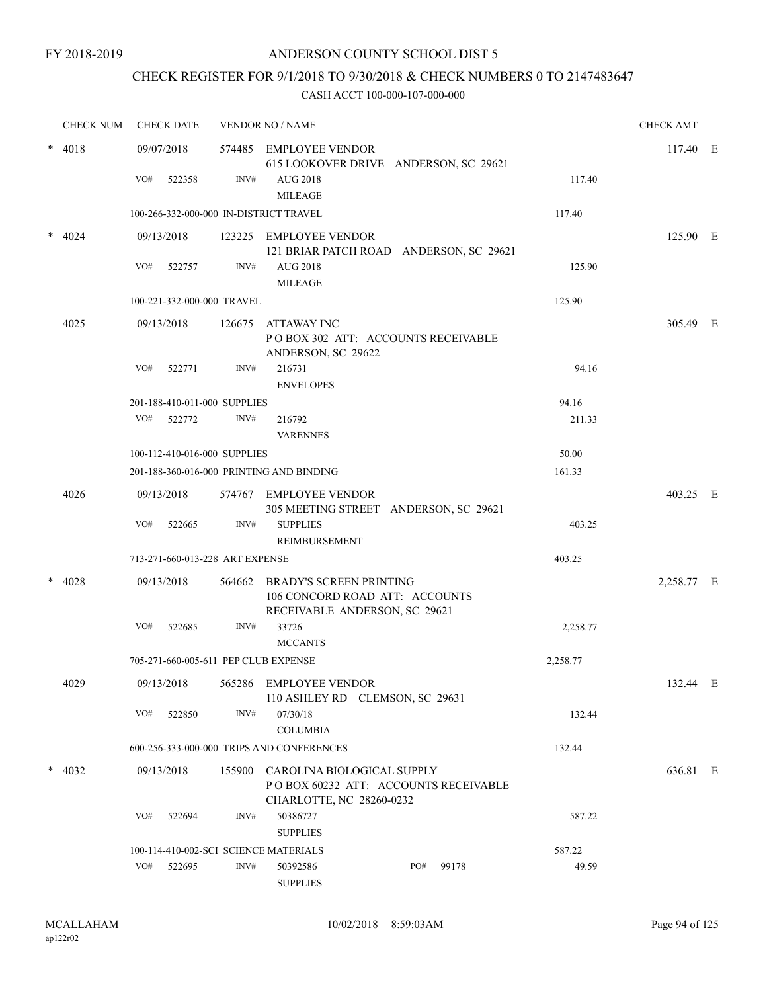## CHECK REGISTER FOR 9/1/2018 TO 9/30/2018 & CHECK NUMBERS 0 TO 2147483647

|  | <b>CHECK NUM</b>                         |     | <b>CHECK DATE</b>               |      | <b>VENDOR NO / NAME</b>                                                                               |     |       |          | <b>CHECK AMT</b> |  |
|--|------------------------------------------|-----|---------------------------------|------|-------------------------------------------------------------------------------------------------------|-----|-------|----------|------------------|--|
|  | $* 4018$                                 |     | 09/07/2018                      |      | 574485 EMPLOYEE VENDOR<br>615 LOOKOVER DRIVE ANDERSON, SC 29621                                       |     |       |          | 117.40 E         |  |
|  |                                          | VO# | 522358                          | INV# | AUG 2018<br><b>MILEAGE</b>                                                                            |     |       | 117.40   |                  |  |
|  |                                          |     |                                 |      | 100-266-332-000-000 IN-DISTRICT TRAVEL                                                                |     |       | 117.40   |                  |  |
|  | 4024                                     |     | 09/13/2018                      |      | 123225 EMPLOYEE VENDOR<br>121 BRIAR PATCH ROAD ANDERSON, SC 29621                                     |     |       |          | 125.90 E         |  |
|  |                                          |     | VO# 522757                      | INV# | <b>AUG 2018</b><br><b>MILEAGE</b>                                                                     |     |       | 125.90   |                  |  |
|  |                                          |     | 100-221-332-000-000 TRAVEL      |      |                                                                                                       |     |       | 125.90   |                  |  |
|  | 4025                                     |     | 09/13/2018                      |      | 126675 ATTAWAY INC<br>POBOX 302 ATT: ACCOUNTS RECEIVABLE<br>ANDERSON, SC 29622                        |     |       |          | 305.49 E         |  |
|  |                                          | VO# | 522771                          | INV# | 216731<br><b>ENVELOPES</b>                                                                            |     |       | 94.16    |                  |  |
|  |                                          |     | 201-188-410-011-000 SUPPLIES    |      |                                                                                                       |     |       | 94.16    |                  |  |
|  |                                          |     | VO# 522772                      | INV# | 216792                                                                                                |     |       | 211.33   |                  |  |
|  |                                          |     |                                 |      | <b>VARENNES</b>                                                                                       |     |       |          |                  |  |
|  |                                          |     | 100-112-410-016-000 SUPPLIES    |      |                                                                                                       |     |       | 50.00    |                  |  |
|  | 201-188-360-016-000 PRINTING AND BINDING |     |                                 |      |                                                                                                       |     |       | 161.33   |                  |  |
|  | 4026                                     |     | 09/13/2018                      |      | 574767 EMPLOYEE VENDOR<br>305 MEETING STREET ANDERSON, SC 29621                                       |     |       |          | 403.25 E         |  |
|  |                                          | VO# | 522665                          | INV# | <b>SUPPLIES</b><br>REIMBURSEMENT                                                                      |     |       | 403.25   |                  |  |
|  |                                          |     | 713-271-660-013-228 ART EXPENSE |      |                                                                                                       |     |       | 403.25   |                  |  |
|  | 4028                                     |     | 09/13/2018                      |      | 564662 BRADY'S SCREEN PRINTING<br>106 CONCORD ROAD ATT: ACCOUNTS<br>RECEIVABLE ANDERSON, SC 29621     |     |       |          | 2,258.77 E       |  |
|  |                                          | VO# | 522685                          | INV# | 33726<br><b>MCCANTS</b>                                                                               |     |       | 2,258.77 |                  |  |
|  |                                          |     |                                 |      | 705-271-660-005-611 PEP CLUB EXPENSE                                                                  |     |       | 2,258.77 |                  |  |
|  | 4029                                     |     | 09/13/2018                      |      | 565286 EMPLOYEE VENDOR<br>110 ASHLEY RD CLEMSON, SC 29631                                             |     |       |          | 132.44 E         |  |
|  |                                          | VO# | 522850                          | INV# | 07/30/18<br><b>COLUMBIA</b>                                                                           |     |       | 132.44   |                  |  |
|  |                                          |     |                                 |      | 600-256-333-000-000 TRIPS AND CONFERENCES                                                             |     |       | 132.44   |                  |  |
|  | $*$ 4032                                 |     | 09/13/2018                      |      | 155900 CAROLINA BIOLOGICAL SUPPLY<br>POBOX 60232 ATT: ACCOUNTS RECEIVABLE<br>CHARLOTTE, NC 28260-0232 |     |       |          | 636.81 E         |  |
|  |                                          | VO# | 522694                          | INV# | 50386727<br><b>SUPPLIES</b>                                                                           |     |       | 587.22   |                  |  |
|  |                                          |     |                                 |      | 100-114-410-002-SCI SCIENCE MATERIALS                                                                 |     |       | 587.22   |                  |  |
|  |                                          | VO# | 522695                          | INV# | 50392586<br><b>SUPPLIES</b>                                                                           | PO# | 99178 | 49.59    |                  |  |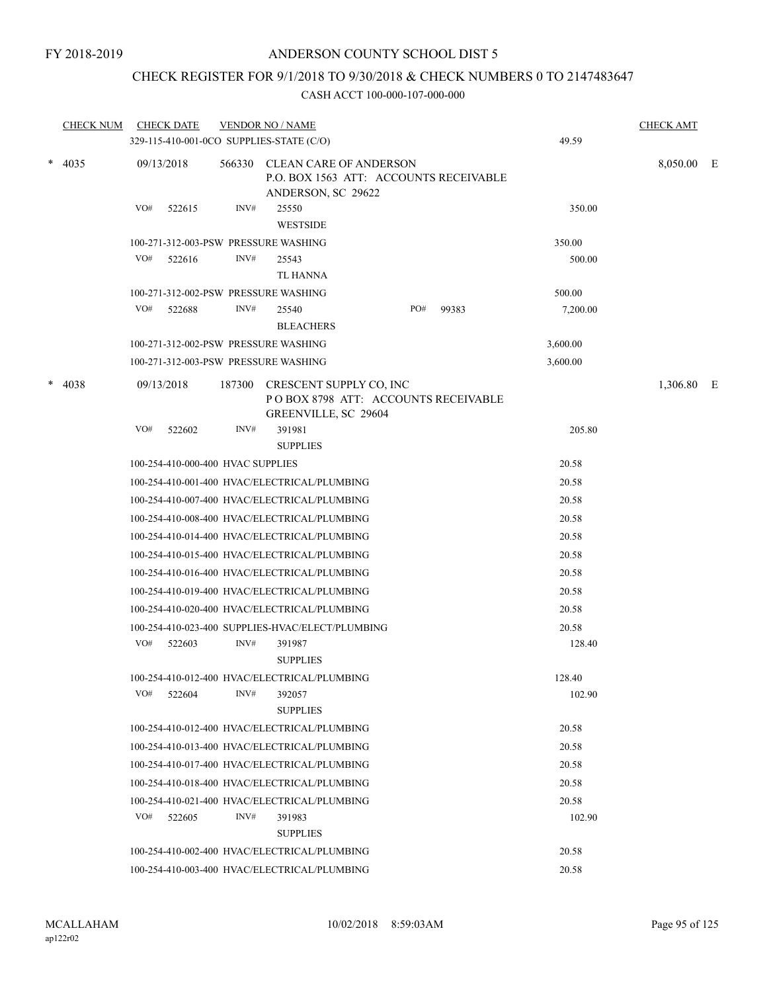## CHECK REGISTER FOR 9/1/2018 TO 9/30/2018 & CHECK NUMBERS 0 TO 2147483647

|        | <b>CHECK NUM</b> |     | <b>CHECK DATE</b>                 |        | <b>VENDOR NO / NAME</b><br>329-115-410-001-0CO SUPPLIES-STATE (C/O)                           |     |       | 49.59    | <b>CHECK AMT</b> |  |
|--------|------------------|-----|-----------------------------------|--------|-----------------------------------------------------------------------------------------------|-----|-------|----------|------------------|--|
|        | $*$ 4035         |     | 09/13/2018                        |        | 566330 CLEAN CARE OF ANDERSON<br>P.O. BOX 1563 ATT: ACCOUNTS RECEIVABLE<br>ANDERSON, SC 29622 |     |       |          | 8,050.00 E       |  |
|        |                  | VO# | 522615                            | INV#   | 25550<br><b>WESTSIDE</b>                                                                      |     |       | 350.00   |                  |  |
|        |                  |     |                                   |        | 100-271-312-003-PSW PRESSURE WASHING                                                          |     |       | 350.00   |                  |  |
|        |                  | VO# | 522616                            | INV#   | 25543                                                                                         |     |       | 500.00   |                  |  |
|        |                  |     |                                   |        | TL HANNA                                                                                      |     |       |          |                  |  |
|        |                  |     |                                   |        | 100-271-312-002-PSW PRESSURE WASHING                                                          |     |       | 500.00   |                  |  |
|        |                  | VO# | 522688                            | INV#   | 25540<br><b>BLEACHERS</b>                                                                     | PO# | 99383 | 7,200.00 |                  |  |
|        |                  |     |                                   |        | 100-271-312-002-PSW PRESSURE WASHING                                                          |     |       | 3,600.00 |                  |  |
|        |                  |     |                                   |        | 100-271-312-003-PSW PRESSURE WASHING                                                          |     |       | 3,600.00 |                  |  |
| $\ast$ | 4038             |     | 09/13/2018                        | 187300 | CRESCENT SUPPLY CO, INC<br>POBOX 8798 ATT: ACCOUNTS RECEIVABLE<br>GREENVILLE, SC 29604        |     |       |          | 1,306.80 E       |  |
|        |                  | VO# | 522602                            | INV#   | 391981<br><b>SUPPLIES</b>                                                                     |     |       | 205.80   |                  |  |
|        |                  |     | 100-254-410-000-400 HVAC SUPPLIES |        |                                                                                               |     |       | 20.58    |                  |  |
|        |                  |     |                                   |        | 100-254-410-001-400 HVAC/ELECTRICAL/PLUMBING                                                  |     |       | 20.58    |                  |  |
|        |                  |     |                                   |        | 100-254-410-007-400 HVAC/ELECTRICAL/PLUMBING                                                  |     |       | 20.58    |                  |  |
|        |                  |     |                                   |        | 100-254-410-008-400 HVAC/ELECTRICAL/PLUMBING                                                  |     |       | 20.58    |                  |  |
|        |                  |     |                                   |        | 100-254-410-014-400 HVAC/ELECTRICAL/PLUMBING                                                  |     |       | 20.58    |                  |  |
|        |                  |     |                                   |        | 100-254-410-015-400 HVAC/ELECTRICAL/PLUMBING                                                  |     |       | 20.58    |                  |  |
|        |                  |     |                                   |        | 100-254-410-016-400 HVAC/ELECTRICAL/PLUMBING                                                  |     |       | 20.58    |                  |  |
|        |                  |     |                                   |        | 100-254-410-019-400 HVAC/ELECTRICAL/PLUMBING                                                  |     |       | 20.58    |                  |  |
|        |                  |     |                                   |        | 100-254-410-020-400 HVAC/ELECTRICAL/PLUMBING                                                  |     |       | 20.58    |                  |  |
|        |                  |     |                                   |        | 100-254-410-023-400 SUPPLIES-HVAC/ELECT/PLUMBING                                              |     |       | 20.58    |                  |  |
|        |                  | VO# | 522603                            | INV#   | 391987<br><b>SUPPLIES</b>                                                                     |     |       | 128.40   |                  |  |
|        |                  |     |                                   |        | 100-254-410-012-400 HVAC/ELECTRICAL/PLUMBING                                                  |     |       | 128.40   |                  |  |
|        |                  | VO# | 522604                            | INV#   | 392057<br><b>SUPPLIES</b>                                                                     |     |       | 102.90   |                  |  |
|        |                  |     |                                   |        | 100-254-410-012-400 HVAC/ELECTRICAL/PLUMBING                                                  |     |       | 20.58    |                  |  |
|        |                  |     |                                   |        | 100-254-410-013-400 HVAC/ELECTRICAL/PLUMBING                                                  |     |       | 20.58    |                  |  |
|        |                  |     |                                   |        | 100-254-410-017-400 HVAC/ELECTRICAL/PLUMBING                                                  |     |       | 20.58    |                  |  |
|        |                  |     |                                   |        | 100-254-410-018-400 HVAC/ELECTRICAL/PLUMBING                                                  |     |       | 20.58    |                  |  |
|        |                  |     |                                   |        | 100-254-410-021-400 HVAC/ELECTRICAL/PLUMBING                                                  |     |       | 20.58    |                  |  |
|        |                  | VO# | 522605                            | INV#   | 391983<br><b>SUPPLIES</b>                                                                     |     |       | 102.90   |                  |  |
|        |                  |     |                                   |        | 100-254-410-002-400 HVAC/ELECTRICAL/PLUMBING                                                  |     |       | 20.58    |                  |  |
|        |                  |     |                                   |        | 100-254-410-003-400 HVAC/ELECTRICAL/PLUMBING                                                  |     |       | 20.58    |                  |  |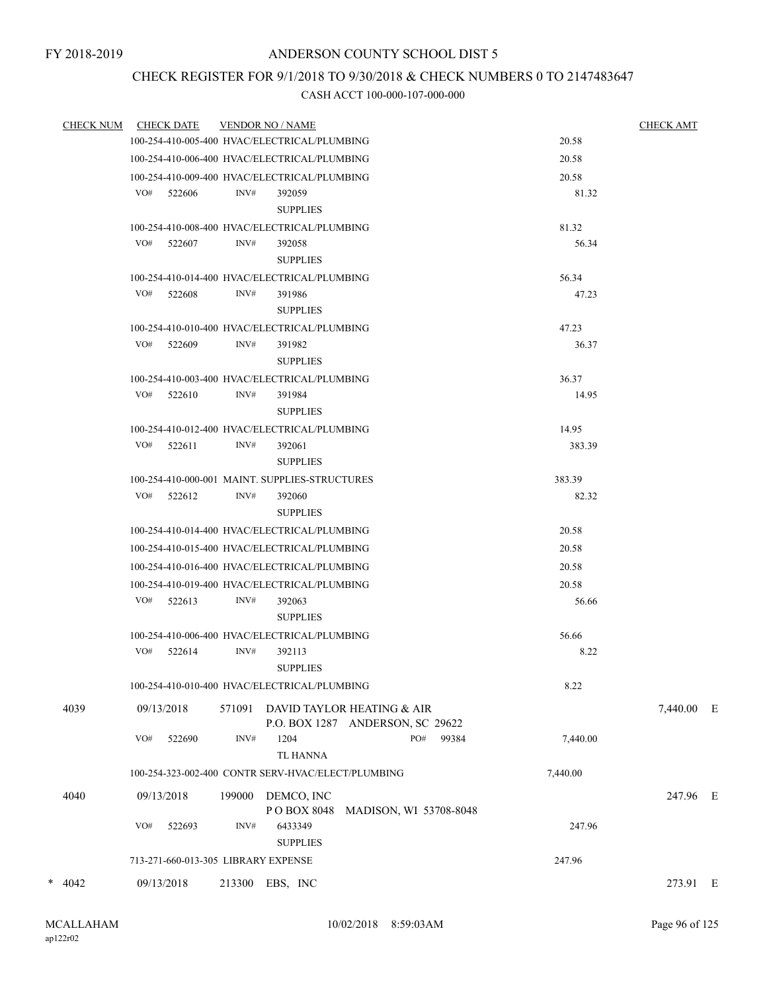# CHECK REGISTER FOR 9/1/2018 TO 9/30/2018 & CHECK NUMBERS 0 TO 2147483647

| CHECK NUM CHECK DATE |            |                                     | <b>VENDOR NO / NAME</b> | <b>CHECK AMT</b>                                               |          |            |  |
|----------------------|------------|-------------------------------------|-------------------------|----------------------------------------------------------------|----------|------------|--|
|                      |            |                                     |                         | 100-254-410-005-400 HVAC/ELECTRICAL/PLUMBING                   | 20.58    |            |  |
|                      |            |                                     |                         | 100-254-410-006-400 HVAC/ELECTRICAL/PLUMBING                   | 20.58    |            |  |
|                      |            |                                     |                         | 100-254-410-009-400 HVAC/ELECTRICAL/PLUMBING                   | 20.58    |            |  |
|                      |            | VO# 522606                          | INV#                    | 392059                                                         | 81.32    |            |  |
|                      |            |                                     |                         | <b>SUPPLIES</b>                                                |          |            |  |
|                      |            |                                     |                         | 100-254-410-008-400 HVAC/ELECTRICAL/PLUMBING                   | 81.32    |            |  |
|                      |            | VO# 522607                          | INV#                    | 392058                                                         | 56.34    |            |  |
|                      |            |                                     |                         | <b>SUPPLIES</b>                                                |          |            |  |
|                      |            |                                     |                         | 100-254-410-014-400 HVAC/ELECTRICAL/PLUMBING                   | 56.34    |            |  |
|                      |            | VO# 522608                          | INV#                    | 391986                                                         | 47.23    |            |  |
|                      |            |                                     |                         | <b>SUPPLIES</b>                                                |          |            |  |
|                      |            |                                     |                         | 100-254-410-010-400 HVAC/ELECTRICAL/PLUMBING                   | 47.23    |            |  |
|                      |            | VO# 522609                          | INV#                    | 391982                                                         | 36.37    |            |  |
|                      |            |                                     |                         | <b>SUPPLIES</b>                                                |          |            |  |
|                      |            |                                     |                         | 100-254-410-003-400 HVAC/ELECTRICAL/PLUMBING                   | 36.37    |            |  |
|                      |            | $VO#$ 522610                        | INV#                    | 391984                                                         | 14.95    |            |  |
|                      |            |                                     |                         | <b>SUPPLIES</b>                                                |          |            |  |
|                      |            |                                     |                         | 100-254-410-012-400 HVAC/ELECTRICAL/PLUMBING                   | 14.95    |            |  |
|                      | VO#        | 522611                              | INV#                    | 392061                                                         | 383.39   |            |  |
|                      |            |                                     |                         | <b>SUPPLIES</b>                                                |          |            |  |
|                      |            |                                     |                         | 100-254-410-000-001 MAINT SUPPLIES-STRUCTURES                  | 383.39   |            |  |
|                      | VO#        | 522612                              | INV#                    | 392060                                                         | 82.32    |            |  |
|                      |            |                                     |                         | <b>SUPPLIES</b>                                                |          |            |  |
|                      |            |                                     |                         | 100-254-410-014-400 HVAC/ELECTRICAL/PLUMBING                   | 20.58    |            |  |
|                      |            |                                     |                         | 100-254-410-015-400 HVAC/ELECTRICAL/PLUMBING                   | 20.58    |            |  |
|                      |            |                                     |                         | 100-254-410-016-400 HVAC/ELECTRICAL/PLUMBING                   | 20.58    |            |  |
|                      |            |                                     |                         | 100-254-410-019-400 HVAC/ELECTRICAL/PLUMBING                   | 20.58    |            |  |
|                      |            | $VO#$ 522613                        | INV#                    | 392063                                                         | 56.66    |            |  |
|                      |            |                                     |                         | <b>SUPPLIES</b>                                                |          |            |  |
|                      |            |                                     |                         | 100-254-410-006-400 HVAC/ELECTRICAL/PLUMBING                   | 56.66    |            |  |
|                      |            | VO# 522614                          | INV#                    | 392113                                                         | 8.22     |            |  |
|                      |            |                                     |                         | <b>SUPPLIES</b>                                                |          |            |  |
|                      |            |                                     |                         | 100-254-410-010-400 HVAC/ELECTRICAL/PLUMBING                   | 8.22     |            |  |
| 4039                 | 09/13/2018 |                                     | 571091                  | DAVID TAYLOR HEATING & AIR<br>P.O. BOX 1287 ANDERSON, SC 29622 |          | 7,440.00 E |  |
|                      | VO#        | 522690                              | INV#                    | 1204<br>PO#<br>99384<br>TL HANNA                               | 7,440.00 |            |  |
|                      |            |                                     |                         | 100-254-323-002-400 CONTR SERV-HVAC/ELECT/PLUMBING             | 7,440.00 |            |  |
| 4040                 | 09/13/2018 |                                     | 199000                  | DEMCO, INC                                                     |          | 247.96 E   |  |
|                      |            |                                     |                         | PO BOX 8048<br>MADISON, WI 53708-8048                          |          |            |  |
|                      | VO#        | 522693                              | INV#                    | 6433349                                                        | 247.96   |            |  |
|                      |            |                                     |                         | <b>SUPPLIES</b>                                                |          |            |  |
|                      |            | 713-271-660-013-305 LIBRARY EXPENSE |                         |                                                                | 247.96   |            |  |
| $* 4042$             | 09/13/2018 |                                     |                         | 213300 EBS, INC                                                |          | 273.91 E   |  |
|                      |            |                                     |                         |                                                                |          |            |  |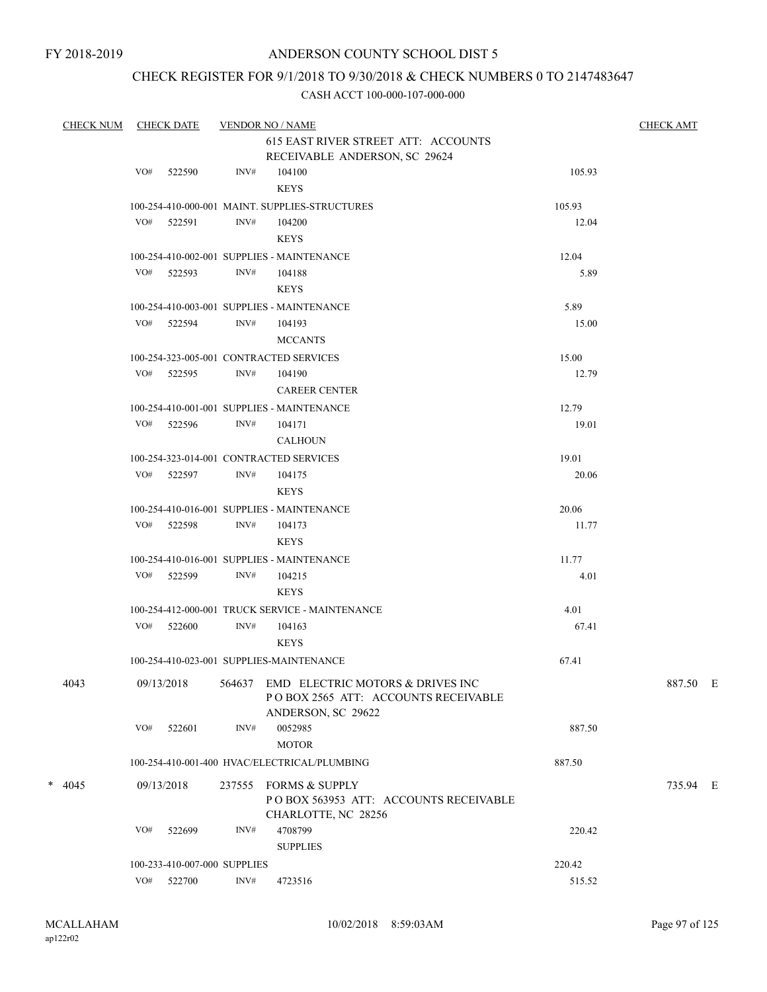# CHECK REGISTER FOR 9/1/2018 TO 9/30/2018 & CHECK NUMBERS 0 TO 2147483647

| <b>CHECK NUM</b> |     | <b>CHECK DATE</b>            |      | <b>VENDOR NO / NAME</b>                                                                   |        | <b>CHECK AMT</b> |  |
|------------------|-----|------------------------------|------|-------------------------------------------------------------------------------------------|--------|------------------|--|
|                  |     |                              |      | 615 EAST RIVER STREET ATT: ACCOUNTS                                                       |        |                  |  |
|                  |     |                              |      | RECEIVABLE ANDERSON, SC 29624                                                             |        |                  |  |
|                  | VO# | 522590                       | INV# | 104100<br><b>KEYS</b>                                                                     | 105.93 |                  |  |
|                  |     |                              |      | 100-254-410-000-001 MAINT. SUPPLIES-STRUCTURES                                            | 105.93 |                  |  |
|                  |     | VO# 522591                   | INV# | 104200                                                                                    | 12.04  |                  |  |
|                  |     |                              |      | <b>KEYS</b>                                                                               |        |                  |  |
|                  |     |                              |      | 100-254-410-002-001 SUPPLIES - MAINTENANCE                                                | 12.04  |                  |  |
|                  |     | VO# 522593                   | INV# | 104188                                                                                    | 5.89   |                  |  |
|                  |     |                              |      | <b>KEYS</b>                                                                               |        |                  |  |
|                  |     |                              |      | 100-254-410-003-001 SUPPLIES - MAINTENANCE                                                | 5.89   |                  |  |
|                  |     | VO# 522594                   | INV# | 104193                                                                                    | 15.00  |                  |  |
|                  |     |                              |      | <b>MCCANTS</b>                                                                            |        |                  |  |
|                  |     |                              |      | 100-254-323-005-001 CONTRACTED SERVICES                                                   | 15.00  |                  |  |
|                  |     | VO# 522595                   | INV# | 104190                                                                                    | 12.79  |                  |  |
|                  |     |                              |      | <b>CAREER CENTER</b>                                                                      |        |                  |  |
|                  |     |                              |      | 100-254-410-001-001 SUPPLIES - MAINTENANCE                                                | 12.79  |                  |  |
|                  |     | VO# 522596                   | INV# | 104171                                                                                    | 19.01  |                  |  |
|                  |     |                              |      | <b>CALHOUN</b>                                                                            |        |                  |  |
|                  |     |                              |      | 100-254-323-014-001 CONTRACTED SERVICES                                                   | 19.01  |                  |  |
|                  |     | VO# 522597                   | INV# | 104175                                                                                    | 20.06  |                  |  |
|                  |     |                              |      | <b>KEYS</b>                                                                               |        |                  |  |
|                  |     |                              |      | 100-254-410-016-001 SUPPLIES - MAINTENANCE                                                | 20.06  |                  |  |
|                  |     | VO# 522598                   | INV# | 104173                                                                                    | 11.77  |                  |  |
|                  |     |                              |      | <b>KEYS</b>                                                                               |        |                  |  |
|                  |     |                              |      | 100-254-410-016-001 SUPPLIES - MAINTENANCE                                                | 11.77  |                  |  |
|                  |     | VO# 522599                   | INV# | 104215                                                                                    | 4.01   |                  |  |
|                  |     |                              |      | <b>KEYS</b>                                                                               |        |                  |  |
|                  |     |                              |      | 100-254-412-000-001 TRUCK SERVICE - MAINTENANCE                                           | 4.01   |                  |  |
|                  |     | VO# 522600                   | INV# | 104163                                                                                    | 67.41  |                  |  |
|                  |     |                              |      | <b>KEYS</b>                                                                               |        |                  |  |
|                  |     |                              |      | 100-254-410-023-001 SUPPLIES-MAINTENANCE                                                  | 67.41  |                  |  |
|                  |     |                              |      |                                                                                           |        |                  |  |
| 4043             |     |                              |      | 09/13/2018 564637 EMD ELECTRIC MOTORS & DRIVES INC<br>POBOX 2565 ATT: ACCOUNTS RECEIVABLE |        | 887.50 E         |  |
|                  |     |                              |      | ANDERSON, SC 29622                                                                        |        |                  |  |
|                  | VO# | 522601                       | INV# | 0052985                                                                                   | 887.50 |                  |  |
|                  |     |                              |      | <b>MOTOR</b>                                                                              |        |                  |  |
|                  |     |                              |      | 100-254-410-001-400 HVAC/ELECTRICAL/PLUMBING                                              | 887.50 |                  |  |
| $* 4045$         |     | 09/13/2018                   |      | 237555 FORMS & SUPPLY                                                                     |        | 735.94 E         |  |
|                  |     |                              |      | POBOX 563953 ATT: ACCOUNTS RECEIVABLE                                                     |        |                  |  |
|                  |     |                              |      | CHARLOTTE, NC 28256                                                                       |        |                  |  |
|                  | VO# | 522699                       | INV# | 4708799                                                                                   | 220.42 |                  |  |
|                  |     |                              |      | <b>SUPPLIES</b>                                                                           |        |                  |  |
|                  |     | 100-233-410-007-000 SUPPLIES |      |                                                                                           | 220.42 |                  |  |
|                  | VO# | 522700                       | INV# | 4723516                                                                                   | 515.52 |                  |  |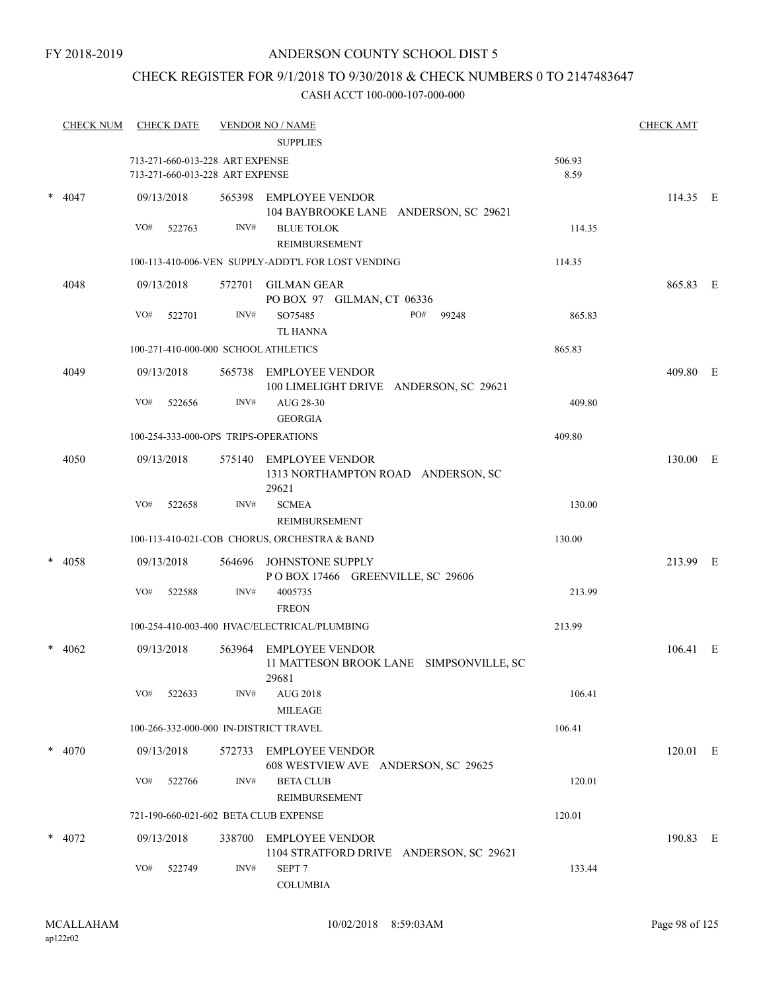#### FY 2018-2019

## ANDERSON COUNTY SCHOOL DIST 5

# CHECK REGISTER FOR 9/1/2018 TO 9/30/2018 & CHECK NUMBERS 0 TO 2147483647

|   | <b>CHECK NUM</b> | <b>CHECK DATE</b> |        |                                                                    | <b>VENDOR NO / NAME</b><br><b>SUPPLIES</b>                                 |                | <b>CHECK AMT</b> |  |
|---|------------------|-------------------|--------|--------------------------------------------------------------------|----------------------------------------------------------------------------|----------------|------------------|--|
|   |                  |                   |        | 713-271-660-013-228 ART EXPENSE<br>713-271-660-013-228 ART EXPENSE |                                                                            | 506.93<br>8.59 |                  |  |
| * | 4047             | 09/13/2018        |        |                                                                    | 565398 EMPLOYEE VENDOR<br>104 BAYBROOKE LANE ANDERSON, SC 29621            |                | 114.35 E         |  |
|   |                  | VO#               | 522763 | INV#                                                               | <b>BLUE TOLOK</b><br><b>REIMBURSEMENT</b>                                  | 114.35         |                  |  |
|   |                  |                   |        |                                                                    | 100-113-410-006-VEN SUPPLY-ADDT'L FOR LOST VENDING                         | 114.35         |                  |  |
|   | 4048             | 09/13/2018        |        |                                                                    | 572701 GILMAN GEAR<br>PO BOX 97 GILMAN, CT 06336                           |                | 865.83 E         |  |
|   |                  | VO#               | 522701 | INV#                                                               | SO75485<br>PO#<br>99248<br><b>TL HANNA</b>                                 | 865.83         |                  |  |
|   |                  |                   |        |                                                                    | 100-271-410-000-000 SCHOOL ATHLETICS                                       | 865.83         |                  |  |
|   | 4049             | 09/13/2018        |        |                                                                    | 565738 EMPLOYEE VENDOR<br>100 LIMELIGHT DRIVE ANDERSON, SC 29621           |                | 409.80 E         |  |
|   |                  | VO#               | 522656 | INV#                                                               | AUG 28-30<br><b>GEORGIA</b>                                                | 409.80         |                  |  |
|   |                  |                   |        |                                                                    | 100-254-333-000-OPS TRIPS-OPERATIONS                                       | 409.80         |                  |  |
|   | 4050             | 09/13/2018        |        |                                                                    | 575140 EMPLOYEE VENDOR<br>1313 NORTHAMPTON ROAD ANDERSON, SC<br>29621      |                | 130.00 E         |  |
|   |                  | VO#               | 522658 | INV#                                                               | <b>SCMEA</b><br>REIMBURSEMENT                                              | 130.00         |                  |  |
|   |                  |                   |        |                                                                    | 100-113-410-021-COB CHORUS, ORCHESTRA & BAND                               | 130.00         |                  |  |
|   | 4058             | 09/13/2018        |        | 564696                                                             | JOHNSTONE SUPPLY<br>POBOX 17466 GREENVILLE, SC 29606                       |                | 213.99 E         |  |
|   |                  | VO#               | 522588 | INV#                                                               | 4005735<br><b>FREON</b>                                                    | 213.99         |                  |  |
|   |                  |                   |        |                                                                    | 100-254-410-003-400 HVAC/ELECTRICAL/PLUMBING                               | 213.99         |                  |  |
|   | 4062             | 09/13/2018        |        | 563964                                                             | <b>EMPLOYEE VENDOR</b><br>11 MATTESON BROOK LANE SIMPSONVILLE, SC<br>29681 |                | 106.41 E         |  |
|   |                  | VO# 522633        |        | INV#                                                               | <b>AUG 2018</b><br><b>MILEAGE</b>                                          | 106.41         |                  |  |
|   |                  |                   |        |                                                                    | 100-266-332-000-000 IN-DISTRICT TRAVEL                                     | 106.41         |                  |  |
|   | $*$ 4070         | 09/13/2018        |        |                                                                    | 572733 EMPLOYEE VENDOR<br>608 WESTVIEW AVE ANDERSON, SC 29625              |                | $120.01$ E       |  |
|   |                  | VO#               | 522766 | INV#                                                               | <b>BETA CLUB</b><br><b>REIMBURSEMENT</b>                                   | 120.01         |                  |  |
|   |                  |                   |        |                                                                    | 721-190-660-021-602 BETA CLUB EXPENSE                                      | 120.01         |                  |  |
|   | 4072             | 09/13/2018        |        |                                                                    | 338700 EMPLOYEE VENDOR<br>1104 STRATFORD DRIVE ANDERSON, SC 29621          |                | 190.83 E         |  |
|   |                  | VO#               | 522749 | INV#                                                               | SEPT <sub>7</sub><br><b>COLUMBIA</b>                                       | 133.44         |                  |  |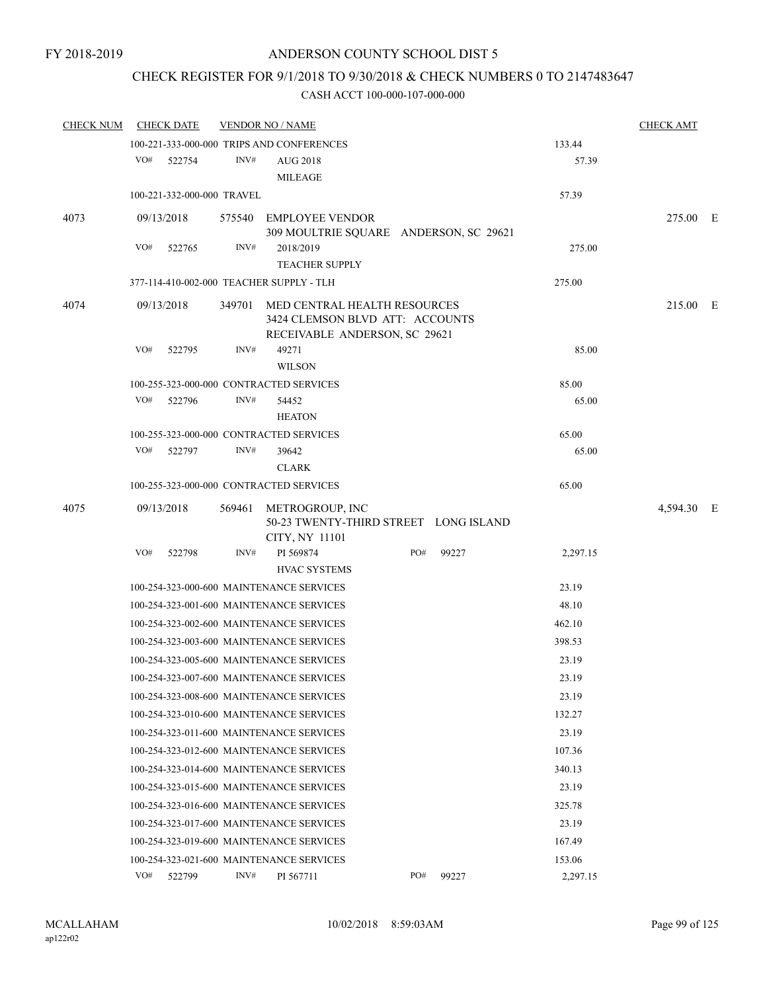# CHECK REGISTER FOR 9/1/2018 TO 9/30/2018 & CHECK NUMBERS 0 TO 2147483647

| <b>CHECK NUM</b> | <b>CHECK DATE</b>                        |      | <b>VENDOR NO / NAME</b>                                                                                 |     |       |          | <b>CHECK AMT</b> |  |
|------------------|------------------------------------------|------|---------------------------------------------------------------------------------------------------------|-----|-------|----------|------------------|--|
|                  |                                          |      | 100-221-333-000-000 TRIPS AND CONFERENCES                                                               |     |       | 133.44   |                  |  |
|                  | VO#<br>522754                            | INV# | AUG 2018<br><b>MILEAGE</b>                                                                              |     |       | 57.39    |                  |  |
|                  | 100-221-332-000-000 TRAVEL               |      |                                                                                                         |     |       | 57.39    |                  |  |
| 4073             | 09/13/2018                               |      | 575540 EMPLOYEE VENDOR<br>309 MOULTRIE SQUARE ANDERSON, SC 29621                                        |     |       |          | 275.00 E         |  |
|                  | VO#<br>522765                            | INV# | 2018/2019<br><b>TEACHER SUPPLY</b>                                                                      |     |       | 275.00   |                  |  |
|                  | 377-114-410-002-000 TEACHER SUPPLY - TLH |      |                                                                                                         |     |       | 275.00   |                  |  |
| 4074             | 09/13/2018                               |      | 349701 MED CENTRAL HEALTH RESOURCES<br>3424 CLEMSON BLVD ATT: ACCOUNTS<br>RECEIVABLE ANDERSON, SC 29621 |     |       |          | 215.00 E         |  |
|                  | VO#<br>522795                            | INV# | 49271<br><b>WILSON</b>                                                                                  |     |       | 85.00    |                  |  |
|                  | 100-255-323-000-000 CONTRACTED SERVICES  |      |                                                                                                         |     |       | 85.00    |                  |  |
|                  | VO#<br>522796                            | INV# | 54452<br><b>HEATON</b>                                                                                  |     |       | 65.00    |                  |  |
|                  | 100-255-323-000-000 CONTRACTED SERVICES  |      |                                                                                                         |     |       | 65.00    |                  |  |
|                  | VO#<br>522797                            | INV# | 39642<br><b>CLARK</b>                                                                                   |     |       | 65.00    |                  |  |
|                  | 100-255-323-000-000 CONTRACTED SERVICES  |      |                                                                                                         |     |       | 65.00    |                  |  |
| 4075             | 09/13/2018                               |      | 569461 METROGROUP, INC<br>50-23 TWENTY-THIRD STREET LONG ISLAND<br>CITY, NY 11101                       |     |       |          | 4,594.30 E       |  |
|                  | VO#<br>522798                            | INV# | PI 569874<br><b>HVAC SYSTEMS</b>                                                                        | PO# | 99227 | 2,297.15 |                  |  |
|                  | 100-254-323-000-600 MAINTENANCE SERVICES |      |                                                                                                         |     |       | 23.19    |                  |  |
|                  | 100-254-323-001-600 MAINTENANCE SERVICES |      |                                                                                                         |     |       | 48.10    |                  |  |
|                  | 100-254-323-002-600 MAINTENANCE SERVICES |      |                                                                                                         |     |       | 462.10   |                  |  |
|                  | 100-254-323-003-600 MAINTENANCE SERVICES |      |                                                                                                         |     |       | 398.53   |                  |  |
|                  | 100-254-323-005-600 MAINTENANCE SERVICES |      |                                                                                                         |     |       | 23.19    |                  |  |
|                  | 100-254-323-007-600 MAINTENANCE SERVICES |      |                                                                                                         |     |       | 23.19    |                  |  |
|                  | 100-254-323-008-600 MAINTENANCE SERVICES |      |                                                                                                         |     |       | 23.19    |                  |  |
|                  | 100-254-323-010-600 MAINTENANCE SERVICES |      |                                                                                                         |     |       | 132.27   |                  |  |
|                  | 100-254-323-011-600 MAINTENANCE SERVICES |      |                                                                                                         |     |       | 23.19    |                  |  |
|                  | 100-254-323-012-600 MAINTENANCE SERVICES |      |                                                                                                         |     |       | 107.36   |                  |  |
|                  | 100-254-323-014-600 MAINTENANCE SERVICES |      |                                                                                                         |     |       | 340.13   |                  |  |
|                  | 100-254-323-015-600 MAINTENANCE SERVICES |      |                                                                                                         |     |       | 23.19    |                  |  |
|                  | 100-254-323-016-600 MAINTENANCE SERVICES |      |                                                                                                         |     |       | 325.78   |                  |  |
|                  | 100-254-323-017-600 MAINTENANCE SERVICES |      |                                                                                                         |     |       | 23.19    |                  |  |
|                  | 100-254-323-019-600 MAINTENANCE SERVICES |      |                                                                                                         |     |       | 167.49   |                  |  |
|                  | 100-254-323-021-600 MAINTENANCE SERVICES |      |                                                                                                         |     |       | 153.06   |                  |  |
|                  | VO#<br>522799                            | INV# | PI 567711                                                                                               | PO# | 99227 | 2,297.15 |                  |  |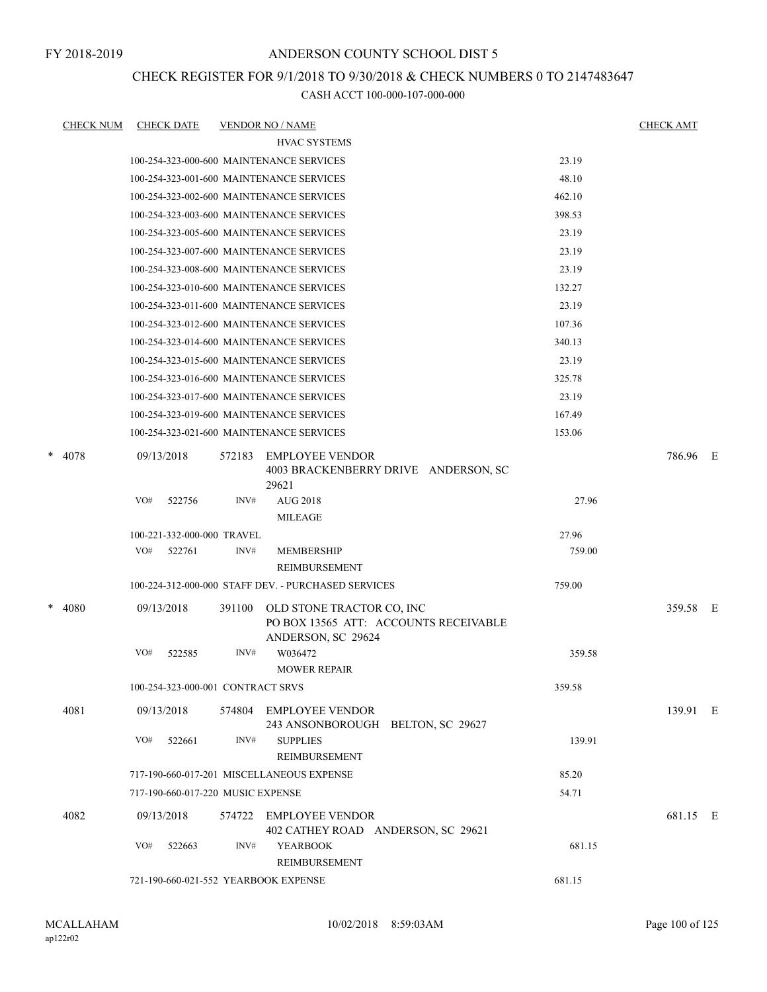## CHECK REGISTER FOR 9/1/2018 TO 9/30/2018 & CHECK NUMBERS 0 TO 2147483647

| <b>CHECK NUM</b> |            | <b>CHECK DATE</b>                 |        | <b>VENDOR NO / NAME</b>                                                                  |        | <b>CHECK AMT</b> |  |
|------------------|------------|-----------------------------------|--------|------------------------------------------------------------------------------------------|--------|------------------|--|
|                  |            |                                   |        | <b>HVAC SYSTEMS</b>                                                                      |        |                  |  |
|                  |            |                                   |        | 100-254-323-000-600 MAINTENANCE SERVICES                                                 | 23.19  |                  |  |
|                  |            |                                   |        | 100-254-323-001-600 MAINTENANCE SERVICES                                                 | 48.10  |                  |  |
|                  |            |                                   |        | 100-254-323-002-600 MAINTENANCE SERVICES                                                 | 462.10 |                  |  |
|                  |            |                                   |        | 100-254-323-003-600 MAINTENANCE SERVICES                                                 | 398.53 |                  |  |
|                  |            |                                   |        | 100-254-323-005-600 MAINTENANCE SERVICES                                                 | 23.19  |                  |  |
|                  |            |                                   |        | 100-254-323-007-600 MAINTENANCE SERVICES                                                 | 23.19  |                  |  |
|                  |            |                                   |        | 100-254-323-008-600 MAINTENANCE SERVICES                                                 | 23.19  |                  |  |
|                  |            |                                   |        | 100-254-323-010-600 MAINTENANCE SERVICES                                                 | 132.27 |                  |  |
|                  |            |                                   |        | 100-254-323-011-600 MAINTENANCE SERVICES                                                 | 23.19  |                  |  |
|                  |            |                                   |        | 100-254-323-012-600 MAINTENANCE SERVICES                                                 | 107.36 |                  |  |
|                  |            |                                   |        | 100-254-323-014-600 MAINTENANCE SERVICES                                                 | 340.13 |                  |  |
|                  |            |                                   |        | 100-254-323-015-600 MAINTENANCE SERVICES                                                 | 23.19  |                  |  |
|                  |            |                                   |        | 100-254-323-016-600 MAINTENANCE SERVICES                                                 | 325.78 |                  |  |
|                  |            |                                   |        | 100-254-323-017-600 MAINTENANCE SERVICES                                                 | 23.19  |                  |  |
|                  |            |                                   |        | 100-254-323-019-600 MAINTENANCE SERVICES                                                 | 167.49 |                  |  |
|                  |            |                                   |        | 100-254-323-021-600 MAINTENANCE SERVICES                                                 | 153.06 |                  |  |
| $* 4078$         | 09/13/2018 |                                   | 572183 | <b>EMPLOYEE VENDOR</b><br>4003 BRACKENBERRY DRIVE ANDERSON, SC<br>29621                  |        | 786.96 E         |  |
|                  | VO#        | 522756                            | INV#   | <b>AUG 2018</b><br><b>MILEAGE</b>                                                        | 27.96  |                  |  |
|                  |            | 100-221-332-000-000 TRAVEL        |        |                                                                                          | 27.96  |                  |  |
|                  | VO#        | 522761                            | INV#   | <b>MEMBERSHIP</b>                                                                        | 759.00 |                  |  |
|                  |            |                                   |        | REIMBURSEMENT                                                                            |        |                  |  |
|                  |            |                                   |        | 100-224-312-000-000 STAFF DEV. - PURCHASED SERVICES                                      | 759.00 |                  |  |
| $* 4080$         |            | 09/13/2018                        | 391100 | OLD STONE TRACTOR CO, INC<br>PO BOX 13565 ATT: ACCOUNTS RECEIVABLE<br>ANDERSON, SC 29624 |        | 359.58 E         |  |
|                  | VO#        | 522585                            | INV#   | W036472<br><b>MOWER REPAIR</b>                                                           | 359.58 |                  |  |
|                  |            | 100-254-323-000-001 CONTRACT SRVS |        |                                                                                          | 359.58 |                  |  |
| 4081             |            | 09/13/2018                        |        | 574804 EMPLOYEE VENDOR<br>243 ANSONBOROUGH BELTON, SC 29627                              |        | 139.91 E         |  |
|                  | VO#        | 522661                            | INV#   | <b>SUPPLIES</b><br>REIMBURSEMENT                                                         | 139.91 |                  |  |
|                  |            |                                   |        | 717-190-660-017-201 MISCELLANEOUS EXPENSE                                                | 85.20  |                  |  |
|                  |            | 717-190-660-017-220 MUSIC EXPENSE |        |                                                                                          | 54.71  |                  |  |
| 4082             |            | 09/13/2018                        |        | 574722 EMPLOYEE VENDOR<br>402 CATHEY ROAD ANDERSON, SC 29621                             |        | 681.15 E         |  |
|                  | VO#        | 522663                            | INV#   | <b>YEARBOOK</b><br>REIMBURSEMENT                                                         | 681.15 |                  |  |
|                  |            |                                   |        | 721-190-660-021-552 YEARBOOK EXPENSE                                                     | 681.15 |                  |  |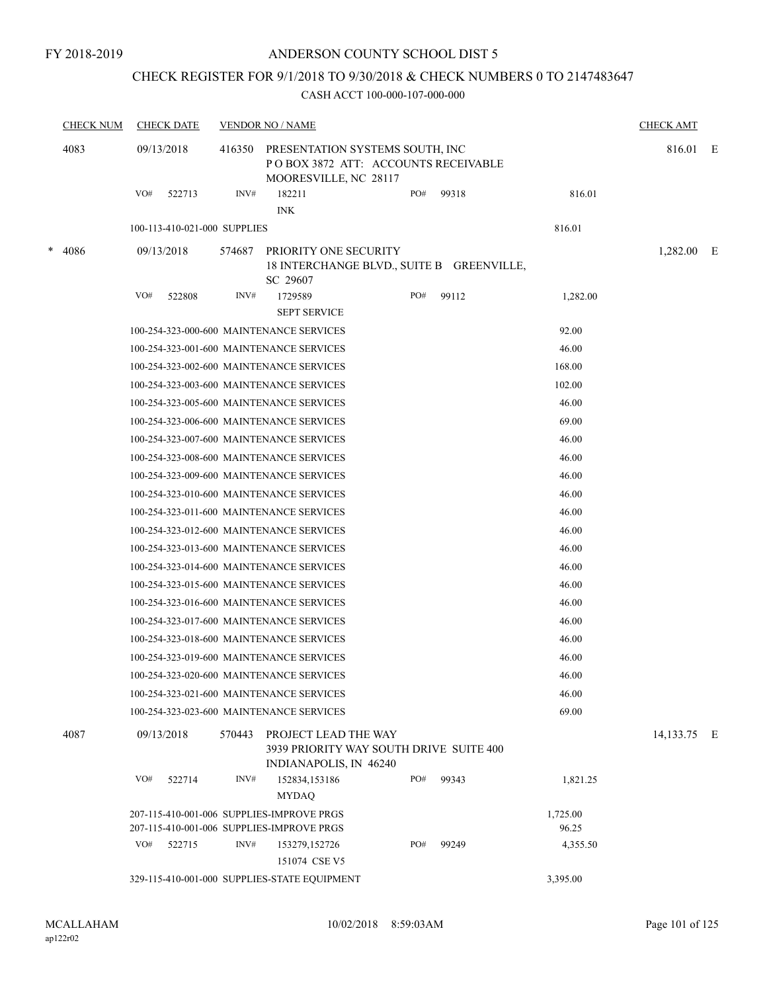## CHECK REGISTER FOR 9/1/2018 TO 9/30/2018 & CHECK NUMBERS 0 TO 2147483647

| <b>CHECK NUM</b> |     | <b>CHECK DATE</b>            | <b>VENDOR NO / NAME</b>                                                                                   |                                                                                |  |     |       |          | <b>CHECK AMT</b> |  |
|------------------|-----|------------------------------|-----------------------------------------------------------------------------------------------------------|--------------------------------------------------------------------------------|--|-----|-------|----------|------------------|--|
| 4083             |     | 09/13/2018                   | 416350<br>PRESENTATION SYSTEMS SOUTH, INC<br>POBOX 3872 ATT: ACCOUNTS RECEIVABLE<br>MOORESVILLE, NC 28117 |                                                                                |  |     |       |          | 816.01 E         |  |
|                  | VO# | 522713                       | INV#                                                                                                      | 182211<br><b>INK</b>                                                           |  | PO# | 99318 | 816.01   |                  |  |
|                  |     | 100-113-410-021-000 SUPPLIES |                                                                                                           |                                                                                |  |     |       | 816.01   |                  |  |
|                  |     |                              |                                                                                                           |                                                                                |  |     |       |          |                  |  |
| * 4086           |     | 09/13/2018                   | 574687                                                                                                    | PRIORITY ONE SECURITY<br>18 INTERCHANGE BLVD., SUITE B GREENVILLE,<br>SC 29607 |  |     |       |          | $1,282.00$ E     |  |
|                  | VO# | 522808                       | INV#                                                                                                      | 1729589                                                                        |  | PO# | 99112 | 1,282.00 |                  |  |
|                  |     |                              |                                                                                                           | <b>SEPT SERVICE</b>                                                            |  |     |       |          |                  |  |
|                  |     |                              |                                                                                                           | 100-254-323-000-600 MAINTENANCE SERVICES                                       |  |     |       | 92.00    |                  |  |
|                  |     |                              |                                                                                                           | 100-254-323-001-600 MAINTENANCE SERVICES                                       |  |     |       | 46.00    |                  |  |
|                  |     |                              |                                                                                                           | 100-254-323-002-600 MAINTENANCE SERVICES                                       |  |     |       | 168.00   |                  |  |
|                  |     |                              |                                                                                                           | 100-254-323-003-600 MAINTENANCE SERVICES                                       |  |     |       | 102.00   |                  |  |
|                  |     |                              |                                                                                                           | 100-254-323-005-600 MAINTENANCE SERVICES                                       |  |     |       | 46.00    |                  |  |
|                  |     |                              |                                                                                                           | 100-254-323-006-600 MAINTENANCE SERVICES                                       |  |     |       | 69.00    |                  |  |
|                  |     |                              |                                                                                                           | 100-254-323-007-600 MAINTENANCE SERVICES                                       |  |     |       | 46.00    |                  |  |
|                  |     |                              |                                                                                                           | 100-254-323-008-600 MAINTENANCE SERVICES                                       |  |     |       | 46.00    |                  |  |
|                  |     |                              |                                                                                                           | 100-254-323-009-600 MAINTENANCE SERVICES                                       |  |     |       | 46.00    |                  |  |
|                  |     |                              |                                                                                                           | 100-254-323-010-600 MAINTENANCE SERVICES                                       |  |     |       | 46.00    |                  |  |
|                  |     |                              |                                                                                                           | 100-254-323-011-600 MAINTENANCE SERVICES                                       |  |     |       | 46.00    |                  |  |
|                  |     |                              |                                                                                                           | 100-254-323-012-600 MAINTENANCE SERVICES                                       |  |     |       | 46.00    |                  |  |
|                  |     |                              |                                                                                                           | 100-254-323-013-600 MAINTENANCE SERVICES                                       |  |     |       | 46.00    |                  |  |
|                  |     |                              |                                                                                                           | 100-254-323-014-600 MAINTENANCE SERVICES                                       |  |     |       | 46.00    |                  |  |
|                  |     |                              |                                                                                                           | 100-254-323-015-600 MAINTENANCE SERVICES                                       |  |     |       | 46.00    |                  |  |
|                  |     |                              |                                                                                                           | 100-254-323-016-600 MAINTENANCE SERVICES                                       |  |     |       | 46.00    |                  |  |
|                  |     |                              |                                                                                                           | 100-254-323-017-600 MAINTENANCE SERVICES                                       |  |     |       | 46.00    |                  |  |
|                  |     |                              |                                                                                                           | 100-254-323-018-600 MAINTENANCE SERVICES                                       |  |     |       | 46.00    |                  |  |
|                  |     |                              |                                                                                                           | 100-254-323-019-600 MAINTENANCE SERVICES                                       |  |     |       | 46.00    |                  |  |
|                  |     |                              |                                                                                                           | 100-254-323-020-600 MAINTENANCE SERVICES                                       |  |     |       | 46.00    |                  |  |
|                  |     |                              |                                                                                                           | 100-254-323-021-600 MAINTENANCE SERVICES                                       |  |     |       | 46.00    |                  |  |
|                  |     |                              |                                                                                                           | 100-254-323-023-600 MAINTENANCE SERVICES                                       |  |     |       | 69.00    |                  |  |
| 4087             |     | 09/13/2018                   | 570443                                                                                                    | PROJECT LEAD THE WAY<br>3939 PRIORITY WAY SOUTH DRIVE SUITE 400                |  |     |       |          | 14,133.75 E      |  |
|                  | VO# | 522714                       | INV#                                                                                                      | INDIANAPOLIS, IN 46240<br>152834,153186                                        |  | PO# | 99343 | 1,821.25 |                  |  |
|                  |     |                              |                                                                                                           | <b>MYDAQ</b>                                                                   |  |     |       |          |                  |  |
|                  |     |                              |                                                                                                           | 207-115-410-001-006 SUPPLIES-IMPROVE PRGS                                      |  |     |       | 1,725.00 |                  |  |
|                  |     |                              |                                                                                                           | 207-115-410-001-006 SUPPLIES-IMPROVE PRGS                                      |  |     |       | 96.25    |                  |  |
|                  | VO# | 522715                       | INV#                                                                                                      | 153279,152726<br>151074 CSE V5                                                 |  | PO# | 99249 | 4,355.50 |                  |  |
|                  |     |                              |                                                                                                           | 329-115-410-001-000 SUPPLIES-STATE EQUIPMENT                                   |  |     |       | 3,395.00 |                  |  |
|                  |     |                              |                                                                                                           |                                                                                |  |     |       |          |                  |  |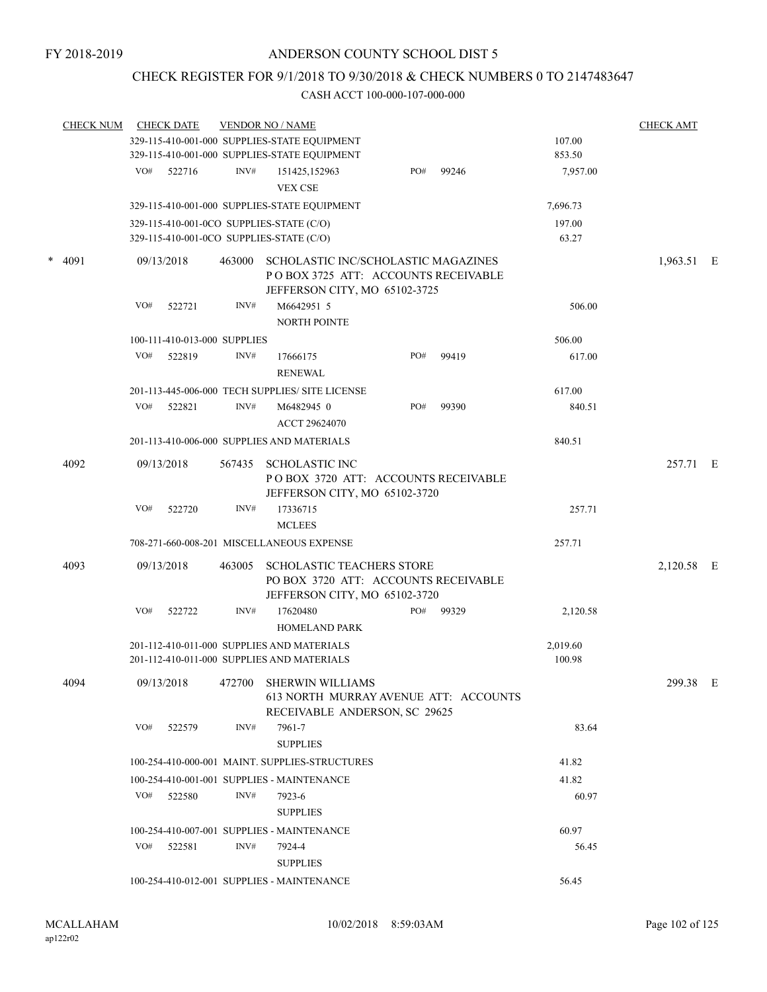# CHECK REGISTER FOR 9/1/2018 TO 9/30/2018 & CHECK NUMBERS 0 TO 2147483647

| <b>CHECK NUM</b> |     | <b>CHECK DATE</b>            |        | <b>VENDOR NO / NAME</b>                                                                                     |     |       |                 | <b>CHECK AMT</b> |  |
|------------------|-----|------------------------------|--------|-------------------------------------------------------------------------------------------------------------|-----|-------|-----------------|------------------|--|
|                  |     |                              |        | 329-115-410-001-000 SUPPLIES-STATE EQUIPMENT                                                                |     |       | 107.00          |                  |  |
|                  |     |                              |        | 329-115-410-001-000 SUPPLIES-STATE EQUIPMENT                                                                |     |       | 853.50          |                  |  |
|                  | VO# | 522716                       | INV#   | 151425,152963<br><b>VEX CSE</b>                                                                             | PO# | 99246 | 7,957.00        |                  |  |
|                  |     |                              |        | 329-115-410-001-000 SUPPLIES-STATE EQUIPMENT                                                                |     |       | 7,696.73        |                  |  |
|                  |     |                              |        | 329-115-410-001-0CO SUPPLIES-STATE (C/O)<br>329-115-410-001-0CO SUPPLIES-STATE (C/O)                        |     |       | 197.00<br>63.27 |                  |  |
| $*$ 4091         |     |                              |        |                                                                                                             |     |       |                 |                  |  |
|                  |     | 09/13/2018                   | 463000 | SCHOLASTIC INC/SCHOLASTIC MAGAZINES<br>POBOX 3725 ATT: ACCOUNTS RECEIVABLE<br>JEFFERSON CITY, MO 65102-3725 |     |       |                 | 1,963.51 E       |  |
|                  | VO# | 522721                       | INV#   | M6642951 5                                                                                                  |     |       | 506.00          |                  |  |
|                  |     |                              |        | NORTH POINTE                                                                                                |     |       |                 |                  |  |
|                  |     | 100-111-410-013-000 SUPPLIES |        |                                                                                                             |     |       | 506.00          |                  |  |
|                  | VO# | 522819                       | INV#   | 17666175                                                                                                    | PO# | 99419 | 617.00          |                  |  |
|                  |     |                              |        | <b>RENEWAL</b>                                                                                              |     |       |                 |                  |  |
|                  |     |                              |        | 201-113-445-006-000 TECH SUPPLIES/ SITE LICENSE                                                             |     |       | 617.00          |                  |  |
|                  | VO# | 522821                       | INV#   | M6482945 0                                                                                                  | PO# | 99390 | 840.51          |                  |  |
|                  |     |                              |        | ACCT 29624070                                                                                               |     |       |                 |                  |  |
|                  |     |                              |        | 201-113-410-006-000 SUPPLIES AND MATERIALS                                                                  |     |       | 840.51          |                  |  |
| 4092             |     | 09/13/2018                   | 567435 | <b>SCHOLASTIC INC</b>                                                                                       |     |       |                 | 257.71 E         |  |
|                  |     |                              |        | POBOX 3720 ATT: ACCOUNTS RECEIVABLE<br>JEFFERSON CITY, MO 65102-3720                                        |     |       |                 |                  |  |
|                  | VO# | 522720                       | INV#   | 17336715<br><b>MCLEES</b>                                                                                   |     |       | 257.71          |                  |  |
|                  |     |                              |        | 708-271-660-008-201 MISCELLANEOUS EXPENSE                                                                   |     |       | 257.71          |                  |  |
| 4093             |     | 09/13/2018                   | 463005 | SCHOLASTIC TEACHERS STORE<br>PO BOX 3720 ATT: ACCOUNTS RECEIVABLE<br>JEFFERSON CITY, MO 65102-3720          |     |       |                 | 2,120.58 E       |  |
|                  | VO# | 522722                       | INV#   | 17620480<br><b>HOMELAND PARK</b>                                                                            | PO# | 99329 | 2,120.58        |                  |  |
|                  |     |                              |        | 201-112-410-011-000 SUPPLIES AND MATERIALS                                                                  |     |       | 2,019.60        |                  |  |
|                  |     |                              |        | 201-112-410-011-000 SUPPLIES AND MATERIALS                                                                  |     |       | 100.98          |                  |  |
| 4094             |     | 09/13/2018                   | 472700 | SHERWIN WILLIAMS<br>613 NORTH MURRAY AVENUE ATT: ACCOUNTS<br>RECEIVABLE ANDERSON, SC 29625                  |     |       |                 | 299.38 E         |  |
|                  | VO# | 522579                       | INV#   | 7961-7                                                                                                      |     |       | 83.64           |                  |  |
|                  |     |                              |        | <b>SUPPLIES</b>                                                                                             |     |       |                 |                  |  |
|                  |     |                              |        | 100-254-410-000-001 MAINT. SUPPLIES-STRUCTURES                                                              |     |       | 41.82           |                  |  |
|                  |     |                              |        | 100-254-410-001-001 SUPPLIES - MAINTENANCE                                                                  |     |       | 41.82           |                  |  |
|                  | VO# | 522580                       | INV#   | 7923-6<br><b>SUPPLIES</b>                                                                                   |     |       | 60.97           |                  |  |
|                  |     |                              |        | 100-254-410-007-001 SUPPLIES - MAINTENANCE                                                                  |     |       | 60.97           |                  |  |
|                  | VO# | 522581                       | INV#   | 7924-4<br><b>SUPPLIES</b>                                                                                   |     |       | 56.45           |                  |  |
|                  |     |                              |        | 100-254-410-012-001 SUPPLIES - MAINTENANCE                                                                  |     |       | 56.45           |                  |  |
|                  |     |                              |        |                                                                                                             |     |       |                 |                  |  |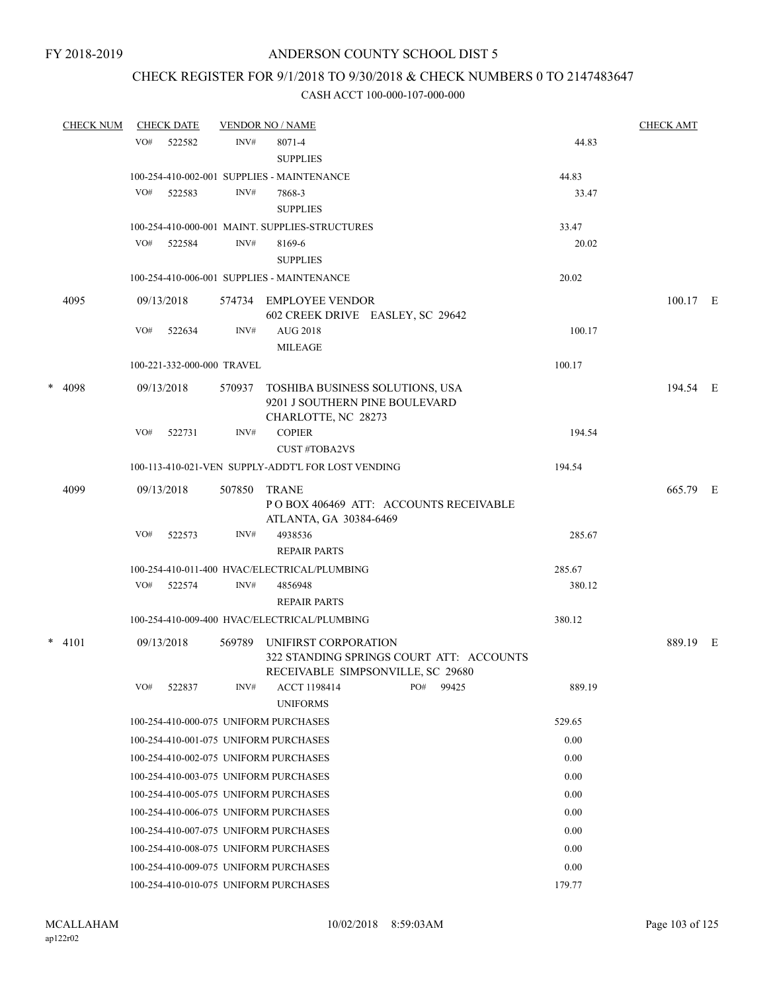## CHECK REGISTER FOR 9/1/2018 TO 9/30/2018 & CHECK NUMBERS 0 TO 2147483647

|   | <b>CHECK NUM</b> |     | <b>CHECK DATE</b>          |        | <b>VENDOR NO / NAME</b>                                                       |     |       |        | <b>CHECK AMT</b> |  |
|---|------------------|-----|----------------------------|--------|-------------------------------------------------------------------------------|-----|-------|--------|------------------|--|
|   |                  | VO# | 522582                     | INV#   | 8071-4                                                                        |     |       | 44.83  |                  |  |
|   |                  |     |                            |        | <b>SUPPLIES</b>                                                               |     |       |        |                  |  |
|   |                  |     |                            |        | 100-254-410-002-001 SUPPLIES - MAINTENANCE                                    |     |       | 44.83  |                  |  |
|   |                  | VO# | 522583                     | INV#   | 7868-3                                                                        |     |       | 33.47  |                  |  |
|   |                  |     |                            |        | <b>SUPPLIES</b>                                                               |     |       |        |                  |  |
|   |                  |     |                            |        | 100-254-410-000-001 MAINT. SUPPLIES-STRUCTURES                                |     |       | 33.47  |                  |  |
|   |                  |     | VO# 522584                 | INV#   | 8169-6                                                                        |     |       | 20.02  |                  |  |
|   |                  |     |                            |        | <b>SUPPLIES</b>                                                               |     |       |        |                  |  |
|   |                  |     |                            |        | 100-254-410-006-001 SUPPLIES - MAINTENANCE                                    |     |       | 20.02  |                  |  |
|   | 4095             |     | 09/13/2018                 |        | 574734 EMPLOYEE VENDOR<br>602 CREEK DRIVE EASLEY, SC 29642                    |     |       |        | 100.17 E         |  |
|   |                  | VO# | 522634                     | INV#   | <b>AUG 2018</b>                                                               |     |       | 100.17 |                  |  |
|   |                  |     |                            |        | <b>MILEAGE</b>                                                                |     |       |        |                  |  |
|   |                  |     | 100-221-332-000-000 TRAVEL |        |                                                                               |     |       | 100.17 |                  |  |
| * | 4098             |     | 09/13/2018                 | 570937 | TOSHIBA BUSINESS SOLUTIONS, USA                                               |     |       |        | 194.54 E         |  |
|   |                  |     |                            |        | 9201 J SOUTHERN PINE BOULEVARD                                                |     |       |        |                  |  |
|   |                  |     |                            |        | CHARLOTTE, NC 28273                                                           |     |       |        |                  |  |
|   |                  | VO# | 522731                     | INV#   | <b>COPIER</b><br><b>CUST #TOBA2VS</b>                                         |     |       | 194.54 |                  |  |
|   |                  |     |                            |        | 100-113-410-021-VEN SUPPLY-ADDT'L FOR LOST VENDING                            |     |       | 194.54 |                  |  |
|   | 4099             |     | 09/13/2018                 | 507850 | <b>TRANE</b>                                                                  |     |       |        | 665.79 E         |  |
|   |                  |     |                            |        | POBOX 406469 ATT: ACCOUNTS RECEIVABLE<br>ATLANTA, GA 30384-6469               |     |       |        |                  |  |
|   |                  | VO# | 522573                     | INV#   | 4938536                                                                       |     |       | 285.67 |                  |  |
|   |                  |     |                            |        | <b>REPAIR PARTS</b>                                                           |     |       |        |                  |  |
|   |                  |     |                            |        | 100-254-410-011-400 HVAC/ELECTRICAL/PLUMBING                                  |     |       | 285.67 |                  |  |
|   |                  | VO# | 522574                     | INV#   | 4856948                                                                       |     |       | 380.12 |                  |  |
|   |                  |     |                            |        | <b>REPAIR PARTS</b>                                                           |     |       |        |                  |  |
|   |                  |     |                            |        | 100-254-410-009-400 HVAC/ELECTRICAL/PLUMBING                                  |     |       | 380.12 |                  |  |
|   | $*$ 4101         |     | 09/13/2018                 | 569789 | UNIFIRST CORPORATION                                                          |     |       |        | 889.19 E         |  |
|   |                  |     |                            |        | 322 STANDING SPRINGS COURT ATT: ACCOUNTS<br>RECEIVABLE SIMPSONVILLE, SC 29680 |     |       |        |                  |  |
|   |                  | VO# | 522837                     | INV#   | ACCT 1198414                                                                  | PO# | 99425 | 889.19 |                  |  |
|   |                  |     |                            |        | <b>UNIFORMS</b>                                                               |     |       |        |                  |  |
|   |                  |     |                            |        | 100-254-410-000-075 UNIFORM PURCHASES                                         |     |       | 529.65 |                  |  |
|   |                  |     |                            |        | 100-254-410-001-075 UNIFORM PURCHASES                                         |     |       | 0.00   |                  |  |
|   |                  |     |                            |        | 100-254-410-002-075 UNIFORM PURCHASES                                         |     |       | 0.00   |                  |  |
|   |                  |     |                            |        | 100-254-410-003-075 UNIFORM PURCHASES                                         |     |       | 0.00   |                  |  |
|   |                  |     |                            |        | 100-254-410-005-075 UNIFORM PURCHASES                                         |     |       | 0.00   |                  |  |
|   |                  |     |                            |        | 100-254-410-006-075 UNIFORM PURCHASES                                         |     |       | 0.00   |                  |  |
|   |                  |     |                            |        | 100-254-410-007-075 UNIFORM PURCHASES                                         |     |       | 0.00   |                  |  |
|   |                  |     |                            |        | 100-254-410-008-075 UNIFORM PURCHASES                                         |     |       | 0.00   |                  |  |
|   |                  |     |                            |        | 100-254-410-009-075 UNIFORM PURCHASES                                         |     |       | 0.00   |                  |  |
|   |                  |     |                            |        | 100-254-410-010-075 UNIFORM PURCHASES                                         |     |       | 179.77 |                  |  |
|   |                  |     |                            |        |                                                                               |     |       |        |                  |  |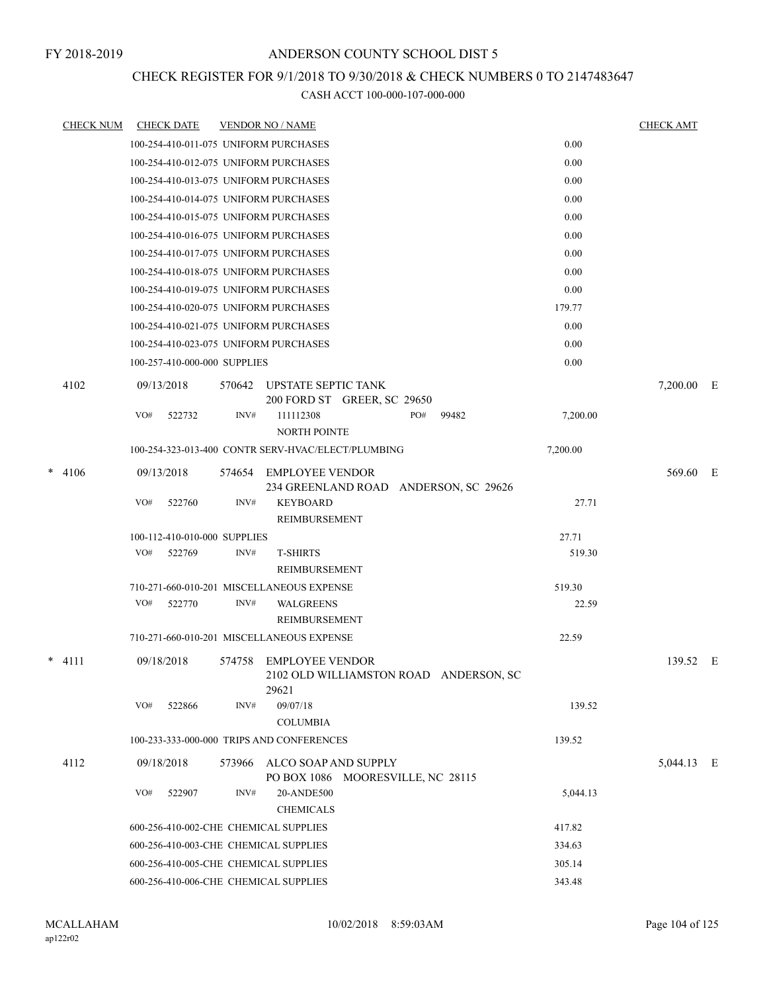## CHECK REGISTER FOR 9/1/2018 TO 9/30/2018 & CHECK NUMBERS 0 TO 2147483647

| <b>CHECK NUM</b> | <b>CHECK DATE</b>                                  |        | <b>VENDOR NO / NAME</b>                                   |     |                                        |          | <b>CHECK AMT</b> |  |
|------------------|----------------------------------------------------|--------|-----------------------------------------------------------|-----|----------------------------------------|----------|------------------|--|
|                  | 100-254-410-011-075 UNIFORM PURCHASES              |        |                                                           |     |                                        | 0.00     |                  |  |
|                  | 100-254-410-012-075 UNIFORM PURCHASES              |        |                                                           |     |                                        | 0.00     |                  |  |
|                  | 100-254-410-013-075 UNIFORM PURCHASES              |        |                                                           |     |                                        | 0.00     |                  |  |
|                  | 100-254-410-014-075 UNIFORM PURCHASES              |        |                                                           |     |                                        | 0.00     |                  |  |
|                  | 100-254-410-015-075 UNIFORM PURCHASES              |        |                                                           |     |                                        | 0.00     |                  |  |
|                  | 100-254-410-016-075 UNIFORM PURCHASES              |        |                                                           |     |                                        | 0.00     |                  |  |
|                  | 100-254-410-017-075 UNIFORM PURCHASES              |        |                                                           |     |                                        | 0.00     |                  |  |
|                  | 100-254-410-018-075 UNIFORM PURCHASES              |        |                                                           |     |                                        | 0.00     |                  |  |
|                  | 100-254-410-019-075 UNIFORM PURCHASES              |        |                                                           |     |                                        | 0.00     |                  |  |
|                  | 100-254-410-020-075 UNIFORM PURCHASES              |        |                                                           |     |                                        | 179.77   |                  |  |
|                  | 100-254-410-021-075 UNIFORM PURCHASES              |        |                                                           |     |                                        | 0.00     |                  |  |
|                  | 100-254-410-023-075 UNIFORM PURCHASES              |        |                                                           |     |                                        | 0.00     |                  |  |
|                  | 100-257-410-000-000 SUPPLIES                       |        |                                                           |     |                                        | 0.00     |                  |  |
| 4102             | 09/13/2018                                         | 570642 | UPSTATE SEPTIC TANK<br>200 FORD ST GREER, SC 29650        |     |                                        |          | 7,200.00 E       |  |
|                  | VO#<br>522732                                      | INV#   | 111112308<br><b>NORTH POINTE</b>                          | PO# | 99482                                  | 7,200.00 |                  |  |
|                  | 100-254-323-013-400 CONTR SERV-HVAC/ELECT/PLUMBING |        |                                                           |     |                                        | 7,200.00 |                  |  |
| $*$ 4106         | 09/13/2018                                         | 574654 | EMPLOYEE VENDOR                                           |     | 234 GREENLAND ROAD ANDERSON, SC 29626  |          | 569.60 E         |  |
|                  | VO#<br>522760                                      | INV#   | <b>KEYBOARD</b><br>REIMBURSEMENT                          |     |                                        | 27.71    |                  |  |
|                  | 100-112-410-010-000 SUPPLIES                       |        |                                                           |     |                                        | 27.71    |                  |  |
|                  | VO#<br>522769                                      | INV#   | <b>T-SHIRTS</b>                                           |     |                                        | 519.30   |                  |  |
|                  |                                                    |        | REIMBURSEMENT                                             |     |                                        |          |                  |  |
|                  | 710-271-660-010-201 MISCELLANEOUS EXPENSE          |        |                                                           |     |                                        | 519.30   |                  |  |
|                  | VO#<br>522770                                      | INV#   | <b>WALGREENS</b><br>REIMBURSEMENT                         |     |                                        | 22.59    |                  |  |
|                  | 710-271-660-010-201 MISCELLANEOUS EXPENSE          |        |                                                           |     |                                        | 22.59    |                  |  |
| $*$ 4111         | 09/18/2018                                         | 574758 | EMPLOYEE VENDOR<br>29621                                  |     | 2102 OLD WILLIAMSTON ROAD ANDERSON, SC |          | 139.52 E         |  |
|                  | VO#<br>522866                                      | INV#   | 09/07/18<br><b>COLUMBIA</b>                               |     |                                        | 139.52   |                  |  |
|                  | 100-233-333-000-000 TRIPS AND CONFERENCES          |        |                                                           |     |                                        | 139.52   |                  |  |
| 4112             | 09/18/2018                                         | 573966 | ALCO SOAP AND SUPPLY<br>PO BOX 1086 MOORESVILLE, NC 28115 |     |                                        |          | 5,044.13 E       |  |
|                  | VO#<br>522907                                      | INV#   | 20-ANDE500                                                |     |                                        | 5,044.13 |                  |  |
|                  |                                                    |        | <b>CHEMICALS</b>                                          |     |                                        |          |                  |  |
|                  | 600-256-410-002-CHE CHEMICAL SUPPLIES              |        |                                                           |     |                                        | 417.82   |                  |  |
|                  | 600-256-410-003-CHE CHEMICAL SUPPLIES              |        |                                                           |     |                                        | 334.63   |                  |  |
|                  | 600-256-410-005-CHE CHEMICAL SUPPLIES              |        |                                                           |     |                                        | 305.14   |                  |  |
|                  | 600-256-410-006-CHE CHEMICAL SUPPLIES              |        |                                                           |     |                                        | 343.48   |                  |  |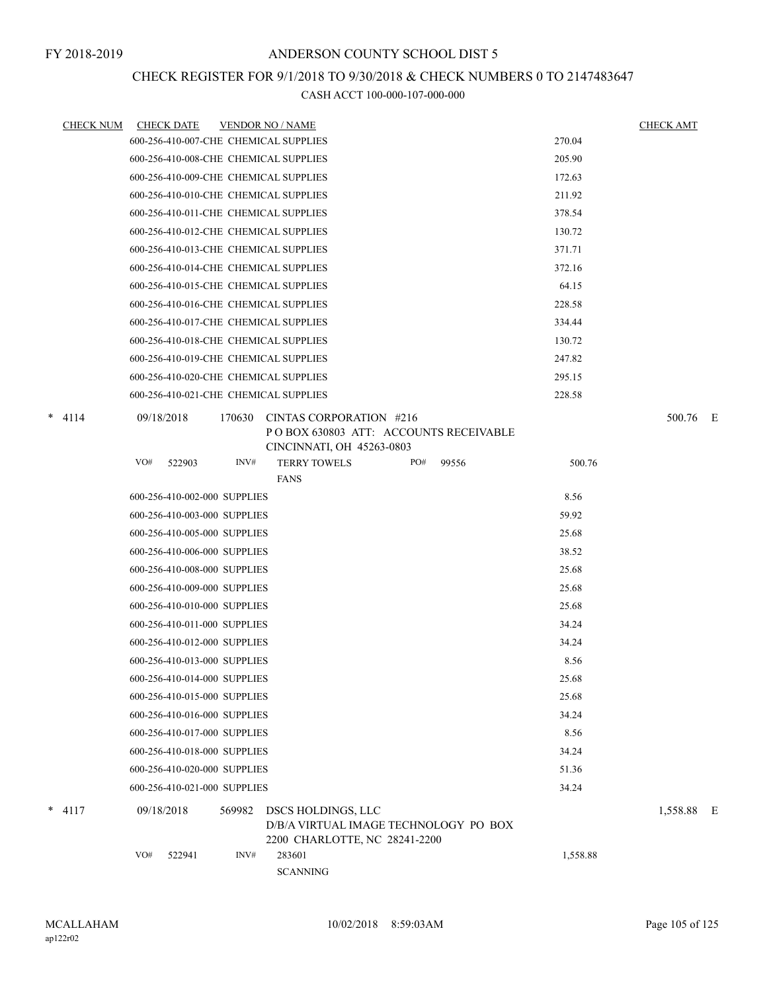# CHECK REGISTER FOR 9/1/2018 TO 9/30/2018 & CHECK NUMBERS 0 TO 2147483647

| <b>CHECK NUM</b> | <b>CHECK DATE</b><br><b>VENDOR NO / NAME</b>                                                                          |              |          | <b>CHECK AMT</b> |  |
|------------------|-----------------------------------------------------------------------------------------------------------------------|--------------|----------|------------------|--|
|                  | 600-256-410-007-CHE CHEMICAL SUPPLIES                                                                                 |              | 270.04   |                  |  |
|                  | 600-256-410-008-CHE CHEMICAL SUPPLIES                                                                                 |              | 205.90   |                  |  |
|                  | 600-256-410-009-CHE CHEMICAL SUPPLIES                                                                                 |              | 172.63   |                  |  |
|                  | 600-256-410-010-CHE CHEMICAL SUPPLIES                                                                                 |              | 211.92   |                  |  |
|                  | 600-256-410-011-CHE CHEMICAL SUPPLIES                                                                                 |              | 378.54   |                  |  |
|                  | 600-256-410-012-CHE CHEMICAL SUPPLIES                                                                                 |              | 130.72   |                  |  |
|                  | 600-256-410-013-CHE CHEMICAL SUPPLIES                                                                                 |              | 371.71   |                  |  |
|                  | 600-256-410-014-CHE CHEMICAL SUPPLIES                                                                                 |              | 372.16   |                  |  |
|                  | 600-256-410-015-CHE CHEMICAL SUPPLIES                                                                                 |              | 64.15    |                  |  |
|                  | 600-256-410-016-CHE CHEMICAL SUPPLIES                                                                                 |              | 228.58   |                  |  |
|                  | 600-256-410-017-CHE CHEMICAL SUPPLIES                                                                                 |              | 334.44   |                  |  |
|                  | 600-256-410-018-CHE CHEMICAL SUPPLIES                                                                                 |              | 130.72   |                  |  |
|                  | 600-256-410-019-CHE CHEMICAL SUPPLIES                                                                                 |              | 247.82   |                  |  |
|                  | 600-256-410-020-CHE CHEMICAL SUPPLIES                                                                                 |              | 295.15   |                  |  |
|                  | 600-256-410-021-CHE CHEMICAL SUPPLIES                                                                                 |              | 228.58   |                  |  |
| $*$ 4114         | 09/18/2018<br>170630<br>CINTAS CORPORATION #216<br>POBOX 630803 ATT: ACCOUNTS RECEIVABLE<br>CINCINNATI, OH 45263-0803 |              |          | 500.76 E         |  |
|                  | VO#<br>INV#<br><b>TERRY TOWELS</b><br>522903                                                                          | PO#<br>99556 | 500.76   |                  |  |
|                  | <b>FANS</b>                                                                                                           |              |          |                  |  |
|                  | 600-256-410-002-000 SUPPLIES                                                                                          |              | 8.56     |                  |  |
|                  | 600-256-410-003-000 SUPPLIES                                                                                          |              | 59.92    |                  |  |
|                  | 600-256-410-005-000 SUPPLIES                                                                                          |              | 25.68    |                  |  |
|                  | 600-256-410-006-000 SUPPLIES                                                                                          |              | 38.52    |                  |  |
|                  | 600-256-410-008-000 SUPPLIES                                                                                          |              | 25.68    |                  |  |
|                  | 600-256-410-009-000 SUPPLIES                                                                                          |              | 25.68    |                  |  |
|                  | 600-256-410-010-000 SUPPLIES                                                                                          |              | 25.68    |                  |  |
|                  | 600-256-410-011-000 SUPPLIES                                                                                          |              | 34.24    |                  |  |
|                  | 600-256-410-012-000 SUPPLIES                                                                                          |              | 34.24    |                  |  |
|                  | 600-256-410-013-000 SUPPLIES                                                                                          |              | 8.56     |                  |  |
|                  | 600-256-410-014-000 SUPPLIES                                                                                          |              | 25.68    |                  |  |
|                  | 600-256-410-015-000 SUPPLIES                                                                                          |              | 25.68    |                  |  |
|                  | 600-256-410-016-000 SUPPLIES                                                                                          |              | 34.24    |                  |  |
|                  | 600-256-410-017-000 SUPPLIES                                                                                          |              | 8.56     |                  |  |
|                  | 600-256-410-018-000 SUPPLIES                                                                                          |              | 34.24    |                  |  |
|                  | 600-256-410-020-000 SUPPLIES                                                                                          |              | 51.36    |                  |  |
|                  | 600-256-410-021-000 SUPPLIES                                                                                          |              | 34.24    |                  |  |
| $*$ 4117         | 09/18/2018<br>569982<br>DSCS HOLDINGS, LLC<br>D/B/A VIRTUAL IMAGE TECHNOLOGY PO BOX<br>2200 CHARLOTTE, NC 28241-2200  |              |          | 1,558.88 E       |  |
|                  | VO#<br>INV#<br>283601<br>522941<br><b>SCANNING</b>                                                                    |              | 1,558.88 |                  |  |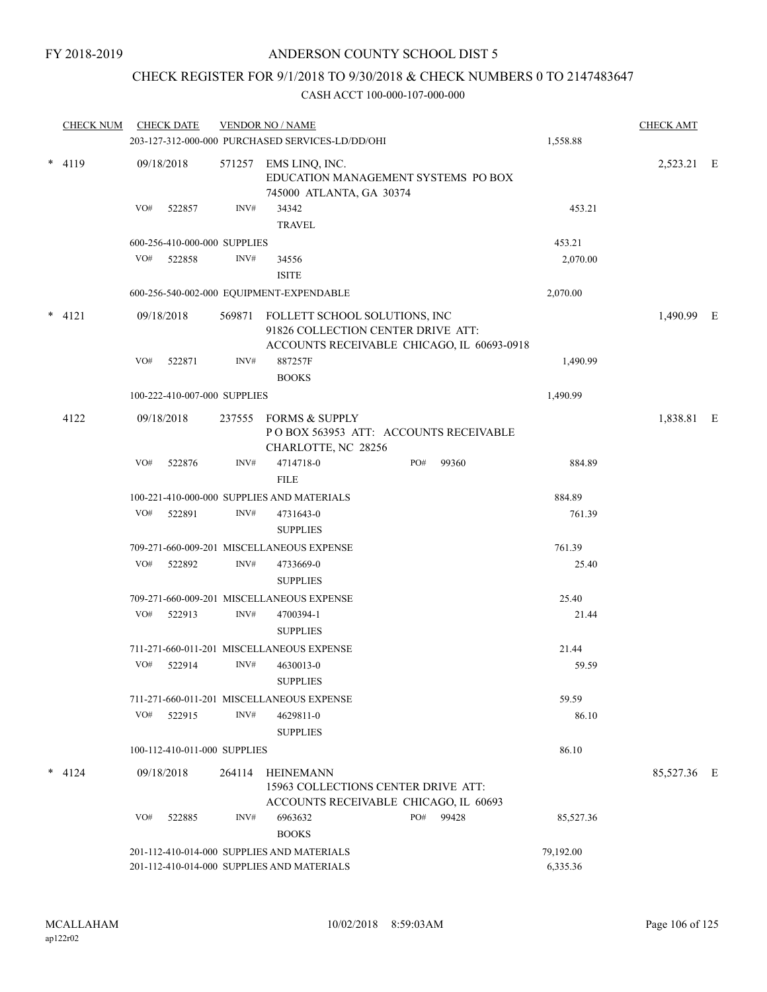# CHECK REGISTER FOR 9/1/2018 TO 9/30/2018 & CHECK NUMBERS 0 TO 2147483647

| <b>CHECK NUM</b> |          | <b>CHECK DATE</b> |                              | <b>VENDOR NO / NAME</b><br>203-127-312-000-000 PURCHASED SERVICES-LD/DD/OHI | 1,558.88                                                                                                          | <b>CHECK AMT</b> |           |           |             |  |
|------------------|----------|-------------------|------------------------------|-----------------------------------------------------------------------------|-------------------------------------------------------------------------------------------------------------------|------------------|-----------|-----------|-------------|--|
|                  | $*$ 4119 |                   | 09/18/2018                   |                                                                             | 571257 EMS LINQ, INC.<br>EDUCATION MANAGEMENT SYSTEMS PO BOX<br>745000 ATLANTA, GA 30374                          |                  |           |           | 2,523.21 E  |  |
|                  |          | VO#               | 522857                       | INV#                                                                        | 34342<br><b>TRAVEL</b>                                                                                            |                  |           | 453.21    |             |  |
|                  |          |                   | 600-256-410-000-000 SUPPLIES |                                                                             |                                                                                                                   |                  |           | 453.21    |             |  |
|                  |          | VO#               | 522858                       | INV#                                                                        | 34556                                                                                                             |                  |           | 2,070.00  |             |  |
|                  |          |                   |                              |                                                                             | <b>ISITE</b>                                                                                                      |                  |           |           |             |  |
|                  |          |                   |                              |                                                                             | 600-256-540-002-000 EQUIPMENT-EXPENDABLE                                                                          |                  |           | 2,070.00  |             |  |
| $\ast$           | 4121     |                   | 09/18/2018                   | 569871                                                                      | FOLLETT SCHOOL SOLUTIONS, INC<br>91826 COLLECTION CENTER DRIVE ATT:<br>ACCOUNTS RECEIVABLE CHICAGO, IL 60693-0918 |                  |           |           | 1,490.99 E  |  |
|                  |          | VO#               | 522871                       | INV#                                                                        | 887257F<br><b>BOOKS</b>                                                                                           |                  |           | 1,490.99  |             |  |
|                  |          |                   | 100-222-410-007-000 SUPPLIES |                                                                             |                                                                                                                   |                  |           | 1,490.99  |             |  |
|                  | 4122     |                   | 09/18/2018                   | 237555                                                                      | <b>FORMS &amp; SUPPLY</b><br>POBOX 563953 ATT: ACCOUNTS RECEIVABLE<br>CHARLOTTE, NC 28256                         |                  |           |           | 1,838.81 E  |  |
|                  |          | VO#               | 522876                       | INV#                                                                        | 4714718-0<br><b>FILE</b>                                                                                          | PO#              | 99360     | 884.89    |             |  |
|                  |          |                   |                              |                                                                             | 100-221-410-000-000 SUPPLIES AND MATERIALS                                                                        |                  |           | 884.89    |             |  |
|                  |          | VO#               | 522891                       | INV#                                                                        | 4731643-0                                                                                                         |                  |           | 761.39    |             |  |
|                  |          |                   |                              |                                                                             | <b>SUPPLIES</b>                                                                                                   |                  |           |           |             |  |
|                  |          |                   |                              |                                                                             | 709-271-660-009-201 MISCELLANEOUS EXPENSE                                                                         |                  |           | 761.39    |             |  |
|                  |          | VO#               | 522892                       | INV#                                                                        | 4733669-0<br><b>SUPPLIES</b>                                                                                      |                  |           | 25.40     |             |  |
|                  |          |                   |                              |                                                                             | 709-271-660-009-201 MISCELLANEOUS EXPENSE                                                                         |                  |           | 25.40     |             |  |
|                  |          | VO#               | 522913                       | INV#                                                                        | 4700394-1<br><b>SUPPLIES</b>                                                                                      |                  |           | 21.44     |             |  |
|                  |          |                   |                              |                                                                             | 711-271-660-011-201 MISCELLANEOUS EXPENSE                                                                         |                  |           | 21.44     |             |  |
|                  |          | VO#               | 522914                       | INV#                                                                        | 4630013-0<br><b>SUPPLIES</b>                                                                                      |                  |           | 59.59     |             |  |
|                  |          |                   |                              |                                                                             | 711-271-660-011-201 MISCELLANEOUS EXPENSE                                                                         |                  |           | 59.59     |             |  |
|                  |          | VO#               | 522915                       | INV#                                                                        | 4629811-0<br><b>SUPPLIES</b>                                                                                      |                  |           | 86.10     |             |  |
|                  |          |                   | 100-112-410-011-000 SUPPLIES |                                                                             |                                                                                                                   |                  |           | 86.10     |             |  |
|                  | $*$ 4124 |                   | 09/18/2018                   | 264114                                                                      | <b>HEINEMANN</b><br>15963 COLLECTIONS CENTER DRIVE ATT:<br>ACCOUNTS RECEIVABLE CHICAGO, IL 60693                  |                  |           |           | 85,527.36 E |  |
|                  |          | VO#               | 522885                       | INV#                                                                        | 6963632<br><b>BOOKS</b>                                                                                           | PO#              | 99428     | 85,527.36 |             |  |
|                  |          |                   |                              | 201-112-410-014-000 SUPPLIES AND MATERIALS                                  |                                                                                                                   |                  | 79,192.00 |           |             |  |
|                  |          |                   |                              |                                                                             | 201-112-410-014-000 SUPPLIES AND MATERIALS                                                                        |                  |           | 6,335.36  |             |  |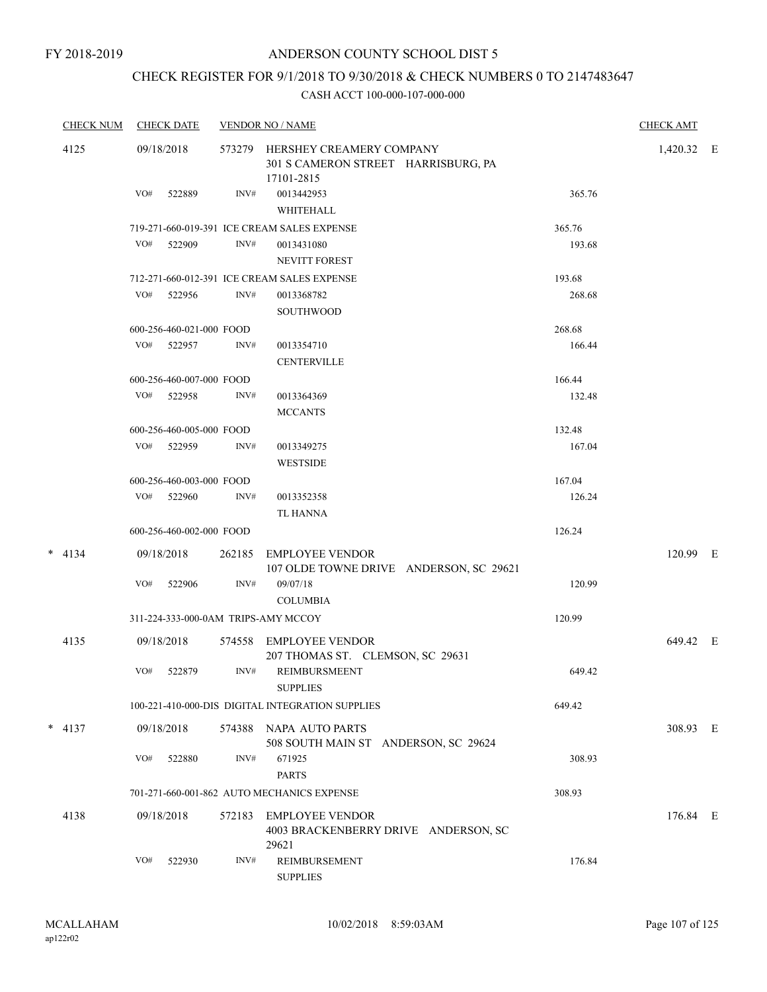# CHECK REGISTER FOR 9/1/2018 TO 9/30/2018 & CHECK NUMBERS 0 TO 2147483647

| <b>CHECK NUM</b> | <b>CHECK DATE</b> |                          |        | <b>VENDOR NO / NAME</b>                                                       |  |        |            |  |
|------------------|-------------------|--------------------------|--------|-------------------------------------------------------------------------------|--|--------|------------|--|
| 4125             |                   | 09/18/2018               | 573279 | HERSHEY CREAMERY COMPANY<br>301 S CAMERON STREET HARRISBURG, PA<br>17101-2815 |  |        | 1,420.32 E |  |
|                  | VO#               | 522889                   | INV#   | 0013442953<br>WHITEHALL                                                       |  | 365.76 |            |  |
|                  |                   |                          |        | 719-271-660-019-391 ICE CREAM SALES EXPENSE                                   |  | 365.76 |            |  |
|                  | VO#               | 522909                   | INV#   | 0013431080<br><b>NEVITT FOREST</b>                                            |  | 193.68 |            |  |
|                  |                   |                          |        | 712-271-660-012-391 ICE CREAM SALES EXPENSE                                   |  | 193.68 |            |  |
|                  | VO#               | 522956                   | INV#   | 0013368782<br>SOUTHWOOD                                                       |  | 268.68 |            |  |
|                  |                   | 600-256-460-021-000 FOOD |        |                                                                               |  | 268.68 |            |  |
|                  |                   | VO# 522957               | INV#   | 0013354710<br><b>CENTERVILLE</b>                                              |  | 166.44 |            |  |
|                  |                   | 600-256-460-007-000 FOOD |        |                                                                               |  | 166.44 |            |  |
|                  |                   | VO# 522958               | INV#   | 0013364369<br><b>MCCANTS</b>                                                  |  | 132.48 |            |  |
|                  |                   | 600-256-460-005-000 FOOD |        |                                                                               |  | 132.48 |            |  |
|                  |                   | VO# 522959               | INV#   | 0013349275<br><b>WESTSIDE</b>                                                 |  | 167.04 |            |  |
|                  |                   | 600-256-460-003-000 FOOD |        |                                                                               |  | 167.04 |            |  |
|                  | VO#               | 522960                   | INV#   | 0013352358<br><b>TL HANNA</b>                                                 |  | 126.24 |            |  |
|                  |                   | 600-256-460-002-000 FOOD |        |                                                                               |  | 126.24 |            |  |
| $*$ 4134         |                   | 09/18/2018               | 262185 | <b>EMPLOYEE VENDOR</b><br>107 OLDE TOWNE DRIVE ANDERSON, SC 29621             |  |        | 120.99 E   |  |
|                  | VO#               | 522906                   | INV#   | 09/07/18<br><b>COLUMBIA</b>                                                   |  | 120.99 |            |  |
|                  |                   |                          |        | 311-224-333-000-0AM TRIPS-AMY MCCOY                                           |  | 120.99 |            |  |
| 4135             |                   | 09/18/2018               | 574558 | EMPLOYEE VENDOR<br>207 THOMAS ST. CLEMSON, SC 29631                           |  |        | 649.42 E   |  |
|                  | VO#               | 522879                   | INV#   | REIMBURSMEENT<br><b>SUPPLIES</b>                                              |  | 649.42 |            |  |
|                  |                   |                          |        | 100-221-410-000-DIS DIGITAL INTEGRATION SUPPLIES                              |  | 649.42 |            |  |
| $* 4137$         |                   | 09/18/2018               | 574388 | NAPA AUTO PARTS<br>508 SOUTH MAIN ST ANDERSON, SC 29624                       |  |        | 308.93 E   |  |
|                  | VO#               | 522880                   | INV#   | 671925<br><b>PARTS</b>                                                        |  | 308.93 |            |  |
|                  |                   |                          |        | 701-271-660-001-862 AUTO MECHANICS EXPENSE                                    |  | 308.93 |            |  |
| 4138             |                   | 09/18/2018               | 572183 | <b>EMPLOYEE VENDOR</b><br>4003 BRACKENBERRY DRIVE ANDERSON, SC                |  |        | 176.84 E   |  |
|                  | VO#               | 522930                   | INV#   | 29621<br>REIMBURSEMENT<br><b>SUPPLIES</b>                                     |  | 176.84 |            |  |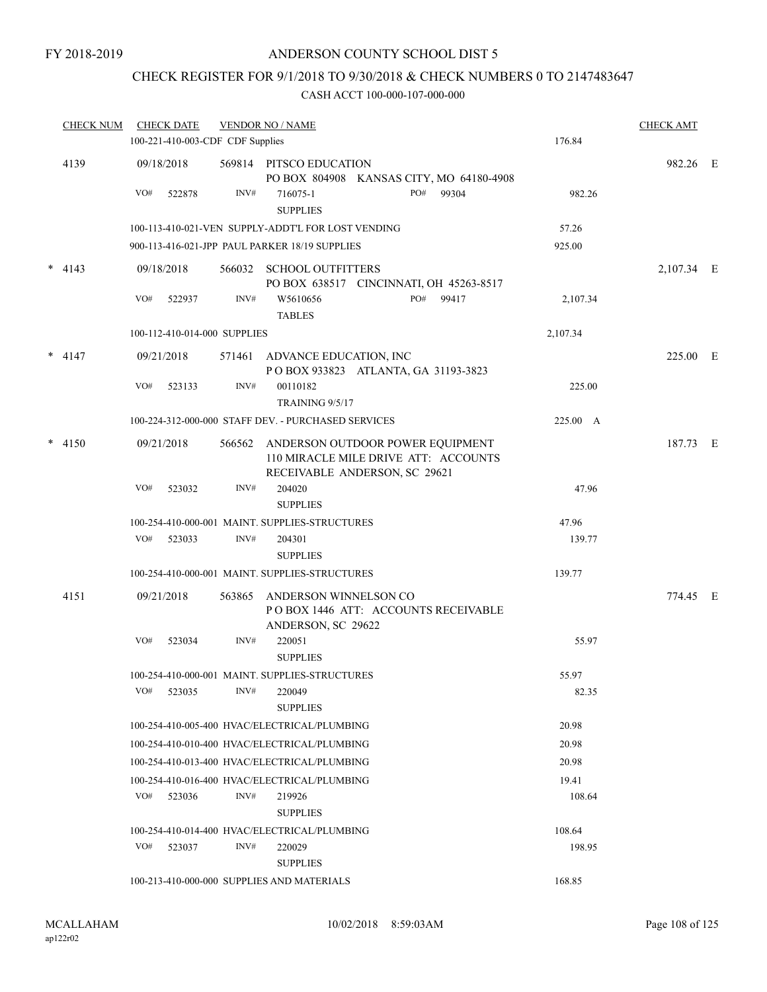# CHECK REGISTER FOR 9/1/2018 TO 9/30/2018 & CHECK NUMBERS 0 TO 2147483647

| <b>CHECK NUM</b> | <b>CHECK DATE</b><br>100-221-410-003-CDF CDF Supplies |        | <b>VENDOR NO / NAME</b>                             |                                                                          | 176.84   | <b>CHECK AMT</b> |  |
|------------------|-------------------------------------------------------|--------|-----------------------------------------------------|--------------------------------------------------------------------------|----------|------------------|--|
|                  |                                                       |        |                                                     |                                                                          |          |                  |  |
| 4139             | 09/18/2018                                            |        | 569814 PITSCO EDUCATION                             | PO BOX 804908 KANSAS CITY, MO 64180-4908                                 |          | 982.26 E         |  |
|                  | VO#<br>522878                                         | INV#   | 716075-1<br><b>SUPPLIES</b>                         | PO#<br>99304                                                             | 982.26   |                  |  |
|                  |                                                       |        | 100-113-410-021-VEN SUPPLY-ADDT'L FOR LOST VENDING  |                                                                          | 57.26    |                  |  |
|                  |                                                       |        | 900-113-416-021-JPP PAUL PARKER 18/19 SUPPLIES      |                                                                          | 925.00   |                  |  |
| $*$ 4143         | 09/18/2018                                            |        | 566032 SCHOOL OUTFITTERS                            |                                                                          |          | 2,107.34 E       |  |
|                  |                                                       |        |                                                     | PO BOX 638517 CINCINNATI, OH 45263-8517                                  |          |                  |  |
|                  | VO#<br>522937                                         | INV#   | W5610656<br><b>TABLES</b>                           | PO# 99417                                                                | 2,107.34 |                  |  |
|                  | 100-112-410-014-000 SUPPLIES                          |        |                                                     |                                                                          | 2,107.34 |                  |  |
| $* 4147$         | 09/21/2018                                            |        | 571461 ADVANCE EDUCATION, INC                       | POBOX 933823 ATLANTA, GA 31193-3823                                      |          | 225.00 E         |  |
|                  | VO#<br>523133                                         | INV#   | 00110182<br>TRAINING 9/5/17                         |                                                                          | 225.00   |                  |  |
|                  |                                                       |        | 100-224-312-000-000 STAFF DEV. - PURCHASED SERVICES |                                                                          | 225.00 A |                  |  |
| $* 4150$         | 09/21/2018                                            | 566562 |                                                     | ANDERSON OUTDOOR POWER EQUIPMENT<br>110 MIRACLE MILE DRIVE ATT: ACCOUNTS |          | 187.73 E         |  |
|                  |                                                       |        |                                                     | RECEIVABLE ANDERSON, SC 29621                                            |          |                  |  |
|                  | VO#<br>523032                                         | INV#   | 204020<br><b>SUPPLIES</b>                           |                                                                          | 47.96    |                  |  |
|                  |                                                       |        | 100-254-410-000-001 MAINT. SUPPLIES-STRUCTURES      |                                                                          | 47.96    |                  |  |
|                  | VO#<br>523033                                         | INV#   | 204301                                              |                                                                          | 139.77   |                  |  |
|                  |                                                       |        | <b>SUPPLIES</b>                                     |                                                                          |          |                  |  |
|                  |                                                       |        | 100-254-410-000-001 MAINT. SUPPLIES-STRUCTURES      |                                                                          | 139.77   |                  |  |
| 4151             | 09/21/2018                                            | 563865 | ANDERSON WINNELSON CO<br>ANDERSON, SC 29622         | POBOX 1446 ATT: ACCOUNTS RECEIVABLE                                      |          | 774.45 E         |  |
|                  | VO#<br>523034                                         | INV#   | 220051<br><b>SUPPLIES</b>                           |                                                                          | 55.97    |                  |  |
|                  |                                                       |        | 100-254-410-000-001 MAINT. SUPPLIES-STRUCTURES      |                                                                          | 55.97    |                  |  |
|                  | VO#<br>523035                                         | INV#   | 220049<br><b>SUPPLIES</b>                           |                                                                          | 82.35    |                  |  |
|                  |                                                       |        | 100-254-410-005-400 HVAC/ELECTRICAL/PLUMBING        |                                                                          | 20.98    |                  |  |
|                  |                                                       |        | 100-254-410-010-400 HVAC/ELECTRICAL/PLUMBING        |                                                                          | 20.98    |                  |  |
|                  |                                                       |        | 100-254-410-013-400 HVAC/ELECTRICAL/PLUMBING        |                                                                          | 20.98    |                  |  |
|                  |                                                       |        | 100-254-410-016-400 HVAC/ELECTRICAL/PLUMBING        |                                                                          | 19.41    |                  |  |
|                  | VO#<br>523036                                         | INV#   | 219926<br><b>SUPPLIES</b>                           |                                                                          | 108.64   |                  |  |
|                  |                                                       |        | 100-254-410-014-400 HVAC/ELECTRICAL/PLUMBING        |                                                                          | 108.64   |                  |  |
|                  | VO#<br>523037                                         | INV#   | 220029<br><b>SUPPLIES</b>                           |                                                                          | 198.95   |                  |  |
|                  |                                                       |        | 100-213-410-000-000 SUPPLIES AND MATERIALS          |                                                                          | 168.85   |                  |  |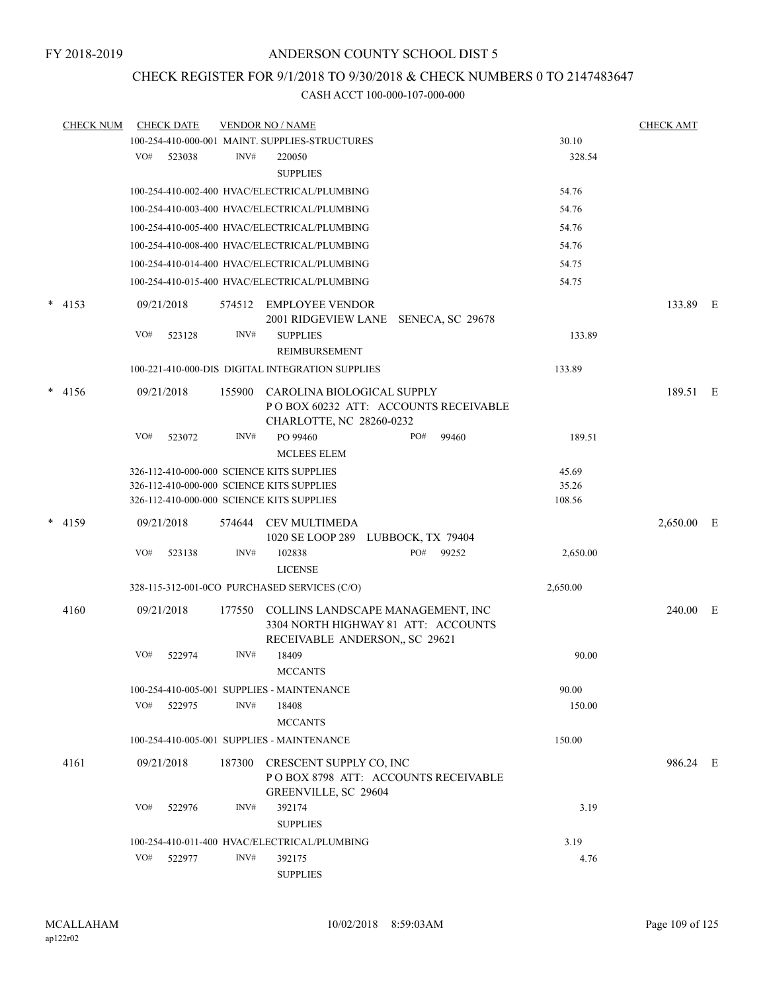## CHECK REGISTER FOR 9/1/2018 TO 9/30/2018 & CHECK NUMBERS 0 TO 2147483647

| <b>CHECK NUM</b> | <b>CHECK DATE</b> |        |        | <b>VENDOR NO / NAME</b>                                                                                   |     |       |          | <b>CHECK AMT</b> |            |  |
|------------------|-------------------|--------|--------|-----------------------------------------------------------------------------------------------------------|-----|-------|----------|------------------|------------|--|
|                  |                   |        |        | 100-254-410-000-001 MAINT. SUPPLIES-STRUCTURES                                                            |     |       | 30.10    |                  |            |  |
|                  | VO#               | 523038 | INV#   | 220050<br><b>SUPPLIES</b>                                                                                 |     |       | 328.54   |                  |            |  |
|                  |                   |        |        | 100-254-410-002-400 HVAC/ELECTRICAL/PLUMBING                                                              |     |       | 54.76    |                  |            |  |
|                  |                   |        |        | 100-254-410-003-400 HVAC/ELECTRICAL/PLUMBING                                                              |     |       | 54.76    |                  |            |  |
|                  |                   |        |        | 100-254-410-005-400 HVAC/ELECTRICAL/PLUMBING                                                              |     |       | 54.76    |                  |            |  |
|                  |                   |        |        | 100-254-410-008-400 HVAC/ELECTRICAL/PLUMBING                                                              |     |       | 54.76    |                  |            |  |
|                  |                   |        |        | 100-254-410-014-400 HVAC/ELECTRICAL/PLUMBING                                                              |     |       | 54.75    |                  |            |  |
|                  |                   |        |        | 100-254-410-015-400 HVAC/ELECTRICAL/PLUMBING                                                              |     |       | 54.75    |                  |            |  |
|                  |                   |        |        |                                                                                                           |     |       |          |                  |            |  |
| $*$ 4153         | 09/21/2018        |        |        | 574512 EMPLOYEE VENDOR<br>2001 RIDGEVIEW LANE SENECA, SC 29678                                            |     |       |          |                  | 133.89 E   |  |
|                  | VO#               | 523128 | INV#   | <b>SUPPLIES</b><br>REIMBURSEMENT                                                                          |     |       | 133.89   |                  |            |  |
|                  |                   |        |        | 100-221-410-000-DIS DIGITAL INTEGRATION SUPPLIES                                                          |     |       | 133.89   |                  |            |  |
| $* 4156$         | 09/21/2018        |        | 155900 | CAROLINA BIOLOGICAL SUPPLY<br>POBOX 60232 ATT: ACCOUNTS RECEIVABLE<br>CHARLOTTE, NC 28260-0232            |     |       |          |                  | 189.51 E   |  |
|                  | VO#               | 523072 | INV#   | PO 99460<br><b>MCLEES ELEM</b>                                                                            | PO# | 99460 | 189.51   |                  |            |  |
|                  |                   |        |        | 326-112-410-000-000 SCIENCE KITS SUPPLIES                                                                 |     |       | 45.69    |                  |            |  |
|                  |                   |        |        | 326-112-410-000-000 SCIENCE KITS SUPPLIES                                                                 |     |       | 35.26    |                  |            |  |
|                  |                   |        |        | 326-112-410-000-000 SCIENCE KITS SUPPLIES                                                                 |     |       | 108.56   |                  |            |  |
| * 4159           | 09/21/2018        |        | 574644 | <b>CEV MULTIMEDA</b><br>1020 SE LOOP 289 LUBBOCK, TX 79404                                                |     |       |          |                  | 2,650.00 E |  |
|                  | VO#               | 523138 | INV#   | 102838<br><b>LICENSE</b>                                                                                  | PO# | 99252 | 2,650.00 |                  |            |  |
|                  |                   |        |        | 328-115-312-001-0CO PURCHASED SERVICES (C/O)                                                              |     |       | 2,650.00 |                  |            |  |
| 4160             | 09/21/2018        |        | 177550 | COLLINS LANDSCAPE MANAGEMENT, INC<br>3304 NORTH HIGHWAY 81 ATT: ACCOUNTS<br>RECEIVABLE ANDERSON, SC 29621 |     |       |          |                  | 240.00 E   |  |
|                  | VO#               | 522974 | INV#   | 18409<br><b>MCCANTS</b>                                                                                   |     |       | 90.00    |                  |            |  |
|                  |                   |        |        | 100-254-410-005-001 SUPPLIES - MAINTENANCE                                                                |     |       | 90.00    |                  |            |  |
|                  | VO#               | 522975 | INV#   | 18408                                                                                                     |     |       | 150.00   |                  |            |  |
|                  |                   |        |        | <b>MCCANTS</b>                                                                                            |     |       |          |                  |            |  |
|                  |                   |        |        | 100-254-410-005-001 SUPPLIES - MAINTENANCE                                                                |     |       | 150.00   |                  |            |  |
| 4161             | 09/21/2018        |        | 187300 | CRESCENT SUPPLY CO, INC<br>POBOX 8798 ATT: ACCOUNTS RECEIVABLE<br><b>GREENVILLE, SC 29604</b>             |     |       |          |                  | 986.24 E   |  |
|                  | VO#               | 522976 | INV#   | 392174<br><b>SUPPLIES</b>                                                                                 |     |       | 3.19     |                  |            |  |
|                  |                   |        |        | 100-254-410-011-400 HVAC/ELECTRICAL/PLUMBING                                                              |     |       | 3.19     |                  |            |  |
|                  | VO#               | 522977 | INV#   | 392175                                                                                                    |     |       | 4.76     |                  |            |  |
|                  |                   |        |        | <b>SUPPLIES</b>                                                                                           |     |       |          |                  |            |  |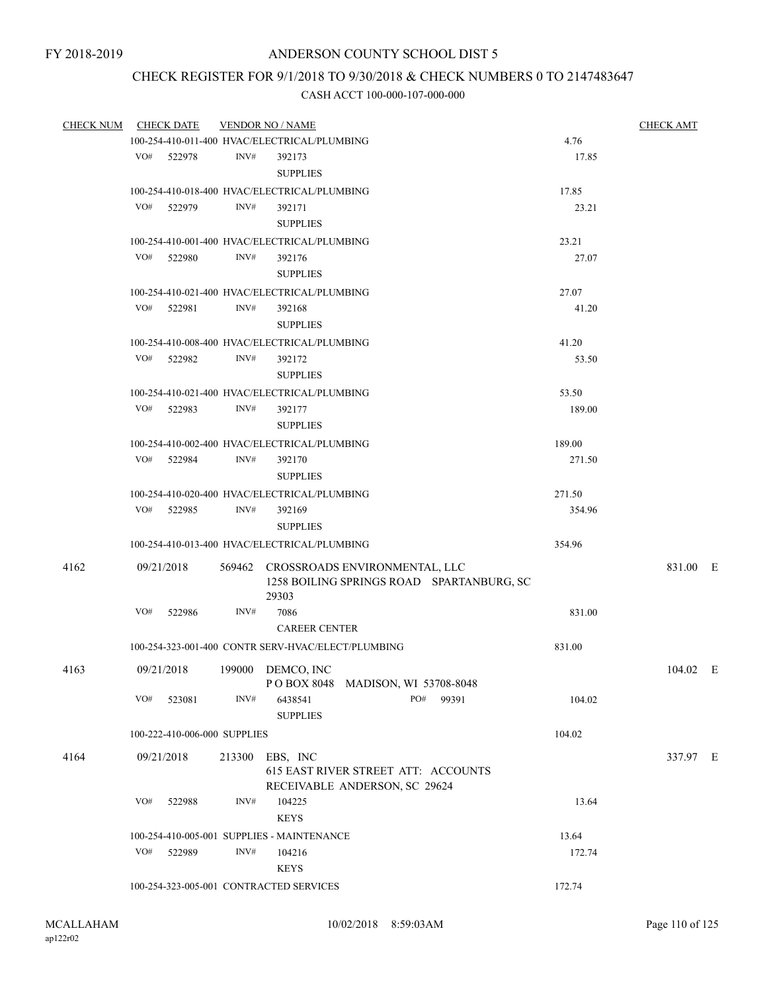# CHECK REGISTER FOR 9/1/2018 TO 9/30/2018 & CHECK NUMBERS 0 TO 2147483647

| <b>CHECK NUM</b> |     | <b>CHECK DATE</b>            |      | <b>VENDOR NO / NAME</b>                                                                    |        | <b>CHECK AMT</b> |
|------------------|-----|------------------------------|------|--------------------------------------------------------------------------------------------|--------|------------------|
|                  |     |                              |      | 100-254-410-011-400 HVAC/ELECTRICAL/PLUMBING                                               | 4.76   |                  |
|                  | VO# | 522978                       | INV# | 392173                                                                                     | 17.85  |                  |
|                  |     |                              |      | <b>SUPPLIES</b>                                                                            |        |                  |
|                  |     |                              |      | 100-254-410-018-400 HVAC/ELECTRICAL/PLUMBING                                               | 17.85  |                  |
|                  | VO# | 522979                       | INV# | 392171                                                                                     | 23.21  |                  |
|                  |     |                              |      | <b>SUPPLIES</b>                                                                            |        |                  |
|                  |     |                              |      | 100-254-410-001-400 HVAC/ELECTRICAL/PLUMBING                                               | 23.21  |                  |
|                  |     | VO# 522980                   | INV# | 392176                                                                                     | 27.07  |                  |
|                  |     |                              |      | <b>SUPPLIES</b>                                                                            |        |                  |
|                  |     |                              |      | 100-254-410-021-400 HVAC/ELECTRICAL/PLUMBING                                               | 27.07  |                  |
|                  | VO# | 522981                       | INV# | 392168                                                                                     | 41.20  |                  |
|                  |     |                              |      | <b>SUPPLIES</b>                                                                            |        |                  |
|                  |     |                              |      | 100-254-410-008-400 HVAC/ELECTRICAL/PLUMBING                                               | 41.20  |                  |
|                  | VO# | 522982                       | INV# | 392172                                                                                     | 53.50  |                  |
|                  |     |                              |      | <b>SUPPLIES</b>                                                                            |        |                  |
|                  |     |                              |      | 100-254-410-021-400 HVAC/ELECTRICAL/PLUMBING                                               | 53.50  |                  |
|                  |     | VO# 522983                   | INV# | 392177                                                                                     | 189.00 |                  |
|                  |     |                              |      | <b>SUPPLIES</b>                                                                            |        |                  |
|                  |     |                              |      | 100-254-410-002-400 HVAC/ELECTRICAL/PLUMBING                                               | 189.00 |                  |
|                  |     | VO# 522984                   | INV# | 392170                                                                                     | 271.50 |                  |
|                  |     |                              |      | <b>SUPPLIES</b>                                                                            |        |                  |
|                  |     |                              |      | 100-254-410-020-400 HVAC/ELECTRICAL/PLUMBING                                               | 271.50 |                  |
|                  |     | VO# 522985                   | INV# | 392169                                                                                     | 354.96 |                  |
|                  |     |                              |      | <b>SUPPLIES</b>                                                                            |        |                  |
|                  |     |                              |      | 100-254-410-013-400 HVAC/ELECTRICAL/PLUMBING                                               | 354.96 |                  |
|                  |     |                              |      |                                                                                            |        |                  |
| 4162             |     | 09/21/2018                   |      | 569462 CROSSROADS ENVIRONMENTAL, LLC<br>1258 BOILING SPRINGS ROAD SPARTANBURG, SC<br>29303 |        | 831.00 E         |
|                  | VO# | 522986                       | INV# | 7086                                                                                       | 831.00 |                  |
|                  |     |                              |      | <b>CAREER CENTER</b>                                                                       |        |                  |
|                  |     |                              |      | 100-254-323-001-400 CONTR SERV-HVAC/ELECT/PLUMBING                                         | 831.00 |                  |
| 4163             |     | 09/21/2018                   |      | 199000 DEMCO, INC                                                                          |        | 104.02 E         |
|                  |     |                              |      | POBOX 8048 MADISON, WI 53708-8048                                                          |        |                  |
|                  | VO# | 523081                       | INV# | 6438541<br>PO#<br>99391<br><b>SUPPLIES</b>                                                 | 104.02 |                  |
|                  |     | 100-222-410-006-000 SUPPLIES |      |                                                                                            | 104.02 |                  |
| 4164             |     | 09/21/2018                   |      | 213300 EBS, INC                                                                            |        | 337.97 E         |
|                  |     |                              |      | 615 EAST RIVER STREET ATT: ACCOUNTS<br>RECEIVABLE ANDERSON, SC 29624                       |        |                  |
|                  | VO# | 522988                       | INV# | 104225                                                                                     | 13.64  |                  |
|                  |     |                              |      | <b>KEYS</b>                                                                                |        |                  |
|                  |     |                              |      | 100-254-410-005-001 SUPPLIES - MAINTENANCE                                                 | 13.64  |                  |
|                  |     | VO# 522989                   | INV# | 104216                                                                                     | 172.74 |                  |
|                  |     |                              |      | <b>KEYS</b>                                                                                |        |                  |
|                  |     |                              |      | 100-254-323-005-001 CONTRACTED SERVICES                                                    | 172.74 |                  |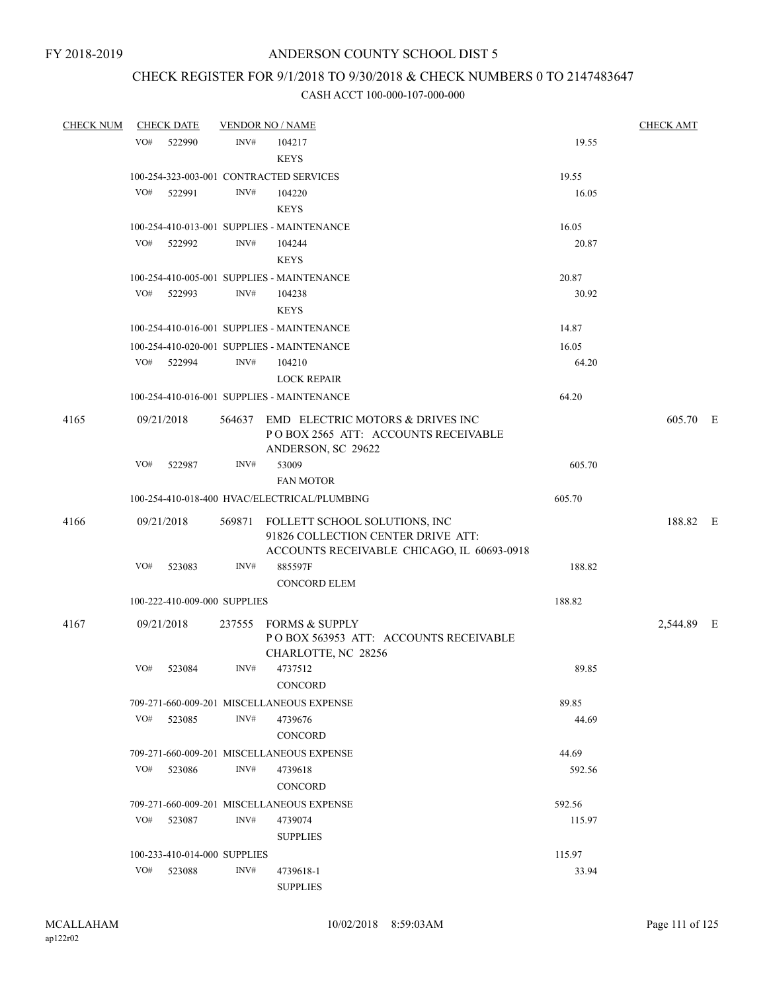# CHECK REGISTER FOR 9/1/2018 TO 9/30/2018 & CHECK NUMBERS 0 TO 2147483647

| <b>CHECK NUM</b> |            | <b>CHECK DATE</b>            |      | <b>VENDOR NO / NAME</b>                                                                                                  |        | <b>CHECK AMT</b> |  |
|------------------|------------|------------------------------|------|--------------------------------------------------------------------------------------------------------------------------|--------|------------------|--|
|                  | VO#        | 522990                       | INV# | 104217<br><b>KEYS</b>                                                                                                    | 19.55  |                  |  |
|                  |            |                              |      | 100-254-323-003-001 CONTRACTED SERVICES                                                                                  | 19.55  |                  |  |
|                  | VO#        | 522991                       | INV# | 104220                                                                                                                   | 16.05  |                  |  |
|                  |            |                              |      | <b>KEYS</b>                                                                                                              |        |                  |  |
|                  |            |                              |      | 100-254-410-013-001 SUPPLIES - MAINTENANCE                                                                               | 16.05  |                  |  |
|                  | VO#        | 522992                       | INV# | 104244                                                                                                                   | 20.87  |                  |  |
|                  |            |                              |      | <b>KEYS</b>                                                                                                              |        |                  |  |
|                  |            |                              |      | 100-254-410-005-001 SUPPLIES - MAINTENANCE                                                                               | 20.87  |                  |  |
|                  | VO#        | 522993                       | INV# | 104238                                                                                                                   | 30.92  |                  |  |
|                  |            |                              |      | <b>KEYS</b>                                                                                                              |        |                  |  |
|                  |            |                              |      | 100-254-410-016-001 SUPPLIES - MAINTENANCE                                                                               | 14.87  |                  |  |
|                  |            |                              |      | 100-254-410-020-001 SUPPLIES - MAINTENANCE                                                                               | 16.05  |                  |  |
|                  |            | VO# 522994                   | INV# | 104210                                                                                                                   | 64.20  |                  |  |
|                  |            |                              |      | <b>LOCK REPAIR</b>                                                                                                       |        |                  |  |
|                  |            |                              |      | 100-254-410-016-001 SUPPLIES - MAINTENANCE                                                                               | 64.20  |                  |  |
| 4165             | 09/21/2018 |                              |      | 564637 EMD ELECTRIC MOTORS & DRIVES INC<br>POBOX 2565 ATT: ACCOUNTS RECEIVABLE<br>ANDERSON, SC 29622                     |        | 605.70 E         |  |
|                  | VO#        | 522987                       | INV# | 53009<br><b>FAN MOTOR</b>                                                                                                | 605.70 |                  |  |
|                  |            |                              |      | 100-254-410-018-400 HVAC/ELECTRICAL/PLUMBING                                                                             | 605.70 |                  |  |
| 4166             | 09/21/2018 |                              |      | 569871 FOLLETT SCHOOL SOLUTIONS, INC<br>91826 COLLECTION CENTER DRIVE ATT:<br>ACCOUNTS RECEIVABLE CHICAGO, IL 60693-0918 |        | 188.82 E         |  |
|                  | VO#        | 523083                       | INV# | 885597F                                                                                                                  | 188.82 |                  |  |
|                  |            |                              |      | <b>CONCORD ELEM</b>                                                                                                      |        |                  |  |
|                  |            | 100-222-410-009-000 SUPPLIES |      |                                                                                                                          | 188.82 |                  |  |
| 4167             | 09/21/2018 |                              |      | 237555 FORMS & SUPPLY<br>POBOX 563953 ATT: ACCOUNTS RECEIVABLE<br>CHARLOTTE, NC 28256                                    |        | 2,544.89 E       |  |
|                  | VO#        | 523084                       | INV# | 4737512                                                                                                                  | 89.85  |                  |  |
|                  |            |                              |      | <b>CONCORD</b>                                                                                                           |        |                  |  |
|                  |            |                              |      | 709-271-660-009-201 MISCELLANEOUS EXPENSE                                                                                | 89.85  |                  |  |
|                  | VO#        | 523085                       | INV# | 4739676<br><b>CONCORD</b>                                                                                                | 44.69  |                  |  |
|                  |            |                              |      | 709-271-660-009-201 MISCELLANEOUS EXPENSE                                                                                | 44.69  |                  |  |
|                  | VO#        | 523086                       | INV# | 4739618<br><b>CONCORD</b>                                                                                                | 592.56 |                  |  |
|                  |            |                              |      | 709-271-660-009-201 MISCELLANEOUS EXPENSE                                                                                | 592.56 |                  |  |
|                  | VO#        | 523087                       | INV# | 4739074<br><b>SUPPLIES</b>                                                                                               | 115.97 |                  |  |
|                  |            | 100-233-410-014-000 SUPPLIES |      |                                                                                                                          | 115.97 |                  |  |
|                  | VO#        | 523088                       | INV# | 4739618-1<br><b>SUPPLIES</b>                                                                                             | 33.94  |                  |  |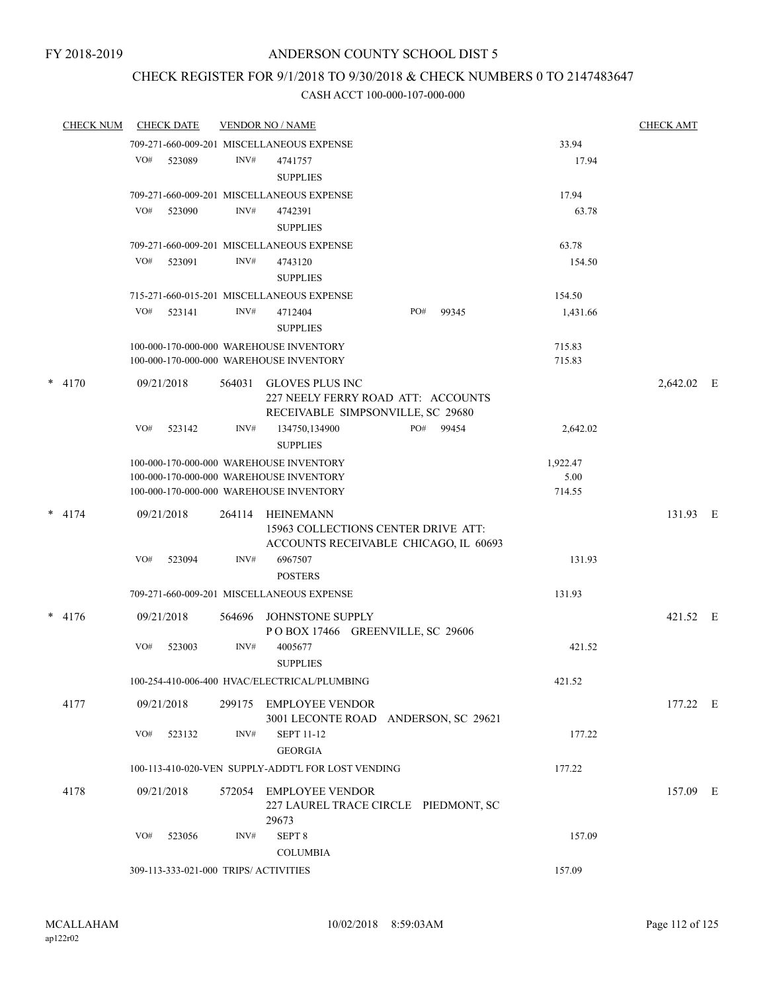## CHECK REGISTER FOR 9/1/2018 TO 9/30/2018 & CHECK NUMBERS 0 TO 2147483647

| <b>CHECK NUM</b> |     | <b>CHECK DATE</b>                     |        | <b>VENDOR NO / NAME</b>                                                                    |     |       |          | <b>CHECK AMT</b> |  |
|------------------|-----|---------------------------------------|--------|--------------------------------------------------------------------------------------------|-----|-------|----------|------------------|--|
|                  |     |                                       |        | 709-271-660-009-201 MISCELLANEOUS EXPENSE                                                  |     |       | 33.94    |                  |  |
|                  | VO# | 523089                                | INV#   | 4741757<br><b>SUPPLIES</b>                                                                 |     |       | 17.94    |                  |  |
|                  |     |                                       |        | 709-271-660-009-201 MISCELLANEOUS EXPENSE                                                  |     |       | 17.94    |                  |  |
|                  | VO# | 523090                                | INV#   | 4742391                                                                                    |     |       | 63.78    |                  |  |
|                  |     |                                       |        | <b>SUPPLIES</b>                                                                            |     |       |          |                  |  |
|                  |     |                                       |        | 709-271-660-009-201 MISCELLANEOUS EXPENSE                                                  |     |       | 63.78    |                  |  |
|                  | VO# | 523091                                | INV#   | 4743120                                                                                    |     |       | 154.50   |                  |  |
|                  |     |                                       |        | <b>SUPPLIES</b>                                                                            |     |       |          |                  |  |
|                  |     |                                       |        | 715-271-660-015-201 MISCELLANEOUS EXPENSE                                                  |     |       | 154.50   |                  |  |
|                  | VO# | 523141                                | INV#   | 4712404                                                                                    | PO# | 99345 | 1,431.66 |                  |  |
|                  |     |                                       |        | <b>SUPPLIES</b>                                                                            |     |       |          |                  |  |
|                  |     |                                       |        | 100-000-170-000-000 WAREHOUSE INVENTORY                                                    |     |       | 715.83   |                  |  |
|                  |     |                                       |        | 100-000-170-000-000 WAREHOUSE INVENTORY                                                    |     |       | 715.83   |                  |  |
| $*$ 4170         |     | 09/21/2018                            | 564031 | GLOVES PLUS INC<br>227 NEELY FERRY ROAD ATT: ACCOUNTS<br>RECEIVABLE SIMPSONVILLE, SC 29680 |     |       |          | 2,642.02 E       |  |
|                  | VO# | 523142                                | INV#   | 134750,134900<br><b>SUPPLIES</b>                                                           | PO# | 99454 | 2,642.02 |                  |  |
|                  |     |                                       |        | 100-000-170-000-000 WAREHOUSE INVENTORY                                                    |     |       | 1,922.47 |                  |  |
|                  |     |                                       |        | 100-000-170-000-000 WAREHOUSE INVENTORY                                                    |     |       | 5.00     |                  |  |
|                  |     |                                       |        | 100-000-170-000-000 WAREHOUSE INVENTORY                                                    |     |       | 714.55   |                  |  |
| $* 4174$         |     | 09/21/2018                            | 264114 | HEINEMANN<br>15963 COLLECTIONS CENTER DRIVE ATT:<br>ACCOUNTS RECEIVABLE CHICAGO, IL 60693  |     |       |          | 131.93 E         |  |
|                  | VO# | 523094                                | INV#   | 6967507<br><b>POSTERS</b>                                                                  |     |       | 131.93   |                  |  |
|                  |     |                                       |        | 709-271-660-009-201 MISCELLANEOUS EXPENSE                                                  |     |       | 131.93   |                  |  |
| $* 4176$         |     | 09/21/2018                            | 564696 | JOHNSTONE SUPPLY<br>POBOX 17466 GREENVILLE, SC 29606                                       |     |       |          | 421.52 E         |  |
|                  | VO# | 523003                                | INV#   | 4005677<br><b>SUPPLIES</b>                                                                 |     |       | 421.52   |                  |  |
|                  |     |                                       |        | 100-254-410-006-400 HVAC/ELECTRICAL/PLUMBING                                               |     |       | 421.52   |                  |  |
|                  |     |                                       |        |                                                                                            |     |       |          |                  |  |
| 4177             |     | 09/21/2018                            |        | 299175 EMPLOYEE VENDOR<br>3001 LECONTE ROAD ANDERSON, SC 29621                             |     |       |          | 177.22 E         |  |
|                  | VO# | 523132                                | INV#   | <b>SEPT 11-12</b><br><b>GEORGIA</b>                                                        |     |       | 177.22   |                  |  |
|                  |     |                                       |        | 100-113-410-020-VEN SUPPLY-ADDT'L FOR LOST VENDING                                         |     |       | 177.22   |                  |  |
| 4178             |     | 09/21/2018                            | 572054 | EMPLOYEE VENDOR<br>227 LAUREL TRACE CIRCLE PIEDMONT, SC<br>29673                           |     |       |          | 157.09 E         |  |
|                  | VO# | 523056                                | INV#   | SEPT <sub>8</sub>                                                                          |     |       | 157.09   |                  |  |
|                  |     |                                       |        | <b>COLUMBIA</b>                                                                            |     |       |          |                  |  |
|                  |     | 309-113-333-021-000 TRIPS/ ACTIVITIES |        |                                                                                            |     |       | 157.09   |                  |  |
|                  |     |                                       |        |                                                                                            |     |       |          |                  |  |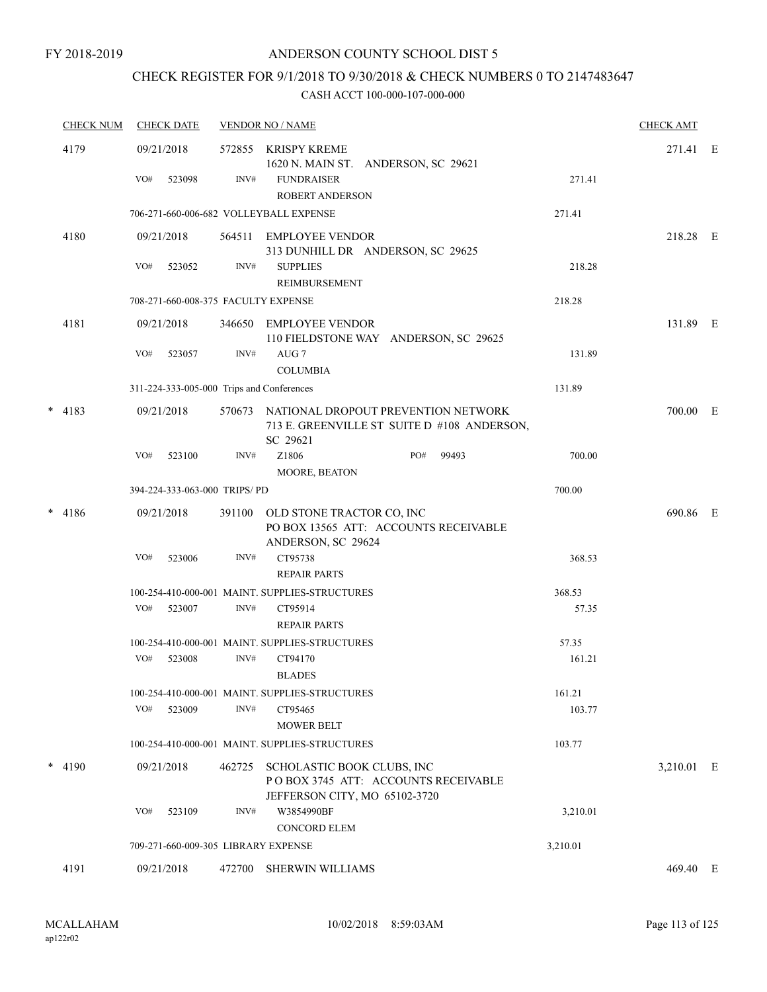## CHECK REGISTER FOR 9/1/2018 TO 9/30/2018 & CHECK NUMBERS 0 TO 2147483647

|   | <b>CHECK NUM</b> | <b>CHECK DATE</b>                         |                | <b>VENDOR NO / NAME</b>                                                                               |          | <b>CHECK AMT</b> |  |
|---|------------------|-------------------------------------------|----------------|-------------------------------------------------------------------------------------------------------|----------|------------------|--|
|   | 4179             | 09/21/2018<br>VO#<br>523098               | 572855<br>INV# | KRISPY KREME<br>1620 N. MAIN ST. ANDERSON, SC 29621<br><b>FUNDRAISER</b><br><b>ROBERT ANDERSON</b>    | 271.41   | 271.41 E         |  |
|   |                  | 706-271-660-006-682 VOLLEYBALL EXPENSE    |                |                                                                                                       | 271.41   |                  |  |
|   | 4180             | 09/21/2018                                | 564511         | EMPLOYEE VENDOR                                                                                       |          | 218.28 E         |  |
|   |                  | VO#<br>523052                             | INV#           | 313 DUNHILL DR ANDERSON, SC 29625<br><b>SUPPLIES</b><br>REIMBURSEMENT                                 | 218.28   |                  |  |
|   |                  | 708-271-660-008-375 FACULTY EXPENSE       |                |                                                                                                       | 218.28   |                  |  |
|   | 4181             | 09/21/2018                                |                | 346650 EMPLOYEE VENDOR<br>110 FIELDSTONE WAY ANDERSON, SC 29625                                       |          | 131.89 E         |  |
|   |                  | VO#<br>523057                             | INV#           | AUG <sub>7</sub><br><b>COLUMBIA</b>                                                                   | 131.89   |                  |  |
|   |                  | 311-224-333-005-000 Trips and Conferences |                |                                                                                                       | 131.89   |                  |  |
|   | $* 4183$         | 09/21/2018                                |                | 570673 NATIONAL DROPOUT PREVENTION NETWORK<br>713 E. GREENVILLE ST SUITE D #108 ANDERSON,<br>SC 29621 |          | 700.00 E         |  |
|   |                  | VO#<br>523100                             | INV#           | Z1806<br>PO#<br>99493<br>MOORE, BEATON                                                                | 700.00   |                  |  |
|   |                  | 394-224-333-063-000 TRIPS/PD              |                |                                                                                                       | 700.00   |                  |  |
| * | 4186             | 09/21/2018                                | 391100         | OLD STONE TRACTOR CO, INC<br>PO BOX 13565 ATT: ACCOUNTS RECEIVABLE<br>ANDERSON, SC 29624              |          | 690.86 E         |  |
|   |                  | VO#<br>523006                             | INV#           | CT95738<br><b>REPAIR PARTS</b>                                                                        | 368.53   |                  |  |
|   |                  |                                           |                | 100-254-410-000-001 MAINT. SUPPLIES-STRUCTURES                                                        | 368.53   |                  |  |
|   |                  | VO#<br>523007                             | INV#           | CT95914<br><b>REPAIR PARTS</b>                                                                        | 57.35    |                  |  |
|   |                  |                                           |                | 100-254-410-000-001 MAINT. SUPPLIES-STRUCTURES                                                        | 57.35    |                  |  |
|   |                  | VO#<br>523008                             | INV#           | CT94170<br><b>BLADES</b>                                                                              | 161.21   |                  |  |
|   |                  |                                           |                | 100-254-410-000-001 MAINT. SUPPLIES-STRUCTURES                                                        | 161.21   |                  |  |
|   |                  | VO#<br>523009                             | INV#           | CT95465<br><b>MOWER BELT</b>                                                                          | 103.77   |                  |  |
|   |                  |                                           |                | 100-254-410-000-001 MAINT. SUPPLIES-STRUCTURES                                                        | 103.77   |                  |  |
|   | $*$ 4190         | 09/21/2018                                | 462725         | SCHOLASTIC BOOK CLUBS, INC<br>POBOX 3745 ATT: ACCOUNTS RECEIVABLE<br>JEFFERSON CITY, MO 65102-3720    |          | 3,210.01 E       |  |
|   |                  | VO#<br>523109                             | INV#           | W3854990BF<br><b>CONCORD ELEM</b>                                                                     | 3,210.01 |                  |  |
|   |                  | 709-271-660-009-305 LIBRARY EXPENSE       |                |                                                                                                       | 3,210.01 |                  |  |
|   | 4191             | 09/21/2018                                | 472700         | SHERWIN WILLIAMS                                                                                      |          | 469.40 E         |  |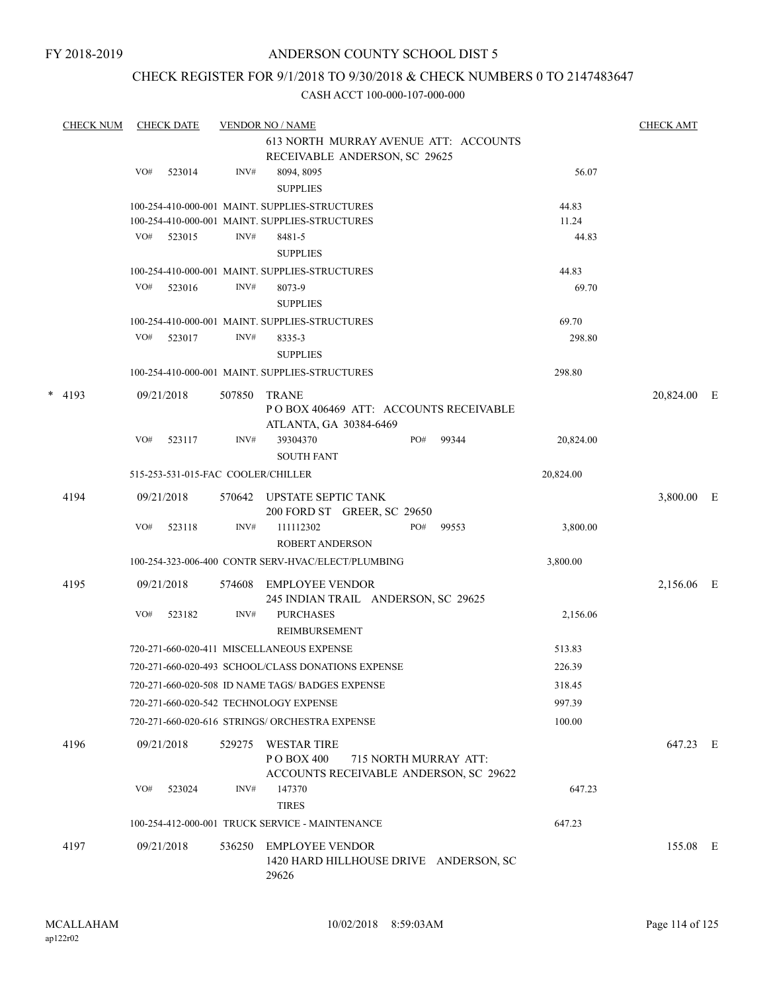#### CHECK REGISTER FOR 9/1/2018 TO 9/30/2018 & CHECK NUMBERS 0 TO 2147483647

|   | <b>CHECK NUM</b> |     | <b>CHECK DATE</b>                  |        | <b>VENDOR NO / NAME</b>                                                          |     |                       |           | <b>CHECK AMT</b> |  |
|---|------------------|-----|------------------------------------|--------|----------------------------------------------------------------------------------|-----|-----------------------|-----------|------------------|--|
|   |                  |     |                                    |        | 613 NORTH MURRAY AVENUE ATT: ACCOUNTS                                            |     |                       |           |                  |  |
|   |                  |     |                                    |        | RECEIVABLE ANDERSON, SC 29625                                                    |     |                       |           |                  |  |
|   |                  | VO# | 523014                             | INV#   | 8094, 8095<br><b>SUPPLIES</b>                                                    |     |                       | 56.07     |                  |  |
|   |                  |     |                                    |        | 100-254-410-000-001 MAINT. SUPPLIES-STRUCTURES                                   |     |                       | 44.83     |                  |  |
|   |                  |     |                                    |        | 100-254-410-000-001 MAINT. SUPPLIES-STRUCTURES                                   |     |                       | 11.24     |                  |  |
|   |                  | VO# | 523015                             | INV#   | 8481-5<br><b>SUPPLIES</b>                                                        |     |                       | 44.83     |                  |  |
|   |                  |     |                                    |        | 100-254-410-000-001 MAINT. SUPPLIES-STRUCTURES                                   |     |                       | 44.83     |                  |  |
|   |                  | VO# | 523016                             | INV#   | 8073-9<br><b>SUPPLIES</b>                                                        |     |                       | 69.70     |                  |  |
|   |                  |     |                                    |        | 100-254-410-000-001 MAINT. SUPPLIES-STRUCTURES                                   |     |                       | 69.70     |                  |  |
|   |                  | VO# | 523017                             | INV#   | 8335-3<br><b>SUPPLIES</b>                                                        |     |                       | 298.80    |                  |  |
|   |                  |     |                                    |        | 100-254-410-000-001 MAINT. SUPPLIES-STRUCTURES                                   |     |                       | 298.80    |                  |  |
| * | 4193             |     | 09/21/2018                         | 507850 | <b>TRANE</b><br>PO BOX 406469 ATT: ACCOUNTS RECEIVABLE<br>ATLANTA, GA 30384-6469 |     |                       |           | 20,824.00 E      |  |
|   |                  | VO# | 523117                             | INV#   | 39304370<br><b>SOUTH FANT</b>                                                    | PO# | 99344                 | 20,824.00 |                  |  |
|   |                  |     | 515-253-531-015-FAC COOLER/CHILLER |        |                                                                                  |     |                       | 20,824.00 |                  |  |
|   | 4194             |     | 09/21/2018                         | 570642 | UPSTATE SEPTIC TANK<br>200 FORD ST GREER, SC 29650                               |     |                       |           | 3,800.00 E       |  |
|   |                  | VO# | 523118                             | INV#   | 111112302<br><b>ROBERT ANDERSON</b>                                              | PO# | 99553                 | 3,800.00  |                  |  |
|   |                  |     |                                    |        | 100-254-323-006-400 CONTR SERV-HVAC/ELECT/PLUMBING                               |     |                       | 3,800.00  |                  |  |
|   | 4195             |     | 09/21/2018                         | 574608 | <b>EMPLOYEE VENDOR</b><br>245 INDIAN TRAIL ANDERSON, SC 29625                    |     |                       |           | 2,156.06 E       |  |
|   |                  | VO# | 523182                             | INV#   | <b>PURCHASES</b><br>REIMBURSEMENT                                                |     |                       | 2,156.06  |                  |  |
|   |                  |     |                                    |        | 720-271-660-020-411 MISCELLANEOUS EXPENSE                                        |     |                       | 513.83    |                  |  |
|   |                  |     |                                    |        | 720-271-660-020-493 SCHOOL/CLASS DONATIONS EXPENSE                               |     |                       | 226.39    |                  |  |
|   |                  |     |                                    |        | 720-271-660-020-508 ID NAME TAGS/ BADGES EXPENSE                                 |     |                       | 318.45    |                  |  |
|   |                  |     |                                    |        | 720-271-660-020-542 TECHNOLOGY EXPENSE                                           |     |                       | 997.39    |                  |  |
|   |                  |     |                                    |        | 720-271-660-020-616 STRINGS/ ORCHESTRA EXPENSE                                   |     |                       | 100.00    |                  |  |
|   | 4196             |     | 09/21/2018                         | 529275 | <b>WESTAR TIRE</b><br>PO BOX 400<br>ACCOUNTS RECEIVABLE ANDERSON, SC 29622       |     | 715 NORTH MURRAY ATT: |           | 647.23 E         |  |
|   |                  | VO# | 523024                             | INV#   | 147370<br><b>TIRES</b>                                                           |     |                       | 647.23    |                  |  |
|   |                  |     |                                    |        | 100-254-412-000-001 TRUCK SERVICE - MAINTENANCE                                  |     |                       | 647.23    |                  |  |
|   | 4197             |     | 09/21/2018                         | 536250 | <b>EMPLOYEE VENDOR</b><br>1420 HARD HILLHOUSE DRIVE ANDERSON, SC<br>29626        |     |                       |           | 155.08 E         |  |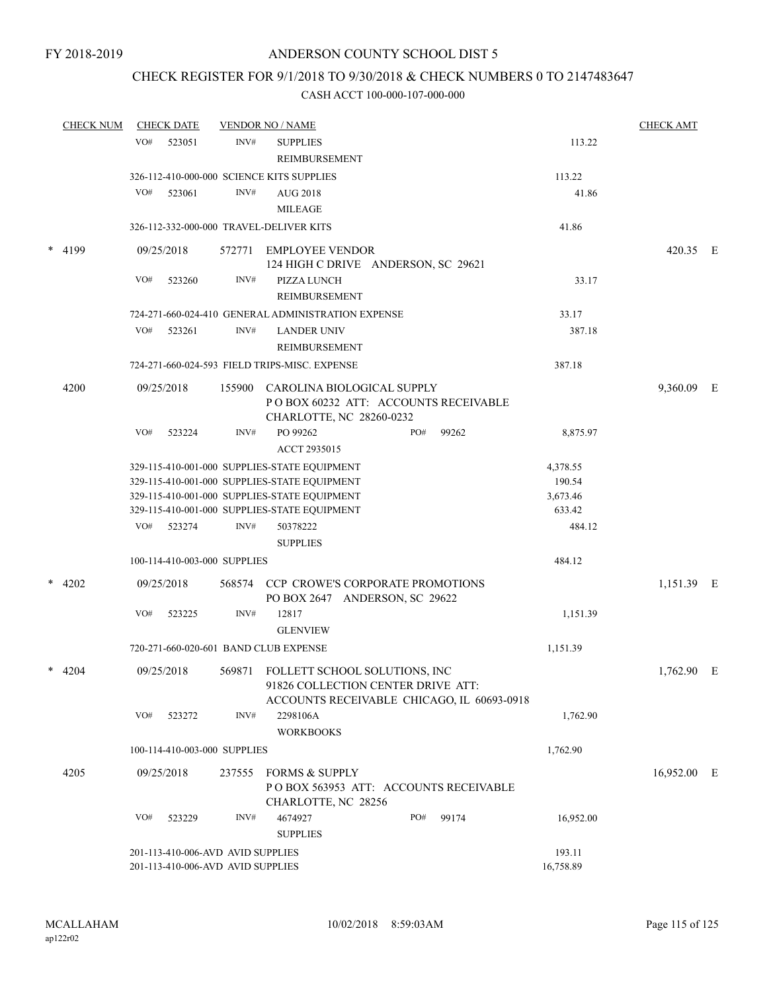## CHECK REGISTER FOR 9/1/2018 TO 9/30/2018 & CHECK NUMBERS 0 TO 2147483647

|  | <b>CHECK NUM</b> |                                                                        | <b>CHECK DATE</b> |                              | <b>VENDOR NO / NAME</b>                                                                                                  |  |     |                     | <b>CHECK AMT</b> |             |   |
|--|------------------|------------------------------------------------------------------------|-------------------|------------------------------|--------------------------------------------------------------------------------------------------------------------------|--|-----|---------------------|------------------|-------------|---|
|  |                  | VO#                                                                    | 523051            | INV#                         | <b>SUPPLIES</b><br>REIMBURSEMENT                                                                                         |  |     |                     | 113.22           |             |   |
|  |                  |                                                                        |                   |                              | 326-112-410-000-000 SCIENCE KITS SUPPLIES                                                                                |  |     |                     | 113.22           |             |   |
|  |                  | VO#                                                                    | 523061            | INV#                         | AUG 2018<br><b>MILEAGE</b>                                                                                               |  |     |                     | 41.86            |             |   |
|  |                  |                                                                        |                   |                              | 326-112-332-000-000 TRAVEL-DELIVER KITS                                                                                  |  |     |                     | 41.86            |             |   |
|  | $*$ 4199         |                                                                        | 09/25/2018        | 572771                       | <b>EMPLOYEE VENDOR</b><br>124 HIGH C DRIVE ANDERSON, SC 29621                                                            |  |     |                     |                  | 420.35 E    |   |
|  |                  | VO#                                                                    | 523260            | INV#                         | <b>PIZZA LUNCH</b><br>REIMBURSEMENT                                                                                      |  |     |                     | 33.17            |             |   |
|  |                  |                                                                        |                   |                              | 724-271-660-024-410 GENERAL ADMINISTRATION EXPENSE                                                                       |  |     |                     | 33.17            |             |   |
|  |                  | VO#                                                                    | 523261            | INV#                         | <b>LANDER UNIV</b><br>REIMBURSEMENT                                                                                      |  |     |                     | 387.18           |             |   |
|  |                  | 724-271-660-024-593 FIELD TRIPS-MISC. EXPENSE                          |                   |                              |                                                                                                                          |  |     |                     | 387.18           |             |   |
|  | 4200             |                                                                        | 09/25/2018        | 155900                       | CAROLINA BIOLOGICAL SUPPLY<br>POBOX 60232 ATT: ACCOUNTS RECEIVABLE<br>CHARLOTTE, NC 28260-0232                           |  |     |                     |                  | 9,360.09    | Ε |
|  |                  | VO#                                                                    | 523224            | INV#                         | PO 99262<br>ACCT 2935015                                                                                                 |  | PO# | 99262               | 8,875.97         |             |   |
|  |                  |                                                                        |                   |                              | 329-115-410-001-000 SUPPLIES-STATE EQUIPMENT                                                                             |  |     |                     | 4,378.55         |             |   |
|  |                  |                                                                        |                   |                              | 329-115-410-001-000 SUPPLIES-STATE EQUIPMENT                                                                             |  |     |                     | 190.54           |             |   |
|  |                  |                                                                        |                   |                              | 329-115-410-001-000 SUPPLIES-STATE EQUIPMENT                                                                             |  |     |                     | 3,673.46         |             |   |
|  |                  |                                                                        |                   |                              | 329-115-410-001-000 SUPPLIES-STATE EQUIPMENT                                                                             |  |     |                     | 633.42           |             |   |
|  |                  | VO#                                                                    | 523274            | INV#                         | 50378222<br><b>SUPPLIES</b>                                                                                              |  |     |                     | 484.12           |             |   |
|  |                  |                                                                        |                   | 100-114-410-003-000 SUPPLIES |                                                                                                                          |  |     |                     | 484.12           |             |   |
|  | $*$ 4202         |                                                                        | 09/25/2018        |                              | 568574 CCP CROWE'S CORPORATE PROMOTIONS<br>PO BOX 2647 ANDERSON, SC 29622                                                |  |     |                     |                  | 1,151.39 E  |   |
|  |                  | VO#                                                                    | 523225            | INV#                         | 12817<br><b>GLENVIEW</b>                                                                                                 |  |     |                     | 1,151.39         |             |   |
|  |                  |                                                                        |                   |                              | 720-271-660-020-601 BAND CLUB EXPENSE                                                                                    |  |     |                     | 1,151.39         |             |   |
|  | $*$ 4204         |                                                                        | 09/25/2018        |                              | 569871 FOLLETT SCHOOL SOLUTIONS, INC<br>91826 COLLECTION CENTER DRIVE ATT:<br>ACCOUNTS RECEIVABLE CHICAGO, IL 60693-0918 |  |     |                     |                  | 1,762.90 E  |   |
|  |                  | VO#                                                                    | 523272            | INV#                         | 2298106A<br><b>WORKBOOKS</b>                                                                                             |  |     |                     | 1,762.90         |             |   |
|  |                  |                                                                        |                   | 100-114-410-003-000 SUPPLIES |                                                                                                                          |  |     |                     | 1,762.90         |             |   |
|  | 4205             |                                                                        | 09/25/2018        | 237555                       | <b>FORMS &amp; SUPPLY</b><br>POBOX 563953 ATT: ACCOUNTS RECEIVABLE<br>CHARLOTTE, NC 28256                                |  |     |                     |                  | 16,952.00 E |   |
|  |                  | VO#                                                                    | 523229            | INV#                         | 4674927<br><b>SUPPLIES</b>                                                                                               |  | PO# | 99174               | 16,952.00        |             |   |
|  |                  | 201-113-410-006-AVD AVID SUPPLIES<br>201-113-410-006-AVD AVID SUPPLIES |                   |                              |                                                                                                                          |  |     | 193.11<br>16,758.89 |                  |             |   |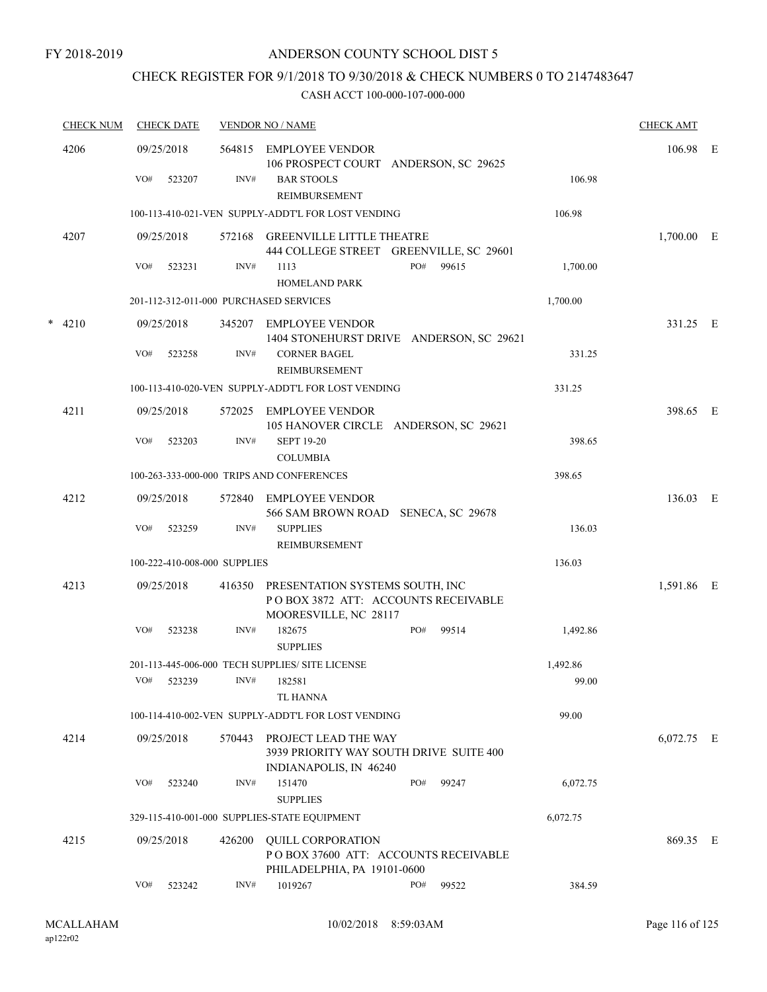## CHECK REGISTER FOR 9/1/2018 TO 9/30/2018 & CHECK NUMBERS 0 TO 2147483647

| <b>CHECK NUM</b> | <b>CHECK DATE</b>                      |        | <b>VENDOR NO / NAME</b>                                                                                |     | <b>CHECK AMT</b> |          |              |  |
|------------------|----------------------------------------|--------|--------------------------------------------------------------------------------------------------------|-----|------------------|----------|--------------|--|
| 4206             | 09/25/2018                             | 564815 | <b>EMPLOYEE VENDOR</b><br>106 PROSPECT COURT ANDERSON, SC 29625                                        |     |                  |          | 106.98 E     |  |
|                  | VO#<br>523207                          | INV#   | <b>BAR STOOLS</b><br>REIMBURSEMENT                                                                     |     |                  | 106.98   |              |  |
|                  |                                        |        | 100-113-410-021-VEN SUPPLY-ADDT'L FOR LOST VENDING                                                     |     |                  | 106.98   |              |  |
| 4207             | 09/25/2018                             |        | 572168 GREENVILLE LITTLE THEATRE<br>444 COLLEGE STREET GREENVILLE, SC 29601                            |     |                  |          | 1,700.00 E   |  |
|                  | VO#<br>523231                          | INV#   | 1113<br><b>HOMELAND PARK</b>                                                                           | PO# | 99615            | 1,700.00 |              |  |
|                  | 201-112-312-011-000 PURCHASED SERVICES |        |                                                                                                        |     |                  | 1,700.00 |              |  |
| $* 4210$         | 09/25/2018                             |        | 345207 EMPLOYEE VENDOR<br>1404 STONEHURST DRIVE ANDERSON, SC 29621                                     |     |                  |          | 331.25 E     |  |
|                  | VO#<br>523258                          | INV#   | <b>CORNER BAGEL</b><br>REIMBURSEMENT                                                                   |     |                  | 331.25   |              |  |
|                  |                                        |        | 100-113-410-020-VEN SUPPLY-ADDT'L FOR LOST VENDING                                                     |     |                  | 331.25   |              |  |
| 4211             | 09/25/2018                             |        | 572025 EMPLOYEE VENDOR<br>105 HANOVER CIRCLE ANDERSON, SC 29621                                        |     |                  |          | 398.65 E     |  |
|                  | VO#<br>523203                          | INV#   | <b>SEPT 19-20</b><br><b>COLUMBIA</b>                                                                   |     |                  | 398.65   |              |  |
|                  |                                        |        | 100-263-333-000-000 TRIPS AND CONFERENCES                                                              |     |                  | 398.65   |              |  |
| 4212             | 09/25/2018                             |        | 572840 EMPLOYEE VENDOR<br>566 SAM BROWN ROAD SENECA, SC 29678                                          |     |                  |          | 136.03 E     |  |
|                  | VO#<br>523259                          | INV#   | <b>SUPPLIES</b><br>REIMBURSEMENT                                                                       |     |                  | 136.03   |              |  |
|                  | 100-222-410-008-000 SUPPLIES           |        |                                                                                                        |     |                  | 136.03   |              |  |
| 4213             | 09/25/2018                             |        | 416350 PRESENTATION SYSTEMS SOUTH, INC<br>POBOX 3872 ATT: ACCOUNTS RECEIVABLE<br>MOORESVILLE, NC 28117 |     |                  |          | 1,591.86 E   |  |
|                  | VO#<br>523238                          | INV#   | 182675<br><b>SUPPLIES</b>                                                                              | PO# | 99514            | 1,492.86 |              |  |
|                  |                                        |        | 201-113-445-006-000 TECH SUPPLIES/ SITE LICENSE                                                        |     |                  | 1,492.86 |              |  |
|                  | VO# 523239                             |        | INV# 182581<br><b>TL HANNA</b>                                                                         |     |                  | 99.00    |              |  |
|                  |                                        |        | 100-114-410-002-VEN SUPPLY-ADDT'L FOR LOST VENDING                                                     |     |                  | 99.00    |              |  |
| 4214             | 09/25/2018                             | 570443 | PROJECT LEAD THE WAY<br>3939 PRIORITY WAY SOUTH DRIVE SUITE 400<br>INDIANAPOLIS, IN 46240              |     |                  |          | $6,072.75$ E |  |
|                  | VO#<br>523240                          | INV#   | 151470<br><b>SUPPLIES</b>                                                                              | PO# | 99247            | 6,072.75 |              |  |
|                  |                                        |        | 329-115-410-001-000 SUPPLIES-STATE EQUIPMENT                                                           |     |                  | 6,072.75 |              |  |
| 4215             | 09/25/2018                             | 426200 | <b>QUILL CORPORATION</b><br>POBOX 37600 ATT: ACCOUNTS RECEIVABLE                                       |     |                  |          | 869.35 E     |  |
|                  | VO#<br>523242                          | INV#   | PHILADELPHIA, PA 19101-0600<br>1019267                                                                 | PO# | 99522            | 384.59   |              |  |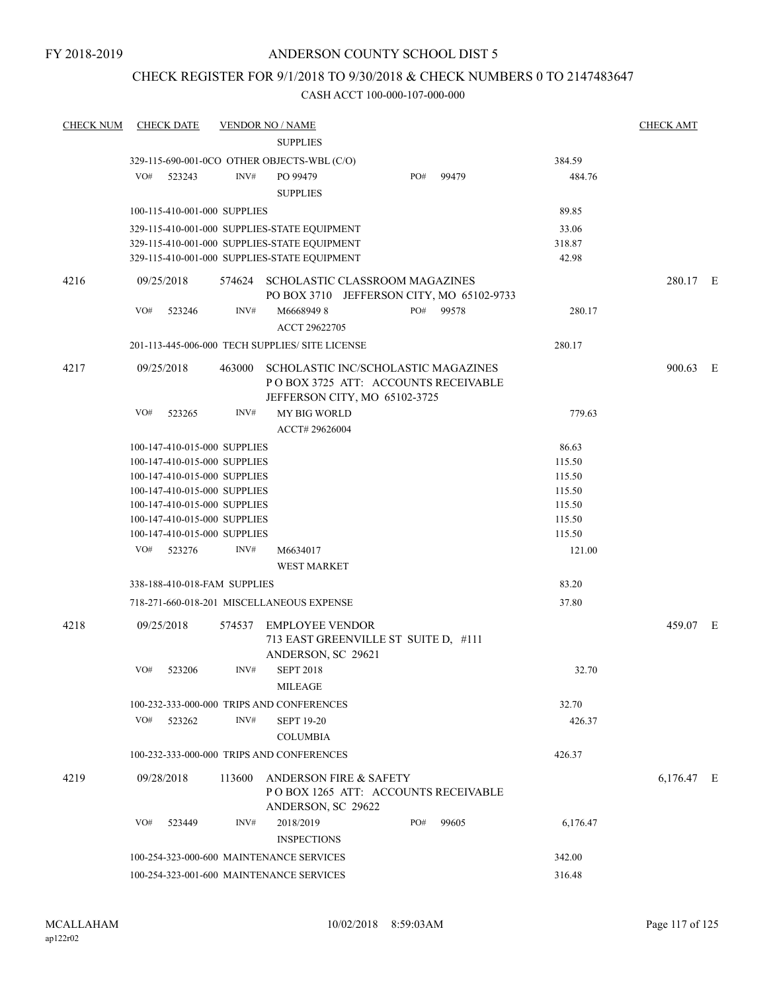## CHECK REGISTER FOR 9/1/2018 TO 9/30/2018 & CHECK NUMBERS 0 TO 2147483647

| <b>CHECK NUM</b> | <b>CHECK DATE</b>                        |        | <b>VENDOR NO / NAME</b>                                                                                     |     |       |                  | <b>CHECK AMT</b> |  |
|------------------|------------------------------------------|--------|-------------------------------------------------------------------------------------------------------------|-----|-------|------------------|------------------|--|
|                  |                                          |        | <b>SUPPLIES</b>                                                                                             |     |       |                  |                  |  |
|                  |                                          |        | 329-115-690-001-0CO OTHER OBJECTS-WBL (C/O)                                                                 |     |       | 384.59           |                  |  |
|                  | VO#<br>523243                            | INV#   | PO 99479                                                                                                    | PO# | 99479 | 484.76           |                  |  |
|                  |                                          |        | <b>SUPPLIES</b>                                                                                             |     |       |                  |                  |  |
|                  | 100-115-410-001-000 SUPPLIES             |        |                                                                                                             |     |       | 89.85            |                  |  |
|                  |                                          |        | 329-115-410-001-000 SUPPLIES-STATE EQUIPMENT                                                                |     |       | 33.06            |                  |  |
|                  |                                          |        | 329-115-410-001-000 SUPPLIES-STATE EQUIPMENT                                                                |     |       | 318.87           |                  |  |
|                  |                                          |        | 329-115-410-001-000 SUPPLIES-STATE EQUIPMENT                                                                |     |       | 42.98            |                  |  |
| 4216             | 09/25/2018                               |        | 574624 SCHOLASTIC CLASSROOM MAGAZINES<br>PO BOX 3710 JEFFERSON CITY, MO 65102-9733                          |     |       |                  | 280.17 E         |  |
|                  | VO#<br>523246                            | INV#   | M66689498<br>ACCT 29622705                                                                                  | PO# | 99578 | 280.17           |                  |  |
|                  |                                          |        | 201-113-445-006-000 TECH SUPPLIES/ SITE LICENSE                                                             |     |       | 280.17           |                  |  |
|                  |                                          |        |                                                                                                             |     |       |                  |                  |  |
| 4217             | 09/25/2018                               | 463000 | SCHOLASTIC INC/SCHOLASTIC MAGAZINES<br>POBOX 3725 ATT: ACCOUNTS RECEIVABLE<br>JEFFERSON CITY, MO 65102-3725 |     |       |                  | 900.63 E         |  |
|                  | VO#<br>523265                            | INV#   | <b>MY BIG WORLD</b><br>ACCT# 29626004                                                                       |     |       | 779.63           |                  |  |
|                  | 100-147-410-015-000 SUPPLIES             |        |                                                                                                             |     |       | 86.63            |                  |  |
|                  | 100-147-410-015-000 SUPPLIES             |        |                                                                                                             |     |       | 115.50           |                  |  |
|                  | 100-147-410-015-000 SUPPLIES             |        |                                                                                                             |     |       | 115.50           |                  |  |
|                  | 100-147-410-015-000 SUPPLIES             |        |                                                                                                             |     |       | 115.50           |                  |  |
|                  | 100-147-410-015-000 SUPPLIES             |        |                                                                                                             |     |       | 115.50           |                  |  |
|                  | 100-147-410-015-000 SUPPLIES             |        |                                                                                                             |     |       | 115.50           |                  |  |
|                  | 100-147-410-015-000 SUPPLIES             |        |                                                                                                             |     |       | 115.50           |                  |  |
|                  | VO#<br>523276                            | INV#   | M6634017<br><b>WEST MARKET</b>                                                                              |     |       | 121.00           |                  |  |
|                  | 338-188-410-018-FAM SUPPLIES             |        |                                                                                                             |     |       | 83.20            |                  |  |
|                  |                                          |        | 718-271-660-018-201 MISCELLANEOUS EXPENSE                                                                   |     |       | 37.80            |                  |  |
|                  |                                          |        |                                                                                                             |     |       |                  |                  |  |
| 4218             | 09/25/2018                               | 574537 | <b>EMPLOYEE VENDOR</b><br>713 EAST GREENVILLE ST SUITE D, #111<br>ANDERSON, SC 29621                        |     |       |                  | 459.07 E         |  |
|                  | VO#<br>523206                            | INV#   | <b>SEPT 2018</b>                                                                                            |     |       | 32.70            |                  |  |
|                  |                                          |        | <b>MILEAGE</b>                                                                                              |     |       |                  |                  |  |
|                  |                                          |        | 100-232-333-000-000 TRIPS AND CONFERENCES                                                                   |     |       | 32.70            |                  |  |
|                  | VO#<br>523262                            | INV#   | <b>SEPT 19-20</b>                                                                                           |     |       | 426.37           |                  |  |
|                  |                                          |        |                                                                                                             |     |       |                  |                  |  |
|                  |                                          |        | <b>COLUMBIA</b>                                                                                             |     |       |                  |                  |  |
|                  |                                          |        | 100-232-333-000-000 TRIPS AND CONFERENCES                                                                   |     |       | 426.37           |                  |  |
| 4219             | 09/28/2018                               | 113600 | ANDERSON FIRE & SAFETY<br>POBOX 1265 ATT: ACCOUNTS RECEIVABLE<br>ANDERSON, SC 29622                         |     |       |                  | 6,176.47 E       |  |
|                  | VO#<br>523449                            | INV#   | 2018/2019<br><b>INSPECTIONS</b>                                                                             | PO# | 99605 | 6,176.47         |                  |  |
|                  | 100-254-323-000-600 MAINTENANCE SERVICES |        |                                                                                                             |     |       |                  |                  |  |
|                  |                                          |        | 100-254-323-001-600 MAINTENANCE SERVICES                                                                    |     |       | 342.00<br>316.48 |                  |  |
|                  |                                          |        |                                                                                                             |     |       |                  |                  |  |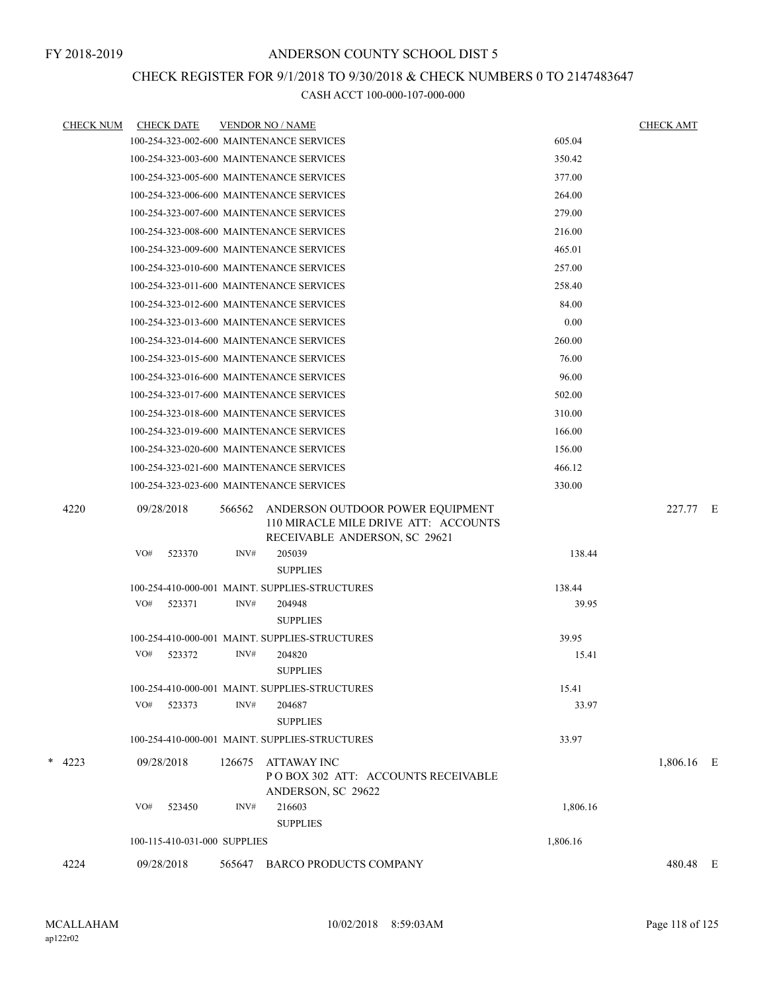#### CHECK REGISTER FOR 9/1/2018 TO 9/30/2018 & CHECK NUMBERS 0 TO 2147483647

|        | <b>CHECK NUM</b> | <b>CHECK DATE</b>                        |        | <b>VENDOR NO / NAME</b>                                                                                   |          | <b>CHECK AMT</b> |  |
|--------|------------------|------------------------------------------|--------|-----------------------------------------------------------------------------------------------------------|----------|------------------|--|
|        |                  | 100-254-323-002-600 MAINTENANCE SERVICES |        |                                                                                                           | 605.04   |                  |  |
|        |                  | 100-254-323-003-600 MAINTENANCE SERVICES |        |                                                                                                           | 350.42   |                  |  |
|        |                  | 100-254-323-005-600 MAINTENANCE SERVICES |        |                                                                                                           | 377.00   |                  |  |
|        |                  | 100-254-323-006-600 MAINTENANCE SERVICES |        |                                                                                                           | 264.00   |                  |  |
|        |                  | 100-254-323-007-600 MAINTENANCE SERVICES |        |                                                                                                           | 279.00   |                  |  |
|        |                  | 100-254-323-008-600 MAINTENANCE SERVICES |        |                                                                                                           | 216.00   |                  |  |
|        |                  | 100-254-323-009-600 MAINTENANCE SERVICES |        |                                                                                                           | 465.01   |                  |  |
|        |                  | 100-254-323-010-600 MAINTENANCE SERVICES |        |                                                                                                           | 257.00   |                  |  |
|        |                  | 100-254-323-011-600 MAINTENANCE SERVICES |        |                                                                                                           | 258.40   |                  |  |
|        |                  | 100-254-323-012-600 MAINTENANCE SERVICES |        |                                                                                                           | 84.00    |                  |  |
|        |                  | 100-254-323-013-600 MAINTENANCE SERVICES |        |                                                                                                           | 0.00     |                  |  |
|        |                  | 100-254-323-014-600 MAINTENANCE SERVICES |        |                                                                                                           | 260.00   |                  |  |
|        |                  | 100-254-323-015-600 MAINTENANCE SERVICES |        |                                                                                                           | 76.00    |                  |  |
|        |                  | 100-254-323-016-600 MAINTENANCE SERVICES |        |                                                                                                           | 96.00    |                  |  |
|        |                  | 100-254-323-017-600 MAINTENANCE SERVICES |        |                                                                                                           | 502.00   |                  |  |
|        |                  | 100-254-323-018-600 MAINTENANCE SERVICES |        |                                                                                                           | 310.00   |                  |  |
|        |                  | 100-254-323-019-600 MAINTENANCE SERVICES |        |                                                                                                           | 166.00   |                  |  |
|        |                  | 100-254-323-020-600 MAINTENANCE SERVICES |        |                                                                                                           | 156.00   |                  |  |
|        |                  | 100-254-323-021-600 MAINTENANCE SERVICES |        |                                                                                                           | 466.12   |                  |  |
|        |                  | 100-254-323-023-600 MAINTENANCE SERVICES |        |                                                                                                           | 330.00   |                  |  |
|        | 4220             | 09/28/2018                               | 566562 | ANDERSON OUTDOOR POWER EQUIPMENT<br>110 MIRACLE MILE DRIVE ATT: ACCOUNTS<br>RECEIVABLE ANDERSON, SC 29621 |          | 227.77 E         |  |
|        |                  | VO#<br>523370                            | INV#   | 205039<br><b>SUPPLIES</b>                                                                                 | 138.44   |                  |  |
|        |                  |                                          |        | 100-254-410-000-001 MAINT. SUPPLIES-STRUCTURES                                                            | 138.44   |                  |  |
|        |                  | VO#<br>523371                            | INV#   | 204948<br><b>SUPPLIES</b>                                                                                 | 39.95    |                  |  |
|        |                  |                                          |        | 100-254-410-000-001 MAINT. SUPPLIES-STRUCTURES                                                            | 39.95    |                  |  |
|        |                  | VO#<br>523372                            | INV#   | 204820<br><b>SUPPLIES</b>                                                                                 | 15.41    |                  |  |
|        |                  |                                          |        | 100-254-410-000-001 MAINT. SUPPLIES-STRUCTURES                                                            | 15.41    |                  |  |
|        |                  | VO#<br>523373                            | INV#   | 204687<br><b>SUPPLIES</b>                                                                                 | 33.97    |                  |  |
|        |                  |                                          |        | 100-254-410-000-001 MAINT. SUPPLIES-STRUCTURES                                                            | 33.97    |                  |  |
| $\ast$ | 4223             | 09/28/2018                               | 126675 | <b>ATTAWAY INC</b><br>PO BOX 302 ATT: ACCOUNTS RECEIVABLE<br>ANDERSON, SC 29622                           |          | 1,806.16 E       |  |
|        |                  | VO#<br>523450                            | INV#   | 216603                                                                                                    | 1,806.16 |                  |  |
|        |                  |                                          |        | <b>SUPPLIES</b>                                                                                           |          |                  |  |
|        |                  | 100-115-410-031-000 SUPPLIES             |        |                                                                                                           | 1,806.16 |                  |  |
|        | 4224             | 09/28/2018                               | 565647 | <b>BARCO PRODUCTS COMPANY</b>                                                                             |          | 480.48 E         |  |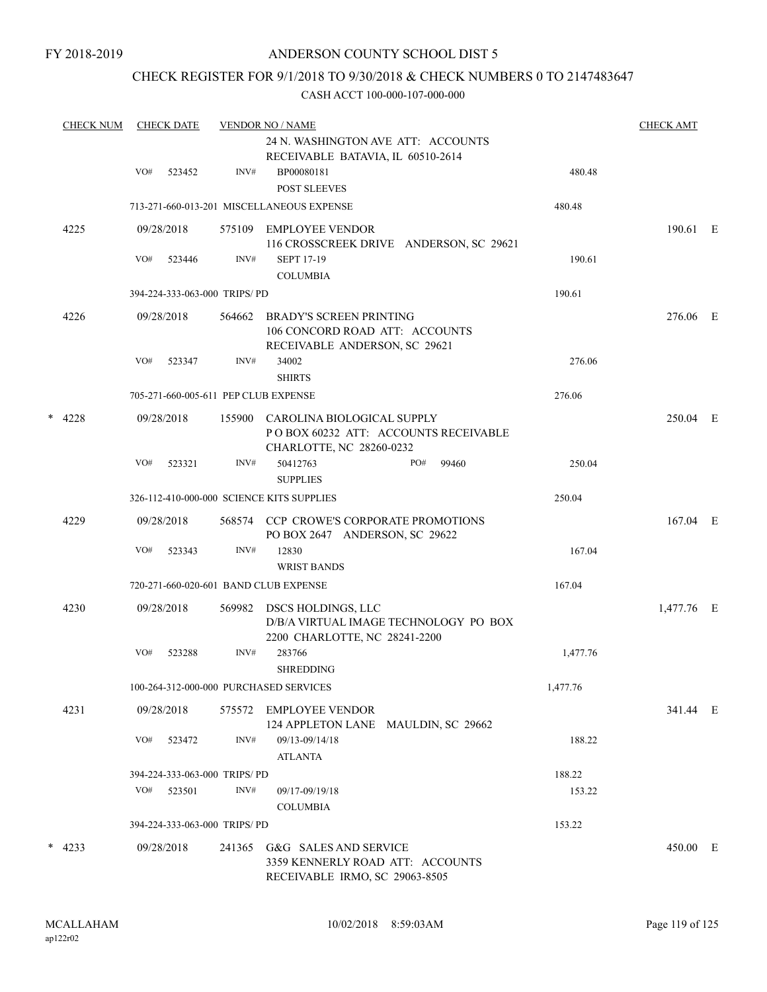## CHECK REGISTER FOR 9/1/2018 TO 9/30/2018 & CHECK NUMBERS 0 TO 2147483647

|        | <b>CHECK NUM</b> | <b>CHECK DATE</b> |            |                              | <b>VENDOR NO / NAME</b>                                                                            |          | <b>CHECK AMT</b> |  |
|--------|------------------|-------------------|------------|------------------------------|----------------------------------------------------------------------------------------------------|----------|------------------|--|
|        |                  |                   |            |                              | 24 N. WASHINGTON AVE ATT: ACCOUNTS                                                                 |          |                  |  |
|        |                  |                   |            |                              | RECEIVABLE BATAVIA, IL 60510-2614                                                                  |          |                  |  |
|        |                  | VO#               | 523452     | INV#                         | BP00080181<br><b>POST SLEEVES</b>                                                                  | 480.48   |                  |  |
|        |                  |                   |            |                              | 713-271-660-013-201 MISCELLANEOUS EXPENSE                                                          | 480.48   |                  |  |
|        | 4225             |                   | 09/28/2018 | 575109                       | EMPLOYEE VENDOR<br>116 CROSSCREEK DRIVE ANDERSON, SC 29621                                         |          | 190.61 E         |  |
|        |                  | VO#               | 523446     | INV#                         | <b>SEPT 17-19</b><br><b>COLUMBIA</b>                                                               | 190.61   |                  |  |
|        |                  |                   |            | 394-224-333-063-000 TRIPS/PD |                                                                                                    | 190.61   |                  |  |
|        |                  |                   |            |                              |                                                                                                    |          |                  |  |
|        | 4226             |                   | 09/28/2018 | 564662                       | <b>BRADY'S SCREEN PRINTING</b><br>106 CONCORD ROAD ATT: ACCOUNTS<br>RECEIVABLE ANDERSON, SC 29621  |          | 276.06 E         |  |
|        |                  | VO#               | 523347     | INV#                         | 34002                                                                                              | 276.06   |                  |  |
|        |                  |                   |            |                              | <b>SHIRTS</b>                                                                                      |          |                  |  |
|        |                  |                   |            |                              | 705-271-660-005-611 PEP CLUB EXPENSE                                                               | 276.06   |                  |  |
| $\ast$ | 4228             |                   | 09/28/2018 | 155900                       | CAROLINA BIOLOGICAL SUPPLY<br>POBOX 60232 ATT: ACCOUNTS RECEIVABLE<br>CHARLOTTE, NC 28260-0232     |          | 250.04 E         |  |
|        |                  | VO#               | 523321     | INV#                         | 50412763<br>PO#<br>99460<br><b>SUPPLIES</b>                                                        | 250.04   |                  |  |
|        |                  |                   |            |                              | 326-112-410-000-000 SCIENCE KITS SUPPLIES                                                          | 250.04   |                  |  |
|        | 4229             |                   | 09/28/2018 |                              | 568574 CCP CROWE'S CORPORATE PROMOTIONS<br>PO BOX 2647 ANDERSON, SC 29622                          |          | 167.04 E         |  |
|        |                  | VO#               | 523343     | INV#                         | 12830                                                                                              | 167.04   |                  |  |
|        |                  |                   |            |                              | <b>WRIST BANDS</b>                                                                                 |          |                  |  |
|        |                  |                   |            |                              | 720-271-660-020-601 BAND CLUB EXPENSE                                                              | 167.04   |                  |  |
|        | 4230             |                   | 09/28/2018 | 569982                       | DSCS HOLDINGS, LLC<br>D/B/A VIRTUAL IMAGE TECHNOLOGY PO BOX                                        |          | 1,477.76 E       |  |
|        |                  |                   |            |                              | 2200 CHARLOTTE, NC 28241-2200                                                                      |          |                  |  |
|        |                  | VO#               | 523288     | INV#                         | 283766<br><b>SHREDDING</b>                                                                         | 1,477.76 |                  |  |
|        |                  |                   |            |                              | 100-264-312-000-000 PURCHASED SERVICES                                                             | 1,477.76 |                  |  |
|        | 4231             |                   | 09/28/2018 | 575572                       | <b>EMPLOYEE VENDOR</b><br>124 APPLETON LANE MAULDIN, SC 29662                                      |          | 341.44 E         |  |
|        |                  | VO#               | 523472     | INV#                         | 09/13-09/14/18<br><b>ATLANTA</b>                                                                   | 188.22   |                  |  |
|        |                  |                   |            | 394-224-333-063-000 TRIPS/PD |                                                                                                    | 188.22   |                  |  |
|        |                  | VO#               | 523501     | INV#                         | 09/17-09/19/18                                                                                     | 153.22   |                  |  |
|        |                  |                   |            |                              | <b>COLUMBIA</b>                                                                                    |          |                  |  |
|        |                  |                   |            | 394-224-333-063-000 TRIPS/PD |                                                                                                    | 153.22   |                  |  |
|        | $*$ 4233         |                   | 09/28/2018 |                              | 241365 G&G SALES AND SERVICE<br>3359 KENNERLY ROAD ATT: ACCOUNTS<br>RECEIVABLE IRMO, SC 29063-8505 |          | 450.00 E         |  |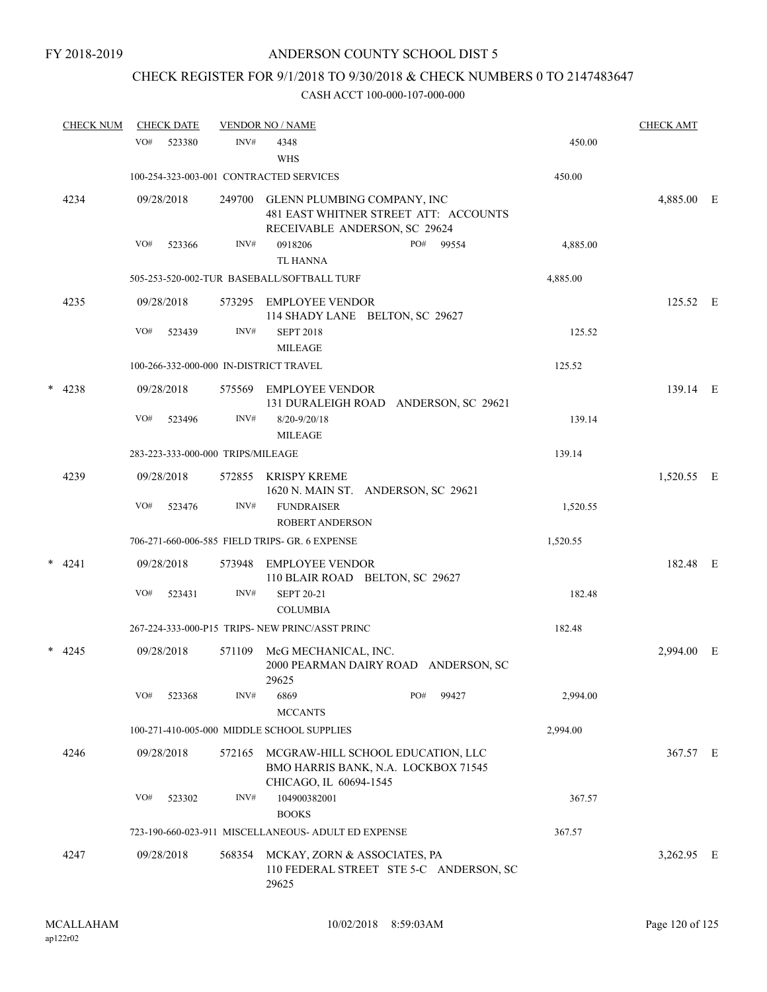# CHECK REGISTER FOR 9/1/2018 TO 9/30/2018 & CHECK NUMBERS 0 TO 2147483647

|   | <b>CHECK NUM</b> | <b>CHECK DATE</b> |                                        | <b>VENDOR NO / NAME</b>                                                                               |          | <b>CHECK AMT</b> |   |
|---|------------------|-------------------|----------------------------------------|-------------------------------------------------------------------------------------------------------|----------|------------------|---|
|   |                  | VO#               | INV#<br>523380                         | 4348<br><b>WHS</b>                                                                                    | 450.00   |                  |   |
|   |                  |                   |                                        | 100-254-323-003-001 CONTRACTED SERVICES                                                               | 450.00   |                  |   |
|   | 4234             | 09/28/2018        | 249700                                 | GLENN PLUMBING COMPANY, INC<br>481 EAST WHITNER STREET ATT: ACCOUNTS<br>RECEIVABLE ANDERSON, SC 29624 |          | 4,885.00 E       |   |
|   |                  | VO#               | INV#<br>523366                         | 0918206<br>PO#<br>99554<br><b>TL HANNA</b>                                                            | 4,885.00 |                  |   |
|   |                  |                   |                                        | 505-253-520-002-TUR BASEBALL/SOFTBALL TURF                                                            | 4,885.00 |                  |   |
|   | 4235             | 09/28/2018        |                                        | 573295 EMPLOYEE VENDOR<br>114 SHADY LANE BELTON, SC 29627                                             |          | 125.52 E         |   |
|   |                  | VO#               | INV#<br>523439                         | <b>SEPT 2018</b><br><b>MILEAGE</b>                                                                    | 125.52   |                  |   |
|   |                  |                   | 100-266-332-000-000 IN-DISTRICT TRAVEL |                                                                                                       | 125.52   |                  |   |
| * | 4238             | 09/28/2018        | 575569                                 | EMPLOYEE VENDOR<br>131 DURALEIGH ROAD ANDERSON, SC 29621                                              |          | 139.14 E         |   |
|   |                  | VO#               | 523496<br>INV#                         | $8/20 - 9/20/18$<br><b>MILEAGE</b>                                                                    | 139.14   |                  |   |
|   |                  |                   | 283-223-333-000-000 TRIPS/MILEAGE      |                                                                                                       | 139.14   |                  |   |
|   | 4239             | 09/28/2018        | 572855                                 | KRISPY KREME<br>1620 N. MAIN ST. ANDERSON, SC 29621                                                   |          | 1,520.55 E       |   |
|   |                  | VO#               | INV#<br>523476                         | <b>FUNDRAISER</b><br><b>ROBERT ANDERSON</b>                                                           | 1,520.55 |                  |   |
|   |                  |                   |                                        | 706-271-660-006-585 FIELD TRIPS- GR. 6 EXPENSE                                                        | 1,520.55 |                  |   |
|   | $*$ 4241         | 09/28/2018        | 573948                                 | EMPLOYEE VENDOR<br>110 BLAIR ROAD BELTON, SC 29627                                                    |          | 182.48 E         |   |
|   |                  | VO#               | INV#<br>523431                         | <b>SEPT 20-21</b><br><b>COLUMBIA</b>                                                                  | 182.48   |                  |   |
|   |                  |                   |                                        | 267-224-333-000-P15 TRIPS- NEW PRINC/ASST PRINC                                                       | 182.48   |                  |   |
|   | $*$ 4245         | 09/28/2018        | 571109                                 | McG MECHANICAL, INC.<br>2000 PEARMAN DAIRY ROAD ANDERSON, SC<br>29625                                 |          | 2,994.00         | E |
|   |                  | VO#               | INV#<br>523368                         | 6869<br>PO#<br>99427<br><b>MCCANTS</b>                                                                | 2,994.00 |                  |   |
|   |                  |                   |                                        | 100-271-410-005-000 MIDDLE SCHOOL SUPPLIES                                                            | 2,994.00 |                  |   |
|   | 4246             | 09/28/2018        | 572165                                 | MCGRAW-HILL SCHOOL EDUCATION, LLC<br>BMO HARRIS BANK, N.A. LOCKBOX 71545<br>CHICAGO, IL 60694-1545    |          | 367.57 E         |   |
|   |                  | VO#               | INV#<br>523302                         | 104900382001<br><b>BOOKS</b>                                                                          | 367.57   |                  |   |
|   |                  |                   |                                        | 723-190-660-023-911 MISCELLANEOUS- ADULT ED EXPENSE                                                   | 367.57   |                  |   |
|   | 4247             | 09/28/2018        | 568354                                 | MCKAY, ZORN & ASSOCIATES, PA<br>110 FEDERAL STREET STE 5-C ANDERSON, SC<br>29625                      |          | 3,262.95 E       |   |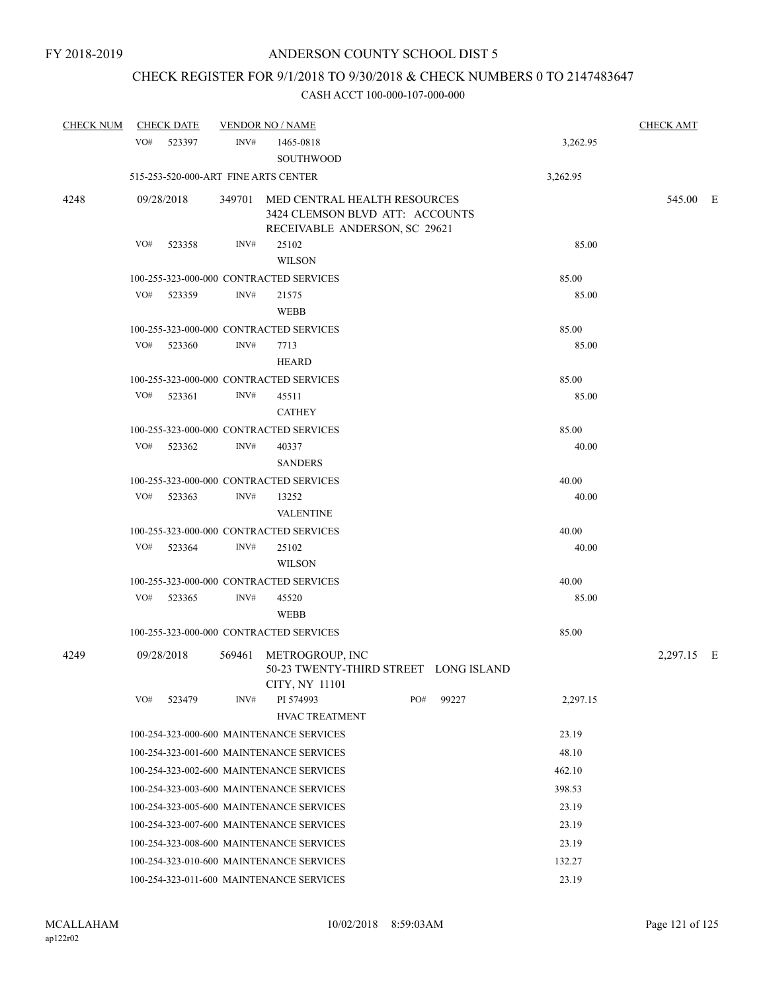# CHECK REGISTER FOR 9/1/2018 TO 9/30/2018 & CHECK NUMBERS 0 TO 2147483647

| <b>CHECK NUM</b> | <b>CHECK DATE</b>                        |        | <b>VENDOR NO / NAME</b>                                                                                 |          |       |          | <b>CHECK AMT</b> |  |
|------------------|------------------------------------------|--------|---------------------------------------------------------------------------------------------------------|----------|-------|----------|------------------|--|
|                  | VO#<br>523397                            | INV#   | 1465-0818<br><b>SOUTHWOOD</b>                                                                           |          |       | 3,262.95 |                  |  |
|                  | 515-253-520-000-ART FINE ARTS CENTER     |        |                                                                                                         | 3,262.95 |       |          |                  |  |
| 4248             | 09/28/2018                               |        | 349701 MED CENTRAL HEALTH RESOURCES<br>3424 CLEMSON BLVD ATT: ACCOUNTS<br>RECEIVABLE ANDERSON, SC 29621 |          |       | 545.00 E |                  |  |
|                  | VO#<br>523358                            | INV#   | 25102<br><b>WILSON</b>                                                                                  |          |       | 85.00    |                  |  |
|                  | 100-255-323-000-000 CONTRACTED SERVICES  |        |                                                                                                         |          |       | 85.00    |                  |  |
|                  | VO#<br>523359                            | INV#   | 21575<br><b>WEBB</b>                                                                                    |          |       | 85.00    |                  |  |
|                  | 100-255-323-000-000 CONTRACTED SERVICES  |        |                                                                                                         |          |       | 85.00    |                  |  |
|                  | VO#<br>523360                            | INV#   | 7713<br><b>HEARD</b>                                                                                    |          |       | 85.00    |                  |  |
|                  | 100-255-323-000-000 CONTRACTED SERVICES  |        |                                                                                                         |          |       | 85.00    |                  |  |
|                  | $VO#$ 523361                             | INV#   | 45511<br><b>CATHEY</b>                                                                                  |          |       | 85.00    |                  |  |
|                  | 100-255-323-000-000 CONTRACTED SERVICES  |        |                                                                                                         |          |       | 85.00    |                  |  |
|                  | VO#<br>523362                            | INV#   | 40337<br><b>SANDERS</b>                                                                                 |          |       | 40.00    |                  |  |
|                  | 100-255-323-000-000 CONTRACTED SERVICES  |        |                                                                                                         |          |       | 40.00    |                  |  |
|                  | VO#<br>523363                            | INV#   | 13252<br><b>VALENTINE</b>                                                                               |          |       | 40.00    |                  |  |
|                  | 100-255-323-000-000 CONTRACTED SERVICES  |        |                                                                                                         |          |       | 40.00    |                  |  |
|                  | VO# 523364                               | INV#   | 25102<br><b>WILSON</b>                                                                                  |          |       | 40.00    |                  |  |
|                  | 100-255-323-000-000 CONTRACTED SERVICES  |        |                                                                                                         |          |       | 40.00    |                  |  |
|                  | VO#<br>523365                            | INV#   | 45520<br><b>WEBB</b>                                                                                    |          |       | 85.00    |                  |  |
|                  | 100-255-323-000-000 CONTRACTED SERVICES  |        |                                                                                                         |          |       | 85.00    |                  |  |
| 4249             | 09/28/2018                               | 569461 | METROGROUP, INC<br>50-23 TWENTY-THIRD STREET LONG ISLAND<br>CITY, NY 11101                              |          |       |          | 2,297.15 E       |  |
|                  | VO#<br>523479                            | INV#   | PI 574993<br><b>HVAC TREATMENT</b>                                                                      | PO#      | 99227 | 2,297.15 |                  |  |
|                  | 100-254-323-000-600 MAINTENANCE SERVICES |        | 23.19                                                                                                   |          |       |          |                  |  |
|                  |                                          |        | 100-254-323-001-600 MAINTENANCE SERVICES                                                                |          |       | 48.10    |                  |  |
|                  |                                          |        | 100-254-323-002-600 MAINTENANCE SERVICES                                                                |          |       | 462.10   |                  |  |
|                  |                                          |        | 100-254-323-003-600 MAINTENANCE SERVICES                                                                |          |       | 398.53   |                  |  |
|                  |                                          |        | 100-254-323-005-600 MAINTENANCE SERVICES                                                                |          |       | 23.19    |                  |  |
|                  |                                          |        | 100-254-323-007-600 MAINTENANCE SERVICES                                                                |          |       | 23.19    |                  |  |
|                  |                                          |        | 100-254-323-008-600 MAINTENANCE SERVICES                                                                |          |       | 23.19    |                  |  |
|                  |                                          |        | 100-254-323-010-600 MAINTENANCE SERVICES                                                                |          |       | 132.27   |                  |  |
|                  |                                          |        | 100-254-323-011-600 MAINTENANCE SERVICES                                                                |          |       | 23.19    |                  |  |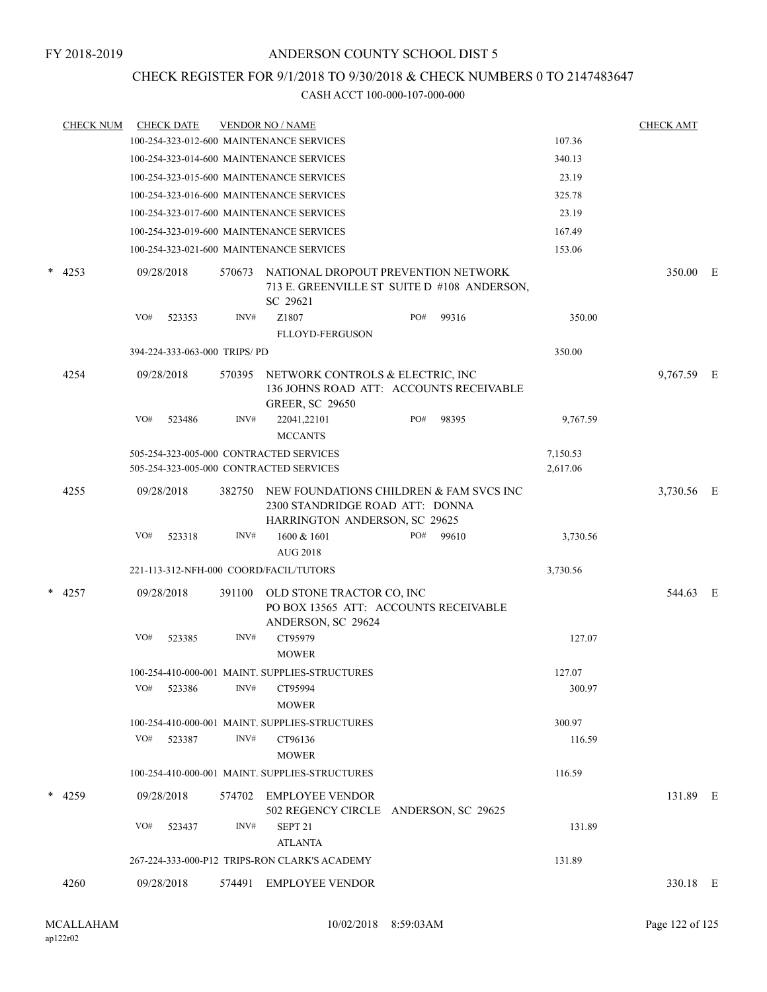## CHECK REGISTER FOR 9/1/2018 TO 9/30/2018 & CHECK NUMBERS 0 TO 2147483647

|           | <b>CHECK NUM</b> |     | <b>CHECK DATE</b> |                              | <b>VENDOR NO / NAME</b>                                                                                     |     |       |                      | <b>CHECK AMT</b> |  |
|-----------|------------------|-----|-------------------|------------------------------|-------------------------------------------------------------------------------------------------------------|-----|-------|----------------------|------------------|--|
|           |                  |     |                   |                              | 100-254-323-012-600 MAINTENANCE SERVICES                                                                    |     |       | 107.36               |                  |  |
|           |                  |     |                   |                              | 100-254-323-014-600 MAINTENANCE SERVICES                                                                    |     |       | 340.13               |                  |  |
|           |                  |     |                   |                              | 100-254-323-015-600 MAINTENANCE SERVICES                                                                    |     |       | 23.19                |                  |  |
|           |                  |     |                   |                              | 100-254-323-016-600 MAINTENANCE SERVICES                                                                    |     |       | 325.78               |                  |  |
|           |                  |     |                   |                              | 100-254-323-017-600 MAINTENANCE SERVICES                                                                    |     |       | 23.19                |                  |  |
|           |                  |     |                   |                              | 100-254-323-019-600 MAINTENANCE SERVICES                                                                    |     |       | 167.49               |                  |  |
|           |                  |     |                   |                              | 100-254-323-021-600 MAINTENANCE SERVICES                                                                    |     |       | 153.06               |                  |  |
| *<br>4253 |                  |     | 09/28/2018        | 570673                       | NATIONAL DROPOUT PREVENTION NETWORK<br>713 E. GREENVILLE ST SUITE D #108 ANDERSON,<br>SC 29621              |     |       |                      | 350.00 E         |  |
|           |                  | VO# | 523353            | INV#                         | Z1807                                                                                                       | PO# | 99316 | 350.00               |                  |  |
|           |                  |     |                   |                              | <b>FLLOYD-FERGUSON</b>                                                                                      |     |       |                      |                  |  |
|           |                  |     |                   | 394-224-333-063-000 TRIPS/PD |                                                                                                             |     |       | 350.00               |                  |  |
|           | 4254             |     | 09/28/2018        | 570395                       | NETWORK CONTROLS & ELECTRIC, INC<br>136 JOHNS ROAD ATT: ACCOUNTS RECEIVABLE<br><b>GREER, SC 29650</b>       |     |       |                      | 9,767.59 E       |  |
|           |                  | VO# | 523486            | INV#                         | 22041,22101<br><b>MCCANTS</b>                                                                               | PO# | 98395 | 9,767.59             |                  |  |
|           |                  |     |                   |                              | 505-254-323-005-000 CONTRACTED SERVICES<br>505-254-323-005-000 CONTRACTED SERVICES                          |     |       | 7,150.53<br>2,617.06 |                  |  |
|           | 4255             |     | 09/28/2018        | 382750                       | NEW FOUNDATIONS CHILDREN & FAM SVCS INC<br>2300 STANDRIDGE ROAD ATT: DONNA<br>HARRINGTON ANDERSON, SC 29625 |     |       |                      | 3,730.56 E       |  |
|           |                  | VO# | 523318            | INV#                         | 1600 & 1601                                                                                                 | PO# | 99610 | 3,730.56             |                  |  |
|           |                  |     |                   |                              | <b>AUG 2018</b>                                                                                             |     |       |                      |                  |  |
|           |                  |     |                   |                              | 221-113-312-NFH-000 COORD/FACIL/TUTORS                                                                      |     |       | 3,730.56             |                  |  |
|           | $*$ 4257         |     | 09/28/2018        | 391100                       | OLD STONE TRACTOR CO, INC<br>PO BOX 13565 ATT: ACCOUNTS RECEIVABLE<br>ANDERSON, SC 29624                    |     |       |                      | 544.63 E         |  |
|           |                  | VO# | 523385            | INV#                         | CT95979<br><b>MOWER</b>                                                                                     |     |       | 127.07               |                  |  |
|           |                  |     |                   |                              | 100-254-410-000-001 MAINT. SUPPLIES-STRUCTURES                                                              |     |       | 127.07               |                  |  |
|           |                  | VO# | 523386            | INV#                         | CT95994                                                                                                     |     |       | 300.97               |                  |  |
|           |                  |     |                   |                              | <b>MOWER</b>                                                                                                |     |       |                      |                  |  |
|           |                  |     |                   |                              | 100-254-410-000-001 MAINT, SUPPLIES-STRUCTURES                                                              |     |       | 300.97               |                  |  |
|           |                  | VO# | 523387            | INV#                         | CT96136<br><b>MOWER</b>                                                                                     |     |       | 116.59               |                  |  |
|           |                  |     |                   |                              | 100-254-410-000-001 MAINT. SUPPLIES-STRUCTURES                                                              |     |       | 116.59               |                  |  |
|           | $*$ 4259         |     | 09/28/2018        |                              | 574702 EMPLOYEE VENDOR<br>502 REGENCY CIRCLE ANDERSON, SC 29625                                             |     |       |                      | 131.89 E         |  |
|           |                  | VO# | 523437            | INV#                         | SEPT <sub>21</sub>                                                                                          |     |       | 131.89               |                  |  |
|           |                  |     |                   |                              | <b>ATLANTA</b><br>267-224-333-000-P12 TRIPS-RON CLARK'S ACADEMY                                             |     |       | 131.89               |                  |  |
|           |                  |     |                   |                              |                                                                                                             |     |       |                      |                  |  |
|           | 4260             |     | 09/28/2018        |                              | 574491 EMPLOYEE VENDOR                                                                                      |     |       |                      | 330.18 E         |  |
|           |                  |     |                   |                              |                                                                                                             |     |       |                      |                  |  |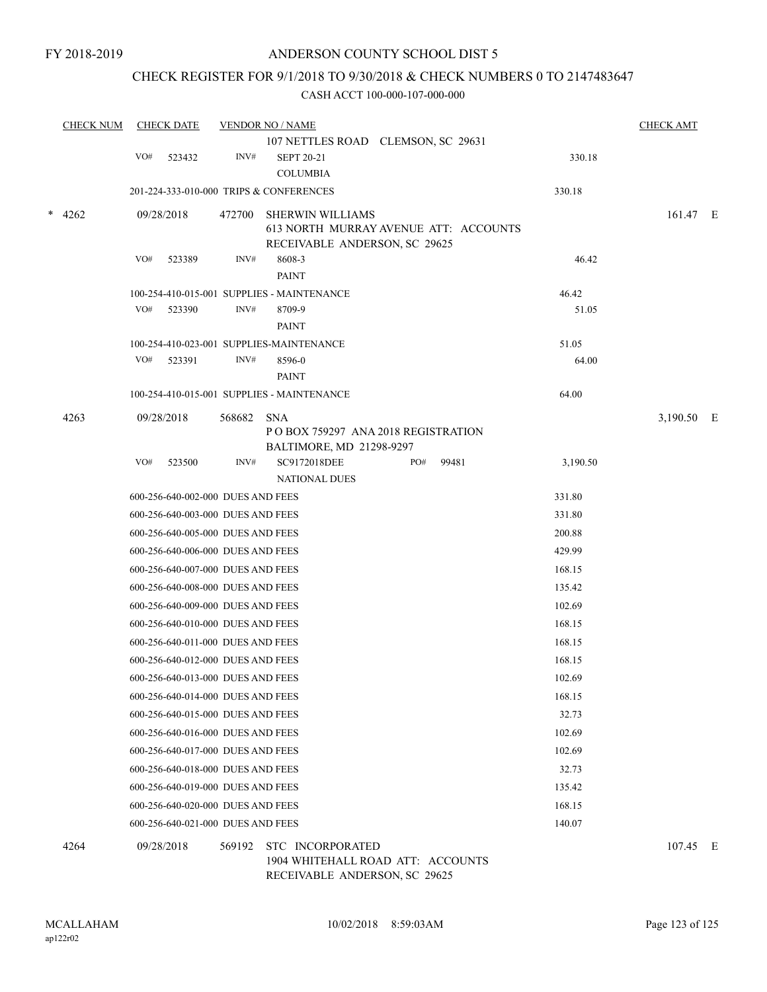## CHECK REGISTER FOR 9/1/2018 TO 9/30/2018 & CHECK NUMBERS 0 TO 2147483647

| <b>CHECK NUM</b> |     | <b>CHECK DATE</b>                 |        | <b>VENDOR NO / NAME</b>                                            |     |       |          | <b>CHECK AMT</b> |  |
|------------------|-----|-----------------------------------|--------|--------------------------------------------------------------------|-----|-------|----------|------------------|--|
|                  |     |                                   |        | 107 NETTLES ROAD CLEMSON, SC 29631                                 |     |       |          |                  |  |
|                  | VO# | 523432                            | INV#   | <b>SEPT 20-21</b>                                                  |     |       | 330.18   |                  |  |
|                  |     |                                   |        | <b>COLUMBIA</b>                                                    |     |       |          |                  |  |
|                  |     |                                   |        | 201-224-333-010-000 TRIPS & CONFERENCES                            |     |       | 330.18   |                  |  |
| $*$ 4262         |     | 09/28/2018                        | 472700 | <b>SHERWIN WILLIAMS</b>                                            |     |       |          | 161.47 E         |  |
|                  |     |                                   |        | 613 NORTH MURRAY AVENUE ATT: ACCOUNTS                              |     |       |          |                  |  |
|                  |     |                                   |        | RECEIVABLE ANDERSON, SC 29625                                      |     |       |          |                  |  |
|                  | VO# | 523389                            | INV#   | 8608-3<br><b>PAINT</b>                                             |     |       | 46.42    |                  |  |
|                  |     |                                   |        | 100-254-410-015-001 SUPPLIES - MAINTENANCE                         |     |       | 46.42    |                  |  |
|                  | VO# | 523390                            | INV#   | 8709-9                                                             |     |       | 51.05    |                  |  |
|                  |     |                                   |        | PAINT                                                              |     |       |          |                  |  |
|                  |     |                                   |        | 100-254-410-023-001 SUPPLIES-MAINTENANCE                           |     |       | 51.05    |                  |  |
|                  | VO# | 523391                            | INV#   | 8596-0                                                             |     |       | 64.00    |                  |  |
|                  |     |                                   |        | PAINT                                                              |     |       |          |                  |  |
|                  |     |                                   |        | 100-254-410-015-001 SUPPLIES - MAINTENANCE                         |     |       | 64.00    |                  |  |
| 4263             |     | 09/28/2018                        | 568682 | <b>SNA</b>                                                         |     |       |          | 3,190.50 E       |  |
|                  |     |                                   |        | P O BOX 759297 ANA 2018 REGISTRATION                               |     |       |          |                  |  |
|                  |     |                                   |        | BALTIMORE, MD 21298-9297                                           |     |       |          |                  |  |
|                  | VO# | 523500                            | INV#   | SC9172018DEE<br><b>NATIONAL DUES</b>                               | PO# | 99481 | 3,190.50 |                  |  |
|                  |     | 600-256-640-002-000 DUES AND FEES |        |                                                                    |     |       | 331.80   |                  |  |
|                  |     | 600-256-640-003-000 DUES AND FEES |        |                                                                    |     |       | 331.80   |                  |  |
|                  |     | 600-256-640-005-000 DUES AND FEES |        |                                                                    |     |       | 200.88   |                  |  |
|                  |     | 600-256-640-006-000 DUES AND FEES |        |                                                                    |     |       | 429.99   |                  |  |
|                  |     | 600-256-640-007-000 DUES AND FEES |        |                                                                    |     |       | 168.15   |                  |  |
|                  |     | 600-256-640-008-000 DUES AND FEES |        |                                                                    |     |       | 135.42   |                  |  |
|                  |     | 600-256-640-009-000 DUES AND FEES |        |                                                                    |     |       | 102.69   |                  |  |
|                  |     | 600-256-640-010-000 DUES AND FEES |        |                                                                    |     |       | 168.15   |                  |  |
|                  |     | 600-256-640-011-000 DUES AND FEES |        |                                                                    |     |       | 168.15   |                  |  |
|                  |     | 600-256-640-012-000 DUES AND FEES |        |                                                                    |     |       | 168.15   |                  |  |
|                  |     | 600-256-640-013-000 DUES AND FEES |        |                                                                    |     |       | 102.69   |                  |  |
|                  |     | 600-256-640-014-000 DUES AND FEES |        |                                                                    |     |       | 168.15   |                  |  |
|                  |     | 600-256-640-015-000 DUES AND FEES |        |                                                                    |     |       | 32.73    |                  |  |
|                  |     | 600-256-640-016-000 DUES AND FEES |        |                                                                    |     |       | 102.69   |                  |  |
|                  |     | 600-256-640-017-000 DUES AND FEES |        |                                                                    |     |       | 102.69   |                  |  |
|                  |     | 600-256-640-018-000 DUES AND FEES |        |                                                                    |     |       | 32.73    |                  |  |
|                  |     | 600-256-640-019-000 DUES AND FEES |        |                                                                    |     |       | 135.42   |                  |  |
|                  |     | 600-256-640-020-000 DUES AND FEES |        |                                                                    |     |       | 168.15   |                  |  |
|                  |     | 600-256-640-021-000 DUES AND FEES |        |                                                                    |     |       | 140.07   |                  |  |
| 4264             |     | 09/28/2018                        | 569192 | STC INCORPORATED                                                   |     |       |          | 107.45 E         |  |
|                  |     |                                   |        | 1904 WHITEHALL ROAD ATT: ACCOUNTS<br>RECEIVABLE ANDERSON, SC 29625 |     |       |          |                  |  |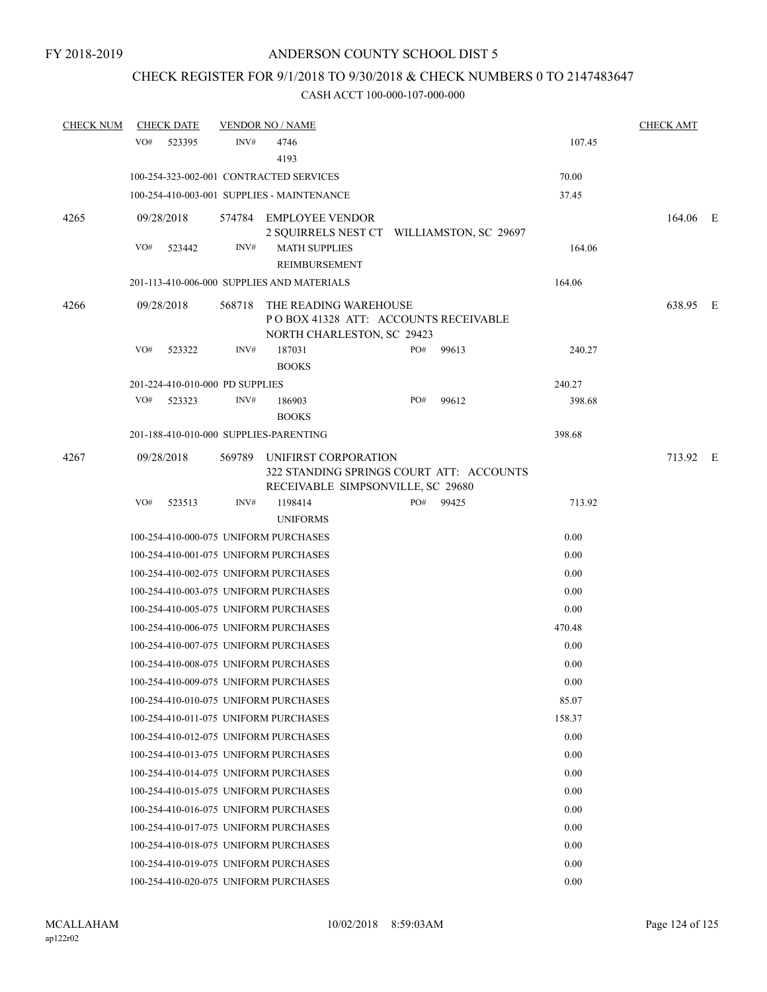# CHECK REGISTER FOR 9/1/2018 TO 9/30/2018 & CHECK NUMBERS 0 TO 2147483647

| <b>CHECK NUM</b> | <b>CHECK DATE</b> |                                 | <b>VENDOR NO / NAME</b>                                                                     |       |                                           |        | <b>CHECK AMT</b> |  |
|------------------|-------------------|---------------------------------|---------------------------------------------------------------------------------------------|-------|-------------------------------------------|--------|------------------|--|
|                  | VO#<br>523395     | INV#                            | 4746<br>4193                                                                                |       |                                           | 107.45 |                  |  |
|                  |                   |                                 | 100-254-323-002-001 CONTRACTED SERVICES                                                     |       |                                           | 70.00  |                  |  |
|                  |                   |                                 | 100-254-410-003-001 SUPPLIES - MAINTENANCE                                                  |       |                                           | 37.45  |                  |  |
| 4265             | 09/28/2018        |                                 | 574784 EMPLOYEE VENDOR                                                                      |       | 2 SQUIRRELS NEST CT WILLIAMSTON, SC 29697 |        | 164.06 E         |  |
|                  | VO#<br>523442     | INV#                            | <b>MATH SUPPLIES</b><br>REIMBURSEMENT                                                       |       |                                           | 164.06 |                  |  |
|                  |                   |                                 | 201-113-410-006-000 SUPPLIES AND MATERIALS                                                  |       |                                           | 164.06 |                  |  |
| 4266             | 09/28/2018        | 568718                          | THE READING WAREHOUSE<br>POBOX 41328 ATT: ACCOUNTS RECEIVABLE<br>NORTH CHARLESTON, SC 29423 |       |                                           |        | 638.95 E         |  |
|                  | VO#<br>523322     | INV#                            | 187031<br><b>BOOKS</b>                                                                      | $PO#$ | 99613                                     | 240.27 |                  |  |
|                  |                   | 201-224-410-010-000 PD SUPPLIES |                                                                                             |       |                                           | 240.27 |                  |  |
|                  | VO#<br>523323     | INV#                            | 186903<br><b>BOOKS</b>                                                                      | PO#   | 99612                                     | 398.68 |                  |  |
|                  |                   |                                 | 201-188-410-010-000 SUPPLIES-PARENTING                                                      |       |                                           | 398.68 |                  |  |
| 4267             | 09/28/2018        |                                 | 569789 UNIFIRST CORPORATION<br>RECEIVABLE SIMPSONVILLE, SC 29680                            |       | 322 STANDING SPRINGS COURT ATT: ACCOUNTS  |        | 713.92 E         |  |
|                  | VO#<br>523513     | INV#                            | 1198414                                                                                     |       | PO# 99425                                 | 713.92 |                  |  |
|                  |                   |                                 | <b>UNIFORMS</b>                                                                             |       |                                           |        |                  |  |
|                  |                   |                                 | 100-254-410-000-075 UNIFORM PURCHASES                                                       |       |                                           | 0.00   |                  |  |
|                  |                   |                                 | 100-254-410-001-075 UNIFORM PURCHASES                                                       |       |                                           | 0.00   |                  |  |
|                  |                   |                                 | 100-254-410-002-075 UNIFORM PURCHASES                                                       |       |                                           | 0.00   |                  |  |
|                  |                   |                                 | 100-254-410-003-075 UNIFORM PURCHASES                                                       |       |                                           | 0.00   |                  |  |
|                  |                   |                                 | 100-254-410-005-075 UNIFORM PURCHASES                                                       |       |                                           | 0.00   |                  |  |
|                  |                   |                                 | 100-254-410-006-075 UNIFORM PURCHASES                                                       |       |                                           | 470.48 |                  |  |
|                  |                   |                                 | 100-254-410-007-075 UNIFORM PURCHASES                                                       |       |                                           | 0.00   |                  |  |
|                  |                   |                                 | 100-254-410-008-075 UNIFORM PURCHASES                                                       |       |                                           | 0.00   |                  |  |
|                  |                   |                                 | 100-254-410-009-075 UNIFORM PURCHASES                                                       |       |                                           | 0.00   |                  |  |
|                  |                   |                                 | 100-254-410-010-075 UNIFORM PURCHASES                                                       |       |                                           | 85.07  |                  |  |
|                  |                   |                                 | 100-254-410-011-075 UNIFORM PURCHASES                                                       |       |                                           | 158.37 |                  |  |
|                  |                   |                                 | 100-254-410-012-075 UNIFORM PURCHASES                                                       |       |                                           | 0.00   |                  |  |
|                  |                   |                                 | 100-254-410-013-075 UNIFORM PURCHASES                                                       |       |                                           | 0.00   |                  |  |
|                  |                   |                                 | 100-254-410-014-075 UNIFORM PURCHASES                                                       |       |                                           | 0.00   |                  |  |
|                  |                   |                                 | 100-254-410-015-075 UNIFORM PURCHASES                                                       |       |                                           | 0.00   |                  |  |
|                  |                   |                                 | 100-254-410-016-075 UNIFORM PURCHASES                                                       |       |                                           | 0.00   |                  |  |
|                  |                   |                                 | 100-254-410-017-075 UNIFORM PURCHASES                                                       |       |                                           | 0.00   |                  |  |
|                  |                   |                                 | 100-254-410-018-075 UNIFORM PURCHASES                                                       |       |                                           | 0.00   |                  |  |
|                  |                   |                                 | 100-254-410-019-075 UNIFORM PURCHASES                                                       |       |                                           | 0.00   |                  |  |
|                  |                   |                                 | 100-254-410-020-075 UNIFORM PURCHASES                                                       |       |                                           | 0.00   |                  |  |